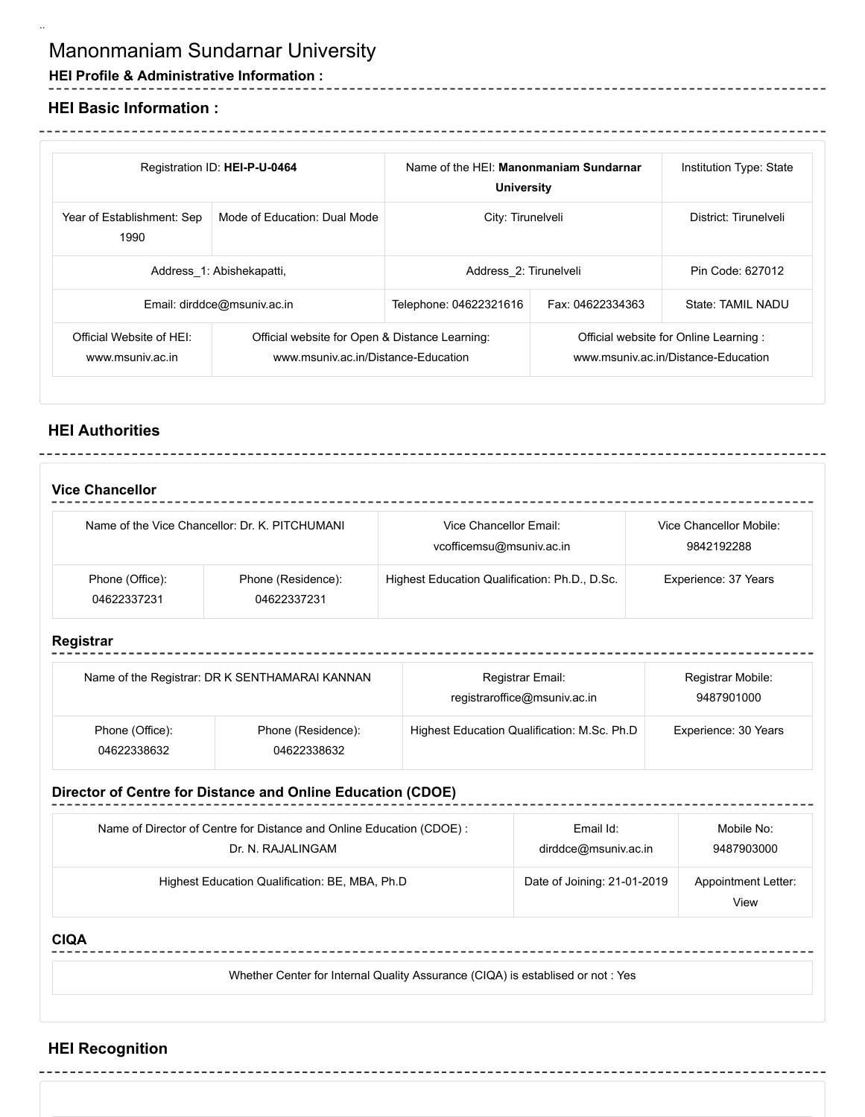# Manonmaniam Sundarnar University

# **HEI Profile & Administrative Information :**

## **HEI Basic Information :** <u>. . . . . . . . . . .</u>

..

| Registration ID: HEI-P-U-0464                |                                                                                       | Name of the HEI: Manonmaniam Sundarnar<br><b>University</b> |                                                                               | Institution Type: State |  |
|----------------------------------------------|---------------------------------------------------------------------------------------|-------------------------------------------------------------|-------------------------------------------------------------------------------|-------------------------|--|
| Year of Establishment: Sep<br>1990           | Mode of Education: Dual Mode                                                          | City: Tirunelveli                                           |                                                                               | District: Tirunelveli   |  |
| Address 1: Abishekapatti,                    |                                                                                       | Address 2: Tirunelveli                                      |                                                                               | Pin Code: 627012        |  |
| Email: dirddce@msuniv.ac.in                  |                                                                                       | Telephone: 04622321616                                      | Fax: 04622334363                                                              | State: TAMIL NADU       |  |
| Official Website of HFI:<br>www.msuniv.ac.in | Official website for Open & Distance Learning:<br>www.msuniv.ac.in/Distance-Education |                                                             | Official website for Online Learning :<br>www.msuniv.ac.in/Distance-Education |                         |  |

# **HEI Authorities**

| <b>Vice Chancellor</b>                         |                                   |                                                    |                                       |  |  |
|------------------------------------------------|-----------------------------------|----------------------------------------------------|---------------------------------------|--|--|
| Name of the Vice Chancellor: Dr. K. PITCHUMANI |                                   | Vice Chancellor Email:<br>vcofficemsu@msuniv.ac.in | Vice Chancellor Mobile:<br>9842192288 |  |  |
| Phone (Office):<br>04622337231                 | Phone (Residence):<br>04622337231 | Highest Education Qualification: Ph.D., D.Sc.      | Experience: 37 Years                  |  |  |

## **Registrar**

| Name of the Registrar: DR K SENTHAMARAI KANNAN |                                   | Registrar Email:<br>registraroffice@msuniv.ac.in | Registrar Mobile:<br>9487901000 |  |
|------------------------------------------------|-----------------------------------|--------------------------------------------------|---------------------------------|--|
| Phone (Office):<br>04622338632                 | Phone (Residence):<br>04622338632 | Highest Education Qualification: M.Sc. Ph.D      | Experience: 30 Years            |  |

# **Director of Centre for Distance and Online Education (CDOE)**

| Name of Director of Centre for Distance and Online Education (CDOE): | Email Id:                   | Mobile No:                         |
|----------------------------------------------------------------------|-----------------------------|------------------------------------|
| Dr. N. RAJALINGAM                                                    | dirddce@msuniv.ac.in        | 9487903000                         |
| Highest Education Qualification: BE, MBA, Ph.D                       | Date of Joining: 21-01-2019 | <b>Appointment Letter:</b><br>View |

## **CIQA**

Whether Center for Internal Quality Assurance (CIQA) is establised or not : Yes

-----

# **HEI Recognition**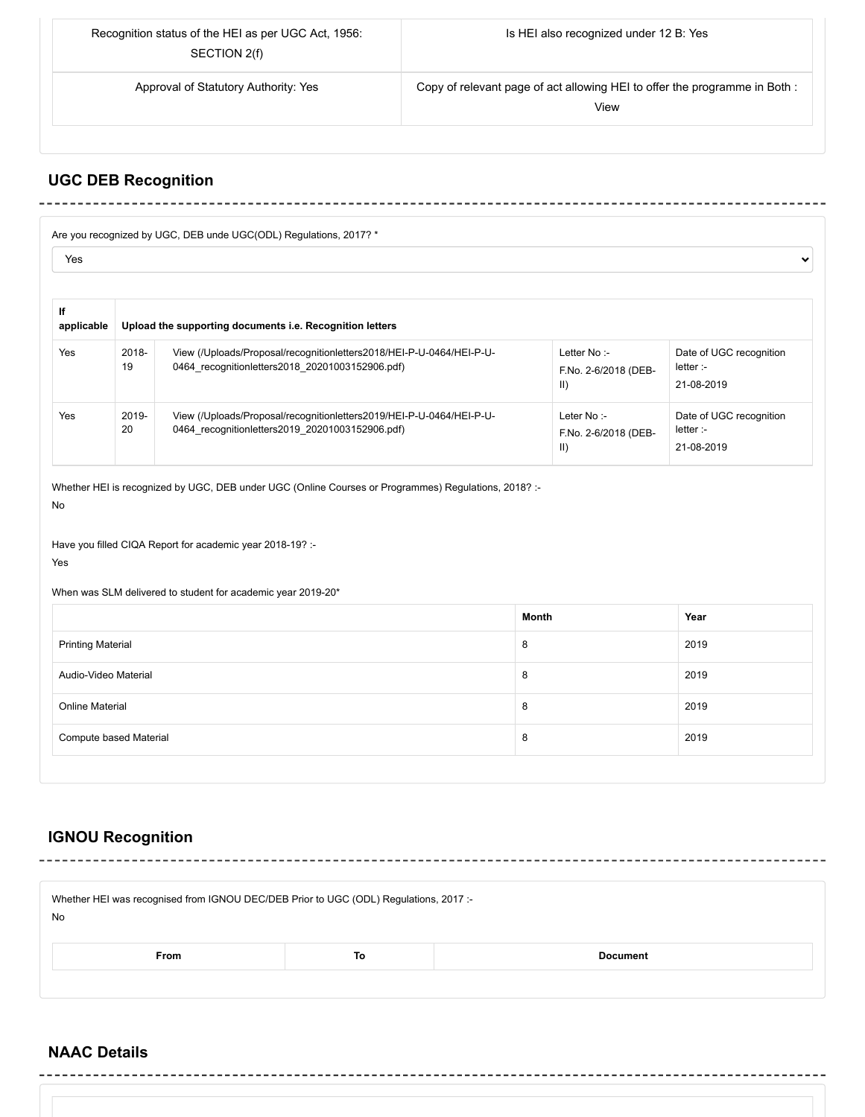| Recognition status of the HEI as per UGC Act, 1956:<br>SECTION 2(f) | Is HEI also recognized under 12 B: Yes                                            |  |
|---------------------------------------------------------------------|-----------------------------------------------------------------------------------|--|
| Approval of Statutory Authority: Yes                                | Copy of relevant page of act allowing HEI to offer the programme in Both:<br>View |  |
|                                                                     |                                                                                   |  |

--------------

 $\checkmark$ 

--------

## **UGC DEB Recognition** --------------

## Are you recognized by UGC, DEB unde UGC(ODL) Regulations, 2017? \*

 $-1$ 

Yes

| lf<br>applicable | Upload the supporting documents i.e. Recognition letters |                                                                                                                         |                                                     |                                                    |  |
|------------------|----------------------------------------------------------|-------------------------------------------------------------------------------------------------------------------------|-----------------------------------------------------|----------------------------------------------------|--|
| Yes              | 2018-<br>19                                              | View (/Uploads/Proposal/recognitionletters2018/HEI-P-U-0464/HEI-P-U-<br>0464 recognitionletters2018 20201003152906.pdf) | Letter No :-<br>F.No. 2-6/2018 (DEB-<br>$\parallel$ | Date of UGC recognition<br>letter :-<br>21-08-2019 |  |
| Yes              | 2019-<br>20                                              | View (/Uploads/Proposal/recognitionletters2019/HEI-P-U-0464/HEI-P-U-<br>0464 recognitionletters2019 20201003152906.pdf) | Leter No:-<br>F.No. 2-6/2018 (DEB-<br>$\parallel$   | Date of UGC recognition<br>letter :-<br>21-08-2019 |  |

Whether HEI is recognized by UGC, DEB under UGC (Online Courses or Programmes) Regulations, 2018? :- No

 $- - - - -$ 

Have you filled CIQA Report for academic year 2018-19? :-

Yes

When was SLM delivered to student for academic year 2019-20\*

| Month | Year |
|-------|------|
| 8     | 2019 |
| 8     | 2019 |
| 8     | 2019 |
| 8     | 2019 |
|       |      |

# **IGNOU Recognition**

| Whether HEI was recognised from IGNOU DEC/DEB Prior to UGC (ODL) Regulations, 2017 :-<br>No |    |                 |  |  |  |  |
|---------------------------------------------------------------------------------------------|----|-----------------|--|--|--|--|
| <b>From</b>                                                                                 | To | <b>Document</b> |  |  |  |  |
|                                                                                             |    |                 |  |  |  |  |

# **NAAC Details**

 $\frac{1}{2}$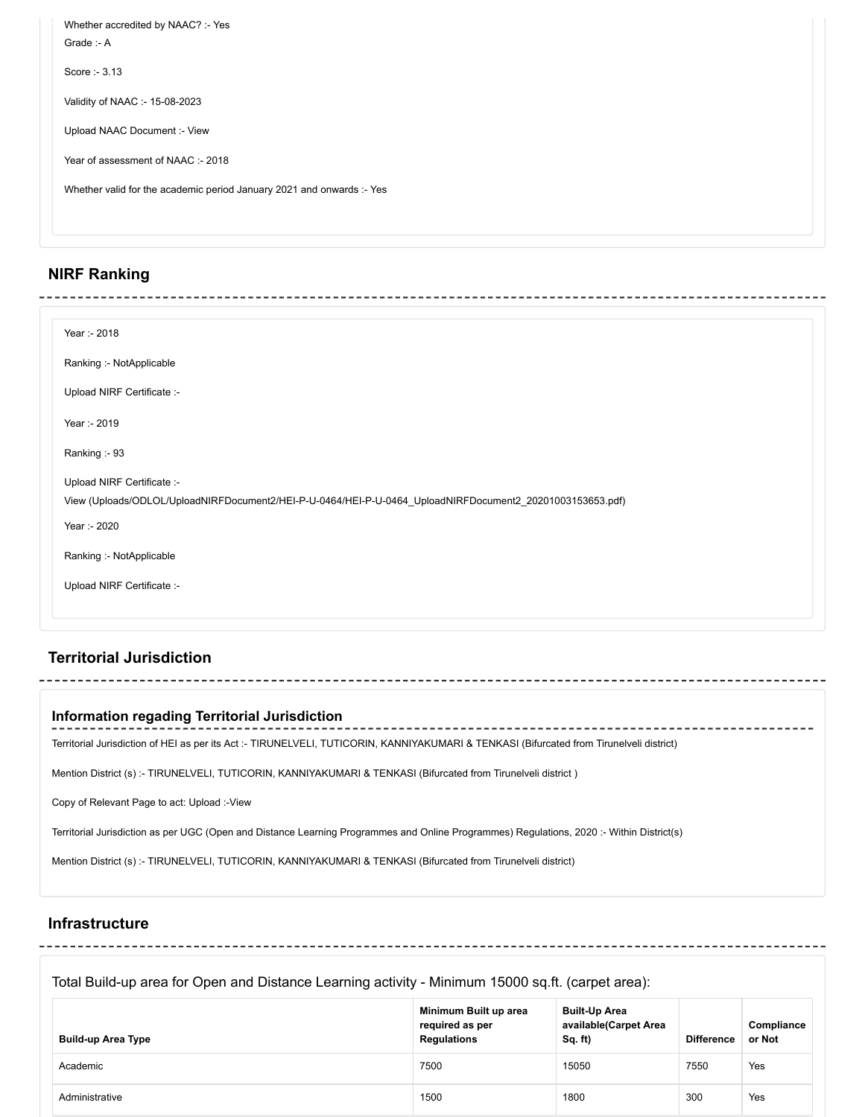| Whether accredited by NAAC? :- Yes<br>Grade $-A$                      |
|-----------------------------------------------------------------------|
| Score: $-3.13$                                                        |
| Validity of NAAC :- 15-08-2023                                        |
| Upload NAAC Document :- View                                          |
| Year of assessment of NAAC :- 2018                                    |
| Whether valid for the academic period January 2021 and onwards :- Yes |
|                                                                       |

# **NIRF Ranking**

| Year :- 2018               |                                                                                                           |
|----------------------------|-----------------------------------------------------------------------------------------------------------|
| Ranking :- NotApplicable   |                                                                                                           |
| Upload NIRF Certificate :- |                                                                                                           |
| Year :- 2019               |                                                                                                           |
| Ranking :- 93              |                                                                                                           |
| Upload NIRF Certificate :- |                                                                                                           |
|                            | View (Uploads/ODLOL/UploadNIRFDocument2/HEI-P-U-0464/HEI-P-U-0464_UploadNIRFDocument2_20201003153653.pdf) |
| Year :- 2020               |                                                                                                           |
| Ranking :- NotApplicable   |                                                                                                           |
| Upload NIRF Certificate :- |                                                                                                           |

# **Territorial Jurisdiction**

| Information regading Territorial Jurisdiction                                                                                            |
|------------------------------------------------------------------------------------------------------------------------------------------|
| Territorial Jurisdiction of HEI as per its Act :- TIRUNELVELI, TUTICORIN, KANNIYAKUMARI & TENKASI (Bifurcated from Tirunelveli district) |
| Mention District (s):- TIRUNELVELI, TUTICORIN, KANNIYAKUMARI & TENKASI (Bifurcated from Tirunelveli district)                            |
| Copy of Relevant Page to act: Upload :- View                                                                                             |
| Territorial Jurisdiction as per UGC (Open and Distance Learning Programmes and Online Programmes) Regulations, 2020:- Within District(s) |
| Mention District (s) :- TIRUNELVELI, TUTICORIN, KANNIYAKUMARI & TENKASI (Bifurcated from Tirunelveli district)                           |
|                                                                                                                                          |

# **Infrastructure**

---------------------

Total Build-up area for Open and Distance Learning activity - Minimum 15000 sq.ft. (carpet area):

------------

| <b>Build-up Area Type</b> | Minimum Built up area<br>required as per<br><b>Regulations</b> | <b>Built-Up Area</b><br>available(Carpet Area<br>Sq. ft) | <b>Difference</b> | Compliance<br>or Not |
|---------------------------|----------------------------------------------------------------|----------------------------------------------------------|-------------------|----------------------|
| Academic                  | 7500                                                           | 15050                                                    | 7550              | Yes                  |
| Administrative            | 1500                                                           | 1800                                                     | 300               | Yes                  |

--------------

------------------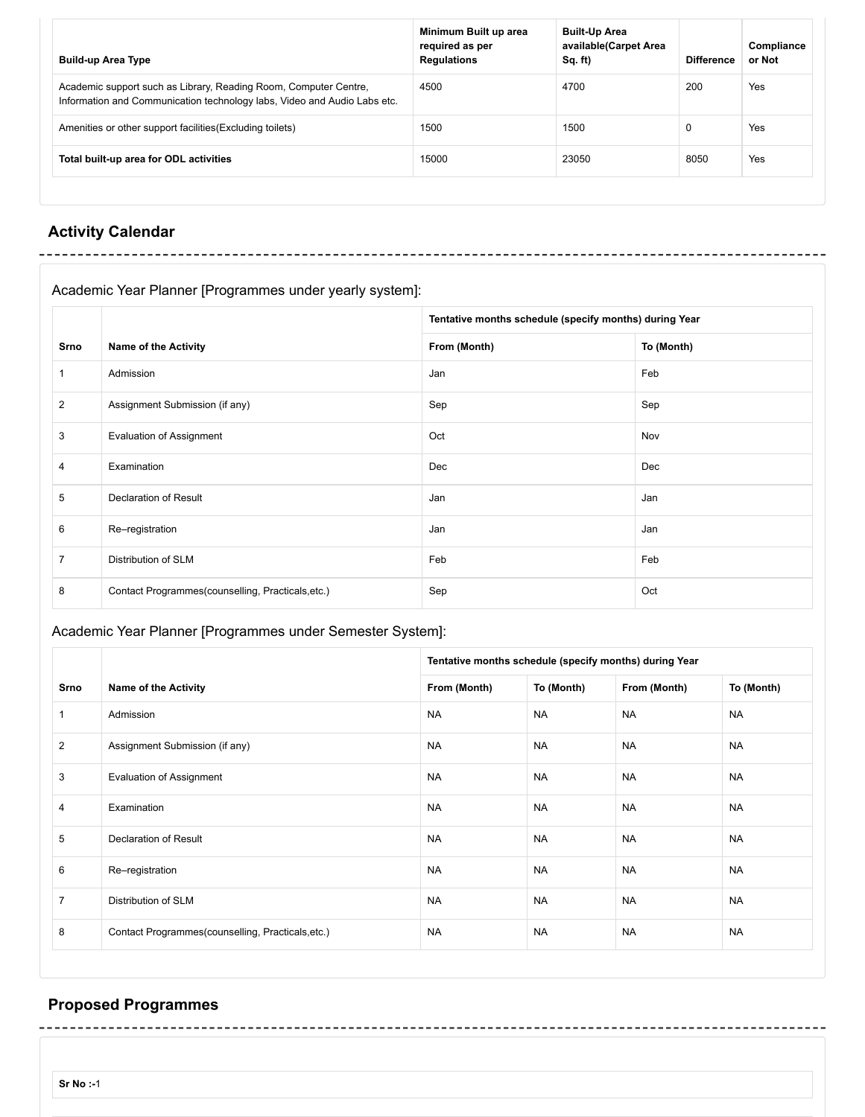| <b>Build-up Area Type</b>                                                                                                                    | Minimum Built up area<br>required as per<br><b>Regulations</b> | <b>Built-Up Area</b><br>available(Carpet Area<br>$Sq.$ ft) | <b>Difference</b> | Compliance<br>or Not |
|----------------------------------------------------------------------------------------------------------------------------------------------|----------------------------------------------------------------|------------------------------------------------------------|-------------------|----------------------|
| Academic support such as Library, Reading Room, Computer Centre,<br>Information and Communication technology labs, Video and Audio Labs etc. | 4500                                                           | 4700                                                       | 200               | Yes                  |
| Amenities or other support facilities (Excluding toilets)                                                                                    | 1500                                                           | 1500                                                       | 0                 | Yes                  |
| Total built-up area for ODL activities                                                                                                       | 15000                                                          | 23050                                                      | 8050              | Yes                  |
|                                                                                                                                              |                                                                |                                                            |                   |                      |

# **Activity Calendar**

--------------

| Academic Year Planner [Programmes under yearly system]: |                                                   |                                                        |            |
|---------------------------------------------------------|---------------------------------------------------|--------------------------------------------------------|------------|
|                                                         |                                                   | Tentative months schedule (specify months) during Year |            |
| Srno                                                    | <b>Name of the Activity</b>                       | From (Month)                                           | To (Month) |
| $\mathbf{1}$                                            | Admission                                         | Jan                                                    | Feb        |
| $\overline{2}$                                          | Assignment Submission (if any)                    | Sep                                                    | Sep        |
| 3                                                       | <b>Evaluation of Assignment</b>                   | Oct                                                    | Nov        |
| 4                                                       | Examination                                       | Dec                                                    | Dec        |
| 5                                                       | Declaration of Result                             | Jan                                                    | Jan        |
| 6                                                       | Re-registration                                   | Jan                                                    | Jan        |
| $\overline{7}$                                          | <b>Distribution of SLM</b>                        | Feb                                                    | Feb        |
| 8                                                       | Contact Programmes(counselling, Practicals, etc.) | Sep                                                    | Oct        |

# Academic Year Planner [Programmes under Semester System]:

|                |                                                   | Tentative months schedule (specify months) during Year |            |              |            |
|----------------|---------------------------------------------------|--------------------------------------------------------|------------|--------------|------------|
| Srno           | <b>Name of the Activity</b>                       | From (Month)                                           | To (Month) | From (Month) | To (Month) |
| $\mathbf{1}$   | Admission                                         | <b>NA</b>                                              | <b>NA</b>  | <b>NA</b>    | <b>NA</b>  |
| 2              | Assignment Submission (if any)                    | <b>NA</b>                                              | <b>NA</b>  | <b>NA</b>    | <b>NA</b>  |
| 3              | <b>Evaluation of Assignment</b>                   | <b>NA</b>                                              | <b>NA</b>  | <b>NA</b>    | <b>NA</b>  |
| $\overline{4}$ | Examination                                       | <b>NA</b>                                              | <b>NA</b>  | <b>NA</b>    | <b>NA</b>  |
| 5              | <b>Declaration of Result</b>                      | <b>NA</b>                                              | <b>NA</b>  | <b>NA</b>    | <b>NA</b>  |
| 6              | Re-registration                                   | <b>NA</b>                                              | <b>NA</b>  | <b>NA</b>    | <b>NA</b>  |
| $\overline{7}$ | Distribution of SLM                               | <b>NA</b>                                              | <b>NA</b>  | <b>NA</b>    | <b>NA</b>  |
| 8              | Contact Programmes(counselling, Practicals, etc.) | <b>NA</b>                                              | <b>NA</b>  | <b>NA</b>    | <b>NA</b>  |

# **Proposed Programmes**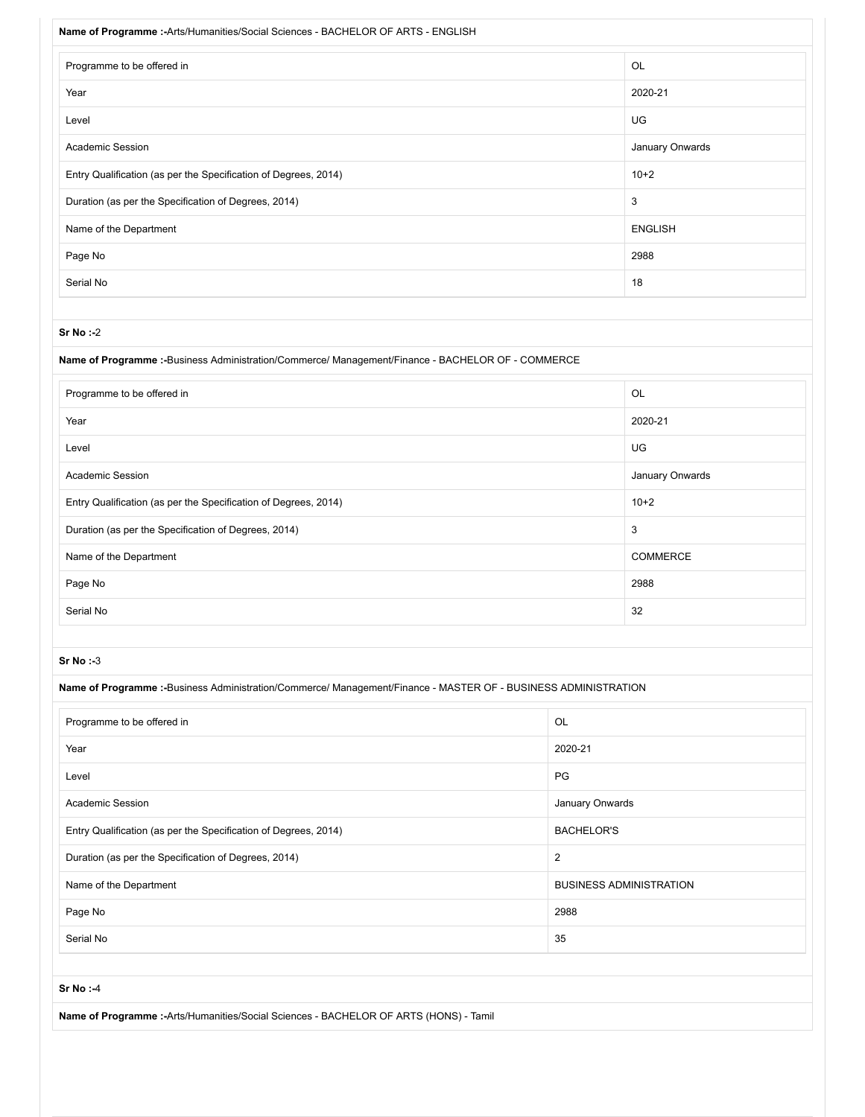| Name of Programme :- Arts/Humanities/Social Sciences - BACHELOR OF ARTS - ENGLISH |                 |  |
|-----------------------------------------------------------------------------------|-----------------|--|
| Programme to be offered in                                                        | OL              |  |
| Year                                                                              | 2020-21         |  |
| Level                                                                             | UG              |  |
| <b>Academic Session</b>                                                           | January Onwards |  |
| Entry Qualification (as per the Specification of Degrees, 2014)                   | $10+2$          |  |
| Duration (as per the Specification of Degrees, 2014)                              | 3               |  |
| Name of the Department                                                            | <b>ENGLISH</b>  |  |
| Page No                                                                           | 2988            |  |
| Serial No                                                                         | 18              |  |

## **Name of Programme :-**Business Administration/Commerce/ Management/Finance - BACHELOR OF - COMMERCE

| Programme to be offered in                                      | OL              |
|-----------------------------------------------------------------|-----------------|
| Year                                                            | 2020-21         |
| Level                                                           | UG              |
| <b>Academic Session</b>                                         | January Onwards |
| Entry Qualification (as per the Specification of Degrees, 2014) | $10+2$          |
| Duration (as per the Specification of Degrees, 2014)            | 3               |
| Name of the Department                                          | <b>COMMERCE</b> |
| Page No                                                         | 2988            |
| Serial No                                                       | 32              |

## **Sr No :-**3

## **Name of Programme :-**Business Administration/Commerce/ Management/Finance - MASTER OF - BUSINESS ADMINISTRATION

| Programme to be offered in                                      | OL                             |
|-----------------------------------------------------------------|--------------------------------|
| Year                                                            | 2020-21                        |
| Level                                                           | <b>PG</b>                      |
| <b>Academic Session</b>                                         | January Onwards                |
| Entry Qualification (as per the Specification of Degrees, 2014) | <b>BACHELOR'S</b>              |
| Duration (as per the Specification of Degrees, 2014)            | 2                              |
| Name of the Department                                          | <b>BUSINESS ADMINISTRATION</b> |
| Page No                                                         | 2988                           |
| Serial No                                                       | 35                             |
|                                                                 |                                |

**Sr No :-**4

**Name of Programme :-**Arts/Humanities/Social Sciences - BACHELOR OF ARTS (HONS) - Tamil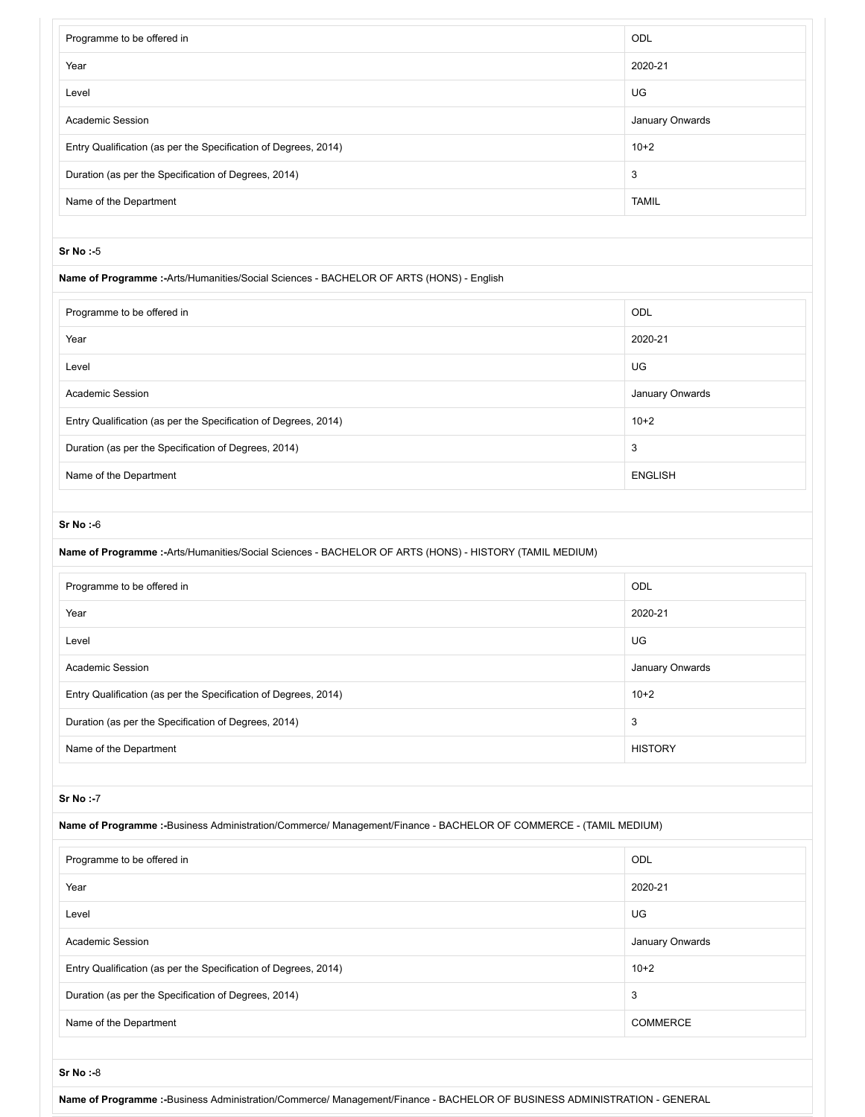| Programme to be offered in                                                               | ODL             |
|------------------------------------------------------------------------------------------|-----------------|
| Year                                                                                     | 2020-21         |
| Level                                                                                    | UG              |
| <b>Academic Session</b>                                                                  | January Onwards |
| Entry Qualification (as per the Specification of Degrees, 2014)                          | $10+2$          |
| Duration (as per the Specification of Degrees, 2014)                                     | 3               |
| Name of the Department                                                                   | <b>TAMIL</b>    |
|                                                                                          |                 |
| $Sr$ No: $-5$                                                                            |                 |
| Name of Programme :- Arts/Humanities/Social Sciences - BACHELOR OF ARTS (HONS) - English |                 |
| Programme to be offered in                                                               | ODL             |
| Year                                                                                     | 2020-21         |
| Level                                                                                    | UG              |
| <b>Academic Session</b>                                                                  | January Onwards |
| Entry Qualification (as per the Specification of Degrees, 2014)                          | $10+2$          |
| Duration (as per the Specification of Degrees, 2014)                                     | 3               |
| Name of the Department                                                                   | <b>ENGLISH</b>  |
|                                                                                          |                 |

| Name of Programme :- Arts/Humanities/Social Sciences - BACHELOR OF ARTS (HONS) - HISTORY (TAMIL MEDIUM) |                 |  |
|---------------------------------------------------------------------------------------------------------|-----------------|--|
| Programme to be offered in                                                                              | ODL             |  |
| Year                                                                                                    | 2020-21         |  |
| Level                                                                                                   | <b>UG</b>       |  |
| Academic Session                                                                                        | January Onwards |  |
| Entry Qualification (as per the Specification of Degrees, 2014)                                         | $10+2$          |  |
| Duration (as per the Specification of Degrees, 2014)                                                    | 3               |  |
| Name of the Department                                                                                  | <b>HISTORY</b>  |  |

## **Sr No :-**7

**Name of Programme :-**Business Administration/Commerce/ Management/Finance - BACHELOR OF COMMERCE - (TAMIL MEDIUM)

| Programme to be offered in                                      | ODL             |
|-----------------------------------------------------------------|-----------------|
| Year                                                            | 2020-21         |
| Level                                                           | UG              |
| <b>Academic Session</b>                                         | January Onwards |
| Entry Qualification (as per the Specification of Degrees, 2014) | $10+2$          |
| Duration (as per the Specification of Degrees, 2014)            | 3               |
| Name of the Department                                          | <b>COMMERCE</b> |
|                                                                 |                 |
| $Sr No : -8$                                                    |                 |

**Name of Programme :-**Business Administration/Commerce/ Management/Finance - BACHELOR OF BUSINESS ADMINISTRATION - GENERAL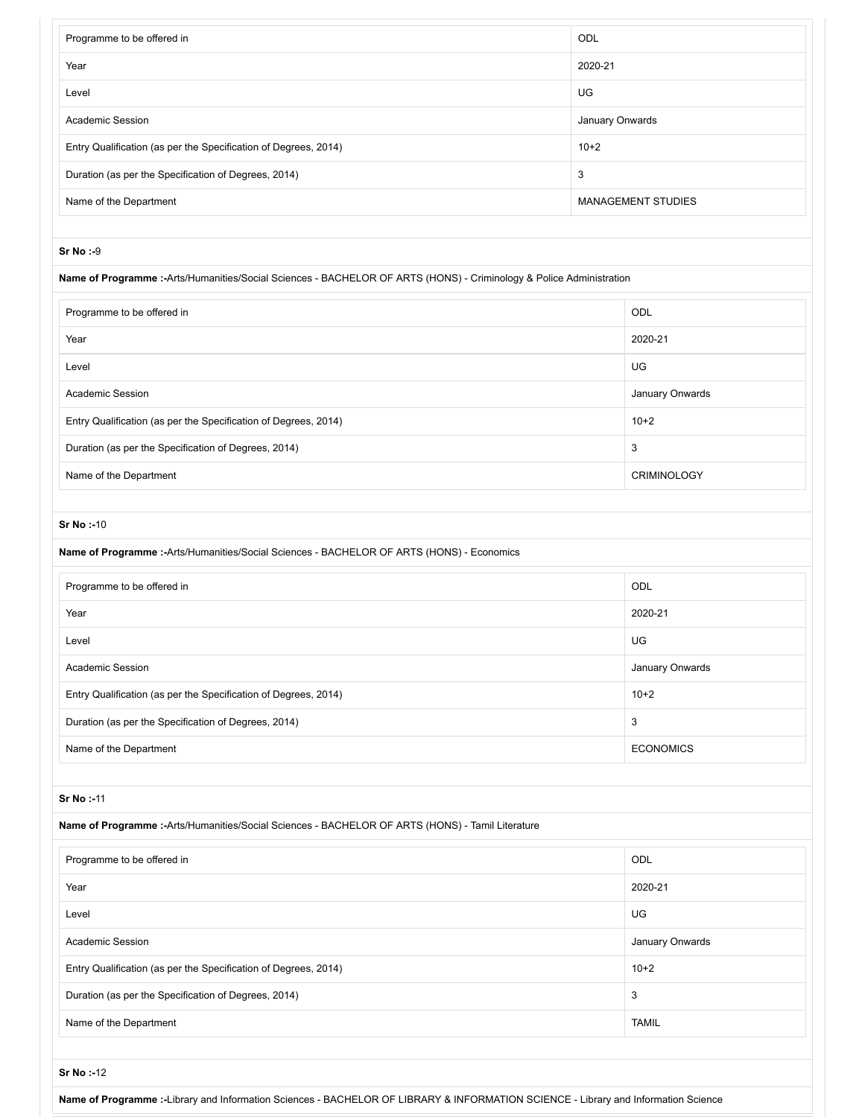| Programme to be offered in                                                                                           | ODL             |                           |  |
|----------------------------------------------------------------------------------------------------------------------|-----------------|---------------------------|--|
| 2020-21<br>Year                                                                                                      |                 |                           |  |
| UG<br>Level                                                                                                          |                 |                           |  |
| <b>Academic Session</b>                                                                                              | January Onwards |                           |  |
| Entry Qualification (as per the Specification of Degrees, 2014)                                                      | $10+2$          |                           |  |
| Duration (as per the Specification of Degrees, 2014)                                                                 | 3               |                           |  |
| Name of the Department                                                                                               |                 | <b>MANAGEMENT STUDIES</b> |  |
|                                                                                                                      |                 |                           |  |
| <b>Sr No:-9</b>                                                                                                      |                 |                           |  |
| Name of Programme :- Arts/Humanities/Social Sciences - BACHELOR OF ARTS (HONS) - Criminology & Police Administration |                 |                           |  |
| Programme to be offered in                                                                                           |                 | ODL                       |  |
| Year                                                                                                                 |                 | 2020-21                   |  |
| Level                                                                                                                |                 | <b>UG</b>                 |  |
| Academic Session                                                                                                     |                 | January Onwards           |  |
| Entry Qualification (as per the Specification of Degrees, 2014)                                                      |                 | $10+2$                    |  |
| Duration (as per the Specification of Degrees, 2014)                                                                 |                 | 3                         |  |
| Name of the Department                                                                                               |                 | <b>CRIMINOLOGY</b>        |  |
|                                                                                                                      |                 |                           |  |
| Sr No:-10                                                                                                            |                 |                           |  |
| Name of Programme :- Arts/Humanities/Social Sciences - BACHELOR OF ARTS (HONS) - Economics                           |                 |                           |  |
| Programme to be offered in                                                                                           |                 | ODL                       |  |
| Year                                                                                                                 |                 | 2020-21                   |  |
| Level                                                                                                                |                 | UG                        |  |
| Academic Session                                                                                                     |                 | January Onwards           |  |
| Entry Qualification (as per the Specification of Degrees, 2014)                                                      |                 | $10+2$                    |  |
| Duration (as per the Specification of Degrees, 2014)                                                                 |                 | 3                         |  |
| Name of the Department                                                                                               |                 | <b>ECONOMICS</b>          |  |
|                                                                                                                      |                 |                           |  |
| Sr No:-11                                                                                                            |                 |                           |  |
| Name of Programme :- Arts/Humanities/Social Sciences - BACHELOR OF ARTS (HONS) - Tamil Literature                    |                 |                           |  |
| Programme to be offered in                                                                                           |                 | ODL                       |  |
| Year                                                                                                                 |                 | 2020-21                   |  |
|                                                                                                                      |                 |                           |  |
| Level                                                                                                                |                 | UG                        |  |
| Academic Session                                                                                                     |                 | January Onwards           |  |
| Entry Qualification (as per the Specification of Degrees, 2014)                                                      |                 | $10+2$                    |  |
| Duration (as per the Specification of Degrees, 2014)                                                                 |                 | 3                         |  |
| Name of the Department                                                                                               |                 | <b>TAMIL</b>              |  |

**Name of Programme :-**Library and Information Sciences - BACHELOR OF LIBRARY & INFORMATION SCIENCE - Library and Information Science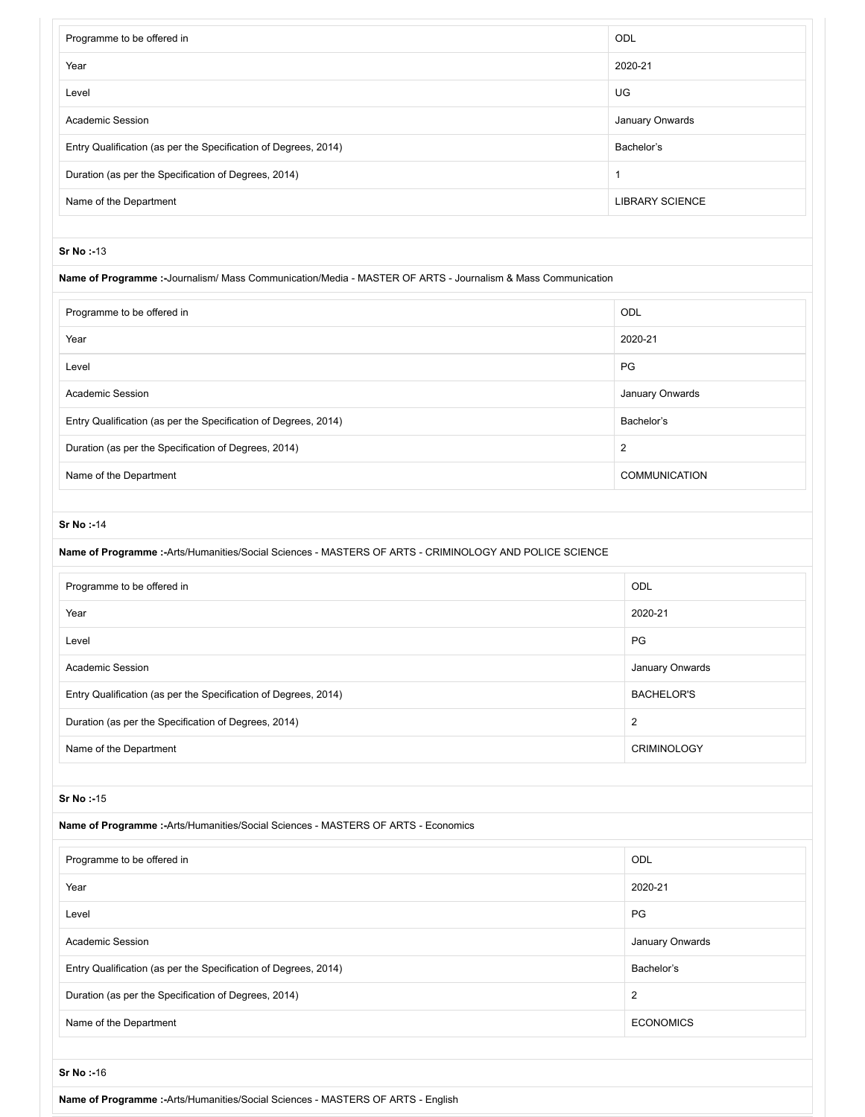| Programme to be offered in                                                                                   | ODL                     |
|--------------------------------------------------------------------------------------------------------------|-------------------------|
| Year                                                                                                         | 2020-21                 |
| Level                                                                                                        | UG                      |
| <b>Academic Session</b>                                                                                      | January Onwards         |
| Entry Qualification (as per the Specification of Degrees, 2014)                                              | Bachelor's              |
| Duration (as per the Specification of Degrees, 2014)                                                         | $\mathbf{1}$            |
| Name of the Department                                                                                       | <b>LIBRARY SCIENCE</b>  |
|                                                                                                              |                         |
| Sr No:-13                                                                                                    |                         |
| Name of Programme :- Journalism/ Mass Communication/Media - MASTER OF ARTS - Journalism & Mass Communication |                         |
| Programme to be offered in                                                                                   | ODL                     |
| Year                                                                                                         | 2020-21                 |
| Level                                                                                                        | PG                      |
| Academic Session                                                                                             | January Onwards         |
| Entry Qualification (as per the Specification of Degrees, 2014)                                              | Bachelor's              |
| Duration (as per the Specification of Degrees, 2014)                                                         | $\overline{2}$          |
| Name of the Department                                                                                       | <b>COMMUNICATION</b>    |
|                                                                                                              |                         |
| <b>Sr No:-14</b>                                                                                             |                         |
| Name of Programme :- Arts/Humanities/Social Sciences - MASTERS OF ARTS - CRIMINOLOGY AND POLICE SCIENCE      |                         |
| Programme to be offered in                                                                                   | ODL                     |
| Year                                                                                                         | 2020-21                 |
| Level                                                                                                        | PG                      |
| <b>Academic Session</b>                                                                                      | January Onwards         |
| Entry Qualification (as per the Specification of Degrees, 2014)                                              | <b>BACHELOR'S</b>       |
| Duration (as per the Specification of Degrees, 2014)                                                         | $\overline{2}$          |
| Name of the Department                                                                                       | <b>CRIMINOLOGY</b>      |
|                                                                                                              |                         |
| Sr No:-15                                                                                                    |                         |
| Name of Programme :- Arts/Humanities/Social Sciences - MASTERS OF ARTS - Economics                           |                         |
| Programme to be offered in                                                                                   | ODL                     |
| Year                                                                                                         | 2020-21                 |
| Level                                                                                                        | PG                      |
| Academic Session                                                                                             | January Onwards         |
| Entry Qualification (as per the Specification of Degrees, 2014)                                              | Bachelor's              |
| Duration (as per the Specification of Degrees, 2014)                                                         | $\overline{\mathbf{c}}$ |
| Name of the Department                                                                                       | <b>ECONOMICS</b>        |

**Name of Programme :-**Arts/Humanities/Social Sciences - MASTERS OF ARTS - English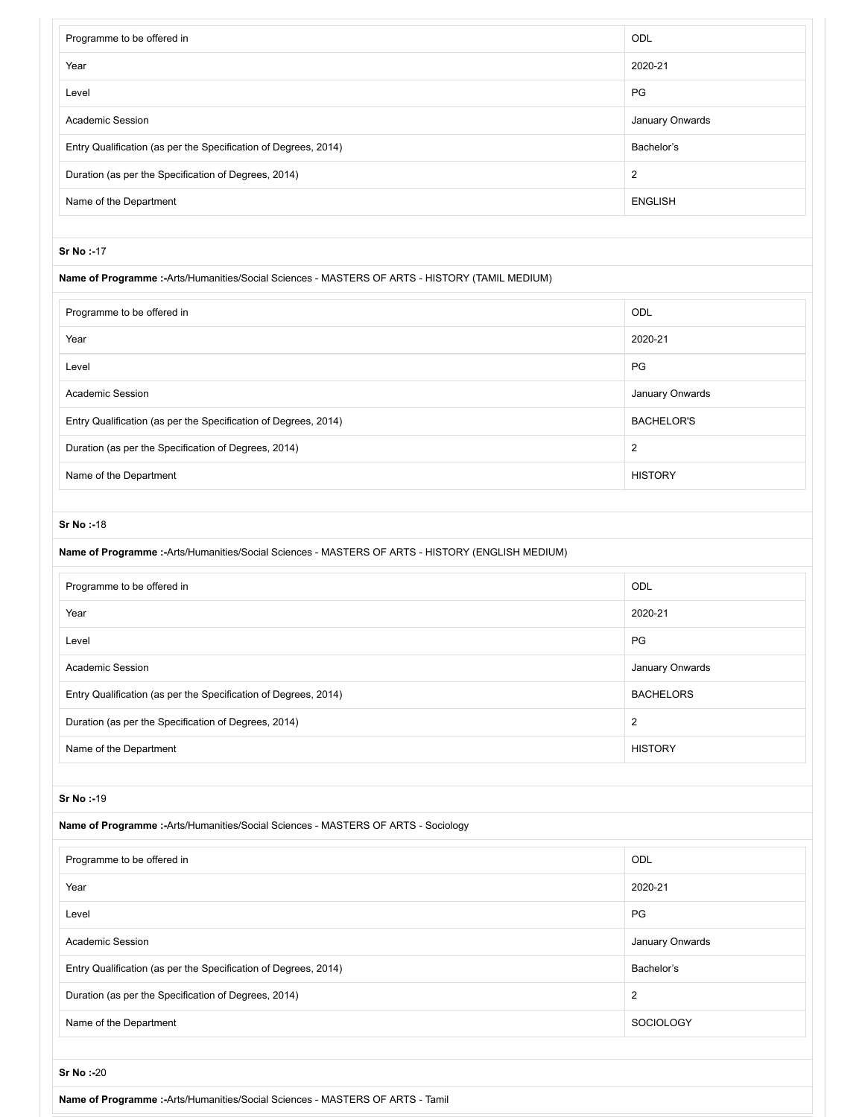| Programme to be offered in                                                                    | ODL             |  |
|-----------------------------------------------------------------------------------------------|-----------------|--|
| Year                                                                                          | 2020-21         |  |
| Level                                                                                         | PG              |  |
| <b>Academic Session</b>                                                                       | January Onwards |  |
| Entry Qualification (as per the Specification of Degrees, 2014)                               | Bachelor's      |  |
| Duration (as per the Specification of Degrees, 2014)                                          | 2               |  |
| Name of the Department                                                                        | <b>ENGLISH</b>  |  |
|                                                                                               |                 |  |
| <b>Sr No:-17</b>                                                                              |                 |  |
| Name of Programme:-Arts/Humanities/Social Sciences - MASTERS OF ARTS - HISTORY (TAMIL MEDIUM) |                 |  |

| Programme to be offered in                                      | ODL               |
|-----------------------------------------------------------------|-------------------|
| Year                                                            | 2020-21           |
| Level                                                           | PG.               |
| <b>Academic Session</b>                                         | January Onwards   |
| Entry Qualification (as per the Specification of Degrees, 2014) | <b>BACHELOR'S</b> |
| Duration (as per the Specification of Degrees, 2014)            | 2                 |
| Name of the Department                                          | <b>HISTORY</b>    |

| Name of Programme :- Arts/Humanities/Social Sciences - MASTERS OF ARTS - HISTORY (ENGLISH MEDIUM) |                  |
|---------------------------------------------------------------------------------------------------|------------------|
| Programme to be offered in                                                                        | ODL              |
| Year                                                                                              | 2020-21          |
| Level                                                                                             | <b>PG</b>        |
| Academic Session                                                                                  | January Onwards  |
| Entry Qualification (as per the Specification of Degrees, 2014)                                   | <b>BACHELORS</b> |
| Duration (as per the Specification of Degrees, 2014)                                              | 2                |
| Name of the Department                                                                            | <b>HISTORY</b>   |

## **Sr No :-**19

## **Name of Programme :-**Arts/Humanities/Social Sciences - MASTERS OF ARTS - Sociology

| Programme to be offered in                                      | ODL              |
|-----------------------------------------------------------------|------------------|
| Year                                                            | 2020-21          |
| Level                                                           | <b>PG</b>        |
| Academic Session                                                | January Onwards  |
| Entry Qualification (as per the Specification of Degrees, 2014) | Bachelor's       |
| Duration (as per the Specification of Degrees, 2014)            | 2                |
| Name of the Department                                          | <b>SOCIOLOGY</b> |

**Sr No :-**20

**Name of Programme :-**Arts/Humanities/Social Sciences - MASTERS OF ARTS - Tamil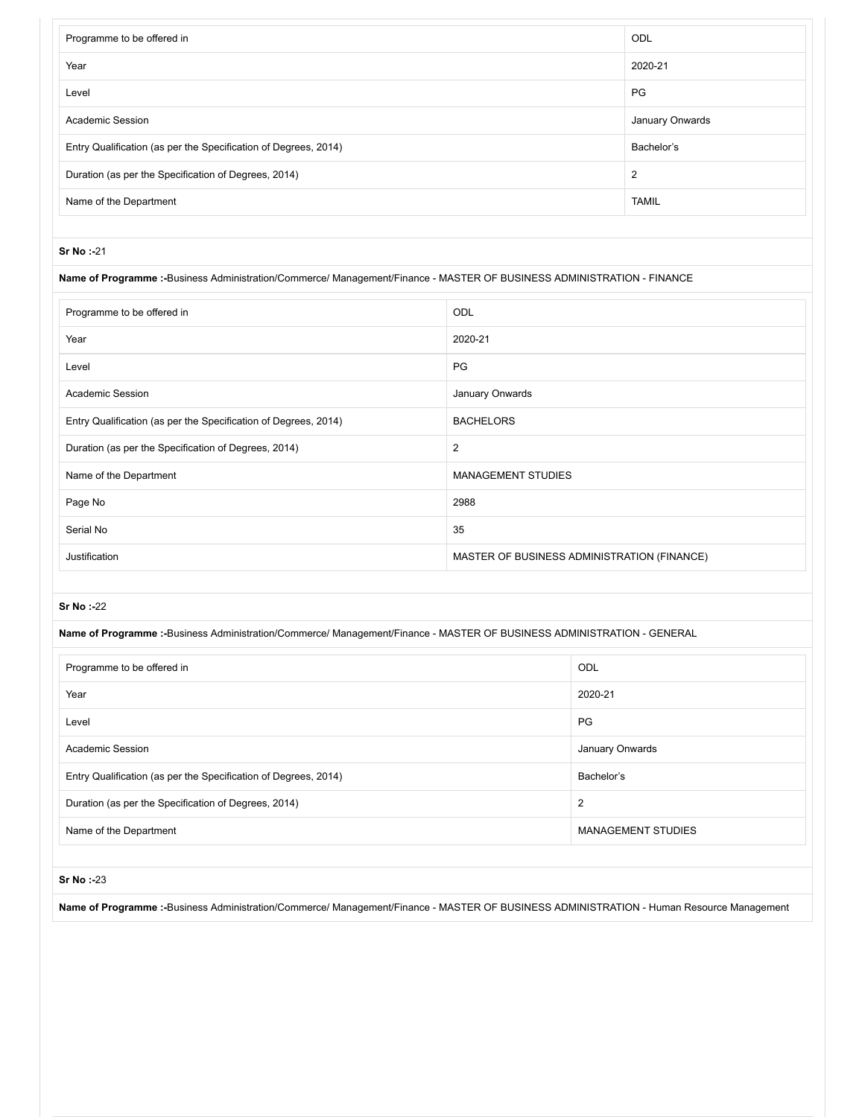| Programme to be offered in                                      | <b>ODL</b>      |
|-----------------------------------------------------------------|-----------------|
| Year                                                            | 2020-21         |
| Level                                                           | <b>PG</b>       |
| <b>Academic Session</b>                                         | January Onwards |
| Entry Qualification (as per the Specification of Degrees, 2014) | Bachelor's      |
| Duration (as per the Specification of Degrees, 2014)            | $\overline{2}$  |
| Name of the Department                                          | <b>TAMIL</b>    |

#### **Name of Programme :-**Business Administration/Commerce/ Management/Finance - MASTER OF BUSINESS ADMINISTRATION - FINANCE

| Programme to be offered in                                      | <b>ODL</b>                                  |
|-----------------------------------------------------------------|---------------------------------------------|
| Year                                                            | 2020-21                                     |
| Level                                                           | PG                                          |
| <b>Academic Session</b>                                         | January Onwards                             |
| Entry Qualification (as per the Specification of Degrees, 2014) | <b>BACHELORS</b>                            |
| Duration (as per the Specification of Degrees, 2014)            | 2                                           |
| Name of the Department                                          | <b>MANAGEMENT STUDIES</b>                   |
| Page No                                                         | 2988                                        |
| Serial No                                                       | 35                                          |
| Justification                                                   | MASTER OF BUSINESS ADMINISTRATION (FINANCE) |

### **Sr No :-**22

**Name of Programme :-**Business Administration/Commerce/ Management/Finance - MASTER OF BUSINESS ADMINISTRATION - GENERAL

| Programme to be offered in                                      | ODL                       |
|-----------------------------------------------------------------|---------------------------|
| Year                                                            | 2020-21                   |
| Level                                                           | PG                        |
| <b>Academic Session</b>                                         | January Onwards           |
| Entry Qualification (as per the Specification of Degrees, 2014) | Bachelor's                |
| Duration (as per the Specification of Degrees, 2014)            | 2                         |
| Name of the Department                                          | <b>MANAGEMENT STUDIES</b> |

#### **Sr No :-**23

**Name of Programme :-**Business Administration/Commerce/ Management/Finance - MASTER OF BUSINESS ADMINISTRATION - Human Resource Management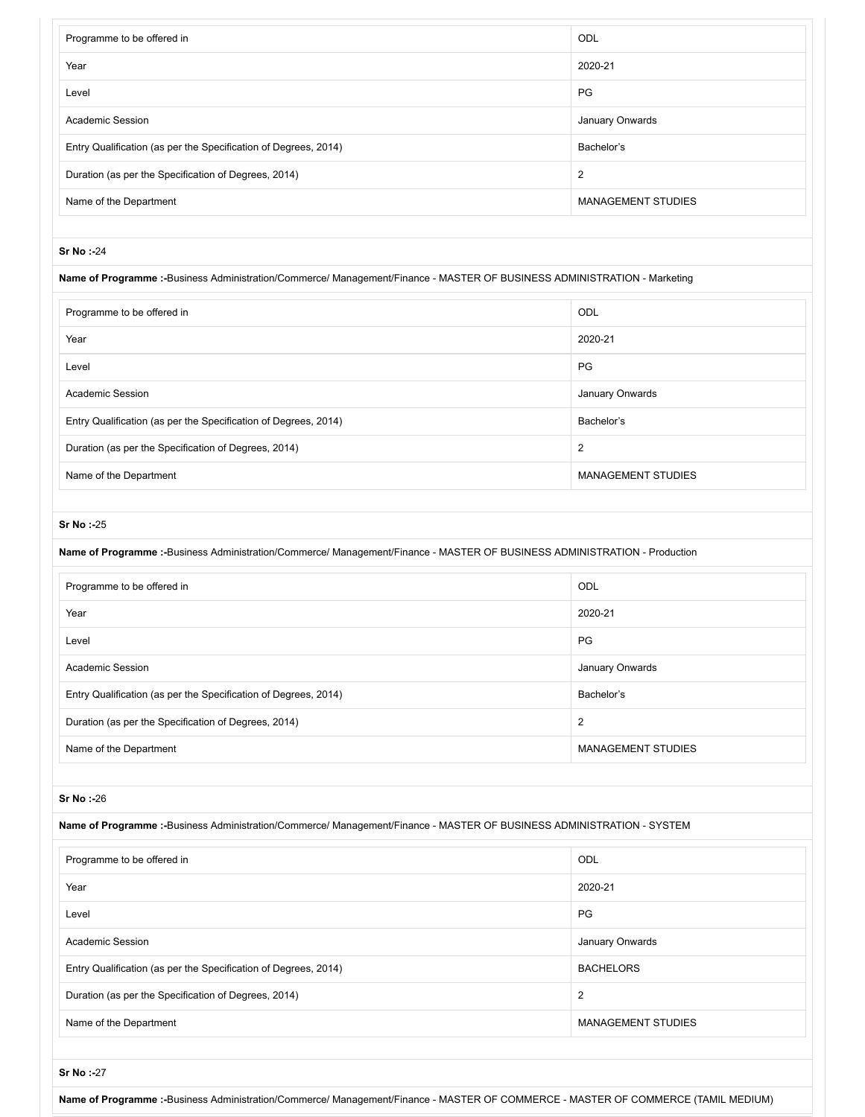| Programme to be offered in                                                                                                | ODL                       |
|---------------------------------------------------------------------------------------------------------------------------|---------------------------|
| Year                                                                                                                      | 2020-21                   |
| Level                                                                                                                     | PG                        |
| Academic Session                                                                                                          | January Onwards           |
| Entry Qualification (as per the Specification of Degrees, 2014)                                                           | Bachelor's                |
| Duration (as per the Specification of Degrees, 2014)                                                                      | $\overline{\mathbf{c}}$   |
| Name of the Department                                                                                                    | <b>MANAGEMENT STUDIES</b> |
|                                                                                                                           |                           |
| Sr No:-24                                                                                                                 |                           |
| Name of Programme :-Business Administration/Commerce/ Management/Finance - MASTER OF BUSINESS ADMINISTRATION - Marketing  |                           |
| Programme to be offered in                                                                                                | ODL                       |
| Year                                                                                                                      | 2020-21                   |
| Level                                                                                                                     | PG                        |
| <b>Academic Session</b>                                                                                                   | January Onwards           |
| Entry Qualification (as per the Specification of Degrees, 2014)                                                           | Bachelor's                |
| Duration (as per the Specification of Degrees, 2014)                                                                      | $\overline{c}$            |
| Name of the Department                                                                                                    | <b>MANAGEMENT STUDIES</b> |
|                                                                                                                           |                           |
| Sr No:-25                                                                                                                 |                           |
| Name of Programme :-Business Administration/Commerce/ Management/Finance - MASTER OF BUSINESS ADMINISTRATION - Production |                           |
| Programme to be offered in                                                                                                | ODL                       |
| Year                                                                                                                      | 2020-21                   |
| Level                                                                                                                     | PG                        |
| Academic Session                                                                                                          | January Onwards           |
| Entry Qualification (as per the Specification of Degrees, 2014)                                                           | Bachelor's                |
| Duration (as per the Specification of Degrees, 2014)                                                                      | $\overline{2}$            |
| Name of the Department                                                                                                    | <b>MANAGEMENT STUDIES</b> |
|                                                                                                                           |                           |
| Sr No:-26                                                                                                                 |                           |
| Name of Programme :-Business Administration/Commerce/ Management/Finance - MASTER OF BUSINESS ADMINISTRATION - SYSTEM     |                           |
| Programme to be offered in                                                                                                |                           |
|                                                                                                                           | ODL                       |
| Year                                                                                                                      | 2020-21                   |
| Level                                                                                                                     | PG                        |
| <b>Academic Session</b>                                                                                                   | January Onwards           |
| Entry Qualification (as per the Specification of Degrees, 2014)                                                           | <b>BACHELORS</b>          |
| Duration (as per the Specification of Degrees, 2014)                                                                      | $\overline{2}$            |
| Name of the Department                                                                                                    | <b>MANAGEMENT STUDIES</b> |
|                                                                                                                           |                           |
| Sr No:-27                                                                                                                 |                           |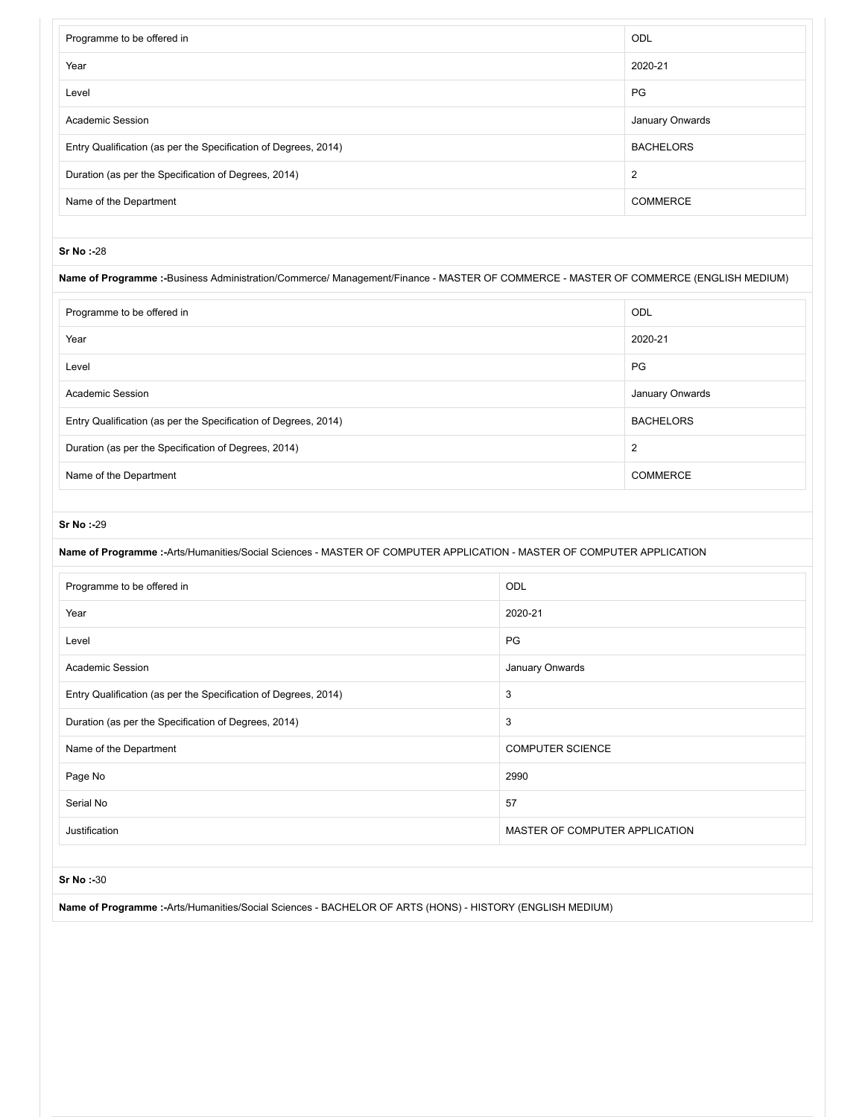| Programme to be offered in                                      | ODL              |
|-----------------------------------------------------------------|------------------|
| Year                                                            | 2020-21          |
| Level                                                           | PG               |
| Academic Session                                                | January Onwards  |
| Entry Qualification (as per the Specification of Degrees, 2014) | <b>BACHELORS</b> |
| Duration (as per the Specification of Degrees, 2014)            | 2                |
| Name of the Department                                          | <b>COMMERCE</b>  |
|                                                                 |                  |

#### **Name of Programme :-**Business Administration/Commerce/ Management/Finance - MASTER OF COMMERCE - MASTER OF COMMERCE (ENGLISH MEDIUM)

| Programme to be offered in                                      | ODL              |
|-----------------------------------------------------------------|------------------|
| Year                                                            | 2020-21          |
| Level                                                           | <b>PG</b>        |
| <b>Academic Session</b>                                         | January Onwards  |
| Entry Qualification (as per the Specification of Degrees, 2014) | <b>BACHELORS</b> |
| Duration (as per the Specification of Degrees, 2014)            | $\overline{2}$   |
| Name of the Department                                          | <b>COMMERCE</b>  |

#### **Sr No :-**29

## **Name of Programme :-**Arts/Humanities/Social Sciences - MASTER OF COMPUTER APPLICATION - MASTER OF COMPUTER APPLICATION

| Programme to be offered in                                      | ODL                            |
|-----------------------------------------------------------------|--------------------------------|
| Year                                                            | 2020-21                        |
| Level                                                           | PG                             |
| <b>Academic Session</b>                                         | January Onwards                |
| Entry Qualification (as per the Specification of Degrees, 2014) | 3                              |
| Duration (as per the Specification of Degrees, 2014)            | 3                              |
| Name of the Department                                          | <b>COMPUTER SCIENCE</b>        |
| Page No                                                         | 2990                           |
| Serial No                                                       | 57                             |
| Justification                                                   | MASTER OF COMPUTER APPLICATION |

#### **Sr No :-**30

**Name of Programme :-**Arts/Humanities/Social Sciences - BACHELOR OF ARTS (HONS) - HISTORY (ENGLISH MEDIUM)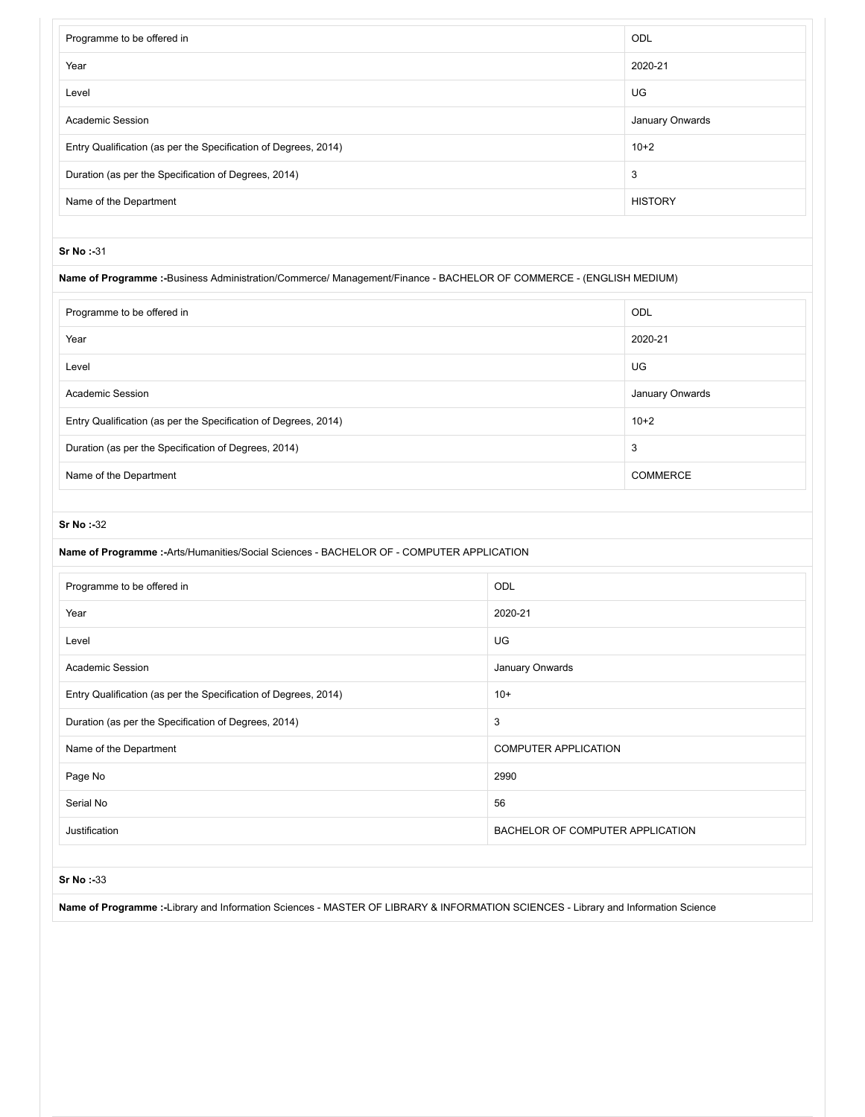| <b>ODL</b>      |
|-----------------|
| 2020-21         |
| UG.             |
| January Onwards |
| $10+2$          |
| 3               |
| <b>HISTORY</b>  |
|                 |

## **Name of Programme :-**Business Administration/Commerce/ Management/Finance - BACHELOR OF COMMERCE - (ENGLISH MEDIUM)

| Programme to be offered in                                      | ODL             |
|-----------------------------------------------------------------|-----------------|
| Year                                                            | 2020-21         |
| Level                                                           | UG              |
| Academic Session                                                | January Onwards |
| Entry Qualification (as per the Specification of Degrees, 2014) | $10+2$          |
| Duration (as per the Specification of Degrees, 2014)            | 3               |
| Name of the Department                                          | <b>COMMERCE</b> |

#### **Sr No :-**32

| Name of Programme :- Arts/Humanities/Social Sciences - BACHELOR OF - COMPUTER APPLICATION |                                  |  |
|-------------------------------------------------------------------------------------------|----------------------------------|--|
| Programme to be offered in                                                                | ODL                              |  |
| Year                                                                                      | 2020-21                          |  |
| Level                                                                                     | UG.                              |  |
| <b>Academic Session</b>                                                                   | January Onwards                  |  |
| Entry Qualification (as per the Specification of Degrees, 2014)                           | $10+$                            |  |
| Duration (as per the Specification of Degrees, 2014)                                      | 3                                |  |
| Name of the Department                                                                    | <b>COMPUTER APPLICATION</b>      |  |
| Page No                                                                                   | 2990                             |  |
| Serial No                                                                                 | 56                               |  |
| Justification                                                                             | BACHELOR OF COMPUTER APPLICATION |  |

#### **Sr No :-**33

**Name of Programme :-**Library and Information Sciences - MASTER OF LIBRARY & INFORMATION SCIENCES - Library and Information Science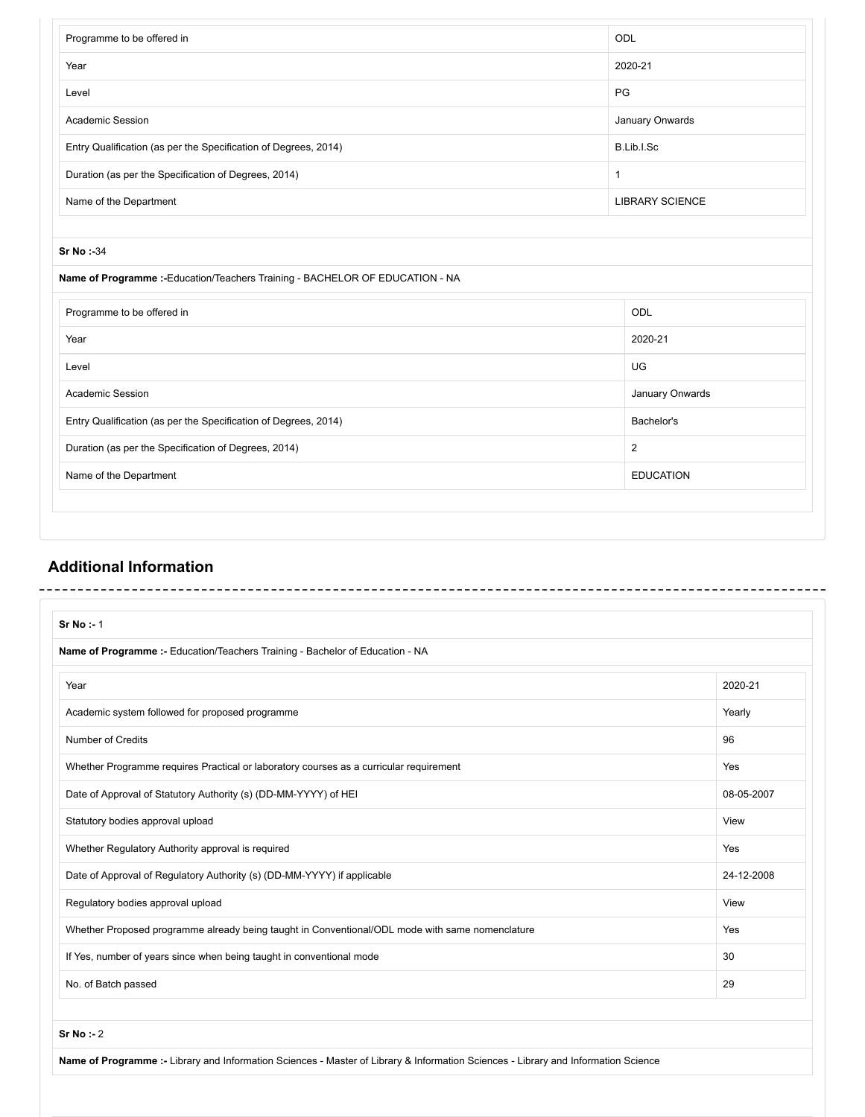| Programme to be offered in                                                    | ODL                    |
|-------------------------------------------------------------------------------|------------------------|
| Year                                                                          | 2020-21                |
| Level                                                                         | PG                     |
| Academic Session                                                              | January Onwards        |
| Entry Qualification (as per the Specification of Degrees, 2014)               | B.Lib.I.Sc             |
| Duration (as per the Specification of Degrees, 2014)                          | $\mathbf{1}$           |
| Name of the Department                                                        | <b>LIBRARY SCIENCE</b> |
|                                                                               |                        |
| Sr No:-34                                                                     |                        |
| Name of Programme :- Education/Teachers Training - BACHELOR OF EDUCATION - NA |                        |
| Programme to be offered in                                                    | ODL                    |
| Year                                                                          | 2020-21                |
| Level                                                                         | UG                     |
| Academic Session                                                              | January Onwards        |
| Entry Qualification (as per the Specification of Degrees, 2014)               | Bachelor's             |
| Duration (as per the Specification of Degrees, 2014)                          | $\overline{2}$         |
| Name of the Department                                                        | <b>EDUCATION</b>       |

# **Additional Information**

 $\overline{a}$ 

| Sr No : 1                                                                                       |            |
|-------------------------------------------------------------------------------------------------|------------|
| Name of Programme :- Education/Teachers Training - Bachelor of Education - NA                   |            |
| Year                                                                                            | 2020-21    |
| Academic system followed for proposed programme                                                 | Yearly     |
| Number of Credits                                                                               | 96         |
| Whether Programme requires Practical or laboratory courses as a curricular requirement          | Yes        |
| Date of Approval of Statutory Authority (s) (DD-MM-YYYY) of HEI                                 | 08-05-2007 |
| Statutory bodies approval upload                                                                | View       |
| Whether Regulatory Authority approval is required                                               | Yes        |
| Date of Approval of Regulatory Authority (s) (DD-MM-YYYY) if applicable                         | 24-12-2008 |
| Regulatory bodies approval upload                                                               | View       |
| Whether Proposed programme already being taught in Conventional/ODL mode with same nomenclature | Yes        |
| If Yes, number of years since when being taught in conventional mode                            | 30         |
| No. of Batch passed                                                                             | 29         |

**Name of Programme :-** Library and Information Sciences - Master of Library & Information Sciences - Library and Information Science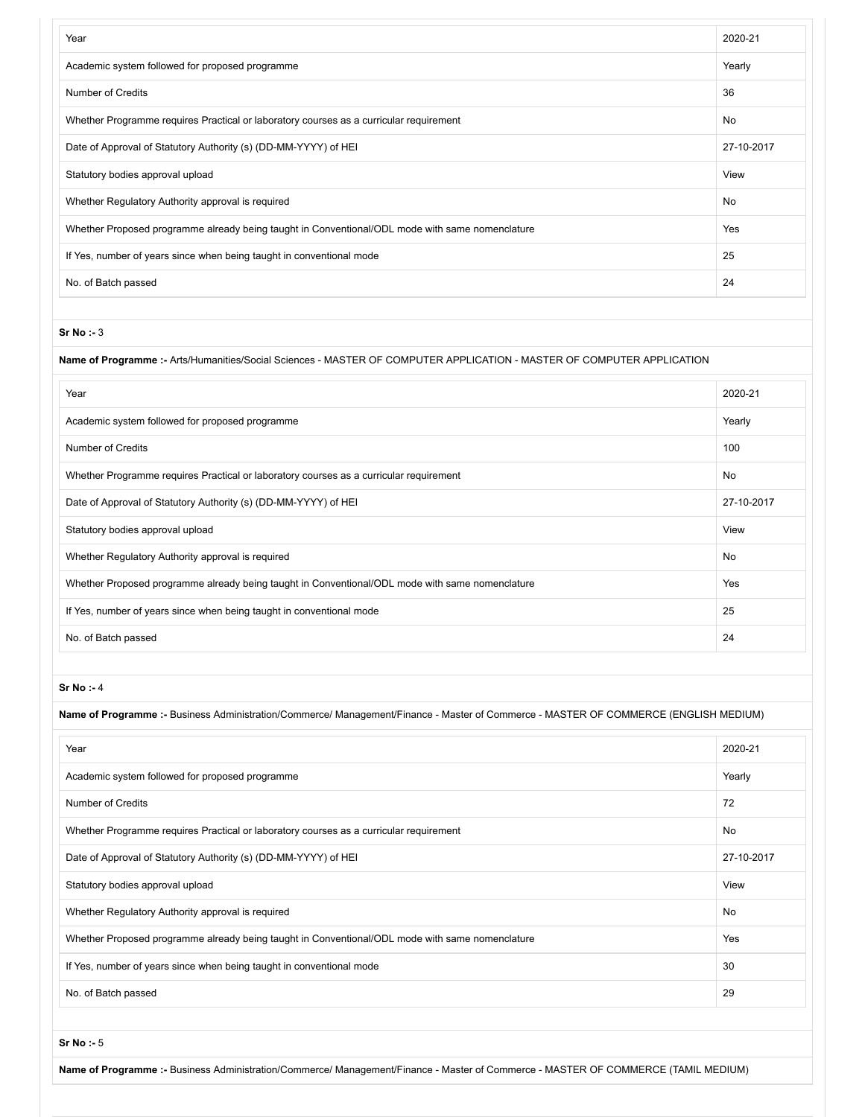| Year                                                                                            | 2020-21    |
|-------------------------------------------------------------------------------------------------|------------|
| Academic system followed for proposed programme                                                 | Yearly     |
| <b>Number of Credits</b>                                                                        | 36         |
| Whether Programme requires Practical or laboratory courses as a curricular requirement          | No.        |
| Date of Approval of Statutory Authority (s) (DD-MM-YYYY) of HEI                                 | 27-10-2017 |
| Statutory bodies approval upload                                                                | View       |
| Whether Regulatory Authority approval is required                                               | <b>No</b>  |
| Whether Proposed programme already being taught in Conventional/ODL mode with same nomenclature | Yes        |
| If Yes, number of years since when being taught in conventional mode                            | 25         |
| No. of Batch passed                                                                             | 24         |

#### **Name of Programme :-** Arts/Humanities/Social Sciences - MASTER OF COMPUTER APPLICATION - MASTER OF COMPUTER APPLICATION

| Year                                                                                            | 2020-21    |
|-------------------------------------------------------------------------------------------------|------------|
| Academic system followed for proposed programme                                                 | Yearly     |
| <b>Number of Credits</b>                                                                        | 100        |
| Whether Programme requires Practical or laboratory courses as a curricular requirement          | No         |
| Date of Approval of Statutory Authority (s) (DD-MM-YYYY) of HEI                                 | 27-10-2017 |
| Statutory bodies approval upload                                                                | View       |
| Whether Regulatory Authority approval is required                                               | No         |
| Whether Proposed programme already being taught in Conventional/ODL mode with same nomenclature | Yes        |
| If Yes, number of years since when being taught in conventional mode                            | 25         |
| No. of Batch passed                                                                             | 24         |

#### **Sr No :-** 4

| Name of Programme :- Business Administration/Commerce/ Management/Finance - Master of Commerce - MASTER OF COMMERCE (ENGLISH MEDIUM) |            |
|--------------------------------------------------------------------------------------------------------------------------------------|------------|
| Year                                                                                                                                 | 2020-21    |
| Academic system followed for proposed programme                                                                                      | Yearly     |
| Number of Credits                                                                                                                    | 72         |
| Whether Programme requires Practical or laboratory courses as a curricular requirement                                               | No         |
| Date of Approval of Statutory Authority (s) (DD-MM-YYYY) of HEI                                                                      | 27-10-2017 |
| Statutory bodies approval upload                                                                                                     | View       |
| Whether Regulatory Authority approval is required                                                                                    | No         |
| Whether Proposed programme already being taught in Conventional/ODL mode with same nomenclature                                      | Yes        |
| If Yes, number of years since when being taught in conventional mode                                                                 | 30         |
| No. of Batch passed                                                                                                                  | 29         |

**Sr No :-** 5

**Name of Programme :-** Business Administration/Commerce/ Management/Finance - Master of Commerce - MASTER OF COMMERCE (TAMIL MEDIUM)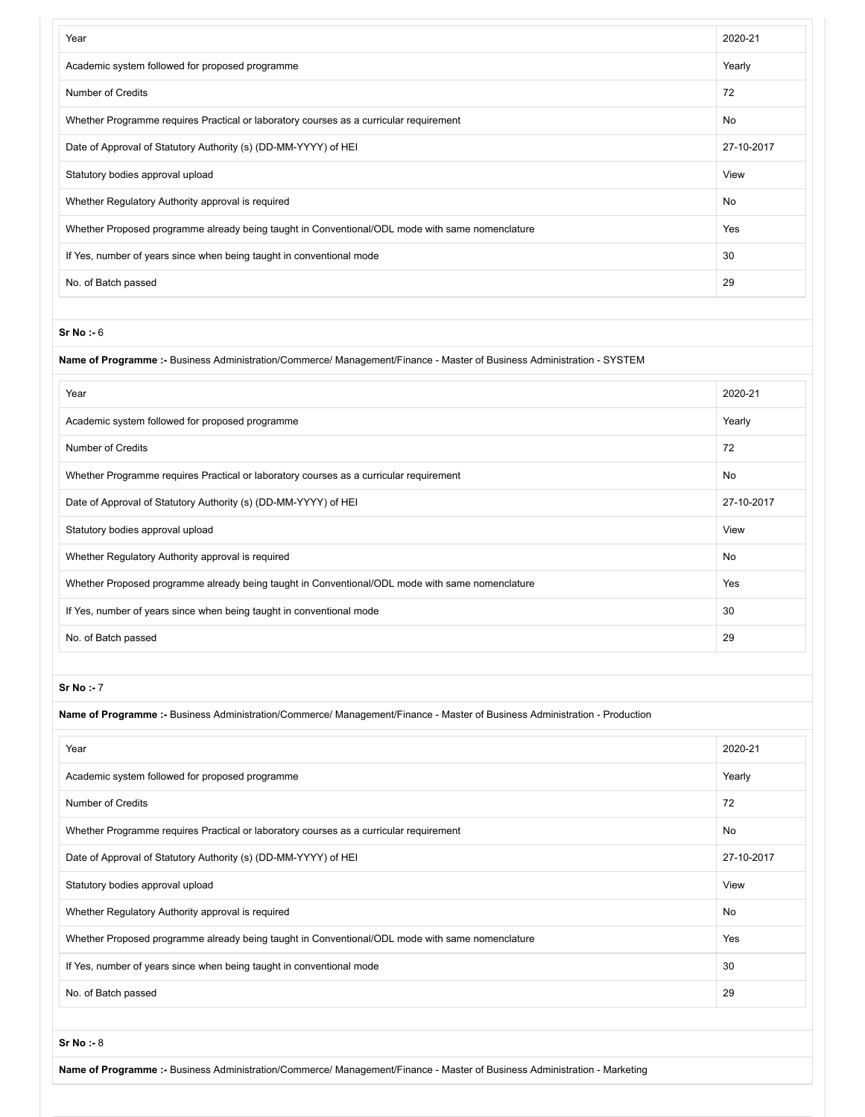| Year                                                                                            | 2020-21    |
|-------------------------------------------------------------------------------------------------|------------|
| Academic system followed for proposed programme                                                 | Yearly     |
| <b>Number of Credits</b>                                                                        | 72         |
| Whether Programme requires Practical or laboratory courses as a curricular requirement          | No         |
| Date of Approval of Statutory Authority (s) (DD-MM-YYYY) of HEI                                 | 27-10-2017 |
| Statutory bodies approval upload                                                                | View       |
| Whether Regulatory Authority approval is required                                               | <b>No</b>  |
| Whether Proposed programme already being taught in Conventional/ODL mode with same nomenclature | Yes        |
| If Yes, number of years since when being taught in conventional mode                            | 30         |
| No. of Batch passed                                                                             | 29         |

#### **Name of Programme :-** Business Administration/Commerce/ Management/Finance - Master of Business Administration - SYSTEM

| Year                                                                                            | 2020-21    |
|-------------------------------------------------------------------------------------------------|------------|
| Academic system followed for proposed programme                                                 | Yearly     |
| Number of Credits                                                                               | 72         |
| Whether Programme requires Practical or laboratory courses as a curricular requirement          | <b>No</b>  |
| Date of Approval of Statutory Authority (s) (DD-MM-YYYY) of HEI                                 | 27-10-2017 |
| Statutory bodies approval upload                                                                | View       |
| Whether Regulatory Authority approval is required                                               | No         |
| Whether Proposed programme already being taught in Conventional/ODL mode with same nomenclature | Yes        |
| If Yes, number of years since when being taught in conventional mode                            | 30         |
| No. of Batch passed                                                                             | 29         |

#### **Sr No :-** 7

| Name of Programme :- Business Administration/Commerce/ Management/Finance - Master of Business Administration - Production |            |  |
|----------------------------------------------------------------------------------------------------------------------------|------------|--|
| Year                                                                                                                       | 2020-21    |  |
| Academic system followed for proposed programme                                                                            | Yearly     |  |
| Number of Credits                                                                                                          | 72         |  |
| Whether Programme requires Practical or laboratory courses as a curricular requirement                                     | <b>No</b>  |  |
| Date of Approval of Statutory Authority (s) (DD-MM-YYYY) of HEI                                                            | 27-10-2017 |  |
| Statutory bodies approval upload                                                                                           | View       |  |
| Whether Regulatory Authority approval is required                                                                          | No         |  |
| Whether Proposed programme already being taught in Conventional/ODL mode with same nomenclature                            | Yes        |  |
| If Yes, number of years since when being taught in conventional mode                                                       | 30         |  |
| No. of Batch passed                                                                                                        | 29         |  |

**Sr No :-** 8

**Name of Programme :-** Business Administration/Commerce/ Management/Finance - Master of Business Administration - Marketing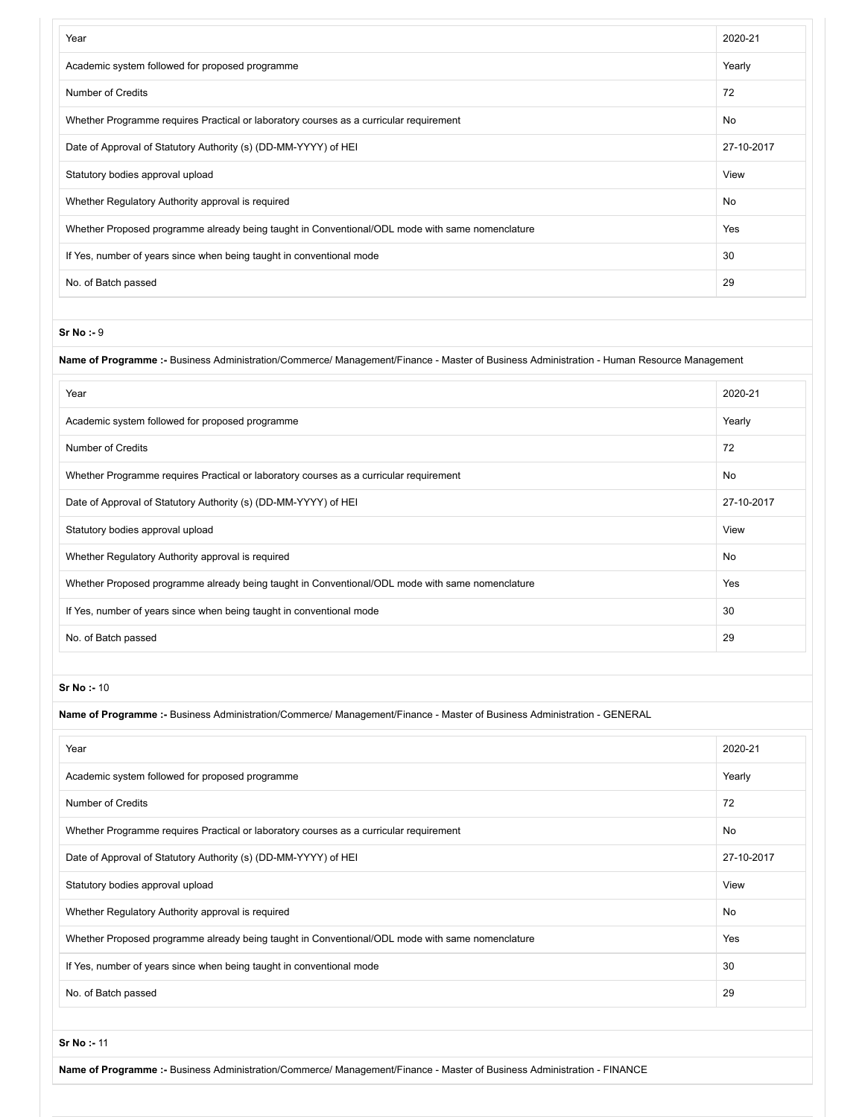| Year                                                                                            | 2020-21    |
|-------------------------------------------------------------------------------------------------|------------|
| Academic system followed for proposed programme                                                 | Yearly     |
| <b>Number of Credits</b>                                                                        | 72         |
| Whether Programme requires Practical or laboratory courses as a curricular requirement          | No         |
| Date of Approval of Statutory Authority (s) (DD-MM-YYYY) of HEI                                 | 27-10-2017 |
| Statutory bodies approval upload                                                                | View       |
| Whether Regulatory Authority approval is required                                               | No         |
| Whether Proposed programme already being taught in Conventional/ODL mode with same nomenclature | Yes        |
| If Yes, number of years since when being taught in conventional mode                            | 30         |
| No. of Batch passed                                                                             | 29         |

**Name of Programme :-** Business Administration/Commerce/ Management/Finance - Master of Business Administration - Human Resource Management

| Year                                                                                            | 2020-21    |
|-------------------------------------------------------------------------------------------------|------------|
| Academic system followed for proposed programme                                                 | Yearly     |
| <b>Number of Credits</b>                                                                        | 72         |
| Whether Programme requires Practical or laboratory courses as a curricular requirement          | <b>No</b>  |
| Date of Approval of Statutory Authority (s) (DD-MM-YYYY) of HEI                                 | 27-10-2017 |
| Statutory bodies approval upload                                                                | View       |
| Whether Regulatory Authority approval is required                                               | <b>No</b>  |
| Whether Proposed programme already being taught in Conventional/ODL mode with same nomenclature | Yes        |
| If Yes, number of years since when being taught in conventional mode                            | 30         |
| No. of Batch passed                                                                             | 29         |

#### **Sr No :-** 10

**Name of Programme :-** Business Administration/Commerce/ Management/Finance - Master of Business Administration - GENERAL

| Year                                                                                            | 2020-21    |
|-------------------------------------------------------------------------------------------------|------------|
| Academic system followed for proposed programme                                                 | Yearly     |
| <b>Number of Credits</b>                                                                        | 72         |
| Whether Programme requires Practical or laboratory courses as a curricular requirement          | No         |
| Date of Approval of Statutory Authority (s) (DD-MM-YYYY) of HEI                                 | 27-10-2017 |
| Statutory bodies approval upload                                                                | View       |
| Whether Regulatory Authority approval is required                                               | No         |
| Whether Proposed programme already being taught in Conventional/ODL mode with same nomenclature | Yes        |
| If Yes, number of years since when being taught in conventional mode                            | 30         |
| No. of Batch passed                                                                             | 29         |

**Sr No :-** 11

**Name of Programme :-** Business Administration/Commerce/ Management/Finance - Master of Business Administration - FINANCE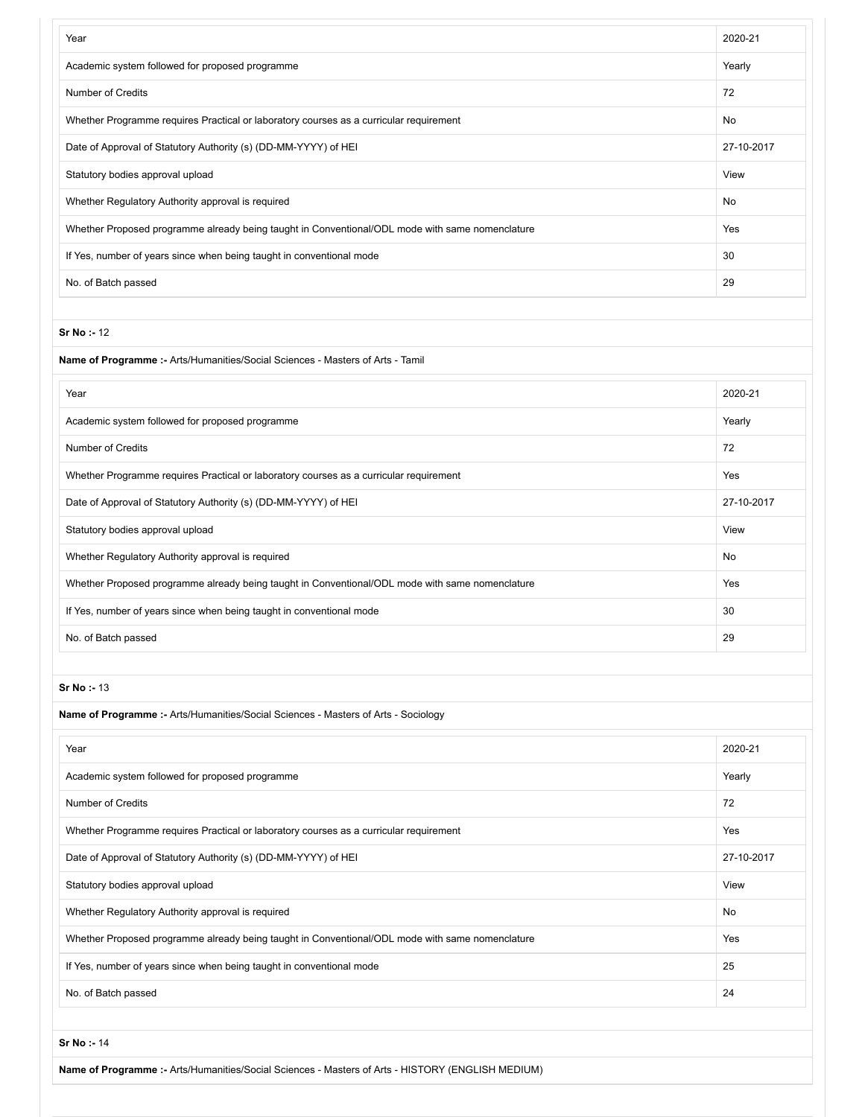| Year                                                                                            | 2020-21    |
|-------------------------------------------------------------------------------------------------|------------|
| Academic system followed for proposed programme                                                 | Yearly     |
| <b>Number of Credits</b>                                                                        | 72         |
| Whether Programme requires Practical or laboratory courses as a curricular requirement          | No         |
| Date of Approval of Statutory Authority (s) (DD-MM-YYYY) of HEI                                 | 27-10-2017 |
| Statutory bodies approval upload                                                                | View       |
| Whether Regulatory Authority approval is required                                               | No         |
| Whether Proposed programme already being taught in Conventional/ODL mode with same nomenclature | Yes        |
| If Yes, number of years since when being taught in conventional mode                            | 30         |
| No. of Batch passed                                                                             | 29         |
|                                                                                                 |            |
| Sr No: - 12                                                                                     |            |
| <b>Name of Programme :- Arts/Humanities/Social Sciences - Masters of Arts - Tamil</b>           |            |
| Year                                                                                            | 2020-21    |
| Academic system followed for proposed programme                                                 | Yearly     |
| <b>Number of Credits</b>                                                                        | 72         |
| Whether Programme requires Practical or laboratory courses as a curricular requirement          | Yes        |
| Date of Approval of Statutory Authority (s) (DD-MM-YYYY) of HEI                                 | 27-10-2017 |
| Statutory bodies approval upload                                                                | View       |
| Whether Regulatory Authority approval is required                                               | No         |
| Whether Proposed programme already being taught in Conventional/ODL mode with same nomenclature | Yes        |
| If Yes, number of years since when being taught in conventional mode                            | 30         |
| No. of Batch passed                                                                             | 29         |
|                                                                                                 |            |
| Sr No : 13                                                                                      |            |
| <b>Name of Programme :- Arts/Humanities/Social Sciences - Masters of Arts - Sociology</b>       |            |
| Year                                                                                            | 2020-21    |
| Academic system followed for proposed programme                                                 | Yearly     |
| <b>Number of Credits</b>                                                                        | 72         |
| Whether Programme requires Practical or laboratory courses as a curricular requirement          | Yes        |
| Date of Approval of Statutory Authority (s) (DD-MM-YYYY) of HEI                                 | 27-10-2017 |
| Statutory bodies approval upload                                                                | View       |
| Whether Regulatory Authority approval is required                                               | No         |
| Whether Proposed programme already being taught in Conventional/ODL mode with same nomenclature | Yes        |
| If Yes, number of years since when being taught in conventional mode                            | 25         |
| No. of Batch passed                                                                             | 24         |
|                                                                                                 |            |
| Sr No: - 14                                                                                     |            |

**Name of Programme :-** Arts/Humanities/Social Sciences - Masters of Arts - HISTORY (ENGLISH MEDIUM)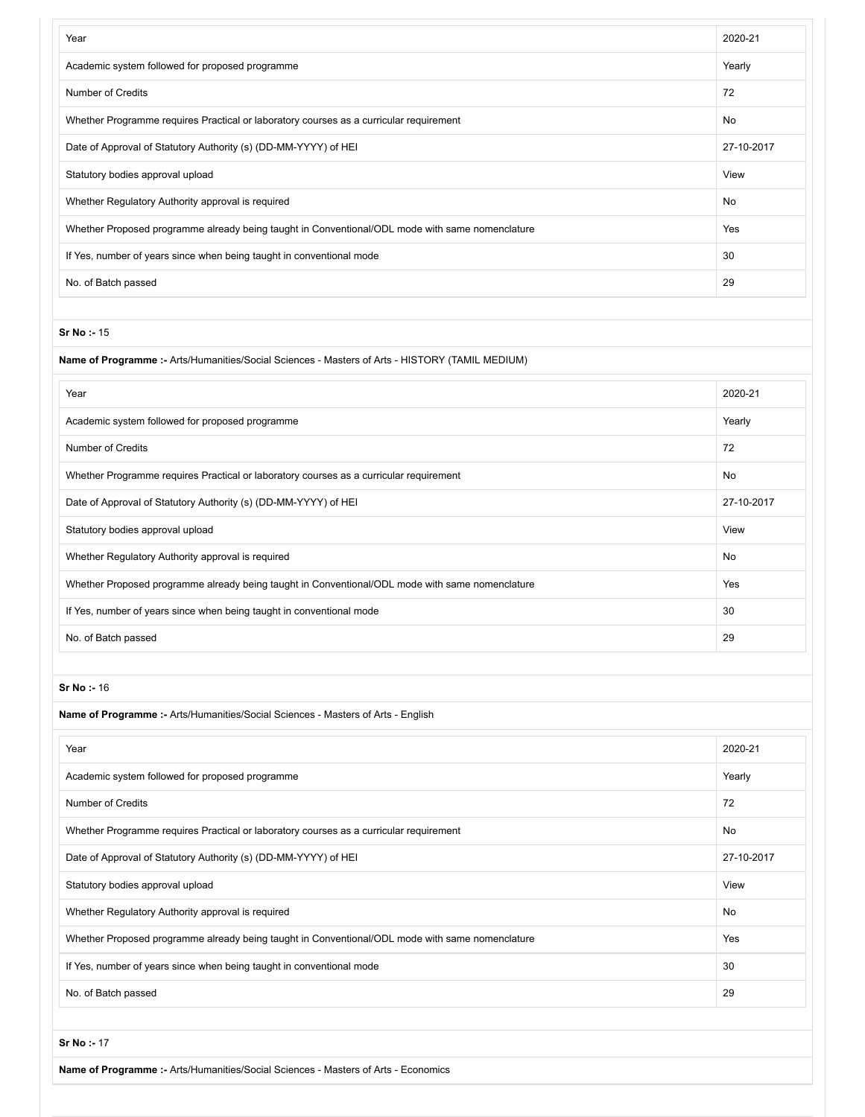| Year                                                                                            | 2020-21    |
|-------------------------------------------------------------------------------------------------|------------|
| Academic system followed for proposed programme                                                 | Yearly     |
| <b>Number of Credits</b>                                                                        | 72         |
| Whether Programme requires Practical or laboratory courses as a curricular requirement          | No         |
| Date of Approval of Statutory Authority (s) (DD-MM-YYYY) of HEI                                 | 27-10-2017 |
| Statutory bodies approval upload                                                                | View       |
| Whether Regulatory Authority approval is required                                               | No         |
| Whether Proposed programme already being taught in Conventional/ODL mode with same nomenclature | Yes        |
| If Yes, number of years since when being taught in conventional mode                            | 30         |
| No. of Batch passed                                                                             | 29         |
|                                                                                                 |            |
| Sr No: - 15                                                                                     |            |
| Name of Programme :- Arts/Humanities/Social Sciences - Masters of Arts - HISTORY (TAMIL MEDIUM) |            |
| Year                                                                                            | 2020-21    |
| Academic system followed for proposed programme                                                 | Yearly     |
| <b>Number of Credits</b>                                                                        | 72         |
| Whether Programme requires Practical or laboratory courses as a curricular requirement          | No         |
| Date of Approval of Statutory Authority (s) (DD-MM-YYYY) of HEI                                 | 27-10-2017 |
| Statutory bodies approval upload                                                                | View       |
| Whether Regulatory Authority approval is required                                               | No         |
| Whether Proposed programme already being taught in Conventional/ODL mode with same nomenclature | Yes        |
| If Yes, number of years since when being taught in conventional mode                            | 30         |
| No. of Batch passed                                                                             | 29         |
|                                                                                                 |            |
| Sr No: - 16                                                                                     |            |
| Name of Programme :- Arts/Humanities/Social Sciences - Masters of Arts - English                |            |
| Year                                                                                            | 2020-21    |
| Academic system followed for proposed programme                                                 | Yearly     |
| <b>Number of Credits</b>                                                                        | 72         |
| Whether Programme requires Practical or laboratory courses as a curricular requirement          | No         |
| Date of Approval of Statutory Authority (s) (DD-MM-YYYY) of HEI                                 | 27-10-2017 |
| Statutory bodies approval upload                                                                | View       |
| Whether Regulatory Authority approval is required                                               | No         |
| Whether Proposed programme already being taught in Conventional/ODL mode with same nomenclature | Yes        |
| If Yes, number of years since when being taught in conventional mode                            | 30         |
| No. of Batch passed                                                                             | 29         |
|                                                                                                 |            |
| Sr No: - 17                                                                                     |            |

**Name of Programme :-** Arts/Humanities/Social Sciences - Masters of Arts - Economics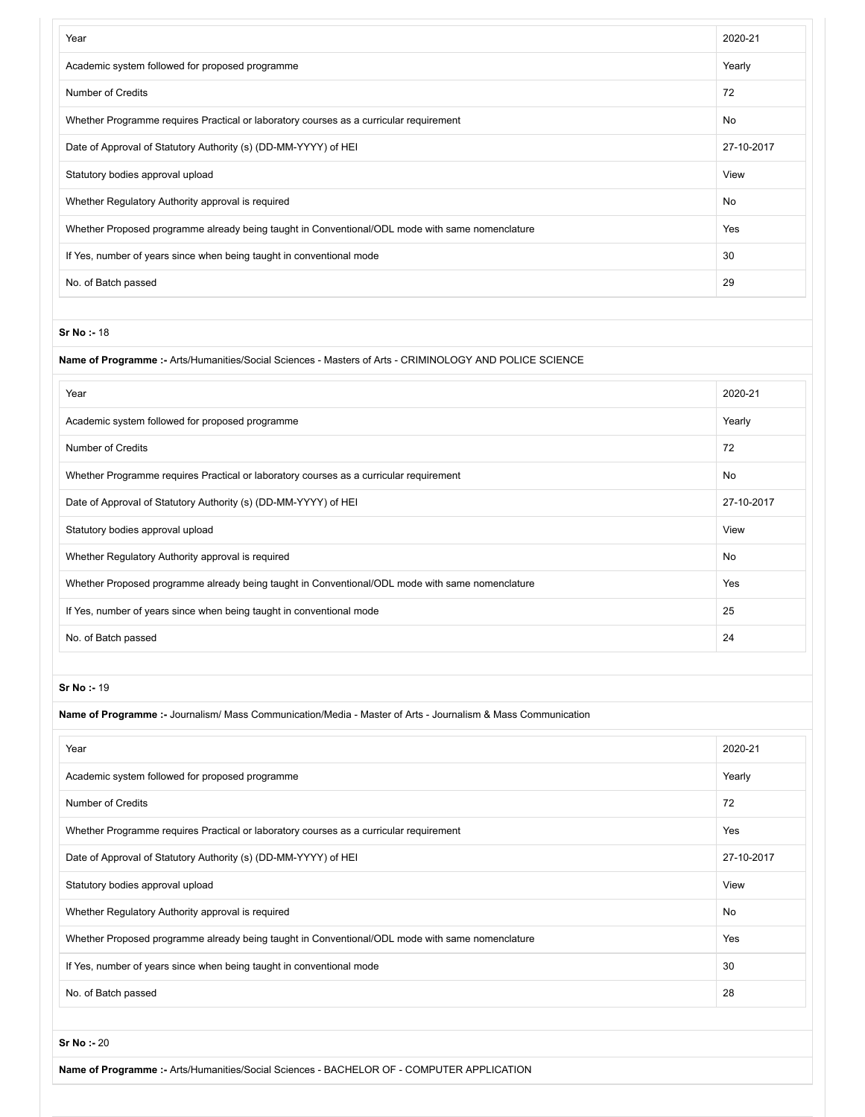| Year                                                                                            | 2020-21    |
|-------------------------------------------------------------------------------------------------|------------|
| Academic system followed for proposed programme                                                 | Yearly     |
| <b>Number of Credits</b>                                                                        | 72         |
| Whether Programme requires Practical or laboratory courses as a curricular requirement          | No         |
| Date of Approval of Statutory Authority (s) (DD-MM-YYYY) of HEI                                 | 27-10-2017 |
| Statutory bodies approval upload                                                                | View       |
| Whether Regulatory Authority approval is required                                               | <b>No</b>  |
| Whether Proposed programme already being taught in Conventional/ODL mode with same nomenclature | Yes        |
| If Yes, number of years since when being taught in conventional mode                            | 30         |
| No. of Batch passed                                                                             | 29         |

## **Name of Programme :-** Arts/Humanities/Social Sciences - Masters of Arts - CRIMINOLOGY AND POLICE SCIENCE

| Year                                                                                            | 2020-21    |
|-------------------------------------------------------------------------------------------------|------------|
| Academic system followed for proposed programme                                                 | Yearly     |
| Number of Credits                                                                               | 72         |
| Whether Programme requires Practical or laboratory courses as a curricular requirement          | <b>No</b>  |
| Date of Approval of Statutory Authority (s) (DD-MM-YYYY) of HEI                                 | 27-10-2017 |
| Statutory bodies approval upload                                                                | View       |
| Whether Regulatory Authority approval is required                                               | <b>No</b>  |
| Whether Proposed programme already being taught in Conventional/ODL mode with same nomenclature | Yes        |
| If Yes, number of years since when being taught in conventional mode                            | 25         |
| No. of Batch passed                                                                             | 24         |

**Sr No :-** 19

| Name of Programme :- Journalism/ Mass Communication/Media - Master of Arts - Journalism & Mass Communication |            |
|--------------------------------------------------------------------------------------------------------------|------------|
| Year                                                                                                         | 2020-21    |
| Academic system followed for proposed programme                                                              | Yearly     |
| <b>Number of Credits</b>                                                                                     | 72         |
| Whether Programme requires Practical or laboratory courses as a curricular requirement                       | Yes        |
| Date of Approval of Statutory Authority (s) (DD-MM-YYYY) of HEI                                              | 27-10-2017 |
| Statutory bodies approval upload                                                                             | View       |
| Whether Regulatory Authority approval is required                                                            | No         |
| Whether Proposed programme already being taught in Conventional/ODL mode with same nomenclature              | Yes        |
| If Yes, number of years since when being taught in conventional mode                                         | 30         |
| No. of Batch passed                                                                                          | 28         |
|                                                                                                              |            |

**Sr No :-** 20

**Name of Programme :-** Arts/Humanities/Social Sciences - BACHELOR OF - COMPUTER APPLICATION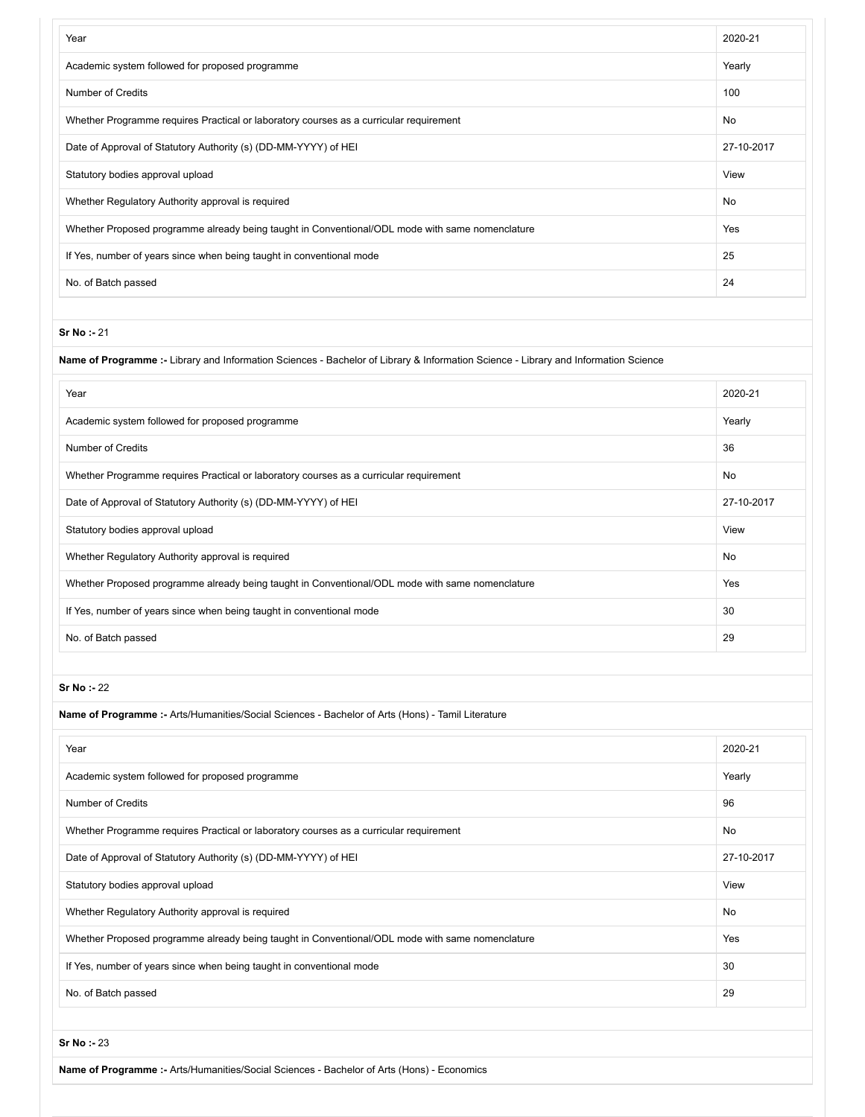| Year                                                                                            | 2020-21    |
|-------------------------------------------------------------------------------------------------|------------|
| Academic system followed for proposed programme                                                 | Yearly     |
| <b>Number of Credits</b>                                                                        | 100        |
| Whether Programme requires Practical or laboratory courses as a curricular requirement          | <b>No</b>  |
| Date of Approval of Statutory Authority (s) (DD-MM-YYYY) of HEI                                 | 27-10-2017 |
| Statutory bodies approval upload                                                                | View       |
| Whether Regulatory Authority approval is required                                               | No         |
| Whether Proposed programme already being taught in Conventional/ODL mode with same nomenclature | Yes        |
| If Yes, number of years since when being taught in conventional mode                            | 25         |
| No. of Batch passed                                                                             | 24         |

## **Name of Programme :-** Library and Information Sciences - Bachelor of Library & Information Science - Library and Information Science

| Year                                                                                            | 2020-21    |
|-------------------------------------------------------------------------------------------------|------------|
| Academic system followed for proposed programme                                                 | Yearly     |
| Number of Credits                                                                               | 36         |
| Whether Programme requires Practical or laboratory courses as a curricular requirement          | <b>No</b>  |
| Date of Approval of Statutory Authority (s) (DD-MM-YYYY) of HEI                                 | 27-10-2017 |
| Statutory bodies approval upload                                                                | View       |
| Whether Regulatory Authority approval is required                                               | No         |
| Whether Proposed programme already being taught in Conventional/ODL mode with same nomenclature | Yes        |
| If Yes, number of years since when being taught in conventional mode                            | 30         |
| No. of Batch passed                                                                             | 29         |

#### **Sr No :-** 22

| Name of Programme :- Arts/Humanities/Social Sciences - Bachelor of Arts (Hons) - Tamil Literature |            |
|---------------------------------------------------------------------------------------------------|------------|
| Year                                                                                              | 2020-21    |
| Academic system followed for proposed programme                                                   | Yearly     |
| <b>Number of Credits</b>                                                                          | 96         |
| Whether Programme requires Practical or laboratory courses as a curricular requirement            | No         |
| Date of Approval of Statutory Authority (s) (DD-MM-YYYY) of HEI                                   | 27-10-2017 |
| Statutory bodies approval upload                                                                  | View       |
| Whether Regulatory Authority approval is required                                                 | <b>No</b>  |
| Whether Proposed programme already being taught in Conventional/ODL mode with same nomenclature   | Yes        |
| If Yes, number of years since when being taught in conventional mode                              | 30         |
| No. of Batch passed                                                                               | 29         |

**Sr No :-** 23

**Name of Programme :-** Arts/Humanities/Social Sciences - Bachelor of Arts (Hons) - Economics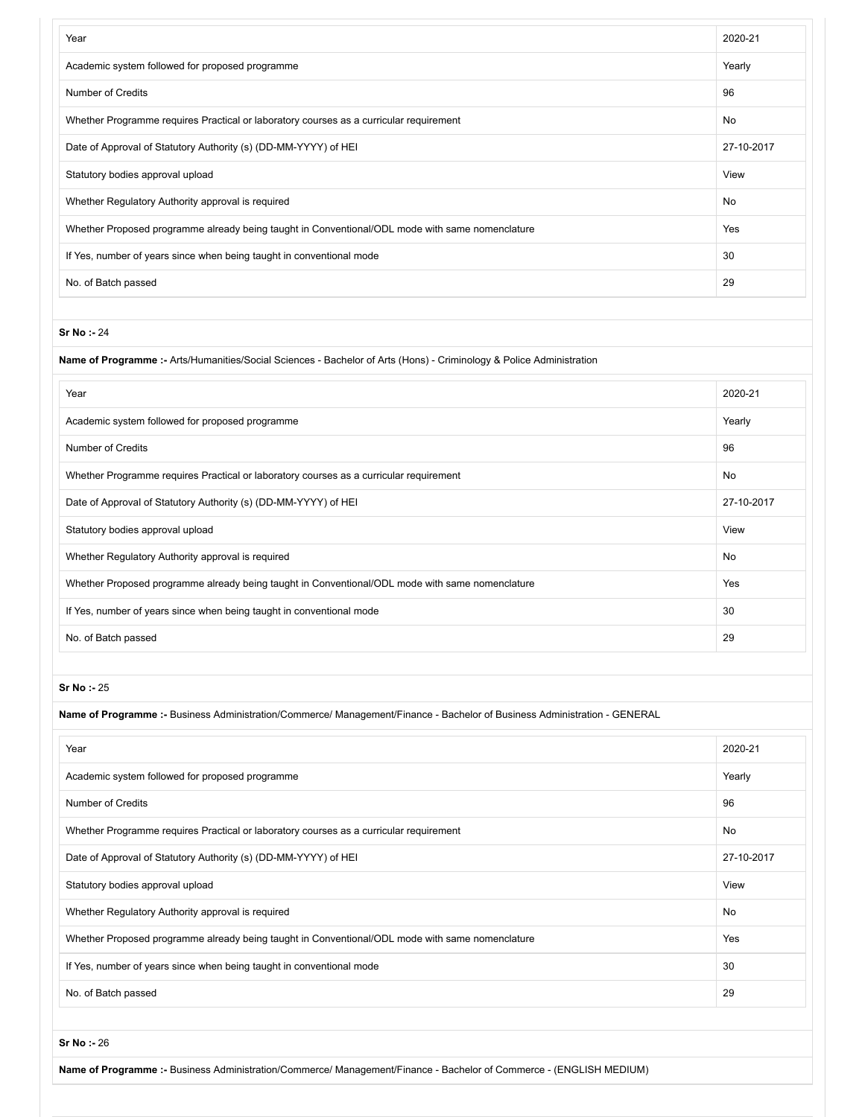| Year                                                                                            | 2020-21    |
|-------------------------------------------------------------------------------------------------|------------|
| Academic system followed for proposed programme                                                 | Yearly     |
| Number of Credits                                                                               | 96         |
| Whether Programme requires Practical or laboratory courses as a curricular requirement          | <b>No</b>  |
| Date of Approval of Statutory Authority (s) (DD-MM-YYYY) of HEI                                 | 27-10-2017 |
| Statutory bodies approval upload                                                                | View       |
| Whether Regulatory Authority approval is required                                               | <b>No</b>  |
| Whether Proposed programme already being taught in Conventional/ODL mode with same nomenclature | Yes        |
| If Yes, number of years since when being taught in conventional mode                            | 30         |
| No. of Batch passed                                                                             | 29         |

**Name of Programme :-** Arts/Humanities/Social Sciences - Bachelor of Arts (Hons) - Criminology & Police Administration

| Year                                                                                            | 2020-21    |
|-------------------------------------------------------------------------------------------------|------------|
| Academic system followed for proposed programme                                                 | Yearly     |
| Number of Credits                                                                               | 96         |
| Whether Programme requires Practical or laboratory courses as a curricular requirement          | <b>No</b>  |
| Date of Approval of Statutory Authority (s) (DD-MM-YYYY) of HEI                                 | 27-10-2017 |
| Statutory bodies approval upload                                                                | View       |
| Whether Regulatory Authority approval is required                                               | No         |
| Whether Proposed programme already being taught in Conventional/ODL mode with same nomenclature | Yes        |
| If Yes, number of years since when being taught in conventional mode                            | 30         |
| No. of Batch passed                                                                             | 29         |

**Sr No :-** 25

**Name of Programme :-** Business Administration/Commerce/ Management/Finance - Bachelor of Business Administration - GENERAL

| Year                                                                                            | 2020-21    |
|-------------------------------------------------------------------------------------------------|------------|
| Academic system followed for proposed programme                                                 | Yearly     |
| <b>Number of Credits</b>                                                                        | 96         |
| Whether Programme requires Practical or laboratory courses as a curricular requirement          | No         |
| Date of Approval of Statutory Authority (s) (DD-MM-YYYY) of HEI                                 | 27-10-2017 |
| Statutory bodies approval upload                                                                | View       |
| Whether Regulatory Authority approval is required                                               | No         |
| Whether Proposed programme already being taught in Conventional/ODL mode with same nomenclature | Yes        |
| If Yes, number of years since when being taught in conventional mode                            | 30         |
| No. of Batch passed                                                                             | 29         |

**Sr No :-** 26

**Name of Programme :-** Business Administration/Commerce/ Management/Finance - Bachelor of Commerce - (ENGLISH MEDIUM)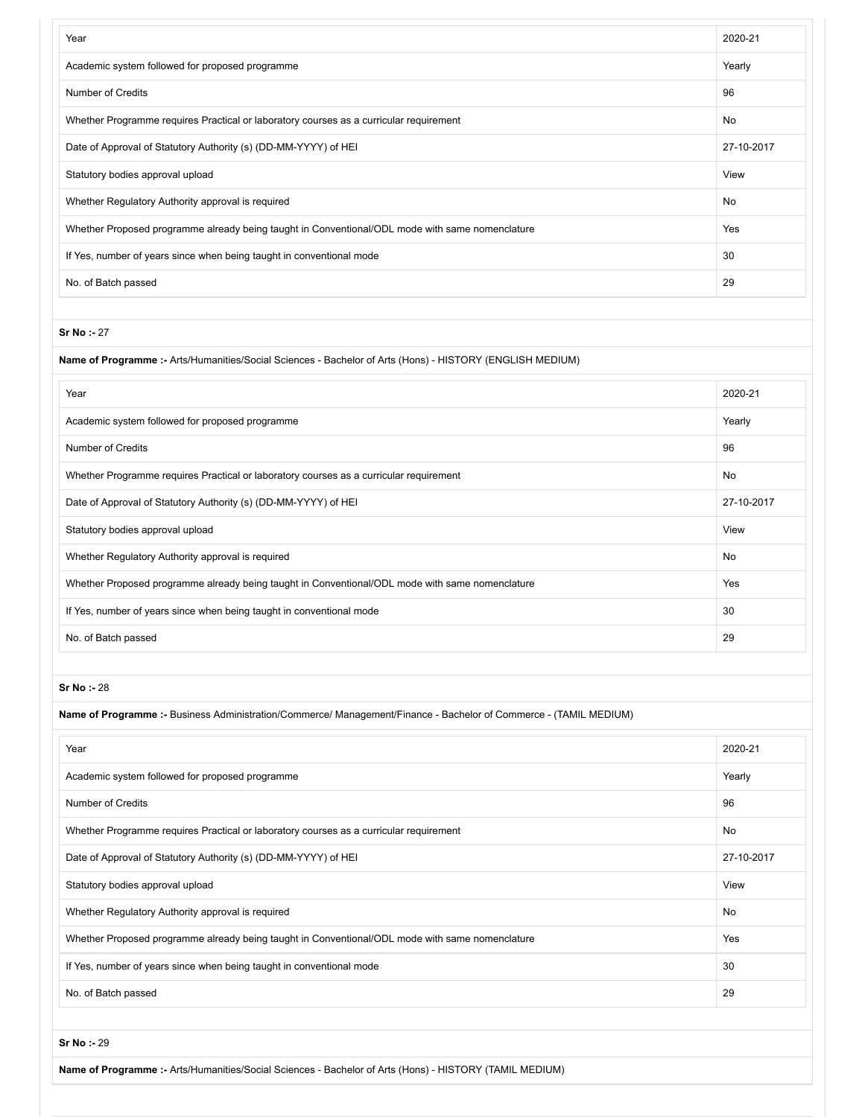| Year                                                                                            | 2020-21    |
|-------------------------------------------------------------------------------------------------|------------|
| Academic system followed for proposed programme                                                 | Yearly     |
| Number of Credits                                                                               | 96         |
| Whether Programme requires Practical or laboratory courses as a curricular requirement          | <b>No</b>  |
| Date of Approval of Statutory Authority (s) (DD-MM-YYYY) of HEI                                 | 27-10-2017 |
| Statutory bodies approval upload                                                                | View       |
| Whether Regulatory Authority approval is required                                               | <b>No</b>  |
| Whether Proposed programme already being taught in Conventional/ODL mode with same nomenclature | Yes        |
| If Yes, number of years since when being taught in conventional mode                            | 30         |
| No. of Batch passed                                                                             | 29         |

## **Name of Programme :-** Arts/Humanities/Social Sciences - Bachelor of Arts (Hons) - HISTORY (ENGLISH MEDIUM)

| Year                                                                                            | 2020-21    |
|-------------------------------------------------------------------------------------------------|------------|
| Academic system followed for proposed programme                                                 | Yearly     |
| Number of Credits                                                                               | 96         |
| Whether Programme requires Practical or laboratory courses as a curricular requirement          | No         |
| Date of Approval of Statutory Authority (s) (DD-MM-YYYY) of HEI                                 | 27-10-2017 |
| Statutory bodies approval upload                                                                | View       |
| Whether Regulatory Authority approval is required                                               | No         |
| Whether Proposed programme already being taught in Conventional/ODL mode with same nomenclature | Yes        |
| If Yes, number of years since when being taught in conventional mode                            | 30         |
| No. of Batch passed                                                                             | 29         |

**Sr No :-** 28

| Name of Programme :- Business Administration/Commerce/ Management/Finance - Bachelor of Commerce - (TAMIL MEDIUM) |            |  |
|-------------------------------------------------------------------------------------------------------------------|------------|--|
| Year                                                                                                              | 2020-21    |  |
| Academic system followed for proposed programme                                                                   | Yearly     |  |
| <b>Number of Credits</b>                                                                                          | 96         |  |
| Whether Programme requires Practical or laboratory courses as a curricular requirement                            | No         |  |
| Date of Approval of Statutory Authority (s) (DD-MM-YYYY) of HEI                                                   | 27-10-2017 |  |
| Statutory bodies approval upload                                                                                  | View       |  |
| Whether Regulatory Authority approval is required                                                                 | No         |  |
| Whether Proposed programme already being taught in Conventional/ODL mode with same nomenclature                   | Yes        |  |
| If Yes, number of years since when being taught in conventional mode                                              | 30         |  |
| No. of Batch passed                                                                                               | 29         |  |

**Sr No :-** 29

**Name of Programme :-** Arts/Humanities/Social Sciences - Bachelor of Arts (Hons) - HISTORY (TAMIL MEDIUM)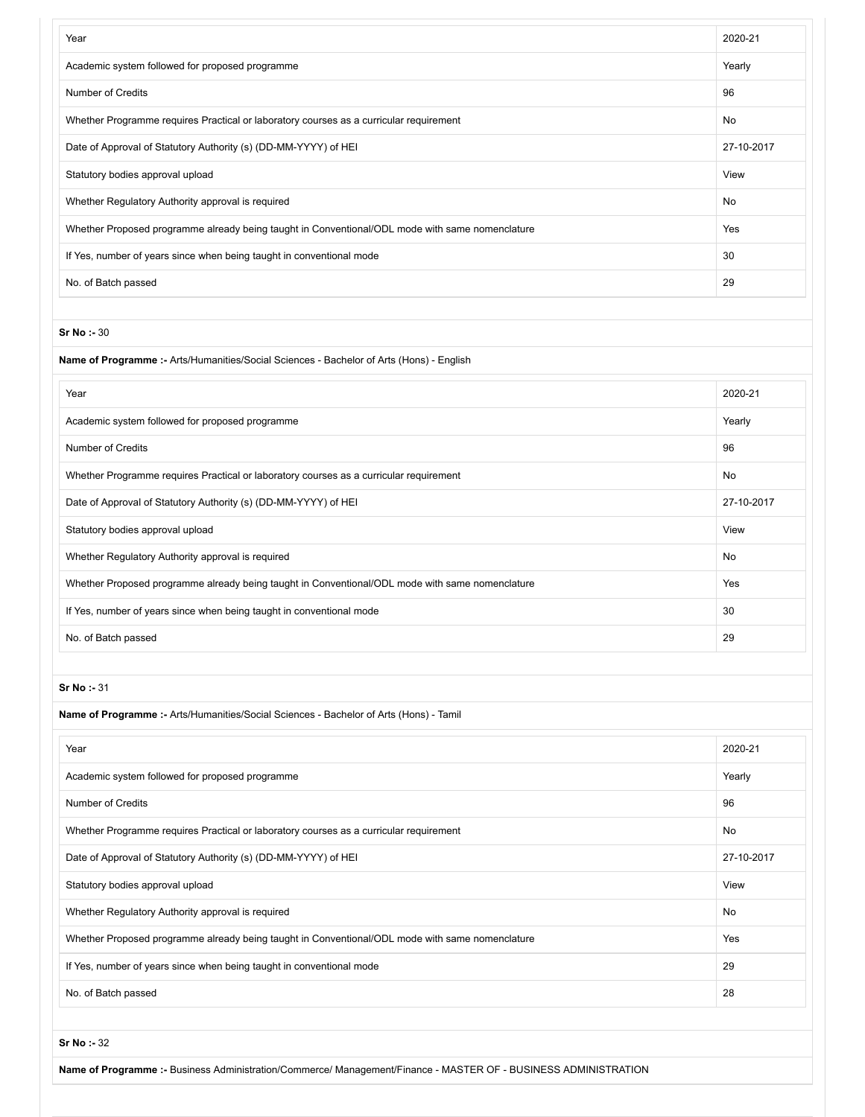| Year                                                                                            | 2020-21    |
|-------------------------------------------------------------------------------------------------|------------|
| Academic system followed for proposed programme                                                 | Yearly     |
| <b>Number of Credits</b>                                                                        | 96         |
| Whether Programme requires Practical or laboratory courses as a curricular requirement          | No         |
| Date of Approval of Statutory Authority (s) (DD-MM-YYYY) of HEI                                 | 27-10-2017 |
| Statutory bodies approval upload                                                                | View       |
| Whether Regulatory Authority approval is required                                               | No         |
| Whether Proposed programme already being taught in Conventional/ODL mode with same nomenclature | Yes        |
| If Yes, number of years since when being taught in conventional mode                            | 30         |
| No. of Batch passed                                                                             | 29         |
|                                                                                                 |            |
| <b>Sr No: - 30</b>                                                                              |            |
| Name of Programme :- Arts/Humanities/Social Sciences - Bachelor of Arts (Hons) - English        |            |
| Year                                                                                            | 2020-21    |
| Academic system followed for proposed programme                                                 | Yearly     |
| <b>Number of Credits</b>                                                                        | 96         |
| Whether Programme requires Practical or laboratory courses as a curricular requirement          | No         |
| Date of Approval of Statutory Authority (s) (DD-MM-YYYY) of HEI                                 | 27-10-2017 |
| Statutory bodies approval upload                                                                | View       |
| Whether Regulatory Authority approval is required                                               | No         |
| Whether Proposed programme already being taught in Conventional/ODL mode with same nomenclature | Yes        |
| If Yes, number of years since when being taught in conventional mode                            | 30         |
| No. of Batch passed                                                                             | 29         |
|                                                                                                 |            |
| Sr No: - 31                                                                                     |            |
| Name of Programme :- Arts/Humanities/Social Sciences - Bachelor of Arts (Hons) - Tamil          |            |
| Year                                                                                            | 2020-21    |
| Academic system followed for proposed programme                                                 | Yearly     |
| <b>Number of Credits</b>                                                                        | 96         |
| Whether Programme requires Practical or laboratory courses as a curricular requirement          | No         |
| Date of Approval of Statutory Authority (s) (DD-MM-YYYY) of HEI                                 | 27-10-2017 |
| Statutory bodies approval upload                                                                | View       |
| Whether Regulatory Authority approval is required                                               | No         |
| Whether Proposed programme already being taught in Conventional/ODL mode with same nomenclature | Yes        |
| If Yes, number of years since when being taught in conventional mode                            | 29         |
| No. of Batch passed                                                                             | 28         |
|                                                                                                 |            |

**Name of Programme :-** Business Administration/Commerce/ Management/Finance - MASTER OF - BUSINESS ADMINISTRATION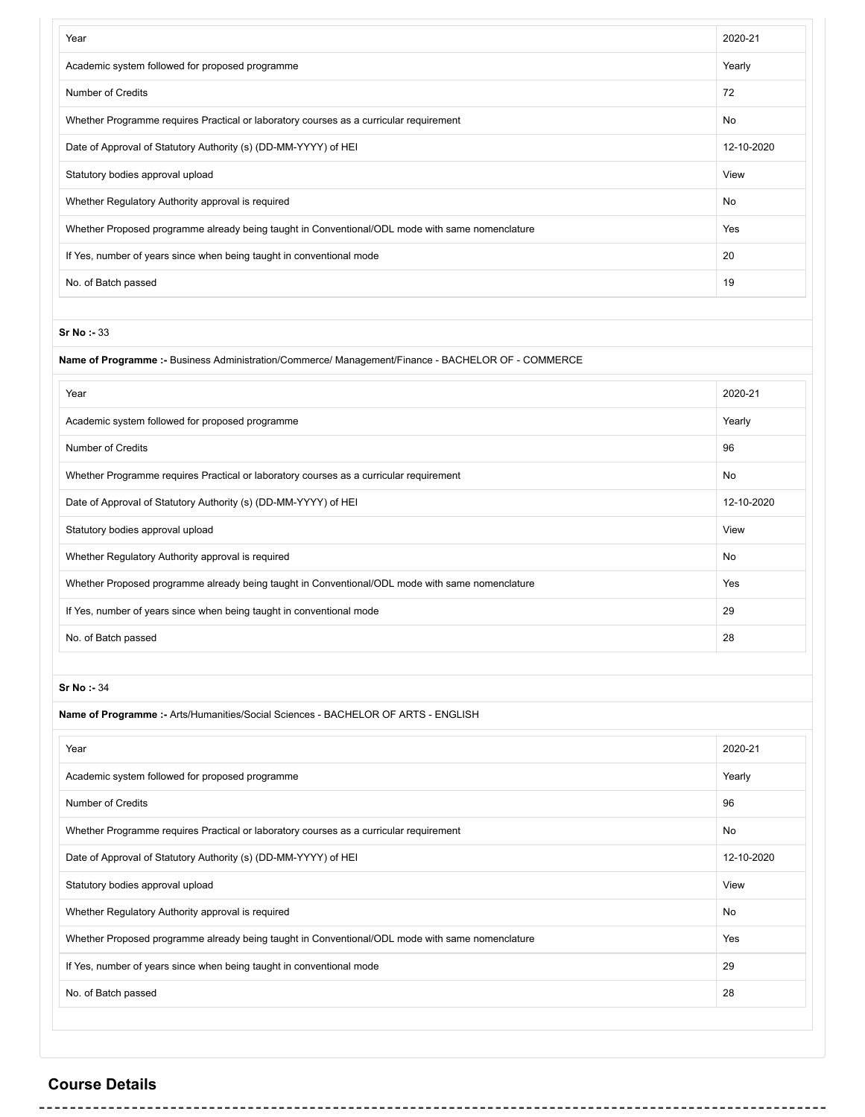| Year                                                                                            | 2020-21    |
|-------------------------------------------------------------------------------------------------|------------|
| Academic system followed for proposed programme                                                 | Yearly     |
| <b>Number of Credits</b>                                                                        | 72         |
| Whether Programme requires Practical or laboratory courses as a curricular requirement          | No         |
| Date of Approval of Statutory Authority (s) (DD-MM-YYYY) of HEI                                 | 12-10-2020 |
| Statutory bodies approval upload                                                                | View       |
| Whether Regulatory Authority approval is required                                               | <b>No</b>  |
| Whether Proposed programme already being taught in Conventional/ODL mode with same nomenclature | Yes        |
| If Yes, number of years since when being taught in conventional mode                            | 20         |
| No. of Batch passed                                                                             | 19         |

## **Name of Programme :-** Business Administration/Commerce/ Management/Finance - BACHELOR OF - COMMERCE

| Year                                                                                            | 2020-21    |
|-------------------------------------------------------------------------------------------------|------------|
| Academic system followed for proposed programme                                                 | Yearly     |
| Number of Credits                                                                               | 96         |
| Whether Programme requires Practical or laboratory courses as a curricular requirement          | <b>No</b>  |
| Date of Approval of Statutory Authority (s) (DD-MM-YYYY) of HEI                                 | 12-10-2020 |
| Statutory bodies approval upload                                                                | View       |
| Whether Regulatory Authority approval is required                                               | <b>No</b>  |
| Whether Proposed programme already being taught in Conventional/ODL mode with same nomenclature | Yes        |
| If Yes, number of years since when being taught in conventional mode                            | 29         |
| No. of Batch passed                                                                             | 28         |

## **Sr No :-** 34

| Name of Programme :- Arts/Humanities/Social Sciences - BACHELOR OF ARTS - ENGLISH               |            |  |
|-------------------------------------------------------------------------------------------------|------------|--|
| Year                                                                                            | 2020-21    |  |
| Academic system followed for proposed programme                                                 | Yearly     |  |
| Number of Credits                                                                               | 96         |  |
| Whether Programme requires Practical or laboratory courses as a curricular requirement          | No         |  |
| Date of Approval of Statutory Authority (s) (DD-MM-YYYY) of HEI                                 | 12-10-2020 |  |
| Statutory bodies approval upload                                                                | View       |  |
| Whether Regulatory Authority approval is required                                               | No         |  |
| Whether Proposed programme already being taught in Conventional/ODL mode with same nomenclature | Yes        |  |
| If Yes, number of years since when being taught in conventional mode                            | 29         |  |
| No. of Batch passed                                                                             | 28         |  |
|                                                                                                 |            |  |

# / **Course Details**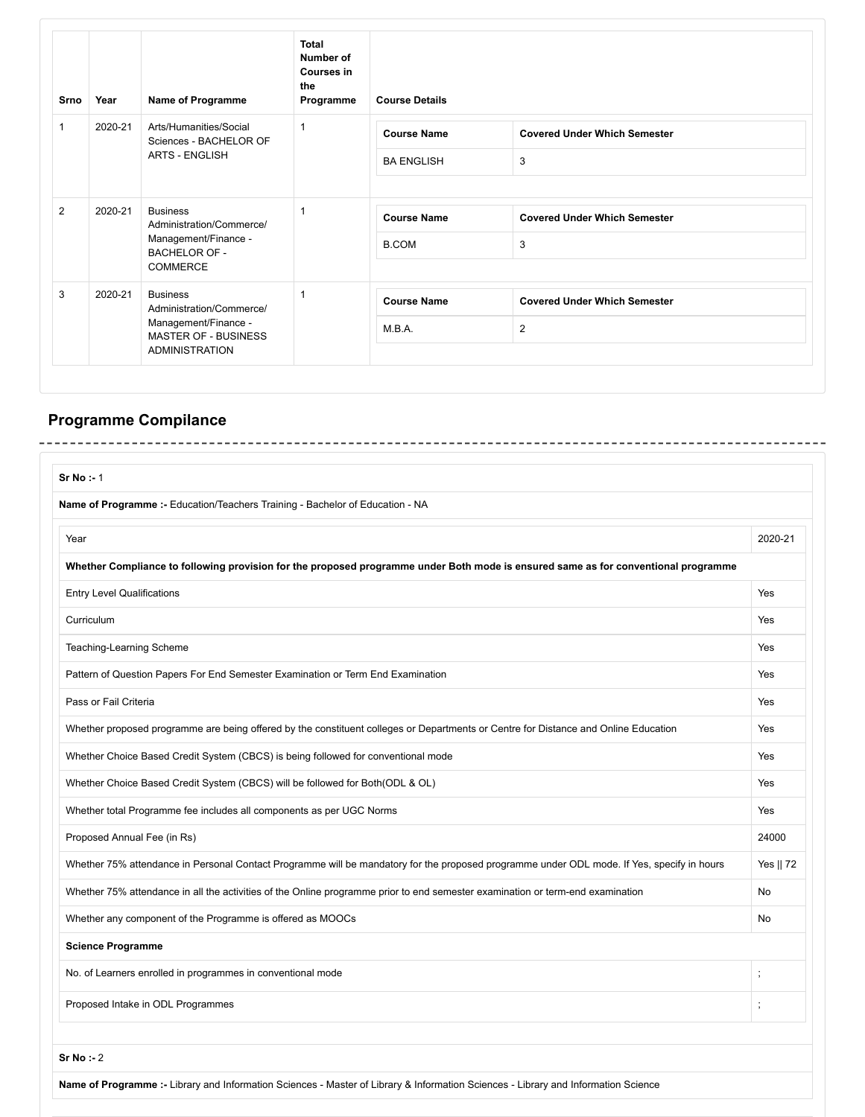| Srno         | Year                                                                                                                                   | Name of Programme                                                                                       | <b>Total</b><br>Number of<br><b>Courses in</b><br>the<br>Programme | <b>Course Details</b> |                                     |
|--------------|----------------------------------------------------------------------------------------------------------------------------------------|---------------------------------------------------------------------------------------------------------|--------------------------------------------------------------------|-----------------------|-------------------------------------|
| $\mathbf{1}$ | 2020-21                                                                                                                                | Arts/Humanities/Social<br>Sciences - BACHELOR OF                                                        |                                                                    | <b>Course Name</b>    | <b>Covered Under Which Semester</b> |
|              |                                                                                                                                        | <b>ARTS - ENGLISH</b>                                                                                   |                                                                    | <b>BA ENGLISH</b>     | 3                                   |
| 2            | 2020-21                                                                                                                                | <b>Business</b><br>Administration/Commerce/<br>Management/Finance -<br><b>BACHELOR OF -</b><br>COMMERCE |                                                                    | <b>Course Name</b>    | <b>Covered Under Which Semester</b> |
|              |                                                                                                                                        |                                                                                                         |                                                                    | <b>B.COM</b>          | 3                                   |
| 3            | 2020-21<br><b>Business</b><br>Administration/Commerce/<br>Management/Finance -<br><b>MASTER OF - BUSINESS</b><br><b>ADMINISTRATION</b> |                                                                                                         |                                                                    | <b>Course Name</b>    | <b>Covered Under Which Semester</b> |
|              |                                                                                                                                        |                                                                                                         | M.B.A.                                                             | $\overline{2}$        |                                     |

# **Programme Compilance**

. . . . . . . . . .

---------

<u> - - - - - - - - - -</u>

---------

| Sr No : 1                                                                                                                                  |           |
|--------------------------------------------------------------------------------------------------------------------------------------------|-----------|
| Name of Programme:- Education/Teachers Training - Bachelor of Education - NA                                                               |           |
|                                                                                                                                            |           |
| Year                                                                                                                                       | 2020-21   |
| Whether Compliance to following provision for the proposed programme under Both mode is ensured same as for conventional programme         |           |
| <b>Entry Level Qualifications</b>                                                                                                          | Yes       |
| Curriculum                                                                                                                                 | Yes       |
| Teaching-Learning Scheme                                                                                                                   | Yes       |
| Pattern of Question Papers For End Semester Examination or Term End Examination                                                            | Yes       |
| Pass or Fail Criteria                                                                                                                      | Yes       |
| Whether proposed programme are being offered by the constituent colleges or Departments or Centre for Distance and Online Education        | Yes       |
| Whether Choice Based Credit System (CBCS) is being followed for conventional mode                                                          | Yes       |
| Whether Choice Based Credit System (CBCS) will be followed for Both(ODL & OL)                                                              | Yes       |
| Whether total Programme fee includes all components as per UGC Norms                                                                       | Yes       |
| Proposed Annual Fee (in Rs)                                                                                                                | 24000     |
| Whether 75% attendance in Personal Contact Programme will be mandatory for the proposed programme under ODL mode. If Yes, specify in hours | Yes    72 |
| Whether 75% attendance in all the activities of the Online programme prior to end semester examination or term-end examination             | No        |
| Whether any component of the Programme is offered as MOOCs                                                                                 | No        |
| <b>Science Programme</b>                                                                                                                   |           |
| No. of Learners enrolled in programmes in conventional mode                                                                                |           |
| Proposed Intake in ODL Programmes                                                                                                          |           |
|                                                                                                                                            |           |
| Sr No : 2                                                                                                                                  |           |
| Name of Programme :- Library and Information Sciences - Master of Library & Information Sciences - Library and Information Science         |           |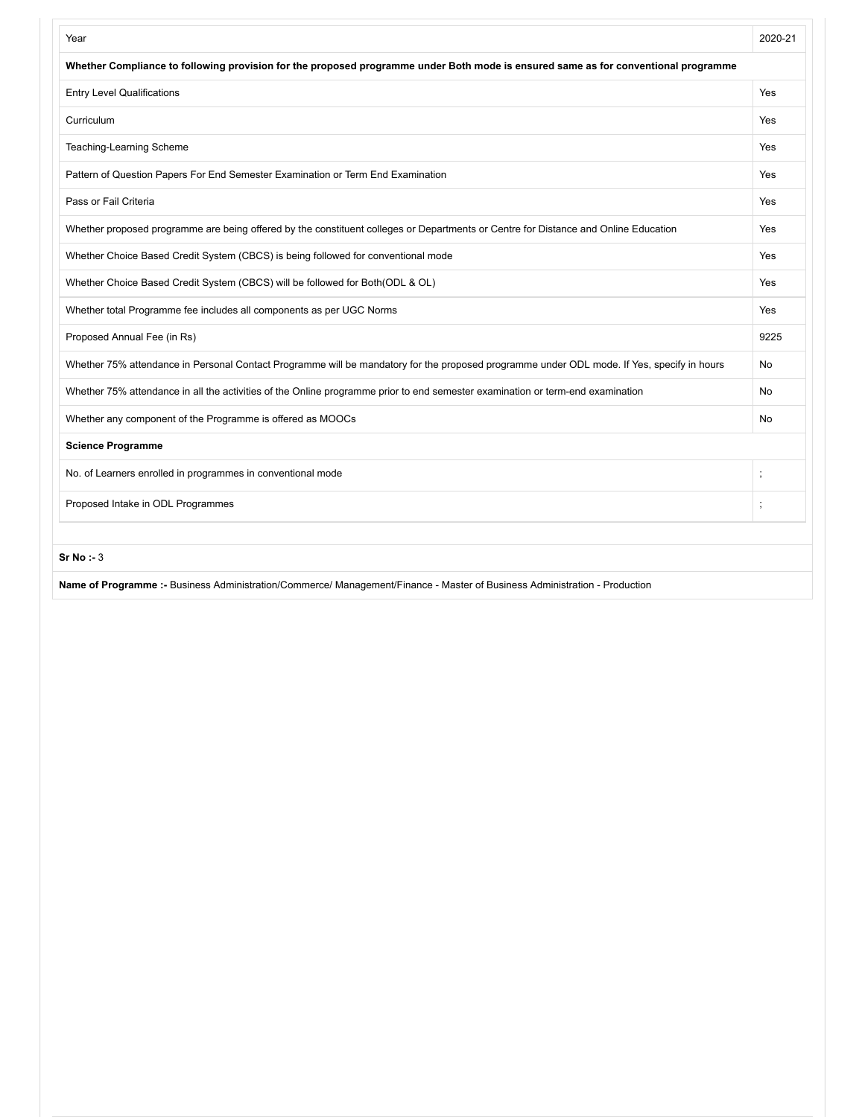| Year                                                                                                                                       | 2020-21 |
|--------------------------------------------------------------------------------------------------------------------------------------------|---------|
| Whether Compliance to following provision for the proposed programme under Both mode is ensured same as for conventional programme         |         |
| <b>Entry Level Qualifications</b>                                                                                                          | Yes     |
| Curriculum                                                                                                                                 | Yes     |
| Teaching-Learning Scheme                                                                                                                   | Yes     |
| Pattern of Question Papers For End Semester Examination or Term End Examination                                                            | Yes     |
| Pass or Fail Criteria                                                                                                                      | Yes     |
| Whether proposed programme are being offered by the constituent colleges or Departments or Centre for Distance and Online Education        | Yes     |
| Whether Choice Based Credit System (CBCS) is being followed for conventional mode                                                          | Yes     |
| Whether Choice Based Credit System (CBCS) will be followed for Both(ODL & OL)                                                              | Yes     |
| Whether total Programme fee includes all components as per UGC Norms                                                                       | Yes     |
| Proposed Annual Fee (in Rs)                                                                                                                | 9225    |
| Whether 75% attendance in Personal Contact Programme will be mandatory for the proposed programme under ODL mode. If Yes, specify in hours | No      |
| Whether 75% attendance in all the activities of the Online programme prior to end semester examination or term-end examination             | No      |
| Whether any component of the Programme is offered as MOOCs                                                                                 | No      |
| <b>Science Programme</b>                                                                                                                   |         |
| No. of Learners enrolled in programmes in conventional mode                                                                                |         |
| Proposed Intake in ODL Programmes                                                                                                          |         |
| Sr No : 3                                                                                                                                  |         |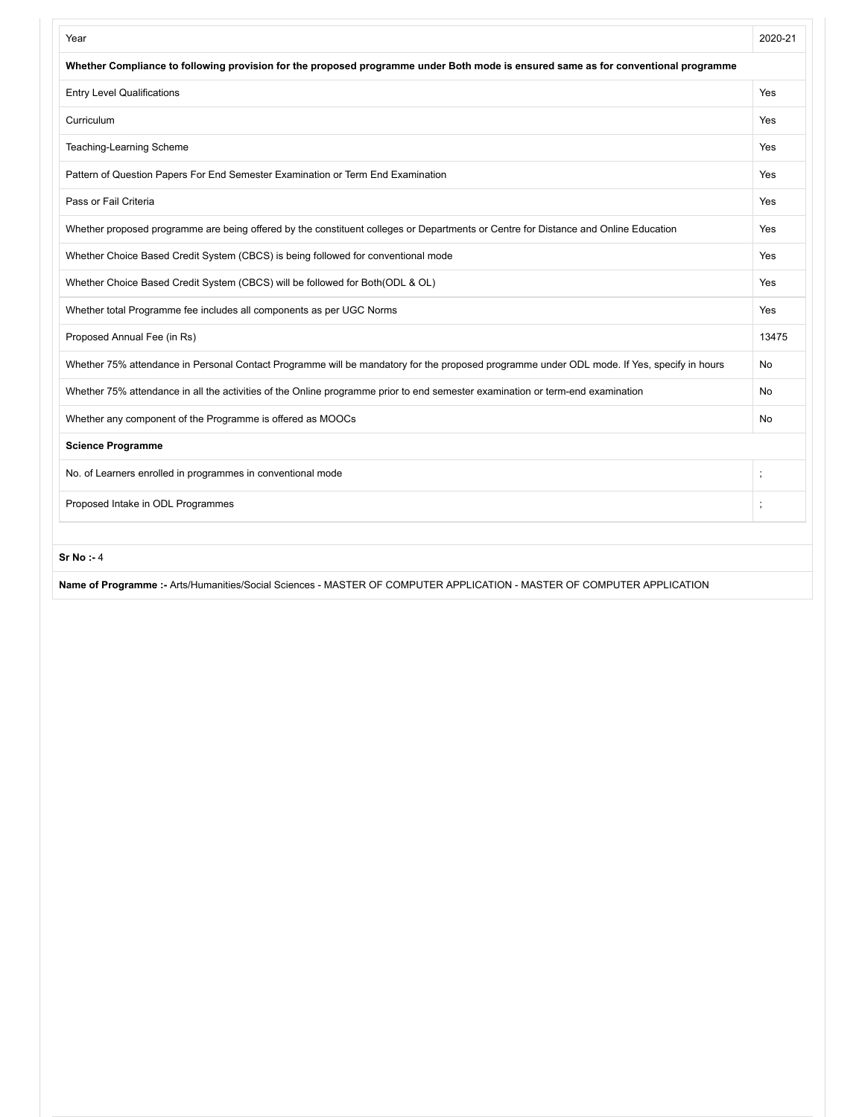| Year                                                                                                                                       | 2020-21  |  |  |
|--------------------------------------------------------------------------------------------------------------------------------------------|----------|--|--|
| Whether Compliance to following provision for the proposed programme under Both mode is ensured same as for conventional programme         |          |  |  |
| <b>Entry Level Qualifications</b>                                                                                                          | Yes      |  |  |
| Curriculum                                                                                                                                 | Yes      |  |  |
| Teaching-Learning Scheme                                                                                                                   | Yes      |  |  |
| Pattern of Question Papers For End Semester Examination or Term End Examination                                                            | Yes      |  |  |
| Pass or Fail Criteria                                                                                                                      | Yes      |  |  |
| Whether proposed programme are being offered by the constituent colleges or Departments or Centre for Distance and Online Education        | Yes      |  |  |
| Whether Choice Based Credit System (CBCS) is being followed for conventional mode                                                          | Yes      |  |  |
| Whether Choice Based Credit System (CBCS) will be followed for Both(ODL & OL)                                                              | Yes      |  |  |
| Whether total Programme fee includes all components as per UGC Norms                                                                       | Yes      |  |  |
| Proposed Annual Fee (in Rs)                                                                                                                | 13475    |  |  |
| Whether 75% attendance in Personal Contact Programme will be mandatory for the proposed programme under ODL mode. If Yes, specify in hours | No       |  |  |
| Whether 75% attendance in all the activities of the Online programme prior to end semester examination or term-end examination             | No       |  |  |
| Whether any component of the Programme is offered as MOOCs                                                                                 | No       |  |  |
| <b>Science Programme</b>                                                                                                                   |          |  |  |
| No. of Learners enrolled in programmes in conventional mode                                                                                |          |  |  |
| Proposed Intake in ODL Programmes                                                                                                          | $\vdots$ |  |  |
|                                                                                                                                            |          |  |  |

**Name of Programme :-** Arts/Humanities/Social Sciences - MASTER OF COMPUTER APPLICATION - MASTER OF COMPUTER APPLICATION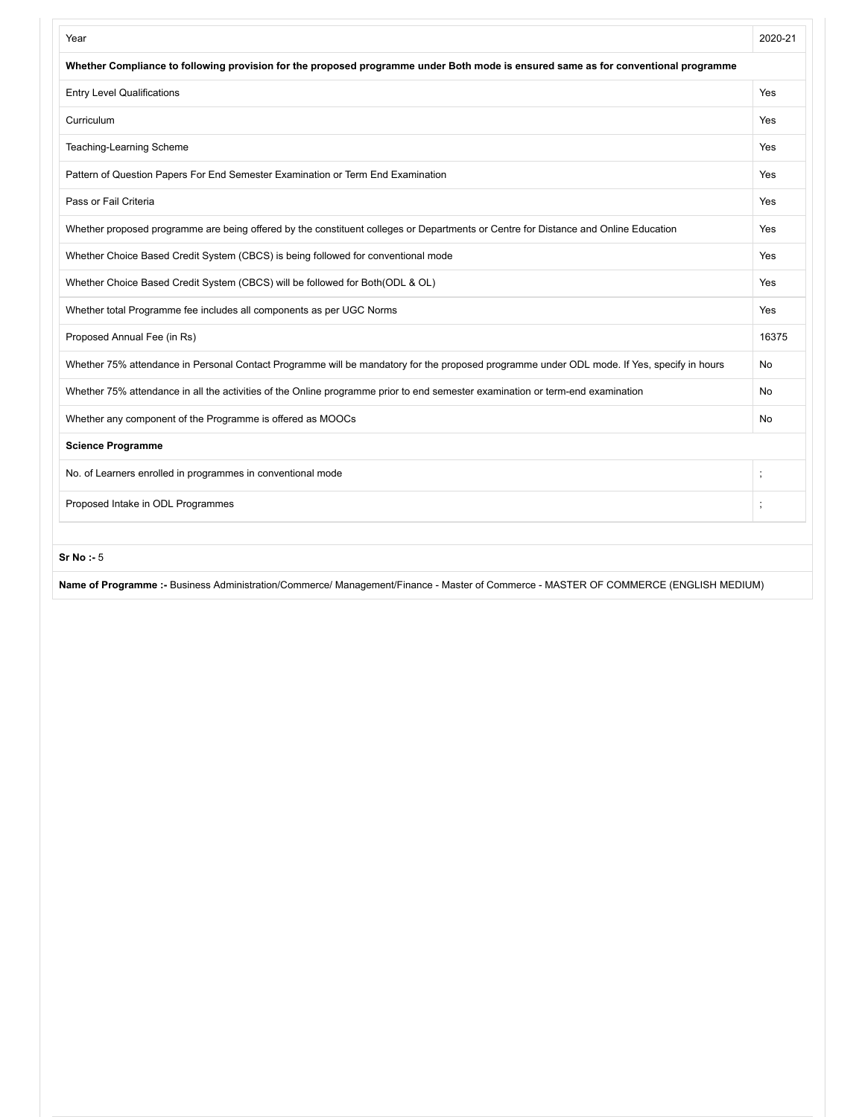| Year                                                                                                                                       | 2020-21 |  |  |
|--------------------------------------------------------------------------------------------------------------------------------------------|---------|--|--|
| Whether Compliance to following provision for the proposed programme under Both mode is ensured same as for conventional programme         |         |  |  |
| <b>Entry Level Qualifications</b>                                                                                                          | Yes     |  |  |
| Curriculum                                                                                                                                 | Yes     |  |  |
| Teaching-Learning Scheme                                                                                                                   | Yes     |  |  |
| Pattern of Question Papers For End Semester Examination or Term End Examination                                                            | Yes     |  |  |
| Pass or Fail Criteria                                                                                                                      | Yes     |  |  |
| Whether proposed programme are being offered by the constituent colleges or Departments or Centre for Distance and Online Education        | Yes     |  |  |
| Whether Choice Based Credit System (CBCS) is being followed for conventional mode                                                          | Yes     |  |  |
| Whether Choice Based Credit System (CBCS) will be followed for Both(ODL & OL)                                                              | Yes     |  |  |
| Whether total Programme fee includes all components as per UGC Norms                                                                       | Yes     |  |  |
| Proposed Annual Fee (in Rs)                                                                                                                | 16375   |  |  |
| Whether 75% attendance in Personal Contact Programme will be mandatory for the proposed programme under ODL mode. If Yes, specify in hours | No      |  |  |
| Whether 75% attendance in all the activities of the Online programme prior to end semester examination or term-end examination             | No      |  |  |
| Whether any component of the Programme is offered as MOOCs                                                                                 | No      |  |  |
| <b>Science Programme</b>                                                                                                                   |         |  |  |
| No. of Learners enrolled in programmes in conventional mode<br>$\vdots$                                                                    |         |  |  |
| Proposed Intake in ODL Programmes<br>$\vdots$                                                                                              |         |  |  |
|                                                                                                                                            |         |  |  |

**Name of Programme :-** Business Administration/Commerce/ Management/Finance - Master of Commerce - MASTER OF COMMERCE (ENGLISH MEDIUM)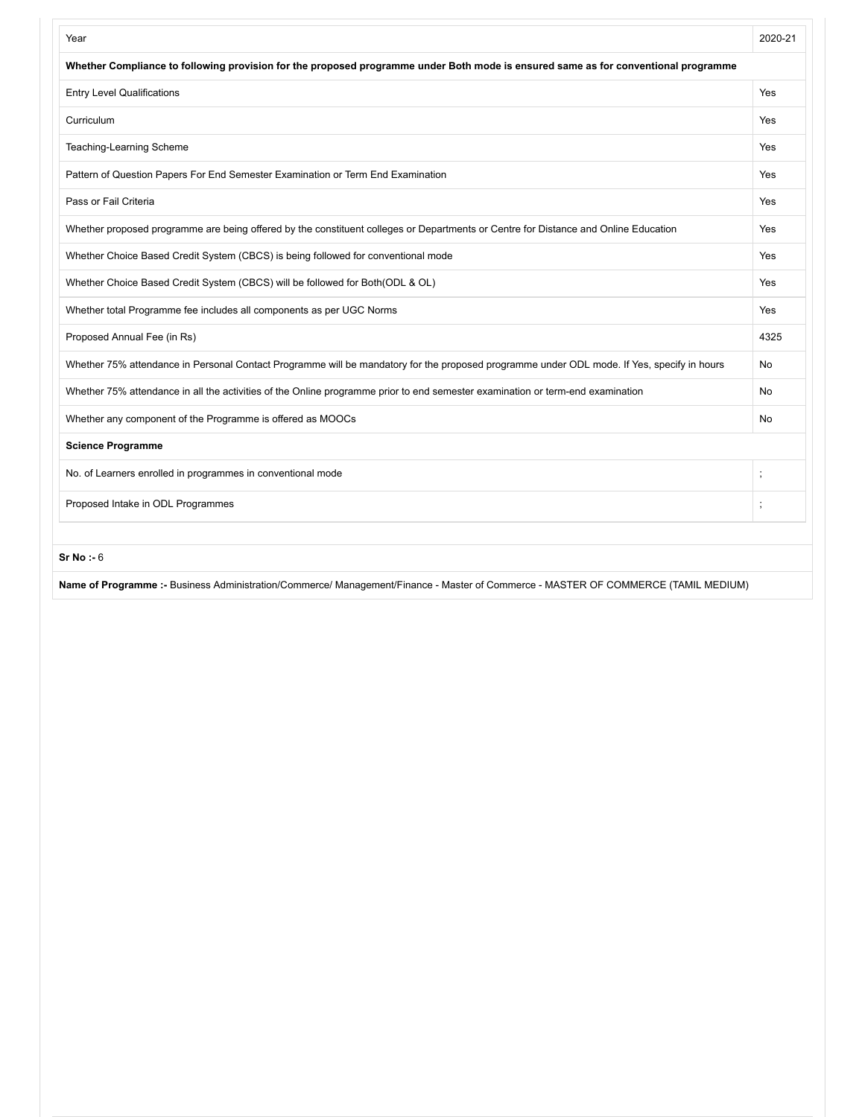| Year                                                                                                                                       | 2020-21  |  |  |
|--------------------------------------------------------------------------------------------------------------------------------------------|----------|--|--|
| Whether Compliance to following provision for the proposed programme under Both mode is ensured same as for conventional programme         |          |  |  |
| <b>Entry Level Qualifications</b>                                                                                                          | Yes      |  |  |
| Curriculum                                                                                                                                 | Yes      |  |  |
| Teaching-Learning Scheme                                                                                                                   | Yes      |  |  |
| Pattern of Question Papers For End Semester Examination or Term End Examination                                                            | Yes      |  |  |
| Pass or Fail Criteria                                                                                                                      | Yes      |  |  |
| Whether proposed programme are being offered by the constituent colleges or Departments or Centre for Distance and Online Education        | Yes      |  |  |
| Whether Choice Based Credit System (CBCS) is being followed for conventional mode                                                          | Yes      |  |  |
| Whether Choice Based Credit System (CBCS) will be followed for Both(ODL & OL)                                                              | Yes      |  |  |
| Whether total Programme fee includes all components as per UGC Norms                                                                       | Yes      |  |  |
| Proposed Annual Fee (in Rs)                                                                                                                | 4325     |  |  |
| Whether 75% attendance in Personal Contact Programme will be mandatory for the proposed programme under ODL mode. If Yes, specify in hours | No       |  |  |
| Whether 75% attendance in all the activities of the Online programme prior to end semester examination or term-end examination             | No       |  |  |
| Whether any component of the Programme is offered as MOOCs                                                                                 | No       |  |  |
| <b>Science Programme</b>                                                                                                                   |          |  |  |
| No. of Learners enrolled in programmes in conventional mode                                                                                |          |  |  |
| Proposed Intake in ODL Programmes                                                                                                          | $\vdots$ |  |  |
|                                                                                                                                            |          |  |  |

**Name of Programme :-** Business Administration/Commerce/ Management/Finance - Master of Commerce - MASTER OF COMMERCE (TAMIL MEDIUM)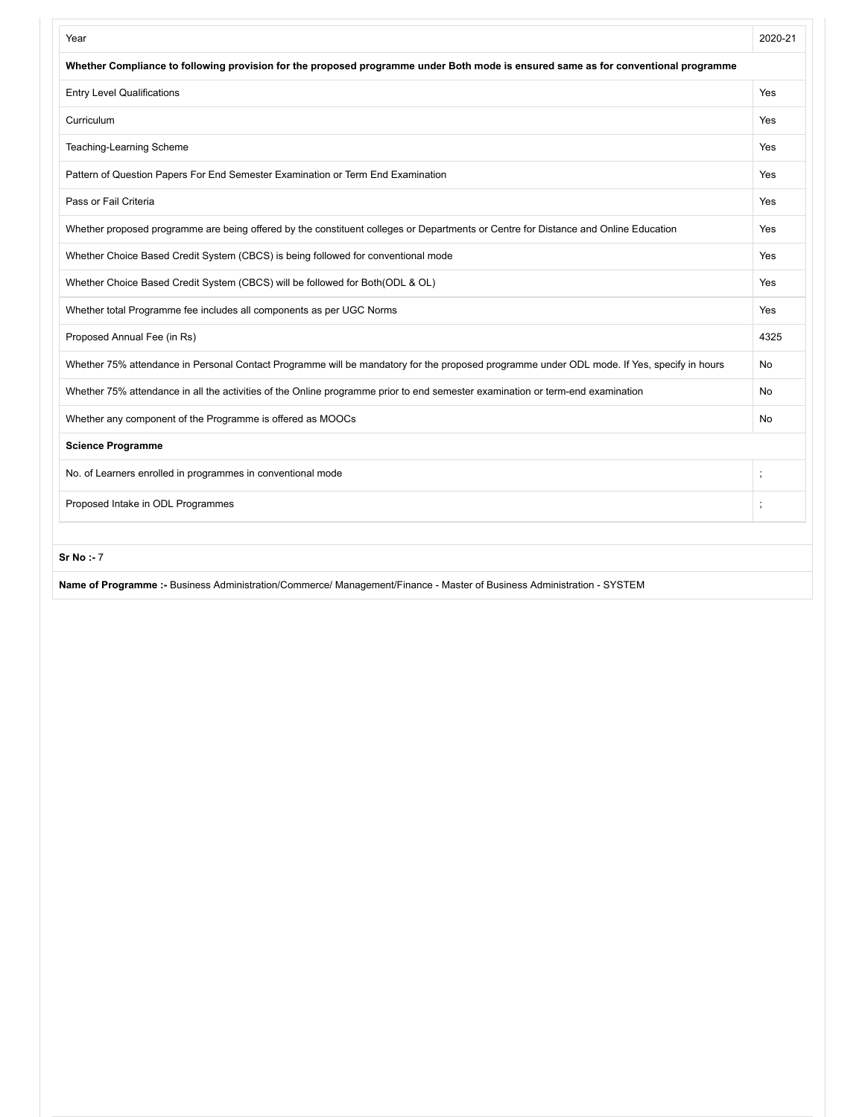| Year                                                                                                                                       | 2020-21 |
|--------------------------------------------------------------------------------------------------------------------------------------------|---------|
| Whether Compliance to following provision for the proposed programme under Both mode is ensured same as for conventional programme         |         |
| <b>Entry Level Qualifications</b>                                                                                                          | Yes     |
| Curriculum                                                                                                                                 | Yes     |
| Teaching-Learning Scheme                                                                                                                   | Yes     |
| Pattern of Question Papers For End Semester Examination or Term End Examination                                                            | Yes     |
| Pass or Fail Criteria                                                                                                                      | Yes     |
| Whether proposed programme are being offered by the constituent colleges or Departments or Centre for Distance and Online Education        | Yes     |
| Whether Choice Based Credit System (CBCS) is being followed for conventional mode                                                          | Yes     |
| Whether Choice Based Credit System (CBCS) will be followed for Both(ODL & OL)                                                              | Yes     |
| Whether total Programme fee includes all components as per UGC Norms                                                                       | Yes     |
| Proposed Annual Fee (in Rs)                                                                                                                | 4325    |
| Whether 75% attendance in Personal Contact Programme will be mandatory for the proposed programme under ODL mode. If Yes, specify in hours | No      |
| Whether 75% attendance in all the activities of the Online programme prior to end semester examination or term-end examination             | No      |
| Whether any component of the Programme is offered as MOOCs                                                                                 | No      |
| <b>Science Programme</b>                                                                                                                   |         |
| No. of Learners enrolled in programmes in conventional mode                                                                                |         |
| Proposed Intake in ODL Programmes                                                                                                          | $\cdot$ |
|                                                                                                                                            |         |
| Sr No : 7                                                                                                                                  |         |

**Name of Programme :-** Business Administration/Commerce/ Management/Finance - Master of Business Administration - SYSTEM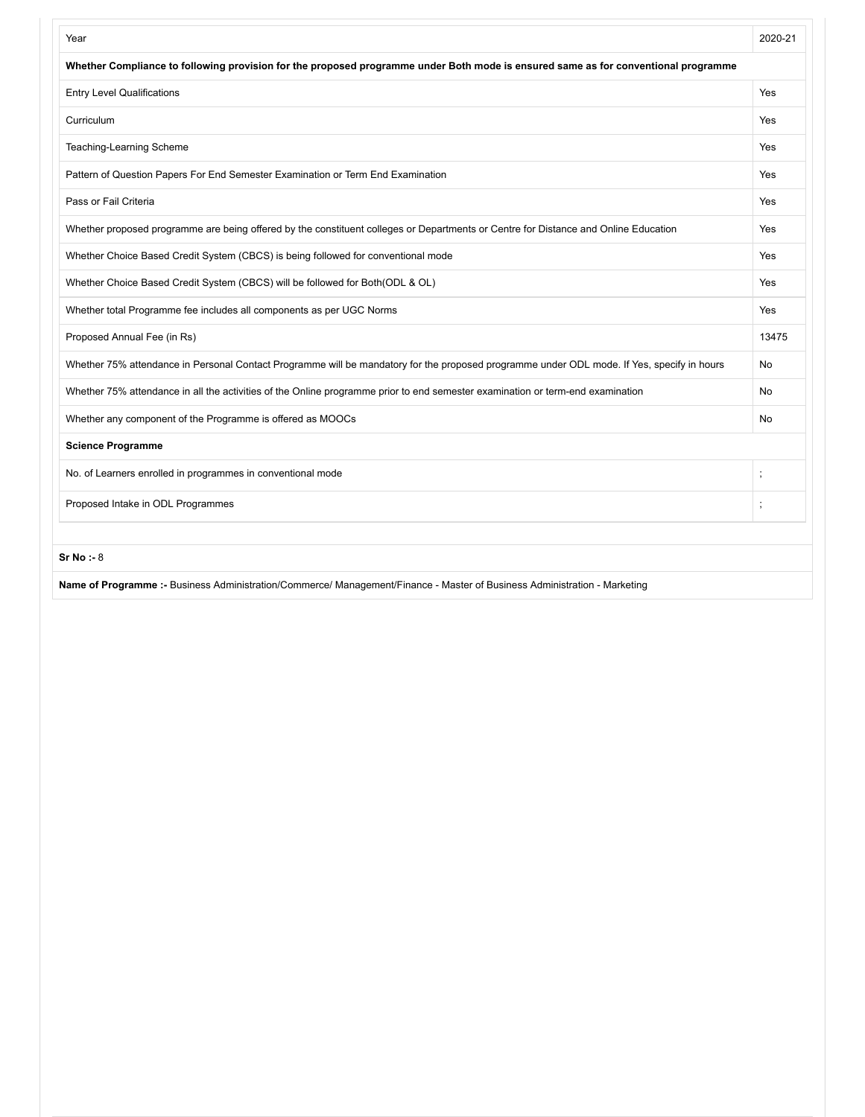| Year                                                                                                                                       | 2020-21  |
|--------------------------------------------------------------------------------------------------------------------------------------------|----------|
| Whether Compliance to following provision for the proposed programme under Both mode is ensured same as for conventional programme         |          |
| <b>Entry Level Qualifications</b>                                                                                                          | Yes      |
| Curriculum                                                                                                                                 | Yes      |
| Teaching-Learning Scheme                                                                                                                   | Yes      |
| Pattern of Question Papers For End Semester Examination or Term End Examination                                                            | Yes      |
| Pass or Fail Criteria                                                                                                                      | Yes      |
| Whether proposed programme are being offered by the constituent colleges or Departments or Centre for Distance and Online Education        | Yes      |
| Whether Choice Based Credit System (CBCS) is being followed for conventional mode                                                          | Yes      |
| Whether Choice Based Credit System (CBCS) will be followed for Both(ODL & OL)                                                              | Yes      |
| Whether total Programme fee includes all components as per UGC Norms                                                                       | Yes      |
| Proposed Annual Fee (in Rs)                                                                                                                | 13475    |
| Whether 75% attendance in Personal Contact Programme will be mandatory for the proposed programme under ODL mode. If Yes, specify in hours | No       |
| Whether 75% attendance in all the activities of the Online programme prior to end semester examination or term-end examination             | No       |
| Whether any component of the Programme is offered as MOOCs                                                                                 | No       |
| <b>Science Programme</b>                                                                                                                   |          |
| No. of Learners enrolled in programmes in conventional mode                                                                                | $\vdots$ |
| Proposed Intake in ODL Programmes                                                                                                          |          |
| Sr No : 8                                                                                                                                  |          |
| Name of Programme :- Business Administration/Commerce/ Management/Finance - Master of Business Administration - Marketing                  |          |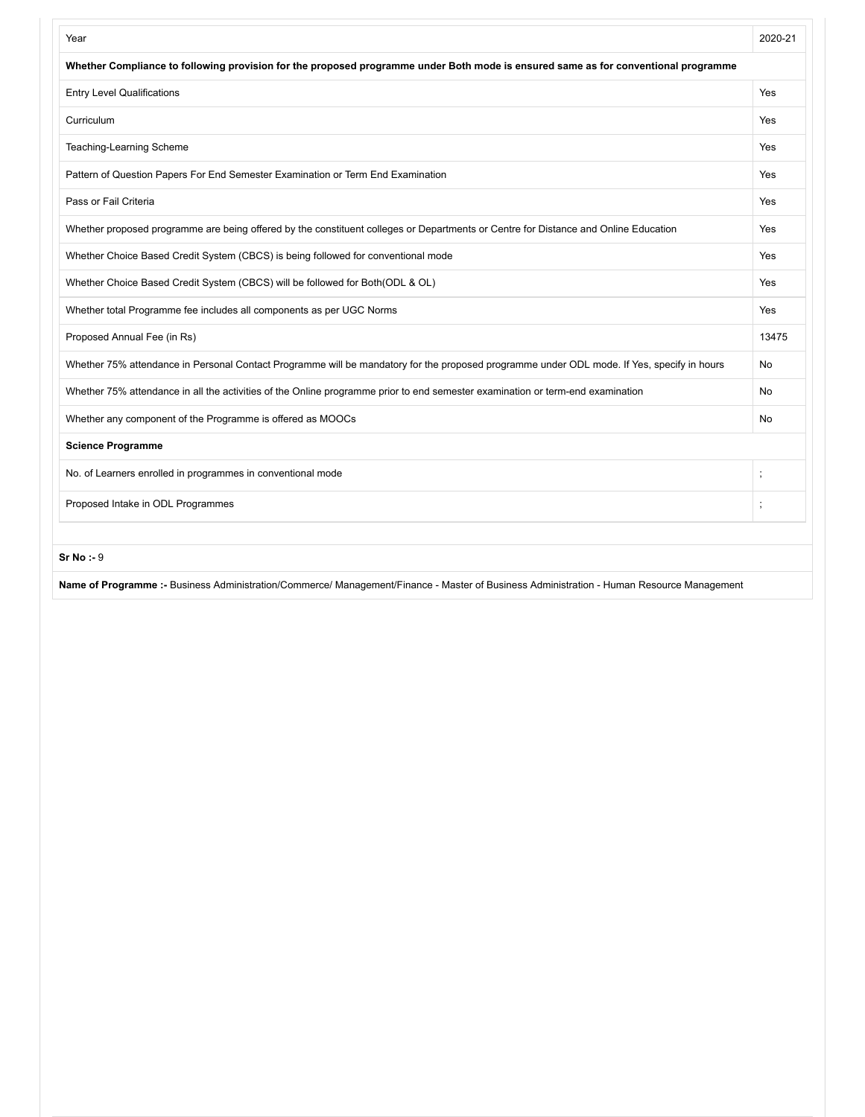| Whether Compliance to following provision for the proposed programme under Both mode is ensured same as for conventional programme<br><b>Entry Level Qualifications</b><br>Yes<br>Curriculum<br>Yes |       |
|-----------------------------------------------------------------------------------------------------------------------------------------------------------------------------------------------------|-------|
|                                                                                                                                                                                                     |       |
|                                                                                                                                                                                                     |       |
|                                                                                                                                                                                                     |       |
| Teaching-Learning Scheme<br>Yes                                                                                                                                                                     |       |
| Pattern of Question Papers For End Semester Examination or Term End Examination<br>Yes                                                                                                              |       |
| Pass or Fail Criteria<br>Yes                                                                                                                                                                        |       |
| Whether proposed programme are being offered by the constituent colleges or Departments or Centre for Distance and Online Education<br>Yes                                                          |       |
| Whether Choice Based Credit System (CBCS) is being followed for conventional mode<br>Yes                                                                                                            |       |
| Whether Choice Based Credit System (CBCS) will be followed for Both(ODL & OL)<br>Yes                                                                                                                |       |
| Whether total Programme fee includes all components as per UGC Norms<br>Yes                                                                                                                         |       |
| Proposed Annual Fee (in Rs)                                                                                                                                                                         | 13475 |
| Whether 75% attendance in Personal Contact Programme will be mandatory for the proposed programme under ODL mode. If Yes, specify in hours<br>No                                                    |       |
| Whether 75% attendance in all the activities of the Online programme prior to end semester examination or term-end examination<br>No                                                                |       |
| Whether any component of the Programme is offered as MOOCs<br>No                                                                                                                                    |       |
| <b>Science Programme</b>                                                                                                                                                                            |       |
| No. of Learners enrolled in programmes in conventional mode<br>$\vdots$                                                                                                                             |       |
| Proposed Intake in ODL Programmes<br>$\vdots$                                                                                                                                                       |       |
| Sr No : 9                                                                                                                                                                                           |       |

**Name of Programme :-** Business Administration/Commerce/ Management/Finance - Master of Business Administration - Human Resource Management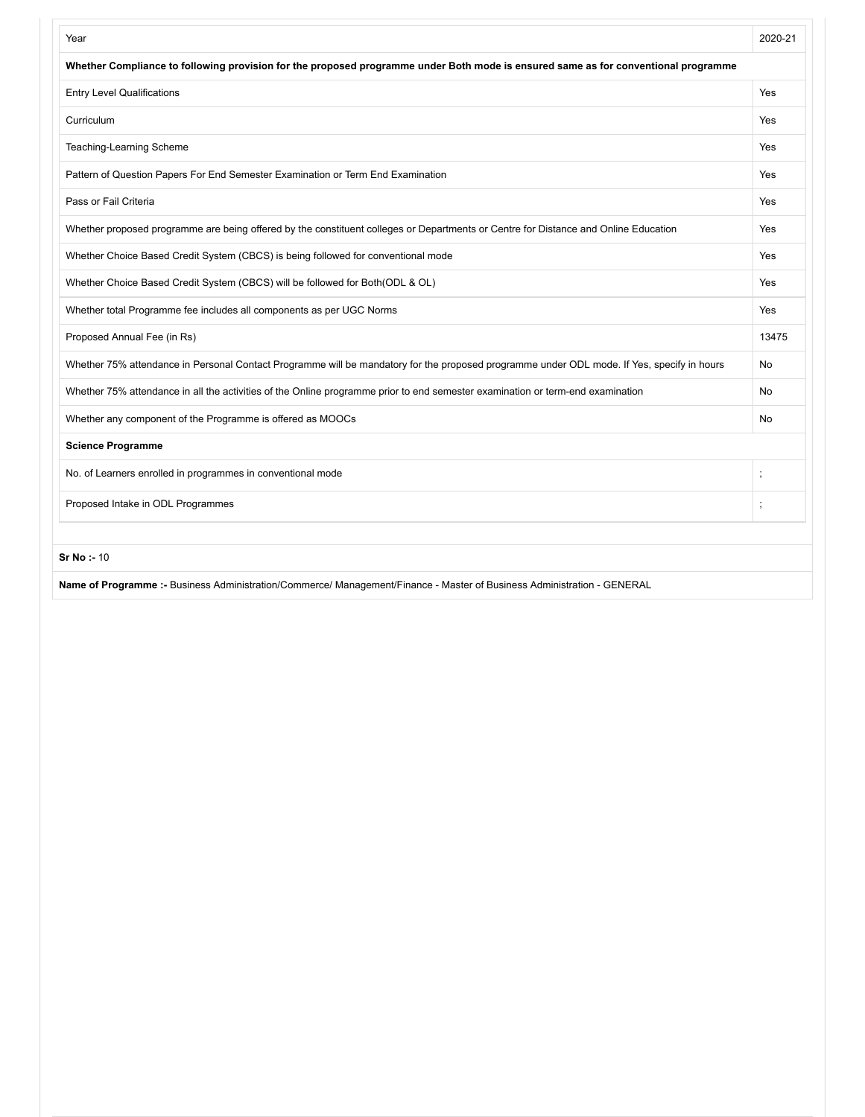| Year                                                                                                                                       | 2020-21  |
|--------------------------------------------------------------------------------------------------------------------------------------------|----------|
| Whether Compliance to following provision for the proposed programme under Both mode is ensured same as for conventional programme         |          |
| <b>Entry Level Qualifications</b>                                                                                                          | Yes      |
| Curriculum                                                                                                                                 | Yes      |
| Teaching-Learning Scheme                                                                                                                   | Yes      |
| Pattern of Question Papers For End Semester Examination or Term End Examination                                                            | Yes      |
| Pass or Fail Criteria                                                                                                                      | Yes      |
| Whether proposed programme are being offered by the constituent colleges or Departments or Centre for Distance and Online Education        | Yes      |
| Whether Choice Based Credit System (CBCS) is being followed for conventional mode                                                          | Yes      |
| Whether Choice Based Credit System (CBCS) will be followed for Both(ODL & OL)                                                              | Yes      |
| Whether total Programme fee includes all components as per UGC Norms                                                                       | Yes      |
| Proposed Annual Fee (in Rs)                                                                                                                | 13475    |
| Whether 75% attendance in Personal Contact Programme will be mandatory for the proposed programme under ODL mode. If Yes, specify in hours | No       |
| Whether 75% attendance in all the activities of the Online programme prior to end semester examination or term-end examination             | No       |
| Whether any component of the Programme is offered as MOOCs                                                                                 | No       |
| <b>Science Programme</b>                                                                                                                   |          |
| No. of Learners enrolled in programmes in conventional mode                                                                                | $\vdots$ |
| Proposed Intake in ODL Programmes                                                                                                          |          |
| Sr No: - 10                                                                                                                                |          |
| Name of Programme :- Business Administration/Commerce/ Management/Finance - Master of Business Administration - GENERAL                    |          |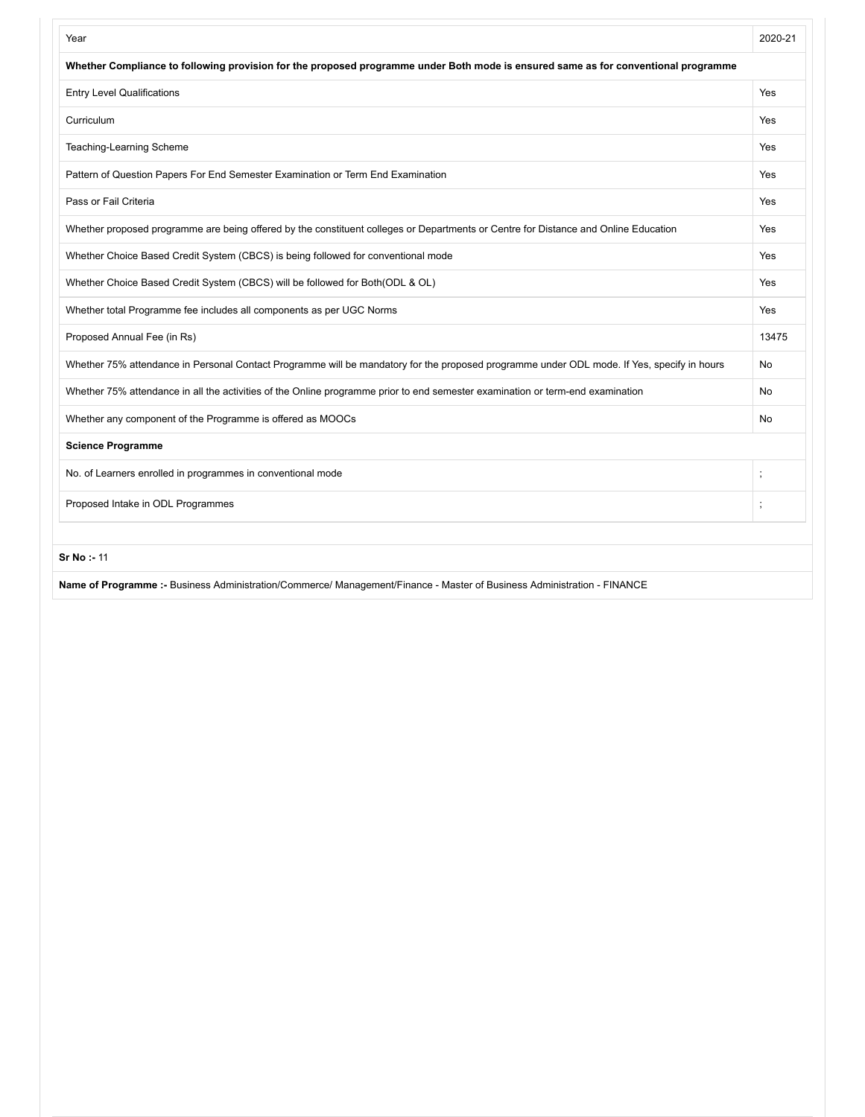| Whether Compliance to following provision for the proposed programme under Both mode is ensured same as for conventional programme<br><b>Entry Level Qualifications</b><br>Yes<br>Curriculum<br>Yes<br>Teaching-Learning Scheme<br>Yes<br>Pattern of Question Papers For End Semester Examination or Term End Examination<br>Yes<br>Pass or Fail Criteria<br>Yes<br>Whether proposed programme are being offered by the constituent colleges or Departments or Centre for Distance and Online Education<br>Yes<br>Whether Choice Based Credit System (CBCS) is being followed for conventional mode<br>Yes<br>Whether Choice Based Credit System (CBCS) will be followed for Both(ODL & OL)<br>Yes<br>Whether total Programme fee includes all components as per UGC Norms<br>Yes<br>Proposed Annual Fee (in Rs)<br>13475<br>Whether 75% attendance in Personal Contact Programme will be mandatory for the proposed programme under ODL mode. If Yes, specify in hours<br>No<br>Whether 75% attendance in all the activities of the Online programme prior to end semester examination or term-end examination<br>No<br>Whether any component of the Programme is offered as MOOCs<br>No<br><b>Science Programme</b><br>No. of Learners enrolled in programmes in conventional mode<br>Proposed Intake in ODL Programmes | Year | 2020-21 |
|---------------------------------------------------------------------------------------------------------------------------------------------------------------------------------------------------------------------------------------------------------------------------------------------------------------------------------------------------------------------------------------------------------------------------------------------------------------------------------------------------------------------------------------------------------------------------------------------------------------------------------------------------------------------------------------------------------------------------------------------------------------------------------------------------------------------------------------------------------------------------------------------------------------------------------------------------------------------------------------------------------------------------------------------------------------------------------------------------------------------------------------------------------------------------------------------------------------------------------------------------------------------------------------------------------------------------|------|---------|
|                                                                                                                                                                                                                                                                                                                                                                                                                                                                                                                                                                                                                                                                                                                                                                                                                                                                                                                                                                                                                                                                                                                                                                                                                                                                                                                           |      |         |
|                                                                                                                                                                                                                                                                                                                                                                                                                                                                                                                                                                                                                                                                                                                                                                                                                                                                                                                                                                                                                                                                                                                                                                                                                                                                                                                           |      |         |
|                                                                                                                                                                                                                                                                                                                                                                                                                                                                                                                                                                                                                                                                                                                                                                                                                                                                                                                                                                                                                                                                                                                                                                                                                                                                                                                           |      |         |
|                                                                                                                                                                                                                                                                                                                                                                                                                                                                                                                                                                                                                                                                                                                                                                                                                                                                                                                                                                                                                                                                                                                                                                                                                                                                                                                           |      |         |
|                                                                                                                                                                                                                                                                                                                                                                                                                                                                                                                                                                                                                                                                                                                                                                                                                                                                                                                                                                                                                                                                                                                                                                                                                                                                                                                           |      |         |
|                                                                                                                                                                                                                                                                                                                                                                                                                                                                                                                                                                                                                                                                                                                                                                                                                                                                                                                                                                                                                                                                                                                                                                                                                                                                                                                           |      |         |
|                                                                                                                                                                                                                                                                                                                                                                                                                                                                                                                                                                                                                                                                                                                                                                                                                                                                                                                                                                                                                                                                                                                                                                                                                                                                                                                           |      |         |
|                                                                                                                                                                                                                                                                                                                                                                                                                                                                                                                                                                                                                                                                                                                                                                                                                                                                                                                                                                                                                                                                                                                                                                                                                                                                                                                           |      |         |
|                                                                                                                                                                                                                                                                                                                                                                                                                                                                                                                                                                                                                                                                                                                                                                                                                                                                                                                                                                                                                                                                                                                                                                                                                                                                                                                           |      |         |
|                                                                                                                                                                                                                                                                                                                                                                                                                                                                                                                                                                                                                                                                                                                                                                                                                                                                                                                                                                                                                                                                                                                                                                                                                                                                                                                           |      |         |
|                                                                                                                                                                                                                                                                                                                                                                                                                                                                                                                                                                                                                                                                                                                                                                                                                                                                                                                                                                                                                                                                                                                                                                                                                                                                                                                           |      |         |
|                                                                                                                                                                                                                                                                                                                                                                                                                                                                                                                                                                                                                                                                                                                                                                                                                                                                                                                                                                                                                                                                                                                                                                                                                                                                                                                           |      |         |
|                                                                                                                                                                                                                                                                                                                                                                                                                                                                                                                                                                                                                                                                                                                                                                                                                                                                                                                                                                                                                                                                                                                                                                                                                                                                                                                           |      |         |
|                                                                                                                                                                                                                                                                                                                                                                                                                                                                                                                                                                                                                                                                                                                                                                                                                                                                                                                                                                                                                                                                                                                                                                                                                                                                                                                           |      |         |
|                                                                                                                                                                                                                                                                                                                                                                                                                                                                                                                                                                                                                                                                                                                                                                                                                                                                                                                                                                                                                                                                                                                                                                                                                                                                                                                           |      |         |
|                                                                                                                                                                                                                                                                                                                                                                                                                                                                                                                                                                                                                                                                                                                                                                                                                                                                                                                                                                                                                                                                                                                                                                                                                                                                                                                           |      |         |
|                                                                                                                                                                                                                                                                                                                                                                                                                                                                                                                                                                                                                                                                                                                                                                                                                                                                                                                                                                                                                                                                                                                                                                                                                                                                                                                           |      |         |
| Sr No: - 11                                                                                                                                                                                                                                                                                                                                                                                                                                                                                                                                                                                                                                                                                                                                                                                                                                                                                                                                                                                                                                                                                                                                                                                                                                                                                                               |      |         |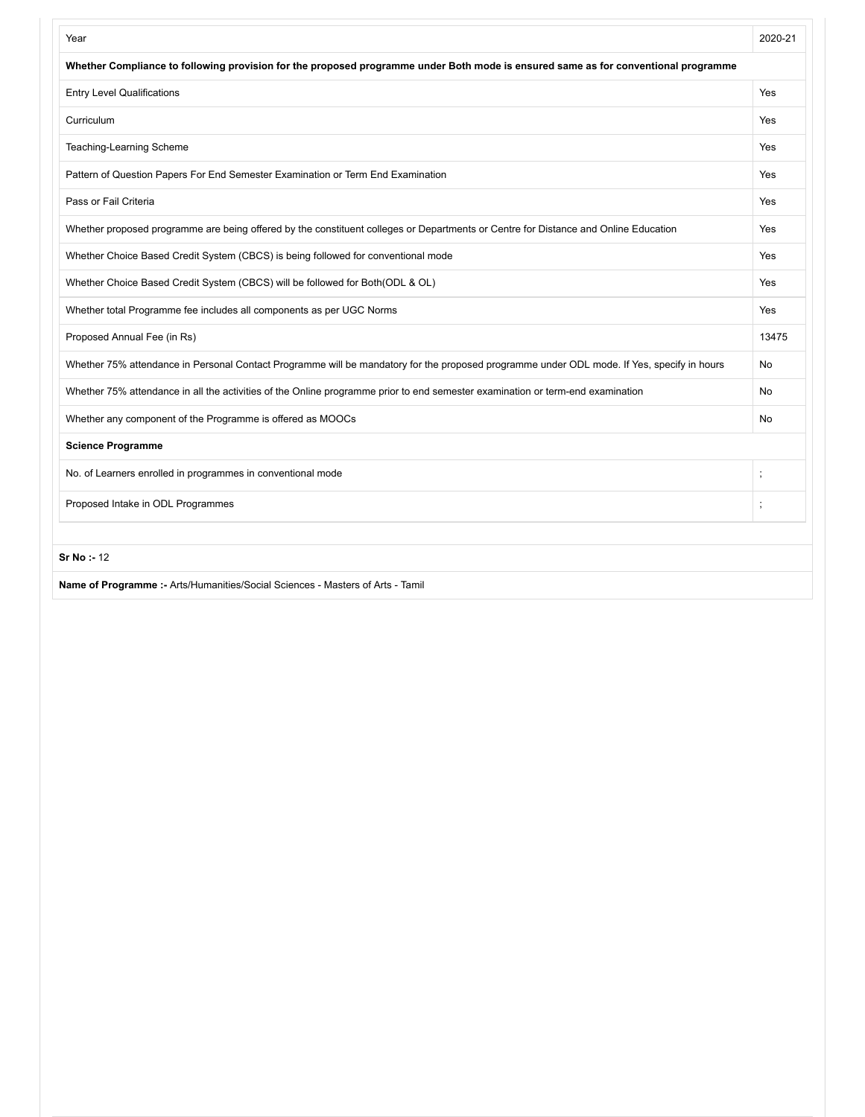| Year                                                                                                                                       | 2020-21 |
|--------------------------------------------------------------------------------------------------------------------------------------------|---------|
| Whether Compliance to following provision for the proposed programme under Both mode is ensured same as for conventional programme         |         |
| <b>Entry Level Qualifications</b>                                                                                                          | Yes     |
| Curriculum                                                                                                                                 | Yes     |
| Teaching-Learning Scheme                                                                                                                   | Yes     |
| Pattern of Question Papers For End Semester Examination or Term End Examination                                                            | Yes     |
| Pass or Fail Criteria                                                                                                                      | Yes     |
| Whether proposed programme are being offered by the constituent colleges or Departments or Centre for Distance and Online Education        | Yes     |
| Whether Choice Based Credit System (CBCS) is being followed for conventional mode                                                          | Yes     |
| Whether Choice Based Credit System (CBCS) will be followed for Both(ODL & OL)                                                              | Yes     |
| Whether total Programme fee includes all components as per UGC Norms                                                                       | Yes     |
| Proposed Annual Fee (in Rs)                                                                                                                | 13475   |
| Whether 75% attendance in Personal Contact Programme will be mandatory for the proposed programme under ODL mode. If Yes, specify in hours | No      |
| Whether 75% attendance in all the activities of the Online programme prior to end semester examination or term-end examination             | No      |
| Whether any component of the Programme is offered as MOOCs                                                                                 | No      |
| <b>Science Programme</b>                                                                                                                   |         |
| No. of Learners enrolled in programmes in conventional mode                                                                                |         |
| Proposed Intake in ODL Programmes                                                                                                          |         |
| Sr No: - 12                                                                                                                                |         |
| Name of Programme :- Arts/Humanities/Social Sciences - Masters of Arts - Tamil                                                             |         |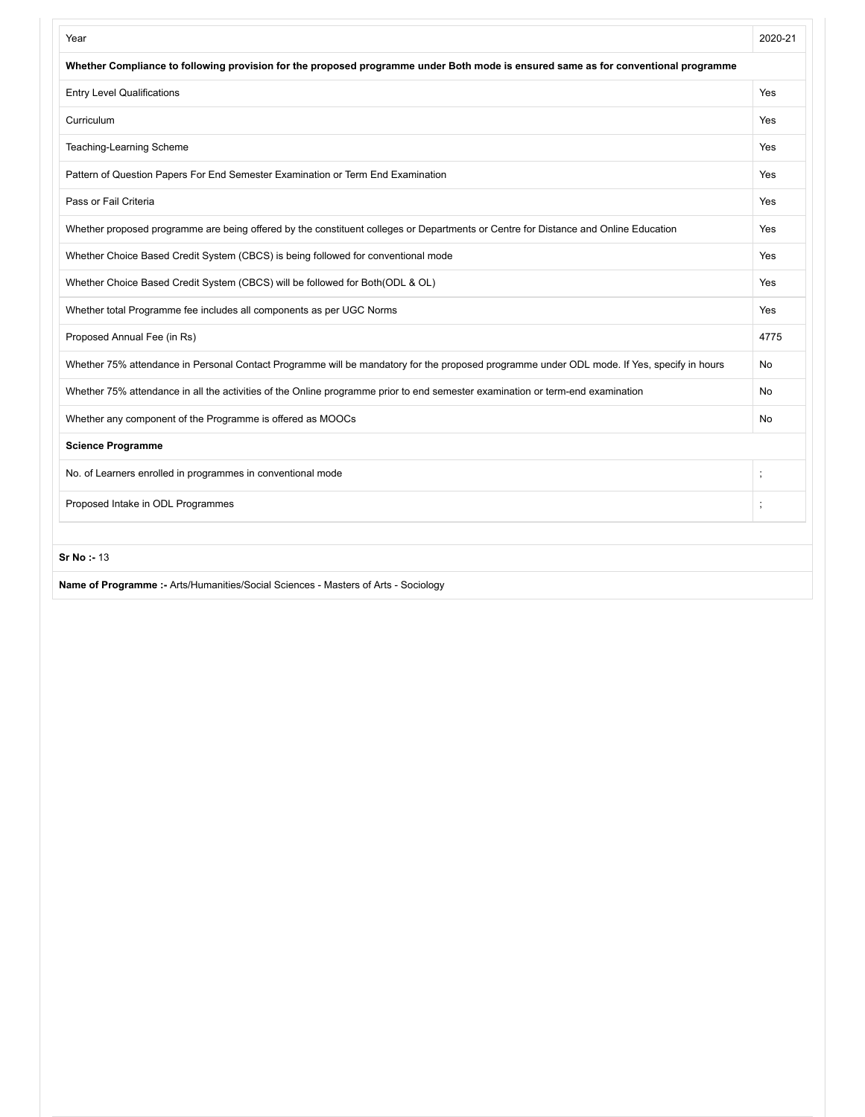| Year                                                                                                                                       | 2020-21 |
|--------------------------------------------------------------------------------------------------------------------------------------------|---------|
| Whether Compliance to following provision for the proposed programme under Both mode is ensured same as for conventional programme         |         |
| <b>Entry Level Qualifications</b>                                                                                                          | Yes     |
| Curriculum                                                                                                                                 | Yes     |
| Teaching-Learning Scheme                                                                                                                   | Yes     |
| Pattern of Question Papers For End Semester Examination or Term End Examination                                                            | Yes     |
| Pass or Fail Criteria                                                                                                                      | Yes     |
| Whether proposed programme are being offered by the constituent colleges or Departments or Centre for Distance and Online Education        | Yes     |
| Whether Choice Based Credit System (CBCS) is being followed for conventional mode                                                          | Yes     |
| Whether Choice Based Credit System (CBCS) will be followed for Both(ODL & OL)                                                              | Yes     |
| Whether total Programme fee includes all components as per UGC Norms                                                                       | Yes     |
| Proposed Annual Fee (in Rs)                                                                                                                | 4775    |
| Whether 75% attendance in Personal Contact Programme will be mandatory for the proposed programme under ODL mode. If Yes, specify in hours | No      |
| Whether 75% attendance in all the activities of the Online programme prior to end semester examination or term-end examination             | No      |
| Whether any component of the Programme is offered as MOOCs                                                                                 | No      |
| <b>Science Programme</b>                                                                                                                   |         |
| No. of Learners enrolled in programmes in conventional mode                                                                                |         |
| Proposed Intake in ODL Programmes                                                                                                          |         |
| Sr No: - 13                                                                                                                                |         |
| Name of Programme :- Arts/Humanities/Social Sciences - Masters of Arts - Sociology                                                         |         |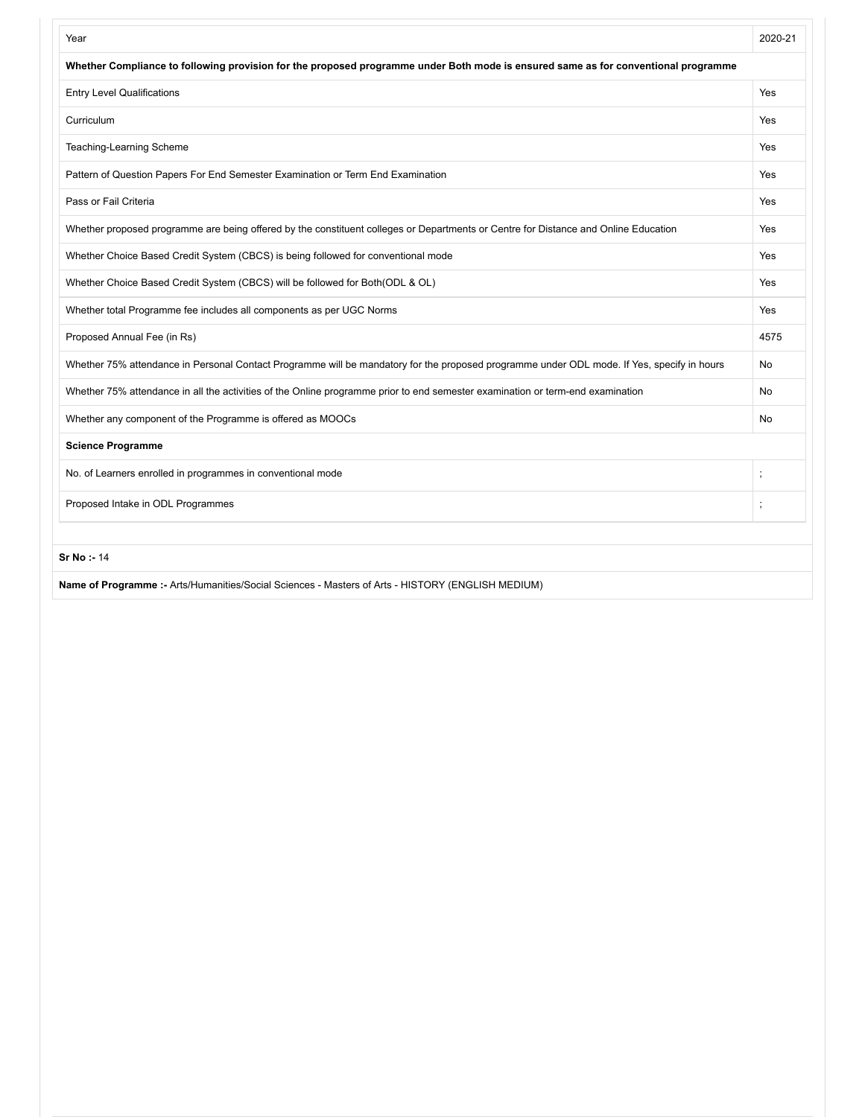| Year                                                                                                                                       | 2020-21                  |
|--------------------------------------------------------------------------------------------------------------------------------------------|--------------------------|
| Whether Compliance to following provision for the proposed programme under Both mode is ensured same as for conventional programme         |                          |
| <b>Entry Level Qualifications</b>                                                                                                          | Yes                      |
| Curriculum                                                                                                                                 | Yes                      |
| Teaching-Learning Scheme                                                                                                                   | Yes                      |
| Pattern of Question Papers For End Semester Examination or Term End Examination                                                            | Yes                      |
| Pass or Fail Criteria                                                                                                                      | Yes                      |
| Whether proposed programme are being offered by the constituent colleges or Departments or Centre for Distance and Online Education        | Yes                      |
| Whether Choice Based Credit System (CBCS) is being followed for conventional mode                                                          | Yes                      |
| Whether Choice Based Credit System (CBCS) will be followed for Both(ODL & OL)                                                              | Yes                      |
| Whether total Programme fee includes all components as per UGC Norms                                                                       | Yes                      |
| Proposed Annual Fee (in Rs)                                                                                                                | 4575                     |
| Whether 75% attendance in Personal Contact Programme will be mandatory for the proposed programme under ODL mode. If Yes, specify in hours | No                       |
| Whether 75% attendance in all the activities of the Online programme prior to end semester examination or term-end examination             | No                       |
| Whether any component of the Programme is offered as MOOCs                                                                                 | No                       |
| <b>Science Programme</b>                                                                                                                   |                          |
| No. of Learners enrolled in programmes in conventional mode                                                                                |                          |
| Proposed Intake in ODL Programmes                                                                                                          | $\overline{\phantom{a}}$ |
| Sr No: - 14                                                                                                                                |                          |
| Name of Programme :- Arts/Humanities/Social Sciences - Masters of Arts - HISTORY (ENGLISH MEDIUM)                                          |                          |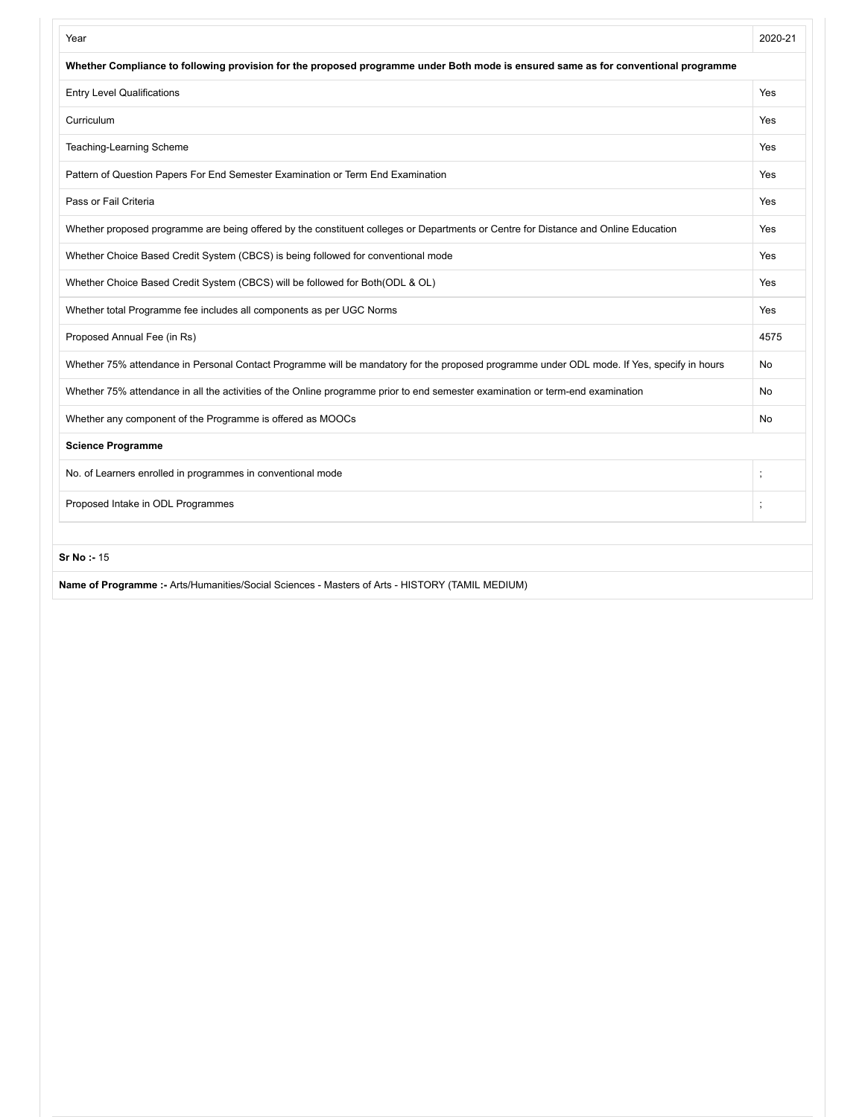| Year                                                                                                                                       | 2020-21                  |
|--------------------------------------------------------------------------------------------------------------------------------------------|--------------------------|
| Whether Compliance to following provision for the proposed programme under Both mode is ensured same as for conventional programme         |                          |
| <b>Entry Level Qualifications</b>                                                                                                          | Yes                      |
| Curriculum                                                                                                                                 | Yes                      |
| Teaching-Learning Scheme                                                                                                                   | Yes                      |
| Pattern of Question Papers For End Semester Examination or Term End Examination                                                            | Yes                      |
| Pass or Fail Criteria                                                                                                                      | Yes                      |
| Whether proposed programme are being offered by the constituent colleges or Departments or Centre for Distance and Online Education        | Yes                      |
| Whether Choice Based Credit System (CBCS) is being followed for conventional mode                                                          | Yes                      |
| Whether Choice Based Credit System (CBCS) will be followed for Both(ODL & OL)                                                              | Yes                      |
| Whether total Programme fee includes all components as per UGC Norms                                                                       | Yes                      |
| Proposed Annual Fee (in Rs)                                                                                                                | 4575                     |
| Whether 75% attendance in Personal Contact Programme will be mandatory for the proposed programme under ODL mode. If Yes, specify in hours | No                       |
| Whether 75% attendance in all the activities of the Online programme prior to end semester examination or term-end examination             | No                       |
| Whether any component of the Programme is offered as MOOCs                                                                                 | No                       |
| <b>Science Programme</b>                                                                                                                   |                          |
| No. of Learners enrolled in programmes in conventional mode                                                                                |                          |
| Proposed Intake in ODL Programmes                                                                                                          | $\overline{\phantom{a}}$ |
| Sr No: - 15                                                                                                                                |                          |
| Name of Programme :- Arts/Humanities/Social Sciences - Masters of Arts - HISTORY (TAMIL MEDIUM)                                            |                          |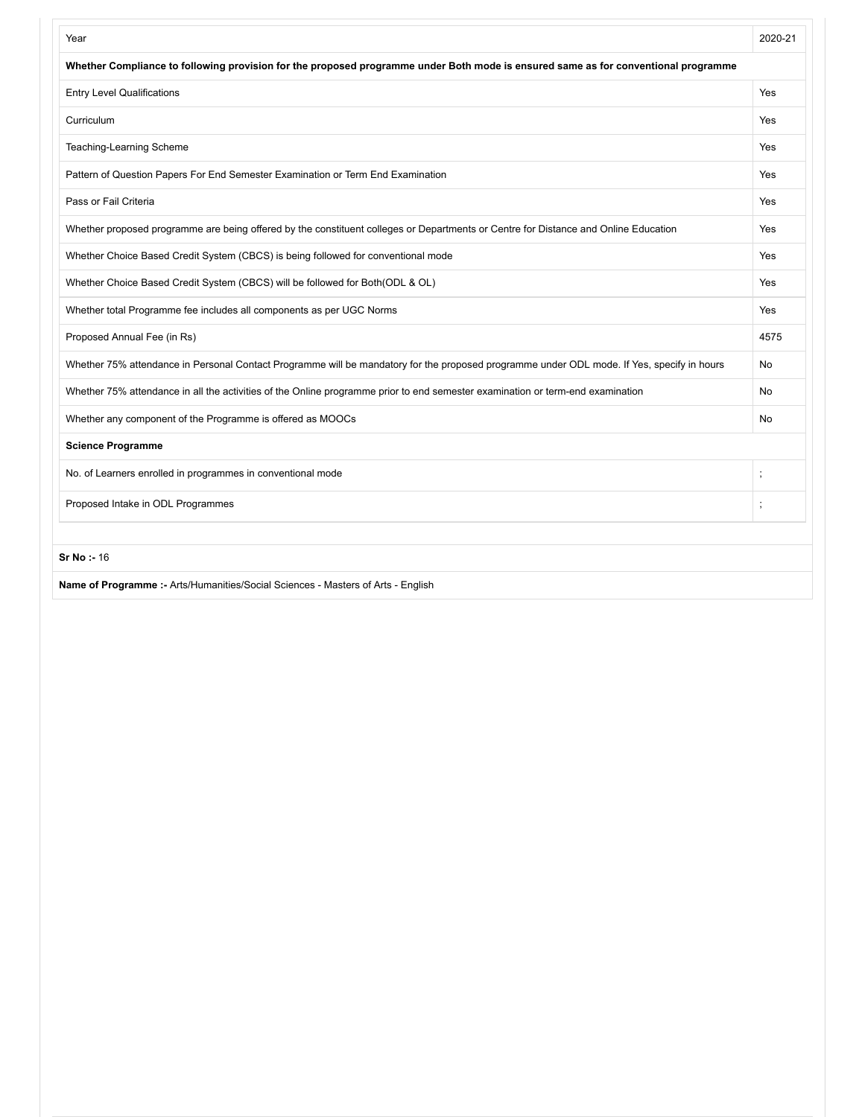| Year                                                                                                                                       | 2020-21 |
|--------------------------------------------------------------------------------------------------------------------------------------------|---------|
| Whether Compliance to following provision for the proposed programme under Both mode is ensured same as for conventional programme         |         |
| <b>Entry Level Qualifications</b>                                                                                                          | Yes     |
| Curriculum                                                                                                                                 | Yes     |
| Teaching-Learning Scheme                                                                                                                   | Yes     |
| Pattern of Question Papers For End Semester Examination or Term End Examination                                                            | Yes     |
| Pass or Fail Criteria                                                                                                                      | Yes     |
| Whether proposed programme are being offered by the constituent colleges or Departments or Centre for Distance and Online Education        | Yes     |
| Whether Choice Based Credit System (CBCS) is being followed for conventional mode                                                          | Yes     |
| Whether Choice Based Credit System (CBCS) will be followed for Both(ODL & OL)                                                              | Yes     |
| Whether total Programme fee includes all components as per UGC Norms                                                                       | Yes     |
| Proposed Annual Fee (in Rs)                                                                                                                | 4575    |
| Whether 75% attendance in Personal Contact Programme will be mandatory for the proposed programme under ODL mode. If Yes, specify in hours | No      |
| Whether 75% attendance in all the activities of the Online programme prior to end semester examination or term-end examination             | No      |
| Whether any component of the Programme is offered as MOOCs                                                                                 | No      |
| <b>Science Programme</b>                                                                                                                   |         |
| No. of Learners enrolled in programmes in conventional mode                                                                                |         |
| Proposed Intake in ODL Programmes                                                                                                          |         |
| Sr No: - 16                                                                                                                                |         |
| Name of Programme :- Arts/Humanities/Social Sciences - Masters of Arts - English                                                           |         |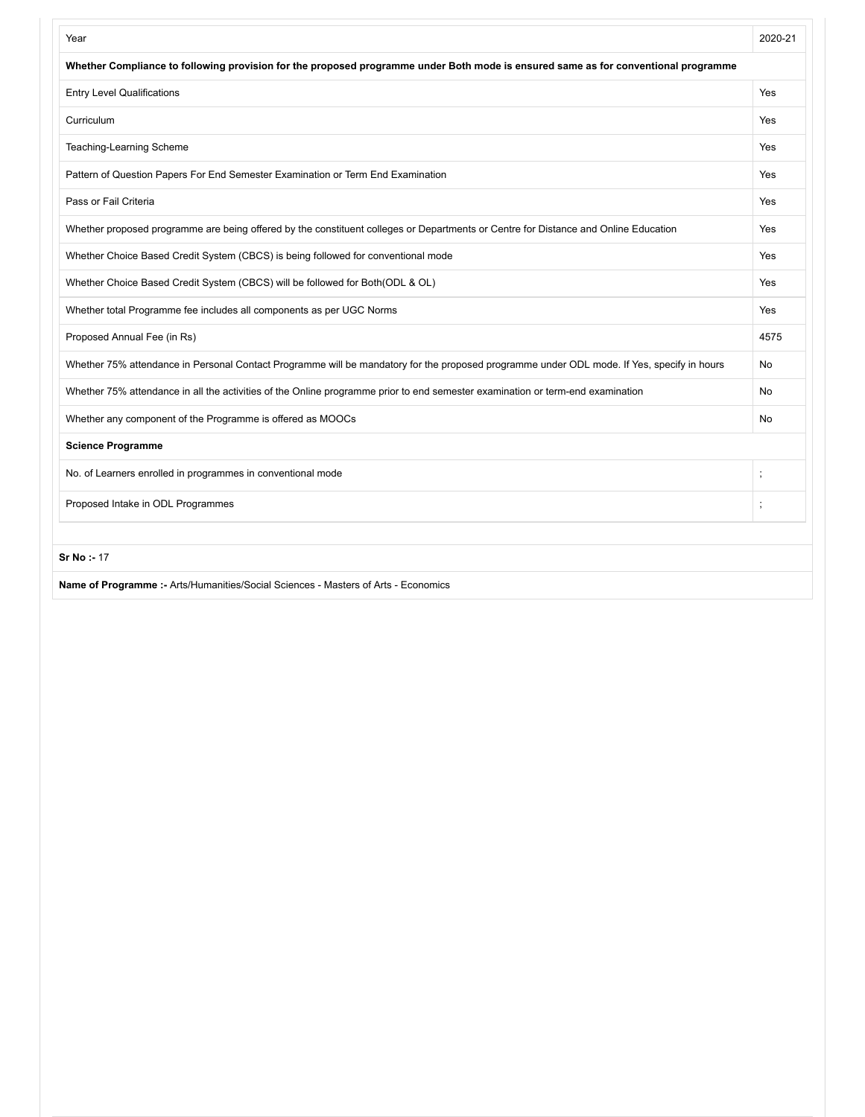| Year                                                                                                                                       | 2020-21  |
|--------------------------------------------------------------------------------------------------------------------------------------------|----------|
| Whether Compliance to following provision for the proposed programme under Both mode is ensured same as for conventional programme         |          |
| <b>Entry Level Qualifications</b>                                                                                                          | Yes      |
| Curriculum                                                                                                                                 | Yes      |
| Teaching-Learning Scheme                                                                                                                   | Yes      |
| Pattern of Question Papers For End Semester Examination or Term End Examination                                                            | Yes      |
| Pass or Fail Criteria                                                                                                                      | Yes      |
| Whether proposed programme are being offered by the constituent colleges or Departments or Centre for Distance and Online Education        | Yes      |
| Whether Choice Based Credit System (CBCS) is being followed for conventional mode                                                          | Yes      |
| Whether Choice Based Credit System (CBCS) will be followed for Both(ODL & OL)                                                              | Yes      |
| Whether total Programme fee includes all components as per UGC Norms                                                                       | Yes      |
| Proposed Annual Fee (in Rs)                                                                                                                | 4575     |
| Whether 75% attendance in Personal Contact Programme will be mandatory for the proposed programme under ODL mode. If Yes, specify in hours | No       |
| Whether 75% attendance in all the activities of the Online programme prior to end semester examination or term-end examination             | No       |
| Whether any component of the Programme is offered as MOOCs                                                                                 | No       |
| <b>Science Programme</b>                                                                                                                   |          |
| No. of Learners enrolled in programmes in conventional mode                                                                                | $\vdots$ |
| Proposed Intake in ODL Programmes                                                                                                          |          |
| <b>Sr No: - 17</b>                                                                                                                         |          |
| Name of Programme :- Arts/Humanities/Social Sciences - Masters of Arts - Economics                                                         |          |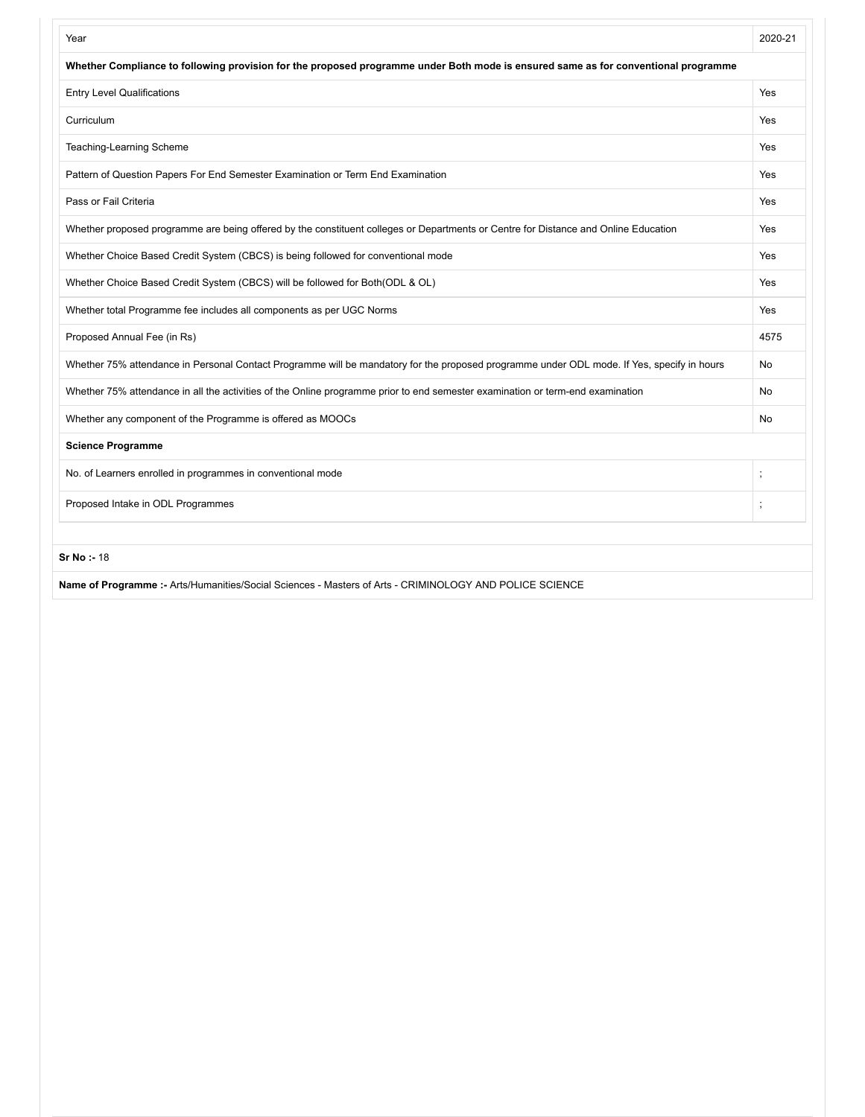| Year                                                                                                                                       | 2020-21 |
|--------------------------------------------------------------------------------------------------------------------------------------------|---------|
| Whether Compliance to following provision for the proposed programme under Both mode is ensured same as for conventional programme         |         |
| <b>Entry Level Qualifications</b>                                                                                                          | Yes     |
| Curriculum                                                                                                                                 | Yes     |
| Teaching-Learning Scheme                                                                                                                   | Yes     |
| Pattern of Question Papers For End Semester Examination or Term End Examination                                                            | Yes     |
| Pass or Fail Criteria                                                                                                                      | Yes     |
| Whether proposed programme are being offered by the constituent colleges or Departments or Centre for Distance and Online Education        | Yes     |
| Whether Choice Based Credit System (CBCS) is being followed for conventional mode                                                          | Yes     |
| Whether Choice Based Credit System (CBCS) will be followed for Both(ODL & OL)                                                              | Yes     |
| Whether total Programme fee includes all components as per UGC Norms                                                                       | Yes     |
| Proposed Annual Fee (in Rs)                                                                                                                | 4575    |
| Whether 75% attendance in Personal Contact Programme will be mandatory for the proposed programme under ODL mode. If Yes, specify in hours | No      |
| Whether 75% attendance in all the activities of the Online programme prior to end semester examination or term-end examination             | No      |
| Whether any component of the Programme is offered as MOOCs                                                                                 | No      |
| <b>Science Programme</b>                                                                                                                   |         |
| No. of Learners enrolled in programmes in conventional mode                                                                                |         |
| Proposed Intake in ODL Programmes                                                                                                          |         |
| Sr No: 18                                                                                                                                  |         |
| Name of Programme :- Arts/Humanities/Social Sciences - Masters of Arts - CRIMINOLOGY AND POLICE SCIENCE                                    |         |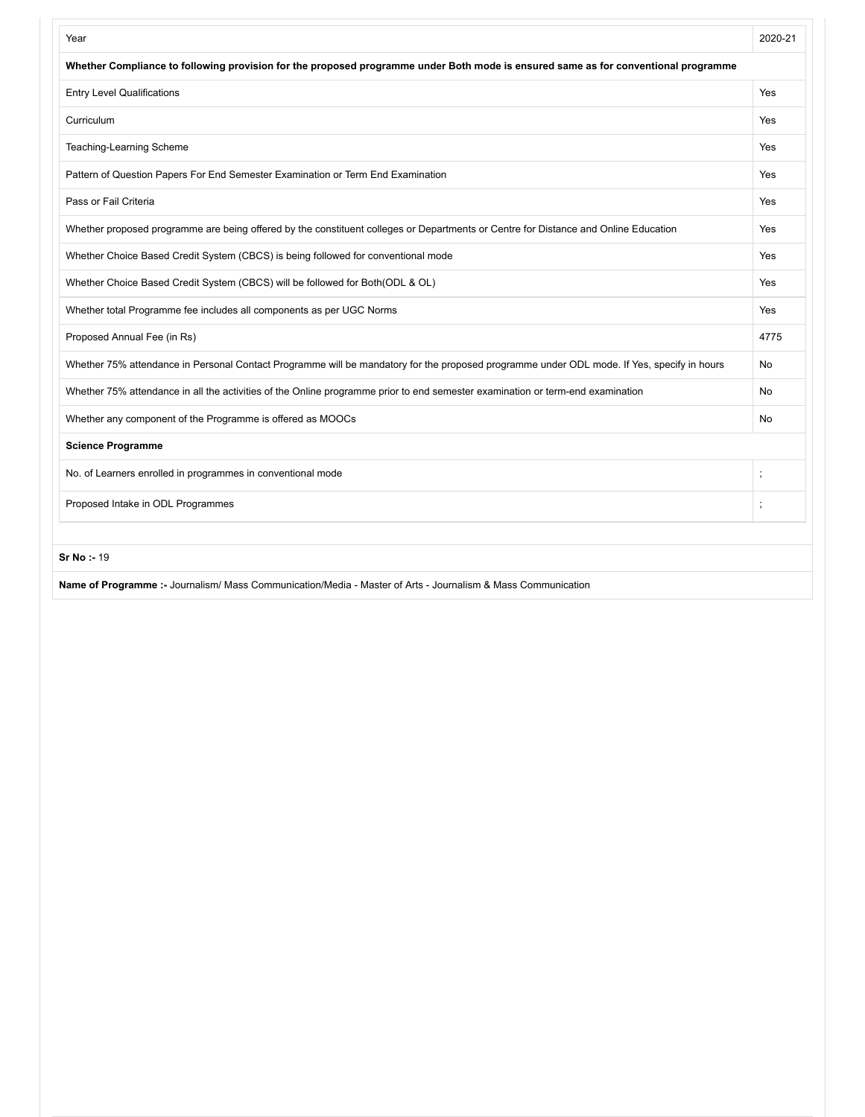| Year                                                                                                                                       | 2020-21 |
|--------------------------------------------------------------------------------------------------------------------------------------------|---------|
| Whether Compliance to following provision for the proposed programme under Both mode is ensured same as for conventional programme         |         |
| <b>Entry Level Qualifications</b>                                                                                                          | Yes     |
| Curriculum                                                                                                                                 | Yes     |
| Teaching-Learning Scheme                                                                                                                   | Yes     |
| Pattern of Question Papers For End Semester Examination or Term End Examination                                                            | Yes     |
| Pass or Fail Criteria                                                                                                                      | Yes     |
| Whether proposed programme are being offered by the constituent colleges or Departments or Centre for Distance and Online Education        | Yes     |
| Whether Choice Based Credit System (CBCS) is being followed for conventional mode                                                          | Yes     |
| Whether Choice Based Credit System (CBCS) will be followed for Both(ODL & OL)                                                              | Yes     |
| Whether total Programme fee includes all components as per UGC Norms                                                                       | Yes     |
| Proposed Annual Fee (in Rs)                                                                                                                | 4775    |
| Whether 75% attendance in Personal Contact Programme will be mandatory for the proposed programme under ODL mode. If Yes, specify in hours | No      |
| Whether 75% attendance in all the activities of the Online programme prior to end semester examination or term-end examination             | No      |
| Whether any component of the Programme is offered as MOOCs                                                                                 | No      |
| <b>Science Programme</b>                                                                                                                   |         |
| No. of Learners enrolled in programmes in conventional mode                                                                                |         |
| Proposed Intake in ODL Programmes                                                                                                          |         |
| <b>Sr No: 19</b>                                                                                                                           |         |
| Name of Programme :- Journalism/ Mass Communication/Media - Master of Arts - Journalism & Mass Communication                               |         |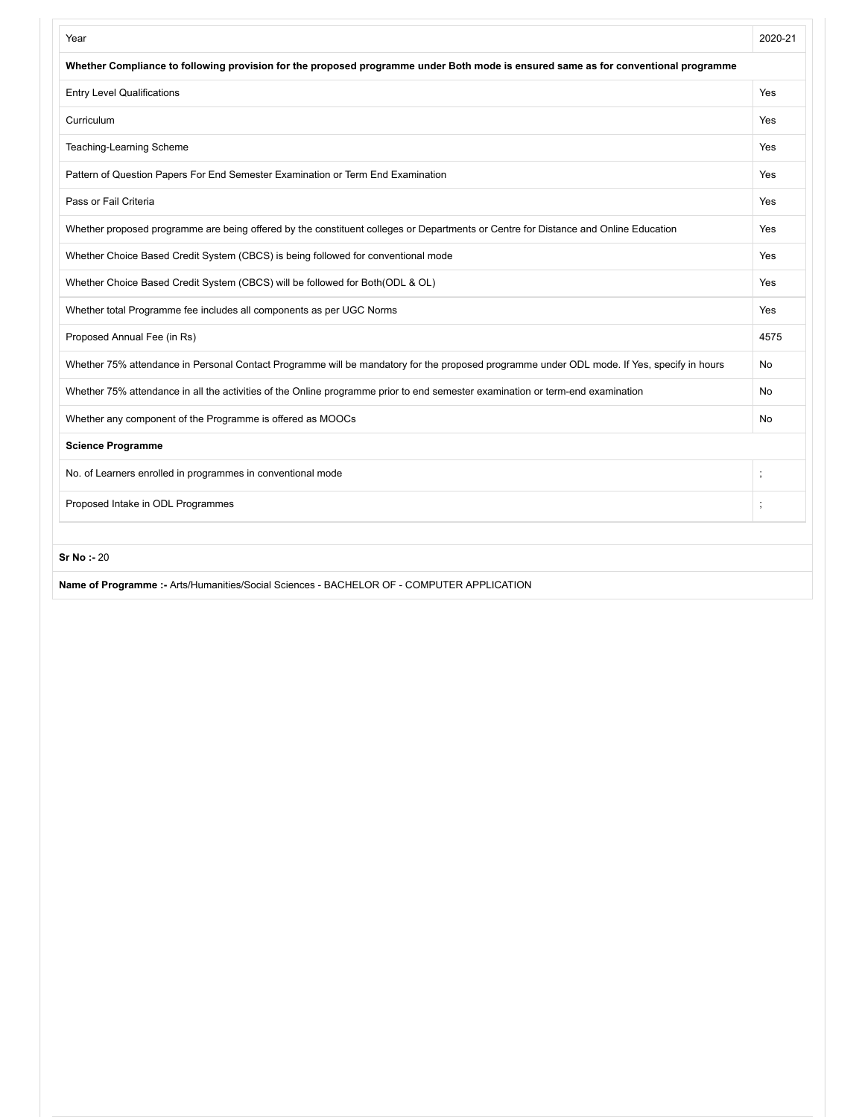| Year                                                                                                                                       | 2020-21 |
|--------------------------------------------------------------------------------------------------------------------------------------------|---------|
| Whether Compliance to following provision for the proposed programme under Both mode is ensured same as for conventional programme         |         |
| <b>Entry Level Qualifications</b>                                                                                                          | Yes     |
| Curriculum                                                                                                                                 | Yes     |
| Teaching-Learning Scheme                                                                                                                   | Yes     |
| Pattern of Question Papers For End Semester Examination or Term End Examination                                                            | Yes     |
| Pass or Fail Criteria                                                                                                                      | Yes     |
| Whether proposed programme are being offered by the constituent colleges or Departments or Centre for Distance and Online Education        | Yes     |
| Whether Choice Based Credit System (CBCS) is being followed for conventional mode                                                          | Yes     |
| Whether Choice Based Credit System (CBCS) will be followed for Both(ODL & OL)                                                              | Yes     |
| Whether total Programme fee includes all components as per UGC Norms                                                                       | Yes     |
| Proposed Annual Fee (in Rs)                                                                                                                | 4575    |
| Whether 75% attendance in Personal Contact Programme will be mandatory for the proposed programme under ODL mode. If Yes, specify in hours | No      |
| Whether 75% attendance in all the activities of the Online programme prior to end semester examination or term-end examination             | No      |
| Whether any component of the Programme is offered as MOOCs                                                                                 | No      |
| <b>Science Programme</b>                                                                                                                   |         |
| No. of Learners enrolled in programmes in conventional mode                                                                                |         |
| Proposed Intake in ODL Programmes                                                                                                          |         |
| <b>Sr No:-20</b>                                                                                                                           |         |
| Name of Programme :- Arts/Humanities/Social Sciences - BACHELOR OF - COMPUTER APPLICATION                                                  |         |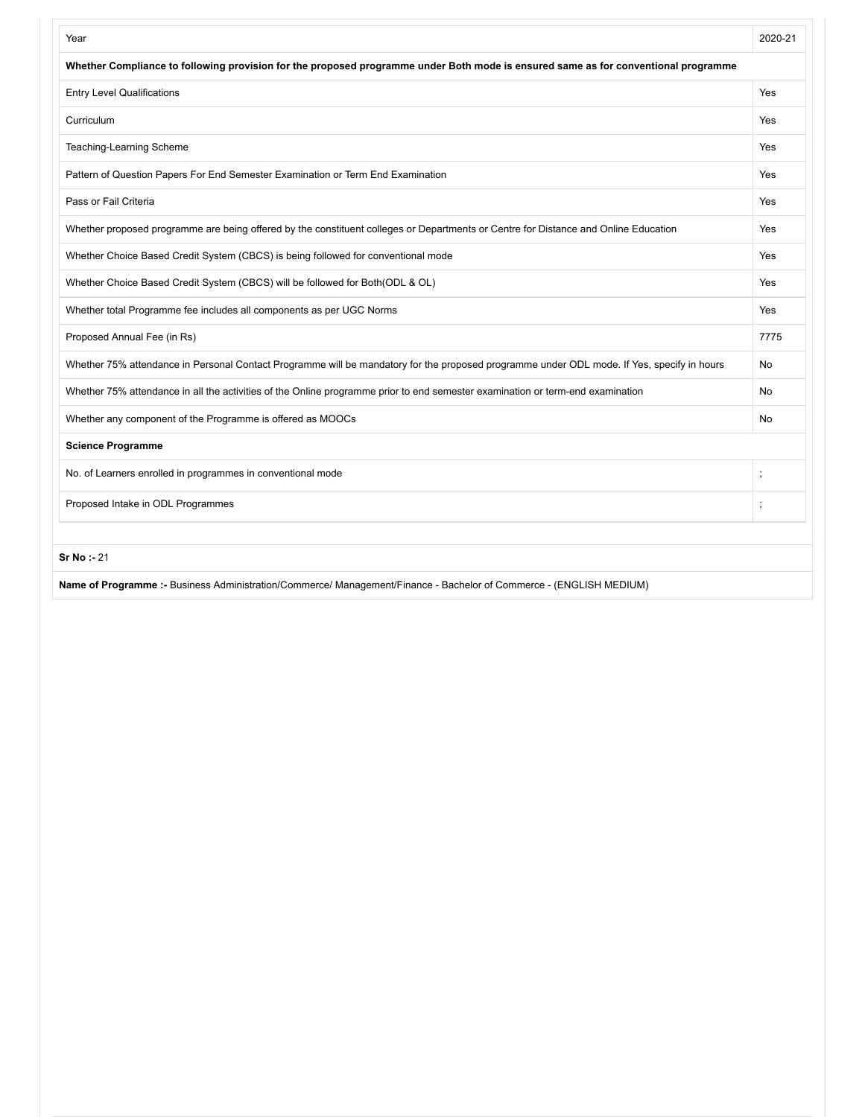| Year                                                                                                                                       | 2020-21        |
|--------------------------------------------------------------------------------------------------------------------------------------------|----------------|
| Whether Compliance to following provision for the proposed programme under Both mode is ensured same as for conventional programme         |                |
| <b>Entry Level Qualifications</b>                                                                                                          | Yes            |
| Curriculum                                                                                                                                 | Yes            |
| Teaching-Learning Scheme                                                                                                                   | Yes            |
| Pattern of Question Papers For End Semester Examination or Term End Examination                                                            | Yes            |
| Pass or Fail Criteria                                                                                                                      | Yes            |
| Whether proposed programme are being offered by the constituent colleges or Departments or Centre for Distance and Online Education        | Yes            |
| Whether Choice Based Credit System (CBCS) is being followed for conventional mode                                                          | Yes            |
| Whether Choice Based Credit System (CBCS) will be followed for Both(ODL & OL)                                                              | Yes            |
| Whether total Programme fee includes all components as per UGC Norms                                                                       | Yes            |
| Proposed Annual Fee (in Rs)                                                                                                                | 7775           |
| Whether 75% attendance in Personal Contact Programme will be mandatory for the proposed programme under ODL mode. If Yes, specify in hours | No             |
| Whether 75% attendance in all the activities of the Online programme prior to end semester examination or term-end examination             | No             |
| Whether any component of the Programme is offered as MOOCs                                                                                 | No             |
| <b>Science Programme</b>                                                                                                                   |                |
| No. of Learners enrolled in programmes in conventional mode                                                                                | $\ddot{\cdot}$ |
| Proposed Intake in ODL Programmes                                                                                                          |                |
|                                                                                                                                            |                |
| Sr No: - 21                                                                                                                                |                |

**Name of Programme :-** Business Administration/Commerce/ Management/Finance - Bachelor of Commerce - (ENGLISH MEDIUM)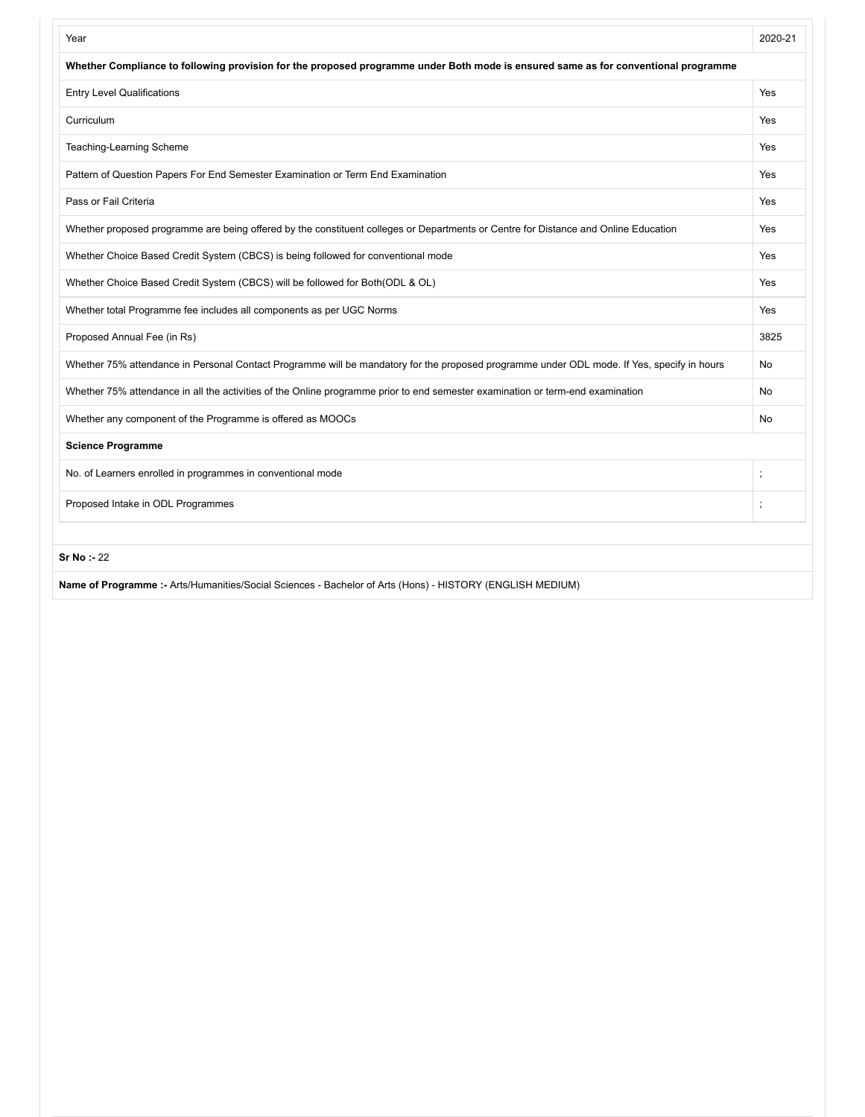| Year                                                                                                                                       | 2020-21  |
|--------------------------------------------------------------------------------------------------------------------------------------------|----------|
| Whether Compliance to following provision for the proposed programme under Both mode is ensured same as for conventional programme         |          |
| <b>Entry Level Qualifications</b>                                                                                                          | Yes      |
| Curriculum                                                                                                                                 | Yes      |
| Teaching-Learning Scheme                                                                                                                   | Yes      |
| Pattern of Question Papers For End Semester Examination or Term End Examination                                                            | Yes      |
| Pass or Fail Criteria                                                                                                                      | Yes      |
| Whether proposed programme are being offered by the constituent colleges or Departments or Centre for Distance and Online Education        | Yes      |
| Whether Choice Based Credit System (CBCS) is being followed for conventional mode                                                          | Yes      |
| Whether Choice Based Credit System (CBCS) will be followed for Both(ODL & OL)                                                              | Yes      |
| Whether total Programme fee includes all components as per UGC Norms                                                                       | Yes      |
| Proposed Annual Fee (in Rs)                                                                                                                | 3825     |
| Whether 75% attendance in Personal Contact Programme will be mandatory for the proposed programme under ODL mode. If Yes, specify in hours | No       |
| Whether 75% attendance in all the activities of the Online programme prior to end semester examination or term-end examination             | No       |
| Whether any component of the Programme is offered as MOOCs                                                                                 | No       |
| <b>Science Programme</b>                                                                                                                   |          |
| No. of Learners enrolled in programmes in conventional mode                                                                                | $\vdots$ |
| Proposed Intake in ODL Programmes                                                                                                          |          |
| Sr No : 22                                                                                                                                 |          |
| Name of Programme :- Arts/Humanities/Social Sciences - Bachelor of Arts (Hons) - HISTORY (ENGLISH MEDIUM)                                  |          |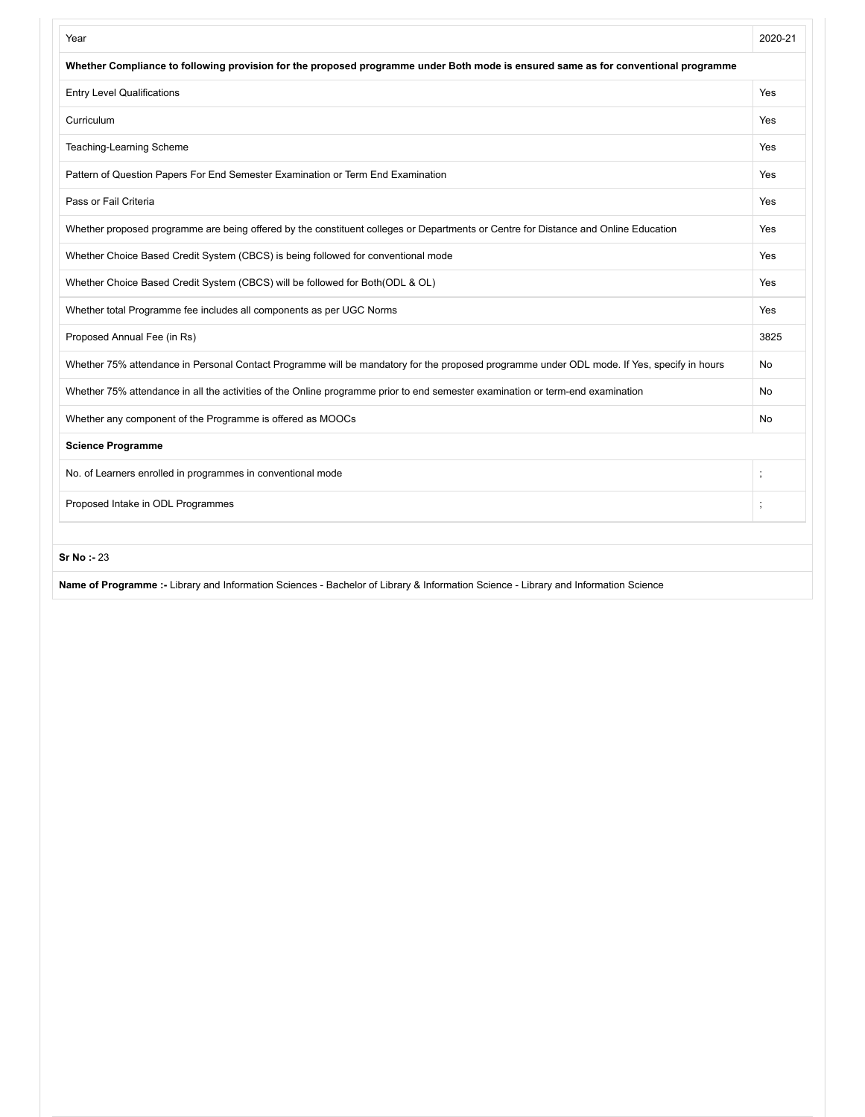| Year                                                                                                                                       | 2020-21  |
|--------------------------------------------------------------------------------------------------------------------------------------------|----------|
| Whether Compliance to following provision for the proposed programme under Both mode is ensured same as for conventional programme         |          |
| <b>Entry Level Qualifications</b>                                                                                                          | Yes      |
| Curriculum                                                                                                                                 | Yes      |
| Teaching-Learning Scheme                                                                                                                   | Yes      |
| Pattern of Question Papers For End Semester Examination or Term End Examination                                                            | Yes      |
| Pass or Fail Criteria                                                                                                                      | Yes      |
| Whether proposed programme are being offered by the constituent colleges or Departments or Centre for Distance and Online Education        | Yes      |
| Whether Choice Based Credit System (CBCS) is being followed for conventional mode                                                          | Yes      |
| Whether Choice Based Credit System (CBCS) will be followed for Both(ODL & OL)                                                              | Yes      |
| Whether total Programme fee includes all components as per UGC Norms                                                                       | Yes      |
| Proposed Annual Fee (in Rs)                                                                                                                | 3825     |
| Whether 75% attendance in Personal Contact Programme will be mandatory for the proposed programme under ODL mode. If Yes, specify in hours | No       |
| Whether 75% attendance in all the activities of the Online programme prior to end semester examination or term-end examination             | No       |
| Whether any component of the Programme is offered as MOOCs                                                                                 | No       |
| <b>Science Programme</b>                                                                                                                   |          |
| No. of Learners enrolled in programmes in conventional mode                                                                                | $\vdots$ |
| Proposed Intake in ODL Programmes                                                                                                          |          |
|                                                                                                                                            |          |
| <b>Sr No: - 23</b>                                                                                                                         |          |

**Name of Programme :-** Library and Information Sciences - Bachelor of Library & Information Science - Library and Information Science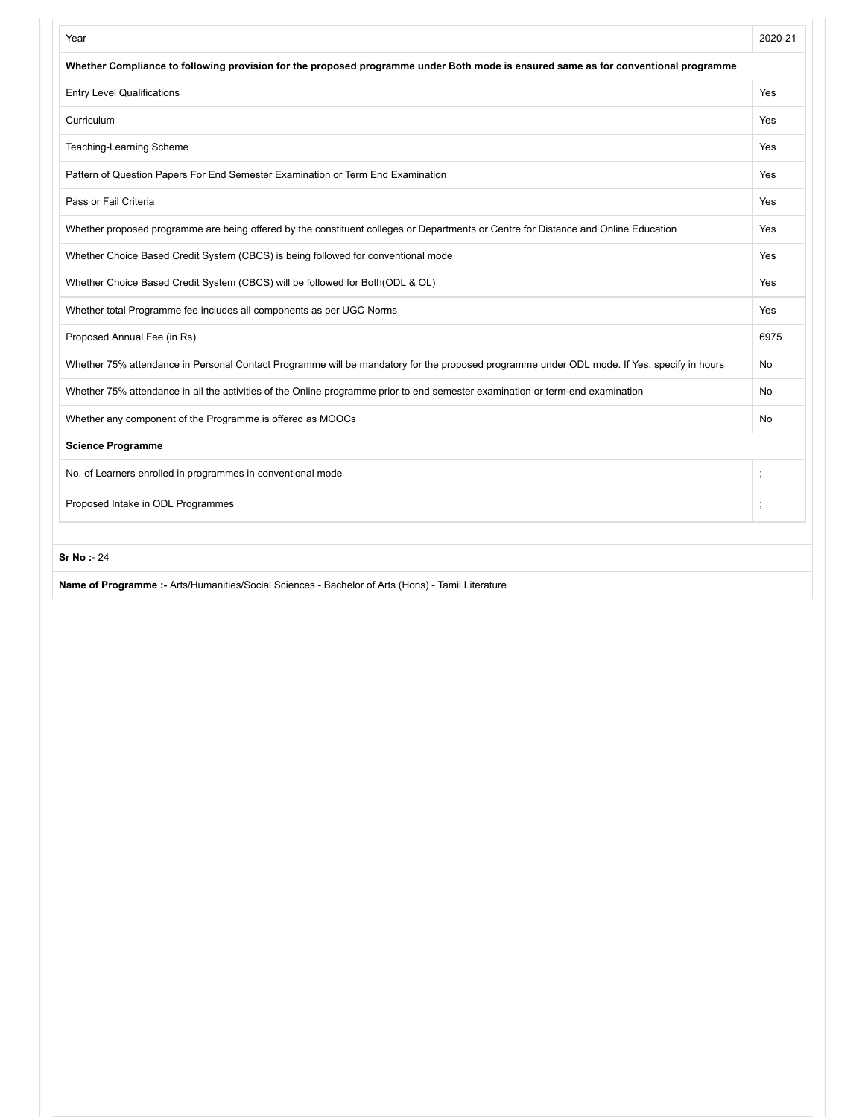| Year                                                                                                                                       | 2020-21  |
|--------------------------------------------------------------------------------------------------------------------------------------------|----------|
| Whether Compliance to following provision for the proposed programme under Both mode is ensured same as for conventional programme         |          |
| <b>Entry Level Qualifications</b>                                                                                                          | Yes      |
| Curriculum                                                                                                                                 | Yes      |
| Teaching-Learning Scheme                                                                                                                   | Yes      |
| Pattern of Question Papers For End Semester Examination or Term End Examination                                                            | Yes      |
| Pass or Fail Criteria                                                                                                                      | Yes      |
| Whether proposed programme are being offered by the constituent colleges or Departments or Centre for Distance and Online Education        | Yes      |
| Whether Choice Based Credit System (CBCS) is being followed for conventional mode                                                          | Yes      |
| Whether Choice Based Credit System (CBCS) will be followed for Both(ODL & OL)                                                              | Yes      |
| Whether total Programme fee includes all components as per UGC Norms                                                                       | Yes      |
| Proposed Annual Fee (in Rs)                                                                                                                | 6975     |
| Whether 75% attendance in Personal Contact Programme will be mandatory for the proposed programme under ODL mode. If Yes, specify in hours | No       |
| Whether 75% attendance in all the activities of the Online programme prior to end semester examination or term-end examination             | No       |
| Whether any component of the Programme is offered as MOOCs                                                                                 | No       |
| <b>Science Programme</b>                                                                                                                   |          |
| No. of Learners enrolled in programmes in conventional mode                                                                                | $\vdots$ |
| Proposed Intake in ODL Programmes                                                                                                          |          |
| <b>Sr No: - 24</b>                                                                                                                         |          |
| Name of Programme :- Arts/Humanities/Social Sciences - Bachelor of Arts (Hons) - Tamil Literature                                          |          |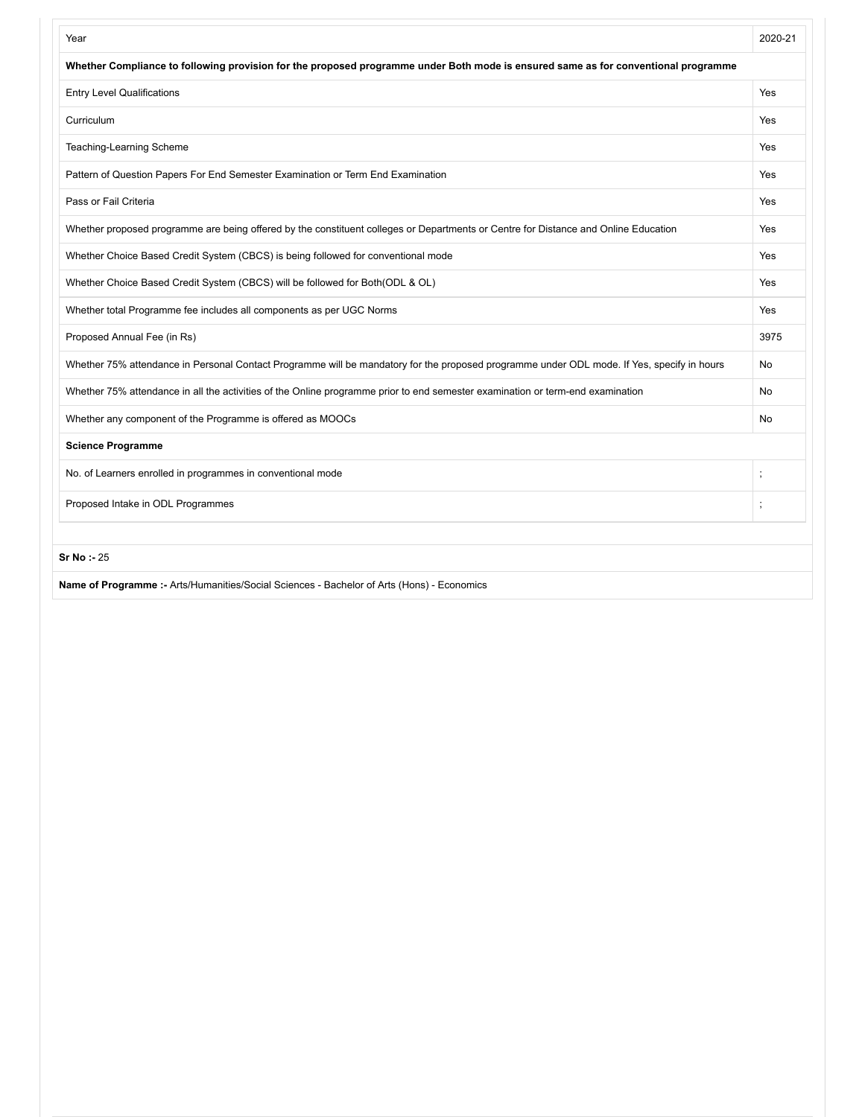| Year                                                                                                                                       | 2020-21  |
|--------------------------------------------------------------------------------------------------------------------------------------------|----------|
| Whether Compliance to following provision for the proposed programme under Both mode is ensured same as for conventional programme         |          |
| <b>Entry Level Qualifications</b>                                                                                                          | Yes      |
| Curriculum                                                                                                                                 | Yes      |
| Teaching-Learning Scheme                                                                                                                   | Yes      |
| Pattern of Question Papers For End Semester Examination or Term End Examination                                                            | Yes      |
| Pass or Fail Criteria                                                                                                                      | Yes      |
| Whether proposed programme are being offered by the constituent colleges or Departments or Centre for Distance and Online Education        | Yes      |
| Whether Choice Based Credit System (CBCS) is being followed for conventional mode                                                          | Yes      |
| Whether Choice Based Credit System (CBCS) will be followed for Both(ODL & OL)                                                              | Yes      |
| Whether total Programme fee includes all components as per UGC Norms                                                                       | Yes      |
| Proposed Annual Fee (in Rs)                                                                                                                | 3975     |
| Whether 75% attendance in Personal Contact Programme will be mandatory for the proposed programme under ODL mode. If Yes, specify in hours | No       |
| Whether 75% attendance in all the activities of the Online programme prior to end semester examination or term-end examination             | No       |
| Whether any component of the Programme is offered as MOOCs                                                                                 | No       |
| <b>Science Programme</b>                                                                                                                   |          |
| No. of Learners enrolled in programmes in conventional mode                                                                                | $\vdots$ |
| Proposed Intake in ODL Programmes                                                                                                          | $\vdots$ |
| <b>Sr No: - 25</b>                                                                                                                         |          |
| Name of Programme :- Arts/Humanities/Social Sciences - Bachelor of Arts (Hons) - Economics                                                 |          |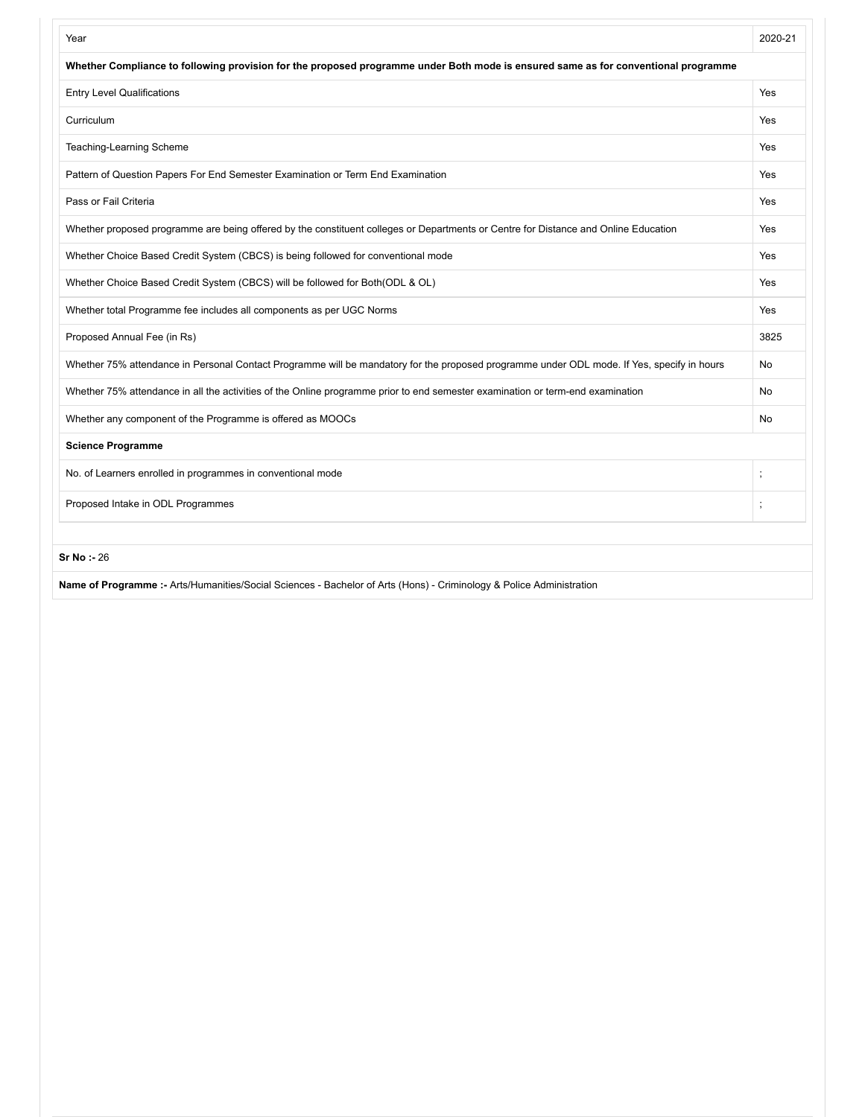| Year                                                                                                                                       | 2020-21 |
|--------------------------------------------------------------------------------------------------------------------------------------------|---------|
| Whether Compliance to following provision for the proposed programme under Both mode is ensured same as for conventional programme         |         |
| <b>Entry Level Qualifications</b>                                                                                                          | Yes     |
| Curriculum                                                                                                                                 | Yes     |
| Teaching-Learning Scheme                                                                                                                   | Yes     |
| Pattern of Question Papers For End Semester Examination or Term End Examination                                                            | Yes     |
| Pass or Fail Criteria                                                                                                                      | Yes     |
| Whether proposed programme are being offered by the constituent colleges or Departments or Centre for Distance and Online Education        | Yes     |
| Whether Choice Based Credit System (CBCS) is being followed for conventional mode                                                          | Yes     |
| Whether Choice Based Credit System (CBCS) will be followed for Both(ODL & OL)                                                              | Yes     |
| Whether total Programme fee includes all components as per UGC Norms                                                                       | Yes     |
| Proposed Annual Fee (in Rs)                                                                                                                | 3825    |
| Whether 75% attendance in Personal Contact Programme will be mandatory for the proposed programme under ODL mode. If Yes, specify in hours | No      |
| Whether 75% attendance in all the activities of the Online programme prior to end semester examination or term-end examination             | No      |
| Whether any component of the Programme is offered as MOOCs                                                                                 | No      |
| <b>Science Programme</b>                                                                                                                   |         |
| No. of Learners enrolled in programmes in conventional mode                                                                                |         |
| Proposed Intake in ODL Programmes                                                                                                          |         |
| <b>Sr No: - 26</b>                                                                                                                         |         |
| Name of Programme :- Arts/Humanities/Social Sciences - Bachelor of Arts (Hons) - Criminology & Police Administration                       |         |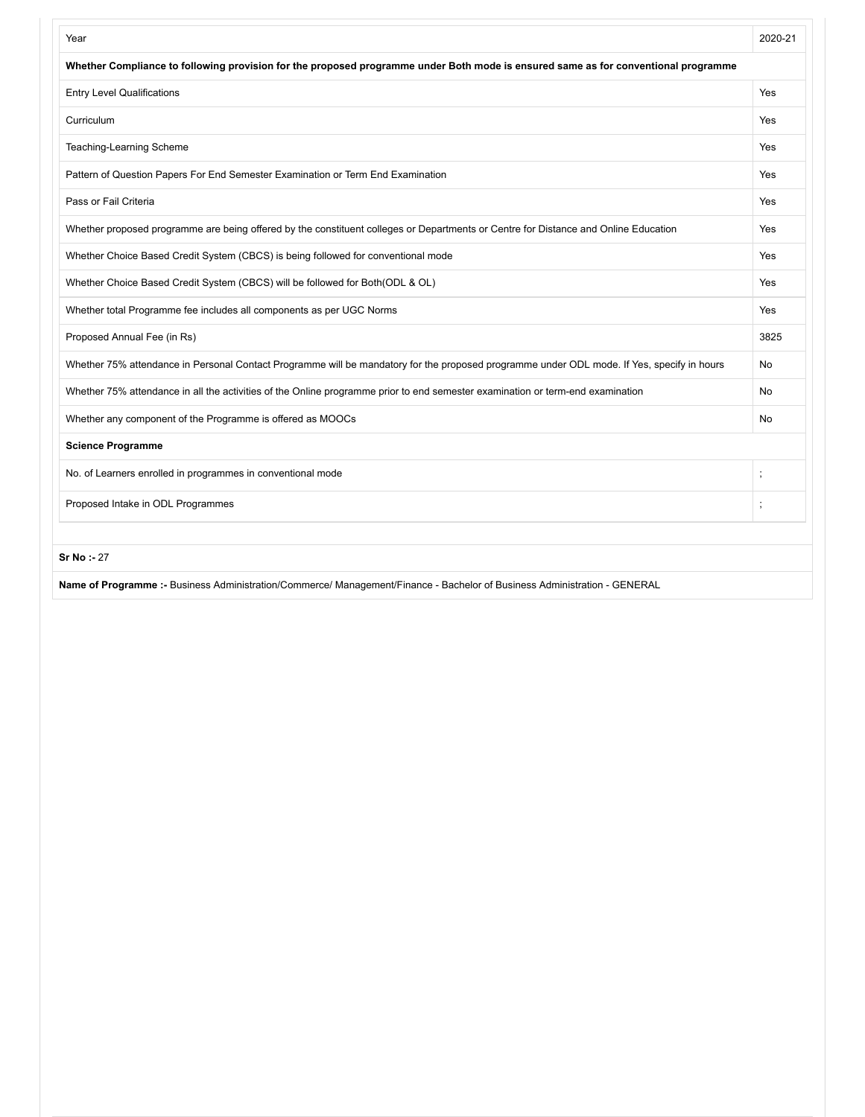| Whether Compliance to following provision for the proposed programme under Both mode is ensured same as for conventional programme         |      |
|--------------------------------------------------------------------------------------------------------------------------------------------|------|
|                                                                                                                                            |      |
| <b>Entry Level Qualifications</b>                                                                                                          | Yes  |
| Curriculum                                                                                                                                 | Yes  |
| Teaching-Learning Scheme                                                                                                                   | Yes  |
| Pattern of Question Papers For End Semester Examination or Term End Examination                                                            | Yes  |
| Pass or Fail Criteria                                                                                                                      | Yes  |
| Whether proposed programme are being offered by the constituent colleges or Departments or Centre for Distance and Online Education        | Yes  |
| Whether Choice Based Credit System (CBCS) is being followed for conventional mode                                                          | Yes  |
| Whether Choice Based Credit System (CBCS) will be followed for Both(ODL & OL)                                                              | Yes  |
| Whether total Programme fee includes all components as per UGC Norms                                                                       | Yes  |
| Proposed Annual Fee (in Rs)                                                                                                                | 3825 |
| Whether 75% attendance in Personal Contact Programme will be mandatory for the proposed programme under ODL mode. If Yes, specify in hours | No   |
| Whether 75% attendance in all the activities of the Online programme prior to end semester examination or term-end examination             | No   |
| Whether any component of the Programme is offered as MOOCs                                                                                 | No   |
| <b>Science Programme</b>                                                                                                                   |      |
| No. of Learners enrolled in programmes in conventional mode<br>$\ddot{\cdot}$                                                              |      |
| Proposed Intake in ODL Programmes                                                                                                          |      |
| Sr No: - 27                                                                                                                                |      |

**Name of Programme :-** Business Administration/Commerce/ Management/Finance - Bachelor of Business Administration - GENERAL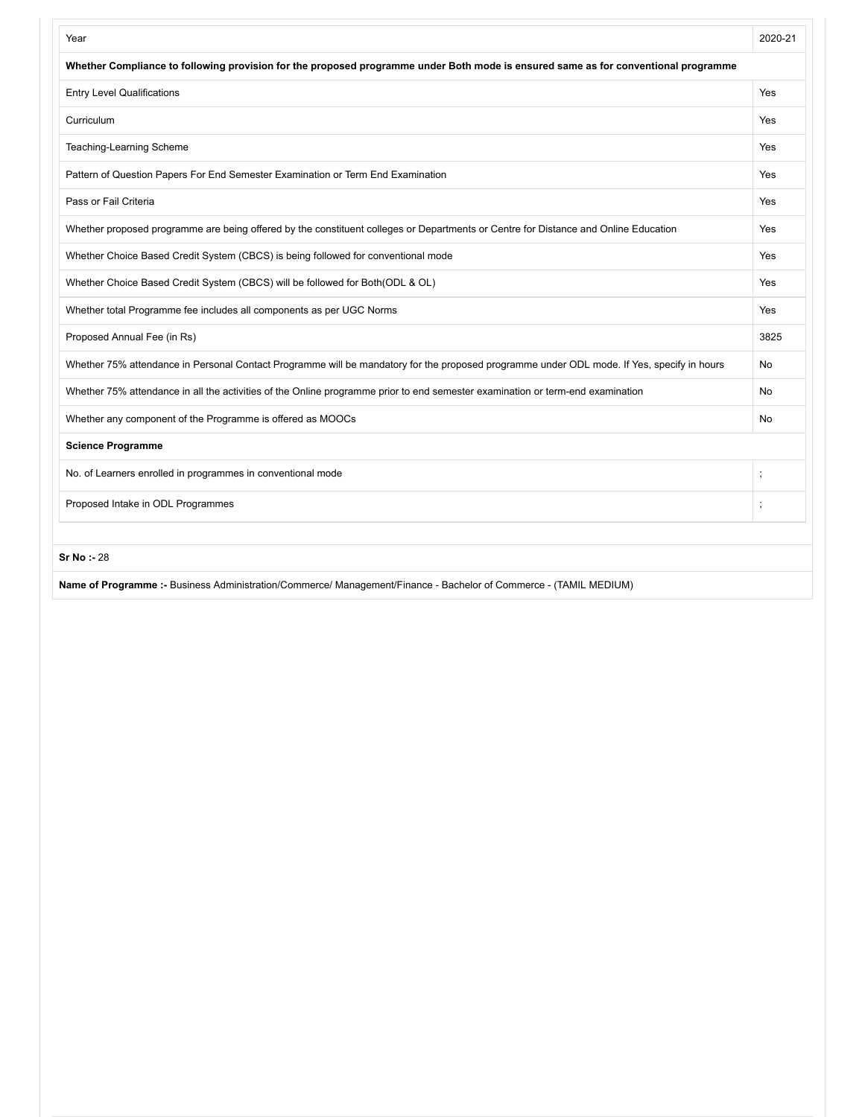| Year                                                                                                                                       | 2020-21  |
|--------------------------------------------------------------------------------------------------------------------------------------------|----------|
| Whether Compliance to following provision for the proposed programme under Both mode is ensured same as for conventional programme         |          |
| <b>Entry Level Qualifications</b>                                                                                                          | Yes      |
| Curriculum                                                                                                                                 | Yes      |
| Teaching-Learning Scheme                                                                                                                   | Yes      |
| Pattern of Question Papers For End Semester Examination or Term End Examination                                                            | Yes      |
| Pass or Fail Criteria                                                                                                                      | Yes      |
| Whether proposed programme are being offered by the constituent colleges or Departments or Centre for Distance and Online Education        | Yes      |
| Whether Choice Based Credit System (CBCS) is being followed for conventional mode                                                          | Yes      |
| Whether Choice Based Credit System (CBCS) will be followed for Both(ODL & OL)                                                              | Yes      |
| Whether total Programme fee includes all components as per UGC Norms                                                                       | Yes      |
| Proposed Annual Fee (in Rs)                                                                                                                | 3825     |
| Whether 75% attendance in Personal Contact Programme will be mandatory for the proposed programme under ODL mode. If Yes, specify in hours | No       |
| Whether 75% attendance in all the activities of the Online programme prior to end semester examination or term-end examination             | No       |
| Whether any component of the Programme is offered as MOOCs                                                                                 | No       |
| <b>Science Programme</b>                                                                                                                   |          |
| No. of Learners enrolled in programmes in conventional mode                                                                                | $\vdots$ |
| Proposed Intake in ODL Programmes                                                                                                          |          |
| <b>Sr No: - 28</b>                                                                                                                         |          |
| Name of Programme :- Business Administration/Commerce/ Management/Finance - Bachelor of Commerce - (TAMIL MEDIUM)                          |          |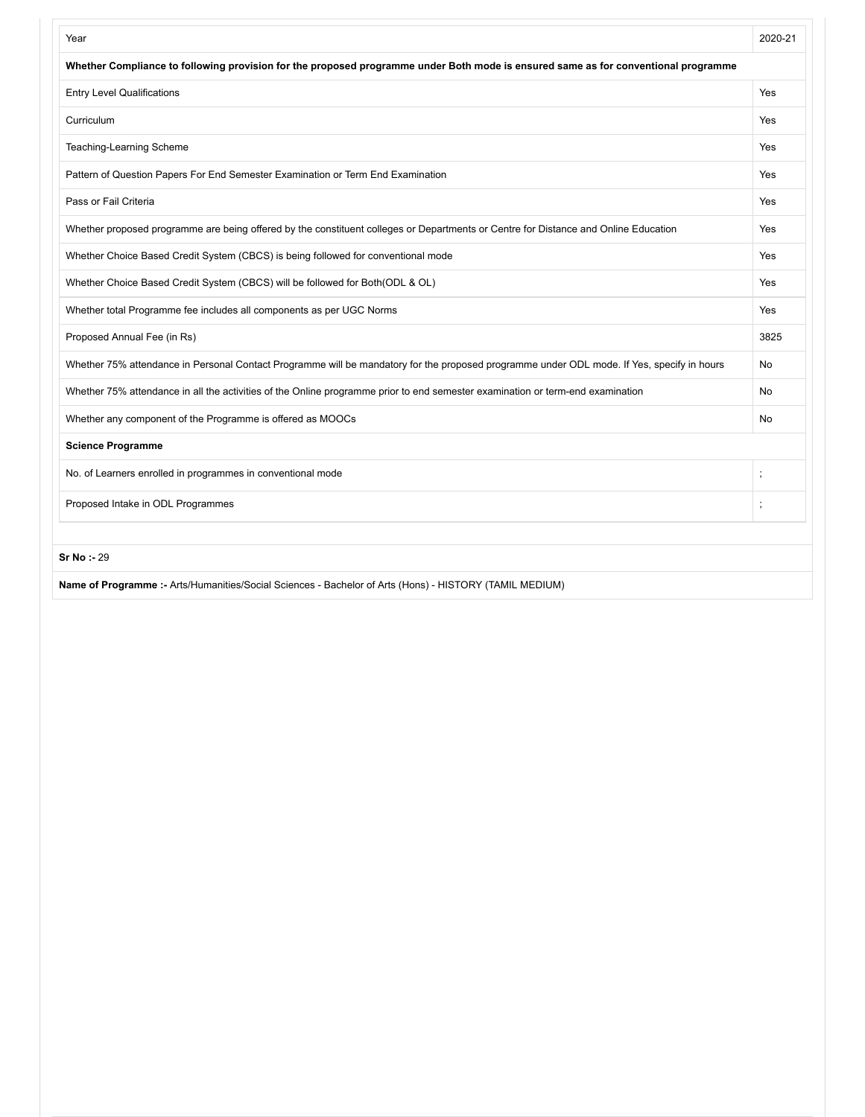| Year                                                                                                                                       | 2020-21 |
|--------------------------------------------------------------------------------------------------------------------------------------------|---------|
| Whether Compliance to following provision for the proposed programme under Both mode is ensured same as for conventional programme         |         |
| <b>Entry Level Qualifications</b>                                                                                                          | Yes     |
| Curriculum                                                                                                                                 | Yes     |
| Teaching-Learning Scheme                                                                                                                   | Yes     |
| Pattern of Question Papers For End Semester Examination or Term End Examination                                                            | Yes     |
| Pass or Fail Criteria                                                                                                                      | Yes     |
| Whether proposed programme are being offered by the constituent colleges or Departments or Centre for Distance and Online Education        | Yes     |
| Whether Choice Based Credit System (CBCS) is being followed for conventional mode                                                          | Yes     |
| Whether Choice Based Credit System (CBCS) will be followed for Both(ODL & OL)                                                              | Yes     |
| Whether total Programme fee includes all components as per UGC Norms                                                                       | Yes     |
| Proposed Annual Fee (in Rs)                                                                                                                | 3825    |
| Whether 75% attendance in Personal Contact Programme will be mandatory for the proposed programme under ODL mode. If Yes, specify in hours | No      |
| Whether 75% attendance in all the activities of the Online programme prior to end semester examination or term-end examination             | No      |
| Whether any component of the Programme is offered as MOOCs                                                                                 | No      |
| <b>Science Programme</b>                                                                                                                   |         |
| No. of Learners enrolled in programmes in conventional mode                                                                                |         |
| Proposed Intake in ODL Programmes                                                                                                          |         |
| <b>Sr No: - 29</b>                                                                                                                         |         |
| Name of Programme :- Arts/Humanities/Social Sciences - Bachelor of Arts (Hons) - HISTORY (TAMIL MEDIUM)                                    |         |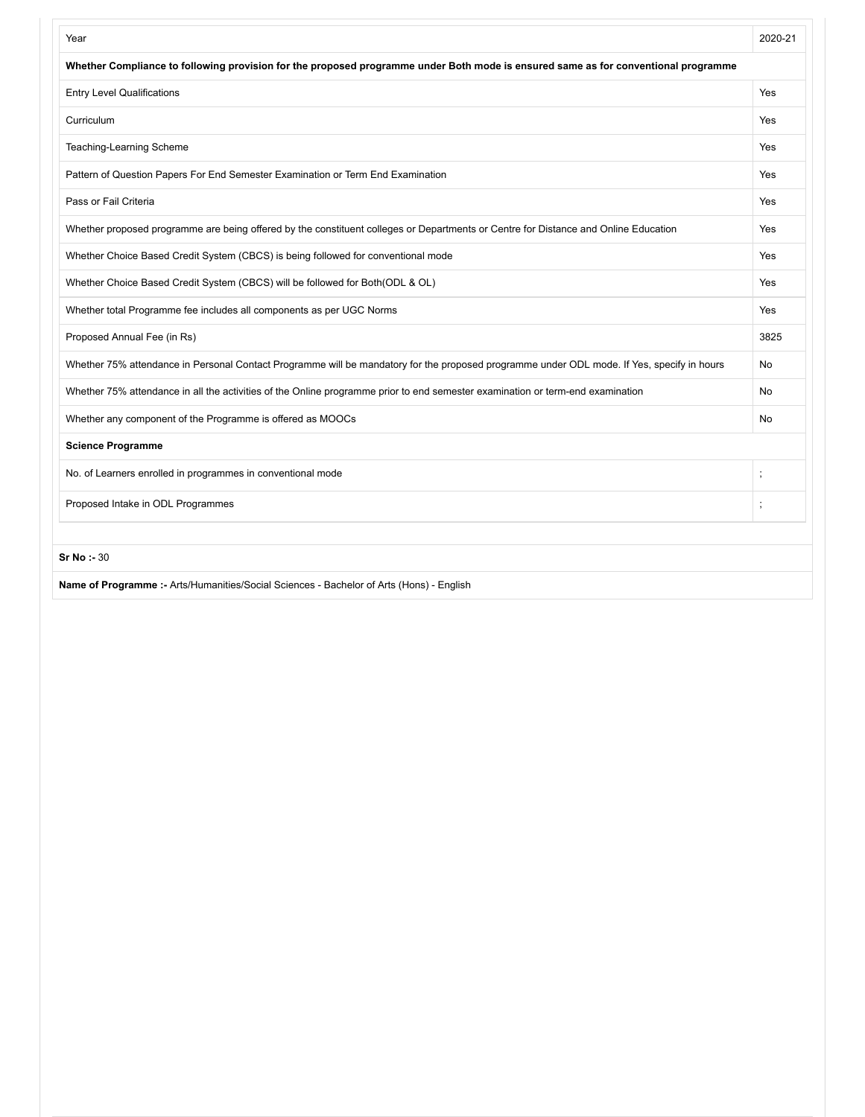| Year                                                                                                                                       | 2020-21 |
|--------------------------------------------------------------------------------------------------------------------------------------------|---------|
| Whether Compliance to following provision for the proposed programme under Both mode is ensured same as for conventional programme         |         |
| <b>Entry Level Qualifications</b>                                                                                                          | Yes     |
| Curriculum                                                                                                                                 | Yes     |
| Teaching-Learning Scheme                                                                                                                   | Yes     |
| Pattern of Question Papers For End Semester Examination or Term End Examination                                                            | Yes     |
| Pass or Fail Criteria                                                                                                                      | Yes     |
| Whether proposed programme are being offered by the constituent colleges or Departments or Centre for Distance and Online Education        | Yes     |
| Whether Choice Based Credit System (CBCS) is being followed for conventional mode                                                          | Yes     |
| Whether Choice Based Credit System (CBCS) will be followed for Both(ODL & OL)                                                              | Yes     |
| Whether total Programme fee includes all components as per UGC Norms                                                                       | Yes     |
| Proposed Annual Fee (in Rs)                                                                                                                | 3825    |
| Whether 75% attendance in Personal Contact Programme will be mandatory for the proposed programme under ODL mode. If Yes, specify in hours | No      |
| Whether 75% attendance in all the activities of the Online programme prior to end semester examination or term-end examination             | No      |
| Whether any component of the Programme is offered as MOOCs                                                                                 | No      |
| <b>Science Programme</b>                                                                                                                   |         |
| No. of Learners enrolled in programmes in conventional mode                                                                                |         |
| Proposed Intake in ODL Programmes                                                                                                          |         |
| Sr No: - 30                                                                                                                                |         |
| Name of Programme :- Arts/Humanities/Social Sciences - Bachelor of Arts (Hons) - English                                                   |         |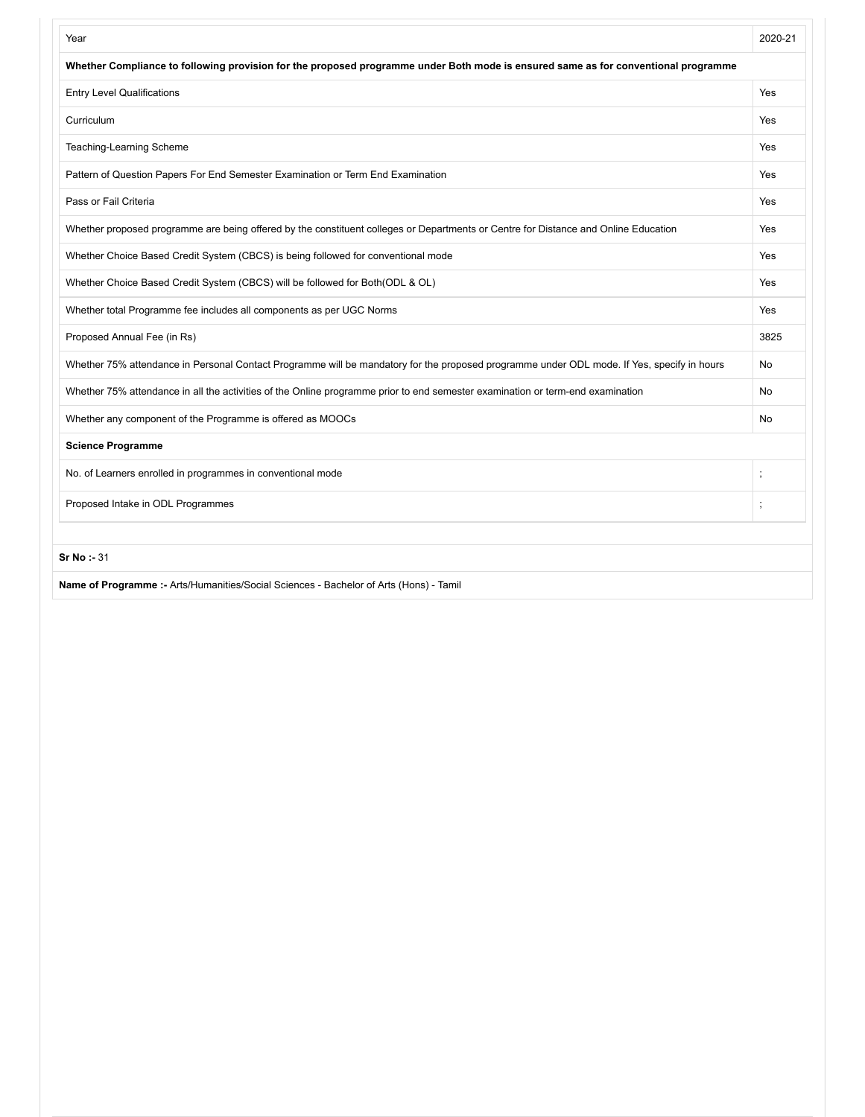| Year                                                                                                                                       | 2020-21 |
|--------------------------------------------------------------------------------------------------------------------------------------------|---------|
| Whether Compliance to following provision for the proposed programme under Both mode is ensured same as for conventional programme         |         |
| <b>Entry Level Qualifications</b>                                                                                                          | Yes     |
| Curriculum                                                                                                                                 | Yes     |
| Teaching-Learning Scheme                                                                                                                   | Yes     |
| Pattern of Question Papers For End Semester Examination or Term End Examination                                                            | Yes     |
| Pass or Fail Criteria                                                                                                                      | Yes     |
| Whether proposed programme are being offered by the constituent colleges or Departments or Centre for Distance and Online Education        | Yes     |
| Whether Choice Based Credit System (CBCS) is being followed for conventional mode                                                          | Yes     |
| Whether Choice Based Credit System (CBCS) will be followed for Both(ODL & OL)                                                              | Yes     |
| Whether total Programme fee includes all components as per UGC Norms                                                                       | Yes     |
| Proposed Annual Fee (in Rs)                                                                                                                | 3825    |
| Whether 75% attendance in Personal Contact Programme will be mandatory for the proposed programme under ODL mode. If Yes, specify in hours | No      |
| Whether 75% attendance in all the activities of the Online programme prior to end semester examination or term-end examination             | No      |
| Whether any component of the Programme is offered as MOOCs                                                                                 | No      |
| <b>Science Programme</b>                                                                                                                   |         |
| No. of Learners enrolled in programmes in conventional mode                                                                                |         |
| Proposed Intake in ODL Programmes                                                                                                          |         |
| <b>Sr No: 31</b>                                                                                                                           |         |
| Name of Programme :- Arts/Humanities/Social Sciences - Bachelor of Arts (Hons) - Tamil                                                     |         |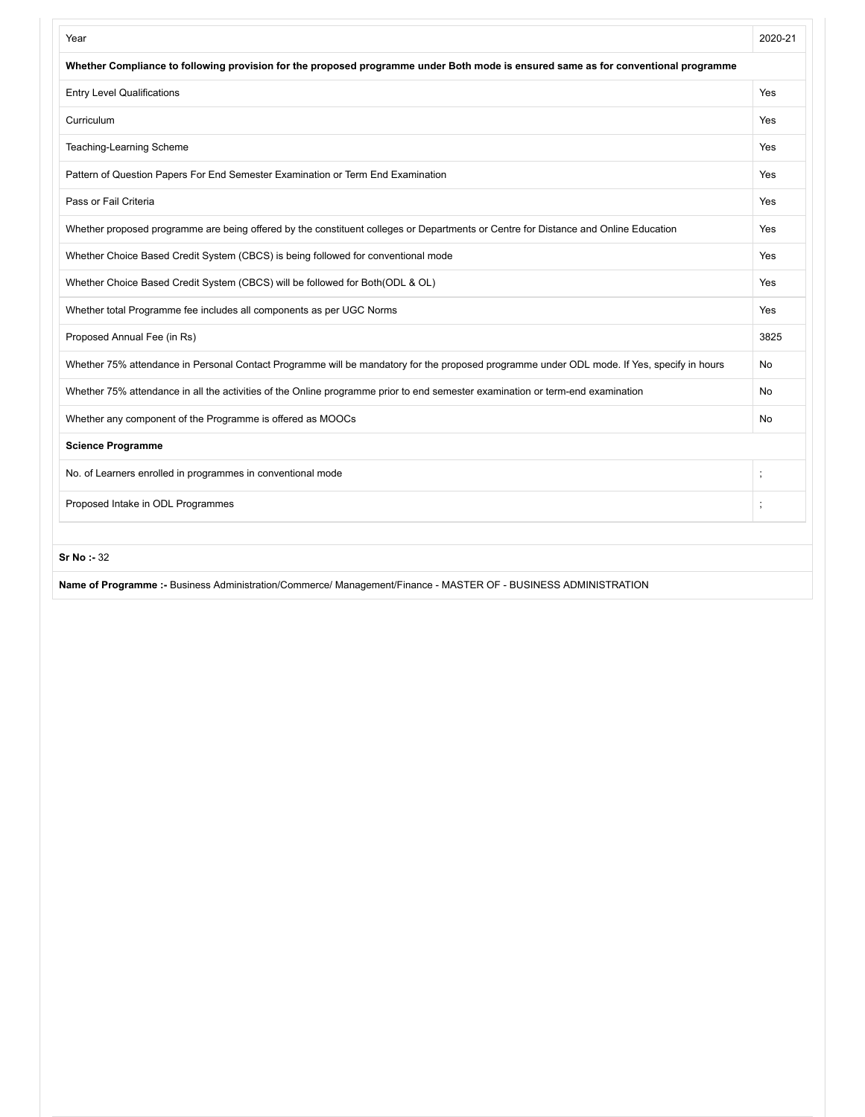| Year                                                                                                                                       | 2020-21   |
|--------------------------------------------------------------------------------------------------------------------------------------------|-----------|
| Whether Compliance to following provision for the proposed programme under Both mode is ensured same as for conventional programme         |           |
| <b>Entry Level Qualifications</b>                                                                                                          | Yes       |
| Curriculum                                                                                                                                 | Yes       |
| Teaching-Learning Scheme                                                                                                                   | Yes       |
| Pattern of Question Papers For End Semester Examination or Term End Examination                                                            | Yes       |
| Pass or Fail Criteria                                                                                                                      | Yes       |
| Whether proposed programme are being offered by the constituent colleges or Departments or Centre for Distance and Online Education        | Yes       |
| Whether Choice Based Credit System (CBCS) is being followed for conventional mode                                                          | Yes       |
| Whether Choice Based Credit System (CBCS) will be followed for Both(ODL & OL)                                                              | Yes       |
| Whether total Programme fee includes all components as per UGC Norms                                                                       | Yes       |
| Proposed Annual Fee (in Rs)                                                                                                                | 3825      |
| Whether 75% attendance in Personal Contact Programme will be mandatory for the proposed programme under ODL mode. If Yes, specify in hours | No        |
| Whether 75% attendance in all the activities of the Online programme prior to end semester examination or term-end examination             | <b>No</b> |
| Whether any component of the Programme is offered as MOOCs                                                                                 | No        |
| <b>Science Programme</b>                                                                                                                   |           |
| No. of Learners enrolled in programmes in conventional mode                                                                                |           |
| Proposed Intake in ODL Programmes                                                                                                          |           |
|                                                                                                                                            |           |
| Sr No: - 32                                                                                                                                |           |

**Name of Programme :-** Business Administration/Commerce/ Management/Finance - MASTER OF - BUSINESS ADMINISTRATION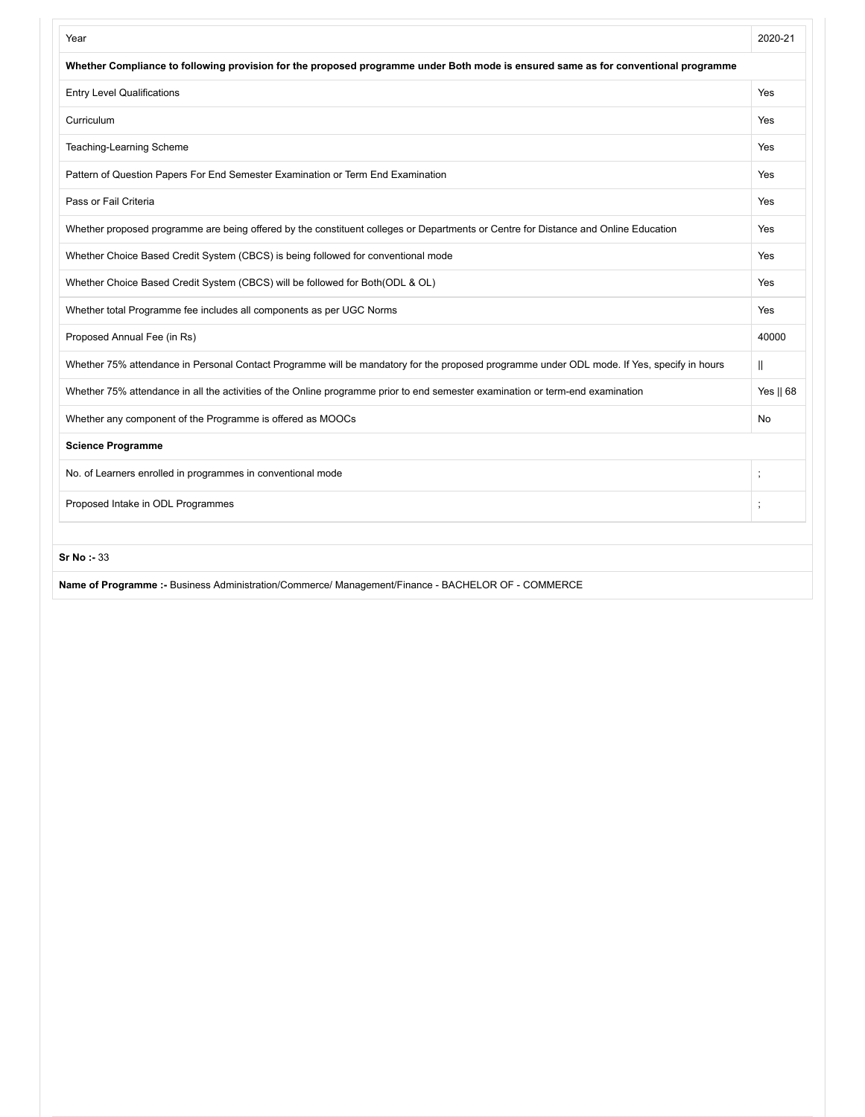| Year                                                                                                                                       | 2020-21      |
|--------------------------------------------------------------------------------------------------------------------------------------------|--------------|
| Whether Compliance to following provision for the proposed programme under Both mode is ensured same as for conventional programme         |              |
| <b>Entry Level Qualifications</b>                                                                                                          | Yes          |
| Curriculum                                                                                                                                 | Yes          |
| Teaching-Learning Scheme                                                                                                                   | Yes          |
| Pattern of Question Papers For End Semester Examination or Term End Examination                                                            | Yes          |
| Pass or Fail Criteria                                                                                                                      | Yes          |
| Whether proposed programme are being offered by the constituent colleges or Departments or Centre for Distance and Online Education        | Yes          |
| Whether Choice Based Credit System (CBCS) is being followed for conventional mode                                                          | Yes          |
| Whether Choice Based Credit System (CBCS) will be followed for Both(ODL & OL)                                                              | Yes          |
| Whether total Programme fee includes all components as per UGC Norms                                                                       | Yes          |
| Proposed Annual Fee (in Rs)                                                                                                                | 40000        |
| Whether 75% attendance in Personal Contact Programme will be mandatory for the proposed programme under ODL mode. If Yes, specify in hours | $\mathbb{I}$ |
| Whether 75% attendance in all the activities of the Online programme prior to end semester examination or term-end examination             | Yes    68    |
| Whether any component of the Programme is offered as MOOCs                                                                                 | No           |
| <b>Science Programme</b>                                                                                                                   |              |
| No. of Learners enrolled in programmes in conventional mode                                                                                | $\vdots$     |
| Proposed Intake in ODL Programmes                                                                                                          | $\vdots$     |
| Sr No : 33                                                                                                                                 |              |
| Name of Programme :- Business Administration/Commerce/ Management/Finance - BACHELOR OF - COMMERCE                                         |              |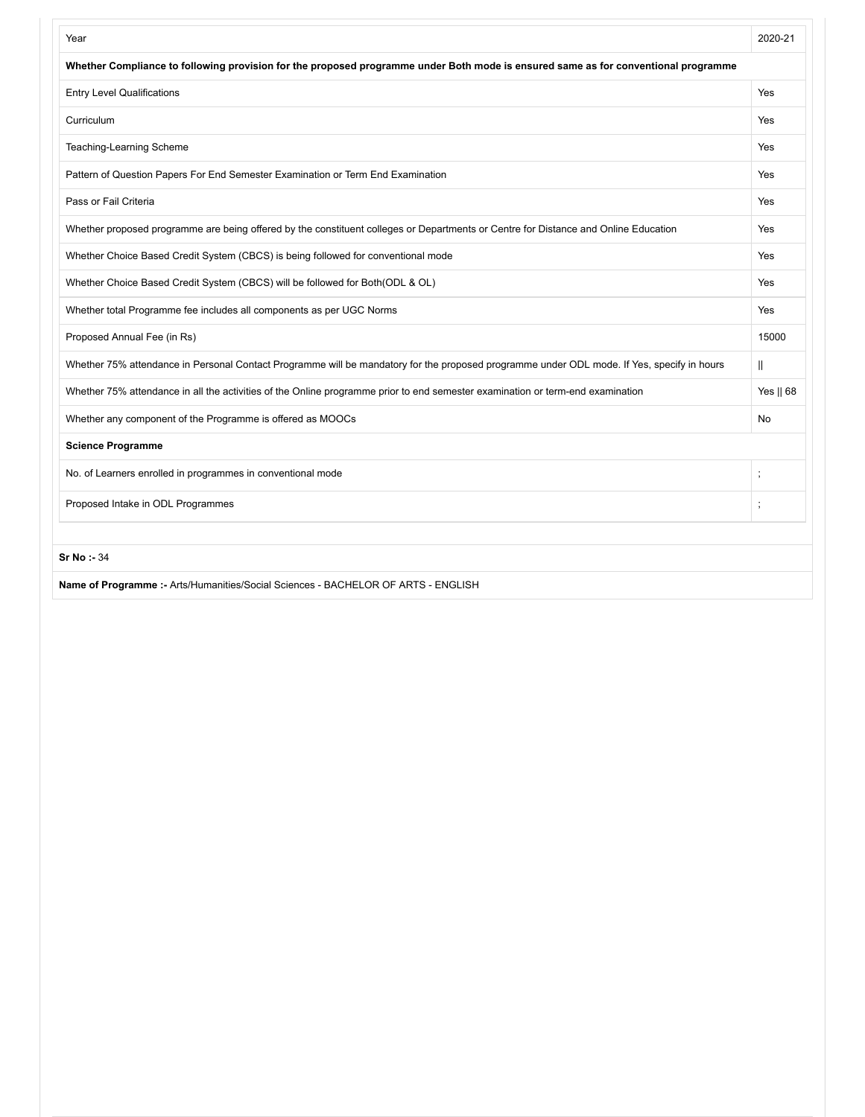| Year                                                                                                                                       | 2020-21      |
|--------------------------------------------------------------------------------------------------------------------------------------------|--------------|
| Whether Compliance to following provision for the proposed programme under Both mode is ensured same as for conventional programme         |              |
| <b>Entry Level Qualifications</b>                                                                                                          | Yes          |
| Curriculum                                                                                                                                 | Yes          |
| Teaching-Learning Scheme                                                                                                                   | Yes          |
| Pattern of Question Papers For End Semester Examination or Term End Examination                                                            | <b>Yes</b>   |
| Pass or Fail Criteria                                                                                                                      | Yes          |
| Whether proposed programme are being offered by the constituent colleges or Departments or Centre for Distance and Online Education        | Yes          |
| Whether Choice Based Credit System (CBCS) is being followed for conventional mode                                                          | Yes          |
| Whether Choice Based Credit System (CBCS) will be followed for Both(ODL & OL)                                                              | <b>Yes</b>   |
| Whether total Programme fee includes all components as per UGC Norms                                                                       | Yes          |
| Proposed Annual Fee (in Rs)                                                                                                                | 15000        |
| Whether 75% attendance in Personal Contact Programme will be mandatory for the proposed programme under ODL mode. If Yes, specify in hours | $\mathbb{I}$ |
| Whether 75% attendance in all the activities of the Online programme prior to end semester examination or term-end examination             | Yes    68    |
| Whether any component of the Programme is offered as MOOCs                                                                                 | <b>No</b>    |
| <b>Science Programme</b>                                                                                                                   |              |
| No. of Learners enrolled in programmes in conventional mode                                                                                | $\vdots$     |
| Proposed Intake in ODL Programmes                                                                                                          | $\ddot{i}$   |
| <b>Sr No: 34</b>                                                                                                                           |              |
| Name of Programme :- Arts/Humanities/Social Sciences - BACHELOR OF ARTS - ENGLISH                                                          |              |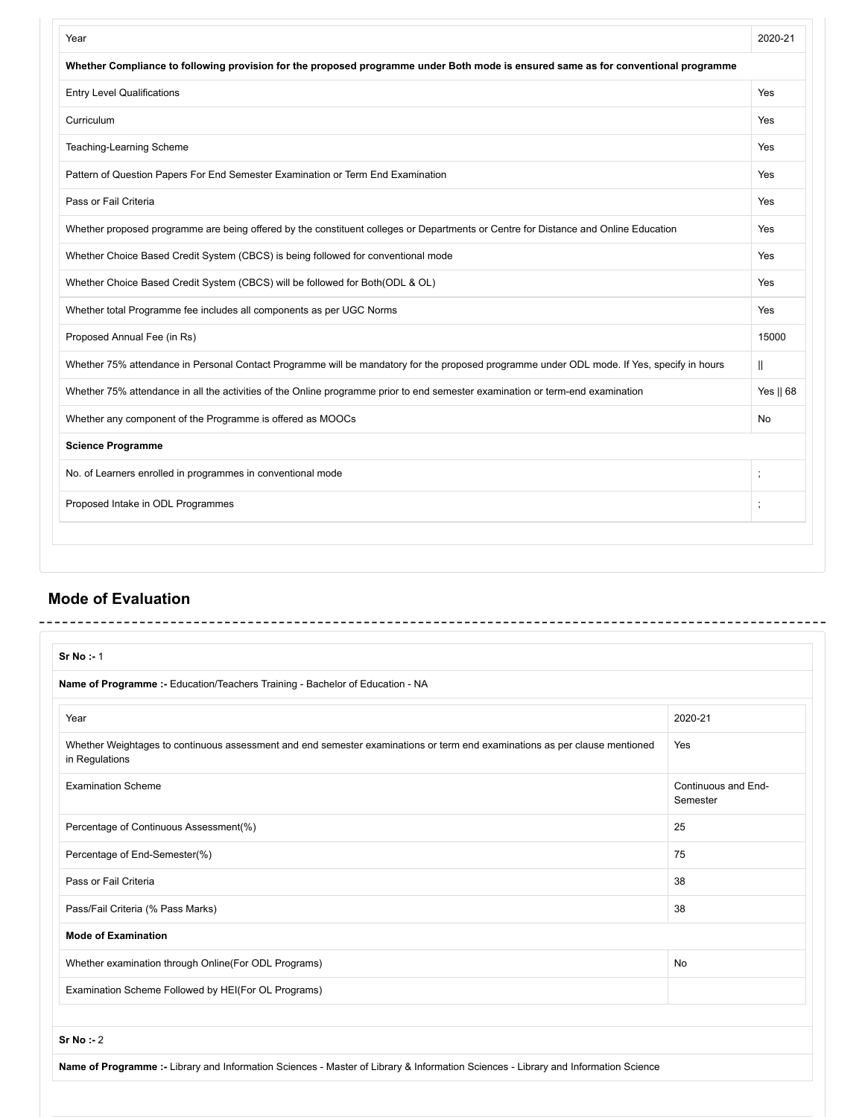| Year                                                                                                                                       | 2020-21      |
|--------------------------------------------------------------------------------------------------------------------------------------------|--------------|
| Whether Compliance to following provision for the proposed programme under Both mode is ensured same as for conventional programme         |              |
| <b>Entry Level Qualifications</b>                                                                                                          | Yes          |
| Curriculum                                                                                                                                 | Yes          |
| Teaching-Learning Scheme                                                                                                                   | Yes          |
| Pattern of Question Papers For End Semester Examination or Term End Examination                                                            | Yes          |
| Pass or Fail Criteria                                                                                                                      | Yes          |
| Whether proposed programme are being offered by the constituent colleges or Departments or Centre for Distance and Online Education        | Yes          |
| Whether Choice Based Credit System (CBCS) is being followed for conventional mode                                                          | Yes          |
| Whether Choice Based Credit System (CBCS) will be followed for Both(ODL & OL)                                                              | Yes          |
| Whether total Programme fee includes all components as per UGC Norms                                                                       | Yes          |
| Proposed Annual Fee (in Rs)                                                                                                                | 15000        |
| Whether 75% attendance in Personal Contact Programme will be mandatory for the proposed programme under ODL mode. If Yes, specify in hours | $\mathbb{I}$ |
| Whether 75% attendance in all the activities of the Online programme prior to end semester examination or term-end examination             | Yes    68    |
| Whether any component of the Programme is offered as MOOCs                                                                                 | No           |
| <b>Science Programme</b>                                                                                                                   |              |
| No. of Learners enrolled in programmes in conventional mode                                                                                | $\vdots$     |
| Proposed Intake in ODL Programmes                                                                                                          |              |

## **Mode of Evaluation**

| Sr No : 1                                                                                                                                    |                                 |
|----------------------------------------------------------------------------------------------------------------------------------------------|---------------------------------|
| Name of Programme :- Education/Teachers Training - Bachelor of Education - NA                                                                |                                 |
| Year                                                                                                                                         | 2020-21                         |
| Whether Weightages to continuous assessment and end semester examinations or term end examinations as per clause mentioned<br>in Regulations | Yes                             |
| <b>Examination Scheme</b>                                                                                                                    | Continuous and End-<br>Semester |
| Percentage of Continuous Assessment(%)                                                                                                       | 25                              |
| Percentage of End-Semester(%)                                                                                                                | 75                              |
| Pass or Fail Criteria                                                                                                                        | 38                              |
| Pass/Fail Criteria (% Pass Marks)                                                                                                            | 38                              |
| <b>Mode of Examination</b>                                                                                                                   |                                 |
| Whether examination through Online(For ODL Programs)                                                                                         | <b>No</b>                       |
| Examination Scheme Followed by HEI(For OL Programs)                                                                                          |                                 |
| Sr No : 2                                                                                                                                    |                                 |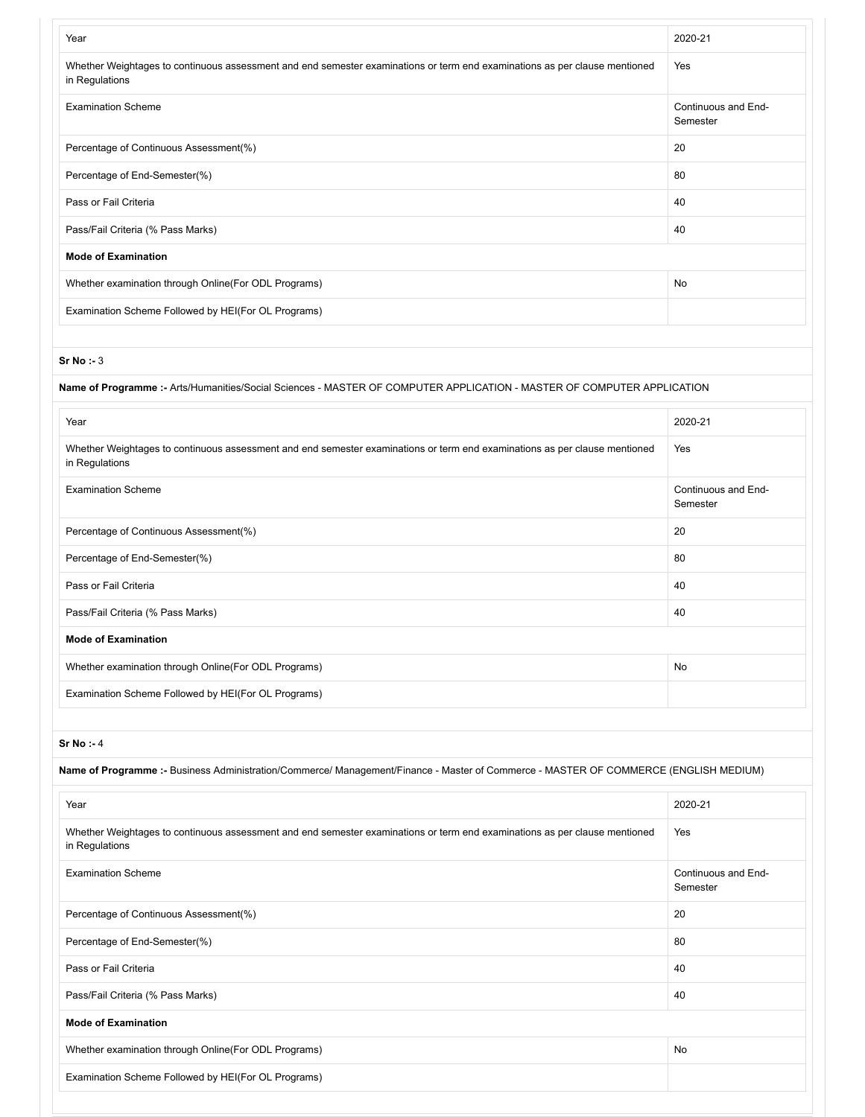| Year                                                                                                                                         | 2020-21                         |
|----------------------------------------------------------------------------------------------------------------------------------------------|---------------------------------|
| Whether Weightages to continuous assessment and end semester examinations or term end examinations as per clause mentioned<br>in Regulations | Yes                             |
| <b>Examination Scheme</b>                                                                                                                    | Continuous and End-<br>Semester |
| Percentage of Continuous Assessment(%)                                                                                                       | 20                              |
| Percentage of End-Semester(%)                                                                                                                | 80                              |
| Pass or Fail Criteria                                                                                                                        | 40                              |
| Pass/Fail Criteria (% Pass Marks)                                                                                                            | 40                              |
| <b>Mode of Examination</b>                                                                                                                   |                                 |
| Whether examination through Online (For ODL Programs)                                                                                        | No                              |
| Examination Scheme Followed by HEI(For OL Programs)                                                                                          |                                 |
|                                                                                                                                              |                                 |

| Name of Programme :- Arts/Humanities/Social Sciences - MASTER OF COMPUTER APPLICATION - MASTER OF COMPUTER APPLICATION                       |                                 |
|----------------------------------------------------------------------------------------------------------------------------------------------|---------------------------------|
| Year                                                                                                                                         | 2020-21                         |
| Whether Weightages to continuous assessment and end semester examinations or term end examinations as per clause mentioned<br>in Regulations | Yes                             |
| <b>Examination Scheme</b>                                                                                                                    | Continuous and End-<br>Semester |
| Percentage of Continuous Assessment(%)                                                                                                       | 20                              |
| Percentage of End-Semester(%)                                                                                                                | 80                              |
| Pass or Fail Criteria                                                                                                                        | 40                              |
| Pass/Fail Criteria (% Pass Marks)                                                                                                            | 40                              |
| <b>Mode of Examination</b>                                                                                                                   |                                 |
| Whether examination through Online(For ODL Programs)                                                                                         | No                              |
| Examination Scheme Followed by HEI(For OL Programs)                                                                                          |                                 |

**Sr No :-** 4

**Name of Programme :-** Business Administration/Commerce/ Management/Finance - Master of Commerce - MASTER OF COMMERCE (ENGLISH MEDIUM)

| Year                                                                                                                                         | 2020-21                         |
|----------------------------------------------------------------------------------------------------------------------------------------------|---------------------------------|
| Whether Weightages to continuous assessment and end semester examinations or term end examinations as per clause mentioned<br>in Regulations | Yes                             |
| <b>Examination Scheme</b>                                                                                                                    | Continuous and End-<br>Semester |
| Percentage of Continuous Assessment(%)                                                                                                       | 20                              |
| Percentage of End-Semester(%)                                                                                                                | 80                              |
| Pass or Fail Criteria                                                                                                                        | 40                              |
| Pass/Fail Criteria (% Pass Marks)                                                                                                            | 40                              |
| <b>Mode of Examination</b>                                                                                                                   |                                 |
| Whether examination through Online (For ODL Programs)                                                                                        | No                              |
| Examination Scheme Followed by HEI(For OL Programs)                                                                                          |                                 |
|                                                                                                                                              |                                 |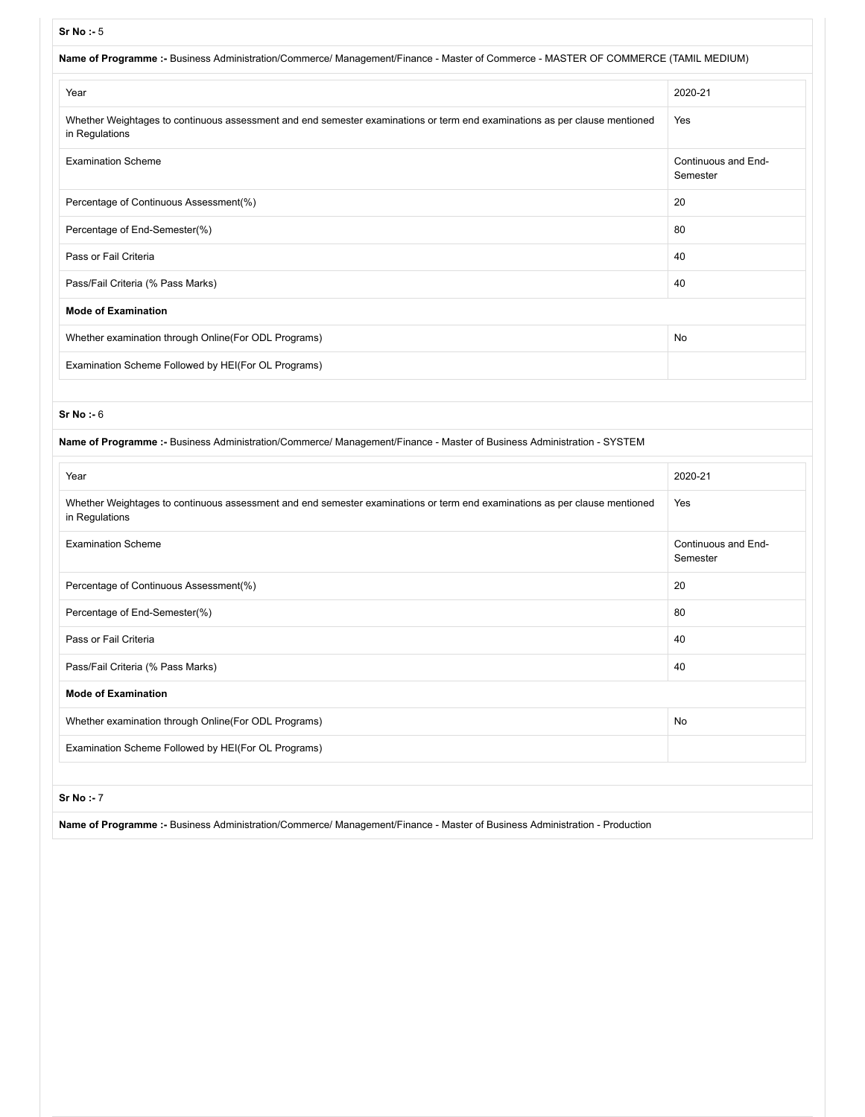| Sr No: $-5$                                                                                                                                  |                                 |
|----------------------------------------------------------------------------------------------------------------------------------------------|---------------------------------|
| Name of Programme :- Business Administration/Commerce/ Management/Finance - Master of Commerce - MASTER OF COMMERCE (TAMIL MEDIUM)           |                                 |
| Year                                                                                                                                         | 2020-21                         |
| Whether Weightages to continuous assessment and end semester examinations or term end examinations as per clause mentioned<br>in Regulations | Yes                             |
| <b>Examination Scheme</b>                                                                                                                    | Continuous and End-<br>Semester |
| Percentage of Continuous Assessment(%)                                                                                                       | 20                              |
| Percentage of End-Semester(%)                                                                                                                | 80                              |
| Pass or Fail Criteria                                                                                                                        | 40                              |
| Pass/Fail Criteria (% Pass Marks)                                                                                                            | 40                              |
| <b>Mode of Examination</b>                                                                                                                   |                                 |
| Whether examination through Online(For ODL Programs)                                                                                         | No                              |
| Examination Scheme Followed by HEI(For OL Programs)                                                                                          |                                 |
|                                                                                                                                              |                                 |
| Sr No : 6                                                                                                                                    |                                 |
| Name of Programme :- Business Administration/Commerce/ Management/Finance - Master of Business Administration - SYSTEM                       |                                 |
| Year                                                                                                                                         | 2020-21                         |
| Whether Weightages to continuous assessment and end semester examinations or term end examinations as per clause mentioned<br>in Regulations | Yes                             |
| <b>Examination Scheme</b>                                                                                                                    | Continuous and End-<br>Semester |
| Percentage of Continuous Assessment(%)                                                                                                       | 20                              |
| Percentage of End-Semester(%)                                                                                                                | 80                              |
| Pass or Fail Criteria                                                                                                                        | 40                              |
| Pass/Fail Criteria (% Pass Marks)                                                                                                            | 40                              |
| <b>Mode of Examination</b>                                                                                                                   |                                 |
| Whether examination through Online(For ODL Programs)                                                                                         | No                              |
| Examination Scheme Followed by HEI(For OL Programs)                                                                                          |                                 |
|                                                                                                                                              |                                 |

**Name of Programme :-** Business Administration/Commerce/ Management/Finance - Master of Business Administration - Production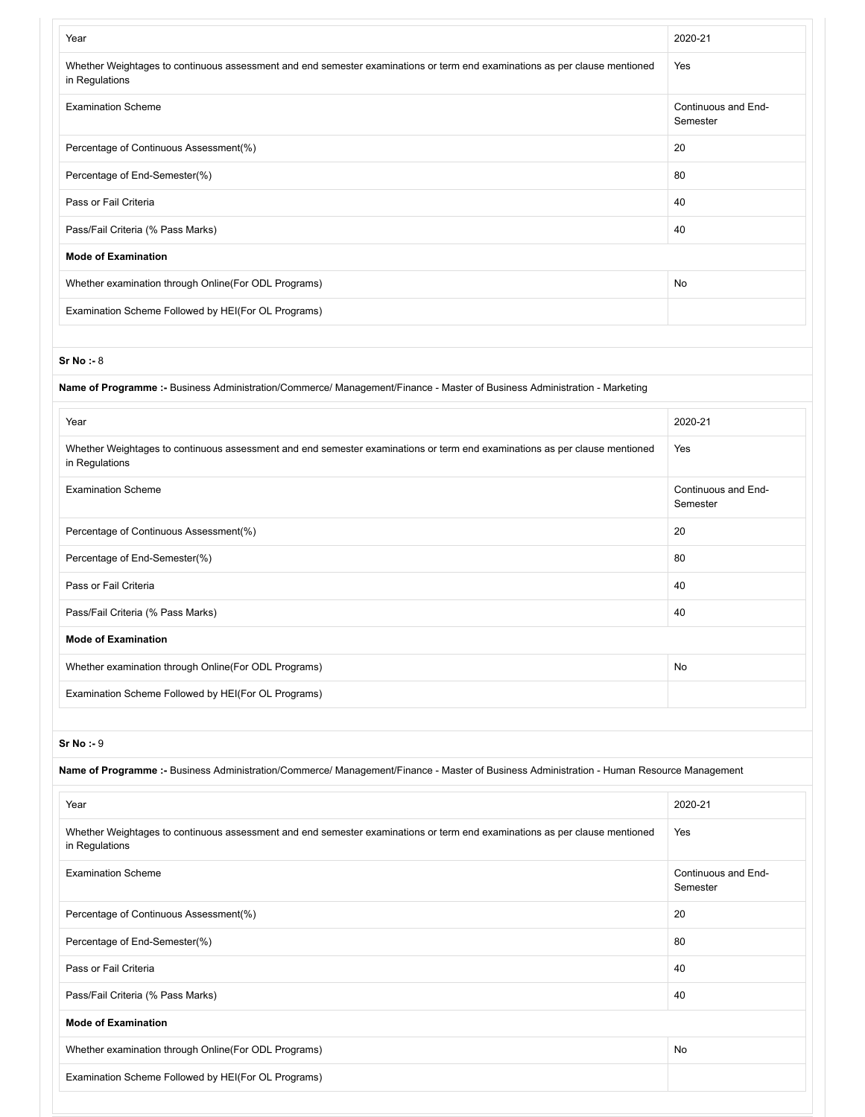| Year                                                                                                                                         | 2020-21                         |
|----------------------------------------------------------------------------------------------------------------------------------------------|---------------------------------|
| Whether Weightages to continuous assessment and end semester examinations or term end examinations as per clause mentioned<br>in Regulations | Yes                             |
| <b>Examination Scheme</b>                                                                                                                    | Continuous and End-<br>Semester |
| Percentage of Continuous Assessment(%)                                                                                                       | 20                              |
| Percentage of End-Semester(%)                                                                                                                | 80                              |
| Pass or Fail Criteria                                                                                                                        | 40                              |
| Pass/Fail Criteria (% Pass Marks)                                                                                                            | 40                              |
| <b>Mode of Examination</b>                                                                                                                   |                                 |
| Whether examination through Online (For ODL Programs)                                                                                        | No                              |
| Examination Scheme Followed by HEI(For OL Programs)                                                                                          |                                 |
|                                                                                                                                              |                                 |

| Name of Programme :- Business Administration/Commerce/ Management/Finance - Master of Business Administration - Marketing                    |                                 |
|----------------------------------------------------------------------------------------------------------------------------------------------|---------------------------------|
| Year                                                                                                                                         | 2020-21                         |
| Whether Weightages to continuous assessment and end semester examinations or term end examinations as per clause mentioned<br>in Regulations | Yes                             |
| <b>Examination Scheme</b>                                                                                                                    | Continuous and End-<br>Semester |
| Percentage of Continuous Assessment(%)                                                                                                       | 20                              |
| Percentage of End-Semester(%)                                                                                                                | 80                              |
| Pass or Fail Criteria                                                                                                                        | 40                              |
| Pass/Fail Criteria (% Pass Marks)                                                                                                            | 40                              |
| <b>Mode of Examination</b>                                                                                                                   |                                 |
| Whether examination through Online (For ODL Programs)                                                                                        | No                              |
| Examination Scheme Followed by HEI(For OL Programs)                                                                                          |                                 |

**Sr No :-** 9

**Name of Programme :-** Business Administration/Commerce/ Management/Finance - Master of Business Administration - Human Resource Management

| Year                                                                                                                                         | 2020-21                         |
|----------------------------------------------------------------------------------------------------------------------------------------------|---------------------------------|
| Whether Weightages to continuous assessment and end semester examinations or term end examinations as per clause mentioned<br>in Regulations | Yes                             |
| <b>Examination Scheme</b>                                                                                                                    | Continuous and End-<br>Semester |
| Percentage of Continuous Assessment(%)                                                                                                       | 20                              |
| Percentage of End-Semester(%)                                                                                                                | 80                              |
| Pass or Fail Criteria                                                                                                                        | 40                              |
| Pass/Fail Criteria (% Pass Marks)                                                                                                            | 40                              |
| <b>Mode of Examination</b>                                                                                                                   |                                 |
| Whether examination through Online (For ODL Programs)                                                                                        | No                              |
| Examination Scheme Followed by HEI(For OL Programs)                                                                                          |                                 |
|                                                                                                                                              |                                 |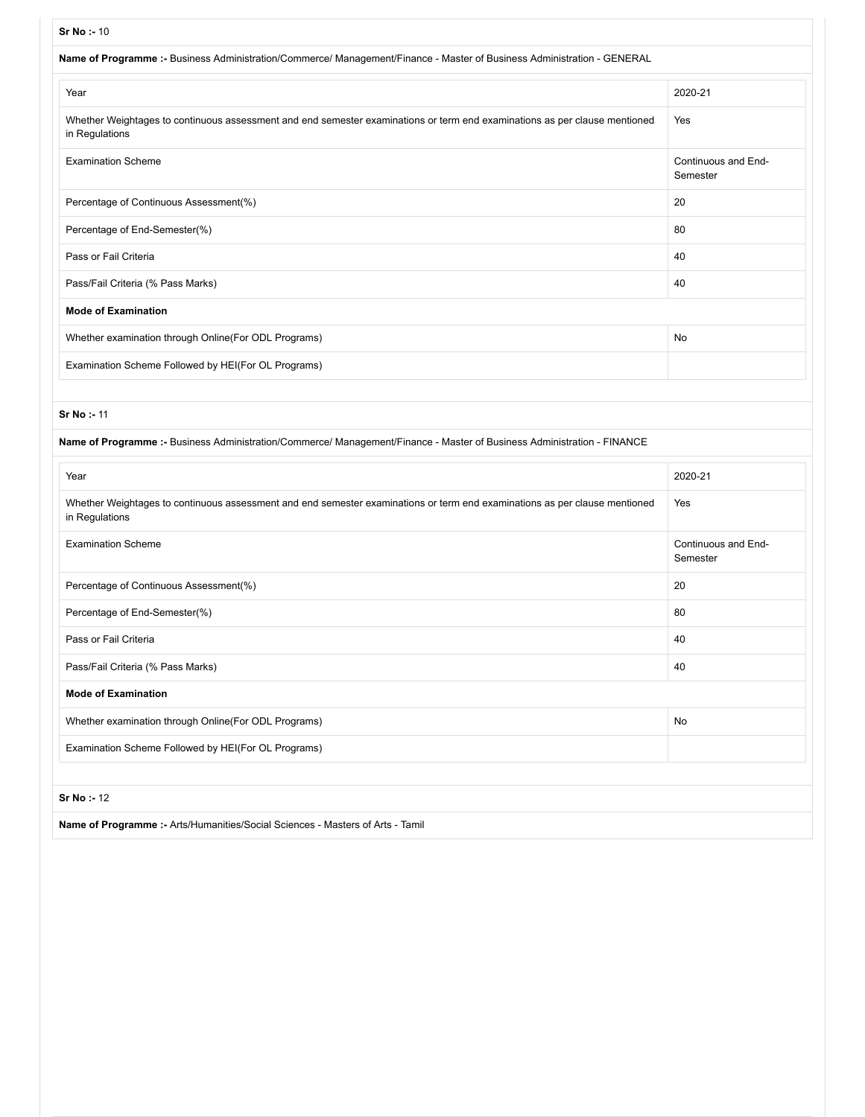| Name of Programme :- Business Administration/Commerce/ Management/Finance - Master of Business Administration - GENERAL                      |                                 |
|----------------------------------------------------------------------------------------------------------------------------------------------|---------------------------------|
| Year                                                                                                                                         | 2020-21                         |
| Whether Weightages to continuous assessment and end semester examinations or term end examinations as per clause mentioned<br>in Regulations | Yes                             |
| <b>Examination Scheme</b>                                                                                                                    | Continuous and End-<br>Semester |
| Percentage of Continuous Assessment(%)                                                                                                       | 20                              |
| Percentage of End-Semester(%)                                                                                                                | 80                              |
| Pass or Fail Criteria                                                                                                                        | 40                              |
| Pass/Fail Criteria (% Pass Marks)                                                                                                            | 40                              |
| <b>Mode of Examination</b>                                                                                                                   |                                 |
| Whether examination through Online(For ODL Programs)                                                                                         | No                              |
| Examination Scheme Followed by HEI(For OL Programs)                                                                                          |                                 |

| Name of Programme :- Business Administration/Commerce/ Management/Finance - Master of Business Administration - FINANCE                      |                                 |
|----------------------------------------------------------------------------------------------------------------------------------------------|---------------------------------|
| Year                                                                                                                                         | 2020-21                         |
| Whether Weightages to continuous assessment and end semester examinations or term end examinations as per clause mentioned<br>in Regulations | Yes                             |
| <b>Examination Scheme</b>                                                                                                                    | Continuous and End-<br>Semester |
| Percentage of Continuous Assessment(%)                                                                                                       | 20                              |
| Percentage of End-Semester(%)                                                                                                                | 80                              |
| Pass or Fail Criteria                                                                                                                        | 40                              |
| Pass/Fail Criteria (% Pass Marks)                                                                                                            | 40                              |
| <b>Mode of Examination</b>                                                                                                                   |                                 |
| Whether examination through Online(For ODL Programs)                                                                                         | No                              |
| Examination Scheme Followed by HEI(For OL Programs)                                                                                          |                                 |
|                                                                                                                                              |                                 |
| <b>Sr No: 12</b>                                                                                                                             |                                 |
| Name of Programme :- Arts/Humanities/Social Sciences - Masters of Arts - Tamil                                                               |                                 |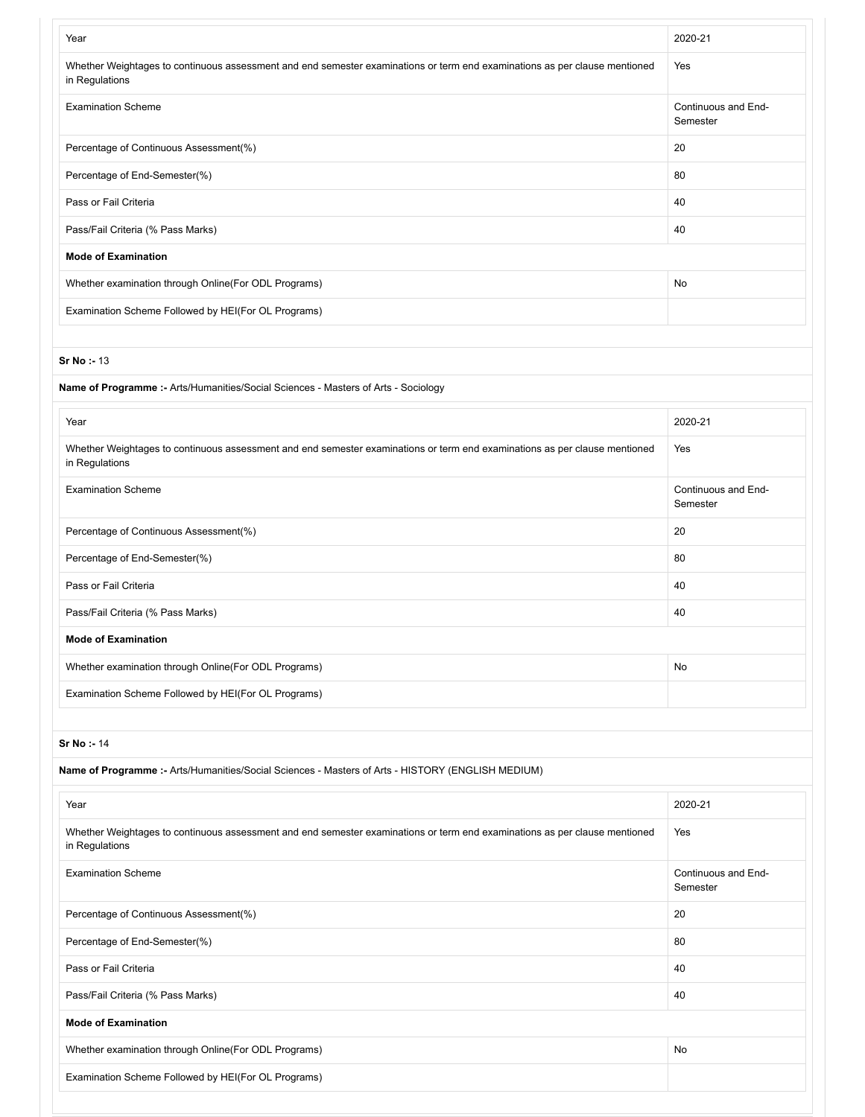| Year                                                                                                                                         | 2020-21                         |
|----------------------------------------------------------------------------------------------------------------------------------------------|---------------------------------|
| Whether Weightages to continuous assessment and end semester examinations or term end examinations as per clause mentioned<br>in Regulations | Yes                             |
| <b>Examination Scheme</b>                                                                                                                    | Continuous and End-<br>Semester |
| Percentage of Continuous Assessment(%)                                                                                                       | 20                              |
| Percentage of End-Semester(%)                                                                                                                | 80                              |
| Pass or Fail Criteria                                                                                                                        | 40                              |
| Pass/Fail Criteria (% Pass Marks)                                                                                                            | 40                              |
| <b>Mode of Examination</b>                                                                                                                   |                                 |
| Whether examination through Online(For ODL Programs)                                                                                         | No                              |
| Examination Scheme Followed by HEI(For OL Programs)                                                                                          |                                 |
|                                                                                                                                              |                                 |
| Sr No: - 13                                                                                                                                  |                                 |
| Name of Programme :- Arts/Humanities/Social Sciences - Masters of Arts - Sociology                                                           |                                 |
|                                                                                                                                              |                                 |
| Year                                                                                                                                         | 2020-21                         |
| Whether Weightages to continuous assessment and end semester examinations or term end examinations as per clause mentioned<br>in Regulations | Yes                             |
| <b>Examination Scheme</b>                                                                                                                    | Continuous and End-<br>Semester |
| Percentage of Continuous Assessment(%)                                                                                                       | 20                              |
| Percentage of End-Semester(%)                                                                                                                | 80                              |
| Pass or Fail Criteria                                                                                                                        | 40                              |
| Pass/Fail Criteria (% Pass Marks)                                                                                                            | 40                              |
| <b>Mode of Examination</b>                                                                                                                   |                                 |
| Whether examination through Online(For ODL Programs)                                                                                         | No                              |
| Examination Scheme Followed by HEI(For OL Programs)                                                                                          |                                 |
|                                                                                                                                              |                                 |
| Sr No: - 14                                                                                                                                  |                                 |
| Name of Programme :- Arts/Humanities/Social Sciences - Masters of Arts - HISTORY (ENGLISH MEDIUM)                                            |                                 |
| Year                                                                                                                                         | 2020-21                         |
| Whether Weightages to continuous assessment and end semester examinations or term end examinations as per clause mentioned<br>in Regulations | Yes                             |
| <b>Examination Scheme</b>                                                                                                                    | Continuous and End-<br>Semester |
| Percentage of Continuous Assessment(%)                                                                                                       | 20                              |
| Percentage of End-Semester(%)                                                                                                                | 80                              |
| Pass or Fail Criteria                                                                                                                        | 40                              |
| Pass/Fail Criteria (% Pass Marks)                                                                                                            | 40                              |
| <b>Mode of Examination</b>                                                                                                                   |                                 |
| Whether examination through Online(For ODL Programs)                                                                                         | No                              |
| Examination Scheme Followed by HEI(For OL Programs)                                                                                          |                                 |
|                                                                                                                                              |                                 |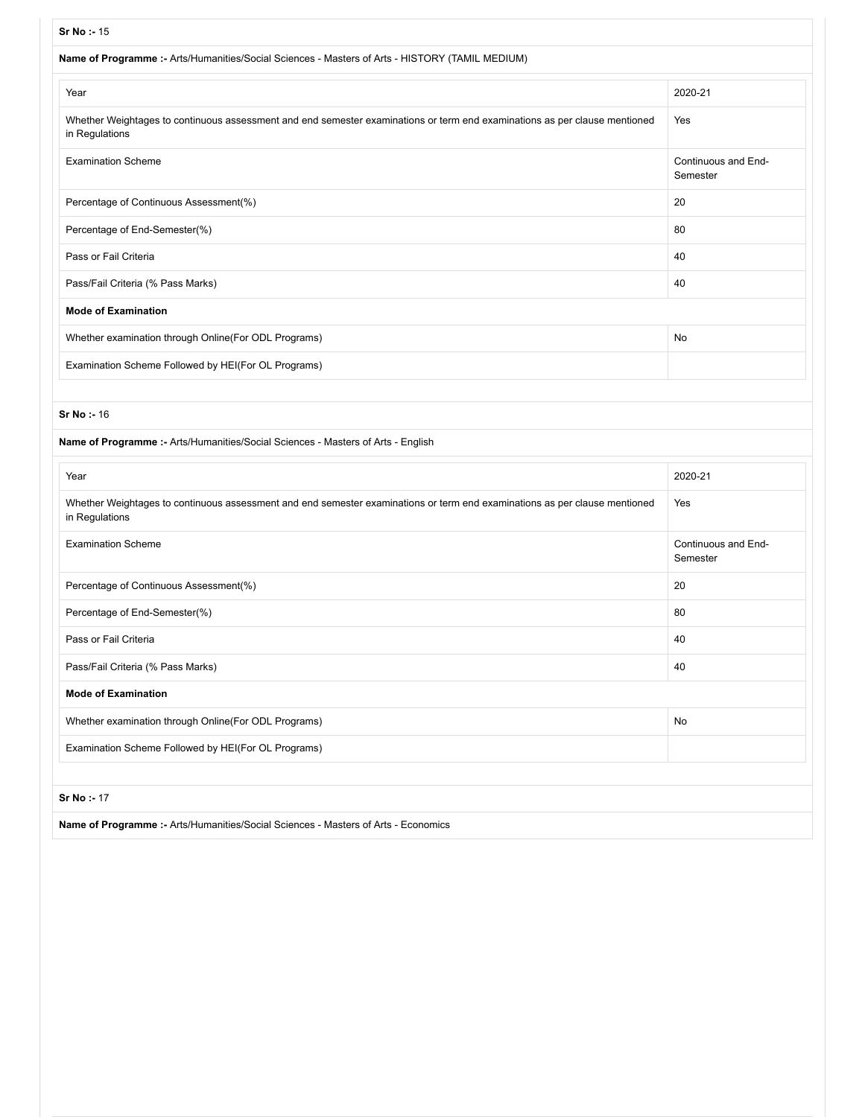| Sr No: - 15                                                                                                                                  |                                 |
|----------------------------------------------------------------------------------------------------------------------------------------------|---------------------------------|
| Name of Programme :- Arts/Humanities/Social Sciences - Masters of Arts - HISTORY (TAMIL MEDIUM)                                              |                                 |
| Year                                                                                                                                         | 2020-21                         |
| Whether Weightages to continuous assessment and end semester examinations or term end examinations as per clause mentioned<br>in Regulations | Yes                             |
| <b>Examination Scheme</b>                                                                                                                    | Continuous and End-<br>Semester |
| Percentage of Continuous Assessment(%)                                                                                                       | 20                              |
| Percentage of End-Semester(%)                                                                                                                | 80                              |
| Pass or Fail Criteria                                                                                                                        | 40                              |
| Pass/Fail Criteria (% Pass Marks)                                                                                                            | 40                              |
| <b>Mode of Examination</b>                                                                                                                   |                                 |
| Whether examination through Online(For ODL Programs)                                                                                         | No                              |
| Examination Scheme Followed by HEI(For OL Programs)                                                                                          |                                 |
|                                                                                                                                              |                                 |
| <b>Sr No: - 16</b>                                                                                                                           |                                 |
| Name of Programme :- Arts/Humanities/Social Sciences - Masters of Arts - English                                                             |                                 |
| Year                                                                                                                                         | 2020-21                         |
| Whether Weightages to continuous assessment and end semester examinations or term end examinations as per clause mentioned<br>in Regulations | Yes                             |
| <b>Examination Scheme</b>                                                                                                                    | Continuous and End-<br>Semester |
| Percentage of Continuous Assessment(%)                                                                                                       | 20                              |
| Percentage of End-Semester(%)                                                                                                                | 80                              |
| Pass or Fail Criteria                                                                                                                        | 40                              |
| Pass/Fail Criteria (% Pass Marks)                                                                                                            | 40                              |
| <b>Mode of Examination</b>                                                                                                                   |                                 |
| Whether examination through Online(For ODL Programs)                                                                                         | No                              |
| Examination Scheme Followed by HEI(For OL Programs)                                                                                          |                                 |
|                                                                                                                                              |                                 |
| Sr No: - 17                                                                                                                                  |                                 |
|                                                                                                                                              |                                 |

**Name of Programme :-** Arts/Humanities/Social Sciences - Masters of Arts - Economics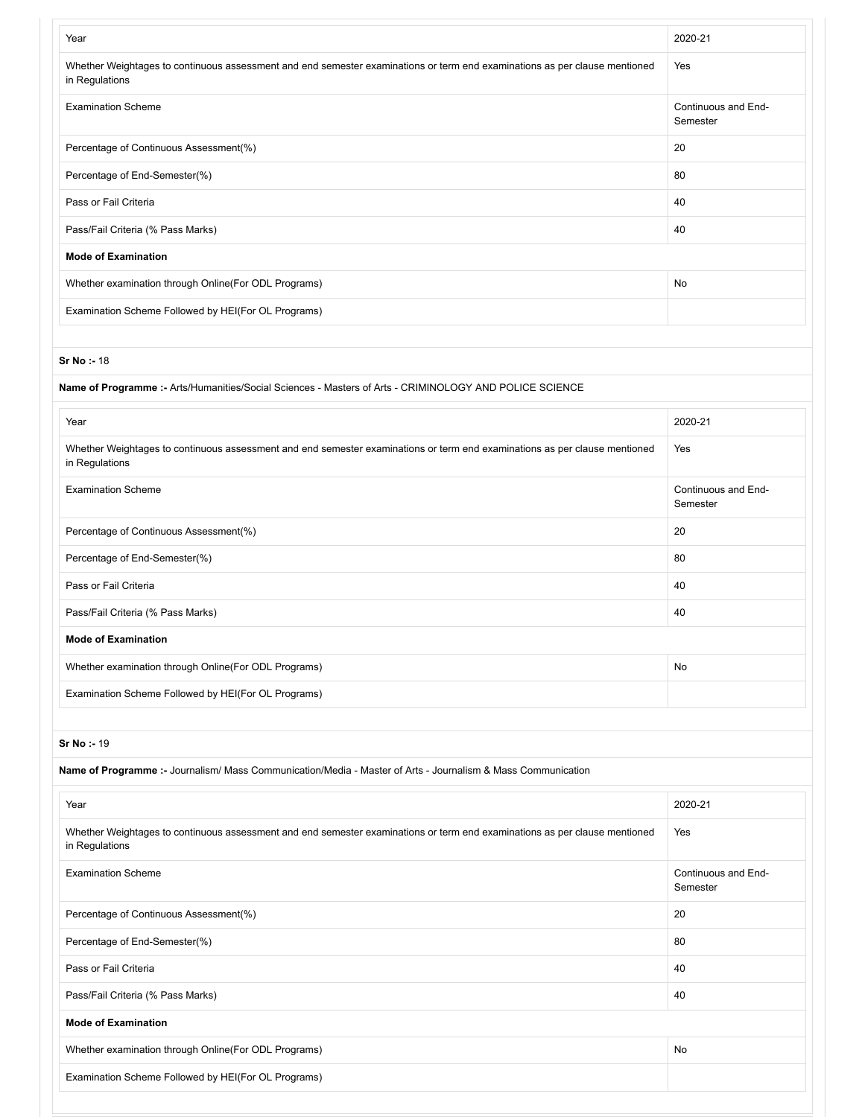| Year                                                                                                                                         | 2020-21                         |
|----------------------------------------------------------------------------------------------------------------------------------------------|---------------------------------|
| Whether Weightages to continuous assessment and end semester examinations or term end examinations as per clause mentioned<br>in Regulations | Yes                             |
| <b>Examination Scheme</b>                                                                                                                    | Continuous and End-<br>Semester |
| Percentage of Continuous Assessment(%)                                                                                                       | 20                              |
| Percentage of End-Semester(%)                                                                                                                | 80                              |
| Pass or Fail Criteria                                                                                                                        | 40                              |
| Pass/Fail Criteria (% Pass Marks)                                                                                                            | 40                              |
| <b>Mode of Examination</b>                                                                                                                   |                                 |
| Whether examination through Online(For ODL Programs)                                                                                         | No                              |
| Examination Scheme Followed by HEI(For OL Programs)                                                                                          |                                 |
|                                                                                                                                              |                                 |
| <b>Sr No:-18</b>                                                                                                                             |                                 |

| Name of Programme :- Arts/Humanities/Social Sciences - Masters of Arts - CRIMINOLOGY AND POLICE SCIENCE                                      |                                 |
|----------------------------------------------------------------------------------------------------------------------------------------------|---------------------------------|
| Year                                                                                                                                         | 2020-21                         |
| Whether Weightages to continuous assessment and end semester examinations or term end examinations as per clause mentioned<br>in Regulations | Yes                             |
| <b>Examination Scheme</b>                                                                                                                    | Continuous and End-<br>Semester |
| Percentage of Continuous Assessment(%)                                                                                                       | 20                              |
| Percentage of End-Semester(%)                                                                                                                | 80                              |
| Pass or Fail Criteria                                                                                                                        | 40                              |
| Pass/Fail Criteria (% Pass Marks)                                                                                                            | 40                              |
| <b>Mode of Examination</b>                                                                                                                   |                                 |
| Whether examination through Online(For ODL Programs)                                                                                         | No                              |
| Examination Scheme Followed by HEI(For OL Programs)                                                                                          |                                 |

| Name of Programme :- Journalism/ Mass Communication/Media - Master of Arts - Journalism & Mass Communication                                 |                                 |
|----------------------------------------------------------------------------------------------------------------------------------------------|---------------------------------|
| Year                                                                                                                                         | 2020-21                         |
| Whether Weightages to continuous assessment and end semester examinations or term end examinations as per clause mentioned<br>in Regulations | Yes                             |
| <b>Examination Scheme</b>                                                                                                                    | Continuous and End-<br>Semester |
| Percentage of Continuous Assessment(%)                                                                                                       | 20                              |
| Percentage of End-Semester(%)                                                                                                                | 80                              |
| Pass or Fail Criteria                                                                                                                        | 40                              |
| Pass/Fail Criteria (% Pass Marks)                                                                                                            | 40                              |
| <b>Mode of Examination</b>                                                                                                                   |                                 |
| Whether examination through Online(For ODL Programs)                                                                                         | <b>No</b>                       |
| Examination Scheme Followed by HEI(For OL Programs)                                                                                          |                                 |
|                                                                                                                                              |                                 |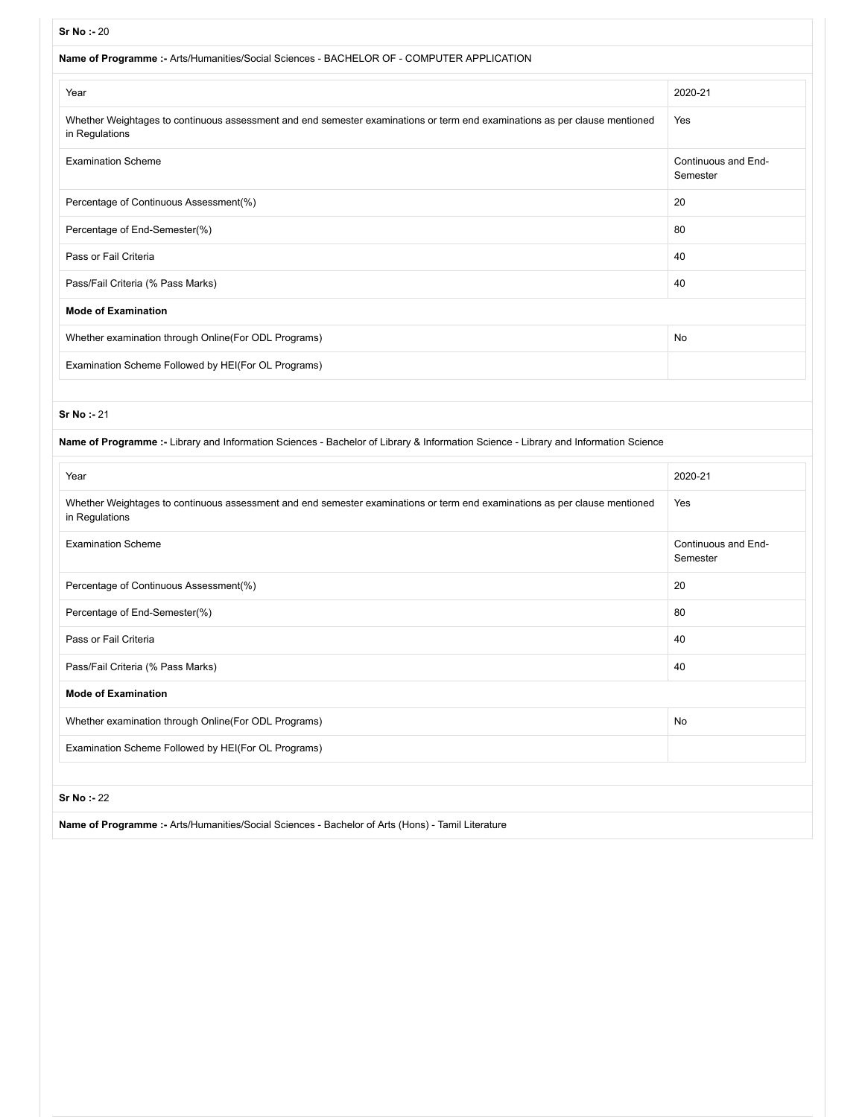| 31 IVO - 20                                                                                                                                  |                                 |
|----------------------------------------------------------------------------------------------------------------------------------------------|---------------------------------|
| Name of Programme :- Arts/Humanities/Social Sciences - BACHELOR OF - COMPUTER APPLICATION                                                    |                                 |
| Year                                                                                                                                         | 2020-21                         |
| Whether Weightages to continuous assessment and end semester examinations or term end examinations as per clause mentioned<br>in Regulations | Yes                             |
| <b>Examination Scheme</b>                                                                                                                    | Continuous and End-<br>Semester |
| Percentage of Continuous Assessment(%)                                                                                                       | 20                              |
| Percentage of End-Semester(%)                                                                                                                | 80                              |
| Pass or Fail Criteria                                                                                                                        | 40                              |
| Pass/Fail Criteria (% Pass Marks)                                                                                                            | 40                              |
| <b>Mode of Examination</b>                                                                                                                   |                                 |
| Whether examination through Online(For ODL Programs)                                                                                         | <b>No</b>                       |
| Examination Scheme Followed by HEI(For OL Programs)                                                                                          |                                 |

| Name of Programme :- Library and Information Sciences - Bachelor of Library & Information Science - Library and Information Science          |                                 |
|----------------------------------------------------------------------------------------------------------------------------------------------|---------------------------------|
| Year                                                                                                                                         | 2020-21                         |
| Whether Weightages to continuous assessment and end semester examinations or term end examinations as per clause mentioned<br>in Regulations | Yes                             |
| <b>Examination Scheme</b>                                                                                                                    | Continuous and End-<br>Semester |
| Percentage of Continuous Assessment(%)                                                                                                       | 20                              |
| Percentage of End-Semester(%)                                                                                                                | 80                              |
| Pass or Fail Criteria                                                                                                                        | 40                              |
| Pass/Fail Criteria (% Pass Marks)                                                                                                            | 40                              |
| <b>Mode of Examination</b>                                                                                                                   |                                 |
| Whether examination through Online(For ODL Programs)                                                                                         | No                              |
| Examination Scheme Followed by HEI(For OL Programs)                                                                                          |                                 |
|                                                                                                                                              |                                 |
| Sr No : 22                                                                                                                                   |                                 |
| Name of Programme :- Arts/Humanities/Social Sciences - Bachelor of Arts (Hons) - Tamil Literature                                            |                                 |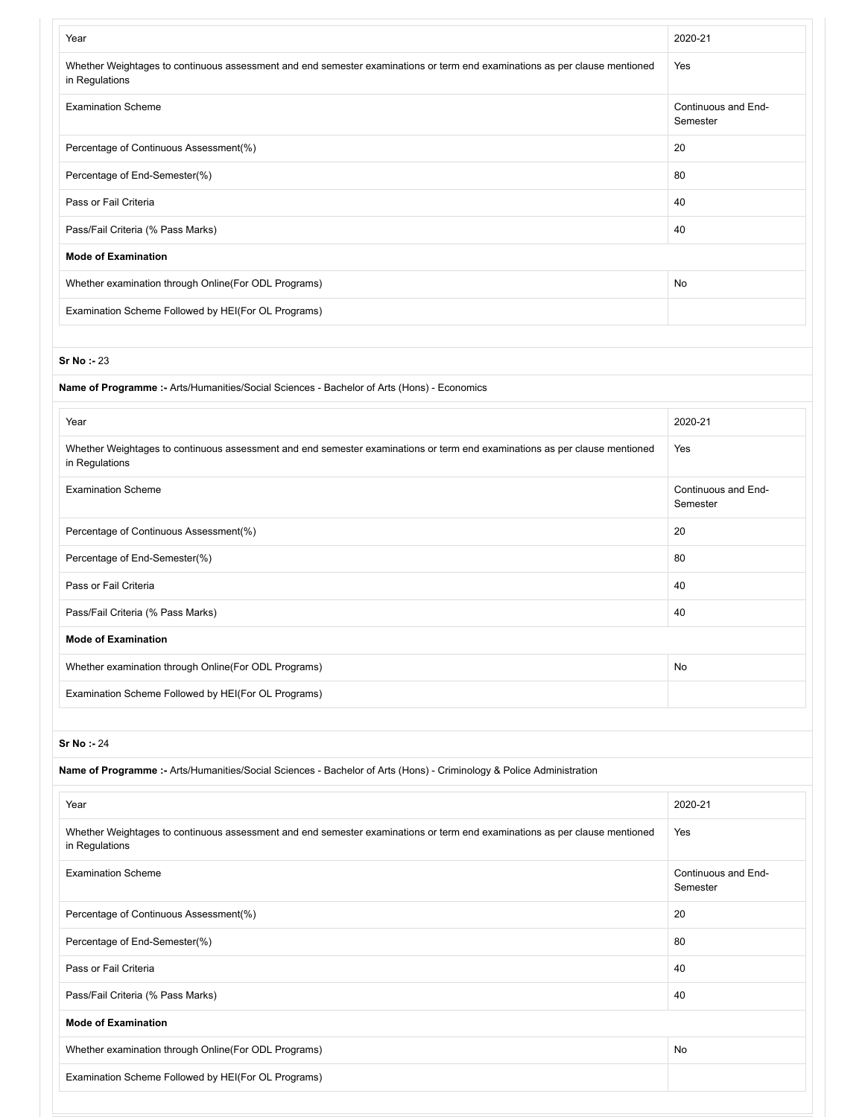| Year                                                                                                                                         | 2020-21                         |
|----------------------------------------------------------------------------------------------------------------------------------------------|---------------------------------|
| Whether Weightages to continuous assessment and end semester examinations or term end examinations as per clause mentioned<br>in Regulations | Yes                             |
| <b>Examination Scheme</b>                                                                                                                    | Continuous and End-<br>Semester |
| Percentage of Continuous Assessment(%)                                                                                                       | 20                              |
| Percentage of End-Semester(%)                                                                                                                | 80                              |
| Pass or Fail Criteria                                                                                                                        | 40                              |
| Pass/Fail Criteria (% Pass Marks)                                                                                                            | 40                              |
| <b>Mode of Examination</b>                                                                                                                   |                                 |
| Whether examination through Online(For ODL Programs)                                                                                         | No                              |
| Examination Scheme Followed by HEI(For OL Programs)                                                                                          |                                 |
|                                                                                                                                              |                                 |
| <b>Sr No: - 23</b>                                                                                                                           |                                 |
| Name of Programme :- Arts/Humanities/Social Sciences - Bachelor of Arts (Hons) - Economics                                                   |                                 |
| Year                                                                                                                                         | 2020-21                         |
| Whether Weightages to continuous assessment and end semester examinations or term end examinations as per clause mentioned<br>in Regulations | Yes                             |
| <b>Examination Scheme</b>                                                                                                                    | Continuous and End-<br>Semester |
| Percentage of Continuous Assessment(%)                                                                                                       | 20                              |
| Percentage of End-Semester(%)                                                                                                                | 80                              |
| Pass or Fail Criteria                                                                                                                        | 40                              |
| Pass/Fail Criteria (% Pass Marks)                                                                                                            | 40                              |
| <b>Mode of Examination</b>                                                                                                                   |                                 |
| Whether examination through Online(For ODL Programs)                                                                                         | No                              |
| Examination Scheme Followed by HEI(For OL Programs)                                                                                          |                                 |
|                                                                                                                                              |                                 |
| Sr No: - 24                                                                                                                                  |                                 |
| Name of Programme :- Arts/Humanities/Social Sciences - Bachelor of Arts (Hons) - Criminology & Police Administration                         |                                 |
| Year                                                                                                                                         | 2020-21                         |
| Whether Weightages to continuous assessment and end semester examinations or term end examinations as per clause mentioned<br>in Regulations | Yes                             |
| <b>Examination Scheme</b>                                                                                                                    | Continuous and End-<br>Semester |
| Percentage of Continuous Assessment(%)                                                                                                       | 20                              |
| Percentage of End-Semester(%)                                                                                                                | 80                              |
| Pass or Fail Criteria                                                                                                                        | 40                              |
| Pass/Fail Criteria (% Pass Marks)                                                                                                            | 40                              |
| <b>Mode of Examination</b>                                                                                                                   |                                 |
| Whether examination through Online(For ODL Programs)                                                                                         | No                              |
| Examination Scheme Followed by HEI(For OL Programs)                                                                                          |                                 |
|                                                                                                                                              |                                 |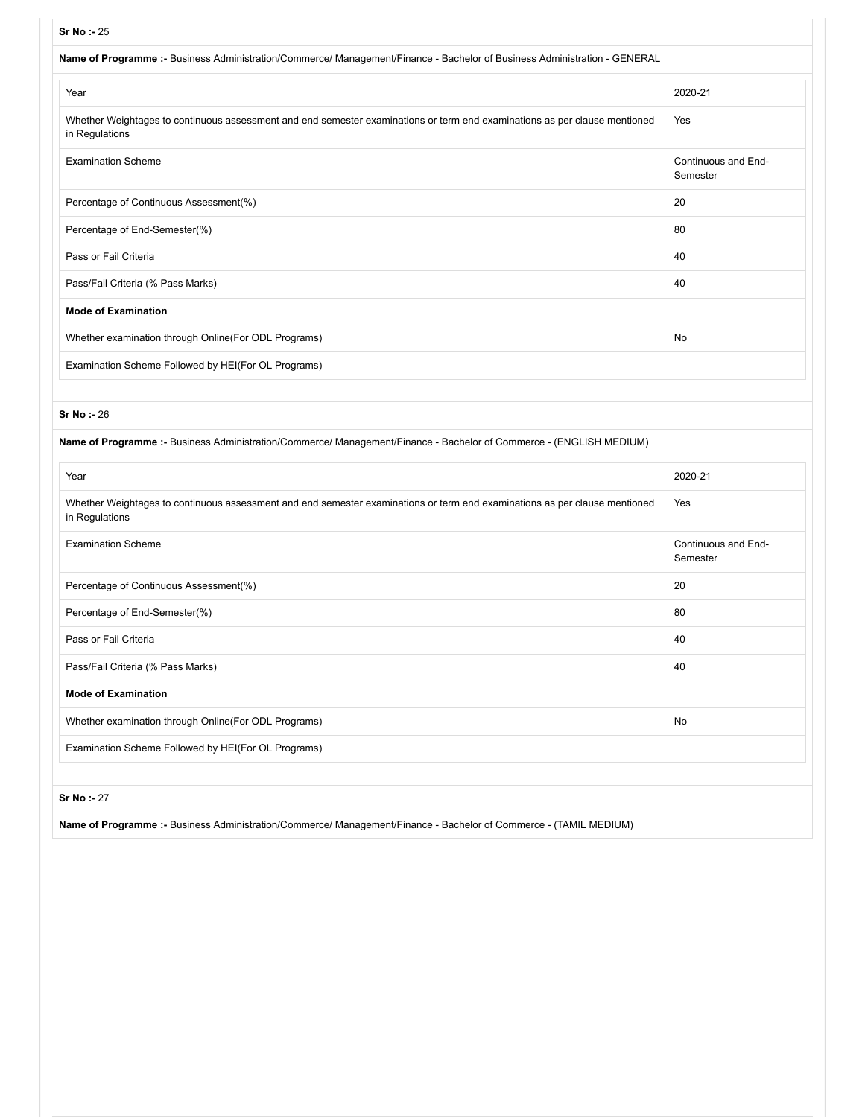| Name of Programme :- Business Administration/Commerce/ Management/Finance - Bachelor of Business Administration - GENERAL                    |                                 |
|----------------------------------------------------------------------------------------------------------------------------------------------|---------------------------------|
| Year                                                                                                                                         | 2020-21                         |
| Whether Weightages to continuous assessment and end semester examinations or term end examinations as per clause mentioned<br>in Regulations | Yes                             |
| <b>Examination Scheme</b>                                                                                                                    | Continuous and End-<br>Semester |
| Percentage of Continuous Assessment(%)                                                                                                       | 20                              |
| Percentage of End-Semester(%)                                                                                                                | 80                              |
| Pass or Fail Criteria                                                                                                                        | 40                              |
| Pass/Fail Criteria (% Pass Marks)                                                                                                            | 40                              |
| <b>Mode of Examination</b>                                                                                                                   |                                 |
| Whether examination through Online (For ODL Programs)                                                                                        | No                              |
| Examination Scheme Followed by HEI(For OL Programs)                                                                                          |                                 |
|                                                                                                                                              |                                 |
| <b>Sr No: - 26</b>                                                                                                                           |                                 |
| Name of Programme :- Business Administration/Commerce/ Management/Finance - Bachelor of Commerce - (ENGLISH MEDIUM)                          |                                 |

| Year                                                                                                                                         | 2020-21                         |
|----------------------------------------------------------------------------------------------------------------------------------------------|---------------------------------|
| Whether Weightages to continuous assessment and end semester examinations or term end examinations as per clause mentioned<br>in Regulations | Yes                             |
| <b>Examination Scheme</b>                                                                                                                    | Continuous and End-<br>Semester |
| Percentage of Continuous Assessment(%)                                                                                                       | 20                              |
| Percentage of End-Semester(%)                                                                                                                | 80                              |
| Pass or Fail Criteria                                                                                                                        | 40                              |
| Pass/Fail Criteria (% Pass Marks)                                                                                                            | 40                              |
| <b>Mode of Examination</b>                                                                                                                   |                                 |
| Whether examination through Online(For ODL Programs)                                                                                         | No                              |
| Examination Scheme Followed by HEI(For OL Programs)                                                                                          |                                 |
|                                                                                                                                              |                                 |
| <b>Sr No: - 27</b>                                                                                                                           |                                 |

**Name of Programme :-** Business Administration/Commerce/ Management/Finance - Bachelor of Commerce - (TAMIL MEDIUM)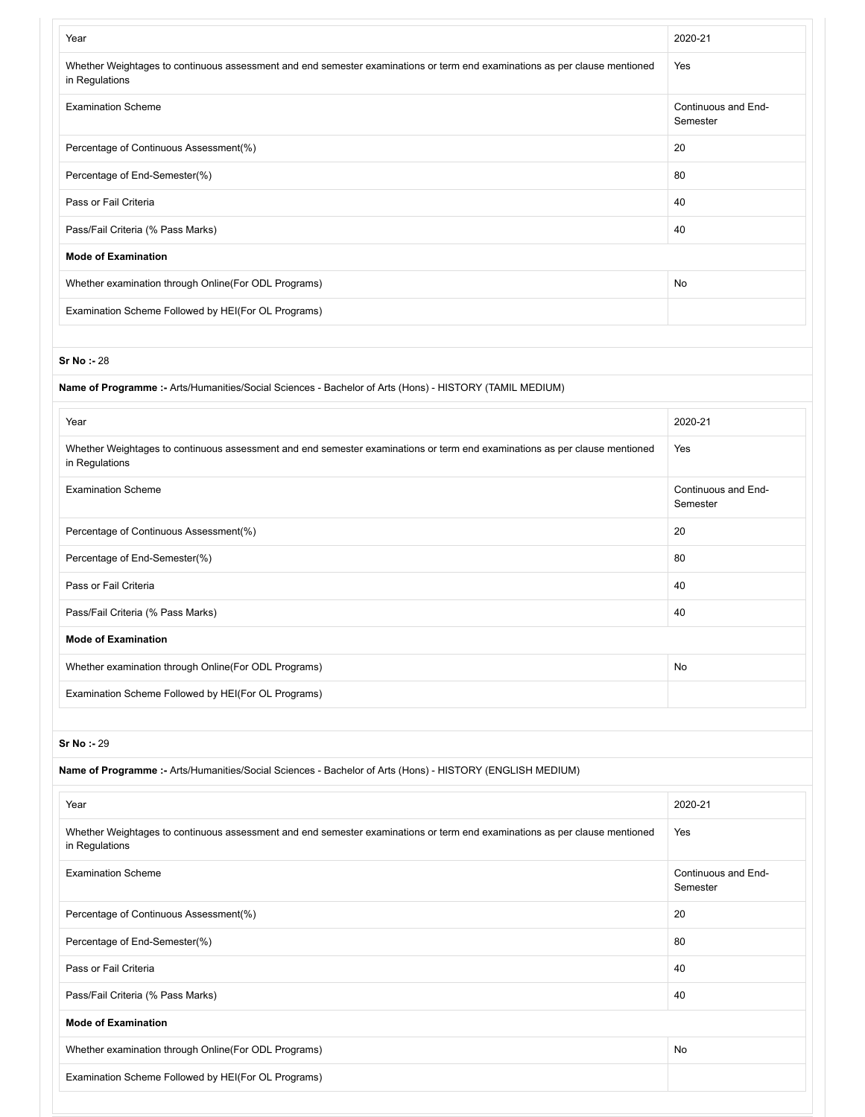| Year                                                                                                                                         | 2020-21                         |
|----------------------------------------------------------------------------------------------------------------------------------------------|---------------------------------|
| Whether Weightages to continuous assessment and end semester examinations or term end examinations as per clause mentioned<br>in Regulations | Yes                             |
| <b>Examination Scheme</b>                                                                                                                    | Continuous and End-<br>Semester |
| Percentage of Continuous Assessment(%)                                                                                                       | 20                              |
| Percentage of End-Semester(%)                                                                                                                | 80                              |
| Pass or Fail Criteria                                                                                                                        | 40                              |
| Pass/Fail Criteria (% Pass Marks)                                                                                                            | 40                              |
| <b>Mode of Examination</b>                                                                                                                   |                                 |
| Whether examination through Online(For ODL Programs)                                                                                         | No                              |
| Examination Scheme Followed by HEI(For OL Programs)                                                                                          |                                 |
|                                                                                                                                              |                                 |
| <b>Sr No: - 28</b>                                                                                                                           |                                 |
| Name of Programme :- Arts/Humanities/Social Sciences - Bachelor of Arts (Hons) - HISTORY (TAMIL MEDIUM)                                      |                                 |
| Year                                                                                                                                         | 2020-21                         |
| Whether Weightages to continuous assessment and end semester examinations or term end examinations as per clause mentioned<br>in Regulations | Yes                             |
| <b>Examination Scheme</b>                                                                                                                    | Continuous and End-<br>Semester |
| Percentage of Continuous Assessment(%)                                                                                                       | 20                              |
| Percentage of End-Semester(%)                                                                                                                | 80                              |
| Pass or Fail Criteria                                                                                                                        | 40                              |
| Pass/Fail Criteria (% Pass Marks)                                                                                                            | 40                              |
| <b>Mode of Examination</b>                                                                                                                   |                                 |
| Whether examination through Online(For ODL Programs)                                                                                         | No                              |
| Examination Scheme Followed by HEI(For OL Programs)                                                                                          |                                 |
|                                                                                                                                              |                                 |
| Sr No: - 29                                                                                                                                  |                                 |
| Name of Programme :- Arts/Humanities/Social Sciences - Bachelor of Arts (Hons) - HISTORY (ENGLISH MEDIUM)                                    |                                 |
| Year                                                                                                                                         | 2020-21                         |
| Whether Weightages to continuous assessment and end semester examinations or term end examinations as per clause mentioned<br>in Regulations | Yes                             |
| <b>Examination Scheme</b>                                                                                                                    | Continuous and End-<br>Semester |
| Percentage of Continuous Assessment(%)                                                                                                       | 20                              |
| Percentage of End-Semester(%)                                                                                                                | 80                              |
| Pass or Fail Criteria                                                                                                                        | 40                              |
| Pass/Fail Criteria (% Pass Marks)                                                                                                            | 40                              |
| <b>Mode of Examination</b>                                                                                                                   |                                 |
| Whether examination through Online(For ODL Programs)                                                                                         | No                              |
| Examination Scheme Followed by HEI(For OL Programs)                                                                                          |                                 |
|                                                                                                                                              |                                 |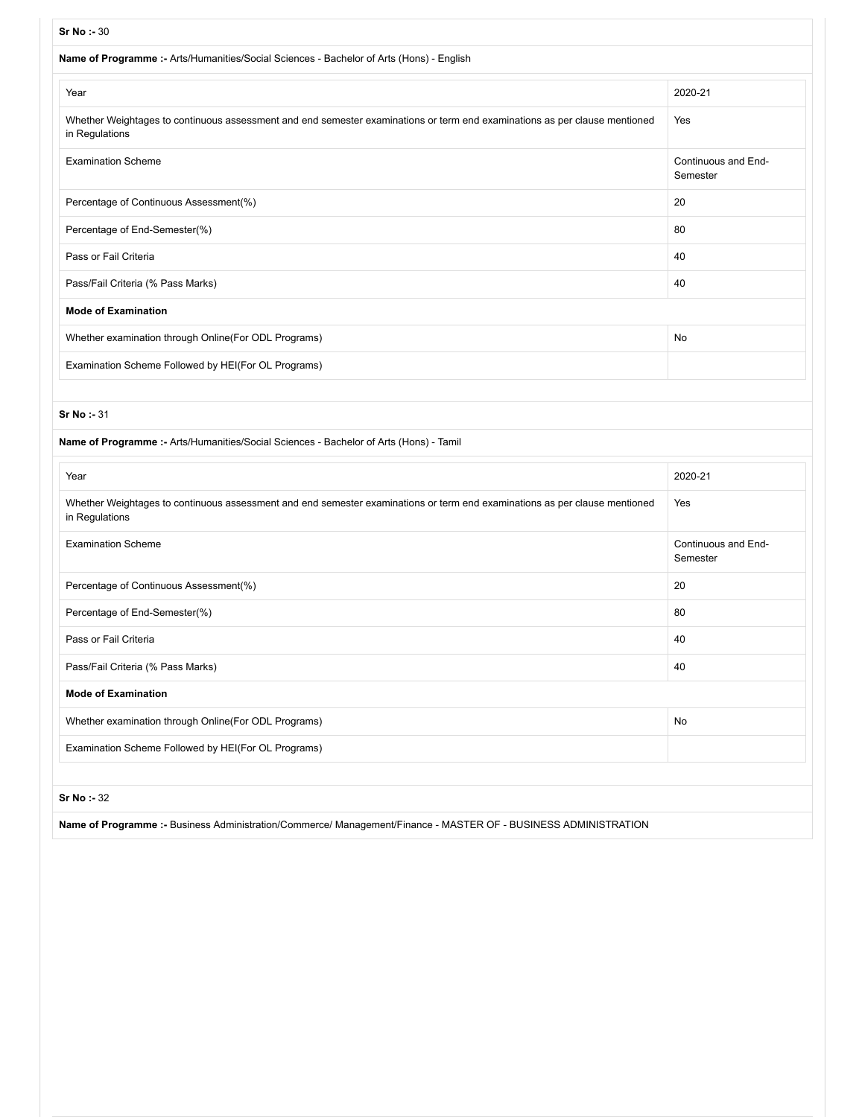# **Sr No :-** 30 **Name of Programme :-** Arts/Humanities/Social Sciences - Bachelor of Arts (Hons) - English Year 2020-21 Whether Weightages to continuous assessment and end semester examinations or term end examinations as per clause mentioned in Regulations Yes Examination Scheme Continuous and End-Semester Percentage of Continuous Assessment(%) 20 Percentage of End-Semester(%) 80 Pass or Fail Criteria 40 Pass/Fail Criteria (% Pass Marks) 40 **Mode of Examination** Whether examination through Online(For ODL Programs) No whether examination through Online(For ODL Programs) Examination Scheme Followed by HEI(For OL Programs) **Sr No :-** 31 **Name of Programme :-** Arts/Humanities/Social Sciences - Bachelor of Arts (Hons) - Tamil Year 2020-21 Whether Weightages to continuous assessment and end semester examinations or term end examinations as per clause mentioned in Regulations Yes Examination Scheme Continuous and End-Semester Percentage of Continuous Assessment(%) 20 Percentage of End-Semester(%) 80 Pass or Fail Criteria 40 Pass/Fail Criteria (% Pass Marks) 40

**Mode of Examination** Whether examination through Online(For ODL Programs) No whether examination through Online(For ODL Programs)

Examination Scheme Followed by HEI(For OL Programs)

## **Sr No :-** 32

**Name of Programme :-** Business Administration/Commerce/ Management/Finance - MASTER OF - BUSINESS ADMINISTRATION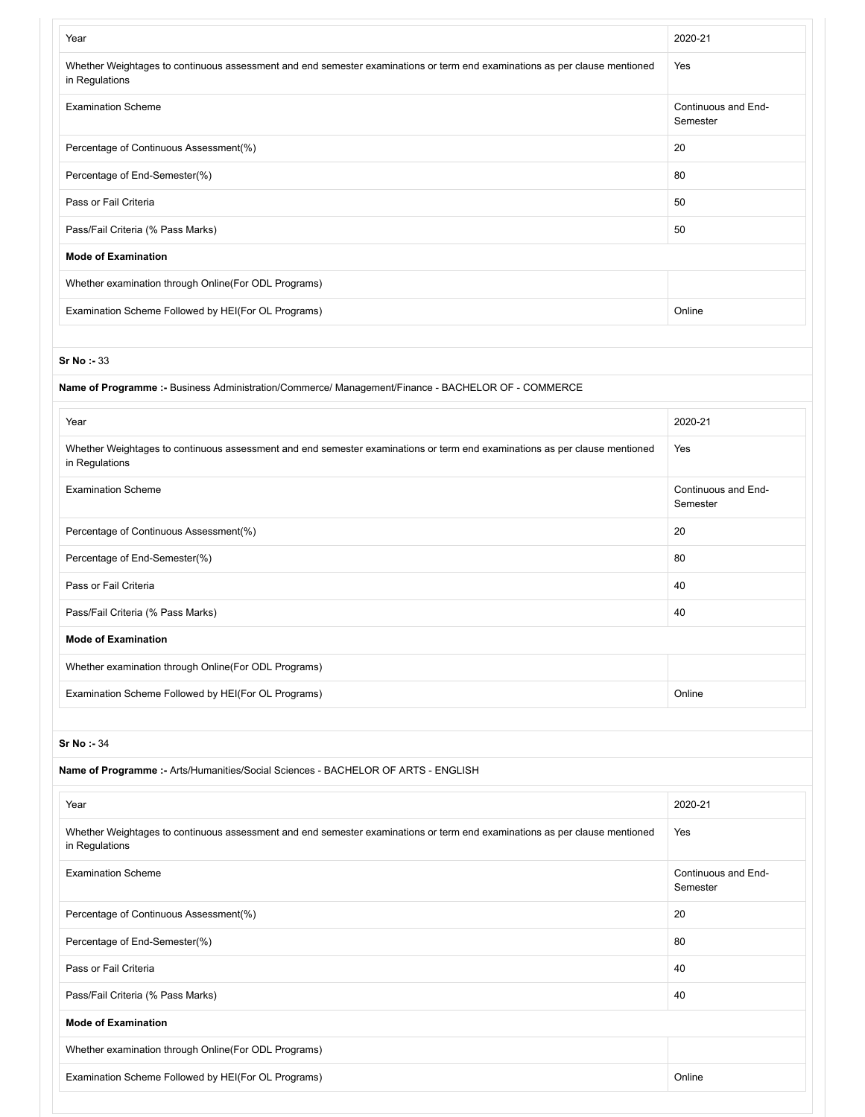| Year                                                                                                                                         | 2020-21                         |
|----------------------------------------------------------------------------------------------------------------------------------------------|---------------------------------|
| Whether Weightages to continuous assessment and end semester examinations or term end examinations as per clause mentioned<br>in Regulations | Yes                             |
| <b>Examination Scheme</b>                                                                                                                    | Continuous and End-<br>Semester |
| Percentage of Continuous Assessment(%)                                                                                                       | 20                              |
| Percentage of End-Semester(%)                                                                                                                | 80                              |
| Pass or Fail Criteria                                                                                                                        | 50                              |
| Pass/Fail Criteria (% Pass Marks)                                                                                                            | 50                              |
| <b>Mode of Examination</b>                                                                                                                   |                                 |
| Whether examination through Online(For ODL Programs)                                                                                         |                                 |
| Examination Scheme Followed by HEI(For OL Programs)                                                                                          | Online                          |
|                                                                                                                                              |                                 |
| Sr No: 33                                                                                                                                    |                                 |
| Name of Programme :- Business Administration/Commerce/ Management/Finance - BACHELOR OF - COMMERCE                                           |                                 |
| Year                                                                                                                                         | 2020-21                         |

| Whether Weightages to continuous assessment and end semester examinations or term end examinations as per clause mentioned<br>in Regulations | Yes                             |
|----------------------------------------------------------------------------------------------------------------------------------------------|---------------------------------|
| <b>Examination Scheme</b>                                                                                                                    | Continuous and End-<br>Semester |
| Percentage of Continuous Assessment(%)                                                                                                       | 20                              |
| Percentage of End-Semester(%)                                                                                                                | 80                              |
| Pass or Fail Criteria                                                                                                                        | 40                              |
| Pass/Fail Criteria (% Pass Marks)                                                                                                            | 40                              |
| <b>Mode of Examination</b>                                                                                                                   |                                 |
| Whether examination through Online (For ODL Programs)                                                                                        |                                 |
| Examination Scheme Followed by HEI(For OL Programs)                                                                                          | Online                          |

| Name of Programme :- Arts/Humanities/Social Sciences - BACHELOR OF ARTS - ENGLISH                                                            |                                 |
|----------------------------------------------------------------------------------------------------------------------------------------------|---------------------------------|
| Year                                                                                                                                         | 2020-21                         |
| Whether Weightages to continuous assessment and end semester examinations or term end examinations as per clause mentioned<br>in Regulations | Yes                             |
| <b>Examination Scheme</b>                                                                                                                    | Continuous and End-<br>Semester |
| Percentage of Continuous Assessment(%)                                                                                                       | 20                              |
| Percentage of End-Semester(%)                                                                                                                | 80                              |
| Pass or Fail Criteria                                                                                                                        | 40                              |
| Pass/Fail Criteria (% Pass Marks)                                                                                                            | 40                              |
| <b>Mode of Examination</b>                                                                                                                   |                                 |
| Whether examination through Online(For ODL Programs)                                                                                         |                                 |
| Examination Scheme Followed by HEI(For OL Programs)                                                                                          | Online                          |
|                                                                                                                                              |                                 |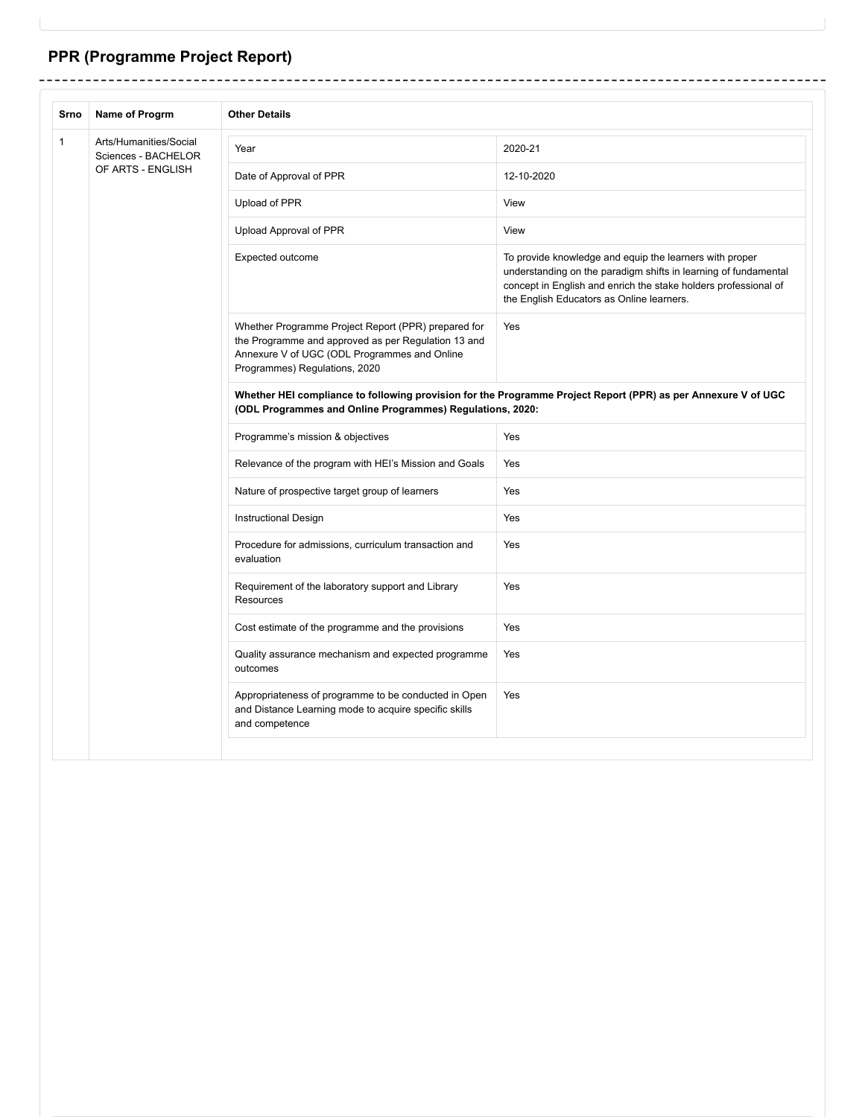## **PPR (Programme Project Report)**

 $\overline{a}$  $- - -$ 

-------------

| Srno         | Name of Progrm                                | <b>Other Details</b>                                                                                                                                                                        |                                                                                                                                                                                                                                            |  |
|--------------|-----------------------------------------------|---------------------------------------------------------------------------------------------------------------------------------------------------------------------------------------------|--------------------------------------------------------------------------------------------------------------------------------------------------------------------------------------------------------------------------------------------|--|
| $\mathbf{1}$ | Arts/Humanities/Social<br>Sciences - BACHELOR | Year                                                                                                                                                                                        | 2020-21                                                                                                                                                                                                                                    |  |
|              | OF ARTS - ENGLISH                             | Date of Approval of PPR                                                                                                                                                                     | 12-10-2020                                                                                                                                                                                                                                 |  |
|              |                                               | Upload of PPR                                                                                                                                                                               | View                                                                                                                                                                                                                                       |  |
|              |                                               | Upload Approval of PPR                                                                                                                                                                      | View                                                                                                                                                                                                                                       |  |
|              |                                               | Expected outcome                                                                                                                                                                            | To provide knowledge and equip the learners with proper<br>understanding on the paradigm shifts in learning of fundamental<br>concept in English and enrich the stake holders professional of<br>the English Educators as Online learners. |  |
|              |                                               | Whether Programme Project Report (PPR) prepared for<br>the Programme and approved as per Regulation 13 and<br>Annexure V of UGC (ODL Programmes and Online<br>Programmes) Regulations, 2020 | Yes                                                                                                                                                                                                                                        |  |
|              |                                               | Whether HEI compliance to following provision for the Programme Project Report (PPR) as per Annexure V of UGC<br>(ODL Programmes and Online Programmes) Regulations, 2020:                  |                                                                                                                                                                                                                                            |  |
|              |                                               | Programme's mission & objectives                                                                                                                                                            | Yes                                                                                                                                                                                                                                        |  |
|              |                                               | Relevance of the program with HEI's Mission and Goals                                                                                                                                       | Yes                                                                                                                                                                                                                                        |  |
|              |                                               | Nature of prospective target group of learners                                                                                                                                              | Yes                                                                                                                                                                                                                                        |  |
|              |                                               | <b>Instructional Design</b>                                                                                                                                                                 | Yes                                                                                                                                                                                                                                        |  |
|              |                                               | Procedure for admissions, curriculum transaction and<br>evaluation                                                                                                                          | Yes                                                                                                                                                                                                                                        |  |
|              |                                               | Requirement of the laboratory support and Library<br>Resources                                                                                                                              | Yes                                                                                                                                                                                                                                        |  |
|              |                                               | Cost estimate of the programme and the provisions                                                                                                                                           | Yes                                                                                                                                                                                                                                        |  |
|              |                                               | Quality assurance mechanism and expected programme<br>outcomes                                                                                                                              | Yes                                                                                                                                                                                                                                        |  |
|              |                                               | Appropriateness of programme to be conducted in Open<br>and Distance Learning mode to acquire specific skills<br>and competence                                                             | Yes                                                                                                                                                                                                                                        |  |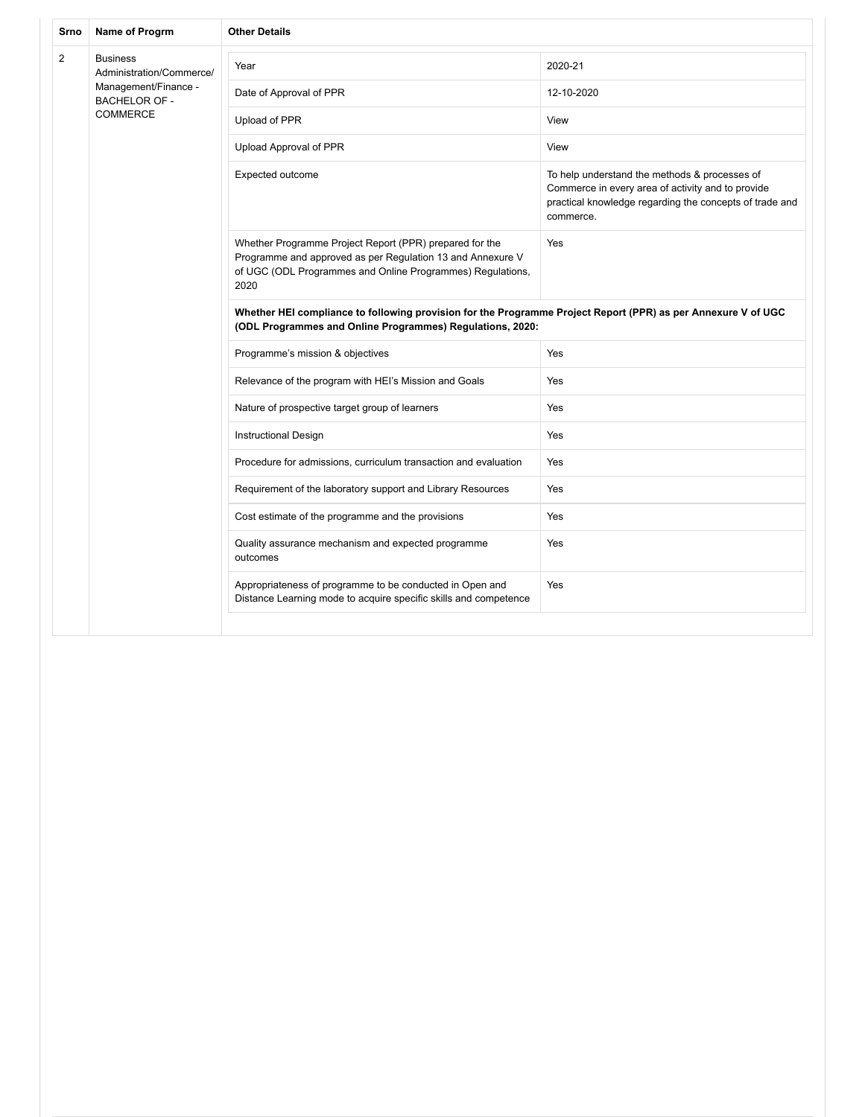| Srno           | Name of Progrm                                                                                                 | <b>Other Details</b>                                                                                                                                                                        |                                                                                                                                                                            |  |
|----------------|----------------------------------------------------------------------------------------------------------------|---------------------------------------------------------------------------------------------------------------------------------------------------------------------------------------------|----------------------------------------------------------------------------------------------------------------------------------------------------------------------------|--|
| $\overline{2}$ | <b>Business</b><br>Administration/Commerce/<br>Management/Finance -<br><b>BACHELOR OF -</b><br><b>COMMERCE</b> | Year                                                                                                                                                                                        | 2020-21                                                                                                                                                                    |  |
|                |                                                                                                                | Date of Approval of PPR                                                                                                                                                                     | 12-10-2020                                                                                                                                                                 |  |
|                |                                                                                                                | Upload of PPR                                                                                                                                                                               | View                                                                                                                                                                       |  |
|                |                                                                                                                | Upload Approval of PPR                                                                                                                                                                      | View                                                                                                                                                                       |  |
|                |                                                                                                                | Expected outcome                                                                                                                                                                            | To help understand the methods & processes of<br>Commerce in every area of activity and to provide<br>practical knowledge regarding the concepts of trade and<br>commerce. |  |
|                |                                                                                                                | Whether Programme Project Report (PPR) prepared for the<br>Programme and approved as per Regulation 13 and Annexure V<br>of UGC (ODL Programmes and Online Programmes) Regulations,<br>2020 | Yes                                                                                                                                                                        |  |
|                |                                                                                                                | Whether HEI compliance to following provision for the Programme Project Report (PPR) as per Annexure V of UGC<br>(ODL Programmes and Online Programmes) Regulations, 2020:                  |                                                                                                                                                                            |  |
|                |                                                                                                                | Programme's mission & objectives                                                                                                                                                            | Yes                                                                                                                                                                        |  |
|                |                                                                                                                | Relevance of the program with HEI's Mission and Goals                                                                                                                                       | Yes                                                                                                                                                                        |  |
|                |                                                                                                                | Nature of prospective target group of learners                                                                                                                                              | Yes                                                                                                                                                                        |  |
|                |                                                                                                                | <b>Instructional Design</b>                                                                                                                                                                 | Yes                                                                                                                                                                        |  |
|                |                                                                                                                | Procedure for admissions, curriculum transaction and evaluation                                                                                                                             | Yes                                                                                                                                                                        |  |
|                |                                                                                                                | Requirement of the laboratory support and Library Resources                                                                                                                                 | Yes                                                                                                                                                                        |  |
|                |                                                                                                                | Cost estimate of the programme and the provisions                                                                                                                                           | Yes                                                                                                                                                                        |  |
|                |                                                                                                                | Quality assurance mechanism and expected programme<br>outcomes                                                                                                                              | Yes                                                                                                                                                                        |  |
|                |                                                                                                                | Appropriateness of programme to be conducted in Open and<br>Distance Learning mode to acquire specific skills and competence                                                                | Yes                                                                                                                                                                        |  |
|                |                                                                                                                |                                                                                                                                                                                             |                                                                                                                                                                            |  |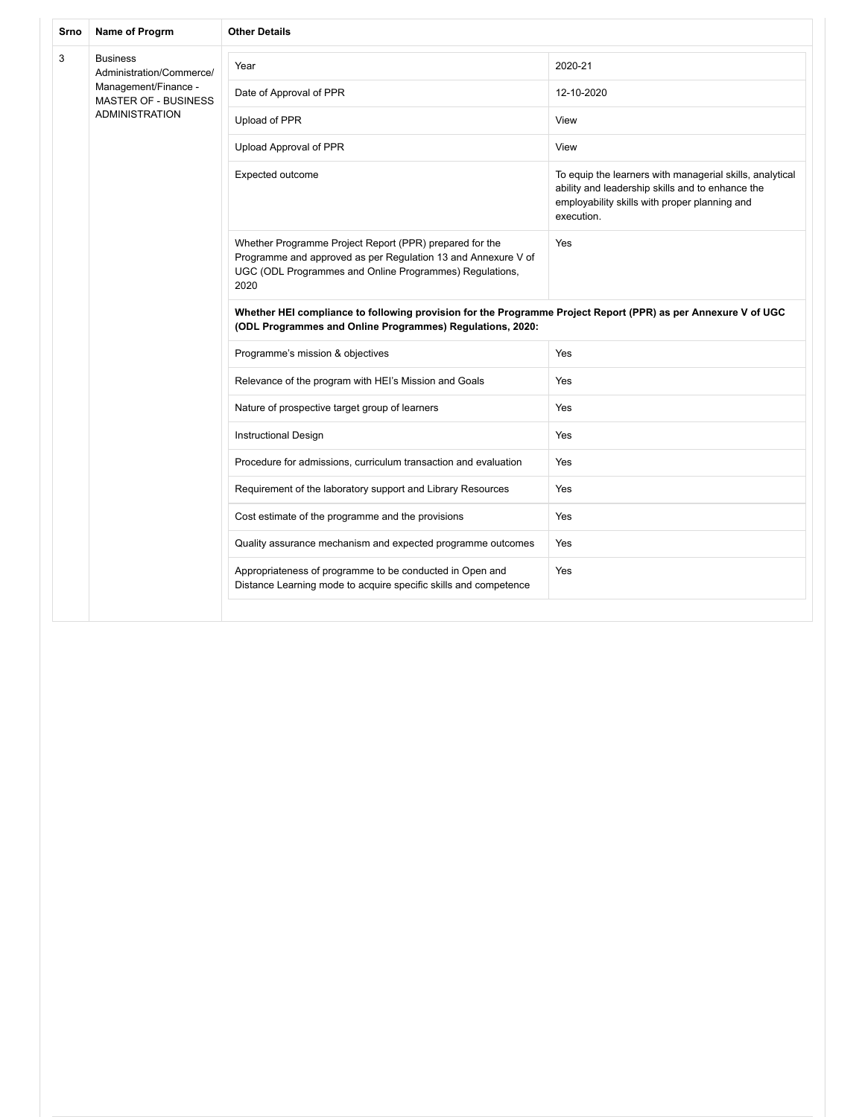| Srno | Name of Progrm                                                                                                       | <b>Other Details</b>                                                                                                                                                                        |                                                                                                                                                                             |  |
|------|----------------------------------------------------------------------------------------------------------------------|---------------------------------------------------------------------------------------------------------------------------------------------------------------------------------------------|-----------------------------------------------------------------------------------------------------------------------------------------------------------------------------|--|
| 3    | <b>Business</b><br>Administration/Commerce/<br>Management/Finance -<br>MASTER OF - BUSINESS<br><b>ADMINISTRATION</b> | Year                                                                                                                                                                                        | 2020-21                                                                                                                                                                     |  |
|      |                                                                                                                      | Date of Approval of PPR                                                                                                                                                                     | 12-10-2020                                                                                                                                                                  |  |
|      |                                                                                                                      | Upload of PPR                                                                                                                                                                               | View                                                                                                                                                                        |  |
|      |                                                                                                                      | Upload Approval of PPR                                                                                                                                                                      | View                                                                                                                                                                        |  |
|      |                                                                                                                      | Expected outcome                                                                                                                                                                            | To equip the learners with managerial skills, analytical<br>ability and leadership skills and to enhance the<br>employability skills with proper planning and<br>execution. |  |
|      |                                                                                                                      | Whether Programme Project Report (PPR) prepared for the<br>Programme and approved as per Regulation 13 and Annexure V of<br>UGC (ODL Programmes and Online Programmes) Regulations,<br>2020 | Yes                                                                                                                                                                         |  |
|      |                                                                                                                      | Whether HEI compliance to following provision for the Programme Project Report (PPR) as per Annexure V of UGC<br>(ODL Programmes and Online Programmes) Regulations, 2020:                  |                                                                                                                                                                             |  |
|      |                                                                                                                      | Programme's mission & objectives                                                                                                                                                            | Yes                                                                                                                                                                         |  |
|      |                                                                                                                      | Relevance of the program with HEI's Mission and Goals                                                                                                                                       | Yes                                                                                                                                                                         |  |
|      |                                                                                                                      | Nature of prospective target group of learners                                                                                                                                              | Yes                                                                                                                                                                         |  |
|      |                                                                                                                      | <b>Instructional Design</b>                                                                                                                                                                 | Yes                                                                                                                                                                         |  |
|      |                                                                                                                      | Procedure for admissions, curriculum transaction and evaluation                                                                                                                             | Yes                                                                                                                                                                         |  |
|      |                                                                                                                      | Requirement of the laboratory support and Library Resources                                                                                                                                 | Yes                                                                                                                                                                         |  |
|      |                                                                                                                      | Cost estimate of the programme and the provisions                                                                                                                                           | Yes                                                                                                                                                                         |  |
|      |                                                                                                                      | Quality assurance mechanism and expected programme outcomes                                                                                                                                 | Yes                                                                                                                                                                         |  |
|      |                                                                                                                      | Appropriateness of programme to be conducted in Open and<br>Distance Learning mode to acquire specific skills and competence                                                                | Yes                                                                                                                                                                         |  |
|      |                                                                                                                      |                                                                                                                                                                                             |                                                                                                                                                                             |  |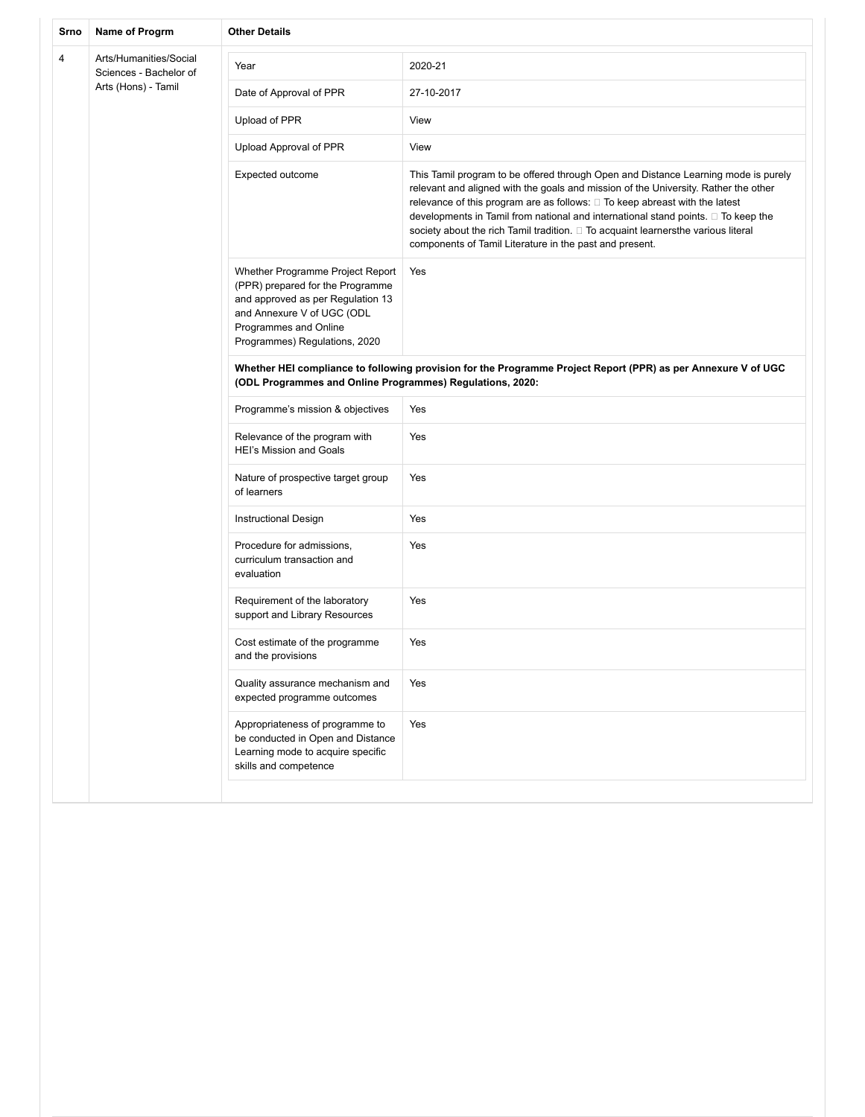| Srno | Name of Progrm                                   | <b>Other Details</b>                                                                                                                                                                              |                                                                                                                                                                                                                                                                                                                                                                                                                                                                                               |
|------|--------------------------------------------------|---------------------------------------------------------------------------------------------------------------------------------------------------------------------------------------------------|-----------------------------------------------------------------------------------------------------------------------------------------------------------------------------------------------------------------------------------------------------------------------------------------------------------------------------------------------------------------------------------------------------------------------------------------------------------------------------------------------|
| 4    | Arts/Humanities/Social<br>Sciences - Bachelor of | Year                                                                                                                                                                                              | 2020-21                                                                                                                                                                                                                                                                                                                                                                                                                                                                                       |
|      | Arts (Hons) - Tamil                              | Date of Approval of PPR                                                                                                                                                                           | 27-10-2017                                                                                                                                                                                                                                                                                                                                                                                                                                                                                    |
|      |                                                  | Upload of PPR                                                                                                                                                                                     | View                                                                                                                                                                                                                                                                                                                                                                                                                                                                                          |
|      |                                                  | Upload Approval of PPR                                                                                                                                                                            | View                                                                                                                                                                                                                                                                                                                                                                                                                                                                                          |
|      |                                                  | Expected outcome                                                                                                                                                                                  | This Tamil program to be offered through Open and Distance Learning mode is purely<br>relevant and aligned with the goals and mission of the University. Rather the other<br>relevance of this program are as follows: □ To keep abreast with the latest<br>developments in Tamil from national and international stand points. □ To keep the<br>society about the rich Tamil tradition. □ To acquaint learnersthe various literal<br>components of Tamil Literature in the past and present. |
|      |                                                  | Whether Programme Project Report<br>(PPR) prepared for the Programme<br>and approved as per Regulation 13<br>and Annexure V of UGC (ODL<br>Programmes and Online<br>Programmes) Regulations, 2020 | Yes                                                                                                                                                                                                                                                                                                                                                                                                                                                                                           |
|      |                                                  | Whether HEI compliance to following provision for the Programme Project Report (PPR) as per Annexure V of UGC<br>(ODL Programmes and Online Programmes) Regulations, 2020:                        |                                                                                                                                                                                                                                                                                                                                                                                                                                                                                               |
|      |                                                  | Programme's mission & objectives                                                                                                                                                                  | Yes                                                                                                                                                                                                                                                                                                                                                                                                                                                                                           |
|      |                                                  | Relevance of the program with<br><b>HEI's Mission and Goals</b>                                                                                                                                   | Yes                                                                                                                                                                                                                                                                                                                                                                                                                                                                                           |
|      |                                                  | Nature of prospective target group<br>of learners                                                                                                                                                 | Yes                                                                                                                                                                                                                                                                                                                                                                                                                                                                                           |
|      |                                                  | Instructional Design                                                                                                                                                                              | Yes                                                                                                                                                                                                                                                                                                                                                                                                                                                                                           |
|      |                                                  | Procedure for admissions,<br>curriculum transaction and<br>evaluation                                                                                                                             | Yes                                                                                                                                                                                                                                                                                                                                                                                                                                                                                           |
|      |                                                  | Requirement of the laboratory<br>support and Library Resources                                                                                                                                    | Yes                                                                                                                                                                                                                                                                                                                                                                                                                                                                                           |
|      |                                                  | Cost estimate of the programme<br>and the provisions                                                                                                                                              | Yes                                                                                                                                                                                                                                                                                                                                                                                                                                                                                           |
|      |                                                  | Quality assurance mechanism and<br>expected programme outcomes                                                                                                                                    | Yes                                                                                                                                                                                                                                                                                                                                                                                                                                                                                           |
|      |                                                  | Appropriateness of programme to<br>be conducted in Open and Distance<br>Learning mode to acquire specific<br>skills and competence                                                                | Yes                                                                                                                                                                                                                                                                                                                                                                                                                                                                                           |
|      |                                                  |                                                                                                                                                                                                   |                                                                                                                                                                                                                                                                                                                                                                                                                                                                                               |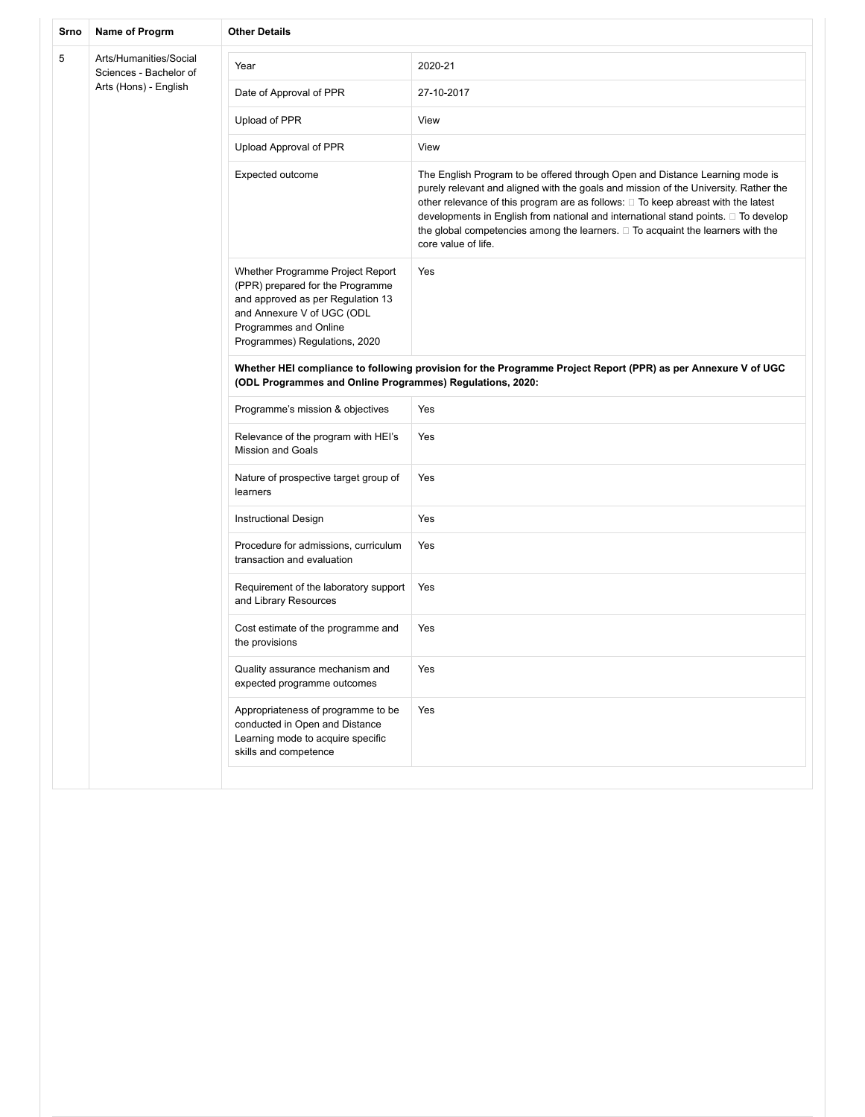| Srno | Name of Progrm                                   | <b>Other Details</b>                                                                                                                                                                              |                                                                                                                                                                                                                                                                                                                                                                                                                                                                |
|------|--------------------------------------------------|---------------------------------------------------------------------------------------------------------------------------------------------------------------------------------------------------|----------------------------------------------------------------------------------------------------------------------------------------------------------------------------------------------------------------------------------------------------------------------------------------------------------------------------------------------------------------------------------------------------------------------------------------------------------------|
| 5    | Arts/Humanities/Social<br>Sciences - Bachelor of | Year                                                                                                                                                                                              | 2020-21                                                                                                                                                                                                                                                                                                                                                                                                                                                        |
|      | Arts (Hons) - English                            | Date of Approval of PPR                                                                                                                                                                           | 27-10-2017                                                                                                                                                                                                                                                                                                                                                                                                                                                     |
|      |                                                  | Upload of PPR                                                                                                                                                                                     | View                                                                                                                                                                                                                                                                                                                                                                                                                                                           |
|      |                                                  | Upload Approval of PPR                                                                                                                                                                            | View                                                                                                                                                                                                                                                                                                                                                                                                                                                           |
|      |                                                  | Expected outcome                                                                                                                                                                                  | The English Program to be offered through Open and Distance Learning mode is<br>purely relevant and aligned with the goals and mission of the University. Rather the<br>other relevance of this program are as follows: □ To keep abreast with the latest<br>developments in English from national and international stand points. □ To develop<br>the global competencies among the learners. $\Box$ To acquaint the learners with the<br>core value of life. |
|      |                                                  | Whether Programme Project Report<br>(PPR) prepared for the Programme<br>and approved as per Regulation 13<br>and Annexure V of UGC (ODL<br>Programmes and Online<br>Programmes) Regulations, 2020 | Yes                                                                                                                                                                                                                                                                                                                                                                                                                                                            |
|      |                                                  | Whether HEI compliance to following provision for the Programme Project Report (PPR) as per Annexure V of UGC<br>(ODL Programmes and Online Programmes) Regulations, 2020:                        |                                                                                                                                                                                                                                                                                                                                                                                                                                                                |
|      |                                                  | Programme's mission & objectives                                                                                                                                                                  | Yes                                                                                                                                                                                                                                                                                                                                                                                                                                                            |
|      |                                                  | Relevance of the program with HEI's<br><b>Mission and Goals</b>                                                                                                                                   | Yes                                                                                                                                                                                                                                                                                                                                                                                                                                                            |
|      |                                                  | Nature of prospective target group of<br>learners                                                                                                                                                 | Yes                                                                                                                                                                                                                                                                                                                                                                                                                                                            |
|      |                                                  | Instructional Design                                                                                                                                                                              | Yes                                                                                                                                                                                                                                                                                                                                                                                                                                                            |
|      |                                                  | Procedure for admissions, curriculum<br>transaction and evaluation                                                                                                                                | Yes                                                                                                                                                                                                                                                                                                                                                                                                                                                            |
|      |                                                  | Requirement of the laboratory support<br>and Library Resources                                                                                                                                    | Yes                                                                                                                                                                                                                                                                                                                                                                                                                                                            |
|      |                                                  | Cost estimate of the programme and<br>the provisions                                                                                                                                              | Yes                                                                                                                                                                                                                                                                                                                                                                                                                                                            |
|      |                                                  | Quality assurance mechanism and<br>expected programme outcomes                                                                                                                                    | Yes                                                                                                                                                                                                                                                                                                                                                                                                                                                            |
|      |                                                  | Appropriateness of programme to be<br>conducted in Open and Distance<br>Learning mode to acquire specific<br>skills and competence                                                                | Yes                                                                                                                                                                                                                                                                                                                                                                                                                                                            |
|      |                                                  |                                                                                                                                                                                                   |                                                                                                                                                                                                                                                                                                                                                                                                                                                                |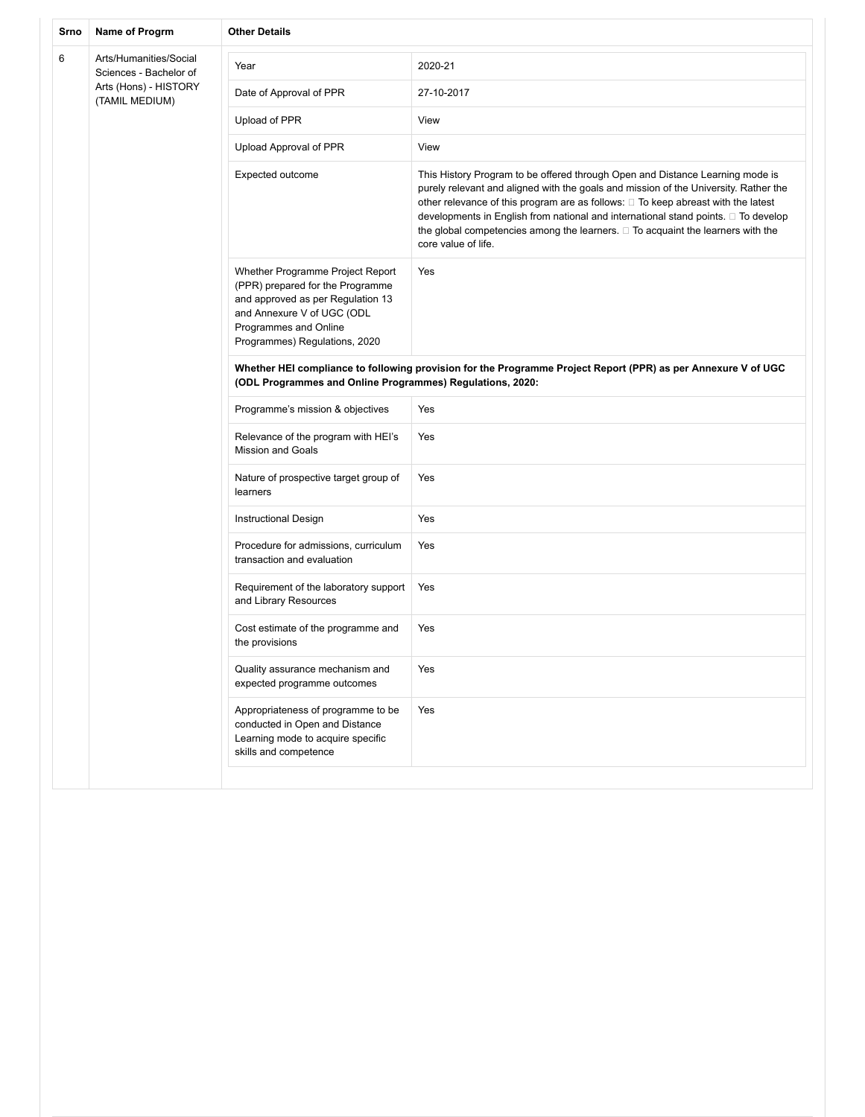| Srno | Name of Progrm                                   | <b>Other Details</b>                                                                                                                                                                              |                                                                                                                                                                                                                                                                                                                                                                                                                                                                      |
|------|--------------------------------------------------|---------------------------------------------------------------------------------------------------------------------------------------------------------------------------------------------------|----------------------------------------------------------------------------------------------------------------------------------------------------------------------------------------------------------------------------------------------------------------------------------------------------------------------------------------------------------------------------------------------------------------------------------------------------------------------|
| 6    | Arts/Humanities/Social<br>Sciences - Bachelor of | Year                                                                                                                                                                                              | 2020-21                                                                                                                                                                                                                                                                                                                                                                                                                                                              |
|      | Arts (Hons) - HISTORY<br>(TAMIL MEDIUM)          | Date of Approval of PPR                                                                                                                                                                           | 27-10-2017                                                                                                                                                                                                                                                                                                                                                                                                                                                           |
|      |                                                  | Upload of PPR                                                                                                                                                                                     | View                                                                                                                                                                                                                                                                                                                                                                                                                                                                 |
|      |                                                  | Upload Approval of PPR                                                                                                                                                                            | View                                                                                                                                                                                                                                                                                                                                                                                                                                                                 |
|      |                                                  | Expected outcome                                                                                                                                                                                  | This History Program to be offered through Open and Distance Learning mode is<br>purely relevant and aligned with the goals and mission of the University. Rather the<br>other relevance of this program are as follows: $\Box$ To keep abreast with the latest<br>developments in English from national and international stand points. □ To develop<br>the global competencies among the learners. $\Box$ To acquaint the learners with the<br>core value of life. |
|      |                                                  | Whether Programme Project Report<br>(PPR) prepared for the Programme<br>and approved as per Regulation 13<br>and Annexure V of UGC (ODL<br>Programmes and Online<br>Programmes) Regulations, 2020 | Yes                                                                                                                                                                                                                                                                                                                                                                                                                                                                  |
|      |                                                  | Whether HEI compliance to following provision for the Programme Project Report (PPR) as per Annexure V of UGC<br>(ODL Programmes and Online Programmes) Regulations, 2020:                        |                                                                                                                                                                                                                                                                                                                                                                                                                                                                      |
|      |                                                  | Programme's mission & objectives                                                                                                                                                                  | Yes                                                                                                                                                                                                                                                                                                                                                                                                                                                                  |
|      |                                                  | Relevance of the program with HEI's<br><b>Mission and Goals</b>                                                                                                                                   | Yes                                                                                                                                                                                                                                                                                                                                                                                                                                                                  |
|      |                                                  | Nature of prospective target group of<br>learners                                                                                                                                                 | Yes                                                                                                                                                                                                                                                                                                                                                                                                                                                                  |
|      |                                                  | Instructional Design                                                                                                                                                                              | Yes                                                                                                                                                                                                                                                                                                                                                                                                                                                                  |
|      |                                                  | Procedure for admissions, curriculum<br>transaction and evaluation                                                                                                                                | Yes                                                                                                                                                                                                                                                                                                                                                                                                                                                                  |
|      |                                                  | Requirement of the laboratory support<br>and Library Resources                                                                                                                                    | Yes                                                                                                                                                                                                                                                                                                                                                                                                                                                                  |
|      |                                                  | Cost estimate of the programme and<br>the provisions                                                                                                                                              | Yes                                                                                                                                                                                                                                                                                                                                                                                                                                                                  |
|      |                                                  | Quality assurance mechanism and<br>expected programme outcomes                                                                                                                                    | Yes                                                                                                                                                                                                                                                                                                                                                                                                                                                                  |
|      |                                                  | Appropriateness of programme to be<br>conducted in Open and Distance<br>Learning mode to acquire specific<br>skills and competence                                                                | Yes                                                                                                                                                                                                                                                                                                                                                                                                                                                                  |
|      |                                                  |                                                                                                                                                                                                   |                                                                                                                                                                                                                                                                                                                                                                                                                                                                      |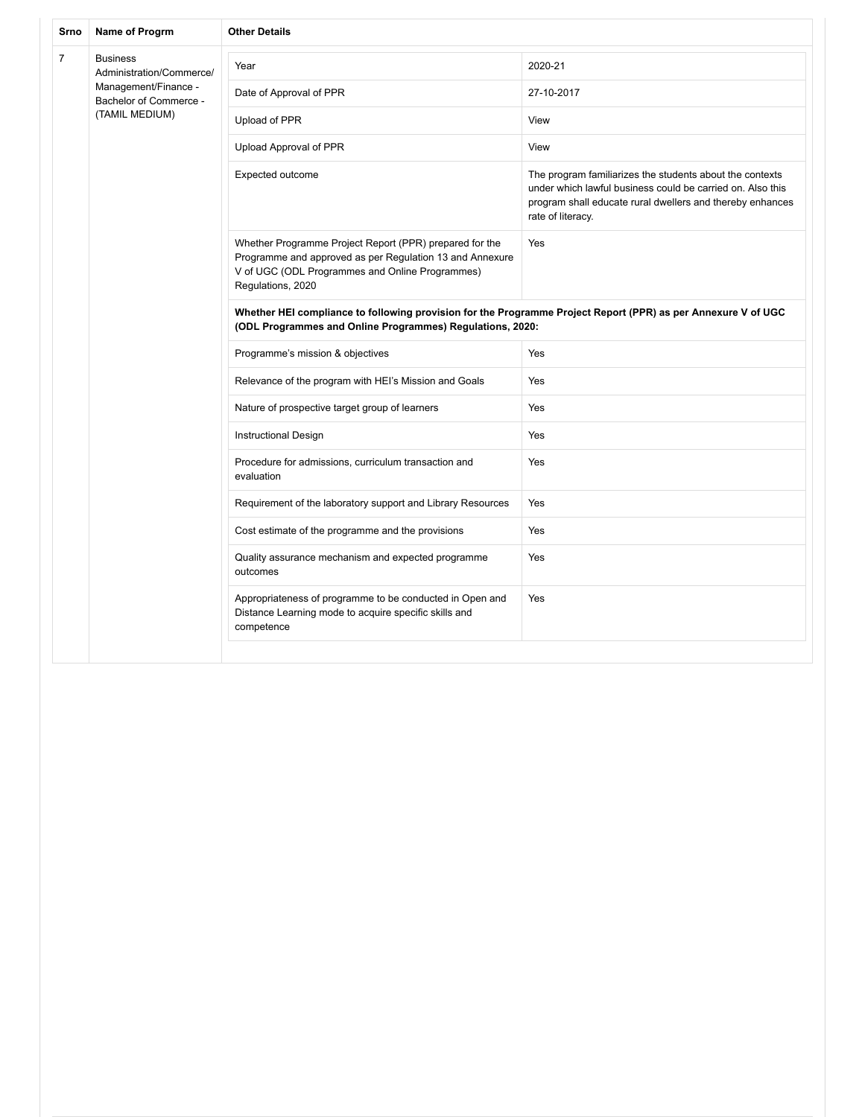| Srno           | Name of Progrm                                 | <b>Other Details</b>                                                                                                                                                                        |                                                                                                                                                                                                          |  |  |
|----------------|------------------------------------------------|---------------------------------------------------------------------------------------------------------------------------------------------------------------------------------------------|----------------------------------------------------------------------------------------------------------------------------------------------------------------------------------------------------------|--|--|
| $\overline{7}$ | <b>Business</b><br>Administration/Commerce/    | Year                                                                                                                                                                                        | 2020-21                                                                                                                                                                                                  |  |  |
|                | Management/Finance -<br>Bachelor of Commerce - | Date of Approval of PPR                                                                                                                                                                     | 27-10-2017                                                                                                                                                                                               |  |  |
|                | (TAMIL MEDIUM)                                 | Upload of PPR                                                                                                                                                                               | View                                                                                                                                                                                                     |  |  |
|                |                                                | Upload Approval of PPR                                                                                                                                                                      | View                                                                                                                                                                                                     |  |  |
|                |                                                | Expected outcome                                                                                                                                                                            | The program familiarizes the students about the contexts<br>under which lawful business could be carried on. Also this<br>program shall educate rural dwellers and thereby enhances<br>rate of literacy. |  |  |
|                |                                                | Whether Programme Project Report (PPR) prepared for the<br>Programme and approved as per Regulation 13 and Annexure<br>V of UGC (ODL Programmes and Online Programmes)<br>Regulations, 2020 | Yes                                                                                                                                                                                                      |  |  |
|                |                                                | Whether HEI compliance to following provision for the Programme Project Report (PPR) as per Annexure V of UGC<br>(ODL Programmes and Online Programmes) Regulations, 2020:                  |                                                                                                                                                                                                          |  |  |
|                |                                                | Programme's mission & objectives                                                                                                                                                            | Yes                                                                                                                                                                                                      |  |  |
|                |                                                | Relevance of the program with HEI's Mission and Goals                                                                                                                                       | Yes                                                                                                                                                                                                      |  |  |
|                |                                                | Nature of prospective target group of learners                                                                                                                                              | Yes                                                                                                                                                                                                      |  |  |
|                |                                                | <b>Instructional Design</b>                                                                                                                                                                 | Yes                                                                                                                                                                                                      |  |  |
|                |                                                | Procedure for admissions, curriculum transaction and<br>evaluation                                                                                                                          | Yes                                                                                                                                                                                                      |  |  |
|                |                                                | Requirement of the laboratory support and Library Resources                                                                                                                                 | Yes                                                                                                                                                                                                      |  |  |
|                |                                                | Cost estimate of the programme and the provisions                                                                                                                                           | Yes                                                                                                                                                                                                      |  |  |
|                |                                                | Quality assurance mechanism and expected programme<br>outcomes                                                                                                                              | Yes                                                                                                                                                                                                      |  |  |
|                |                                                | Appropriateness of programme to be conducted in Open and<br>Distance Learning mode to acquire specific skills and<br>competence                                                             | Yes                                                                                                                                                                                                      |  |  |
|                |                                                |                                                                                                                                                                                             |                                                                                                                                                                                                          |  |  |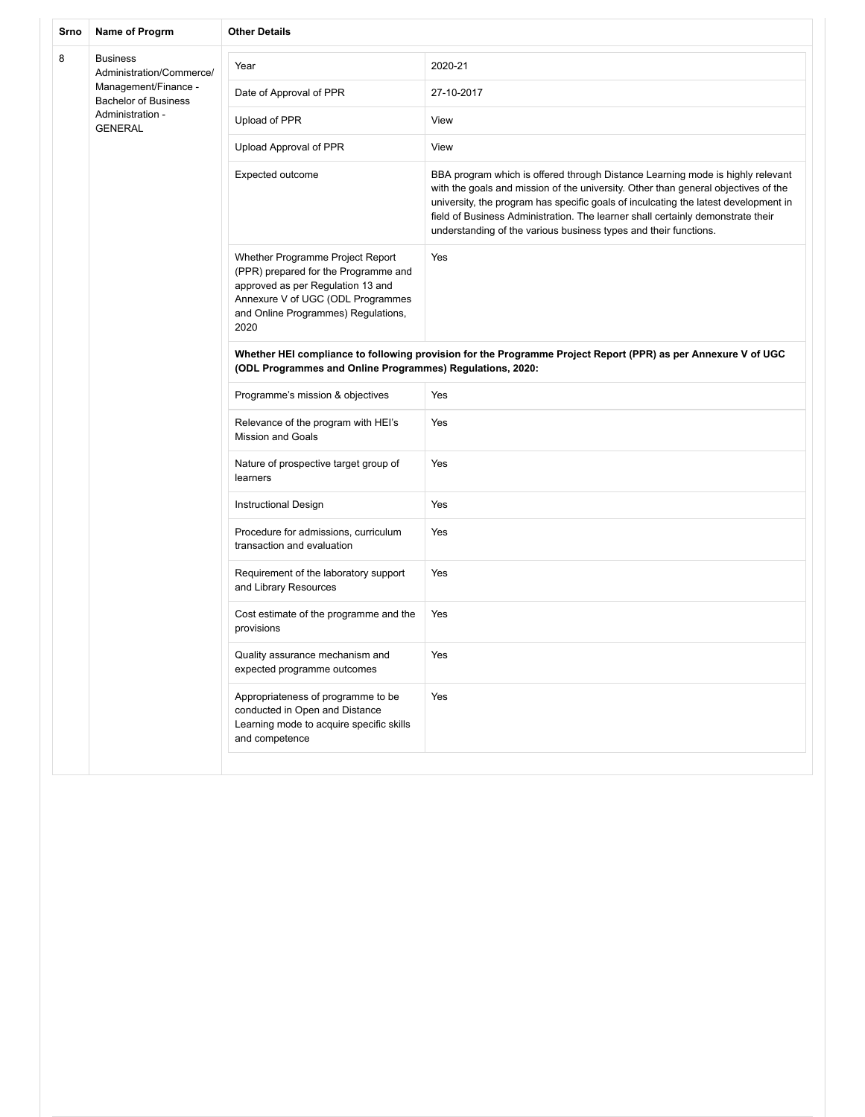| Srno | Name of Progrm                                      | <b>Other Details</b>                                                                                                                                                                              |                                                                                                                                                                                                                                                                                                                                                                                                                    |
|------|-----------------------------------------------------|---------------------------------------------------------------------------------------------------------------------------------------------------------------------------------------------------|--------------------------------------------------------------------------------------------------------------------------------------------------------------------------------------------------------------------------------------------------------------------------------------------------------------------------------------------------------------------------------------------------------------------|
| 8    | <b>Business</b><br>Administration/Commerce/         | Year                                                                                                                                                                                              | 2020-21                                                                                                                                                                                                                                                                                                                                                                                                            |
|      | Management/Finance -<br><b>Bachelor of Business</b> | Date of Approval of PPR                                                                                                                                                                           | 27-10-2017                                                                                                                                                                                                                                                                                                                                                                                                         |
|      | Administration -<br><b>GENERAL</b>                  | Upload of PPR                                                                                                                                                                                     | View                                                                                                                                                                                                                                                                                                                                                                                                               |
|      |                                                     | Upload Approval of PPR                                                                                                                                                                            | View                                                                                                                                                                                                                                                                                                                                                                                                               |
|      |                                                     | Expected outcome                                                                                                                                                                                  | BBA program which is offered through Distance Learning mode is highly relevant<br>with the goals and mission of the university. Other than general objectives of the<br>university, the program has specific goals of inculcating the latest development in<br>field of Business Administration. The learner shall certainly demonstrate their<br>understanding of the various business types and their functions. |
|      |                                                     | Whether Programme Project Report<br>(PPR) prepared for the Programme and<br>approved as per Regulation 13 and<br>Annexure V of UGC (ODL Programmes<br>and Online Programmes) Regulations,<br>2020 | Yes                                                                                                                                                                                                                                                                                                                                                                                                                |
|      |                                                     | Whether HEI compliance to following provision for the Programme Project Report (PPR) as per Annexure V of UGC<br>(ODL Programmes and Online Programmes) Regulations, 2020:                        |                                                                                                                                                                                                                                                                                                                                                                                                                    |
|      |                                                     | Programme's mission & objectives                                                                                                                                                                  | Yes                                                                                                                                                                                                                                                                                                                                                                                                                |
|      |                                                     | Relevance of the program with HEI's<br><b>Mission and Goals</b>                                                                                                                                   | Yes                                                                                                                                                                                                                                                                                                                                                                                                                |
|      |                                                     | Nature of prospective target group of<br>learners                                                                                                                                                 | Yes                                                                                                                                                                                                                                                                                                                                                                                                                |
|      |                                                     | <b>Instructional Design</b>                                                                                                                                                                       | Yes                                                                                                                                                                                                                                                                                                                                                                                                                |
|      |                                                     | Procedure for admissions, curriculum<br>transaction and evaluation                                                                                                                                | Yes                                                                                                                                                                                                                                                                                                                                                                                                                |
|      |                                                     | Requirement of the laboratory support<br>and Library Resources                                                                                                                                    | Yes                                                                                                                                                                                                                                                                                                                                                                                                                |
|      |                                                     | Cost estimate of the programme and the<br>provisions                                                                                                                                              | Yes                                                                                                                                                                                                                                                                                                                                                                                                                |
|      |                                                     | Quality assurance mechanism and<br>expected programme outcomes                                                                                                                                    | Yes                                                                                                                                                                                                                                                                                                                                                                                                                |
|      |                                                     | Appropriateness of programme to be<br>conducted in Open and Distance<br>Learning mode to acquire specific skills<br>and competence                                                                | Yes                                                                                                                                                                                                                                                                                                                                                                                                                |
|      |                                                     |                                                                                                                                                                                                   |                                                                                                                                                                                                                                                                                                                                                                                                                    |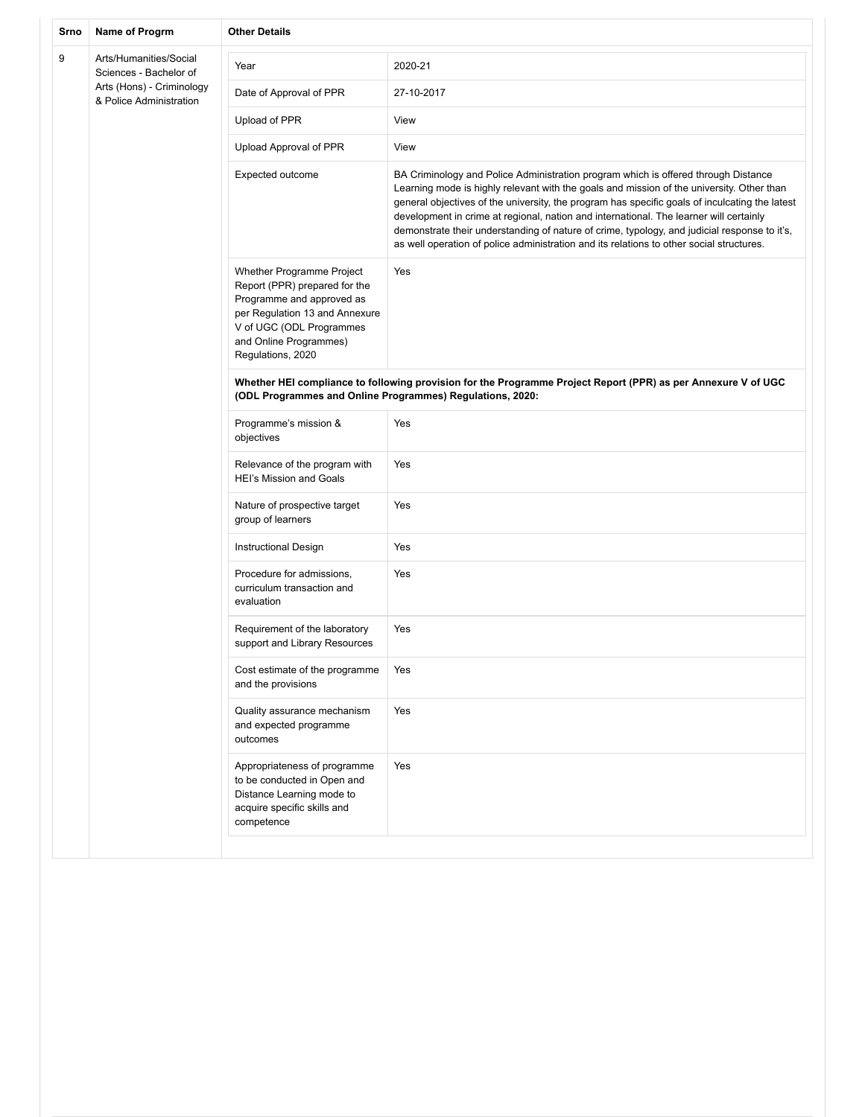| Srno | Name of Progrm                                                                                           | <b>Other Details</b>                                                                                                                                                                                 |                                                                                                                                                                                                                                                                                                                                                                                                                                                                                                                                                                         |
|------|----------------------------------------------------------------------------------------------------------|------------------------------------------------------------------------------------------------------------------------------------------------------------------------------------------------------|-------------------------------------------------------------------------------------------------------------------------------------------------------------------------------------------------------------------------------------------------------------------------------------------------------------------------------------------------------------------------------------------------------------------------------------------------------------------------------------------------------------------------------------------------------------------------|
| 9    | Arts/Humanities/Social<br>Sciences - Bachelor of<br>Arts (Hons) - Criminology<br>& Police Administration | Year                                                                                                                                                                                                 | 2020-21                                                                                                                                                                                                                                                                                                                                                                                                                                                                                                                                                                 |
|      |                                                                                                          | Date of Approval of PPR                                                                                                                                                                              | 27-10-2017                                                                                                                                                                                                                                                                                                                                                                                                                                                                                                                                                              |
|      |                                                                                                          | Upload of PPR                                                                                                                                                                                        | View                                                                                                                                                                                                                                                                                                                                                                                                                                                                                                                                                                    |
|      |                                                                                                          | Upload Approval of PPR                                                                                                                                                                               | View                                                                                                                                                                                                                                                                                                                                                                                                                                                                                                                                                                    |
|      |                                                                                                          | Expected outcome                                                                                                                                                                                     | BA Criminology and Police Administration program which is offered through Distance<br>Learning mode is highly relevant with the goals and mission of the university. Other than<br>general objectives of the university, the program has specific goals of inculcating the latest<br>development in crime at regional, nation and international. The learner will certainly<br>demonstrate their understanding of nature of crime, typology, and judicial response to it's,<br>as well operation of police administration and its relations to other social structures. |
|      |                                                                                                          | Whether Programme Project<br>Report (PPR) prepared for the<br>Programme and approved as<br>per Regulation 13 and Annexure<br>V of UGC (ODL Programmes<br>and Online Programmes)<br>Regulations, 2020 | Yes                                                                                                                                                                                                                                                                                                                                                                                                                                                                                                                                                                     |
|      |                                                                                                          | Whether HEI compliance to following provision for the Programme Project Report (PPR) as per Annexure V of UGC<br>(ODL Programmes and Online Programmes) Regulations, 2020:                           |                                                                                                                                                                                                                                                                                                                                                                                                                                                                                                                                                                         |
|      |                                                                                                          | Programme's mission &<br>objectives                                                                                                                                                                  | Yes                                                                                                                                                                                                                                                                                                                                                                                                                                                                                                                                                                     |
|      |                                                                                                          | Relevance of the program with<br><b>HEI's Mission and Goals</b>                                                                                                                                      | Yes                                                                                                                                                                                                                                                                                                                                                                                                                                                                                                                                                                     |
|      |                                                                                                          | Nature of prospective target<br>group of learners                                                                                                                                                    | Yes                                                                                                                                                                                                                                                                                                                                                                                                                                                                                                                                                                     |
|      |                                                                                                          | Instructional Design                                                                                                                                                                                 | Yes                                                                                                                                                                                                                                                                                                                                                                                                                                                                                                                                                                     |
|      |                                                                                                          | Procedure for admissions,<br>curriculum transaction and<br>evaluation                                                                                                                                | Yes                                                                                                                                                                                                                                                                                                                                                                                                                                                                                                                                                                     |
|      |                                                                                                          | Requirement of the laboratory<br>support and Library Resources                                                                                                                                       | Yes                                                                                                                                                                                                                                                                                                                                                                                                                                                                                                                                                                     |
|      |                                                                                                          | Cost estimate of the programme<br>and the provisions                                                                                                                                                 | Yes                                                                                                                                                                                                                                                                                                                                                                                                                                                                                                                                                                     |
|      |                                                                                                          | Quality assurance mechanism<br>and expected programme<br>outcomes                                                                                                                                    | Yes                                                                                                                                                                                                                                                                                                                                                                                                                                                                                                                                                                     |
|      |                                                                                                          | Appropriateness of programme<br>to be conducted in Open and<br>Distance Learning mode to<br>acquire specific skills and<br>competence                                                                | Yes                                                                                                                                                                                                                                                                                                                                                                                                                                                                                                                                                                     |
|      |                                                                                                          |                                                                                                                                                                                                      |                                                                                                                                                                                                                                                                                                                                                                                                                                                                                                                                                                         |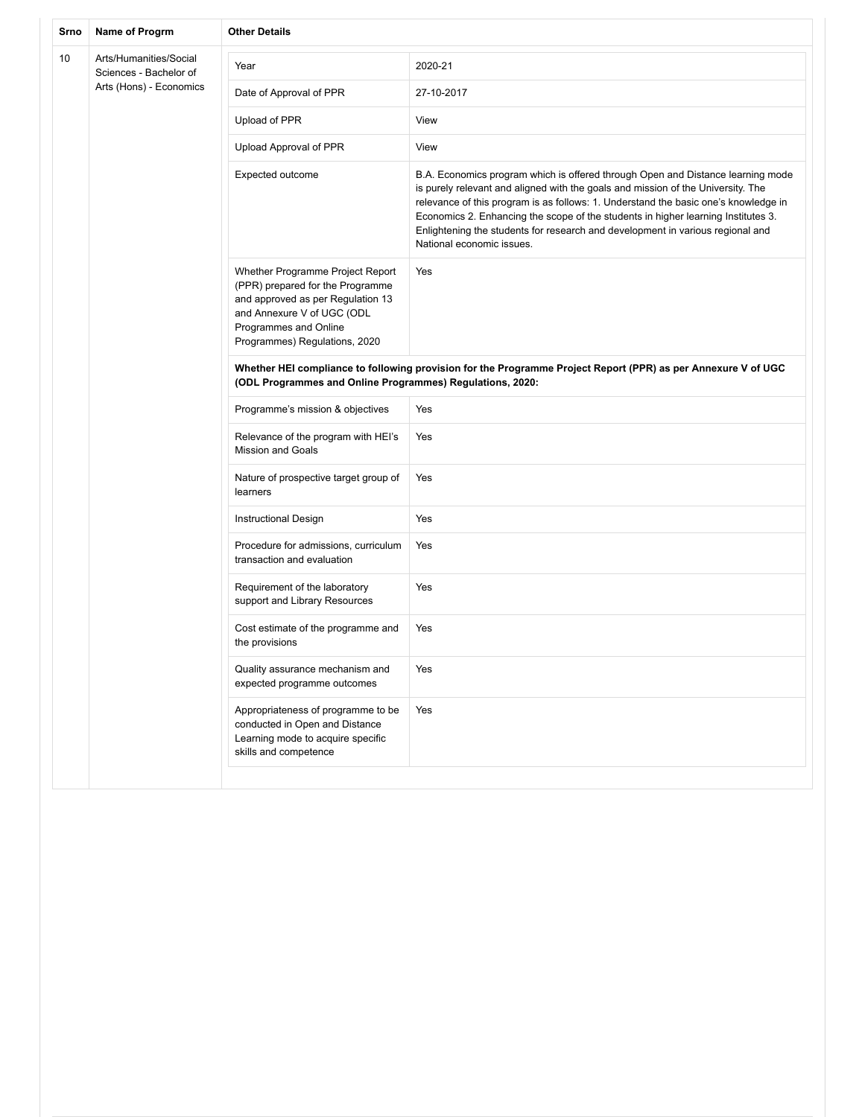| Srno | Name of Progrm                                   | <b>Other Details</b>                                                                                                                                                                              |                                                                                                                                                                                                                                                                                                                                                                                                                                                                |
|------|--------------------------------------------------|---------------------------------------------------------------------------------------------------------------------------------------------------------------------------------------------------|----------------------------------------------------------------------------------------------------------------------------------------------------------------------------------------------------------------------------------------------------------------------------------------------------------------------------------------------------------------------------------------------------------------------------------------------------------------|
| 10   | Arts/Humanities/Social<br>Sciences - Bachelor of | Year                                                                                                                                                                                              | 2020-21                                                                                                                                                                                                                                                                                                                                                                                                                                                        |
|      | Arts (Hons) - Economics                          | Date of Approval of PPR                                                                                                                                                                           | 27-10-2017                                                                                                                                                                                                                                                                                                                                                                                                                                                     |
|      |                                                  | Upload of PPR                                                                                                                                                                                     | View                                                                                                                                                                                                                                                                                                                                                                                                                                                           |
|      |                                                  | Upload Approval of PPR                                                                                                                                                                            | View                                                                                                                                                                                                                                                                                                                                                                                                                                                           |
|      |                                                  | Expected outcome                                                                                                                                                                                  | B.A. Economics program which is offered through Open and Distance learning mode<br>is purely relevant and aligned with the goals and mission of the University. The<br>relevance of this program is as follows: 1. Understand the basic one's knowledge in<br>Economics 2. Enhancing the scope of the students in higher learning Institutes 3.<br>Enlightening the students for research and development in various regional and<br>National economic issues. |
|      |                                                  | Whether Programme Project Report<br>(PPR) prepared for the Programme<br>and approved as per Regulation 13<br>and Annexure V of UGC (ODL<br>Programmes and Online<br>Programmes) Regulations, 2020 | Yes                                                                                                                                                                                                                                                                                                                                                                                                                                                            |
|      |                                                  | Whether HEI compliance to following provision for the Programme Project Report (PPR) as per Annexure V of UGC<br>(ODL Programmes and Online Programmes) Regulations, 2020:                        |                                                                                                                                                                                                                                                                                                                                                                                                                                                                |
|      |                                                  | Programme's mission & objectives                                                                                                                                                                  | Yes                                                                                                                                                                                                                                                                                                                                                                                                                                                            |
|      |                                                  | Relevance of the program with HEI's<br><b>Mission and Goals</b>                                                                                                                                   | Yes                                                                                                                                                                                                                                                                                                                                                                                                                                                            |
|      |                                                  | Nature of prospective target group of<br>learners                                                                                                                                                 | Yes                                                                                                                                                                                                                                                                                                                                                                                                                                                            |
|      |                                                  | Instructional Design                                                                                                                                                                              | Yes                                                                                                                                                                                                                                                                                                                                                                                                                                                            |
|      |                                                  | Procedure for admissions, curriculum<br>transaction and evaluation                                                                                                                                | Yes                                                                                                                                                                                                                                                                                                                                                                                                                                                            |
|      |                                                  | Requirement of the laboratory<br>support and Library Resources                                                                                                                                    | Yes                                                                                                                                                                                                                                                                                                                                                                                                                                                            |
|      |                                                  | Cost estimate of the programme and<br>the provisions                                                                                                                                              | Yes                                                                                                                                                                                                                                                                                                                                                                                                                                                            |
|      |                                                  | Quality assurance mechanism and<br>expected programme outcomes                                                                                                                                    | Yes                                                                                                                                                                                                                                                                                                                                                                                                                                                            |
|      |                                                  | Appropriateness of programme to be<br>conducted in Open and Distance<br>Learning mode to acquire specific<br>skills and competence                                                                | Yes                                                                                                                                                                                                                                                                                                                                                                                                                                                            |
|      |                                                  |                                                                                                                                                                                                   |                                                                                                                                                                                                                                                                                                                                                                                                                                                                |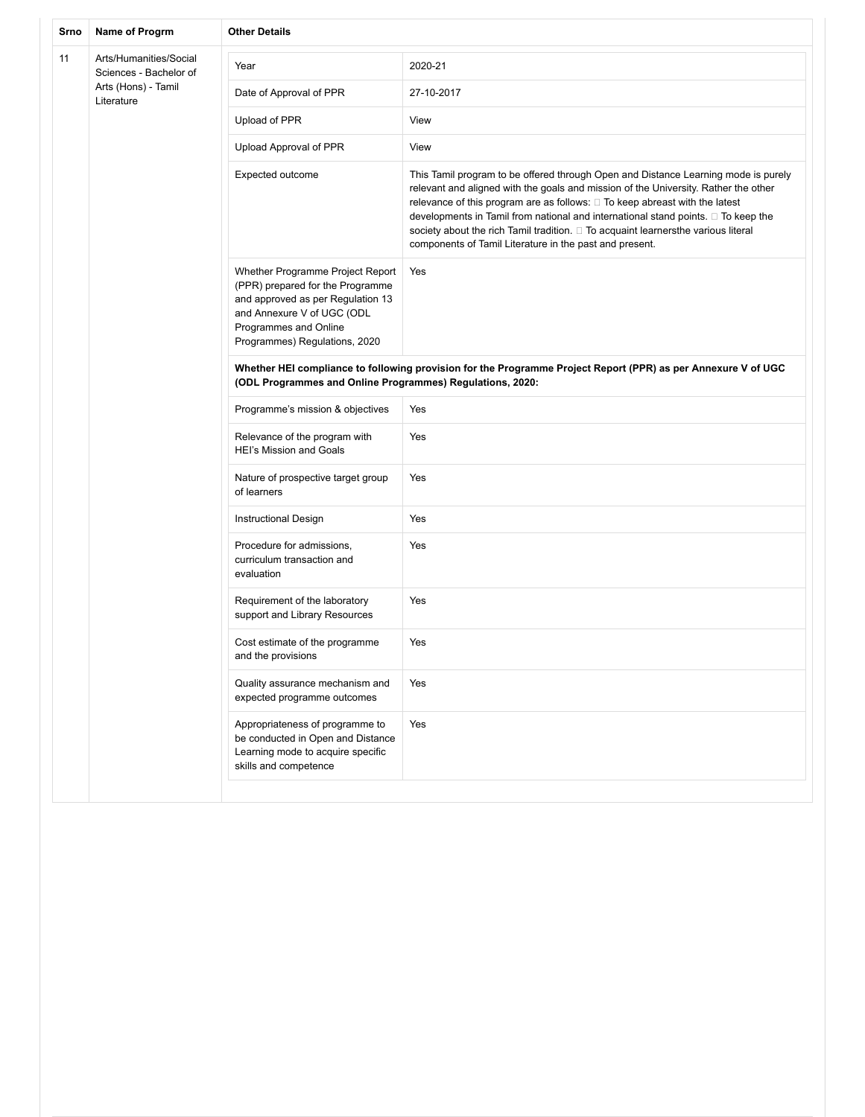| Srno | Name of Progrm                                   | <b>Other Details</b>                                                                                                                                                                              |                                                                                                                                                                                                                                                                                                                                                                                                                                                                                                    |
|------|--------------------------------------------------|---------------------------------------------------------------------------------------------------------------------------------------------------------------------------------------------------|----------------------------------------------------------------------------------------------------------------------------------------------------------------------------------------------------------------------------------------------------------------------------------------------------------------------------------------------------------------------------------------------------------------------------------------------------------------------------------------------------|
| 11   | Arts/Humanities/Social<br>Sciences - Bachelor of | Year                                                                                                                                                                                              | 2020-21                                                                                                                                                                                                                                                                                                                                                                                                                                                                                            |
|      | Arts (Hons) - Tamil<br>Literature                | Date of Approval of PPR                                                                                                                                                                           | 27-10-2017                                                                                                                                                                                                                                                                                                                                                                                                                                                                                         |
|      |                                                  | Upload of PPR                                                                                                                                                                                     | View                                                                                                                                                                                                                                                                                                                                                                                                                                                                                               |
|      |                                                  | Upload Approval of PPR                                                                                                                                                                            | View                                                                                                                                                                                                                                                                                                                                                                                                                                                                                               |
|      |                                                  | Expected outcome                                                                                                                                                                                  | This Tamil program to be offered through Open and Distance Learning mode is purely<br>relevant and aligned with the goals and mission of the University. Rather the other<br>relevance of this program are as follows: □ To keep abreast with the latest<br>developments in Tamil from national and international stand points. □ To keep the<br>society about the rich Tamil tradition. $\Box$ To acquaint learnersthe various literal<br>components of Tamil Literature in the past and present. |
|      |                                                  | Whether Programme Project Report<br>(PPR) prepared for the Programme<br>and approved as per Regulation 13<br>and Annexure V of UGC (ODL<br>Programmes and Online<br>Programmes) Regulations, 2020 | Yes                                                                                                                                                                                                                                                                                                                                                                                                                                                                                                |
|      |                                                  | Whether HEI compliance to following provision for the Programme Project Report (PPR) as per Annexure V of UGC<br>(ODL Programmes and Online Programmes) Regulations, 2020:                        |                                                                                                                                                                                                                                                                                                                                                                                                                                                                                                    |
|      |                                                  | Programme's mission & objectives                                                                                                                                                                  | Yes                                                                                                                                                                                                                                                                                                                                                                                                                                                                                                |
|      |                                                  | Relevance of the program with<br><b>HEI's Mission and Goals</b>                                                                                                                                   | Yes                                                                                                                                                                                                                                                                                                                                                                                                                                                                                                |
|      |                                                  | Nature of prospective target group<br>of learners                                                                                                                                                 | Yes                                                                                                                                                                                                                                                                                                                                                                                                                                                                                                |
|      |                                                  | Instructional Design                                                                                                                                                                              | Yes                                                                                                                                                                                                                                                                                                                                                                                                                                                                                                |
|      |                                                  | Procedure for admissions,<br>curriculum transaction and<br>evaluation                                                                                                                             | Yes                                                                                                                                                                                                                                                                                                                                                                                                                                                                                                |
|      |                                                  | Requirement of the laboratory<br>support and Library Resources                                                                                                                                    | Yes                                                                                                                                                                                                                                                                                                                                                                                                                                                                                                |
|      |                                                  | Cost estimate of the programme<br>and the provisions                                                                                                                                              | Yes                                                                                                                                                                                                                                                                                                                                                                                                                                                                                                |
|      |                                                  | Quality assurance mechanism and<br>expected programme outcomes                                                                                                                                    | Yes                                                                                                                                                                                                                                                                                                                                                                                                                                                                                                |
|      |                                                  | Appropriateness of programme to<br>be conducted in Open and Distance<br>Learning mode to acquire specific<br>skills and competence                                                                | Yes                                                                                                                                                                                                                                                                                                                                                                                                                                                                                                |
|      |                                                  |                                                                                                                                                                                                   |                                                                                                                                                                                                                                                                                                                                                                                                                                                                                                    |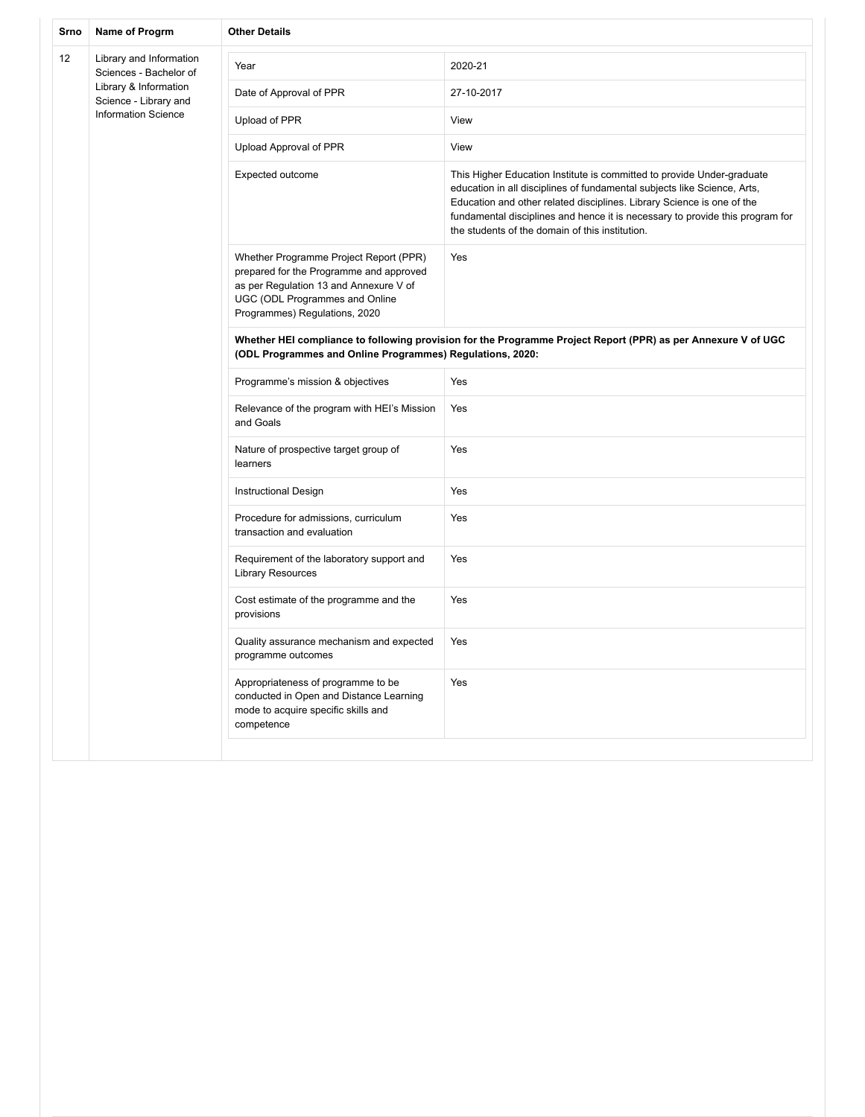| Srno | Name of Progrm                                    | <b>Other Details</b>                                                                                                                                                                           |                                                                                                                                                                                                                                                                                                                                                                  |
|------|---------------------------------------------------|------------------------------------------------------------------------------------------------------------------------------------------------------------------------------------------------|------------------------------------------------------------------------------------------------------------------------------------------------------------------------------------------------------------------------------------------------------------------------------------------------------------------------------------------------------------------|
| 12   | Library and Information<br>Sciences - Bachelor of | Year                                                                                                                                                                                           | 2020-21                                                                                                                                                                                                                                                                                                                                                          |
|      | Library & Information<br>Science - Library and    | Date of Approval of PPR                                                                                                                                                                        | 27-10-2017                                                                                                                                                                                                                                                                                                                                                       |
|      | <b>Information Science</b>                        | Upload of PPR                                                                                                                                                                                  | View                                                                                                                                                                                                                                                                                                                                                             |
|      |                                                   | Upload Approval of PPR                                                                                                                                                                         | View                                                                                                                                                                                                                                                                                                                                                             |
|      |                                                   | Expected outcome                                                                                                                                                                               | This Higher Education Institute is committed to provide Under-graduate<br>education in all disciplines of fundamental subjects like Science, Arts,<br>Education and other related disciplines. Library Science is one of the<br>fundamental disciplines and hence it is necessary to provide this program for<br>the students of the domain of this institution. |
|      |                                                   | Whether Programme Project Report (PPR)<br>prepared for the Programme and approved<br>as per Regulation 13 and Annexure V of<br>UGC (ODL Programmes and Online<br>Programmes) Regulations, 2020 | Yes                                                                                                                                                                                                                                                                                                                                                              |
|      |                                                   | Whether HEI compliance to following provision for the Programme Project Report (PPR) as per Annexure V of UGC<br>(ODL Programmes and Online Programmes) Regulations, 2020:                     |                                                                                                                                                                                                                                                                                                                                                                  |
|      |                                                   | Programme's mission & objectives                                                                                                                                                               | Yes                                                                                                                                                                                                                                                                                                                                                              |
|      |                                                   | Relevance of the program with HEI's Mission<br>and Goals                                                                                                                                       | Yes                                                                                                                                                                                                                                                                                                                                                              |
|      |                                                   | Nature of prospective target group of<br>learners                                                                                                                                              | Yes                                                                                                                                                                                                                                                                                                                                                              |
|      |                                                   | <b>Instructional Design</b>                                                                                                                                                                    | Yes                                                                                                                                                                                                                                                                                                                                                              |
|      |                                                   | Procedure for admissions, curriculum<br>transaction and evaluation                                                                                                                             | Yes                                                                                                                                                                                                                                                                                                                                                              |
|      |                                                   | Requirement of the laboratory support and<br><b>Library Resources</b>                                                                                                                          | Yes                                                                                                                                                                                                                                                                                                                                                              |
|      |                                                   | Cost estimate of the programme and the<br>provisions                                                                                                                                           | Yes                                                                                                                                                                                                                                                                                                                                                              |
|      |                                                   | Quality assurance mechanism and expected<br>programme outcomes                                                                                                                                 | Yes                                                                                                                                                                                                                                                                                                                                                              |
|      |                                                   | Appropriateness of programme to be<br>conducted in Open and Distance Learning<br>mode to acquire specific skills and<br>competence                                                             | Yes                                                                                                                                                                                                                                                                                                                                                              |
|      |                                                   |                                                                                                                                                                                                |                                                                                                                                                                                                                                                                                                                                                                  |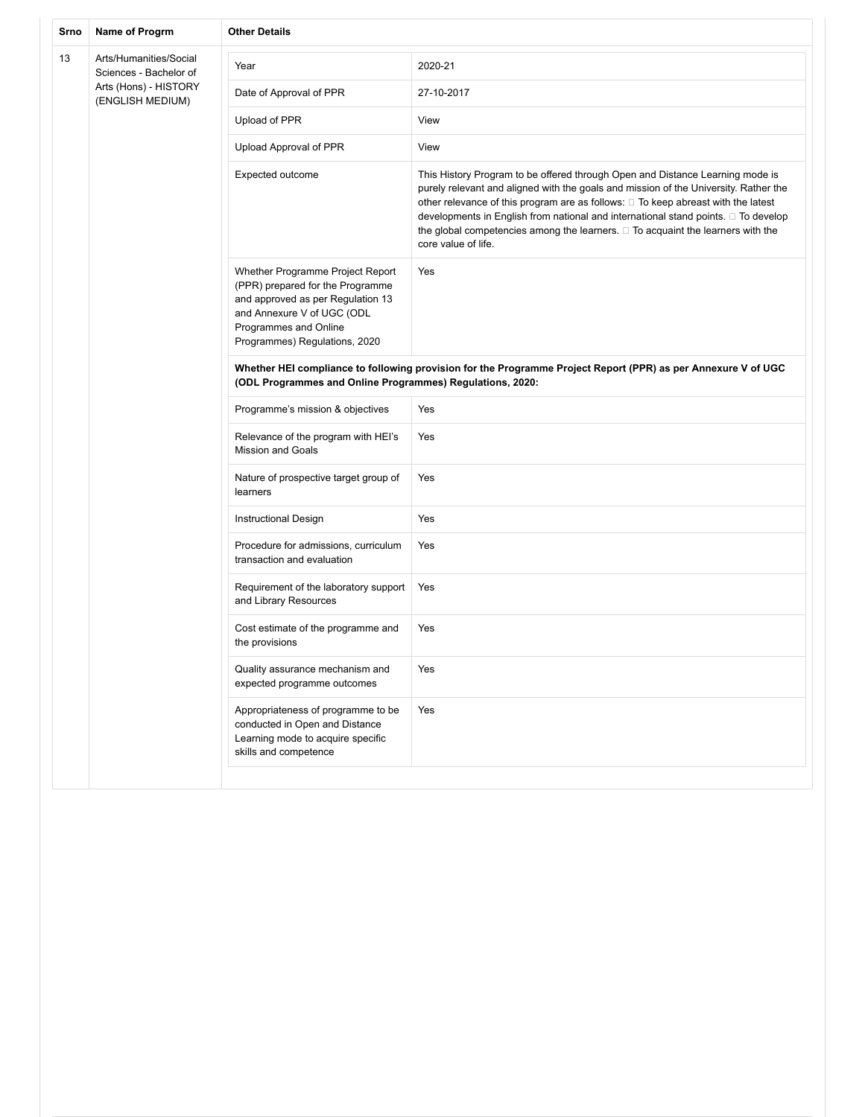| Srno | Name of Progrm                                   | <b>Other Details</b>                                                                                                                                                                              |                                                                                                                                                                                                                                                                                                                                                                                                                                                                 |  |
|------|--------------------------------------------------|---------------------------------------------------------------------------------------------------------------------------------------------------------------------------------------------------|-----------------------------------------------------------------------------------------------------------------------------------------------------------------------------------------------------------------------------------------------------------------------------------------------------------------------------------------------------------------------------------------------------------------------------------------------------------------|--|
| 13   | Arts/Humanities/Social<br>Sciences - Bachelor of | Year                                                                                                                                                                                              | 2020-21                                                                                                                                                                                                                                                                                                                                                                                                                                                         |  |
|      | Arts (Hons) - HISTORY<br>(ENGLISH MEDIUM)        | Date of Approval of PPR                                                                                                                                                                           | 27-10-2017                                                                                                                                                                                                                                                                                                                                                                                                                                                      |  |
|      |                                                  | Upload of PPR                                                                                                                                                                                     | View                                                                                                                                                                                                                                                                                                                                                                                                                                                            |  |
|      |                                                  | Upload Approval of PPR                                                                                                                                                                            | View                                                                                                                                                                                                                                                                                                                                                                                                                                                            |  |
|      |                                                  | Expected outcome                                                                                                                                                                                  | This History Program to be offered through Open and Distance Learning mode is<br>purely relevant and aligned with the goals and mission of the University. Rather the<br>other relevance of this program are as follows: □ To keep abreast with the latest<br>developments in English from national and international stand points. □ To develop<br>the global competencies among the learners. $\Box$ To acquaint the learners with the<br>core value of life. |  |
|      |                                                  | Whether Programme Project Report<br>(PPR) prepared for the Programme<br>and approved as per Regulation 13<br>and Annexure V of UGC (ODL<br>Programmes and Online<br>Programmes) Regulations, 2020 | Yes                                                                                                                                                                                                                                                                                                                                                                                                                                                             |  |
|      |                                                  | Whether HEI compliance to following provision for the Programme Project Report (PPR) as per Annexure V of UGC<br>(ODL Programmes and Online Programmes) Regulations, 2020:                        |                                                                                                                                                                                                                                                                                                                                                                                                                                                                 |  |
|      |                                                  | Programme's mission & objectives                                                                                                                                                                  | Yes                                                                                                                                                                                                                                                                                                                                                                                                                                                             |  |
|      |                                                  | Relevance of the program with HEI's<br><b>Mission and Goals</b>                                                                                                                                   | Yes                                                                                                                                                                                                                                                                                                                                                                                                                                                             |  |
|      |                                                  | Nature of prospective target group of<br>learners                                                                                                                                                 | Yes                                                                                                                                                                                                                                                                                                                                                                                                                                                             |  |
|      |                                                  | Instructional Design                                                                                                                                                                              | Yes                                                                                                                                                                                                                                                                                                                                                                                                                                                             |  |
|      |                                                  | Procedure for admissions, curriculum<br>transaction and evaluation                                                                                                                                | Yes                                                                                                                                                                                                                                                                                                                                                                                                                                                             |  |
|      |                                                  | Requirement of the laboratory support<br>and Library Resources                                                                                                                                    | Yes                                                                                                                                                                                                                                                                                                                                                                                                                                                             |  |
|      |                                                  | Cost estimate of the programme and<br>the provisions                                                                                                                                              | Yes                                                                                                                                                                                                                                                                                                                                                                                                                                                             |  |
|      |                                                  | Quality assurance mechanism and<br>expected programme outcomes                                                                                                                                    | Yes                                                                                                                                                                                                                                                                                                                                                                                                                                                             |  |
|      |                                                  | Appropriateness of programme to be<br>conducted in Open and Distance<br>Learning mode to acquire specific<br>skills and competence                                                                | Yes                                                                                                                                                                                                                                                                                                                                                                                                                                                             |  |
|      |                                                  |                                                                                                                                                                                                   |                                                                                                                                                                                                                                                                                                                                                                                                                                                                 |  |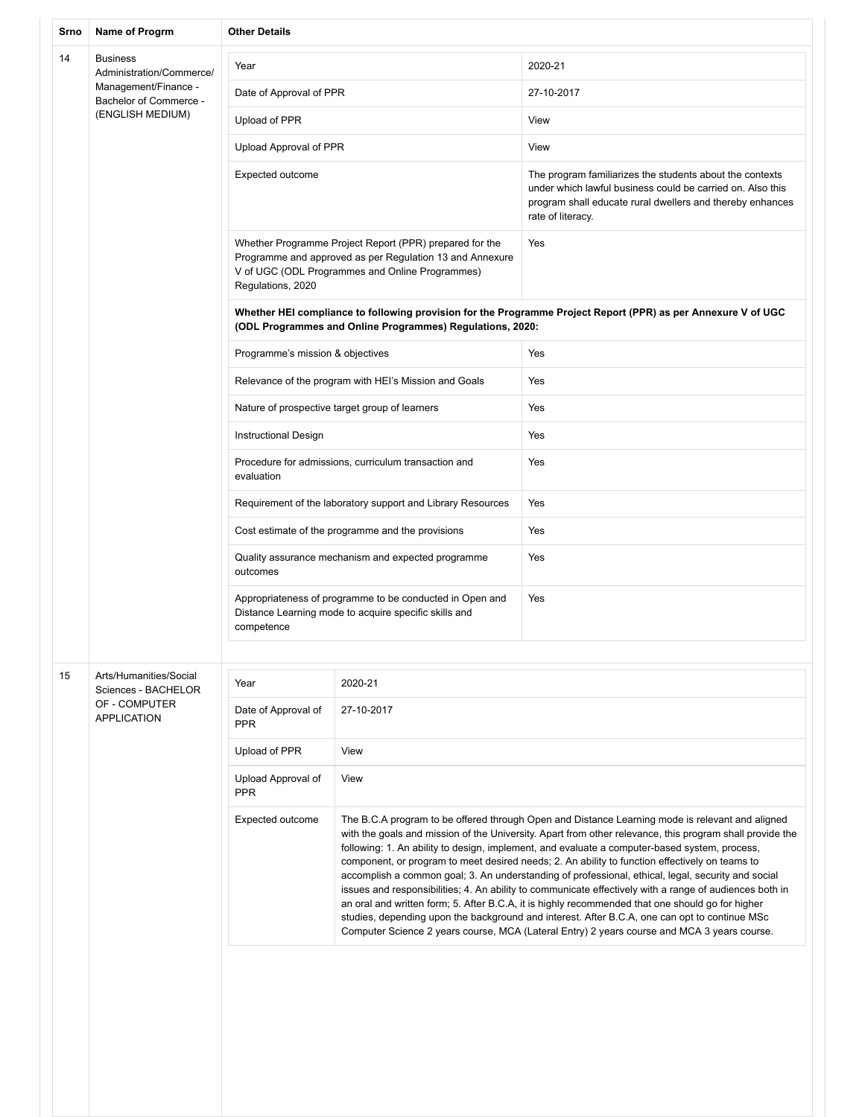| Srno | Name of Progrm                                                                                                    | <b>Other Details</b>                                                                                                            |                                                                                                                                                                        |                                                                                                                                                                                                                                                                                                                                                                                                                                                                                                                                                                                                                                                                                                                                                                                                                                                                                                                                     |
|------|-------------------------------------------------------------------------------------------------------------------|---------------------------------------------------------------------------------------------------------------------------------|------------------------------------------------------------------------------------------------------------------------------------------------------------------------|-------------------------------------------------------------------------------------------------------------------------------------------------------------------------------------------------------------------------------------------------------------------------------------------------------------------------------------------------------------------------------------------------------------------------------------------------------------------------------------------------------------------------------------------------------------------------------------------------------------------------------------------------------------------------------------------------------------------------------------------------------------------------------------------------------------------------------------------------------------------------------------------------------------------------------------|
| 14   | <b>Business</b><br>Administration/Commerce/<br>Management/Finance -<br>Bachelor of Commerce -<br>(ENGLISH MEDIUM) | Year                                                                                                                            |                                                                                                                                                                        | 2020-21                                                                                                                                                                                                                                                                                                                                                                                                                                                                                                                                                                                                                                                                                                                                                                                                                                                                                                                             |
|      |                                                                                                                   | Date of Approval of PPR                                                                                                         |                                                                                                                                                                        | 27-10-2017                                                                                                                                                                                                                                                                                                                                                                                                                                                                                                                                                                                                                                                                                                                                                                                                                                                                                                                          |
|      |                                                                                                                   | Upload of PPR                                                                                                                   |                                                                                                                                                                        | View                                                                                                                                                                                                                                                                                                                                                                                                                                                                                                                                                                                                                                                                                                                                                                                                                                                                                                                                |
|      |                                                                                                                   | Upload Approval of PPR                                                                                                          |                                                                                                                                                                        | View                                                                                                                                                                                                                                                                                                                                                                                                                                                                                                                                                                                                                                                                                                                                                                                                                                                                                                                                |
|      |                                                                                                                   | Expected outcome                                                                                                                |                                                                                                                                                                        | The program familiarizes the students about the contexts<br>under which lawful business could be carried on. Also this<br>program shall educate rural dwellers and thereby enhances<br>rate of literacy.                                                                                                                                                                                                                                                                                                                                                                                                                                                                                                                                                                                                                                                                                                                            |
|      |                                                                                                                   | Regulations, 2020                                                                                                               | Whether Programme Project Report (PPR) prepared for the<br>Programme and approved as per Regulation 13 and Annexure<br>V of UGC (ODL Programmes and Online Programmes) | Yes                                                                                                                                                                                                                                                                                                                                                                                                                                                                                                                                                                                                                                                                                                                                                                                                                                                                                                                                 |
|      |                                                                                                                   |                                                                                                                                 | (ODL Programmes and Online Programmes) Regulations, 2020:                                                                                                              | Whether HEI compliance to following provision for the Programme Project Report (PPR) as per Annexure V of UGC                                                                                                                                                                                                                                                                                                                                                                                                                                                                                                                                                                                                                                                                                                                                                                                                                       |
|      |                                                                                                                   | Programme's mission & objectives                                                                                                |                                                                                                                                                                        | Yes                                                                                                                                                                                                                                                                                                                                                                                                                                                                                                                                                                                                                                                                                                                                                                                                                                                                                                                                 |
|      |                                                                                                                   |                                                                                                                                 | Relevance of the program with HEI's Mission and Goals                                                                                                                  | Yes                                                                                                                                                                                                                                                                                                                                                                                                                                                                                                                                                                                                                                                                                                                                                                                                                                                                                                                                 |
|      |                                                                                                                   |                                                                                                                                 | Nature of prospective target group of learners                                                                                                                         | Yes                                                                                                                                                                                                                                                                                                                                                                                                                                                                                                                                                                                                                                                                                                                                                                                                                                                                                                                                 |
|      |                                                                                                                   | Instructional Design                                                                                                            |                                                                                                                                                                        | Yes                                                                                                                                                                                                                                                                                                                                                                                                                                                                                                                                                                                                                                                                                                                                                                                                                                                                                                                                 |
|      |                                                                                                                   | Procedure for admissions, curriculum transaction and<br>evaluation                                                              |                                                                                                                                                                        | Yes                                                                                                                                                                                                                                                                                                                                                                                                                                                                                                                                                                                                                                                                                                                                                                                                                                                                                                                                 |
|      |                                                                                                                   | Requirement of the laboratory support and Library Resources                                                                     |                                                                                                                                                                        | Yes                                                                                                                                                                                                                                                                                                                                                                                                                                                                                                                                                                                                                                                                                                                                                                                                                                                                                                                                 |
|      |                                                                                                                   | Cost estimate of the programme and the provisions                                                                               |                                                                                                                                                                        | Yes                                                                                                                                                                                                                                                                                                                                                                                                                                                                                                                                                                                                                                                                                                                                                                                                                                                                                                                                 |
|      |                                                                                                                   | Quality assurance mechanism and expected programme<br>outcomes                                                                  |                                                                                                                                                                        | Yes                                                                                                                                                                                                                                                                                                                                                                                                                                                                                                                                                                                                                                                                                                                                                                                                                                                                                                                                 |
|      |                                                                                                                   | Appropriateness of programme to be conducted in Open and<br>Distance Learning mode to acquire specific skills and<br>competence |                                                                                                                                                                        | Yes                                                                                                                                                                                                                                                                                                                                                                                                                                                                                                                                                                                                                                                                                                                                                                                                                                                                                                                                 |
| 15   | Arts/Humanities/Social                                                                                            |                                                                                                                                 |                                                                                                                                                                        |                                                                                                                                                                                                                                                                                                                                                                                                                                                                                                                                                                                                                                                                                                                                                                                                                                                                                                                                     |
|      | Sciences - BACHELOR                                                                                               | Year                                                                                                                            | 2020-21                                                                                                                                                                |                                                                                                                                                                                                                                                                                                                                                                                                                                                                                                                                                                                                                                                                                                                                                                                                                                                                                                                                     |
|      | OF - COMPUTER<br><b>APPLICATION</b>                                                                               | Date of Approval of<br><b>PPR</b>                                                                                               | 27-10-2017                                                                                                                                                             |                                                                                                                                                                                                                                                                                                                                                                                                                                                                                                                                                                                                                                                                                                                                                                                                                                                                                                                                     |
|      |                                                                                                                   | Upload of PPR                                                                                                                   | View                                                                                                                                                                   |                                                                                                                                                                                                                                                                                                                                                                                                                                                                                                                                                                                                                                                                                                                                                                                                                                                                                                                                     |
|      |                                                                                                                   | Upload Approval of<br><b>PPR</b>                                                                                                | View                                                                                                                                                                   |                                                                                                                                                                                                                                                                                                                                                                                                                                                                                                                                                                                                                                                                                                                                                                                                                                                                                                                                     |
|      |                                                                                                                   | Expected outcome                                                                                                                |                                                                                                                                                                        | The B.C.A program to be offered through Open and Distance Learning mode is relevant and aligned<br>with the goals and mission of the University. Apart from other relevance, this program shall provide the<br>following: 1. An ability to design, implement, and evaluate a computer-based system, process,<br>component, or program to meet desired needs; 2. An ability to function effectively on teams to<br>accomplish a common goal; 3. An understanding of professional, ethical, legal, security and social<br>issues and responsibilities; 4. An ability to communicate effectively with a range of audiences both in<br>an oral and written form; 5. After B.C.A, it is highly recommended that one should go for higher<br>studies, depending upon the background and interest. After B.C.A, one can opt to continue MSc<br>Computer Science 2 years course, MCA (Lateral Entry) 2 years course and MCA 3 years course. |
|      |                                                                                                                   |                                                                                                                                 |                                                                                                                                                                        |                                                                                                                                                                                                                                                                                                                                                                                                                                                                                                                                                                                                                                                                                                                                                                                                                                                                                                                                     |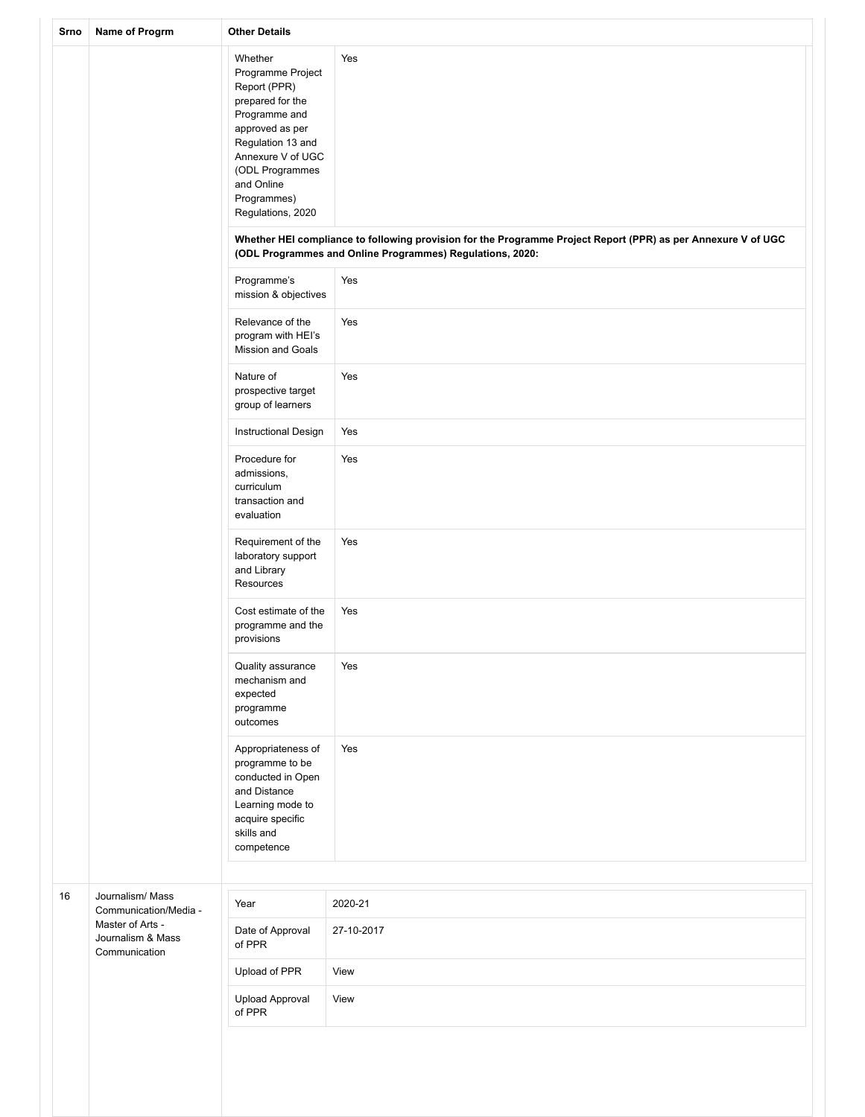| Srno | Name of Progrm                                                 | <b>Other Details</b>                                                                                                                                                                                                |                                                                                                                                                                            |  |
|------|----------------------------------------------------------------|---------------------------------------------------------------------------------------------------------------------------------------------------------------------------------------------------------------------|----------------------------------------------------------------------------------------------------------------------------------------------------------------------------|--|
|      |                                                                | Whether<br>Programme Project<br>Report (PPR)<br>prepared for the<br>Programme and<br>approved as per<br>Regulation 13 and<br>Annexure V of UGC<br>(ODL Programmes<br>and Online<br>Programmes)<br>Regulations, 2020 | Yes                                                                                                                                                                        |  |
|      |                                                                |                                                                                                                                                                                                                     | Whether HEI compliance to following provision for the Programme Project Report (PPR) as per Annexure V of UGC<br>(ODL Programmes and Online Programmes) Regulations, 2020: |  |
|      |                                                                | Programme's<br>mission & objectives                                                                                                                                                                                 | Yes                                                                                                                                                                        |  |
|      |                                                                | Relevance of the<br>program with HEI's<br>Mission and Goals                                                                                                                                                         | Yes                                                                                                                                                                        |  |
|      |                                                                | Nature of<br>prospective target<br>group of learners                                                                                                                                                                | Yes                                                                                                                                                                        |  |
|      |                                                                | Instructional Design                                                                                                                                                                                                | Yes                                                                                                                                                                        |  |
|      |                                                                | Procedure for<br>admissions,<br>curriculum<br>transaction and<br>evaluation                                                                                                                                         | Yes                                                                                                                                                                        |  |
|      |                                                                | Requirement of the<br>laboratory support<br>and Library<br>Resources                                                                                                                                                | Yes                                                                                                                                                                        |  |
|      |                                                                | Cost estimate of the<br>programme and the<br>provisions                                                                                                                                                             | Yes                                                                                                                                                                        |  |
|      |                                                                | Quality assurance<br>mechanism and<br>expected<br>programme<br>outcomes                                                                                                                                             | Yes                                                                                                                                                                        |  |
|      |                                                                | Appropriateness of<br>programme to be<br>conducted in Open<br>and Distance<br>Learning mode to<br>acquire specific<br>skills and<br>competence                                                                      | Yes                                                                                                                                                                        |  |
| 16   | Journalism/ Mass                                               |                                                                                                                                                                                                                     |                                                                                                                                                                            |  |
|      | Communication/Media -<br>Master of Arts -<br>Journalism & Mass | Year<br>Date of Approval<br>of PPR                                                                                                                                                                                  | 2020-21<br>27-10-2017                                                                                                                                                      |  |
|      | Communication                                                  | Upload of PPR                                                                                                                                                                                                       | View                                                                                                                                                                       |  |
|      |                                                                | <b>Upload Approval</b><br>of PPR                                                                                                                                                                                    | View                                                                                                                                                                       |  |
|      |                                                                |                                                                                                                                                                                                                     |                                                                                                                                                                            |  |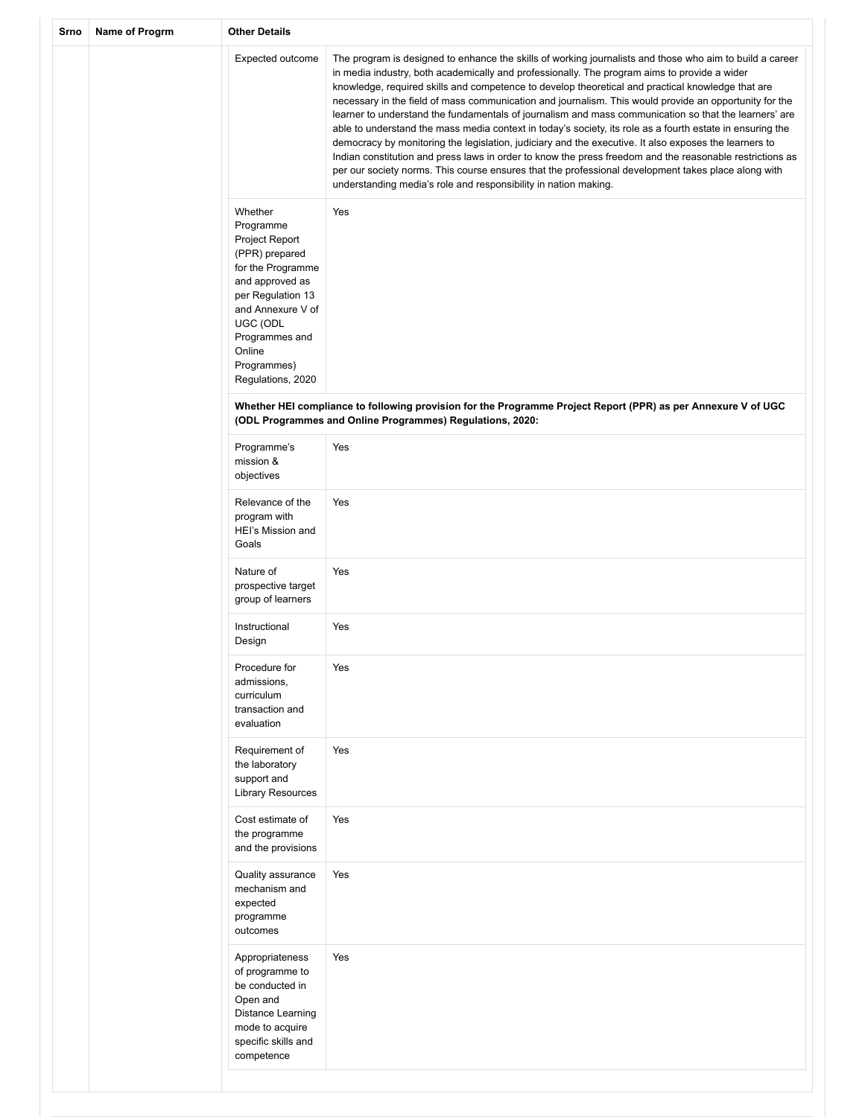| Srno | Name of Progrm | <b>Other Details</b>                                                                                                                                                                                                   |                                                                                                                                                                                                                                                                                                                                                                                                                                                                                                                                                                                                                                                                                                                                                                                                                                                                                                                                                                                                                                              |  |
|------|----------------|------------------------------------------------------------------------------------------------------------------------------------------------------------------------------------------------------------------------|----------------------------------------------------------------------------------------------------------------------------------------------------------------------------------------------------------------------------------------------------------------------------------------------------------------------------------------------------------------------------------------------------------------------------------------------------------------------------------------------------------------------------------------------------------------------------------------------------------------------------------------------------------------------------------------------------------------------------------------------------------------------------------------------------------------------------------------------------------------------------------------------------------------------------------------------------------------------------------------------------------------------------------------------|--|
|      |                | Expected outcome                                                                                                                                                                                                       | The program is designed to enhance the skills of working journalists and those who aim to build a career<br>in media industry, both academically and professionally. The program aims to provide a wider<br>knowledge, required skills and competence to develop theoretical and practical knowledge that are<br>necessary in the field of mass communication and journalism. This would provide an opportunity for the<br>learner to understand the fundamentals of journalism and mass communication so that the learners' are<br>able to understand the mass media context in today's society, its role as a fourth estate in ensuring the<br>democracy by monitoring the legislation, judiciary and the executive. It also exposes the learners to<br>Indian constitution and press laws in order to know the press freedom and the reasonable restrictions as<br>per our society norms. This course ensures that the professional development takes place along with<br>understanding media's role and responsibility in nation making. |  |
|      |                | Whether<br>Programme<br>Project Report<br>(PPR) prepared<br>for the Programme<br>and approved as<br>per Regulation 13<br>and Annexure V of<br>UGC (ODL<br>Programmes and<br>Online<br>Programmes)<br>Regulations, 2020 | Yes                                                                                                                                                                                                                                                                                                                                                                                                                                                                                                                                                                                                                                                                                                                                                                                                                                                                                                                                                                                                                                          |  |
|      |                |                                                                                                                                                                                                                        | Whether HEI compliance to following provision for the Programme Project Report (PPR) as per Annexure V of UGC<br>(ODL Programmes and Online Programmes) Regulations, 2020:                                                                                                                                                                                                                                                                                                                                                                                                                                                                                                                                                                                                                                                                                                                                                                                                                                                                   |  |
|      |                | Programme's<br>mission &<br>objectives                                                                                                                                                                                 | Yes                                                                                                                                                                                                                                                                                                                                                                                                                                                                                                                                                                                                                                                                                                                                                                                                                                                                                                                                                                                                                                          |  |
|      |                | Relevance of the<br>program with<br>HEI's Mission and<br>Goals                                                                                                                                                         | Yes                                                                                                                                                                                                                                                                                                                                                                                                                                                                                                                                                                                                                                                                                                                                                                                                                                                                                                                                                                                                                                          |  |
|      |                | Nature of<br>prospective target<br>group of learners                                                                                                                                                                   | Yes                                                                                                                                                                                                                                                                                                                                                                                                                                                                                                                                                                                                                                                                                                                                                                                                                                                                                                                                                                                                                                          |  |
|      |                | Instructional<br>Design                                                                                                                                                                                                | Yes                                                                                                                                                                                                                                                                                                                                                                                                                                                                                                                                                                                                                                                                                                                                                                                                                                                                                                                                                                                                                                          |  |
|      |                | Procedure for<br>admissions,<br>curriculum<br>transaction and<br>evaluation                                                                                                                                            | Yes                                                                                                                                                                                                                                                                                                                                                                                                                                                                                                                                                                                                                                                                                                                                                                                                                                                                                                                                                                                                                                          |  |
|      |                | Requirement of<br>the laboratory<br>support and<br><b>Library Resources</b>                                                                                                                                            | Yes                                                                                                                                                                                                                                                                                                                                                                                                                                                                                                                                                                                                                                                                                                                                                                                                                                                                                                                                                                                                                                          |  |
|      |                | Cost estimate of<br>the programme<br>and the provisions                                                                                                                                                                | Yes                                                                                                                                                                                                                                                                                                                                                                                                                                                                                                                                                                                                                                                                                                                                                                                                                                                                                                                                                                                                                                          |  |
|      |                | Quality assurance<br>mechanism and<br>expected<br>programme<br>outcomes                                                                                                                                                | Yes                                                                                                                                                                                                                                                                                                                                                                                                                                                                                                                                                                                                                                                                                                                                                                                                                                                                                                                                                                                                                                          |  |
|      |                | Appropriateness<br>of programme to<br>be conducted in<br>Open and<br>Distance Learning<br>mode to acquire<br>specific skills and<br>competence                                                                         | Yes                                                                                                                                                                                                                                                                                                                                                                                                                                                                                                                                                                                                                                                                                                                                                                                                                                                                                                                                                                                                                                          |  |
|      |                |                                                                                                                                                                                                                        |                                                                                                                                                                                                                                                                                                                                                                                                                                                                                                                                                                                                                                                                                                                                                                                                                                                                                                                                                                                                                                              |  |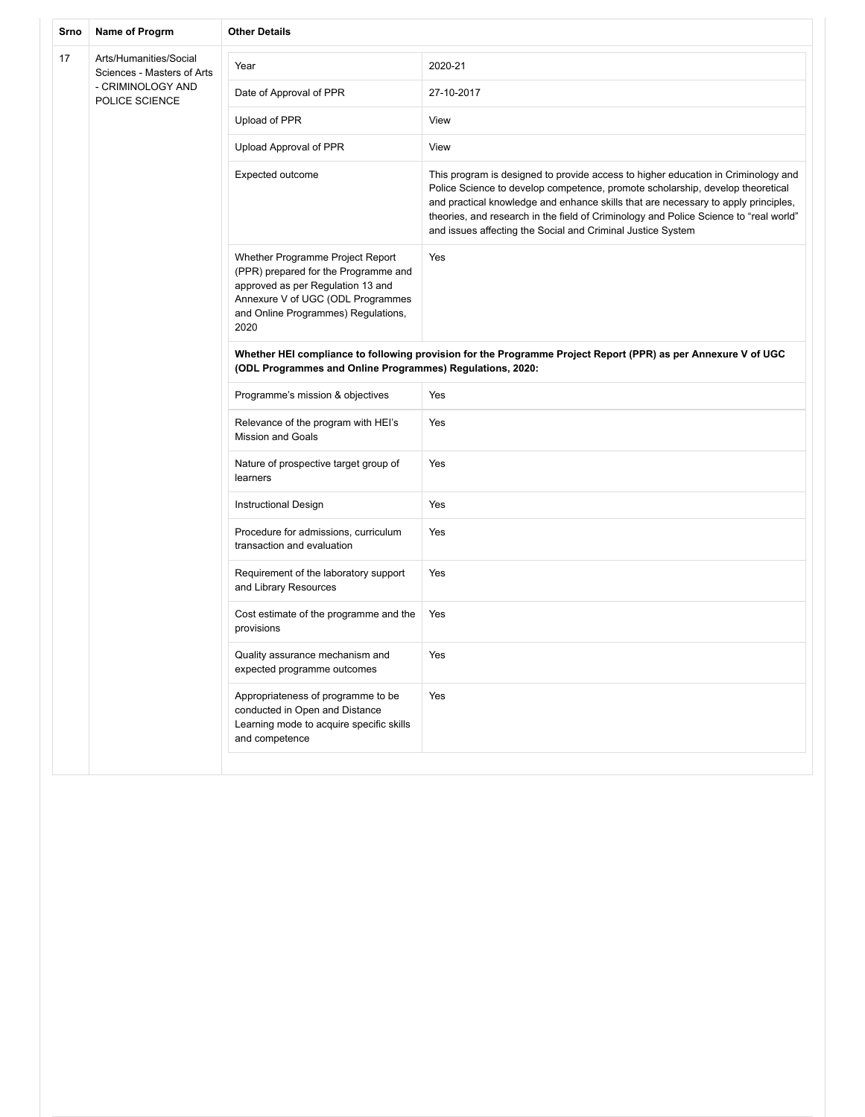| Srno | Name of Progrm                                       | <b>Other Details</b>                                                                                                                                                                              |                                                                                                                                                                                                                                                                                                                                                                                                                   |  |
|------|------------------------------------------------------|---------------------------------------------------------------------------------------------------------------------------------------------------------------------------------------------------|-------------------------------------------------------------------------------------------------------------------------------------------------------------------------------------------------------------------------------------------------------------------------------------------------------------------------------------------------------------------------------------------------------------------|--|
| 17   | Arts/Humanities/Social<br>Sciences - Masters of Arts | Year                                                                                                                                                                                              | 2020-21                                                                                                                                                                                                                                                                                                                                                                                                           |  |
|      | - CRIMINOLOGY AND<br>POLICE SCIENCE                  | Date of Approval of PPR                                                                                                                                                                           | 27-10-2017                                                                                                                                                                                                                                                                                                                                                                                                        |  |
|      |                                                      | Upload of PPR                                                                                                                                                                                     | View                                                                                                                                                                                                                                                                                                                                                                                                              |  |
|      |                                                      | Upload Approval of PPR                                                                                                                                                                            | View                                                                                                                                                                                                                                                                                                                                                                                                              |  |
|      |                                                      | Expected outcome                                                                                                                                                                                  | This program is designed to provide access to higher education in Criminology and<br>Police Science to develop competence, promote scholarship, develop theoretical<br>and practical knowledge and enhance skills that are necessary to apply principles,<br>theories, and research in the field of Criminology and Police Science to "real world"<br>and issues affecting the Social and Criminal Justice System |  |
|      |                                                      | Whether Programme Project Report<br>(PPR) prepared for the Programme and<br>approved as per Regulation 13 and<br>Annexure V of UGC (ODL Programmes<br>and Online Programmes) Regulations,<br>2020 | Yes                                                                                                                                                                                                                                                                                                                                                                                                               |  |
|      |                                                      | Whether HEI compliance to following provision for the Programme Project Report (PPR) as per Annexure V of UGC<br>(ODL Programmes and Online Programmes) Regulations, 2020:                        |                                                                                                                                                                                                                                                                                                                                                                                                                   |  |
|      |                                                      | Programme's mission & objectives                                                                                                                                                                  | Yes                                                                                                                                                                                                                                                                                                                                                                                                               |  |
|      |                                                      | Relevance of the program with HEI's<br><b>Mission and Goals</b>                                                                                                                                   | Yes                                                                                                                                                                                                                                                                                                                                                                                                               |  |
|      |                                                      | Nature of prospective target group of<br>learners                                                                                                                                                 | Yes                                                                                                                                                                                                                                                                                                                                                                                                               |  |
|      |                                                      | <b>Instructional Design</b>                                                                                                                                                                       | Yes                                                                                                                                                                                                                                                                                                                                                                                                               |  |
|      |                                                      | Procedure for admissions, curriculum<br>transaction and evaluation                                                                                                                                | Yes                                                                                                                                                                                                                                                                                                                                                                                                               |  |
|      |                                                      | Requirement of the laboratory support<br>and Library Resources                                                                                                                                    | Yes                                                                                                                                                                                                                                                                                                                                                                                                               |  |
|      |                                                      | Cost estimate of the programme and the<br>provisions                                                                                                                                              | Yes                                                                                                                                                                                                                                                                                                                                                                                                               |  |
|      |                                                      | Quality assurance mechanism and<br>expected programme outcomes                                                                                                                                    | Yes                                                                                                                                                                                                                                                                                                                                                                                                               |  |
|      |                                                      | Appropriateness of programme to be<br>conducted in Open and Distance<br>Learning mode to acquire specific skills<br>and competence                                                                | Yes                                                                                                                                                                                                                                                                                                                                                                                                               |  |
|      |                                                      |                                                                                                                                                                                                   |                                                                                                                                                                                                                                                                                                                                                                                                                   |  |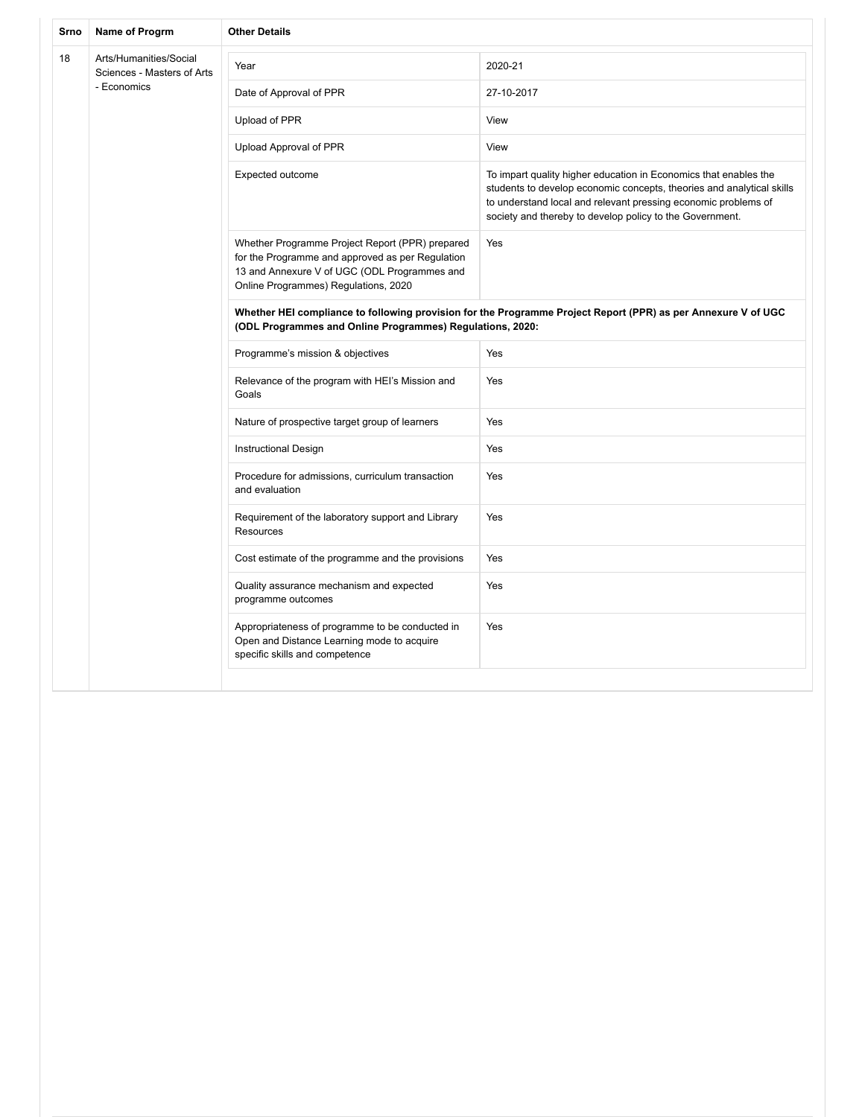| Srno | Name of Progrm                                                      | <b>Other Details</b>                                                                                                                                                                        |                                                                                                                                                                                                                                                                         |  |
|------|---------------------------------------------------------------------|---------------------------------------------------------------------------------------------------------------------------------------------------------------------------------------------|-------------------------------------------------------------------------------------------------------------------------------------------------------------------------------------------------------------------------------------------------------------------------|--|
| 18   | Arts/Humanities/Social<br>Sciences - Masters of Arts<br>- Economics | Year                                                                                                                                                                                        | 2020-21                                                                                                                                                                                                                                                                 |  |
|      |                                                                     | Date of Approval of PPR                                                                                                                                                                     | 27-10-2017                                                                                                                                                                                                                                                              |  |
|      |                                                                     | Upload of PPR                                                                                                                                                                               | View                                                                                                                                                                                                                                                                    |  |
|      |                                                                     | Upload Approval of PPR                                                                                                                                                                      | View                                                                                                                                                                                                                                                                    |  |
|      |                                                                     | Expected outcome                                                                                                                                                                            | To impart quality higher education in Economics that enables the<br>students to develop economic concepts, theories and analytical skills<br>to understand local and relevant pressing economic problems of<br>society and thereby to develop policy to the Government. |  |
|      |                                                                     | Whether Programme Project Report (PPR) prepared<br>for the Programme and approved as per Regulation<br>13 and Annexure V of UGC (ODL Programmes and<br>Online Programmes) Regulations, 2020 | Yes                                                                                                                                                                                                                                                                     |  |
|      |                                                                     | Whether HEI compliance to following provision for the Programme Project Report (PPR) as per Annexure V of UGC<br>(ODL Programmes and Online Programmes) Regulations, 2020:                  |                                                                                                                                                                                                                                                                         |  |
|      |                                                                     | Programme's mission & objectives                                                                                                                                                            | Yes                                                                                                                                                                                                                                                                     |  |
|      |                                                                     | Relevance of the program with HEI's Mission and<br>Goals                                                                                                                                    | Yes                                                                                                                                                                                                                                                                     |  |
|      |                                                                     | Nature of prospective target group of learners                                                                                                                                              | Yes                                                                                                                                                                                                                                                                     |  |
|      |                                                                     | Instructional Design                                                                                                                                                                        | Yes                                                                                                                                                                                                                                                                     |  |
|      |                                                                     | Procedure for admissions, curriculum transaction<br>and evaluation                                                                                                                          | Yes                                                                                                                                                                                                                                                                     |  |
|      |                                                                     | Requirement of the laboratory support and Library<br>Resources                                                                                                                              | Yes                                                                                                                                                                                                                                                                     |  |
|      |                                                                     | Cost estimate of the programme and the provisions                                                                                                                                           | Yes                                                                                                                                                                                                                                                                     |  |
|      |                                                                     | Quality assurance mechanism and expected<br>programme outcomes                                                                                                                              | Yes                                                                                                                                                                                                                                                                     |  |
|      |                                                                     | Appropriateness of programme to be conducted in<br>Open and Distance Learning mode to acquire<br>specific skills and competence                                                             | Yes                                                                                                                                                                                                                                                                     |  |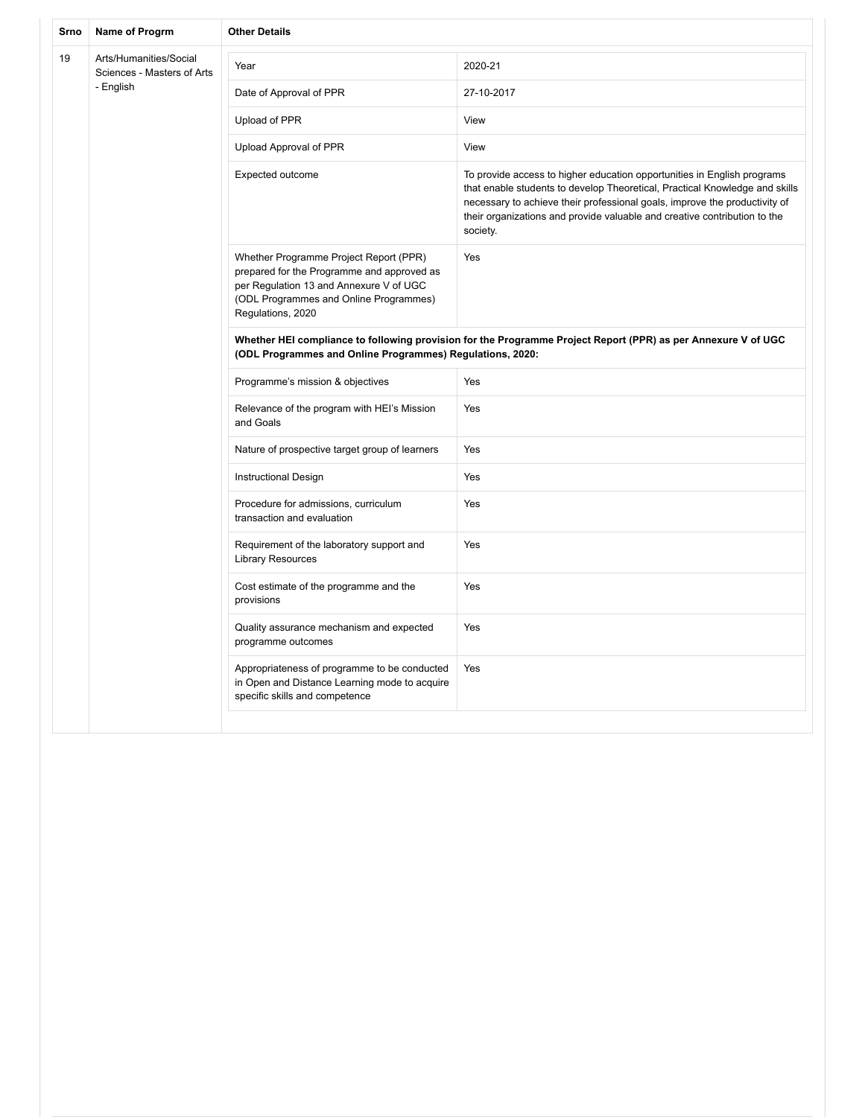| Srno | Name of Progrm                                       | <b>Other Details</b>                                                                                                                                                                           |                                                                                                                                                                                                                                                                                                                               |  |
|------|------------------------------------------------------|------------------------------------------------------------------------------------------------------------------------------------------------------------------------------------------------|-------------------------------------------------------------------------------------------------------------------------------------------------------------------------------------------------------------------------------------------------------------------------------------------------------------------------------|--|
| 19   | Arts/Humanities/Social<br>Sciences - Masters of Arts | Year                                                                                                                                                                                           | 2020-21                                                                                                                                                                                                                                                                                                                       |  |
|      | - English                                            | Date of Approval of PPR                                                                                                                                                                        | 27-10-2017                                                                                                                                                                                                                                                                                                                    |  |
|      |                                                      | Upload of PPR                                                                                                                                                                                  | View                                                                                                                                                                                                                                                                                                                          |  |
|      |                                                      | Upload Approval of PPR                                                                                                                                                                         | View                                                                                                                                                                                                                                                                                                                          |  |
|      |                                                      | Expected outcome                                                                                                                                                                               | To provide access to higher education opportunities in English programs<br>that enable students to develop Theoretical, Practical Knowledge and skills<br>necessary to achieve their professional goals, improve the productivity of<br>their organizations and provide valuable and creative contribution to the<br>society. |  |
|      |                                                      | Whether Programme Project Report (PPR)<br>prepared for the Programme and approved as<br>per Regulation 13 and Annexure V of UGC<br>(ODL Programmes and Online Programmes)<br>Regulations, 2020 | Yes                                                                                                                                                                                                                                                                                                                           |  |
|      |                                                      | Whether HEI compliance to following provision for the Programme Project Report (PPR) as per Annexure V of UGC<br>(ODL Programmes and Online Programmes) Regulations, 2020:                     |                                                                                                                                                                                                                                                                                                                               |  |
|      |                                                      | Programme's mission & objectives                                                                                                                                                               | Yes                                                                                                                                                                                                                                                                                                                           |  |
|      |                                                      | Relevance of the program with HEI's Mission<br>and Goals                                                                                                                                       | Yes                                                                                                                                                                                                                                                                                                                           |  |
|      |                                                      | Nature of prospective target group of learners                                                                                                                                                 | Yes                                                                                                                                                                                                                                                                                                                           |  |
|      |                                                      | <b>Instructional Design</b>                                                                                                                                                                    | Yes                                                                                                                                                                                                                                                                                                                           |  |
|      |                                                      | Procedure for admissions, curriculum<br>transaction and evaluation                                                                                                                             | Yes                                                                                                                                                                                                                                                                                                                           |  |
|      |                                                      | Requirement of the laboratory support and<br><b>Library Resources</b>                                                                                                                          | Yes                                                                                                                                                                                                                                                                                                                           |  |
|      |                                                      | Cost estimate of the programme and the<br>provisions                                                                                                                                           | Yes                                                                                                                                                                                                                                                                                                                           |  |
|      |                                                      | Quality assurance mechanism and expected<br>programme outcomes                                                                                                                                 | Yes                                                                                                                                                                                                                                                                                                                           |  |
|      |                                                      | Appropriateness of programme to be conducted<br>in Open and Distance Learning mode to acquire<br>specific skills and competence                                                                | Yes                                                                                                                                                                                                                                                                                                                           |  |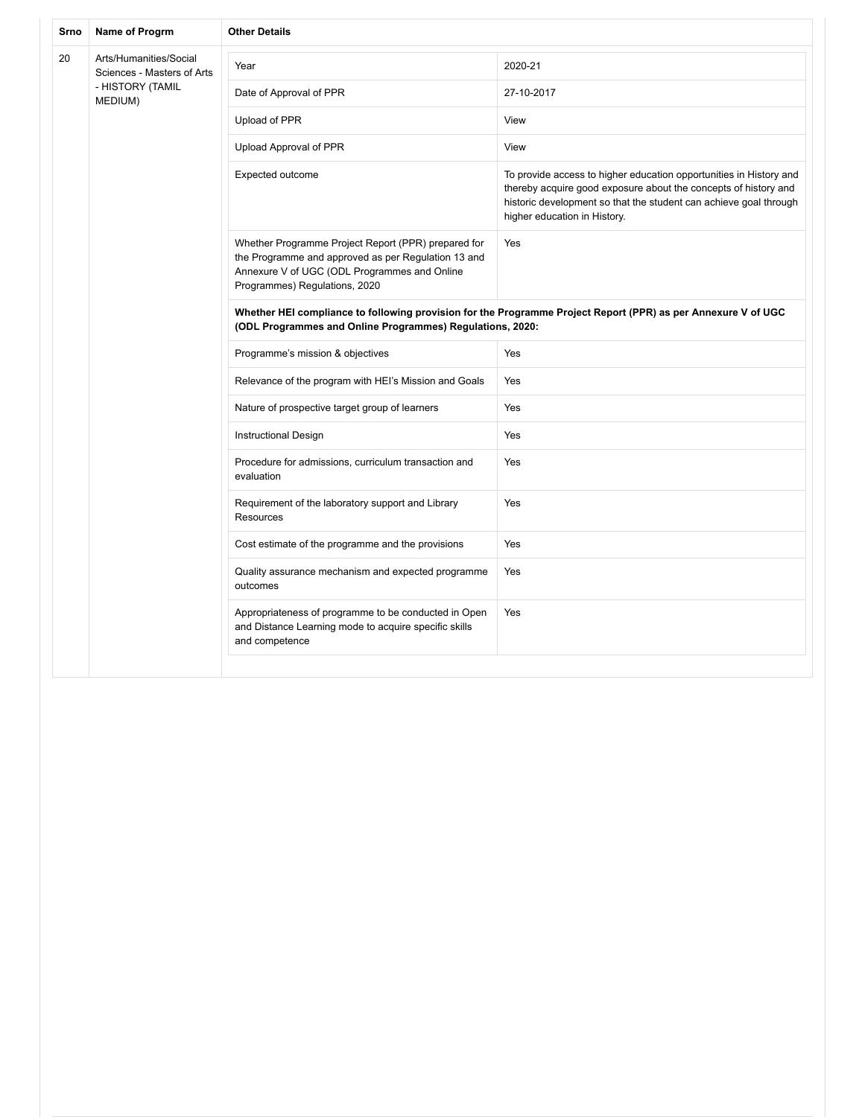| Srno | Name of Progrm                                                                      | <b>Other Details</b>                                                                                                                                                                        |                                                                                                                                                                                                                                            |  |
|------|-------------------------------------------------------------------------------------|---------------------------------------------------------------------------------------------------------------------------------------------------------------------------------------------|--------------------------------------------------------------------------------------------------------------------------------------------------------------------------------------------------------------------------------------------|--|
| 20   | Arts/Humanities/Social<br>Sciences - Masters of Arts<br>- HISTORY (TAMIL<br>MEDIUM) | Year                                                                                                                                                                                        | 2020-21                                                                                                                                                                                                                                    |  |
|      |                                                                                     | Date of Approval of PPR                                                                                                                                                                     | 27-10-2017                                                                                                                                                                                                                                 |  |
|      |                                                                                     | Upload of PPR                                                                                                                                                                               | View                                                                                                                                                                                                                                       |  |
|      |                                                                                     | Upload Approval of PPR                                                                                                                                                                      | View                                                                                                                                                                                                                                       |  |
|      |                                                                                     | Expected outcome                                                                                                                                                                            | To provide access to higher education opportunities in History and<br>thereby acquire good exposure about the concepts of history and<br>historic development so that the student can achieve goal through<br>higher education in History. |  |
|      |                                                                                     | Whether Programme Project Report (PPR) prepared for<br>the Programme and approved as per Regulation 13 and<br>Annexure V of UGC (ODL Programmes and Online<br>Programmes) Regulations, 2020 | Yes                                                                                                                                                                                                                                        |  |
|      |                                                                                     | Whether HEI compliance to following provision for the Programme Project Report (PPR) as per Annexure V of UGC<br>(ODL Programmes and Online Programmes) Regulations, 2020:                  |                                                                                                                                                                                                                                            |  |
|      |                                                                                     | Programme's mission & objectives                                                                                                                                                            | Yes                                                                                                                                                                                                                                        |  |
|      |                                                                                     | Relevance of the program with HEI's Mission and Goals                                                                                                                                       | Yes                                                                                                                                                                                                                                        |  |
|      |                                                                                     | Nature of prospective target group of learners                                                                                                                                              | Yes                                                                                                                                                                                                                                        |  |
|      |                                                                                     | <b>Instructional Design</b>                                                                                                                                                                 | Yes                                                                                                                                                                                                                                        |  |
|      |                                                                                     | Procedure for admissions, curriculum transaction and<br>evaluation                                                                                                                          | Yes                                                                                                                                                                                                                                        |  |
|      |                                                                                     | Requirement of the laboratory support and Library<br>Resources                                                                                                                              | Yes                                                                                                                                                                                                                                        |  |
|      |                                                                                     | Cost estimate of the programme and the provisions                                                                                                                                           | Yes                                                                                                                                                                                                                                        |  |
|      |                                                                                     | Quality assurance mechanism and expected programme<br>outcomes                                                                                                                              | Yes                                                                                                                                                                                                                                        |  |
|      |                                                                                     | Appropriateness of programme to be conducted in Open<br>and Distance Learning mode to acquire specific skills<br>and competence                                                             | Yes                                                                                                                                                                                                                                        |  |
|      |                                                                                     |                                                                                                                                                                                             |                                                                                                                                                                                                                                            |  |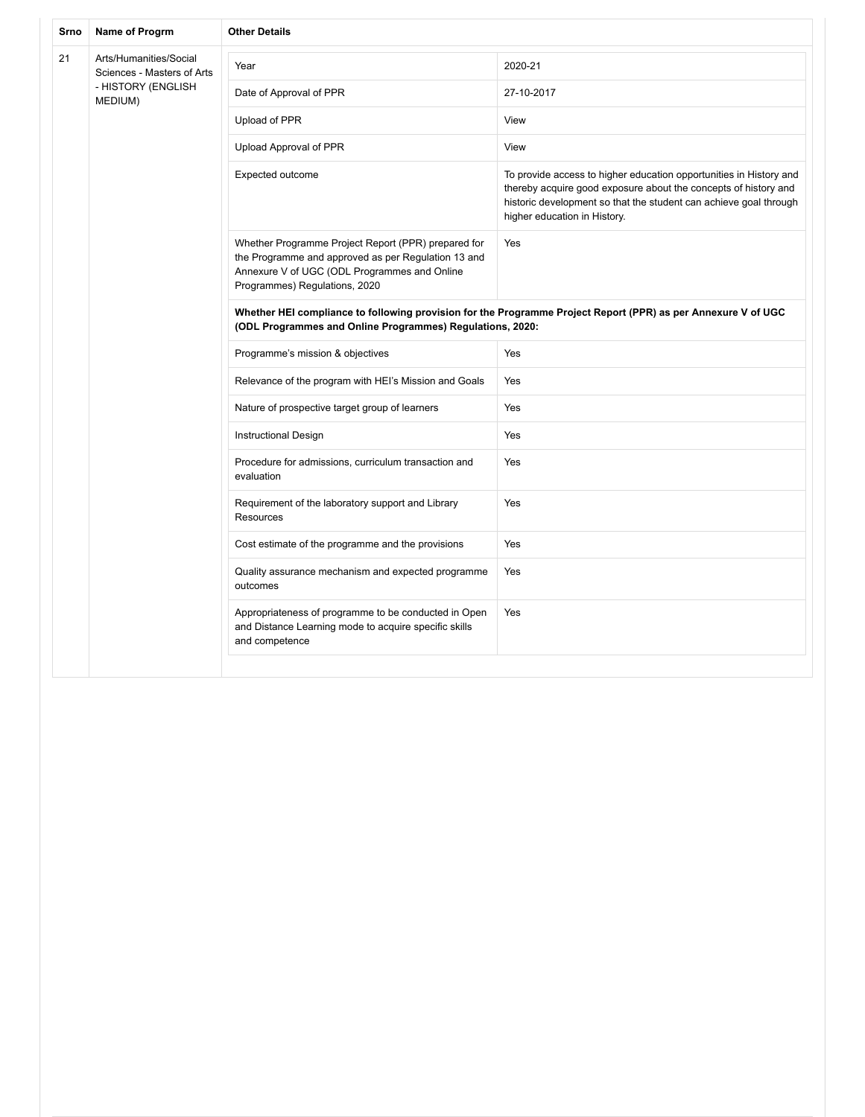| Srno | Name of Progrm                                                                        | <b>Other Details</b>                                                                                                                                                                        |                                                                                                                                                                                                                                            |  |
|------|---------------------------------------------------------------------------------------|---------------------------------------------------------------------------------------------------------------------------------------------------------------------------------------------|--------------------------------------------------------------------------------------------------------------------------------------------------------------------------------------------------------------------------------------------|--|
| 21   | Arts/Humanities/Social<br>Sciences - Masters of Arts<br>- HISTORY (ENGLISH<br>MEDIUM) | Year                                                                                                                                                                                        | 2020-21                                                                                                                                                                                                                                    |  |
|      |                                                                                       | Date of Approval of PPR                                                                                                                                                                     | 27-10-2017                                                                                                                                                                                                                                 |  |
|      |                                                                                       | Upload of PPR                                                                                                                                                                               | View                                                                                                                                                                                                                                       |  |
|      |                                                                                       | Upload Approval of PPR                                                                                                                                                                      | View                                                                                                                                                                                                                                       |  |
|      |                                                                                       | Expected outcome                                                                                                                                                                            | To provide access to higher education opportunities in History and<br>thereby acquire good exposure about the concepts of history and<br>historic development so that the student can achieve goal through<br>higher education in History. |  |
|      |                                                                                       | Whether Programme Project Report (PPR) prepared for<br>the Programme and approved as per Regulation 13 and<br>Annexure V of UGC (ODL Programmes and Online<br>Programmes) Regulations, 2020 | Yes                                                                                                                                                                                                                                        |  |
|      |                                                                                       | Whether HEI compliance to following provision for the Programme Project Report (PPR) as per Annexure V of UGC<br>(ODL Programmes and Online Programmes) Regulations, 2020:                  |                                                                                                                                                                                                                                            |  |
|      |                                                                                       | Programme's mission & objectives                                                                                                                                                            | Yes                                                                                                                                                                                                                                        |  |
|      |                                                                                       | Relevance of the program with HEI's Mission and Goals                                                                                                                                       | Yes                                                                                                                                                                                                                                        |  |
|      |                                                                                       | Nature of prospective target group of learners                                                                                                                                              | Yes                                                                                                                                                                                                                                        |  |
|      |                                                                                       | <b>Instructional Design</b>                                                                                                                                                                 | Yes                                                                                                                                                                                                                                        |  |
|      |                                                                                       | Procedure for admissions, curriculum transaction and<br>evaluation                                                                                                                          | Yes                                                                                                                                                                                                                                        |  |
|      |                                                                                       | Requirement of the laboratory support and Library<br>Resources                                                                                                                              | Yes                                                                                                                                                                                                                                        |  |
|      |                                                                                       | Cost estimate of the programme and the provisions                                                                                                                                           | Yes                                                                                                                                                                                                                                        |  |
|      |                                                                                       | Quality assurance mechanism and expected programme<br>outcomes                                                                                                                              | Yes                                                                                                                                                                                                                                        |  |
|      |                                                                                       | Appropriateness of programme to be conducted in Open<br>and Distance Learning mode to acquire specific skills<br>and competence                                                             | Yes                                                                                                                                                                                                                                        |  |
|      |                                                                                       |                                                                                                                                                                                             |                                                                                                                                                                                                                                            |  |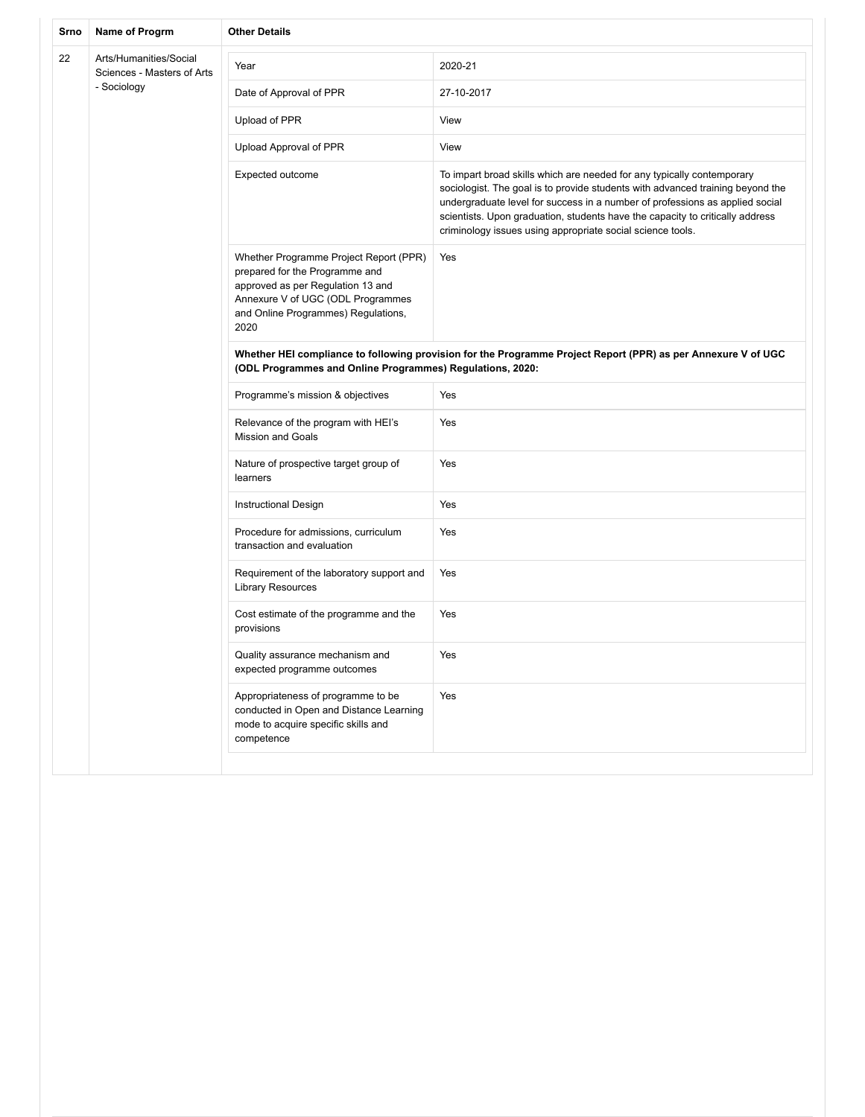| Srno | Name of Progrm                                       | <b>Other Details</b>                                                                                                                                                                              |                                                                                                                                                                                                                                                                                                                                                                                         |  |
|------|------------------------------------------------------|---------------------------------------------------------------------------------------------------------------------------------------------------------------------------------------------------|-----------------------------------------------------------------------------------------------------------------------------------------------------------------------------------------------------------------------------------------------------------------------------------------------------------------------------------------------------------------------------------------|--|
| 22   | Arts/Humanities/Social<br>Sciences - Masters of Arts | Year                                                                                                                                                                                              | 2020-21                                                                                                                                                                                                                                                                                                                                                                                 |  |
|      | - Sociology                                          | Date of Approval of PPR                                                                                                                                                                           | 27-10-2017                                                                                                                                                                                                                                                                                                                                                                              |  |
|      |                                                      | Upload of PPR                                                                                                                                                                                     | View                                                                                                                                                                                                                                                                                                                                                                                    |  |
|      |                                                      | Upload Approval of PPR                                                                                                                                                                            | View                                                                                                                                                                                                                                                                                                                                                                                    |  |
|      |                                                      | Expected outcome                                                                                                                                                                                  | To impart broad skills which are needed for any typically contemporary<br>sociologist. The goal is to provide students with advanced training beyond the<br>undergraduate level for success in a number of professions as applied social<br>scientists. Upon graduation, students have the capacity to critically address<br>criminology issues using appropriate social science tools. |  |
|      |                                                      | Whether Programme Project Report (PPR)<br>prepared for the Programme and<br>approved as per Regulation 13 and<br>Annexure V of UGC (ODL Programmes<br>and Online Programmes) Regulations,<br>2020 | Yes                                                                                                                                                                                                                                                                                                                                                                                     |  |
|      |                                                      | Whether HEI compliance to following provision for the Programme Project Report (PPR) as per Annexure V of UGC<br>(ODL Programmes and Online Programmes) Regulations, 2020:                        |                                                                                                                                                                                                                                                                                                                                                                                         |  |
|      |                                                      | Programme's mission & objectives                                                                                                                                                                  | Yes                                                                                                                                                                                                                                                                                                                                                                                     |  |
|      |                                                      | Relevance of the program with HEI's<br><b>Mission and Goals</b>                                                                                                                                   | Yes                                                                                                                                                                                                                                                                                                                                                                                     |  |
|      |                                                      | Nature of prospective target group of<br>learners                                                                                                                                                 | Yes                                                                                                                                                                                                                                                                                                                                                                                     |  |
|      |                                                      | <b>Instructional Design</b>                                                                                                                                                                       | Yes                                                                                                                                                                                                                                                                                                                                                                                     |  |
|      |                                                      | Procedure for admissions, curriculum<br>transaction and evaluation                                                                                                                                | Yes                                                                                                                                                                                                                                                                                                                                                                                     |  |
|      |                                                      | Requirement of the laboratory support and<br><b>Library Resources</b>                                                                                                                             | Yes                                                                                                                                                                                                                                                                                                                                                                                     |  |
|      |                                                      | Cost estimate of the programme and the<br>provisions                                                                                                                                              | Yes                                                                                                                                                                                                                                                                                                                                                                                     |  |
|      |                                                      | Quality assurance mechanism and<br>expected programme outcomes                                                                                                                                    | Yes                                                                                                                                                                                                                                                                                                                                                                                     |  |
|      |                                                      | Appropriateness of programme to be<br>conducted in Open and Distance Learning<br>mode to acquire specific skills and<br>competence                                                                | Yes                                                                                                                                                                                                                                                                                                                                                                                     |  |
|      |                                                      |                                                                                                                                                                                                   |                                                                                                                                                                                                                                                                                                                                                                                         |  |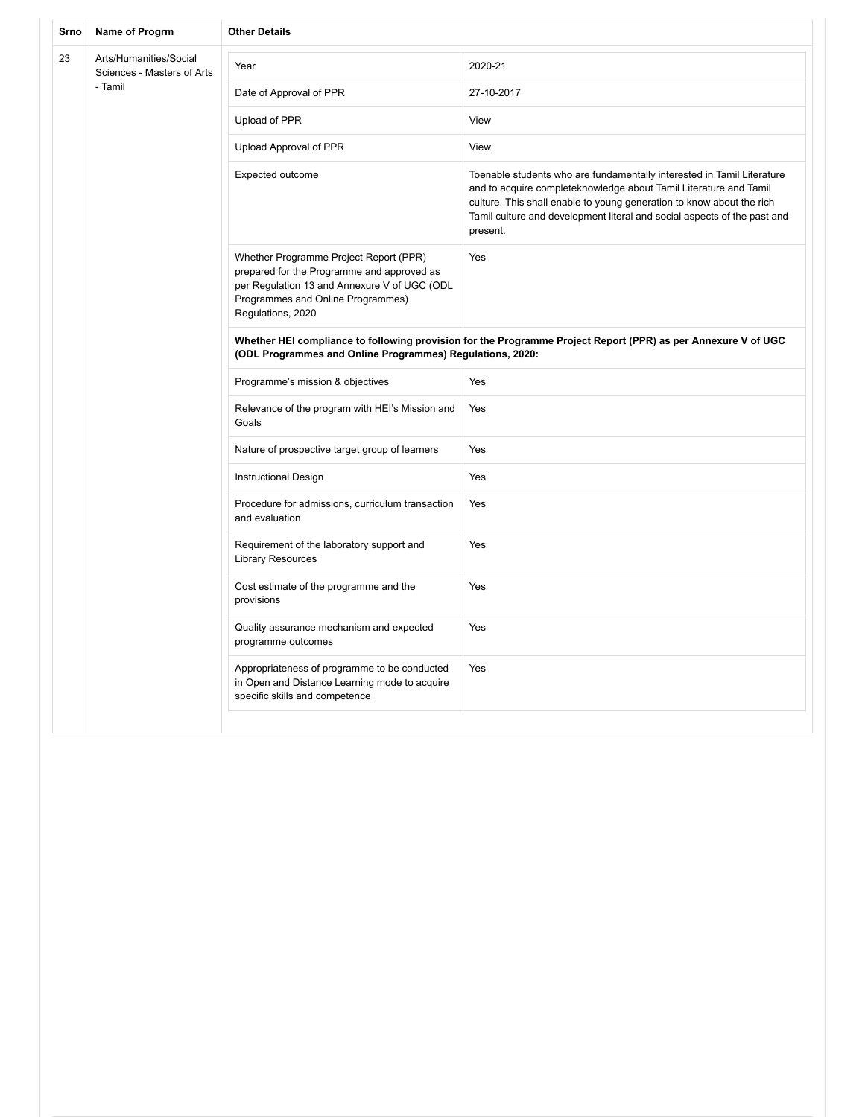| Srno | Name of Progrm                                                  | <b>Other Details</b>                                                                                                                                                                           |                                                                                                                                                                                                                                                                                                              |  |
|------|-----------------------------------------------------------------|------------------------------------------------------------------------------------------------------------------------------------------------------------------------------------------------|--------------------------------------------------------------------------------------------------------------------------------------------------------------------------------------------------------------------------------------------------------------------------------------------------------------|--|
| 23   | Arts/Humanities/Social<br>Sciences - Masters of Arts<br>- Tamil | Year                                                                                                                                                                                           | 2020-21                                                                                                                                                                                                                                                                                                      |  |
|      |                                                                 | Date of Approval of PPR                                                                                                                                                                        | 27-10-2017                                                                                                                                                                                                                                                                                                   |  |
|      |                                                                 | Upload of PPR                                                                                                                                                                                  | View                                                                                                                                                                                                                                                                                                         |  |
|      |                                                                 | Upload Approval of PPR                                                                                                                                                                         | View                                                                                                                                                                                                                                                                                                         |  |
|      |                                                                 | Expected outcome                                                                                                                                                                               | Toenable students who are fundamentally interested in Tamil Literature<br>and to acquire completeknowledge about Tamil Literature and Tamil<br>culture. This shall enable to young generation to know about the rich<br>Tamil culture and development literal and social aspects of the past and<br>present. |  |
|      |                                                                 | Whether Programme Project Report (PPR)<br>prepared for the Programme and approved as<br>per Regulation 13 and Annexure V of UGC (ODL<br>Programmes and Online Programmes)<br>Regulations, 2020 | Yes                                                                                                                                                                                                                                                                                                          |  |
|      |                                                                 | Whether HEI compliance to following provision for the Programme Project Report (PPR) as per Annexure V of UGC<br>(ODL Programmes and Online Programmes) Regulations, 2020:                     |                                                                                                                                                                                                                                                                                                              |  |
|      |                                                                 | Programme's mission & objectives                                                                                                                                                               | Yes                                                                                                                                                                                                                                                                                                          |  |
|      |                                                                 | Relevance of the program with HEI's Mission and<br>Goals                                                                                                                                       | Yes                                                                                                                                                                                                                                                                                                          |  |
|      |                                                                 | Nature of prospective target group of learners                                                                                                                                                 | Yes                                                                                                                                                                                                                                                                                                          |  |
|      |                                                                 | <b>Instructional Design</b>                                                                                                                                                                    | Yes                                                                                                                                                                                                                                                                                                          |  |
|      |                                                                 | Procedure for admissions, curriculum transaction<br>and evaluation                                                                                                                             | Yes                                                                                                                                                                                                                                                                                                          |  |
|      |                                                                 | Requirement of the laboratory support and<br><b>Library Resources</b>                                                                                                                          | Yes                                                                                                                                                                                                                                                                                                          |  |
|      |                                                                 | Cost estimate of the programme and the<br>provisions                                                                                                                                           | Yes                                                                                                                                                                                                                                                                                                          |  |
|      |                                                                 | Quality assurance mechanism and expected<br>programme outcomes                                                                                                                                 | Yes                                                                                                                                                                                                                                                                                                          |  |
|      |                                                                 | Appropriateness of programme to be conducted<br>in Open and Distance Learning mode to acquire<br>specific skills and competence                                                                | Yes                                                                                                                                                                                                                                                                                                          |  |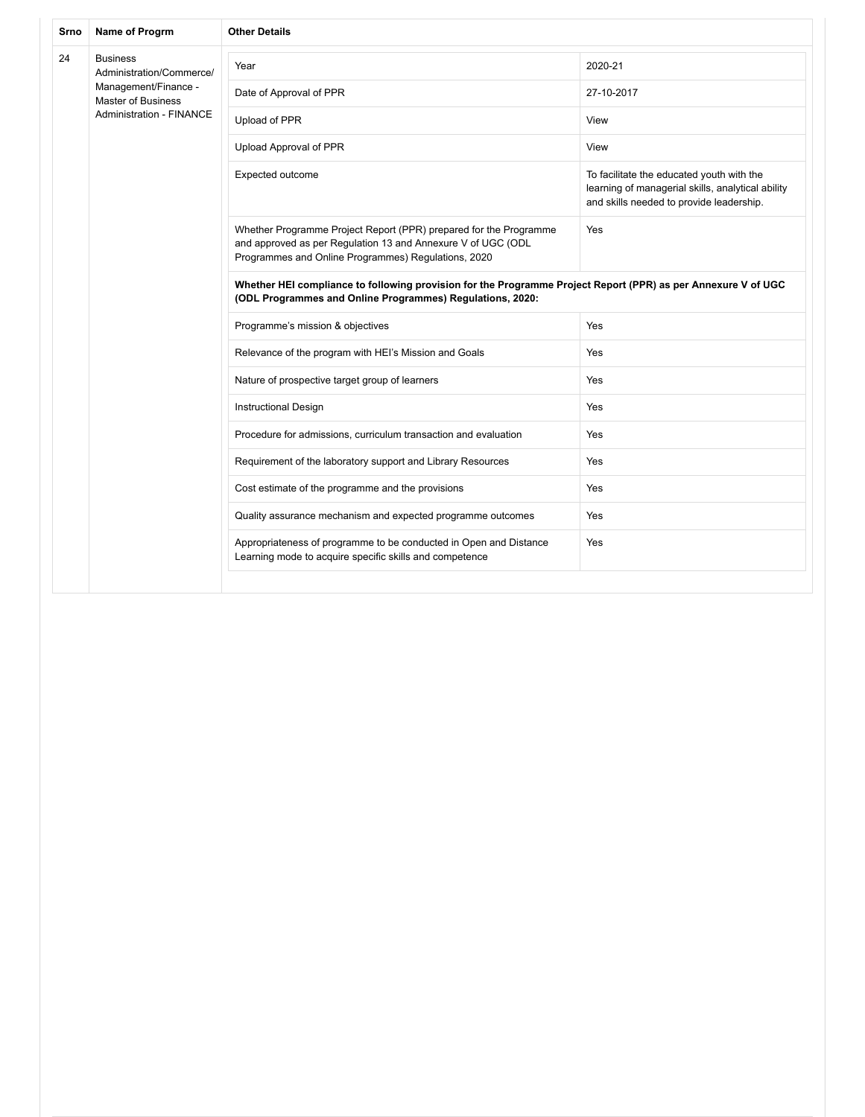| Srno | Name of Progrm                                                                                                               | <b>Other Details</b>                                                                                                                                                                     |                                                                                                                                            |  |
|------|------------------------------------------------------------------------------------------------------------------------------|------------------------------------------------------------------------------------------------------------------------------------------------------------------------------------------|--------------------------------------------------------------------------------------------------------------------------------------------|--|
| 24   | <b>Business</b><br>Administration/Commerce/<br>Management/Finance -<br>Master of Business<br><b>Administration - FINANCE</b> | Year                                                                                                                                                                                     | 2020-21                                                                                                                                    |  |
|      |                                                                                                                              | Date of Approval of PPR                                                                                                                                                                  | 27-10-2017                                                                                                                                 |  |
|      |                                                                                                                              | Upload of PPR                                                                                                                                                                            | View                                                                                                                                       |  |
|      |                                                                                                                              | Upload Approval of PPR                                                                                                                                                                   | View                                                                                                                                       |  |
|      |                                                                                                                              | Expected outcome                                                                                                                                                                         | To facilitate the educated youth with the<br>learning of managerial skills, analytical ability<br>and skills needed to provide leadership. |  |
|      |                                                                                                                              | Whether Programme Project Report (PPR) prepared for the Programme<br>and approved as per Regulation 13 and Annexure V of UGC (ODL<br>Programmes and Online Programmes) Regulations, 2020 | Yes                                                                                                                                        |  |
|      |                                                                                                                              | Whether HEI compliance to following provision for the Programme Project Report (PPR) as per Annexure V of UGC<br>(ODL Programmes and Online Programmes) Regulations, 2020:               |                                                                                                                                            |  |
|      |                                                                                                                              | Programme's mission & objectives                                                                                                                                                         | Yes                                                                                                                                        |  |
|      |                                                                                                                              | Relevance of the program with HEI's Mission and Goals                                                                                                                                    | Yes                                                                                                                                        |  |
|      |                                                                                                                              | Nature of prospective target group of learners                                                                                                                                           | Yes                                                                                                                                        |  |
|      |                                                                                                                              | <b>Instructional Design</b>                                                                                                                                                              | Yes                                                                                                                                        |  |
|      |                                                                                                                              | Procedure for admissions, curriculum transaction and evaluation                                                                                                                          | Yes                                                                                                                                        |  |
|      |                                                                                                                              | Requirement of the laboratory support and Library Resources                                                                                                                              | Yes                                                                                                                                        |  |
|      |                                                                                                                              | Cost estimate of the programme and the provisions                                                                                                                                        | Yes                                                                                                                                        |  |
|      |                                                                                                                              | Quality assurance mechanism and expected programme outcomes                                                                                                                              | Yes                                                                                                                                        |  |
|      |                                                                                                                              | Appropriateness of programme to be conducted in Open and Distance<br>Learning mode to acquire specific skills and competence                                                             | Yes                                                                                                                                        |  |
|      |                                                                                                                              |                                                                                                                                                                                          |                                                                                                                                            |  |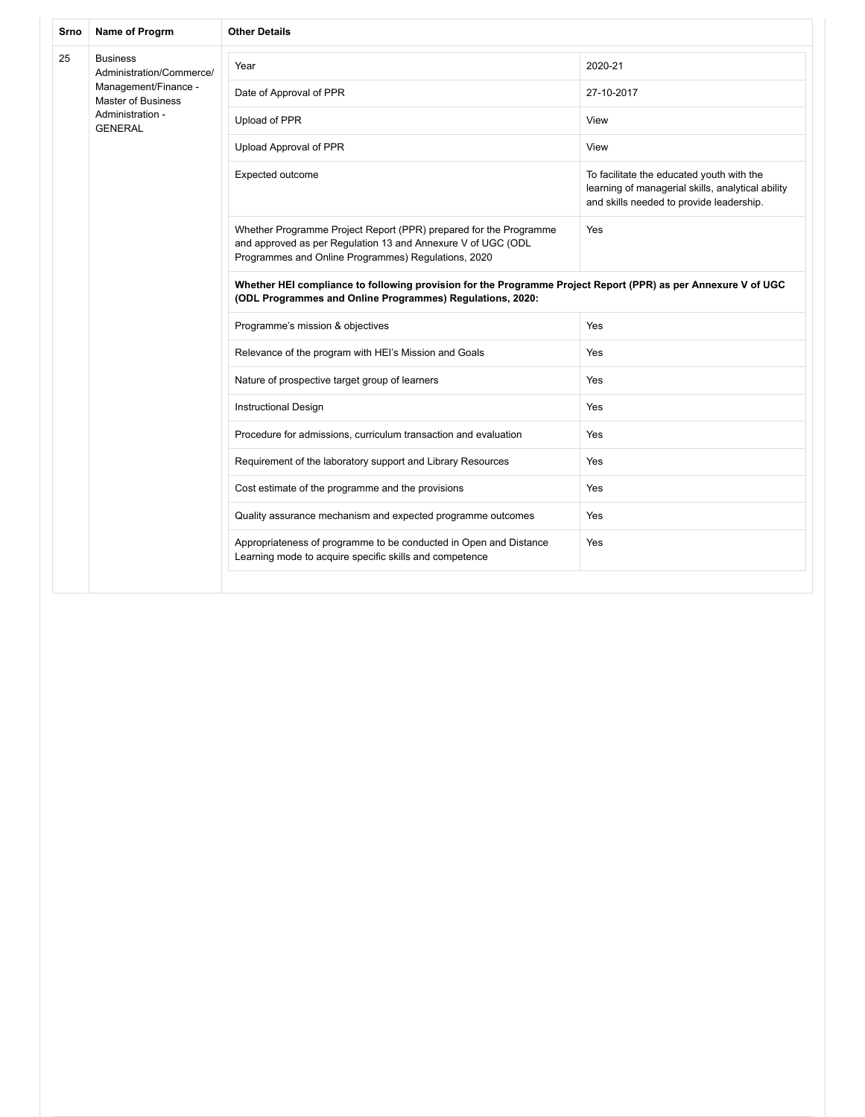| Srno | Name of Progrm                                    | <b>Other Details</b>                                                                                                                                                                     |                                                                                                                                            |  |
|------|---------------------------------------------------|------------------------------------------------------------------------------------------------------------------------------------------------------------------------------------------|--------------------------------------------------------------------------------------------------------------------------------------------|--|
| 25   | <b>Business</b><br>Administration/Commerce/       | Year                                                                                                                                                                                     | 2020-21                                                                                                                                    |  |
|      | Management/Finance -<br><b>Master of Business</b> | Date of Approval of PPR                                                                                                                                                                  | 27-10-2017                                                                                                                                 |  |
|      | Administration -<br><b>GENERAL</b>                | Upload of PPR                                                                                                                                                                            | View                                                                                                                                       |  |
|      |                                                   | Upload Approval of PPR                                                                                                                                                                   | View                                                                                                                                       |  |
|      |                                                   | Expected outcome                                                                                                                                                                         | To facilitate the educated youth with the<br>learning of managerial skills, analytical ability<br>and skills needed to provide leadership. |  |
|      |                                                   | Whether Programme Project Report (PPR) prepared for the Programme<br>and approved as per Regulation 13 and Annexure V of UGC (ODL<br>Programmes and Online Programmes) Regulations, 2020 | Yes                                                                                                                                        |  |
|      |                                                   | Whether HEI compliance to following provision for the Programme Project Report (PPR) as per Annexure V of UGC<br>(ODL Programmes and Online Programmes) Regulations, 2020:               |                                                                                                                                            |  |
|      |                                                   | Programme's mission & objectives                                                                                                                                                         | Yes                                                                                                                                        |  |
|      |                                                   | Relevance of the program with HEI's Mission and Goals                                                                                                                                    | Yes                                                                                                                                        |  |
|      |                                                   | Nature of prospective target group of learners                                                                                                                                           | Yes                                                                                                                                        |  |
|      |                                                   | <b>Instructional Design</b>                                                                                                                                                              | Yes                                                                                                                                        |  |
|      |                                                   | Procedure for admissions, curriculum transaction and evaluation                                                                                                                          | Yes                                                                                                                                        |  |
|      |                                                   | Requirement of the laboratory support and Library Resources                                                                                                                              | Yes                                                                                                                                        |  |
|      |                                                   | Cost estimate of the programme and the provisions                                                                                                                                        | Yes                                                                                                                                        |  |
|      |                                                   | Quality assurance mechanism and expected programme outcomes                                                                                                                              | Yes                                                                                                                                        |  |
|      |                                                   | Appropriateness of programme to be conducted in Open and Distance<br>Learning mode to acquire specific skills and competence                                                             | Yes                                                                                                                                        |  |
|      |                                                   |                                                                                                                                                                                          |                                                                                                                                            |  |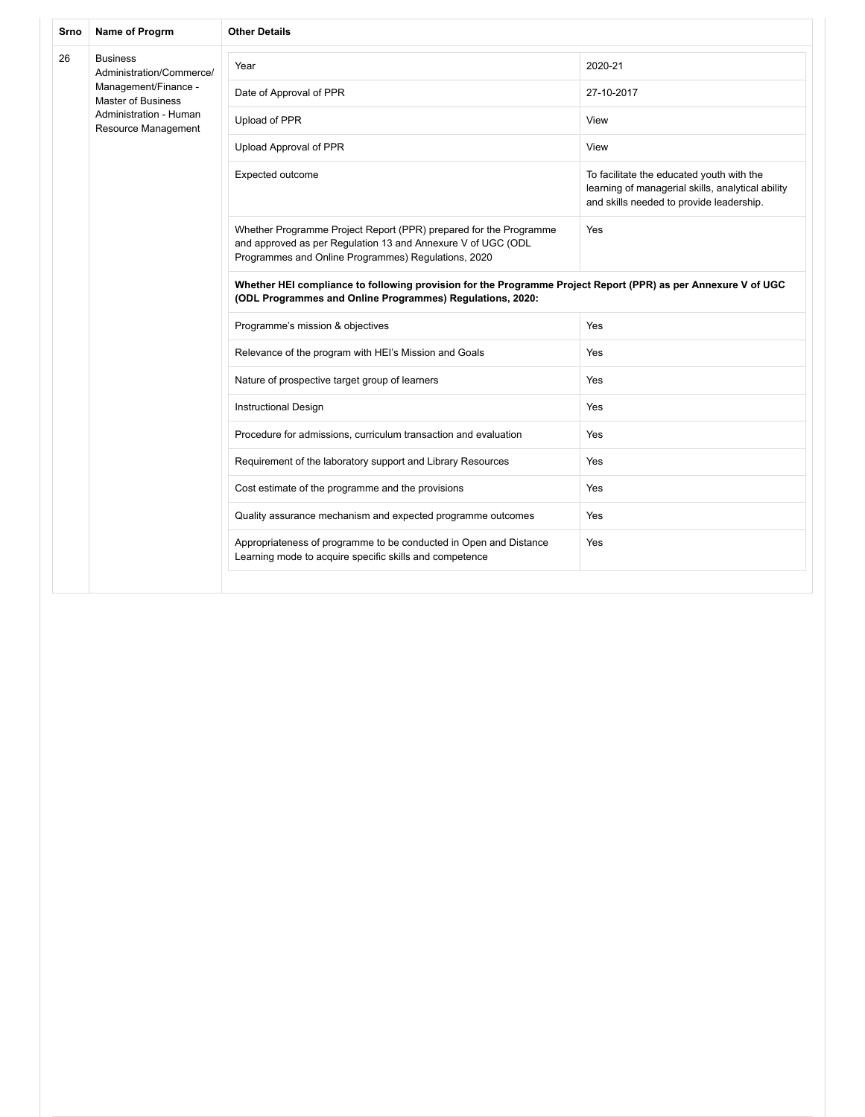| Srno | Name of Progrm                                    | <b>Other Details</b>                                                                                                                                                                     |                                                                                                                                            |  |
|------|---------------------------------------------------|------------------------------------------------------------------------------------------------------------------------------------------------------------------------------------------|--------------------------------------------------------------------------------------------------------------------------------------------|--|
| 26   | <b>Business</b><br>Administration/Commerce/       | Year                                                                                                                                                                                     | 2020-21                                                                                                                                    |  |
|      | Management/Finance -<br><b>Master of Business</b> | Date of Approval of PPR                                                                                                                                                                  | 27-10-2017                                                                                                                                 |  |
|      | Administration - Human<br>Resource Management     | Upload of PPR                                                                                                                                                                            | View                                                                                                                                       |  |
|      |                                                   | Upload Approval of PPR                                                                                                                                                                   | View                                                                                                                                       |  |
|      |                                                   | Expected outcome                                                                                                                                                                         | To facilitate the educated youth with the<br>learning of managerial skills, analytical ability<br>and skills needed to provide leadership. |  |
|      |                                                   | Whether Programme Project Report (PPR) prepared for the Programme<br>and approved as per Regulation 13 and Annexure V of UGC (ODL<br>Programmes and Online Programmes) Regulations, 2020 | Yes<br>Yes<br>Yes<br>Yes<br>Yes<br>Yes<br>Yes<br>Yes<br>Yes                                                                                |  |
|      |                                                   | Whether HEI compliance to following provision for the Programme Project Report (PPR) as per Annexure V of UGC<br>(ODL Programmes and Online Programmes) Regulations, 2020:               |                                                                                                                                            |  |
|      |                                                   | Programme's mission & objectives                                                                                                                                                         |                                                                                                                                            |  |
|      |                                                   | Relevance of the program with HEI's Mission and Goals                                                                                                                                    |                                                                                                                                            |  |
|      |                                                   | Nature of prospective target group of learners                                                                                                                                           |                                                                                                                                            |  |
|      |                                                   | <b>Instructional Design</b>                                                                                                                                                              |                                                                                                                                            |  |
|      |                                                   | Procedure for admissions, curriculum transaction and evaluation                                                                                                                          |                                                                                                                                            |  |
|      |                                                   | Requirement of the laboratory support and Library Resources                                                                                                                              |                                                                                                                                            |  |
|      |                                                   | Cost estimate of the programme and the provisions                                                                                                                                        |                                                                                                                                            |  |
|      |                                                   | Quality assurance mechanism and expected programme outcomes                                                                                                                              |                                                                                                                                            |  |
|      |                                                   | Appropriateness of programme to be conducted in Open and Distance<br>Learning mode to acquire specific skills and competence                                                             | Yes                                                                                                                                        |  |
|      |                                                   |                                                                                                                                                                                          |                                                                                                                                            |  |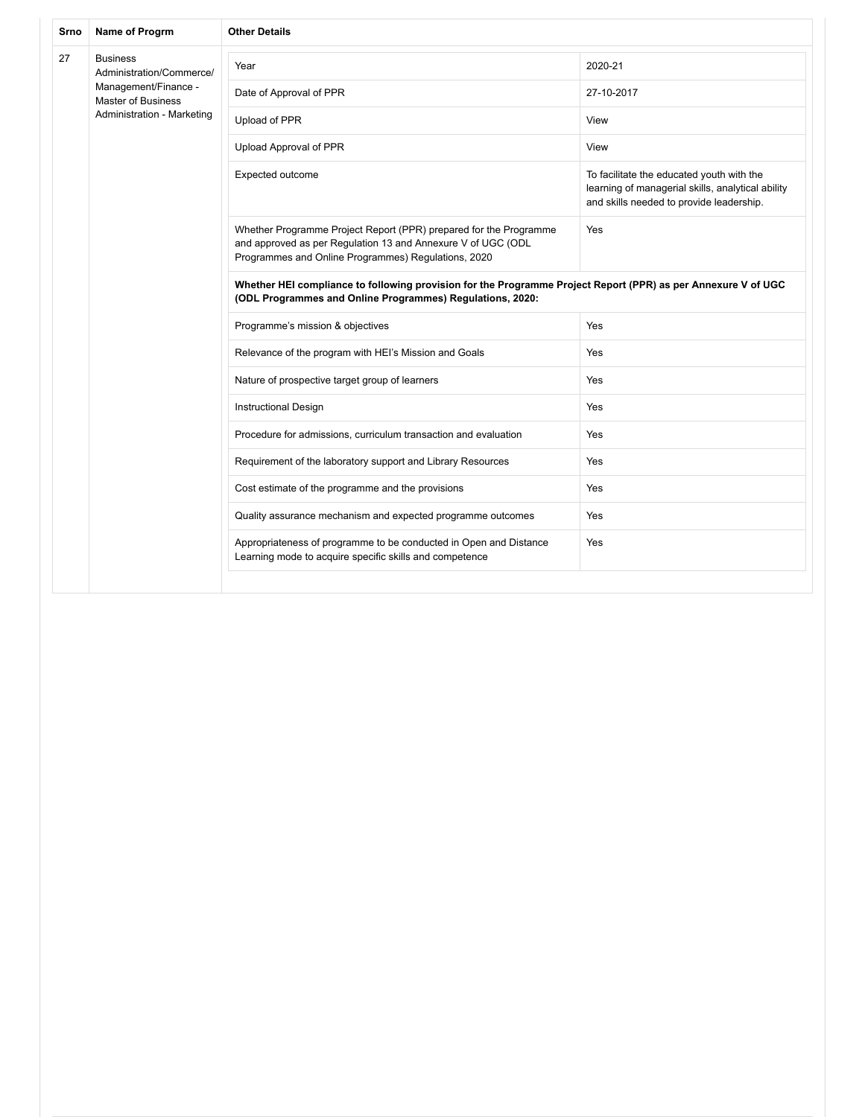| Srno | Name of Progrm                              | <b>Other Details</b>                                                                                                                                                                     |                                                                                                                                            |  |  |
|------|---------------------------------------------|------------------------------------------------------------------------------------------------------------------------------------------------------------------------------------------|--------------------------------------------------------------------------------------------------------------------------------------------|--|--|
| 27   | <b>Business</b><br>Administration/Commerce/ | Year                                                                                                                                                                                     | 2020-21                                                                                                                                    |  |  |
|      | Management/Finance -<br>Master of Business  | Date of Approval of PPR                                                                                                                                                                  | 27-10-2017                                                                                                                                 |  |  |
|      | Administration - Marketing                  | Upload of PPR                                                                                                                                                                            | View                                                                                                                                       |  |  |
|      |                                             | Upload Approval of PPR                                                                                                                                                                   | View                                                                                                                                       |  |  |
|      |                                             | Expected outcome                                                                                                                                                                         | To facilitate the educated youth with the<br>learning of managerial skills, analytical ability<br>and skills needed to provide leadership. |  |  |
|      |                                             | Whether Programme Project Report (PPR) prepared for the Programme<br>and approved as per Regulation 13 and Annexure V of UGC (ODL<br>Programmes and Online Programmes) Regulations, 2020 | Yes<br>Yes                                                                                                                                 |  |  |
|      |                                             | Whether HEI compliance to following provision for the Programme Project Report (PPR) as per Annexure V of UGC<br>(ODL Programmes and Online Programmes) Regulations, 2020:               |                                                                                                                                            |  |  |
|      |                                             | Programme's mission & objectives                                                                                                                                                         |                                                                                                                                            |  |  |
|      |                                             | Relevance of the program with HEI's Mission and Goals                                                                                                                                    | Yes                                                                                                                                        |  |  |
|      |                                             | Nature of prospective target group of learners                                                                                                                                           | Yes                                                                                                                                        |  |  |
|      |                                             | <b>Instructional Design</b>                                                                                                                                                              | Yes                                                                                                                                        |  |  |
|      |                                             | Procedure for admissions, curriculum transaction and evaluation                                                                                                                          | Yes                                                                                                                                        |  |  |
|      |                                             | Requirement of the laboratory support and Library Resources                                                                                                                              | Yes                                                                                                                                        |  |  |
|      |                                             | Cost estimate of the programme and the provisions                                                                                                                                        | Yes                                                                                                                                        |  |  |
|      |                                             | Quality assurance mechanism and expected programme outcomes                                                                                                                              | Yes                                                                                                                                        |  |  |
|      |                                             | Appropriateness of programme to be conducted in Open and Distance<br>Learning mode to acquire specific skills and competence                                                             | Yes                                                                                                                                        |  |  |
|      |                                             |                                                                                                                                                                                          |                                                                                                                                            |  |  |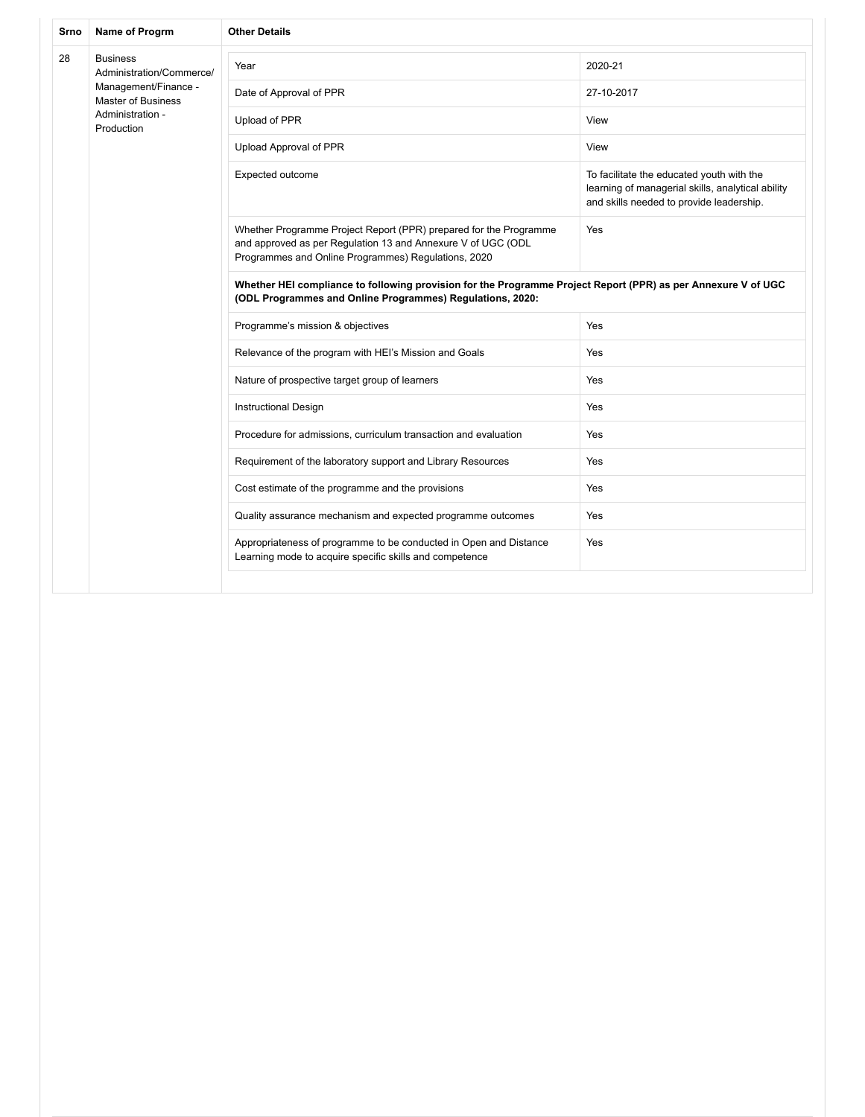| Srno | Name of Progrm                                    | <b>Other Details</b>                                                                                                                                                                     |                                                                                                                                            |  |
|------|---------------------------------------------------|------------------------------------------------------------------------------------------------------------------------------------------------------------------------------------------|--------------------------------------------------------------------------------------------------------------------------------------------|--|
| 28   | <b>Business</b><br>Administration/Commerce/       | Year                                                                                                                                                                                     | 2020-21                                                                                                                                    |  |
|      | Management/Finance -<br><b>Master of Business</b> | Date of Approval of PPR                                                                                                                                                                  | 27-10-2017                                                                                                                                 |  |
|      | Administration -<br>Production                    | Upload of PPR                                                                                                                                                                            | View                                                                                                                                       |  |
|      |                                                   | Upload Approval of PPR                                                                                                                                                                   | View                                                                                                                                       |  |
|      |                                                   | Expected outcome                                                                                                                                                                         | To facilitate the educated youth with the<br>learning of managerial skills, analytical ability<br>and skills needed to provide leadership. |  |
|      |                                                   | Whether Programme Project Report (PPR) prepared for the Programme<br>and approved as per Regulation 13 and Annexure V of UGC (ODL<br>Programmes and Online Programmes) Regulations, 2020 | Yes                                                                                                                                        |  |
|      |                                                   | Whether HEI compliance to following provision for the Programme Project Report (PPR) as per Annexure V of UGC<br>(ODL Programmes and Online Programmes) Regulations, 2020:               |                                                                                                                                            |  |
|      |                                                   | Programme's mission & objectives                                                                                                                                                         | Yes                                                                                                                                        |  |
|      |                                                   | Relevance of the program with HEI's Mission and Goals                                                                                                                                    | Yes                                                                                                                                        |  |
|      |                                                   | Nature of prospective target group of learners                                                                                                                                           | Yes                                                                                                                                        |  |
|      |                                                   | <b>Instructional Design</b>                                                                                                                                                              | Yes                                                                                                                                        |  |
|      |                                                   | Procedure for admissions, curriculum transaction and evaluation                                                                                                                          | Yes                                                                                                                                        |  |
|      |                                                   | Requirement of the laboratory support and Library Resources                                                                                                                              | Yes                                                                                                                                        |  |
|      |                                                   | Cost estimate of the programme and the provisions                                                                                                                                        | Yes                                                                                                                                        |  |
|      |                                                   | Quality assurance mechanism and expected programme outcomes                                                                                                                              | Yes                                                                                                                                        |  |
|      |                                                   | Appropriateness of programme to be conducted in Open and Distance<br>Learning mode to acquire specific skills and competence                                                             | Yes                                                                                                                                        |  |
|      |                                                   |                                                                                                                                                                                          |                                                                                                                                            |  |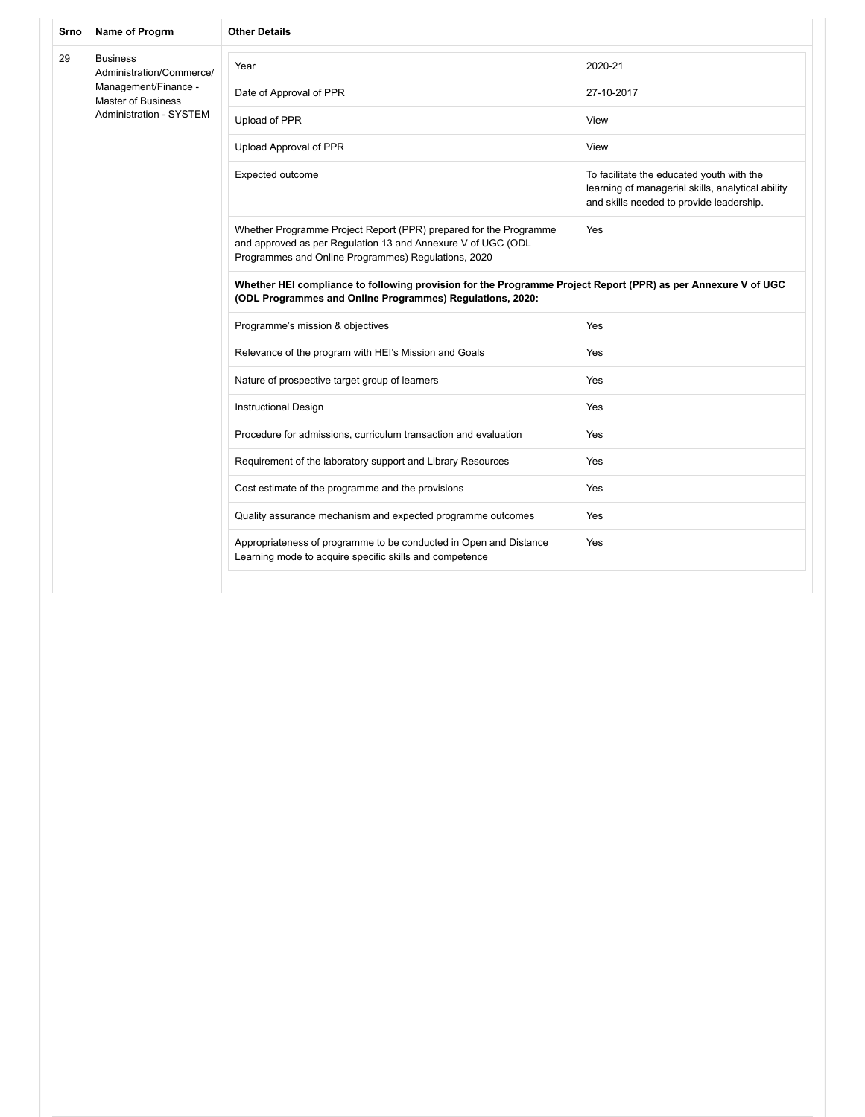| Srno | Name of Progrm                                    | <b>Other Details</b>                                                                                                                                                                     |                                                                                                                                            |  |
|------|---------------------------------------------------|------------------------------------------------------------------------------------------------------------------------------------------------------------------------------------------|--------------------------------------------------------------------------------------------------------------------------------------------|--|
| 29   | <b>Business</b><br>Administration/Commerce/       | Year                                                                                                                                                                                     | 2020-21                                                                                                                                    |  |
|      | Management/Finance -<br><b>Master of Business</b> | Date of Approval of PPR                                                                                                                                                                  | 27-10-2017                                                                                                                                 |  |
|      | <b>Administration - SYSTEM</b>                    | Upload of PPR                                                                                                                                                                            | View                                                                                                                                       |  |
|      |                                                   | Upload Approval of PPR                                                                                                                                                                   | View                                                                                                                                       |  |
|      |                                                   | Expected outcome                                                                                                                                                                         | To facilitate the educated youth with the<br>learning of managerial skills, analytical ability<br>and skills needed to provide leadership. |  |
|      |                                                   | Whether Programme Project Report (PPR) prepared for the Programme<br>and approved as per Regulation 13 and Annexure V of UGC (ODL<br>Programmes and Online Programmes) Regulations, 2020 | Yes<br>Yes<br>Yes<br>Yes<br>Yes<br>Yes<br>Yes                                                                                              |  |
|      |                                                   | Whether HEI compliance to following provision for the Programme Project Report (PPR) as per Annexure V of UGC<br>(ODL Programmes and Online Programmes) Regulations, 2020:               |                                                                                                                                            |  |
|      |                                                   | Programme's mission & objectives                                                                                                                                                         |                                                                                                                                            |  |
|      |                                                   | Relevance of the program with HEI's Mission and Goals                                                                                                                                    |                                                                                                                                            |  |
|      |                                                   | Nature of prospective target group of learners                                                                                                                                           |                                                                                                                                            |  |
|      |                                                   | <b>Instructional Design</b>                                                                                                                                                              |                                                                                                                                            |  |
|      |                                                   | Procedure for admissions, curriculum transaction and evaluation                                                                                                                          |                                                                                                                                            |  |
|      |                                                   | Requirement of the laboratory support and Library Resources                                                                                                                              |                                                                                                                                            |  |
|      |                                                   | Cost estimate of the programme and the provisions                                                                                                                                        | Yes                                                                                                                                        |  |
|      |                                                   | Quality assurance mechanism and expected programme outcomes                                                                                                                              | Yes                                                                                                                                        |  |
|      |                                                   | Appropriateness of programme to be conducted in Open and Distance<br>Learning mode to acquire specific skills and competence                                                             | Yes                                                                                                                                        |  |
|      |                                                   |                                                                                                                                                                                          |                                                                                                                                            |  |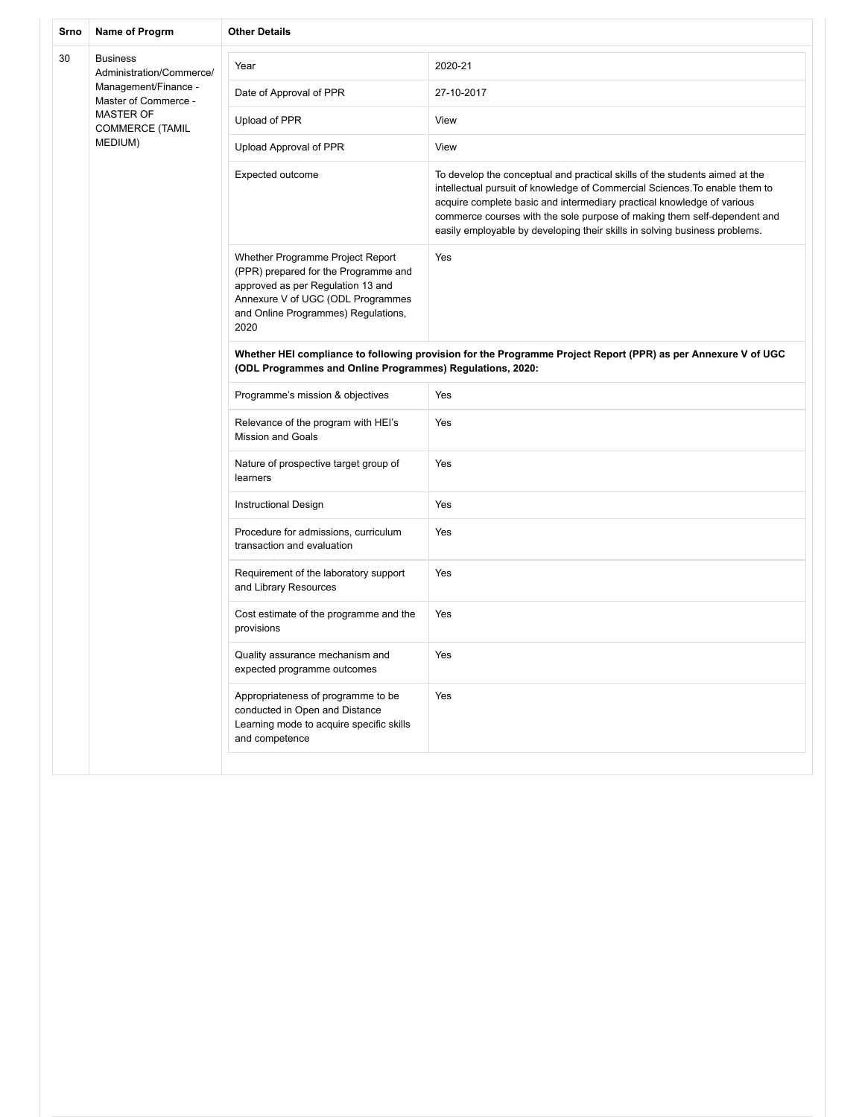| Srno | Name of Progrm                                        | <b>Other Details</b>                                                                                                                                                                              |                                                                                                                                                                                                                                                                                                                                                                                                |  |
|------|-------------------------------------------------------|---------------------------------------------------------------------------------------------------------------------------------------------------------------------------------------------------|------------------------------------------------------------------------------------------------------------------------------------------------------------------------------------------------------------------------------------------------------------------------------------------------------------------------------------------------------------------------------------------------|--|
| 30   | <b>Business</b><br>Administration/Commerce/           | Year                                                                                                                                                                                              | 2020-21                                                                                                                                                                                                                                                                                                                                                                                        |  |
|      | Management/Finance -<br>Master of Commerce -          | Date of Approval of PPR                                                                                                                                                                           | 27-10-2017                                                                                                                                                                                                                                                                                                                                                                                     |  |
|      | <b>MASTER OF</b><br><b>COMMERCE (TAMIL</b><br>MEDIUM) | Upload of PPR                                                                                                                                                                                     | View                                                                                                                                                                                                                                                                                                                                                                                           |  |
|      |                                                       | Upload Approval of PPR                                                                                                                                                                            | View                                                                                                                                                                                                                                                                                                                                                                                           |  |
|      |                                                       | Expected outcome                                                                                                                                                                                  | To develop the conceptual and practical skills of the students aimed at the<br>intellectual pursuit of knowledge of Commercial Sciences. To enable them to<br>acquire complete basic and intermediary practical knowledge of various<br>commerce courses with the sole purpose of making them self-dependent and<br>easily employable by developing their skills in solving business problems. |  |
|      |                                                       | Whether Programme Project Report<br>(PPR) prepared for the Programme and<br>approved as per Regulation 13 and<br>Annexure V of UGC (ODL Programmes<br>and Online Programmes) Regulations,<br>2020 | Yes                                                                                                                                                                                                                                                                                                                                                                                            |  |
|      |                                                       | (ODL Programmes and Online Programmes) Regulations, 2020:                                                                                                                                         | Whether HEI compliance to following provision for the Programme Project Report (PPR) as per Annexure V of UGC                                                                                                                                                                                                                                                                                  |  |
|      |                                                       | Programme's mission & objectives                                                                                                                                                                  | Yes                                                                                                                                                                                                                                                                                                                                                                                            |  |
|      |                                                       | Relevance of the program with HEI's<br><b>Mission and Goals</b>                                                                                                                                   | Yes                                                                                                                                                                                                                                                                                                                                                                                            |  |
|      |                                                       | Nature of prospective target group of<br>learners                                                                                                                                                 | Yes                                                                                                                                                                                                                                                                                                                                                                                            |  |
|      |                                                       | Instructional Design                                                                                                                                                                              | Yes                                                                                                                                                                                                                                                                                                                                                                                            |  |
|      |                                                       | Procedure for admissions, curriculum<br>transaction and evaluation                                                                                                                                | Yes                                                                                                                                                                                                                                                                                                                                                                                            |  |
|      |                                                       | Requirement of the laboratory support<br>and Library Resources                                                                                                                                    | Yes                                                                                                                                                                                                                                                                                                                                                                                            |  |
|      |                                                       | Cost estimate of the programme and the<br>provisions                                                                                                                                              | Yes                                                                                                                                                                                                                                                                                                                                                                                            |  |
|      |                                                       | Quality assurance mechanism and<br>expected programme outcomes                                                                                                                                    | Yes                                                                                                                                                                                                                                                                                                                                                                                            |  |
|      |                                                       | Appropriateness of programme to be<br>conducted in Open and Distance<br>Learning mode to acquire specific skills<br>and competence                                                                | Yes                                                                                                                                                                                                                                                                                                                                                                                            |  |
|      |                                                       |                                                                                                                                                                                                   |                                                                                                                                                                                                                                                                                                                                                                                                |  |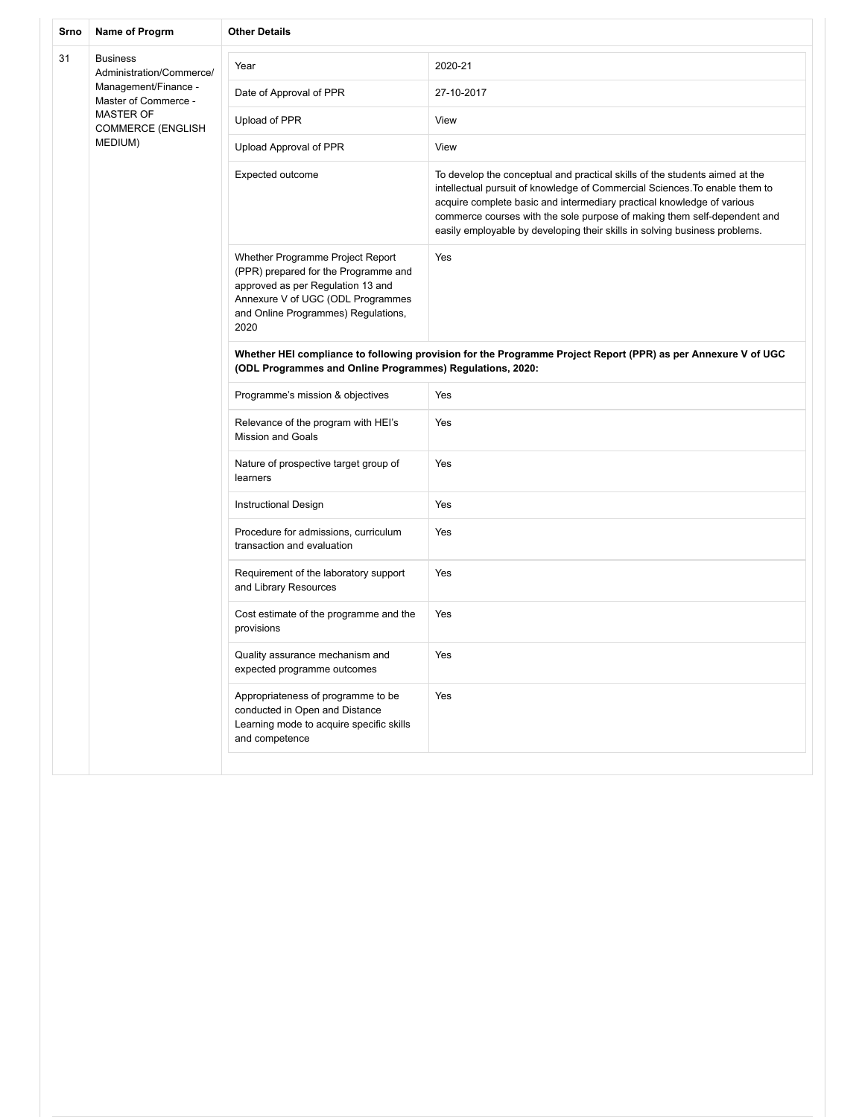| Srno | Name of Progrm                               | <b>Other Details</b>                                                                                                                                                                              |                                                                                                                                                                                                                                                                                                                                                                                                |  |
|------|----------------------------------------------|---------------------------------------------------------------------------------------------------------------------------------------------------------------------------------------------------|------------------------------------------------------------------------------------------------------------------------------------------------------------------------------------------------------------------------------------------------------------------------------------------------------------------------------------------------------------------------------------------------|--|
| 31   | <b>Business</b><br>Administration/Commerce/  | Year                                                                                                                                                                                              | 2020-21                                                                                                                                                                                                                                                                                                                                                                                        |  |
|      | Management/Finance -<br>Master of Commerce - | Date of Approval of PPR                                                                                                                                                                           | 27-10-2017                                                                                                                                                                                                                                                                                                                                                                                     |  |
|      | <b>MASTER OF</b><br><b>COMMERCE (ENGLISH</b> | Upload of PPR                                                                                                                                                                                     | View                                                                                                                                                                                                                                                                                                                                                                                           |  |
|      | MEDIUM)                                      | Upload Approval of PPR                                                                                                                                                                            | View                                                                                                                                                                                                                                                                                                                                                                                           |  |
|      |                                              | Expected outcome                                                                                                                                                                                  | To develop the conceptual and practical skills of the students aimed at the<br>intellectual pursuit of knowledge of Commercial Sciences. To enable them to<br>acquire complete basic and intermediary practical knowledge of various<br>commerce courses with the sole purpose of making them self-dependent and<br>easily employable by developing their skills in solving business problems. |  |
|      |                                              | Whether Programme Project Report<br>(PPR) prepared for the Programme and<br>approved as per Regulation 13 and<br>Annexure V of UGC (ODL Programmes<br>and Online Programmes) Regulations,<br>2020 | Yes                                                                                                                                                                                                                                                                                                                                                                                            |  |
|      |                                              | (ODL Programmes and Online Programmes) Regulations, 2020:                                                                                                                                         | Whether HEI compliance to following provision for the Programme Project Report (PPR) as per Annexure V of UGC                                                                                                                                                                                                                                                                                  |  |
|      |                                              | Programme's mission & objectives                                                                                                                                                                  | Yes                                                                                                                                                                                                                                                                                                                                                                                            |  |
|      |                                              | Relevance of the program with HEI's<br><b>Mission and Goals</b>                                                                                                                                   | Yes                                                                                                                                                                                                                                                                                                                                                                                            |  |
|      |                                              | Nature of prospective target group of<br>learners                                                                                                                                                 | Yes                                                                                                                                                                                                                                                                                                                                                                                            |  |
|      |                                              | Instructional Design                                                                                                                                                                              | Yes                                                                                                                                                                                                                                                                                                                                                                                            |  |
|      |                                              | Procedure for admissions, curriculum<br>transaction and evaluation                                                                                                                                | Yes                                                                                                                                                                                                                                                                                                                                                                                            |  |
|      |                                              | Requirement of the laboratory support<br>and Library Resources                                                                                                                                    | Yes                                                                                                                                                                                                                                                                                                                                                                                            |  |
|      |                                              | Cost estimate of the programme and the<br>provisions                                                                                                                                              | Yes                                                                                                                                                                                                                                                                                                                                                                                            |  |
|      |                                              | Quality assurance mechanism and<br>expected programme outcomes                                                                                                                                    | Yes                                                                                                                                                                                                                                                                                                                                                                                            |  |
|      |                                              | Appropriateness of programme to be<br>conducted in Open and Distance<br>Learning mode to acquire specific skills<br>and competence                                                                | Yes                                                                                                                                                                                                                                                                                                                                                                                            |  |
|      |                                              |                                                                                                                                                                                                   |                                                                                                                                                                                                                                                                                                                                                                                                |  |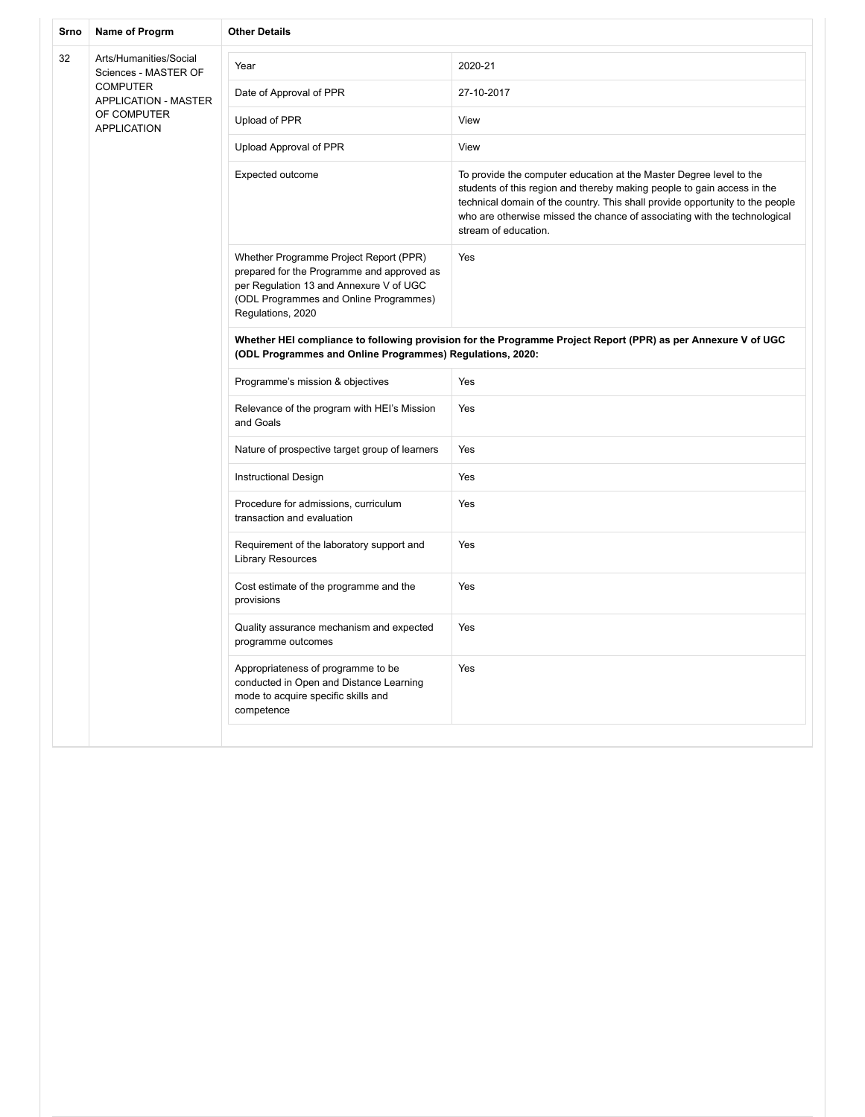| Srno | Name of Progrm                                 | <b>Other Details</b>                                                                                                                                                                           |                                                                                                                                                                                                                                                                                                                                      |
|------|------------------------------------------------|------------------------------------------------------------------------------------------------------------------------------------------------------------------------------------------------|--------------------------------------------------------------------------------------------------------------------------------------------------------------------------------------------------------------------------------------------------------------------------------------------------------------------------------------|
| 32   | Arts/Humanities/Social<br>Sciences - MASTER OF | Year                                                                                                                                                                                           | 2020-21                                                                                                                                                                                                                                                                                                                              |
|      | <b>COMPUTER</b><br><b>APPLICATION - MASTER</b> | Date of Approval of PPR                                                                                                                                                                        | 27-10-2017                                                                                                                                                                                                                                                                                                                           |
|      | OF COMPUTER<br><b>APPLICATION</b>              | Upload of PPR                                                                                                                                                                                  | View                                                                                                                                                                                                                                                                                                                                 |
|      |                                                | Upload Approval of PPR                                                                                                                                                                         | View                                                                                                                                                                                                                                                                                                                                 |
|      |                                                | Expected outcome                                                                                                                                                                               | To provide the computer education at the Master Degree level to the<br>students of this region and thereby making people to gain access in the<br>technical domain of the country. This shall provide opportunity to the people<br>who are otherwise missed the chance of associating with the technological<br>stream of education. |
|      |                                                | Whether Programme Project Report (PPR)<br>prepared for the Programme and approved as<br>per Regulation 13 and Annexure V of UGC<br>(ODL Programmes and Online Programmes)<br>Regulations, 2020 | Yes                                                                                                                                                                                                                                                                                                                                  |
|      |                                                | (ODL Programmes and Online Programmes) Regulations, 2020:                                                                                                                                      | Whether HEI compliance to following provision for the Programme Project Report (PPR) as per Annexure V of UGC                                                                                                                                                                                                                        |
|      |                                                | Programme's mission & objectives                                                                                                                                                               | Yes                                                                                                                                                                                                                                                                                                                                  |
|      |                                                | Relevance of the program with HEI's Mission<br>and Goals                                                                                                                                       | Yes                                                                                                                                                                                                                                                                                                                                  |
|      |                                                | Nature of prospective target group of learners                                                                                                                                                 | Yes                                                                                                                                                                                                                                                                                                                                  |
|      |                                                | <b>Instructional Design</b>                                                                                                                                                                    | Yes                                                                                                                                                                                                                                                                                                                                  |
|      |                                                | Procedure for admissions, curriculum<br>transaction and evaluation                                                                                                                             | Yes                                                                                                                                                                                                                                                                                                                                  |
|      |                                                | Requirement of the laboratory support and<br><b>Library Resources</b>                                                                                                                          | Yes                                                                                                                                                                                                                                                                                                                                  |
|      |                                                | Cost estimate of the programme and the<br>provisions                                                                                                                                           | Yes                                                                                                                                                                                                                                                                                                                                  |
|      |                                                | Quality assurance mechanism and expected<br>programme outcomes                                                                                                                                 | Yes                                                                                                                                                                                                                                                                                                                                  |
|      |                                                | Appropriateness of programme to be<br>conducted in Open and Distance Learning<br>mode to acquire specific skills and<br>competence                                                             | Yes                                                                                                                                                                                                                                                                                                                                  |
|      |                                                |                                                                                                                                                                                                |                                                                                                                                                                                                                                                                                                                                      |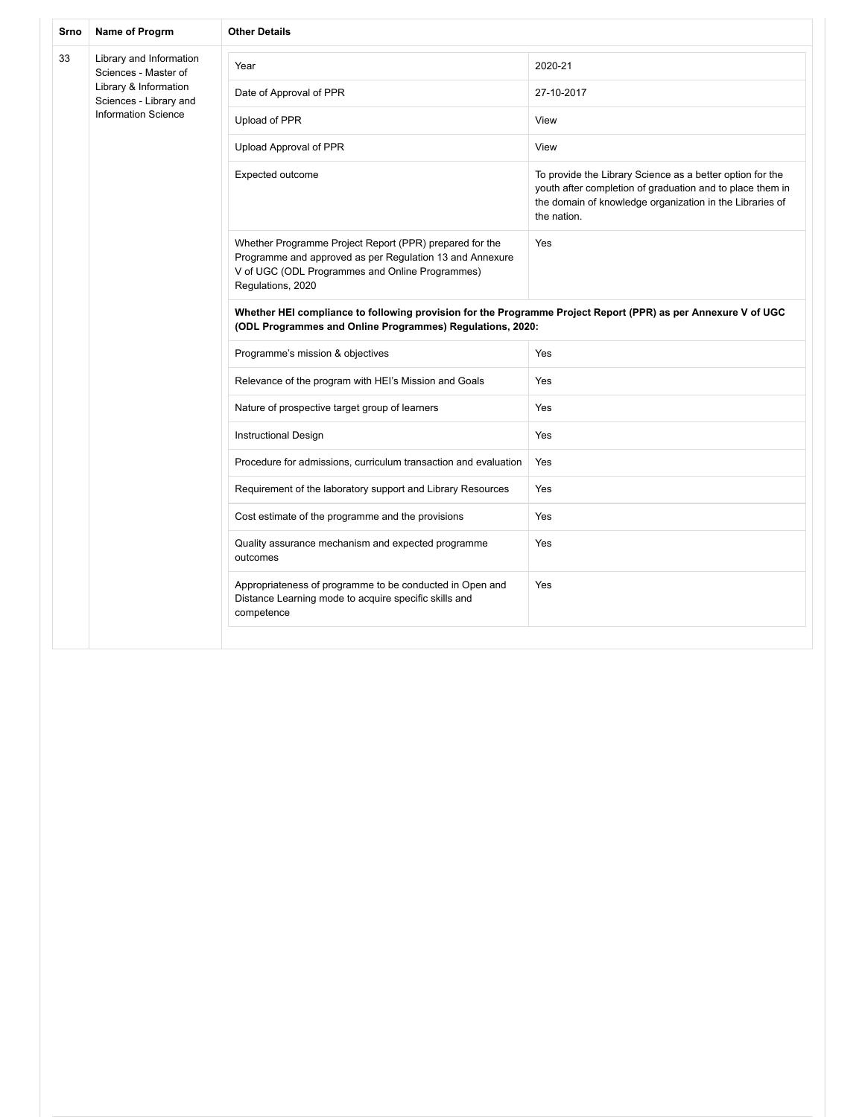| Srno | Name of Progrm                                                                | <b>Other Details</b>                                                                                                                                                                        |                                                                                                                                                                                                   |  |  |
|------|-------------------------------------------------------------------------------|---------------------------------------------------------------------------------------------------------------------------------------------------------------------------------------------|---------------------------------------------------------------------------------------------------------------------------------------------------------------------------------------------------|--|--|
| 33   | Library and Information<br>Sciences - Master of                               | Year                                                                                                                                                                                        | 2020-21                                                                                                                                                                                           |  |  |
|      | Library & Information<br>Sciences - Library and<br><b>Information Science</b> | Date of Approval of PPR                                                                                                                                                                     | 27-10-2017                                                                                                                                                                                        |  |  |
|      |                                                                               | Upload of PPR                                                                                                                                                                               | View                                                                                                                                                                                              |  |  |
|      |                                                                               | Upload Approval of PPR                                                                                                                                                                      | View                                                                                                                                                                                              |  |  |
|      |                                                                               | Expected outcome                                                                                                                                                                            | To provide the Library Science as a better option for the<br>youth after completion of graduation and to place them in<br>the domain of knowledge organization in the Libraries of<br>the nation. |  |  |
|      |                                                                               | Whether Programme Project Report (PPR) prepared for the<br>Programme and approved as per Regulation 13 and Annexure<br>V of UGC (ODL Programmes and Online Programmes)<br>Regulations, 2020 | Yes                                                                                                                                                                                               |  |  |
|      |                                                                               | Whether HEI compliance to following provision for the Programme Project Report (PPR) as per Annexure V of UGC<br>(ODL Programmes and Online Programmes) Regulations, 2020:                  |                                                                                                                                                                                                   |  |  |
|      |                                                                               | Programme's mission & objectives                                                                                                                                                            | Yes                                                                                                                                                                                               |  |  |
|      |                                                                               | Relevance of the program with HEI's Mission and Goals                                                                                                                                       | Yes                                                                                                                                                                                               |  |  |
|      |                                                                               | Nature of prospective target group of learners                                                                                                                                              | Yes                                                                                                                                                                                               |  |  |
|      |                                                                               | <b>Instructional Design</b>                                                                                                                                                                 | Yes                                                                                                                                                                                               |  |  |
|      |                                                                               | Procedure for admissions, curriculum transaction and evaluation                                                                                                                             | Yes                                                                                                                                                                                               |  |  |
|      |                                                                               | Requirement of the laboratory support and Library Resources                                                                                                                                 | Yes                                                                                                                                                                                               |  |  |
|      |                                                                               | Cost estimate of the programme and the provisions                                                                                                                                           | Yes                                                                                                                                                                                               |  |  |
|      |                                                                               | Quality assurance mechanism and expected programme<br>outcomes                                                                                                                              | Yes                                                                                                                                                                                               |  |  |
|      |                                                                               | Appropriateness of programme to be conducted in Open and<br>Distance Learning mode to acquire specific skills and<br>competence                                                             | Yes                                                                                                                                                                                               |  |  |
|      |                                                                               |                                                                                                                                                                                             |                                                                                                                                                                                                   |  |  |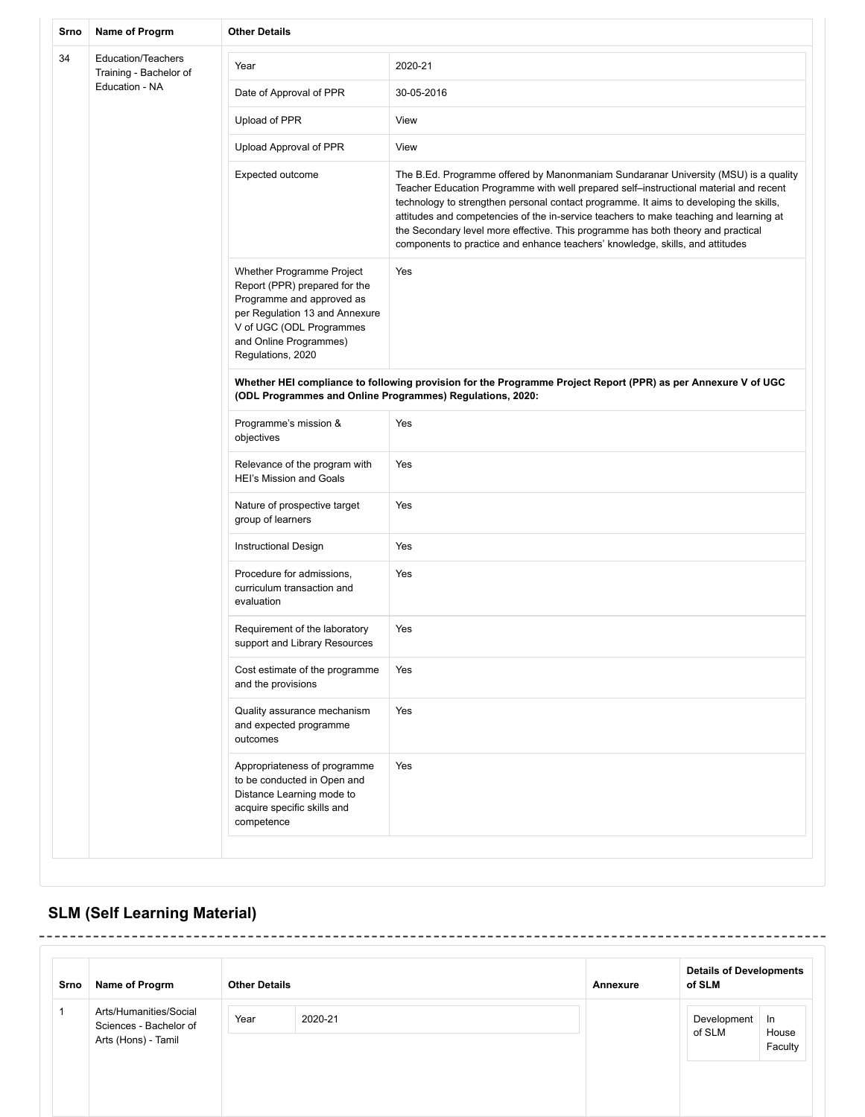| Srno | Name of Progrm                                                                                                                                                                                                                                                                                                                                                                                                                   | <b>Other Details</b>                                                                                                                  |                                                                                                                                                                                                                                                                                                                                                                                                                                                                                                                                       |  |
|------|----------------------------------------------------------------------------------------------------------------------------------------------------------------------------------------------------------------------------------------------------------------------------------------------------------------------------------------------------------------------------------------------------------------------------------|---------------------------------------------------------------------------------------------------------------------------------------|---------------------------------------------------------------------------------------------------------------------------------------------------------------------------------------------------------------------------------------------------------------------------------------------------------------------------------------------------------------------------------------------------------------------------------------------------------------------------------------------------------------------------------------|--|
| 34   | <b>Education/Teachers</b><br>Training - Bachelor of                                                                                                                                                                                                                                                                                                                                                                              | Year                                                                                                                                  | 2020-21                                                                                                                                                                                                                                                                                                                                                                                                                                                                                                                               |  |
|      | Education - NA                                                                                                                                                                                                                                                                                                                                                                                                                   | Date of Approval of PPR                                                                                                               | 30-05-2016                                                                                                                                                                                                                                                                                                                                                                                                                                                                                                                            |  |
|      |                                                                                                                                                                                                                                                                                                                                                                                                                                  | Upload of PPR                                                                                                                         | View                                                                                                                                                                                                                                                                                                                                                                                                                                                                                                                                  |  |
|      |                                                                                                                                                                                                                                                                                                                                                                                                                                  | Upload Approval of PPR                                                                                                                | View                                                                                                                                                                                                                                                                                                                                                                                                                                                                                                                                  |  |
|      |                                                                                                                                                                                                                                                                                                                                                                                                                                  | Expected outcome                                                                                                                      | The B.Ed. Programme offered by Manonmaniam Sundaranar University (MSU) is a quality<br>Teacher Education Programme with well prepared self-instructional material and recent<br>technology to strengthen personal contact programme. It aims to developing the skills,<br>attitudes and competencies of the in-service teachers to make teaching and learning at<br>the Secondary level more effective. This programme has both theory and practical<br>components to practice and enhance teachers' knowledge, skills, and attitudes |  |
|      | Whether Programme Project<br>Report (PPR) prepared for the<br>Programme and approved as<br>per Regulation 13 and Annexure<br>V of UGC (ODL Programmes<br>and Online Programmes)<br>Regulations, 2020<br>(ODL Programmes and Online Programmes) Regulations, 2020:<br>Programme's mission &<br>objectives<br>Relevance of the program with<br><b>HEI's Mission and Goals</b><br>Nature of prospective target<br>group of learners | Yes                                                                                                                                   |                                                                                                                                                                                                                                                                                                                                                                                                                                                                                                                                       |  |
|      |                                                                                                                                                                                                                                                                                                                                                                                                                                  |                                                                                                                                       | Whether HEI compliance to following provision for the Programme Project Report (PPR) as per Annexure V of UGC                                                                                                                                                                                                                                                                                                                                                                                                                         |  |
|      |                                                                                                                                                                                                                                                                                                                                                                                                                                  |                                                                                                                                       | Yes                                                                                                                                                                                                                                                                                                                                                                                                                                                                                                                                   |  |
|      |                                                                                                                                                                                                                                                                                                                                                                                                                                  |                                                                                                                                       | Yes                                                                                                                                                                                                                                                                                                                                                                                                                                                                                                                                   |  |
|      |                                                                                                                                                                                                                                                                                                                                                                                                                                  |                                                                                                                                       | Yes                                                                                                                                                                                                                                                                                                                                                                                                                                                                                                                                   |  |
|      |                                                                                                                                                                                                                                                                                                                                                                                                                                  | Instructional Design                                                                                                                  | Yes                                                                                                                                                                                                                                                                                                                                                                                                                                                                                                                                   |  |
|      |                                                                                                                                                                                                                                                                                                                                                                                                                                  | Procedure for admissions,<br>curriculum transaction and<br>evaluation                                                                 | Yes                                                                                                                                                                                                                                                                                                                                                                                                                                                                                                                                   |  |
|      |                                                                                                                                                                                                                                                                                                                                                                                                                                  | Requirement of the laboratory<br>support and Library Resources                                                                        | Yes                                                                                                                                                                                                                                                                                                                                                                                                                                                                                                                                   |  |
|      |                                                                                                                                                                                                                                                                                                                                                                                                                                  | Cost estimate of the programme<br>and the provisions                                                                                  | Yes                                                                                                                                                                                                                                                                                                                                                                                                                                                                                                                                   |  |
|      |                                                                                                                                                                                                                                                                                                                                                                                                                                  | Quality assurance mechanism<br>and expected programme<br>outcomes                                                                     | Yes                                                                                                                                                                                                                                                                                                                                                                                                                                                                                                                                   |  |
|      |                                                                                                                                                                                                                                                                                                                                                                                                                                  | Appropriateness of programme<br>to be conducted in Open and<br>Distance Learning mode to<br>acquire specific skills and<br>competence | Yes                                                                                                                                                                                                                                                                                                                                                                                                                                                                                                                                   |  |
|      |                                                                                                                                                                                                                                                                                                                                                                                                                                  |                                                                                                                                       |                                                                                                                                                                                                                                                                                                                                                                                                                                                                                                                                       |  |

## **SLM (Self Learning Material)**

| Srno | Name of Progrm                                                          | <b>Other Details</b> |         | Annexure | <b>Details of Developments</b><br>of SLM |                        |
|------|-------------------------------------------------------------------------|----------------------|---------|----------|------------------------------------------|------------------------|
|      | Arts/Humanities/Social<br>Sciences - Bachelor of<br>Arts (Hons) - Tamil | Year                 | 2020-21 |          | Development<br>of SLM                    | In<br>House<br>Faculty |

 $\sim$   $\sim$   $\sim$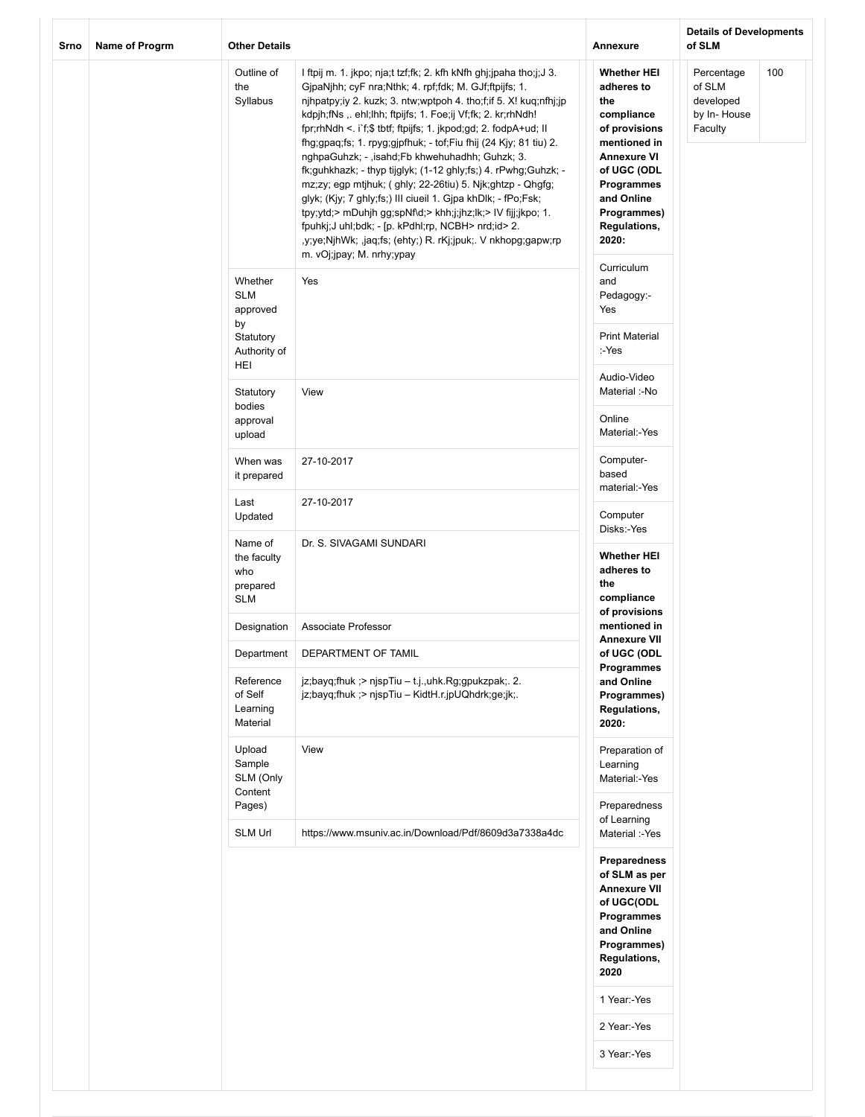| Srno | Name of Progrm | <b>Other Details</b>                                       |                                                                                                                                                                                                                                                                                                                                                                                                                                                                                                                                                                                                                                                                                                                                                                                                                                                                              | Annexure                                                                                                                                                                                               | <b>Details of Developments</b><br>of SLM                           |
|------|----------------|------------------------------------------------------------|------------------------------------------------------------------------------------------------------------------------------------------------------------------------------------------------------------------------------------------------------------------------------------------------------------------------------------------------------------------------------------------------------------------------------------------------------------------------------------------------------------------------------------------------------------------------------------------------------------------------------------------------------------------------------------------------------------------------------------------------------------------------------------------------------------------------------------------------------------------------------|--------------------------------------------------------------------------------------------------------------------------------------------------------------------------------------------------------|--------------------------------------------------------------------|
|      |                | Outline of<br>the<br>Syllabus                              | I ftpij m. 1. jkpo; nja;t tzf;fk; 2. kfh kNfh ghj;jpaha tho;j;J 3.<br>GjpaNjhh; cyF nra;Nthk; 4. rpf;fdk; M. GJf;ftpijfs; 1.<br>njhpatpy;iy 2. kuzk; 3. ntw;wptpoh 4. tho;f;if 5. X! kuq;nfhj;jp<br>kdpjh;fNs ,. ehl;lhh; ftpijfs; 1. Foe;ij Vf;fk; 2. kr;rhNdh!<br>fpr;rhNdh <. i`f;\$ tbtf; ftpijfs; 1. jkpod;gd; 2. fodpA+ud; II<br>fhg;gpaq;fs; 1. rpyg;gjpfhuk; - tof;Fiu fhij (24 Kjy; 81 tiu) 2.<br>nghpaGuhzk; - ,isahd;Fb khwehuhadhh; Guhzk; 3.<br>fk;guhkhazk; - thyp tijglyk; (1-12 ghly;fs;) 4. rPwhg;Guhzk; -<br>mz;zy; egp mtjhuk; ( ghly; 22-26tiu) 5. Njk;ghtzp - Qhgfg;<br>glyk; (Kjy; 7 ghly;fs;) III ciueil 1. Gjpa khDlk; - fPo;Fsk;<br>tpy;ytd;> mDuhjh gg;spNf\d;> khh;j;jhz;lk;> IV fijj;jkpo; 1.<br>fpuhkj;J uhl;bdk; - [p. kPdhl;rp, NCBH> nrd;id> 2.<br>,y;ye;NjhWk; ,jaq;fs; (ehty;) R. rKj;jpuk;. V nkhopg;gapw;rp<br>m. vOj;jpay; M. nrhy;ypay | <b>Whether HEI</b><br>adheres to<br>the<br>compliance<br>of provisions<br>mentioned in<br><b>Annexure VI</b><br>of UGC (ODL<br>Programmes<br>and Online<br>Programmes)<br><b>Regulations,</b><br>2020: | Percentage<br>100<br>of SLM<br>developed<br>by In-House<br>Faculty |
|      |                | Whether<br><b>SLM</b><br>approved<br>by<br>Statutory       | Yes                                                                                                                                                                                                                                                                                                                                                                                                                                                                                                                                                                                                                                                                                                                                                                                                                                                                          | Curriculum<br>and<br>Pedagogy:-<br>Yes<br><b>Print Material</b>                                                                                                                                        |                                                                    |
|      |                | Authority of<br>HEI                                        |                                                                                                                                                                                                                                                                                                                                                                                                                                                                                                                                                                                                                                                                                                                                                                                                                                                                              | :-Yes<br>Audio-Video                                                                                                                                                                                   |                                                                    |
|      |                | Statutory<br>bodies<br>approval<br>upload                  | View                                                                                                                                                                                                                                                                                                                                                                                                                                                                                                                                                                                                                                                                                                                                                                                                                                                                         | Material :-No<br>Online<br>Material:-Yes                                                                                                                                                               |                                                                    |
|      |                | When was<br>it prepared                                    | 27-10-2017                                                                                                                                                                                                                                                                                                                                                                                                                                                                                                                                                                                                                                                                                                                                                                                                                                                                   | Computer-<br>based<br>material:-Yes                                                                                                                                                                    |                                                                    |
|      |                | Last<br>Updated                                            | 27-10-2017                                                                                                                                                                                                                                                                                                                                                                                                                                                                                                                                                                                                                                                                                                                                                                                                                                                                   | Computer<br>Disks:-Yes                                                                                                                                                                                 |                                                                    |
|      |                | Name of<br>the faculty<br>who<br>prepared<br><b>SLM</b>    | Dr. S. SIVAGAMI SUNDARI                                                                                                                                                                                                                                                                                                                                                                                                                                                                                                                                                                                                                                                                                                                                                                                                                                                      | <b>Whether HEI</b><br>adheres to<br>the<br>compliance                                                                                                                                                  |                                                                    |
|      |                | Designation                                                | Associate Professor                                                                                                                                                                                                                                                                                                                                                                                                                                                                                                                                                                                                                                                                                                                                                                                                                                                          | of provisions<br>mentioned in                                                                                                                                                                          |                                                                    |
|      |                | Department<br>Reference<br>of Self<br>Learning<br>Material | DEPARTMENT OF TAMIL<br>$ z;$ bayq;fhuk ;> njspTiu - t.j.,uhk.Rg;gpukzpak;. 2.<br>jz;bayq;fhuk ;> njspTiu - KidtH.r.jpUQhdrk;ge;jk;.                                                                                                                                                                                                                                                                                                                                                                                                                                                                                                                                                                                                                                                                                                                                          | <b>Annexure VII</b><br>of UGC (ODL<br>Programmes<br>and Online<br>Programmes)<br>Regulations,<br>2020:                                                                                                 |                                                                    |
|      |                | Upload<br>Sample<br>SLM (Only<br>Content                   | View                                                                                                                                                                                                                                                                                                                                                                                                                                                                                                                                                                                                                                                                                                                                                                                                                                                                         | Preparation of<br>Learning<br>Material:-Yes                                                                                                                                                            |                                                                    |
|      |                | Pages)<br><b>SLM Url</b>                                   | https://www.msuniv.ac.in/Download/Pdf/8609d3a7338a4dc                                                                                                                                                                                                                                                                                                                                                                                                                                                                                                                                                                                                                                                                                                                                                                                                                        | Preparedness<br>of Learning<br>Material :-Yes                                                                                                                                                          |                                                                    |
|      |                |                                                            |                                                                                                                                                                                                                                                                                                                                                                                                                                                                                                                                                                                                                                                                                                                                                                                                                                                                              | Preparedness<br>of SLM as per<br><b>Annexure VII</b><br>of UGC(ODL<br>Programmes<br>and Online<br>Programmes)<br><b>Regulations,</b><br>2020<br>1 Year:-Yes                                            |                                                                    |
|      |                |                                                            |                                                                                                                                                                                                                                                                                                                                                                                                                                                                                                                                                                                                                                                                                                                                                                                                                                                                              | 2 Year:-Yes                                                                                                                                                                                            |                                                                    |
|      |                |                                                            |                                                                                                                                                                                                                                                                                                                                                                                                                                                                                                                                                                                                                                                                                                                                                                                                                                                                              | 3 Year:-Yes                                                                                                                                                                                            |                                                                    |
|      |                |                                                            |                                                                                                                                                                                                                                                                                                                                                                                                                                                                                                                                                                                                                                                                                                                                                                                                                                                                              |                                                                                                                                                                                                        |                                                                    |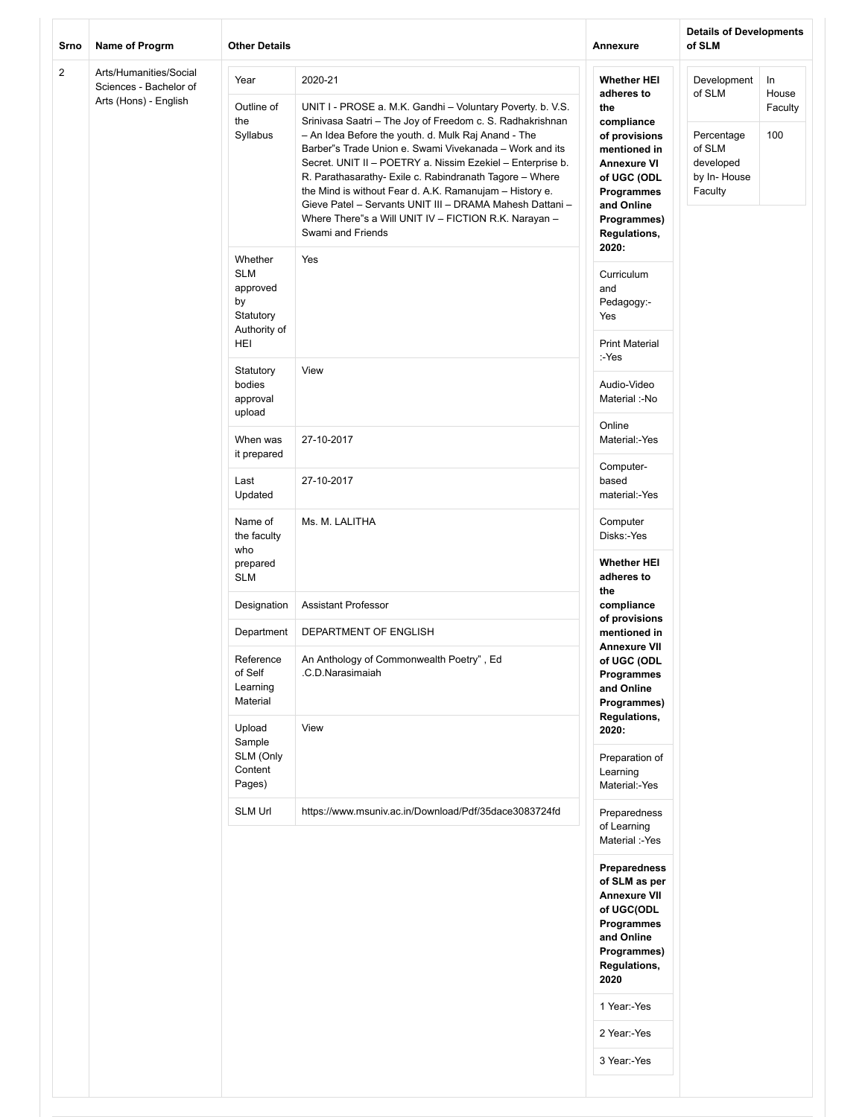| Srno           | Name of Progrm                                                            | <b>Other Details</b>                                                        |                                                                                                                                                                                                                                                                                                                                                                                                                                                                                                                                                                                    | <b>Annexure</b>                                                                                                                                                                                                           | <b>Details of Developments</b><br>of SLM                                             |                               |
|----------------|---------------------------------------------------------------------------|-----------------------------------------------------------------------------|------------------------------------------------------------------------------------------------------------------------------------------------------------------------------------------------------------------------------------------------------------------------------------------------------------------------------------------------------------------------------------------------------------------------------------------------------------------------------------------------------------------------------------------------------------------------------------|---------------------------------------------------------------------------------------------------------------------------------------------------------------------------------------------------------------------------|--------------------------------------------------------------------------------------|-------------------------------|
| $\overline{2}$ | Arts/Humanities/Social<br>Sciences - Bachelor of<br>Arts (Hons) - English | Year<br>Outline of<br>the<br>Syllabus                                       | 2020-21<br>UNIT I - PROSE a. M.K. Gandhi - Voluntary Poverty. b. V.S.<br>Srinivasa Saatri - The Joy of Freedom c. S. Radhakrishnan<br>- An Idea Before the youth. d. Mulk Raj Anand - The<br>Barber"s Trade Union e. Swami Vivekanada - Work and its<br>Secret. UNIT II - POETRY a. Nissim Ezekiel - Enterprise b.<br>R. Parathasarathy- Exile c. Rabindranath Tagore - Where<br>the Mind is without Fear d. A.K. Ramanujam - History e.<br>Gieve Patel - Servants UNIT III - DRAMA Mahesh Dattani -<br>Where There"s a Will UNIT IV - FICTION R.K. Narayan -<br>Swami and Friends | <b>Whether HEI</b><br>adheres to<br>the<br>compliance<br>of provisions<br>mentioned in<br><b>Annexure VI</b><br>of UGC (ODL<br>Programmes<br>and Online<br>Programmes)<br>Regulations,                                    | Development<br>of SLM<br>Percentage<br>of SLM<br>developed<br>by In-House<br>Faculty | In<br>House<br>Faculty<br>100 |
|                |                                                                           | Whether<br><b>SLM</b><br>approved<br>by<br>Statutory<br>Authority of<br>HEI | Yes                                                                                                                                                                                                                                                                                                                                                                                                                                                                                                                                                                                | 2020:<br>Curriculum<br>and<br>Pedagogy:-<br>Yes<br><b>Print Material</b>                                                                                                                                                  |                                                                                      |                               |
|                |                                                                           | Statutory<br>bodies<br>approval<br>upload                                   | View                                                                                                                                                                                                                                                                                                                                                                                                                                                                                                                                                                               | :-Yes<br>Audio-Video<br>Material :-No                                                                                                                                                                                     |                                                                                      |                               |
|                |                                                                           | When was<br>it prepared                                                     | 27-10-2017                                                                                                                                                                                                                                                                                                                                                                                                                                                                                                                                                                         | Online<br>Material:-Yes                                                                                                                                                                                                   |                                                                                      |                               |
|                |                                                                           | Last<br>Updated                                                             | 27-10-2017                                                                                                                                                                                                                                                                                                                                                                                                                                                                                                                                                                         | Computer-<br>based<br>material:-Yes                                                                                                                                                                                       |                                                                                      |                               |
|                |                                                                           | Name of<br>the faculty<br>who<br>prepared                                   | Ms. M. LALITHA                                                                                                                                                                                                                                                                                                                                                                                                                                                                                                                                                                     | Computer<br>Disks:-Yes<br><b>Whether HEI</b>                                                                                                                                                                              |                                                                                      |                               |
|                |                                                                           | <b>SLM</b><br>Designation                                                   | <b>Assistant Professor</b>                                                                                                                                                                                                                                                                                                                                                                                                                                                                                                                                                         | adheres to<br>the<br>compliance<br>of provisions<br>mentioned in<br><b>Annexure VII</b><br>of UGC (ODL<br>Programmes<br>and Online<br>Programmes)<br>Regulations,<br>2020:<br>Preparation of<br>Learning<br>Material:-Yes |                                                                                      |                               |
|                |                                                                           | Department                                                                  | DEPARTMENT OF ENGLISH                                                                                                                                                                                                                                                                                                                                                                                                                                                                                                                                                              |                                                                                                                                                                                                                           |                                                                                      |                               |
|                |                                                                           | Reference<br>of Self<br>Learning<br>Material<br>Upload                      | An Anthology of Commonwealth Poetry", Ed<br>.C.D.Narasimaiah<br>View                                                                                                                                                                                                                                                                                                                                                                                                                                                                                                               |                                                                                                                                                                                                                           |                                                                                      |                               |
|                |                                                                           | Sample<br>SLM (Only<br>Content<br>Pages)                                    |                                                                                                                                                                                                                                                                                                                                                                                                                                                                                                                                                                                    |                                                                                                                                                                                                                           |                                                                                      |                               |
|                |                                                                           | SLM Url                                                                     | https://www.msuniv.ac.in/Download/Pdf/35dace3083724fd                                                                                                                                                                                                                                                                                                                                                                                                                                                                                                                              | Preparedness<br>of Learning<br>Material :-Yes                                                                                                                                                                             |                                                                                      |                               |
|                |                                                                           |                                                                             |                                                                                                                                                                                                                                                                                                                                                                                                                                                                                                                                                                                    | Preparedness<br>of SLM as per<br><b>Annexure VII</b><br>of UGC(ODL<br>Programmes<br>and Online<br>Programmes)<br>Regulations,<br>2020                                                                                     |                                                                                      |                               |
|                |                                                                           |                                                                             |                                                                                                                                                                                                                                                                                                                                                                                                                                                                                                                                                                                    | 1 Year:-Yes<br>2 Year:-Yes                                                                                                                                                                                                |                                                                                      |                               |
|                |                                                                           |                                                                             |                                                                                                                                                                                                                                                                                                                                                                                                                                                                                                                                                                                    | 3 Year:-Yes                                                                                                                                                                                                               |                                                                                      |                               |
|                |                                                                           |                                                                             |                                                                                                                                                                                                                                                                                                                                                                                                                                                                                                                                                                                    |                                                                                                                                                                                                                           |                                                                                      |                               |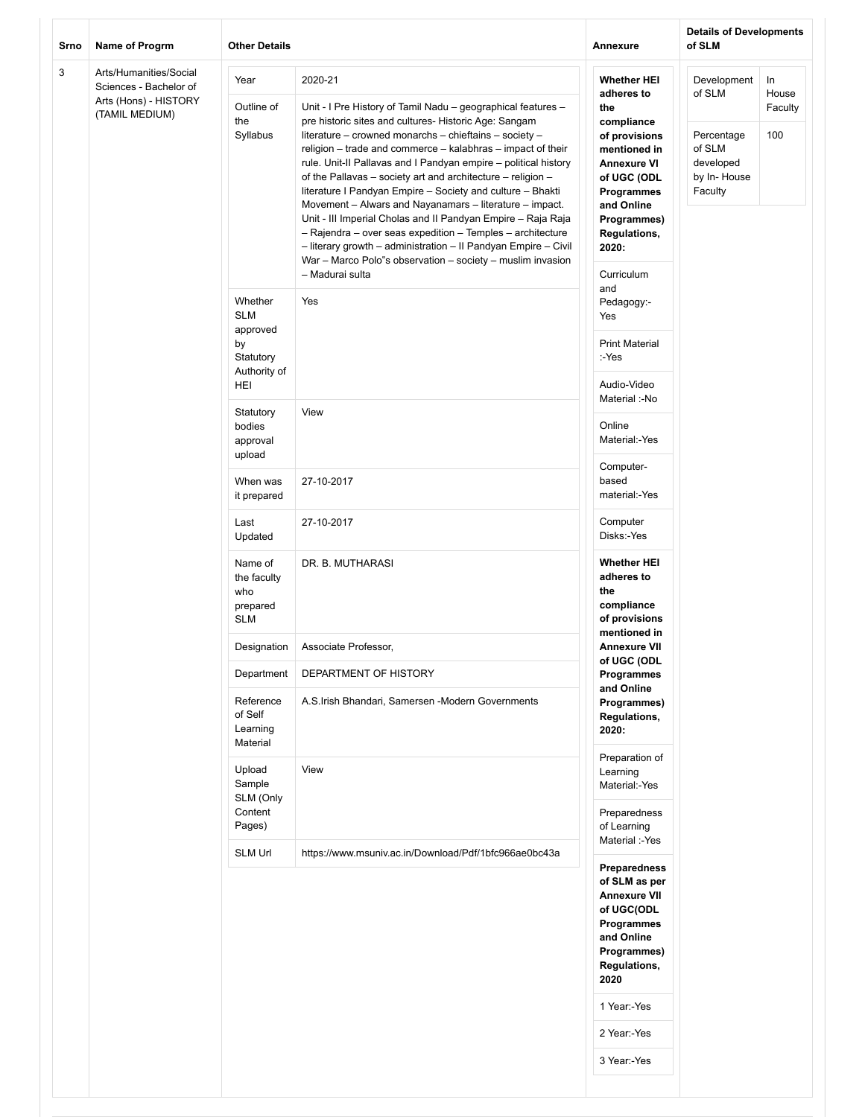| Srno | Name of Progrm                                                                              | <b>Other Details</b>                                                        |                                                                                                                                                                                                                                                                                                                                                                                                                                                                                                                                                                                                                                                                                                                                                                                                       | Annexure                                                                                                                                                                                                      | <b>Details of Developments</b><br>of SLM                                             |                               |
|------|---------------------------------------------------------------------------------------------|-----------------------------------------------------------------------------|-------------------------------------------------------------------------------------------------------------------------------------------------------------------------------------------------------------------------------------------------------------------------------------------------------------------------------------------------------------------------------------------------------------------------------------------------------------------------------------------------------------------------------------------------------------------------------------------------------------------------------------------------------------------------------------------------------------------------------------------------------------------------------------------------------|---------------------------------------------------------------------------------------------------------------------------------------------------------------------------------------------------------------|--------------------------------------------------------------------------------------|-------------------------------|
| 3    | Arts/Humanities/Social<br>Sciences - Bachelor of<br>Arts (Hons) - HISTORY<br>(TAMIL MEDIUM) | Year<br>Outline of<br>the<br>Syllabus                                       | 2020-21<br>Unit - I Pre History of Tamil Nadu - geographical features -<br>pre historic sites and cultures- Historic Age: Sangam<br>literature - crowned monarchs - chieftains - society -<br>religion - trade and commerce - kalabhras - impact of their<br>rule. Unit-II Pallavas and I Pandyan empire - political history<br>of the Pallavas - society art and architecture - religion -<br>literature I Pandyan Empire - Society and culture - Bhakti<br>Movement - Alwars and Nayanamars - literature - impact.<br>Unit - III Imperial Cholas and II Pandyan Empire - Raja Raja<br>- Rajendra - over seas expedition - Temples - architecture<br>- literary growth - administration - II Pandyan Empire - Civil<br>War - Marco Polo"s observation - society - muslim invasion<br>- Madurai sulta | <b>Whether HEI</b><br>adheres to<br>the<br>compliance<br>of provisions<br>mentioned in<br><b>Annexure VI</b><br>of UGC (ODL<br>Programmes<br>and Online<br>Programmes)<br>Regulations,<br>2020:<br>Curriculum | Development<br>of SLM<br>Percentage<br>of SLM<br>developed<br>by In-House<br>Faculty | In<br>House<br>Faculty<br>100 |
|      |                                                                                             | Whether<br><b>SLM</b><br>approved<br>by<br>Statutory<br>Authority of<br>HEI | Yes                                                                                                                                                                                                                                                                                                                                                                                                                                                                                                                                                                                                                                                                                                                                                                                                   | and<br>Pedagogy:-<br>Yes<br><b>Print Material</b><br>:-Yes<br>Audio-Video                                                                                                                                     |                                                                                      |                               |
|      |                                                                                             | Statutory<br>bodies<br>approval<br>upload                                   | View                                                                                                                                                                                                                                                                                                                                                                                                                                                                                                                                                                                                                                                                                                                                                                                                  | Material :-No<br>Online<br>Material:-Yes                                                                                                                                                                      |                                                                                      |                               |
|      |                                                                                             | When was<br>it prepared                                                     | 27-10-2017                                                                                                                                                                                                                                                                                                                                                                                                                                                                                                                                                                                                                                                                                                                                                                                            | Computer-<br>based<br>material:-Yes                                                                                                                                                                           |                                                                                      |                               |
|      |                                                                                             | Last<br>Updated                                                             | 27-10-2017                                                                                                                                                                                                                                                                                                                                                                                                                                                                                                                                                                                                                                                                                                                                                                                            | Computer<br>Disks:-Yes                                                                                                                                                                                        |                                                                                      |                               |
|      |                                                                                             | Name of<br>the faculty<br>who<br>prepared<br><b>SLM</b>                     | DR. B. MUTHARASI                                                                                                                                                                                                                                                                                                                                                                                                                                                                                                                                                                                                                                                                                                                                                                                      | <b>Whether HEI</b><br>adheres to<br>the<br>compliance<br>of provisions<br>mentioned in                                                                                                                        |                                                                                      |                               |
|      |                                                                                             | Designation                                                                 | Associate Professor,                                                                                                                                                                                                                                                                                                                                                                                                                                                                                                                                                                                                                                                                                                                                                                                  | <b>Annexure VII</b>                                                                                                                                                                                           |                                                                                      |                               |
|      |                                                                                             | Department                                                                  | DEPARTMENT OF HISTORY                                                                                                                                                                                                                                                                                                                                                                                                                                                                                                                                                                                                                                                                                                                                                                                 | of UGC (ODL<br>Programmes                                                                                                                                                                                     |                                                                                      |                               |
|      |                                                                                             | Reference<br>of Self<br>Learning<br>Material                                | A.S.Irish Bhandari, Samersen -Modern Governments                                                                                                                                                                                                                                                                                                                                                                                                                                                                                                                                                                                                                                                                                                                                                      | and Online<br>Programmes)<br>Regulations,<br>2020:                                                                                                                                                            |                                                                                      |                               |
|      |                                                                                             | Upload<br>Sample<br>SLM (Only<br>Content                                    | View                                                                                                                                                                                                                                                                                                                                                                                                                                                                                                                                                                                                                                                                                                                                                                                                  | Preparation of<br>Learning<br>Material:-Yes<br>Preparedness                                                                                                                                                   |                                                                                      |                               |
|      |                                                                                             | Pages)                                                                      |                                                                                                                                                                                                                                                                                                                                                                                                                                                                                                                                                                                                                                                                                                                                                                                                       | of Learning<br>Material :-Yes                                                                                                                                                                                 |                                                                                      |                               |
|      |                                                                                             | <b>SLM Url</b>                                                              | https://www.msuniv.ac.in/Download/Pdf/1bfc966ae0bc43a                                                                                                                                                                                                                                                                                                                                                                                                                                                                                                                                                                                                                                                                                                                                                 | <b>Preparedness</b><br>of SLM as per<br><b>Annexure VII</b><br>of UGC(ODL<br>Programmes<br>and Online<br>Programmes)<br>Regulations,<br>2020<br>1 Year:-Yes<br>2 Year:-Yes<br>3 Year:-Yes                     |                                                                                      |                               |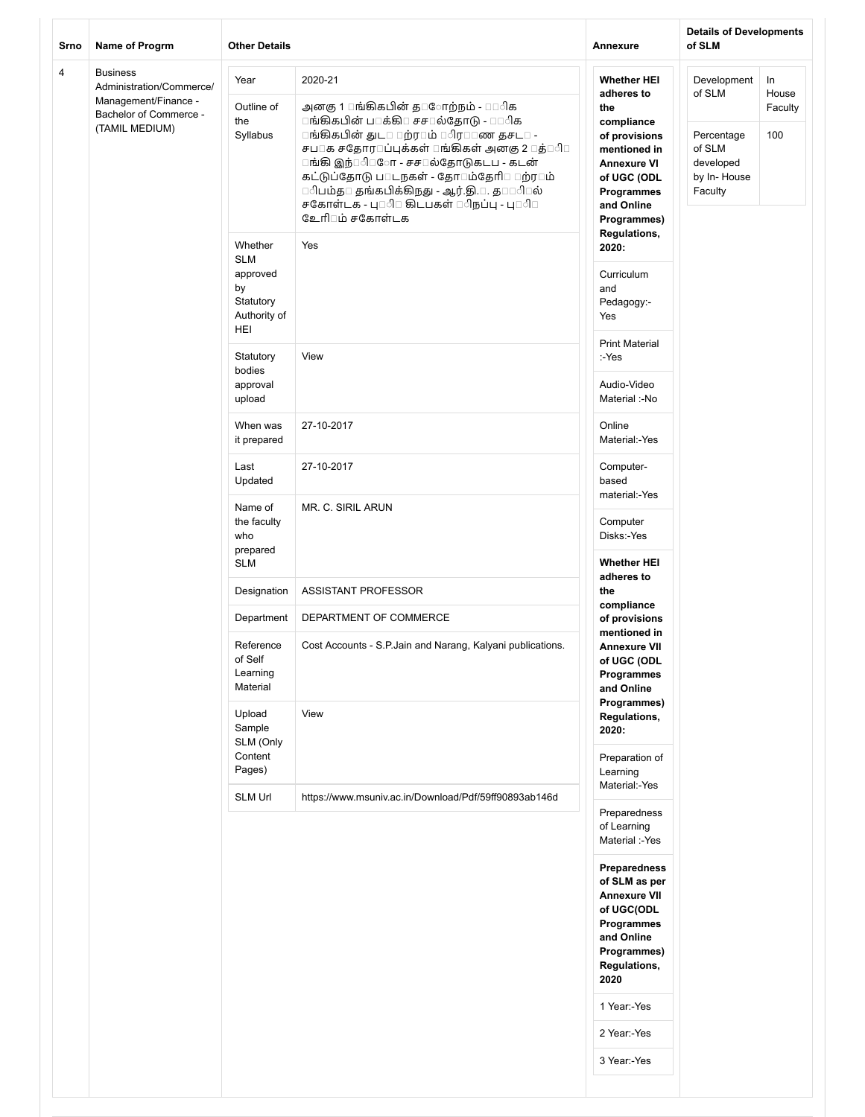| Srno           | Name of Progrm                                                      | <b>Other Details</b>                                                        |                                                                                                                                                                                                                                                                                                                                                                         | Annexure                                                                                                                              | <b>Details of Developments</b><br>of SLM                    |                        |
|----------------|---------------------------------------------------------------------|-----------------------------------------------------------------------------|-------------------------------------------------------------------------------------------------------------------------------------------------------------------------------------------------------------------------------------------------------------------------------------------------------------------------------------------------------------------------|---------------------------------------------------------------------------------------------------------------------------------------|-------------------------------------------------------------|------------------------|
| $\overline{4}$ | <b>Business</b><br>Administration/Commerce/<br>Management/Finance - | Year<br>Outline of                                                          | 2020-21<br>அனகு 1 ாங்கிகபின் த $\square$ ோற்நம் - $\square \square \triangleleft$ க                                                                                                                                                                                                                                                                                     | <b>Whether HEI</b><br>adheres to<br>the                                                                                               | Development<br>of SLM                                       | In<br>House<br>Faculty |
|                | Bachelor of Commerce -<br>(TAMIL MEDIUM)                            | the<br>Syllabus                                                             | ாங்கிகபின் ப□க்கி□ சச□ல்தோடு - □□ிக<br>ாங்கிகபின் துட¤ மற்ர¤ம் ¤ிர¤¤ண தசட¤ -<br>சப□க சதோர□ப்புக்கள் □ங்கிகள் அனகு 2 □த்□ி□<br>ாங்கி இந்□ி□ோ - சச□ல்தோடுகடப - கடன்<br>கட்டுப்தோடு ப $\square$ டநகள் - தோ $\square$ ம்தேரி $\square \square$ ற்ர $\square$ ம்<br>ெிபம்த□ தங்கபிக்கிநது - ஆர்.தி.□. த□□ி□ல்<br>சகோள்டக - பு⊡ி் கிடபகள் ்ிநப்பு - பு்ி்<br>உேரி்மம் சகோள்டக | compliance<br>of provisions<br>mentioned in<br><b>Annexure VI</b><br>of UGC (ODL<br>Programmes<br>and Online<br>Programmes)           | Percentage<br>of SLM<br>developed<br>by In-House<br>Faculty | 100                    |
|                |                                                                     | Whether<br><b>SLM</b><br>approved<br>by<br>Statutory<br>Authority of<br>HEI | Yes                                                                                                                                                                                                                                                                                                                                                                     | Regulations,<br>2020:<br>Curriculum<br>and<br>Pedagogy:-<br>Yes                                                                       |                                                             |                        |
|                |                                                                     | Statutory<br>bodies<br>approval                                             | View                                                                                                                                                                                                                                                                                                                                                                    | <b>Print Material</b><br>:-Yes<br>Audio-Video                                                                                         |                                                             |                        |
|                |                                                                     | upload<br>When was                                                          | 27-10-2017                                                                                                                                                                                                                                                                                                                                                              | Material :-No<br>Online                                                                                                               |                                                             |                        |
|                |                                                                     | it prepared<br>Last                                                         | 27-10-2017                                                                                                                                                                                                                                                                                                                                                              | Material:-Yes<br>Computer-                                                                                                            |                                                             |                        |
|                |                                                                     | Updated<br>Name of<br>the faculty                                           | MR. C. SIRIL ARUN                                                                                                                                                                                                                                                                                                                                                       | based<br>material:-Yes<br>Computer                                                                                                    |                                                             |                        |
|                |                                                                     | who<br>prepared<br><b>SLM</b>                                               |                                                                                                                                                                                                                                                                                                                                                                         | Disks:-Yes<br><b>Whether HEI</b>                                                                                                      |                                                             |                        |
|                |                                                                     | Designation                                                                 | ASSISTANT PROFESSOR                                                                                                                                                                                                                                                                                                                                                     | adheres to<br>the                                                                                                                     |                                                             |                        |
|                |                                                                     | Department                                                                  | DEPARTMENT OF COMMERCE                                                                                                                                                                                                                                                                                                                                                  | compliance<br>of provisions                                                                                                           |                                                             |                        |
|                |                                                                     | Reference<br>of Self<br>Learning<br>Material                                | Cost Accounts - S.P.Jain and Narang, Kalyani publications.                                                                                                                                                                                                                                                                                                              | mentioned in<br><b>Annexure VII</b><br>of UGC (ODL<br>Programmes<br>and Online<br>Programmes)                                         |                                                             |                        |
|                |                                                                     | Upload<br>Sample<br>SLM (Only                                               | View                                                                                                                                                                                                                                                                                                                                                                    | Regulations,<br>2020:                                                                                                                 |                                                             |                        |
|                |                                                                     | Content<br>Pages)<br><b>SLM Url</b>                                         | https://www.msuniv.ac.in/Download/Pdf/59ff90893ab146d                                                                                                                                                                                                                                                                                                                   | Preparation of<br>Learning<br>Material:-Yes                                                                                           |                                                             |                        |
|                |                                                                     |                                                                             |                                                                                                                                                                                                                                                                                                                                                                         | Preparedness<br>of Learning<br>Material :-Yes                                                                                         |                                                             |                        |
|                |                                                                     |                                                                             |                                                                                                                                                                                                                                                                                                                                                                         | Preparedness<br>of SLM as per<br><b>Annexure VII</b><br>of UGC(ODL<br>Programmes<br>and Online<br>Programmes)<br>Regulations,<br>2020 |                                                             |                        |
|                |                                                                     |                                                                             |                                                                                                                                                                                                                                                                                                                                                                         | 1 Year:-Yes<br>2 Year:-Yes                                                                                                            |                                                             |                        |
|                |                                                                     |                                                                             |                                                                                                                                                                                                                                                                                                                                                                         | 3 Year:-Yes                                                                                                                           |                                                             |                        |
|                |                                                                     |                                                                             |                                                                                                                                                                                                                                                                                                                                                                         |                                                                                                                                       |                                                             |                        |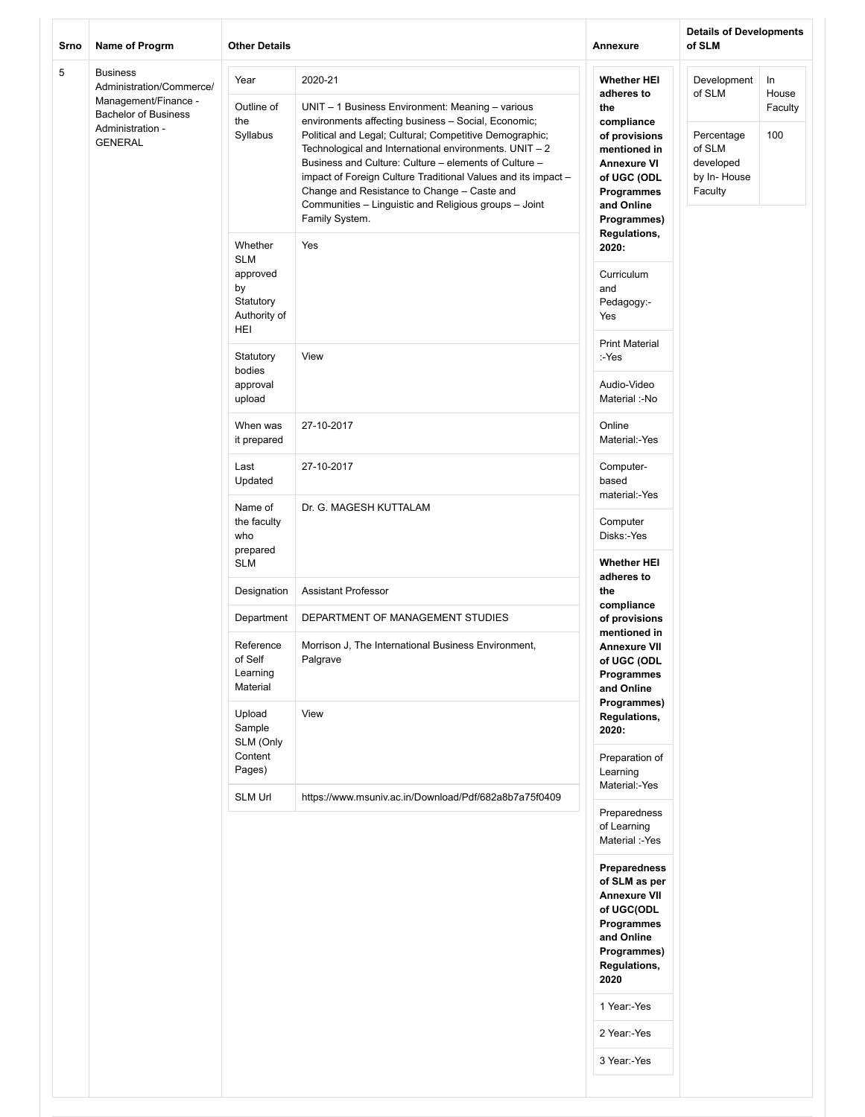| Srno | Name of Progrm                                                                                                                           | <b>Other Details</b>                                                        |                                                                                                                                                                                                                                                                                                                                                                                                                                                                                             | Annexure                                                                                                                                                               | <b>Details of Developments</b><br>of SLM                                             |                               |
|------|------------------------------------------------------------------------------------------------------------------------------------------|-----------------------------------------------------------------------------|---------------------------------------------------------------------------------------------------------------------------------------------------------------------------------------------------------------------------------------------------------------------------------------------------------------------------------------------------------------------------------------------------------------------------------------------------------------------------------------------|------------------------------------------------------------------------------------------------------------------------------------------------------------------------|--------------------------------------------------------------------------------------|-------------------------------|
| 5    | <b>Business</b><br>Administration/Commerce/<br>Management/Finance -<br><b>Bachelor of Business</b><br>Administration -<br><b>GENERAL</b> | Year<br>Outline of<br>the<br>Syllabus                                       | 2020-21<br>UNIT - 1 Business Environment: Meaning - various<br>environments affecting business - Social, Economic;<br>Political and Legal; Cultural; Competitive Demographic;<br>Technological and International environments. UNIT - 2<br>Business and Culture: Culture – elements of Culture –<br>impact of Foreign Culture Traditional Values and its impact -<br>Change and Resistance to Change - Caste and<br>Communities - Linguistic and Religious groups - Joint<br>Family System. | <b>Whether HEI</b><br>adheres to<br>the<br>compliance<br>of provisions<br>mentioned in<br><b>Annexure VI</b><br>of UGC (ODL<br>Programmes<br>and Online<br>Programmes) | Development<br>of SLM<br>Percentage<br>of SLM<br>developed<br>by In-House<br>Faculty | In<br>House<br>Faculty<br>100 |
|      |                                                                                                                                          | Whether<br><b>SLM</b><br>approved<br>by<br>Statutory<br>Authority of<br>HEI | Yes                                                                                                                                                                                                                                                                                                                                                                                                                                                                                         | Regulations,<br>2020:<br>Curriculum<br>and<br>Pedagogy:-<br>Yes                                                                                                        |                                                                                      |                               |
|      |                                                                                                                                          | Statutory<br>bodies<br>approval<br>upload                                   | View                                                                                                                                                                                                                                                                                                                                                                                                                                                                                        | <b>Print Material</b><br>:-Yes<br>Audio-Video<br>Material :-No                                                                                                         |                                                                                      |                               |
|      |                                                                                                                                          | When was<br>it prepared                                                     | 27-10-2017                                                                                                                                                                                                                                                                                                                                                                                                                                                                                  | Online<br>Material:-Yes                                                                                                                                                |                                                                                      |                               |
|      |                                                                                                                                          | Last<br>Updated                                                             | 27-10-2017                                                                                                                                                                                                                                                                                                                                                                                                                                                                                  | Computer-<br>based<br>material:-Yes                                                                                                                                    |                                                                                      |                               |
|      |                                                                                                                                          | Name of<br>the faculty<br>who<br>prepared<br><b>SLM</b>                     | Dr. G. MAGESH KUTTALAM                                                                                                                                                                                                                                                                                                                                                                                                                                                                      | Computer<br>Disks:-Yes<br><b>Whether HEI</b>                                                                                                                           |                                                                                      |                               |
|      |                                                                                                                                          | Designation                                                                 | <b>Assistant Professor</b>                                                                                                                                                                                                                                                                                                                                                                                                                                                                  | adheres to<br>the                                                                                                                                                      |                                                                                      |                               |
|      |                                                                                                                                          | Department                                                                  | DEPARTMENT OF MANAGEMENT STUDIES                                                                                                                                                                                                                                                                                                                                                                                                                                                            | compliance<br>of provisions                                                                                                                                            |                                                                                      |                               |
|      |                                                                                                                                          | Reference<br>of Self<br>Learning<br>Material<br>Upload                      | Morrison J, The International Business Environment,<br>Palgrave<br>View                                                                                                                                                                                                                                                                                                                                                                                                                     | mentioned in<br><b>Annexure VII</b><br>of UGC (ODL<br>Programmes<br>and Online<br>Programmes)<br>Regulations,                                                          |                                                                                      |                               |
|      |                                                                                                                                          | Sample<br>SLM (Only<br>Content                                              |                                                                                                                                                                                                                                                                                                                                                                                                                                                                                             | 2020:<br>Preparation of                                                                                                                                                |                                                                                      |                               |
|      |                                                                                                                                          | Pages)<br><b>SLM Url</b>                                                    | https://www.msuniv.ac.in/Download/Pdf/682a8b7a75f0409                                                                                                                                                                                                                                                                                                                                                                                                                                       | Learning<br>Material:-Yes                                                                                                                                              |                                                                                      |                               |
|      |                                                                                                                                          |                                                                             |                                                                                                                                                                                                                                                                                                                                                                                                                                                                                             | Preparedness<br>of Learning<br>Material :-Yes                                                                                                                          |                                                                                      |                               |
|      |                                                                                                                                          |                                                                             |                                                                                                                                                                                                                                                                                                                                                                                                                                                                                             | Preparedness<br>of SLM as per<br><b>Annexure VII</b><br>of UGC(ODL<br>Programmes<br>and Online<br>Programmes)<br>Regulations,<br>2020                                  |                                                                                      |                               |
|      |                                                                                                                                          |                                                                             |                                                                                                                                                                                                                                                                                                                                                                                                                                                                                             | 1 Year:-Yes                                                                                                                                                            |                                                                                      |                               |
|      |                                                                                                                                          |                                                                             |                                                                                                                                                                                                                                                                                                                                                                                                                                                                                             | 2 Year:-Yes<br>3 Year:-Yes                                                                                                                                             |                                                                                      |                               |
|      |                                                                                                                                          |                                                                             |                                                                                                                                                                                                                                                                                                                                                                                                                                                                                             |                                                                                                                                                                        |                                                                                      |                               |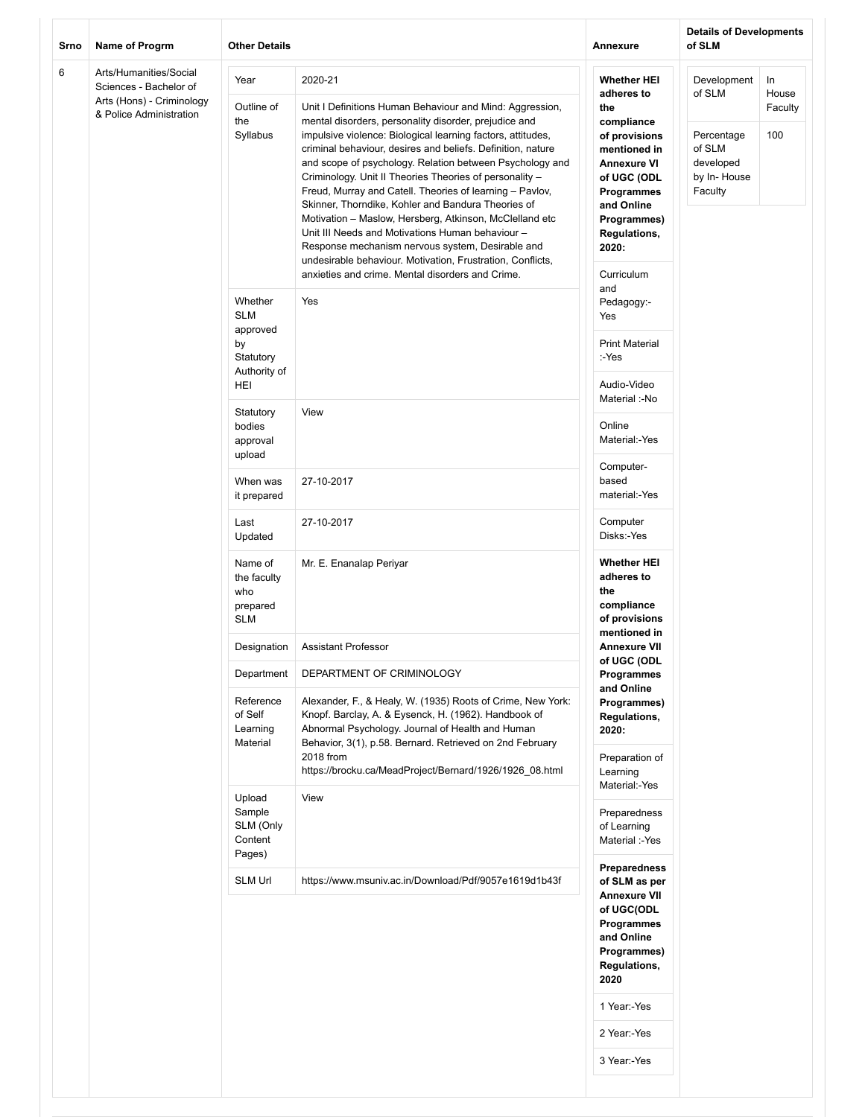| Srno | Name of Progrm                                                                                           | <b>Other Details</b>                                                                     |                                                                                                                                                                                                                                                                                                                                                                                                                                                                                                                                                                                                                                                                                                                                                                                          | Annexure                                                                                                                                                                                                                            | <b>Details of Developments</b><br>of SLM                                             |                               |  |
|------|----------------------------------------------------------------------------------------------------------|------------------------------------------------------------------------------------------|------------------------------------------------------------------------------------------------------------------------------------------------------------------------------------------------------------------------------------------------------------------------------------------------------------------------------------------------------------------------------------------------------------------------------------------------------------------------------------------------------------------------------------------------------------------------------------------------------------------------------------------------------------------------------------------------------------------------------------------------------------------------------------------|-------------------------------------------------------------------------------------------------------------------------------------------------------------------------------------------------------------------------------------|--------------------------------------------------------------------------------------|-------------------------------|--|
| 6    | Arts/Humanities/Social<br>Sciences - Bachelor of<br>Arts (Hons) - Criminology<br>& Police Administration | Year<br>Outline of<br>the<br>Syllabus                                                    | 2020-21<br>Unit I Definitions Human Behaviour and Mind: Aggression,<br>mental disorders, personality disorder, prejudice and<br>impulsive violence: Biological learning factors, attitudes,<br>criminal behaviour, desires and beliefs. Definition, nature<br>and scope of psychology. Relation between Psychology and<br>Criminology. Unit II Theories Theories of personality -<br>Freud, Murray and Catell. Theories of learning - Pavlov,<br>Skinner, Thorndike, Kohler and Bandura Theories of<br>Motivation - Maslow, Hersberg, Atkinson, McClelland etc<br>Unit III Needs and Motivations Human behaviour -<br>Response mechanism nervous system, Desirable and<br>undesirable behaviour. Motivation, Frustration, Conflicts,<br>anxieties and crime. Mental disorders and Crime. | <b>Whether HEI</b><br>adheres to<br>the<br>compliance<br>of provisions<br>mentioned in<br><b>Annexure VI</b><br>of UGC (ODL<br>Programmes<br>and Online<br>Programmes)<br><b>Regulations,</b><br>2020:<br>Curriculum                | Development<br>of SLM<br>Percentage<br>of SLM<br>developed<br>by In-House<br>Faculty | In<br>House<br>Faculty<br>100 |  |
|      |                                                                                                          | Whether<br><b>SLM</b><br>approved<br>by<br>Statutory<br>Authority of<br>HEI<br>Statutory | Yes<br>View                                                                                                                                                                                                                                                                                                                                                                                                                                                                                                                                                                                                                                                                                                                                                                              | and<br>Pedagogy:-<br>Yes<br><b>Print Material</b><br>:-Yes<br>Audio-Video<br>Material :-No                                                                                                                                          |                                                                                      |                               |  |
|      |                                                                                                          |                                                                                          | bodies<br>approval<br>upload                                                                                                                                                                                                                                                                                                                                                                                                                                                                                                                                                                                                                                                                                                                                                             |                                                                                                                                                                                                                                     | Online<br>Material:-Yes<br>Computer-                                                 |                               |  |
|      |                                                                                                          | When was<br>it prepared                                                                  | 27-10-2017                                                                                                                                                                                                                                                                                                                                                                                                                                                                                                                                                                                                                                                                                                                                                                               | based<br>material:-Yes                                                                                                                                                                                                              |                                                                                      |                               |  |
|      |                                                                                                          | Last<br>Updated                                                                          | 27-10-2017                                                                                                                                                                                                                                                                                                                                                                                                                                                                                                                                                                                                                                                                                                                                                                               | Computer<br>Disks:-Yes                                                                                                                                                                                                              |                                                                                      |                               |  |
|      |                                                                                                          | Name of<br>the faculty<br>who<br>prepared<br><b>SLM</b>                                  | Mr. E. Enanalap Periyar                                                                                                                                                                                                                                                                                                                                                                                                                                                                                                                                                                                                                                                                                                                                                                  | <b>Whether HEI</b><br>adheres to<br>the<br>compliance<br>of provisions<br>mentioned in                                                                                                                                              |                                                                                      |                               |  |
|      |                                                                                                          | Designation                                                                              | <b>Assistant Professor</b>                                                                                                                                                                                                                                                                                                                                                                                                                                                                                                                                                                                                                                                                                                                                                               | Annexure VII<br>of UGC (ODL                                                                                                                                                                                                         |                                                                                      |                               |  |
|      |                                                                                                          | Department                                                                               | DEPARTMENT OF CRIMINOLOGY                                                                                                                                                                                                                                                                                                                                                                                                                                                                                                                                                                                                                                                                                                                                                                | Programmes<br>and Online                                                                                                                                                                                                            |                                                                                      |                               |  |
|      |                                                                                                          |                                                                                          | Reference<br>of Self<br>Learning<br>Material                                                                                                                                                                                                                                                                                                                                                                                                                                                                                                                                                                                                                                                                                                                                             | Alexander, F., & Healy, W. (1935) Roots of Crime, New York:<br>Knopf. Barclay, A. & Eysenck, H. (1962). Handbook of<br>Abnormal Psychology. Journal of Health and Human<br>Behavior, 3(1), p.58. Bernard. Retrieved on 2nd February | Programmes)<br><b>Regulations,</b><br>2020:                                          |                               |  |
|      |                                                                                                          |                                                                                          | 2018 from<br>https://brocku.ca/MeadProject/Bernard/1926/1926_08.html                                                                                                                                                                                                                                                                                                                                                                                                                                                                                                                                                                                                                                                                                                                     | Preparation of<br>Learning<br>Material:-Yes                                                                                                                                                                                         |                                                                                      |                               |  |
|      |                                                                                                          |                                                                                          | Upload<br>Sample<br>SLM (Only<br>Content<br>Pages)                                                                                                                                                                                                                                                                                                                                                                                                                                                                                                                                                                                                                                                                                                                                       | View                                                                                                                                                                                                                                | Preparedness<br>of Learning<br>Material :-Yes<br><b>Preparedness</b>                 |                               |  |
|      |                                                                                                          | <b>SLM Url</b>                                                                           | https://www.msuniv.ac.in/Download/Pdf/9057e1619d1b43f                                                                                                                                                                                                                                                                                                                                                                                                                                                                                                                                                                                                                                                                                                                                    | of SLM as per<br>Annexure VII<br>of UGC(ODL<br>Programmes<br>and Online<br>Programmes)<br><b>Regulations,</b><br>2020<br>1 Year:-Yes<br>2 Year:-Yes<br>3 Year:-Yes                                                                  |                                                                                      |                               |  |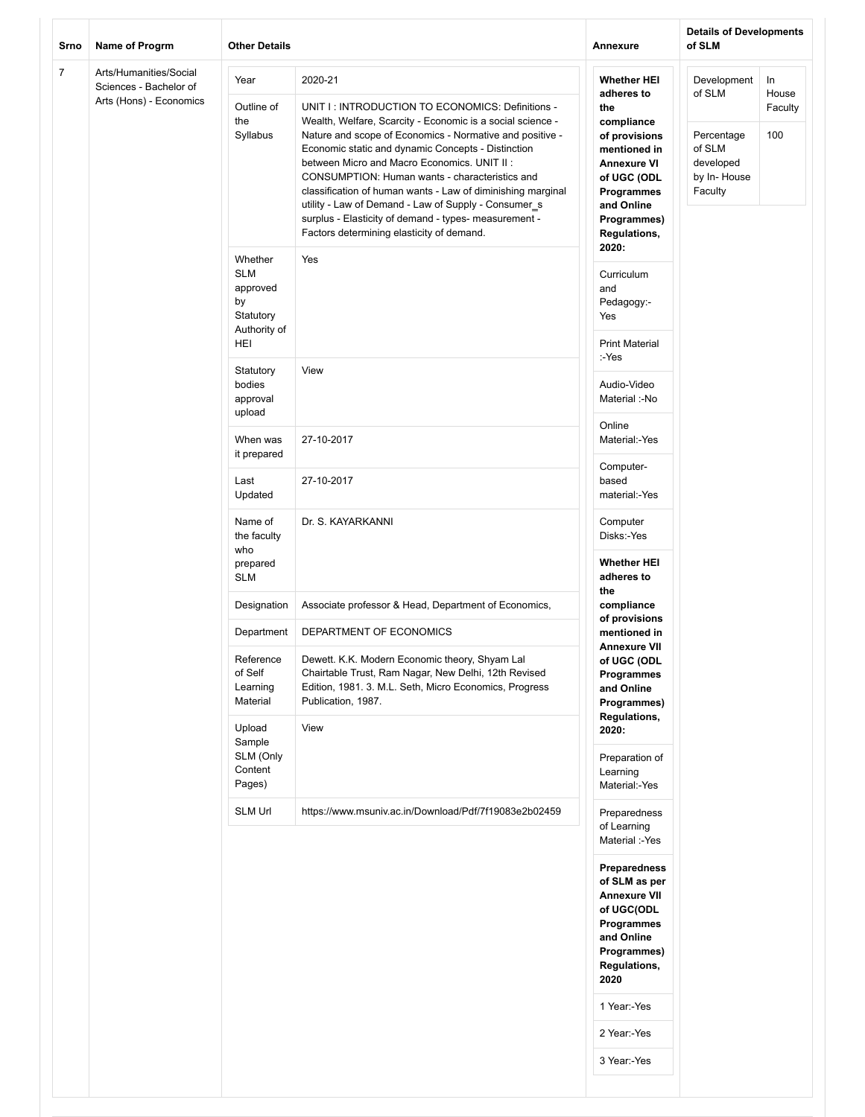| Srno           | Name of Progrm                                   | <b>Other Details</b>                                                               |                                                                                                                                                                                                                                                                                                                                                                                                                                                                                                                                                                | Annexure                                                                                                                              | <b>Details of Developments</b><br>of SLM                    |                |
|----------------|--------------------------------------------------|------------------------------------------------------------------------------------|----------------------------------------------------------------------------------------------------------------------------------------------------------------------------------------------------------------------------------------------------------------------------------------------------------------------------------------------------------------------------------------------------------------------------------------------------------------------------------------------------------------------------------------------------------------|---------------------------------------------------------------------------------------------------------------------------------------|-------------------------------------------------------------|----------------|
| $\overline{7}$ | Arts/Humanities/Social<br>Sciences - Bachelor of | Year                                                                               | 2020-21                                                                                                                                                                                                                                                                                                                                                                                                                                                                                                                                                        | <b>Whether HEI</b><br>adheres to                                                                                                      | Development<br>of SLM                                       | In<br>House    |
|                | Arts (Hons) - Economics                          | Outline of<br>the<br>Syllabus                                                      | UNIT I: INTRODUCTION TO ECONOMICS: Definitions -<br>Wealth, Welfare, Scarcity - Economic is a social science -<br>Nature and scope of Economics - Normative and positive -<br>Economic static and dynamic Concepts - Distinction<br>between Micro and Macro Economics. UNIT II:<br>CONSUMPTION: Human wants - characteristics and<br>classification of human wants - Law of diminishing marginal<br>utility - Law of Demand - Law of Supply - Consumer_s<br>surplus - Elasticity of demand - types- measurement -<br>Factors determining elasticity of demand. | the<br>compliance<br>of provisions<br>mentioned in<br><b>Annexure VI</b><br>of UGC (ODL<br>Programmes<br>and Online<br>Programmes)    | Percentage<br>of SLM<br>developed<br>by In-House<br>Faculty | Faculty<br>100 |
|                |                                                  | Whether<br>Yes<br><b>SLM</b><br>approved<br>by<br>Statutory<br>Authority of<br>HEI | <b>Regulations,</b><br>2020:<br>Curriculum<br>and                                                                                                                                                                                                                                                                                                                                                                                                                                                                                                              |                                                                                                                                       |                                                             |                |
|                |                                                  |                                                                                    |                                                                                                                                                                                                                                                                                                                                                                                                                                                                                                                                                                | Pedagogy:-<br>Yes<br><b>Print Material</b>                                                                                            |                                                             |                |
|                |                                                  | Statutory<br>bodies<br>approval<br>upload                                          | View                                                                                                                                                                                                                                                                                                                                                                                                                                                                                                                                                           | :-Yes<br>Audio-Video<br>Material :-No                                                                                                 |                                                             |                |
|                |                                                  | When was<br>it prepared                                                            | 27-10-2017                                                                                                                                                                                                                                                                                                                                                                                                                                                                                                                                                     | Online<br>Material:-Yes                                                                                                               |                                                             |                |
|                |                                                  | Last<br>Updated                                                                    | 27-10-2017                                                                                                                                                                                                                                                                                                                                                                                                                                                                                                                                                     | Computer-<br>based<br>material:-Yes                                                                                                   |                                                             |                |
|                |                                                  | Name of<br>the faculty<br>who                                                      | Dr. S. KAYARKANNI                                                                                                                                                                                                                                                                                                                                                                                                                                                                                                                                              | Computer<br>Disks:-Yes                                                                                                                |                                                             |                |
|                |                                                  | prepared<br><b>SLM</b>                                                             |                                                                                                                                                                                                                                                                                                                                                                                                                                                                                                                                                                | <b>Whether HEI</b><br>adheres to<br>the                                                                                               |                                                             |                |
|                |                                                  | Designation                                                                        | Associate professor & Head, Department of Economics,                                                                                                                                                                                                                                                                                                                                                                                                                                                                                                           | compliance<br>of provisions                                                                                                           |                                                             |                |
|                |                                                  | Department<br>Reference<br>of Self<br>Learning<br>Material<br>Upload               | DEPARTMENT OF ECONOMICS<br>Dewett. K.K. Modern Economic theory, Shyam Lal<br>Chairtable Trust, Ram Nagar, New Delhi, 12th Revised<br>Edition, 1981. 3. M.L. Seth, Micro Economics, Progress<br>Publication, 1987.<br>View                                                                                                                                                                                                                                                                                                                                      | mentioned in<br><b>Annexure VII</b><br>of UGC (ODL<br>Programmes<br>and Online<br>Programmes)<br>Regulations,<br>2020:                |                                                             |                |
|                |                                                  | Sample<br>SLM (Only<br>Content<br>Pages)                                           |                                                                                                                                                                                                                                                                                                                                                                                                                                                                                                                                                                | Preparation of<br>Learning<br>Material:-Yes                                                                                           |                                                             |                |
|                |                                                  | <b>SLM Url</b>                                                                     | https://www.msuniv.ac.in/Download/Pdf/7f19083e2b02459                                                                                                                                                                                                                                                                                                                                                                                                                                                                                                          | Preparedness<br>of Learning<br>Material :-Yes                                                                                         |                                                             |                |
|                |                                                  |                                                                                    |                                                                                                                                                                                                                                                                                                                                                                                                                                                                                                                                                                | Preparedness<br>of SLM as per<br><b>Annexure VII</b><br>of UGC(ODL<br>Programmes<br>and Online<br>Programmes)<br>Regulations,<br>2020 |                                                             |                |
|                |                                                  |                                                                                    |                                                                                                                                                                                                                                                                                                                                                                                                                                                                                                                                                                | 1 Year:-Yes                                                                                                                           |                                                             |                |
|                |                                                  |                                                                                    |                                                                                                                                                                                                                                                                                                                                                                                                                                                                                                                                                                | 2 Year:-Yes<br>3 Year:-Yes                                                                                                            |                                                             |                |
|                |                                                  |                                                                                    |                                                                                                                                                                                                                                                                                                                                                                                                                                                                                                                                                                |                                                                                                                                       |                                                             |                |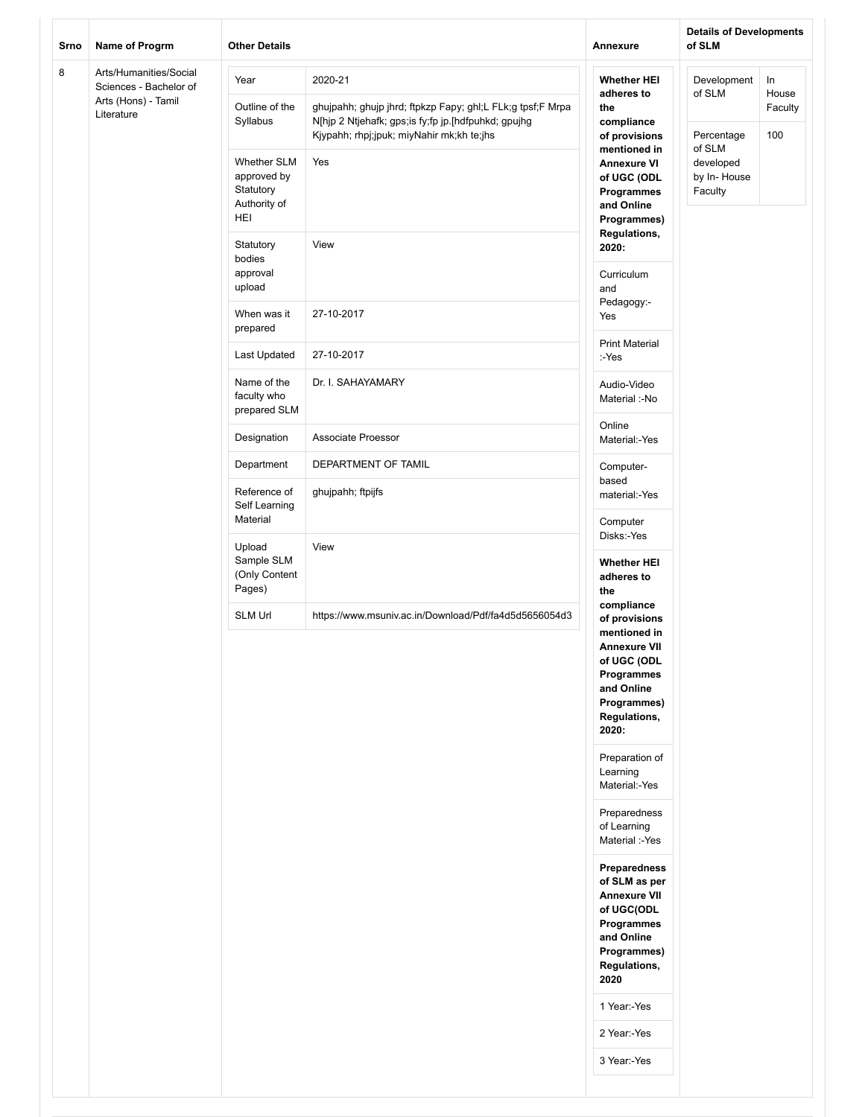| Srno | Name of Progrm                                                                        | <b>Other Details</b>                                                                                                                                                                                                                                       |                                                                                                                              | Annexure                                                                                                                                              | <b>Details of Developments</b><br>of SLM |                         |
|------|---------------------------------------------------------------------------------------|------------------------------------------------------------------------------------------------------------------------------------------------------------------------------------------------------------------------------------------------------------|------------------------------------------------------------------------------------------------------------------------------|-------------------------------------------------------------------------------------------------------------------------------------------------------|------------------------------------------|-------------------------|
| 8    | Arts/Humanities/Social<br>Sciences - Bachelor of<br>Arts (Hons) - Tamil<br>Literature | Year<br>Outline of the<br>Syllabus                                                                                                                                                                                                                         | 2020-21<br>ghujpahh; ghujp jhrd; ftpkzp Fapy; ghl;L FLk;g tpsf;F Mrpa<br>N[hjp 2 Ntjehafk; gps;is fy;fp jp.[hdfpuhkd; gpujhg | <b>Whether HEI</b><br>adheres to<br>the                                                                                                               | Development<br>of SLM                    | In.<br>House<br>Faculty |
|      |                                                                                       | Kjypahh; rhpj;jpuk; miyNahir mk;kh te;jhs<br>of provisions<br>mentioned in<br><b>Whether SLM</b><br>Yes<br><b>Annexure VI</b><br>approved by<br>of UGC (ODL<br>Statutory<br>Programmes<br>Authority of<br>and Online<br>HEI<br>Programmes)<br>Regulations, | compliance                                                                                                                   | Percentage<br>of SLM<br>developed<br>by In-House<br>Faculty                                                                                           | 100                                      |                         |
|      |                                                                                       | Statutory<br>bodies<br>approval<br>upload                                                                                                                                                                                                                  | View                                                                                                                         | 2020:<br>Curriculum<br>and<br>Pedagogy:-<br>Yes<br><b>Print Material</b><br>:-Yes                                                                     |                                          |                         |
|      |                                                                                       | When was it<br>prepared                                                                                                                                                                                                                                    | 27-10-2017                                                                                                                   |                                                                                                                                                       |                                          |                         |
|      |                                                                                       | Last Updated                                                                                                                                                                                                                                               | 27-10-2017                                                                                                                   |                                                                                                                                                       |                                          |                         |
|      |                                                                                       | Name of the<br>faculty who<br>prepared SLM                                                                                                                                                                                                                 | Dr. I. SAHAYAMARY                                                                                                            | Audio-Video<br>Material :-No                                                                                                                          |                                          |                         |
|      |                                                                                       | Designation                                                                                                                                                                                                                                                | Associate Proessor                                                                                                           | Online<br>Material:-Yes                                                                                                                               |                                          |                         |
|      |                                                                                       | Department                                                                                                                                                                                                                                                 | DEPARTMENT OF TAMIL                                                                                                          | Computer-                                                                                                                                             |                                          |                         |
|      |                                                                                       | Reference of<br>Self Learning<br>Material                                                                                                                                                                                                                  | ghujpahh; ftpijfs                                                                                                            | based<br>material:-Yes<br>Computer                                                                                                                    |                                          |                         |
|      |                                                                                       | Upload<br>Sample SLM<br>(Only Content<br>Pages)                                                                                                                                                                                                            | View                                                                                                                         | Disks:-Yes<br><b>Whether HEI</b><br>adheres to<br>the                                                                                                 |                                          |                         |
|      |                                                                                       | <b>SLM Url</b>                                                                                                                                                                                                                                             | https://www.msuniv.ac.in/Download/Pdf/fa4d5d5656054d3                                                                        | compliance<br>of provisions<br>mentioned in<br><b>Annexure VII</b><br>of UGC (ODL<br>Programmes<br>and Online<br>Programmes)<br>Regulations,<br>2020: |                                          |                         |
|      |                                                                                       |                                                                                                                                                                                                                                                            |                                                                                                                              | Preparation of<br>Learning<br>Material:-Yes                                                                                                           |                                          |                         |
|      |                                                                                       |                                                                                                                                                                                                                                                            |                                                                                                                              | Preparedness<br>of Learning<br>Material :-Yes                                                                                                         |                                          |                         |
|      |                                                                                       |                                                                                                                                                                                                                                                            |                                                                                                                              | Preparedness<br>of SLM as per<br><b>Annexure VII</b><br>of UGC(ODL<br>Programmes<br>and Online<br>Programmes)<br>Regulations,<br>2020<br>1 Year:-Yes  |                                          |                         |
|      |                                                                                       |                                                                                                                                                                                                                                                            |                                                                                                                              | 2 Year:-Yes                                                                                                                                           |                                          |                         |
|      |                                                                                       |                                                                                                                                                                                                                                                            |                                                                                                                              | 3 Year:-Yes                                                                                                                                           |                                          |                         |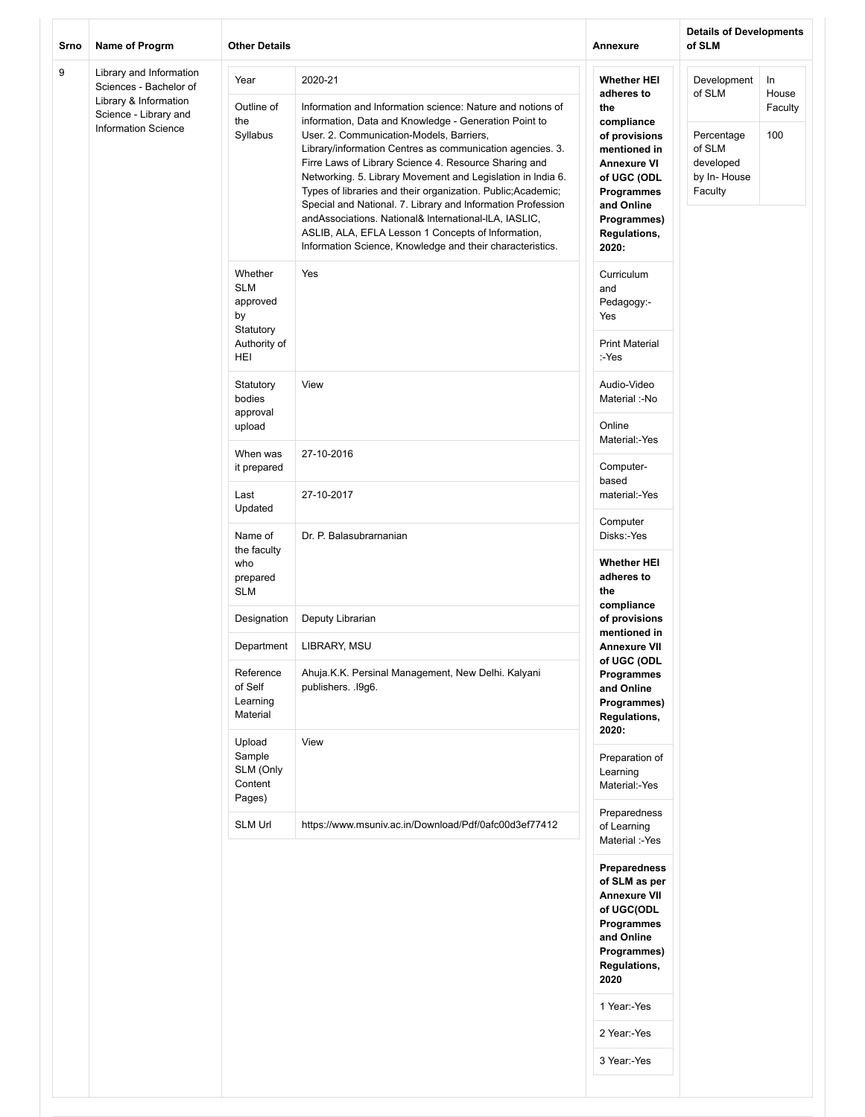| Srno | Name of Progrm                                                                                                                    | <b>Other Details</b>                                                        |                                                                                                                                                                                                                                                                                                                                                                                                                                                                                                                                                                                                                                                                            | Annexure                                                                                                                                                                                        | <b>Details of Developments</b><br>of SLM                                             |                               |  |
|------|-----------------------------------------------------------------------------------------------------------------------------------|-----------------------------------------------------------------------------|----------------------------------------------------------------------------------------------------------------------------------------------------------------------------------------------------------------------------------------------------------------------------------------------------------------------------------------------------------------------------------------------------------------------------------------------------------------------------------------------------------------------------------------------------------------------------------------------------------------------------------------------------------------------------|-------------------------------------------------------------------------------------------------------------------------------------------------------------------------------------------------|--------------------------------------------------------------------------------------|-------------------------------|--|
| 9    | Library and Information<br>Sciences - Bachelor of<br>Library & Information<br>Science - Library and<br><b>Information Science</b> | Year<br>Outline of<br>the<br>Syllabus                                       | 2020-21<br>Information and Information science: Nature and notions of<br>information, Data and Knowledge - Generation Point to<br>User. 2. Communication-Models, Barriers,<br>Library/information Centres as communication agencies. 3.<br>Firre Laws of Library Science 4. Resource Sharing and<br>Networking. 5. Library Movement and Legislation in India 6.<br>Types of libraries and their organization. Public; Academic;<br>Special and National. 7. Library and Information Profession<br>andAssociations. National& International-ILA, IASLIC,<br>ASLIB, ALA, EFLA Lesson 1 Concepts of Information,<br>Information Science, Knowledge and their characteristics. | <b>Whether HEI</b><br>adheres to<br>the<br>compliance<br>of provisions<br>mentioned in<br><b>Annexure VI</b><br>of UGC (ODL<br>Programmes<br>and Online<br>Programmes)<br>Regulations,<br>2020: | Development<br>of SLM<br>Percentage<br>of SLM<br>developed<br>by In-House<br>Faculty | In<br>House<br>Faculty<br>100 |  |
|      |                                                                                                                                   | Whether<br><b>SLM</b><br>approved<br>by<br>Statutory<br>Authority of<br>HEI | Yes                                                                                                                                                                                                                                                                                                                                                                                                                                                                                                                                                                                                                                                                        | Curriculum<br>and<br>Pedagogy:-<br>Yes<br><b>Print Material</b><br>:-Yes                                                                                                                        |                                                                                      |                               |  |
|      |                                                                                                                                   |                                                                             | Statutory<br>bodies<br>approval                                                                                                                                                                                                                                                                                                                                                                                                                                                                                                                                                                                                                                            | View                                                                                                                                                                                            | Audio-Video<br>Material :-No<br>Online                                               |                               |  |
|      |                                                                                                                                   |                                                                             |                                                                                                                                                                                                                                                                                                                                                                                                                                                                                                                                                                                                                                                                            | upload<br>When was<br>it prepared                                                                                                                                                               | 27-10-2016                                                                           | Material:-Yes<br>Computer-    |  |
|      |                                                                                                                                   | Last<br>Updated                                                             | 27-10-2017                                                                                                                                                                                                                                                                                                                                                                                                                                                                                                                                                                                                                                                                 | based<br>material:-Yes                                                                                                                                                                          |                                                                                      |                               |  |
|      |                                                                                                                                   | Name of<br>the faculty<br>who<br>prepared<br><b>SLM</b>                     | Dr. P. Balasubrarnanian                                                                                                                                                                                                                                                                                                                                                                                                                                                                                                                                                                                                                                                    | Computer<br>Disks:-Yes<br><b>Whether HEI</b><br>adheres to<br>the                                                                                                                               |                                                                                      |                               |  |
|      |                                                                                                                                   | Designation                                                                 | Deputy Librarian                                                                                                                                                                                                                                                                                                                                                                                                                                                                                                                                                                                                                                                           | compliance<br>of provisions                                                                                                                                                                     |                                                                                      |                               |  |
|      |                                                                                                                                   | Department                                                                  | LIBRARY, MSU                                                                                                                                                                                                                                                                                                                                                                                                                                                                                                                                                                                                                                                               | mentioned in<br><b>Annexure VII</b><br>of UGC (ODL<br>Programmes<br>and Online<br>Programmes)<br><b>Regulations,</b><br>2020:                                                                   |                                                                                      |                               |  |
|      |                                                                                                                                   | Reference<br>of Self<br>Learning<br>Material                                | Ahuja.K.K. Persinal Management, New Delhi. Kalyani<br>publishers. . 19g6.                                                                                                                                                                                                                                                                                                                                                                                                                                                                                                                                                                                                  |                                                                                                                                                                                                 |                                                                                      |                               |  |
|      |                                                                                                                                   | Upload<br>Sample<br>SLM (Only<br>Content<br>Pages)                          | View                                                                                                                                                                                                                                                                                                                                                                                                                                                                                                                                                                                                                                                                       | Preparation of<br>Learning<br>Material:-Yes                                                                                                                                                     |                                                                                      |                               |  |
|      |                                                                                                                                   | SLM Url                                                                     | https://www.msuniv.ac.in/Download/Pdf/0afc00d3ef77412                                                                                                                                                                                                                                                                                                                                                                                                                                                                                                                                                                                                                      | Preparedness<br>of Learning<br>Material :-Yes                                                                                                                                                   |                                                                                      |                               |  |
|      |                                                                                                                                   |                                                                             |                                                                                                                                                                                                                                                                                                                                                                                                                                                                                                                                                                                                                                                                            | Preparedness<br>of SLM as per<br><b>Annexure VII</b><br>of UGC(ODL<br>Programmes<br>and Online<br>Programmes)<br>Regulations,<br>2020<br>1 Year:-Yes<br>2 Year:-Yes<br>3 Year:-Yes              |                                                                                      |                               |  |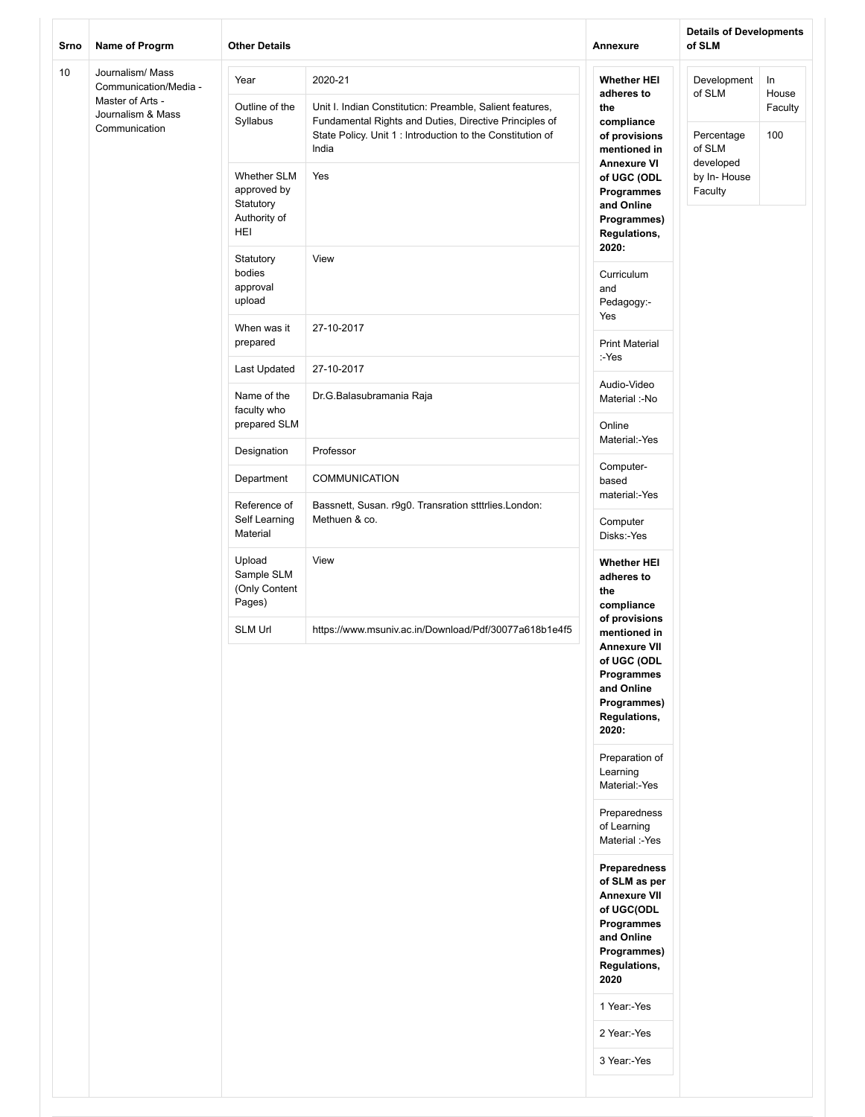| Srno | Name of Progrm                                                | <b>Other Details</b>                                           |                                                                                                                               | <b>Annexure</b>                                                                                                                                      | <b>Details of Developments</b><br>of SLM |                        |
|------|---------------------------------------------------------------|----------------------------------------------------------------|-------------------------------------------------------------------------------------------------------------------------------|------------------------------------------------------------------------------------------------------------------------------------------------------|------------------------------------------|------------------------|
| 10   | Journalism/ Mass<br>Communication/Media -<br>Master of Arts - | Year<br>Outline of the                                         | 2020-21<br>Unit I. Indian Constitution: Preamble, Salient features,                                                           | <b>Whether HEI</b><br>adheres to<br>the                                                                                                              | Development<br>of SLM                    | In<br>House<br>Faculty |
|      | Journalism & Mass<br>Communication                            | Syllabus                                                       | Fundamental Rights and Duties, Directive Principles of<br>State Policy. Unit 1 : Introduction to the Constitution of<br>India | compliance<br>of provisions<br>mentioned in<br><b>Annexure VI</b>                                                                                    | Percentage<br>of SLM<br>developed        | 100                    |
|      |                                                               | <b>Whether SLM</b><br>approved by<br>Statutory<br>Authority of | Yes                                                                                                                           | of UGC (ODL<br>Programmes<br>and Online                                                                                                              | by In-House<br>Faculty                   |                        |
|      | HEI                                                           |                                                                | Programmes)<br>Regulations,<br>2020:                                                                                          |                                                                                                                                                      |                                          |                        |
|      | Statutory<br>bodies<br>approval<br>upload                     | View                                                           | Curriculum<br>and<br>Pedagogy:-<br>Yes                                                                                        |                                                                                                                                                      |                                          |                        |
|      |                                                               | When was it<br>prepared                                        | 27-10-2017                                                                                                                    | <b>Print Material</b><br>:-Yes                                                                                                                       |                                          |                        |
|      |                                                               | Last Updated                                                   | 27-10-2017                                                                                                                    |                                                                                                                                                      |                                          |                        |
|      |                                                               | Name of the<br>faculty who<br>prepared SLM                     | Dr.G.Balasubramania Raja                                                                                                      | Audio-Video<br>Material :-No<br>Online                                                                                                               |                                          |                        |
|      |                                                               | Designation                                                    | Professor                                                                                                                     | Material:-Yes                                                                                                                                        |                                          |                        |
|      |                                                               | Department                                                     | <b>COMMUNICATION</b>                                                                                                          | Computer-<br>based                                                                                                                                   |                                          |                        |
|      |                                                               | Reference of<br>Self Learning<br>Material                      | Bassnett, Susan. r9g0. Transration stttrlies. London:<br>Methuen & co.                                                        | material:-Yes<br>Computer<br>Disks:-Yes                                                                                                              |                                          |                        |
|      |                                                               | Upload<br>Sample SLM<br>(Only Content<br>Pages)                | View                                                                                                                          | <b>Whether HEI</b><br>adheres to<br>the<br>compliance                                                                                                |                                          |                        |
|      |                                                               | SLM Url                                                        | https://www.msuniv.ac.in/Download/Pdf/30077a618b1e4f5                                                                         | of provisions<br>mentioned in<br><b>Annexure VII</b><br>of UGC (ODL<br>Programmes<br>and Online<br>Programmes)<br>Regulations,<br>2020:              |                                          |                        |
|      |                                                               |                                                                |                                                                                                                               | Preparation of<br>Learning<br>Material:-Yes                                                                                                          |                                          |                        |
|      |                                                               |                                                                |                                                                                                                               | Preparedness<br>of Learning<br>Material :-Yes                                                                                                        |                                          |                        |
|      |                                                               |                                                                |                                                                                                                               | Preparedness<br>of SLM as per<br><b>Annexure VII</b><br>of UGC(ODL<br>Programmes<br>and Online<br>Programmes)<br>Regulations,<br>2020<br>1 Year:-Yes |                                          |                        |
|      |                                                               |                                                                |                                                                                                                               | 2 Year:-Yes                                                                                                                                          |                                          |                        |
|      |                                                               |                                                                |                                                                                                                               | 3 Year:-Yes                                                                                                                                          |                                          |                        |
|      |                                                               |                                                                |                                                                                                                               |                                                                                                                                                      |                                          |                        |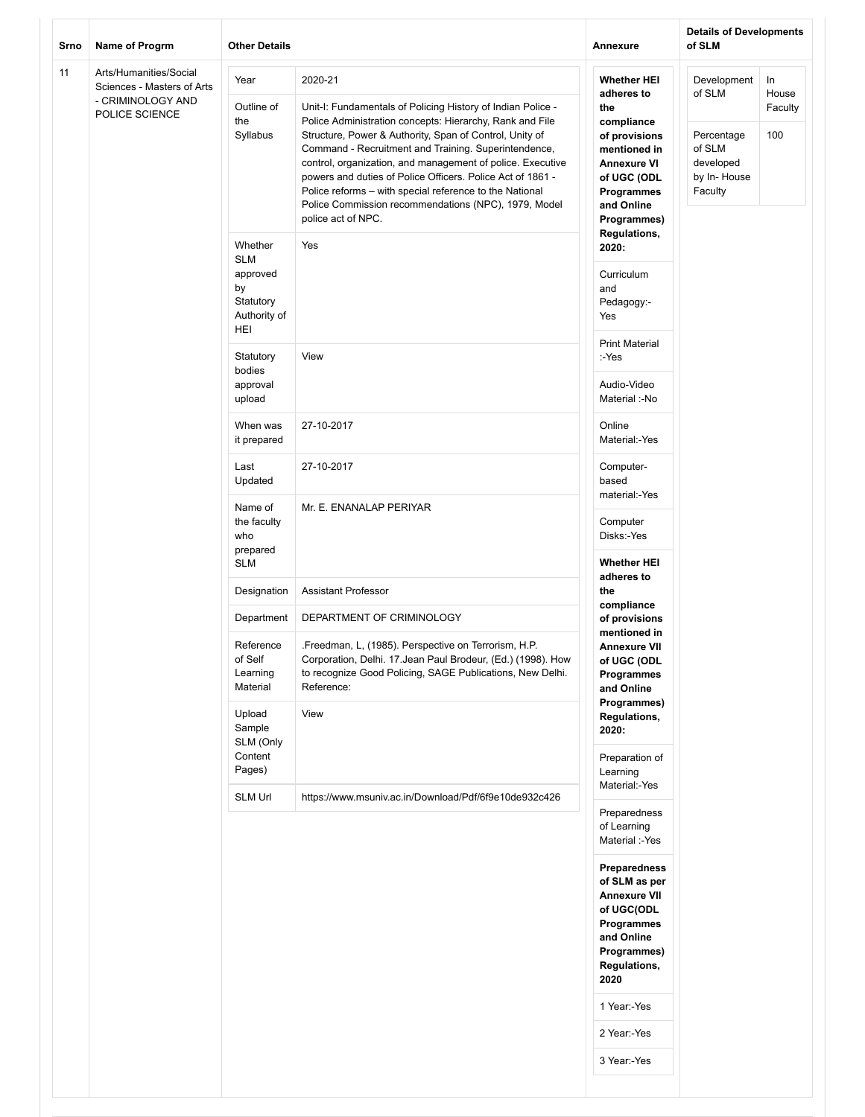| Srno | Name of Progrm                                                                              | <b>Other Details</b>                                                           |                                                                                                                                                                                                                                                                                                                                                                                                                                                                                                                            | <b>Annexure</b>                                                                                                                                                        | <b>Details of Developments</b><br>of SLM                                             |                               |
|------|---------------------------------------------------------------------------------------------|--------------------------------------------------------------------------------|----------------------------------------------------------------------------------------------------------------------------------------------------------------------------------------------------------------------------------------------------------------------------------------------------------------------------------------------------------------------------------------------------------------------------------------------------------------------------------------------------------------------------|------------------------------------------------------------------------------------------------------------------------------------------------------------------------|--------------------------------------------------------------------------------------|-------------------------------|
| 11   | Arts/Humanities/Social<br>Sciences - Masters of Arts<br>- CRIMINOLOGY AND<br>POLICE SCIENCE | Year<br>Outline of<br>the<br>Syllabus                                          | 2020-21<br>Unit-I: Fundamentals of Policing History of Indian Police -<br>Police Administration concepts: Hierarchy, Rank and File<br>Structure, Power & Authority, Span of Control, Unity of<br>Command - Recruitment and Training. Superintendence,<br>control, organization, and management of police. Executive<br>powers and duties of Police Officers. Police Act of 1861 -<br>Police reforms - with special reference to the National<br>Police Commission recommendations (NPC), 1979, Model<br>police act of NPC. | <b>Whether HEI</b><br>adheres to<br>the<br>compliance<br>of provisions<br>mentioned in<br><b>Annexure VI</b><br>of UGC (ODL<br>Programmes<br>and Online<br>Programmes) | Development<br>of SLM<br>Percentage<br>of SLM<br>developed<br>by In-House<br>Faculty | In<br>House<br>Faculty<br>100 |
|      |                                                                                             | Whether<br><b>SLM</b><br>approved<br>by<br>Statutory<br>Authority of<br>HEI    | Yes                                                                                                                                                                                                                                                                                                                                                                                                                                                                                                                        | <b>Regulations,</b><br>2020:<br>Curriculum<br>and<br>Pedagogy:-<br>Yes                                                                                                 |                                                                                      |                               |
|      |                                                                                             | Statutory<br>bodies<br>approval<br>upload                                      | View                                                                                                                                                                                                                                                                                                                                                                                                                                                                                                                       | <b>Print Material</b><br>:-Yes<br>Audio-Video<br>Material :-No                                                                                                         |                                                                                      |                               |
|      |                                                                                             | When was<br>it prepared                                                        | 27-10-2017                                                                                                                                                                                                                                                                                                                                                                                                                                                                                                                 | Online<br>Material:-Yes                                                                                                                                                |                                                                                      |                               |
|      |                                                                                             | Last<br>Updated                                                                | 27-10-2017                                                                                                                                                                                                                                                                                                                                                                                                                                                                                                                 | Computer-<br>based                                                                                                                                                     |                                                                                      |                               |
|      |                                                                                             | Name of<br>the faculty<br>who<br>prepared<br><b>SLM</b>                        | Mr. E. ENANALAP PERIYAR                                                                                                                                                                                                                                                                                                                                                                                                                                                                                                    | material:-Yes<br>Computer<br>Disks:-Yes<br><b>Whether HEI</b>                                                                                                          |                                                                                      |                               |
|      |                                                                                             | Designation                                                                    | <b>Assistant Professor</b>                                                                                                                                                                                                                                                                                                                                                                                                                                                                                                 | adheres to<br>the                                                                                                                                                      |                                                                                      |                               |
|      |                                                                                             | Department<br>Reference<br>of Self<br>Learning<br>Material<br>Upload<br>Sample | DEPARTMENT OF CRIMINOLOGY<br>.Freedman, L, (1985). Perspective on Terrorism, H.P.<br>Corporation, Delhi. 17. Jean Paul Brodeur, (Ed.) (1998). How<br>to recognize Good Policing, SAGE Publications, New Delhi.<br>Reference:<br>View                                                                                                                                                                                                                                                                                       | compliance<br>of provisions<br>mentioned in<br><b>Annexure VII</b><br>of UGC (ODL<br>Programmes<br>and Online<br>Programmes)<br>Regulations,                           |                                                                                      |                               |
|      |                                                                                             | SLM (Only<br>Content<br>Pages)                                                 |                                                                                                                                                                                                                                                                                                                                                                                                                                                                                                                            | 2020:<br>Preparation of<br>Learning<br>Material:-Yes                                                                                                                   |                                                                                      |                               |
|      |                                                                                             | <b>SLM Url</b>                                                                 | https://www.msuniv.ac.in/Download/Pdf/6f9e10de932c426                                                                                                                                                                                                                                                                                                                                                                                                                                                                      | Preparedness<br>of Learning<br>Material :-Yes                                                                                                                          |                                                                                      |                               |
|      |                                                                                             |                                                                                |                                                                                                                                                                                                                                                                                                                                                                                                                                                                                                                            | <b>Preparedness</b><br>of SLM as per<br><b>Annexure VII</b><br>of UGC(ODL<br>Programmes<br>and Online<br>Programmes)<br><b>Regulations,</b><br>2020                    |                                                                                      |                               |
|      |                                                                                             |                                                                                |                                                                                                                                                                                                                                                                                                                                                                                                                                                                                                                            | 1 Year:-Yes<br>2 Year:-Yes                                                                                                                                             |                                                                                      |                               |
|      |                                                                                             |                                                                                |                                                                                                                                                                                                                                                                                                                                                                                                                                                                                                                            | 3 Year:-Yes                                                                                                                                                            |                                                                                      |                               |
|      |                                                                                             |                                                                                |                                                                                                                                                                                                                                                                                                                                                                                                                                                                                                                            |                                                                                                                                                                        |                                                                                      |                               |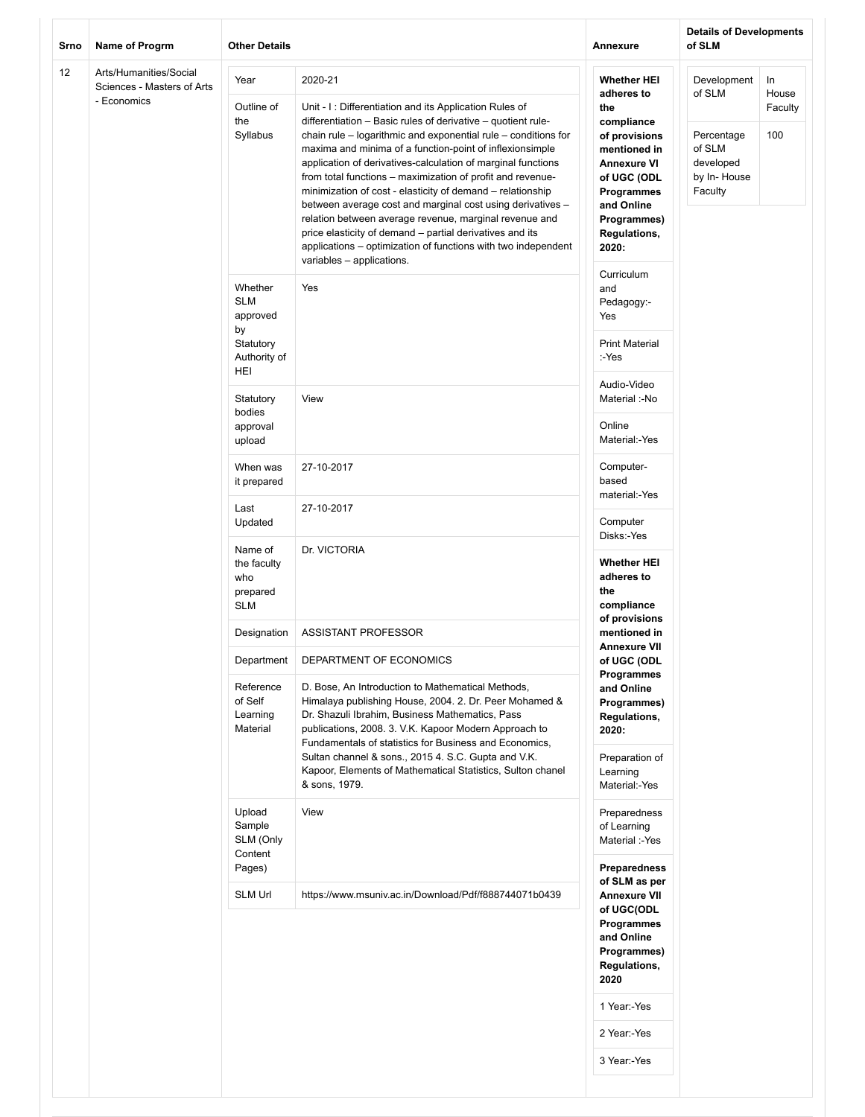| Srno | Name of Progrm                                                      | <b>Other Details</b>                                                        |                                                                                                                                                                                                                                                                                                                                                                                                                                                                                                                                                                                                                                                                                                                                               | Annexure                                                                                                                                                                                               | <b>Details of Developments</b><br>of SLM                                             |                               |
|------|---------------------------------------------------------------------|-----------------------------------------------------------------------------|-----------------------------------------------------------------------------------------------------------------------------------------------------------------------------------------------------------------------------------------------------------------------------------------------------------------------------------------------------------------------------------------------------------------------------------------------------------------------------------------------------------------------------------------------------------------------------------------------------------------------------------------------------------------------------------------------------------------------------------------------|--------------------------------------------------------------------------------------------------------------------------------------------------------------------------------------------------------|--------------------------------------------------------------------------------------|-------------------------------|
| 12   | Arts/Humanities/Social<br>Sciences - Masters of Arts<br>- Economics | Year<br>Outline of<br>the<br>Syllabus                                       | 2020-21<br>Unit - I: Differentiation and its Application Rules of<br>differentiation – Basic rules of derivative – quotient rule-<br>chain rule – logarithmic and exponential rule – conditions for<br>maxima and minima of a function-point of inflexionsimple<br>application of derivatives-calculation of marginal functions<br>from total functions - maximization of profit and revenue-<br>minimization of cost - elasticity of demand - relationship<br>between average cost and marginal cost using derivatives -<br>relation between average revenue, marginal revenue and<br>price elasticity of demand - partial derivatives and its<br>applications – optimization of functions with two independent<br>variables - applications. | <b>Whether HEI</b><br>adheres to<br>the<br>compliance<br>of provisions<br>mentioned in<br><b>Annexure VI</b><br>of UGC (ODL<br>Programmes<br>and Online<br>Programmes)<br><b>Regulations,</b><br>2020: | Development<br>of SLM<br>Percentage<br>of SLM<br>developed<br>by In-House<br>Faculty | In<br>House<br>Faculty<br>100 |
|      |                                                                     | Whether<br><b>SLM</b><br>approved<br>by<br>Statutory<br>Authority of<br>HEI | Yes                                                                                                                                                                                                                                                                                                                                                                                                                                                                                                                                                                                                                                                                                                                                           | Curriculum<br>and<br>Pedagogy:-<br>Yes<br><b>Print Material</b><br>:-Yes                                                                                                                               |                                                                                      |                               |
|      |                                                                     | Statutory<br>bodies<br>approval<br>upload                                   | View                                                                                                                                                                                                                                                                                                                                                                                                                                                                                                                                                                                                                                                                                                                                          | Audio-Video<br>Material :-No<br>Online<br>Material:-Yes                                                                                                                                                |                                                                                      |                               |
|      |                                                                     | When was<br>it prepared                                                     | 27-10-2017                                                                                                                                                                                                                                                                                                                                                                                                                                                                                                                                                                                                                                                                                                                                    | Computer-<br>based<br>material:-Yes                                                                                                                                                                    |                                                                                      |                               |
|      |                                                                     | Last<br>Updated                                                             | 27-10-2017                                                                                                                                                                                                                                                                                                                                                                                                                                                                                                                                                                                                                                                                                                                                    | Computer<br>Disks:-Yes                                                                                                                                                                                 |                                                                                      |                               |
|      |                                                                     | Name of<br>the faculty<br>who<br>prepared<br><b>SLM</b>                     | Dr. VICTORIA                                                                                                                                                                                                                                                                                                                                                                                                                                                                                                                                                                                                                                                                                                                                  | <b>Whether HEI</b><br>adheres to<br>the<br>compliance                                                                                                                                                  |                                                                                      |                               |
|      |                                                                     | Designation                                                                 | <b>ASSISTANT PROFESSOR</b>                                                                                                                                                                                                                                                                                                                                                                                                                                                                                                                                                                                                                                                                                                                    | of provisions<br>mentioned in<br><b>Annexure VII</b>                                                                                                                                                   |                                                                                      |                               |
|      |                                                                     | Department<br>Reference<br>of Self<br>Learning<br>Material                  | DEPARTMENT OF ECONOMICS<br>D. Bose, An Introduction to Mathematical Methods,<br>Himalaya publishing House, 2004. 2. Dr. Peer Mohamed &<br>Dr. Shazuli Ibrahim, Business Mathematics, Pass<br>publications, 2008. 3. V.K. Kapoor Modern Approach to<br>Fundamentals of statistics for Business and Economics,<br>Sultan channel & sons., 2015 4. S.C. Gupta and V.K.<br>Kapoor, Elements of Mathematical Statistics, Sulton chanel                                                                                                                                                                                                                                                                                                             | of UGC (ODL<br>Programmes<br>and Online<br>Programmes)<br><b>Regulations,</b><br>2020:<br>Preparation of<br>Learning                                                                                   |                                                                                      |                               |
|      |                                                                     | Upload<br>Sample<br>SLM (Only<br>Content<br>Pages)                          | & sons, 1979.<br>View                                                                                                                                                                                                                                                                                                                                                                                                                                                                                                                                                                                                                                                                                                                         | Material:-Yes<br>Preparedness<br>of Learning<br>Material :-Yes<br>Preparedness                                                                                                                         |                                                                                      |                               |
|      |                                                                     | <b>SLM Url</b>                                                              | https://www.msuniv.ac.in/Download/Pdf/f888744071b0439                                                                                                                                                                                                                                                                                                                                                                                                                                                                                                                                                                                                                                                                                         | of SLM as per<br><b>Annexure VII</b><br>of UGC(ODL<br>Programmes<br>and Online<br>Programmes)<br><b>Regulations,</b><br>2020<br>1 Year:-Yes<br>2 Year:-Yes<br>3 Year:-Yes                              |                                                                                      |                               |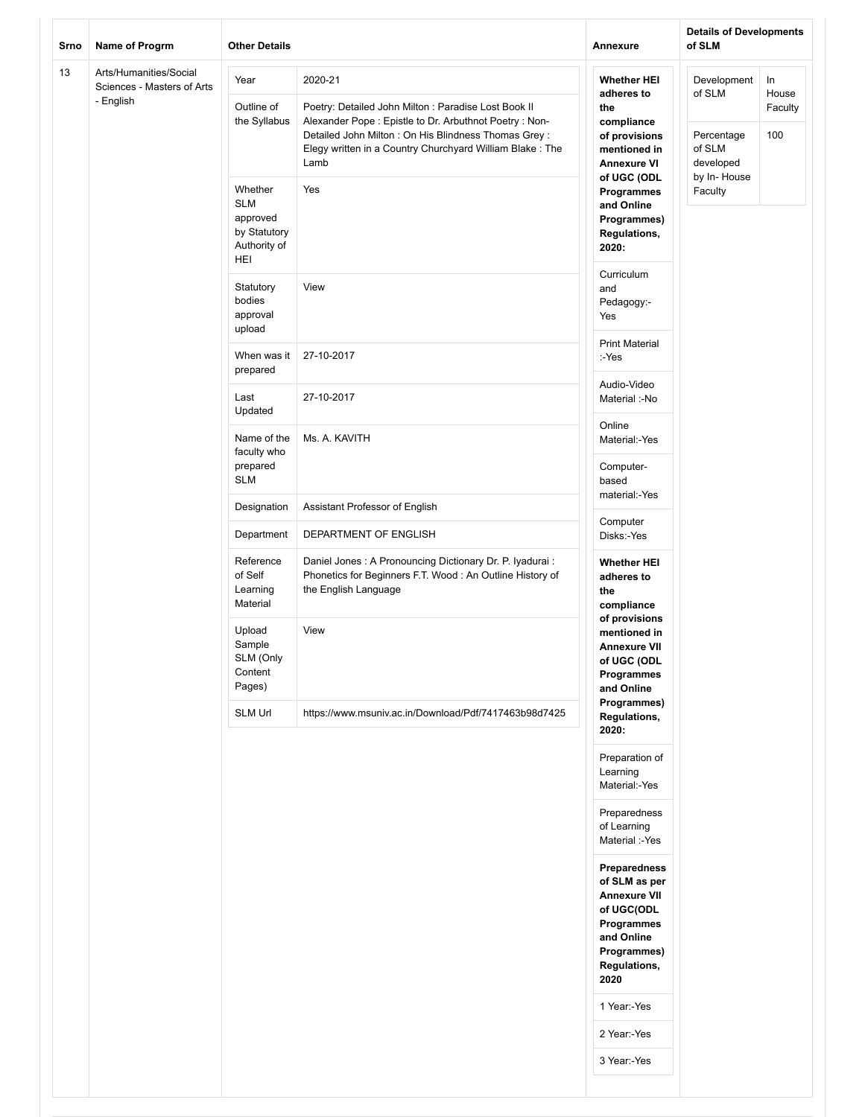| Srno | Name of Progrm                                                    | <b>Other Details</b>                                          |                                                                                                                                                                                   | Annexure                                                                                                                              | <b>Details of Developments</b><br>of SLM      |                               |  |
|------|-------------------------------------------------------------------|---------------------------------------------------------------|-----------------------------------------------------------------------------------------------------------------------------------------------------------------------------------|---------------------------------------------------------------------------------------------------------------------------------------|-----------------------------------------------|-------------------------------|--|
| 13   | Arts/Humanities/Social<br>Sciences - Masters of Arts<br>- English | Year<br>Outline of<br>the Syllabus                            | 2020-21<br>Poetry: Detailed John Milton : Paradise Lost Book II<br>Alexander Pope: Epistle to Dr. Arbuthnot Poetry: Non-<br>Detailed John Milton : On His Blindness Thomas Grey : | <b>Whether HEI</b><br>adheres to<br>the<br>compliance<br>of provisions                                                                | Development<br>of SLM<br>Percentage           | In<br>House<br>Faculty<br>100 |  |
|      |                                                                   | Whether                                                       | Elegy written in a Country Churchyard William Blake: The<br>Lamb<br>Yes                                                                                                           | mentioned in<br><b>Annexure VI</b><br>of UGC (ODL<br>Programmes                                                                       | of SLM<br>developed<br>by In-House<br>Faculty |                               |  |
|      |                                                                   | <b>SLM</b><br>approved<br>by Statutory<br>Authority of<br>HEI |                                                                                                                                                                                   | and Online<br>Programmes)<br>Regulations,<br>2020:<br>Curriculum                                                                      |                                               |                               |  |
|      |                                                                   | Statutory<br>bodies<br>approval<br>upload                     | View                                                                                                                                                                              | and<br>Pedagogy:-<br>Yes<br><b>Print Material</b>                                                                                     |                                               |                               |  |
|      |                                                                   | When was it<br>prepared                                       | 27-10-2017                                                                                                                                                                        | :-Yes<br>Audio-Video                                                                                                                  |                                               |                               |  |
|      |                                                                   |                                                               | Last<br>Updated                                                                                                                                                                   | 27-10-2017                                                                                                                            | Material :-No                                 |                               |  |
|      |                                                                   | Name of the<br>faculty who                                    | Ms. A. KAVITH                                                                                                                                                                     | Online<br>Material:-Yes                                                                                                               |                                               |                               |  |
|      |                                                                   | prepared<br><b>SLM</b>                                        |                                                                                                                                                                                   | Computer-<br>based<br>material:-Yes                                                                                                   |                                               |                               |  |
|      |                                                                   | Designation                                                   | Assistant Professor of English                                                                                                                                                    | Computer                                                                                                                              |                                               |                               |  |
|      |                                                                   | Department                                                    | DEPARTMENT OF ENGLISH                                                                                                                                                             | Disks:-Yes                                                                                                                            |                                               |                               |  |
|      |                                                                   | Reference<br>of Self<br>Learning<br>Material                  | Daniel Jones: A Pronouncing Dictionary Dr. P. Iyadurai:<br>Phonetics for Beginners F.T. Wood: An Outline History of<br>the English Language                                       | <b>Whether HEI</b><br>adheres to<br>the<br>compliance                                                                                 |                                               |                               |  |
|      |                                                                   | Upload<br>Sample<br>SLM (Only<br>Content<br>Pages)            | View                                                                                                                                                                              | of provisions<br>mentioned in<br><b>Annexure VII</b><br>of UGC (ODL<br>Programmes<br>and Online<br>Programmes)                        |                                               |                               |  |
|      |                                                                   | <b>SLM Url</b>                                                | https://www.msuniv.ac.in/Download/Pdf/7417463b98d7425                                                                                                                             | Regulations,<br>2020:                                                                                                                 |                                               |                               |  |
|      |                                                                   |                                                               |                                                                                                                                                                                   | Preparation of<br>Learning<br>Material:-Yes                                                                                           |                                               |                               |  |
|      |                                                                   |                                                               |                                                                                                                                                                                   | Preparedness<br>of Learning<br>Material :-Yes                                                                                         |                                               |                               |  |
|      |                                                                   |                                                               |                                                                                                                                                                                   | Preparedness<br>of SLM as per<br><b>Annexure VII</b><br>of UGC(ODL<br>Programmes<br>and Online<br>Programmes)<br>Regulations,<br>2020 |                                               |                               |  |
|      |                                                                   |                                                               |                                                                                                                                                                                   | 1 Year:-Yes                                                                                                                           |                                               |                               |  |
|      |                                                                   |                                                               |                                                                                                                                                                                   | 2 Year:-Yes<br>3 Year:-Yes                                                                                                            |                                               |                               |  |
|      |                                                                   |                                                               |                                                                                                                                                                                   |                                                                                                                                       |                                               |                               |  |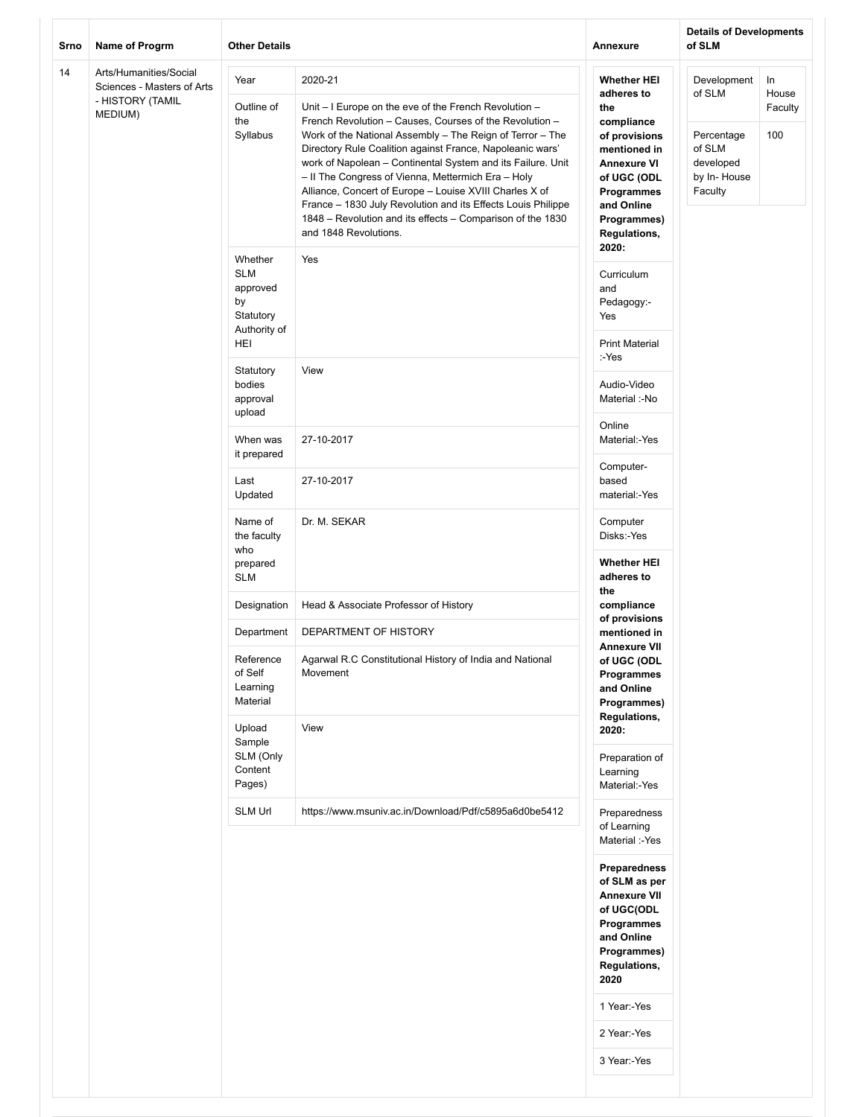| Srno                              | Name of Progrm                                       | <b>Other Details</b>                                                        |                                                                                                                                                                                                                                                                                                                                                                                                                                                                                                                                                                                              | Annexure                                                                                                                                                                               | <b>Details of Developments</b><br>of SLM                                             |                               |
|-----------------------------------|------------------------------------------------------|-----------------------------------------------------------------------------|----------------------------------------------------------------------------------------------------------------------------------------------------------------------------------------------------------------------------------------------------------------------------------------------------------------------------------------------------------------------------------------------------------------------------------------------------------------------------------------------------------------------------------------------------------------------------------------------|----------------------------------------------------------------------------------------------------------------------------------------------------------------------------------------|--------------------------------------------------------------------------------------|-------------------------------|
| 14<br>- HISTORY (TAMIL<br>MEDIUM) | Arts/Humanities/Social<br>Sciences - Masters of Arts | Year<br>Outline of<br>the<br>Syllabus                                       | 2020-21<br>Unit - I Europe on the eve of the French Revolution -<br>French Revolution - Causes, Courses of the Revolution -<br>Work of the National Assembly - The Reign of Terror - The<br>Directory Rule Coalition against France, Napoleanic wars'<br>work of Napolean - Continental System and its Failure. Unit<br>- II The Congress of Vienna, Mettermich Era - Holy<br>Alliance, Concert of Europe - Louise XVIII Charles X of<br>France - 1830 July Revolution and its Effects Louis Philippe<br>1848 - Revolution and its effects - Comparison of the 1830<br>and 1848 Revolutions. | <b>Whether HEI</b><br>adheres to<br>the<br>compliance<br>of provisions<br>mentioned in<br><b>Annexure VI</b><br>of UGC (ODL<br>Programmes<br>and Online<br>Programmes)<br>Regulations, | Development<br>of SLM<br>Percentage<br>of SLM<br>developed<br>by In-House<br>Faculty | In<br>House<br>Faculty<br>100 |
|                                   |                                                      | Whether<br><b>SLM</b><br>approved<br>by<br>Statutory<br>Authority of<br>HEI | Yes                                                                                                                                                                                                                                                                                                                                                                                                                                                                                                                                                                                          | 2020:<br>Curriculum<br>and<br>Pedagogy:-<br>Yes<br><b>Print Material</b>                                                                                                               |                                                                                      |                               |
|                                   |                                                      | Statutory<br>bodies<br>approval<br>upload                                   | View                                                                                                                                                                                                                                                                                                                                                                                                                                                                                                                                                                                         | :-Yes<br>Audio-Video<br>Material :-No                                                                                                                                                  |                                                                                      |                               |
|                                   |                                                      | When was<br>it prepared                                                     | 27-10-2017                                                                                                                                                                                                                                                                                                                                                                                                                                                                                                                                                                                   | Online<br>Material:-Yes                                                                                                                                                                |                                                                                      |                               |
|                                   |                                                      | Last<br>Updated                                                             | 27-10-2017                                                                                                                                                                                                                                                                                                                                                                                                                                                                                                                                                                                   | Computer-<br>based<br>material:-Yes                                                                                                                                                    |                                                                                      |                               |
|                                   |                                                      | Name of<br>the faculty<br>who<br>prepared                                   | Dr. M. SEKAR                                                                                                                                                                                                                                                                                                                                                                                                                                                                                                                                                                                 | Computer<br>Disks:-Yes<br><b>Whether HEI</b>                                                                                                                                           |                                                                                      |                               |
|                                   |                                                      | <b>SLM</b>                                                                  |                                                                                                                                                                                                                                                                                                                                                                                                                                                                                                                                                                                              | adheres to<br>the                                                                                                                                                                      |                                                                                      |                               |
|                                   |                                                      | Designation                                                                 | Head & Associate Professor of History                                                                                                                                                                                                                                                                                                                                                                                                                                                                                                                                                        | compliance<br>of provisions                                                                                                                                                            |                                                                                      |                               |
|                                   |                                                      | Department<br>Reference<br>of Self<br>Learning<br>Material<br>Upload        | DEPARTMENT OF HISTORY<br>Agarwal R.C Constitutional History of India and National<br>Movement<br>View                                                                                                                                                                                                                                                                                                                                                                                                                                                                                        | mentioned in<br><b>Annexure VII</b><br>of UGC (ODL<br>Programmes<br>and Online<br>Programmes)<br>Regulations,<br>2020:                                                                 |                                                                                      |                               |
|                                   |                                                      | Sample<br>SLM (Only<br>Content<br>Pages)                                    |                                                                                                                                                                                                                                                                                                                                                                                                                                                                                                                                                                                              | Preparation of<br>Learning<br>Material:-Yes                                                                                                                                            |                                                                                      |                               |
|                                   |                                                      | SLM Url                                                                     | https://www.msuniv.ac.in/Download/Pdf/c5895a6d0be5412                                                                                                                                                                                                                                                                                                                                                                                                                                                                                                                                        | Preparedness<br>of Learning<br>Material :-Yes                                                                                                                                          |                                                                                      |                               |
|                                   |                                                      |                                                                             |                                                                                                                                                                                                                                                                                                                                                                                                                                                                                                                                                                                              | Preparedness<br>of SLM as per<br><b>Annexure VII</b><br>of UGC(ODL<br>Programmes<br>and Online<br>Programmes)<br><b>Regulations,</b><br>2020                                           |                                                                                      |                               |
|                                   |                                                      |                                                                             |                                                                                                                                                                                                                                                                                                                                                                                                                                                                                                                                                                                              | 1 Year:-Yes                                                                                                                                                                            |                                                                                      |                               |
|                                   |                                                      |                                                                             |                                                                                                                                                                                                                                                                                                                                                                                                                                                                                                                                                                                              | 2 Year:-Yes                                                                                                                                                                            |                                                                                      |                               |
|                                   |                                                      |                                                                             |                                                                                                                                                                                                                                                                                                                                                                                                                                                                                                                                                                                              | 3 Year:-Yes                                                                                                                                                                            |                                                                                      |                               |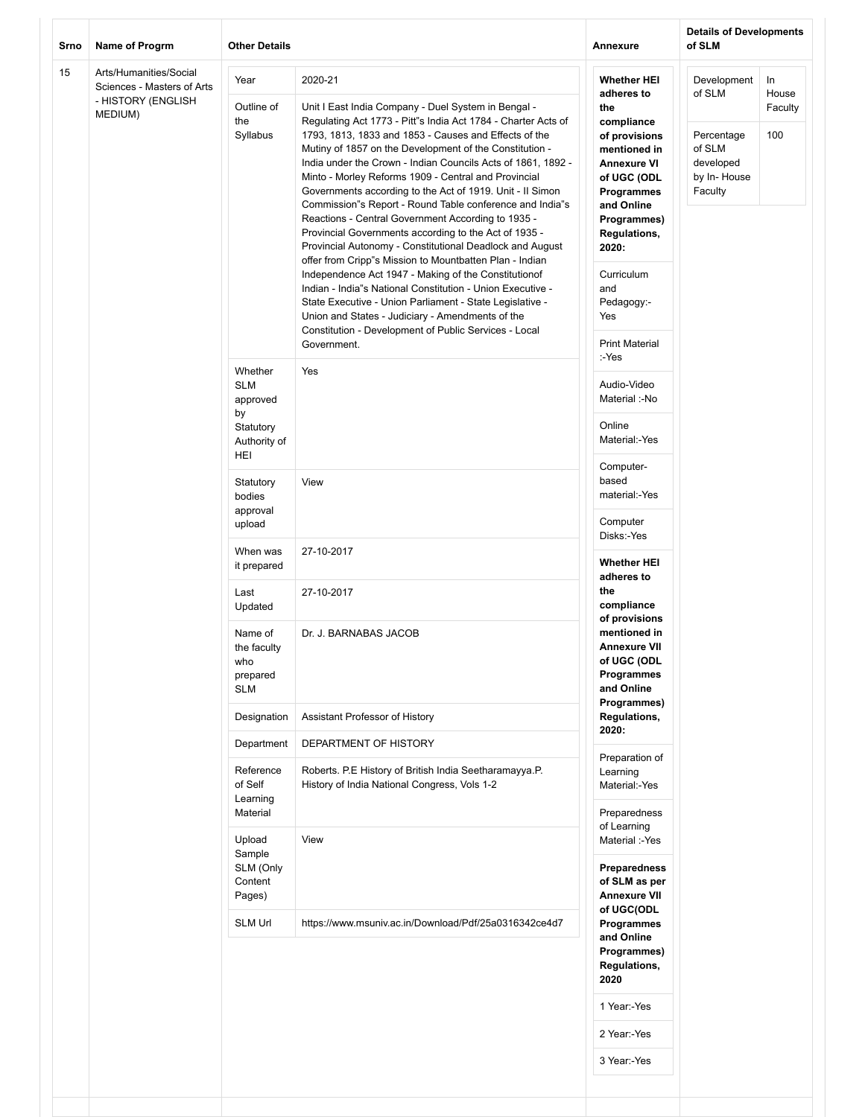| Srno | Name of Progrm                                       | <b>Other Details</b>                                                                                                                                                                                                                                                                                                                                                                                                                                                                                                                                                             |                                                                                                                                                                                                                                                                                                                                                                                                                                                                             | Annexure                                                                                      | <b>Details of Developments</b><br>of SLM |             |  |
|------|------------------------------------------------------|----------------------------------------------------------------------------------------------------------------------------------------------------------------------------------------------------------------------------------------------------------------------------------------------------------------------------------------------------------------------------------------------------------------------------------------------------------------------------------------------------------------------------------------------------------------------------------|-----------------------------------------------------------------------------------------------------------------------------------------------------------------------------------------------------------------------------------------------------------------------------------------------------------------------------------------------------------------------------------------------------------------------------------------------------------------------------|-----------------------------------------------------------------------------------------------|------------------------------------------|-------------|--|
| 15   | Arts/Humanities/Social<br>Sciences - Masters of Arts | Year                                                                                                                                                                                                                                                                                                                                                                                                                                                                                                                                                                             | 2020-21                                                                                                                                                                                                                                                                                                                                                                                                                                                                     | <b>Whether HEI</b><br>adheres to                                                              | Development<br>of SLM                    | In<br>House |  |
|      | - HISTORY (ENGLISH<br>MEDIUM)                        | Outline of<br>Unit I East India Company - Duel System in Bengal -<br>the<br>Regulating Act 1773 - Pitt"s India Act 1784 - Charter Acts of<br>Syllabus<br>1793, 1813, 1833 and 1853 - Causes and Effects of the<br>Mutiny of 1857 on the Development of the Constitution -<br>India under the Crown - Indian Councils Acts of 1861, 1892 -<br>Minto - Morley Reforms 1909 - Central and Provincial<br>Governments according to the Act of 1919. Unit - Il Simon<br>Commission"s Report - Round Table conference and India"s<br>Reactions - Central Government According to 1935 - | the<br>compliance<br>of provisions<br>mentioned in<br><b>Annexure VI</b><br>of UGC (ODL<br><b>Programmes</b><br>and Online<br>Programmes)                                                                                                                                                                                                                                                                                                                                   | Percentage<br>of SLM<br>developed<br>by In-House<br>Faculty                                   | Faculty<br>100                           |             |  |
|      |                                                      |                                                                                                                                                                                                                                                                                                                                                                                                                                                                                                                                                                                  | Provincial Governments according to the Act of 1935 -<br>Provincial Autonomy - Constitutional Deadlock and August<br>offer from Cripp"s Mission to Mountbatten Plan - Indian<br>Independence Act 1947 - Making of the Constitutionof<br>Indian - India"s National Constitution - Union Executive -<br>State Executive - Union Parliament - State Legislative -<br>Union and States - Judiciary - Amendments of the<br>Constitution - Development of Public Services - Local | <b>Regulations,</b><br>2020:<br>Curriculum<br>and<br>Pedagogy:-<br>Yes                        |                                          |             |  |
|      |                                                      | Whether                                                                                                                                                                                                                                                                                                                                                                                                                                                                                                                                                                          | Government.<br>Yes                                                                                                                                                                                                                                                                                                                                                                                                                                                          | <b>Print Material</b><br>:-Yes                                                                |                                          |             |  |
|      |                                                      | <b>SLM</b><br>approved                                                                                                                                                                                                                                                                                                                                                                                                                                                                                                                                                           |                                                                                                                                                                                                                                                                                                                                                                                                                                                                             | Audio-Video<br>Material :-No                                                                  |                                          |             |  |
|      |                                                      | by<br>Statutory<br>Authority of                                                                                                                                                                                                                                                                                                                                                                                                                                                                                                                                                  |                                                                                                                                                                                                                                                                                                                                                                                                                                                                             | Online<br>Material:-Yes                                                                       |                                          |             |  |
|      |                                                      | HEI<br>Statutory<br>bodies                                                                                                                                                                                                                                                                                                                                                                                                                                                                                                                                                       | View                                                                                                                                                                                                                                                                                                                                                                                                                                                                        | Computer-<br>based<br>material:-Yes                                                           |                                          |             |  |
|      |                                                      | approval<br>upload                                                                                                                                                                                                                                                                                                                                                                                                                                                                                                                                                               |                                                                                                                                                                                                                                                                                                                                                                                                                                                                             | Computer<br>Disks:-Yes                                                                        |                                          |             |  |
|      |                                                      | When was<br>it prepared                                                                                                                                                                                                                                                                                                                                                                                                                                                                                                                                                          | 27-10-2017                                                                                                                                                                                                                                                                                                                                                                                                                                                                  | <b>Whether HEI</b><br>adheres to                                                              |                                          |             |  |
|      |                                                      | Last<br>Updated                                                                                                                                                                                                                                                                                                                                                                                                                                                                                                                                                                  | 27-10-2017                                                                                                                                                                                                                                                                                                                                                                                                                                                                  | the<br>compliance<br>of provisions                                                            |                                          |             |  |
|      |                                                      | Name of<br>the faculty<br>who<br>prepared<br><b>SLM</b>                                                                                                                                                                                                                                                                                                                                                                                                                                                                                                                          | Dr. J. BARNABAS JACOB                                                                                                                                                                                                                                                                                                                                                                                                                                                       | mentioned in<br><b>Annexure VII</b><br>of UGC (ODL<br>Programmes<br>and Online<br>Programmes) |                                          |             |  |
|      |                                                      | Designation                                                                                                                                                                                                                                                                                                                                                                                                                                                                                                                                                                      | Assistant Professor of History                                                                                                                                                                                                                                                                                                                                                                                                                                              | Regulations,<br>2020:                                                                         |                                          |             |  |
|      |                                                      | Department                                                                                                                                                                                                                                                                                                                                                                                                                                                                                                                                                                       | DEPARTMENT OF HISTORY                                                                                                                                                                                                                                                                                                                                                                                                                                                       | Preparation of                                                                                |                                          |             |  |
|      |                                                      | Reference<br>of Self<br>Learning<br>Material                                                                                                                                                                                                                                                                                                                                                                                                                                                                                                                                     | Roberts. P.E History of British India Seetharamayya.P.<br>History of India National Congress, Vols 1-2                                                                                                                                                                                                                                                                                                                                                                      | Learning<br>Material:-Yes<br>Preparedness                                                     |                                          |             |  |
|      |                                                      | Upload<br>Sample<br>SLM (Only<br>Content<br>Pages)                                                                                                                                                                                                                                                                                                                                                                                                                                                                                                                               | View                                                                                                                                                                                                                                                                                                                                                                                                                                                                        | of Learning<br>Material :-Yes<br>Preparedness<br>of SLM as per<br><b>Annexure VII</b>         |                                          |             |  |
|      |                                                      | <b>SLM Url</b>                                                                                                                                                                                                                                                                                                                                                                                                                                                                                                                                                                   | https://www.msuniv.ac.in/Download/Pdf/25a0316342ce4d7                                                                                                                                                                                                                                                                                                                                                                                                                       | of UGC(ODL<br>Programmes<br>and Online                                                        |                                          |             |  |
|      |                                                      |                                                                                                                                                                                                                                                                                                                                                                                                                                                                                                                                                                                  |                                                                                                                                                                                                                                                                                                                                                                                                                                                                             | Programmes)<br><b>Regulations,</b><br>2020                                                    |                                          |             |  |
|      |                                                      |                                                                                                                                                                                                                                                                                                                                                                                                                                                                                                                                                                                  |                                                                                                                                                                                                                                                                                                                                                                                                                                                                             | 1 Year:-Yes                                                                                   |                                          |             |  |
|      |                                                      |                                                                                                                                                                                                                                                                                                                                                                                                                                                                                                                                                                                  |                                                                                                                                                                                                                                                                                                                                                                                                                                                                             | 2 Year:-Yes                                                                                   |                                          |             |  |
|      |                                                      |                                                                                                                                                                                                                                                                                                                                                                                                                                                                                                                                                                                  |                                                                                                                                                                                                                                                                                                                                                                                                                                                                             | 3 Year:-Yes                                                                                   |                                          |             |  |
|      |                                                      |                                                                                                                                                                                                                                                                                                                                                                                                                                                                                                                                                                                  |                                                                                                                                                                                                                                                                                                                                                                                                                                                                             |                                                                                               |                                          |             |  |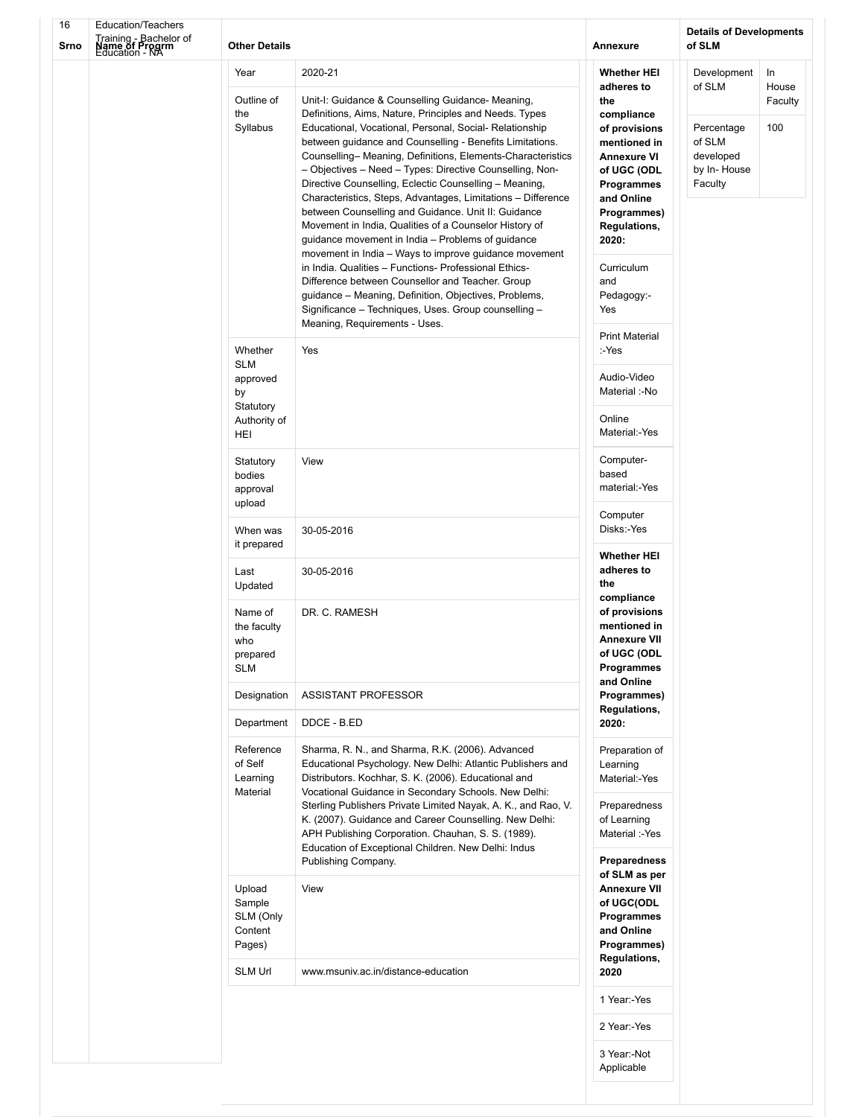| 16<br>Srno | <b>Education/Teachers</b><br>Training - Bachelor of<br>Name of Progrm<br>Education - NA | <b>Other Details</b>                                                        |                                                                                                                                                                                                                                                                                                                                                                                                                                                                                                                                                            | Annexure                                                                                                                                  | <b>Details of Developments</b><br>of SLM                                             |                               |  |
|------------|-----------------------------------------------------------------------------------------|-----------------------------------------------------------------------------|------------------------------------------------------------------------------------------------------------------------------------------------------------------------------------------------------------------------------------------------------------------------------------------------------------------------------------------------------------------------------------------------------------------------------------------------------------------------------------------------------------------------------------------------------------|-------------------------------------------------------------------------------------------------------------------------------------------|--------------------------------------------------------------------------------------|-------------------------------|--|
|            |                                                                                         | Year<br>Outline of<br>the<br>Syllabus                                       | 2020-21<br>Unit-I: Guidance & Counselling Guidance- Meaning,<br>Definitions, Aims, Nature, Principles and Needs. Types<br>Educational, Vocational, Personal, Social- Relationship<br>between guidance and Counselling - Benefits Limitations.<br>Counselling-Meaning, Definitions, Elements-Characteristics<br>- Objectives - Need - Types: Directive Counselling, Non-<br>Directive Counselling, Eclectic Counselling - Meaning,                                                                                                                          | <b>Whether HEI</b><br>adheres to<br>the<br>compliance<br>of provisions<br>mentioned in<br><b>Annexure VI</b><br>of UGC (ODL<br>Programmes | Development<br>of SLM<br>Percentage<br>of SLM<br>developed<br>by In-House<br>Faculty | In<br>House<br>Faculty<br>100 |  |
|            |                                                                                         |                                                                             | Characteristics, Steps, Advantages, Limitations - Difference<br>between Counselling and Guidance. Unit II: Guidance<br>Movement in India, Qualities of a Counselor History of<br>guidance movement in India – Problems of guidance<br>movement in India - Ways to improve guidance movement<br>in India. Qualities - Functions- Professional Ethics-<br>Difference between Counsellor and Teacher. Group<br>guidance - Meaning, Definition, Objectives, Problems,<br>Significance - Techniques, Uses. Group counselling -<br>Meaning, Requirements - Uses. | and Online<br>Programmes)<br><b>Regulations,</b><br>2020:<br>Curriculum<br>and<br>Pedagogy:-<br>Yes                                       |                                                                                      |                               |  |
|            |                                                                                         | Whether<br><b>SLM</b><br>approved<br>by<br>Statutory<br>Authority of<br>HEI | Yes                                                                                                                                                                                                                                                                                                                                                                                                                                                                                                                                                        | <b>Print Material</b><br>:-Yes<br>Audio-Video<br>Material :-No<br>Online<br>Material:-Yes                                                 |                                                                                      |                               |  |
|            |                                                                                         | Statutory<br>bodies<br>approval<br>upload                                   | View                                                                                                                                                                                                                                                                                                                                                                                                                                                                                                                                                       | Computer-<br>based<br>material:-Yes<br>Computer                                                                                           |                                                                                      |                               |  |
|            |                                                                                         | When was<br>it prepared                                                     | 30-05-2016                                                                                                                                                                                                                                                                                                                                                                                                                                                                                                                                                 | Disks:-Yes<br><b>Whether HEI</b>                                                                                                          |                                                                                      |                               |  |
|            |                                                                                         | Last<br>Updated<br>Name of<br>the faculty<br>who<br>prepared<br><b>SLM</b>  | 30-05-2016<br>DR. C. RAMESH                                                                                                                                                                                                                                                                                                                                                                                                                                                                                                                                | adheres to<br>the<br>compliance<br>of provisions<br>mentioned in<br><b>Annexure VII</b><br>of UGC (ODL<br>Programmes<br>and Online        |                                                                                      |                               |  |
|            |                                                                                         | Designation<br>Department                                                   | ASSISTANT PROFESSOR<br>DDCE - B.ED                                                                                                                                                                                                                                                                                                                                                                                                                                                                                                                         | Programmes)<br><b>Regulations,</b><br>2020:                                                                                               |                                                                                      |                               |  |
|            |                                                                                         | Reference<br>of Self<br>Learning<br>Material                                | Sharma, R. N., and Sharma, R.K. (2006). Advanced<br>Educational Psychology. New Delhi: Atlantic Publishers and<br>Distributors. Kochhar, S. K. (2006). Educational and<br>Vocational Guidance in Secondary Schools. New Delhi:<br>Sterling Publishers Private Limited Nayak, A. K., and Rao, V.<br>K. (2007). Guidance and Career Counselling. New Delhi:<br>APH Publishing Corporation. Chauhan, S. S. (1989).<br>Education of Exceptional Children. New Delhi: Indus<br>Publishing Company.                                                              | Preparation of<br>Learning<br>Material:-Yes<br>Preparedness<br>of Learning<br>Material :-Yes<br>Preparedness                              |                                                                                      |                               |  |
|            |                                                                                         | Upload<br>Sample<br>SLM (Only<br>Content<br>Pages)                          | View                                                                                                                                                                                                                                                                                                                                                                                                                                                                                                                                                       | of SLM as per<br><b>Annexure VII</b><br>of UGC(ODL<br>Programmes<br>and Online<br>Programmes)<br><b>Regulations,</b>                      |                                                                                      |                               |  |
|            |                                                                                         | <b>SLM Url</b>                                                              | www.msuniv.ac.in/distance-education                                                                                                                                                                                                                                                                                                                                                                                                                                                                                                                        | 2020<br>1 Year:-Yes                                                                                                                       |                                                                                      |                               |  |
|            |                                                                                         |                                                                             |                                                                                                                                                                                                                                                                                                                                                                                                                                                                                                                                                            | 2 Year:-Yes                                                                                                                               |                                                                                      |                               |  |
|            |                                                                                         |                                                                             |                                                                                                                                                                                                                                                                                                                                                                                                                                                                                                                                                            | 3 Year:-Not<br>Applicable                                                                                                                 |                                                                                      |                               |  |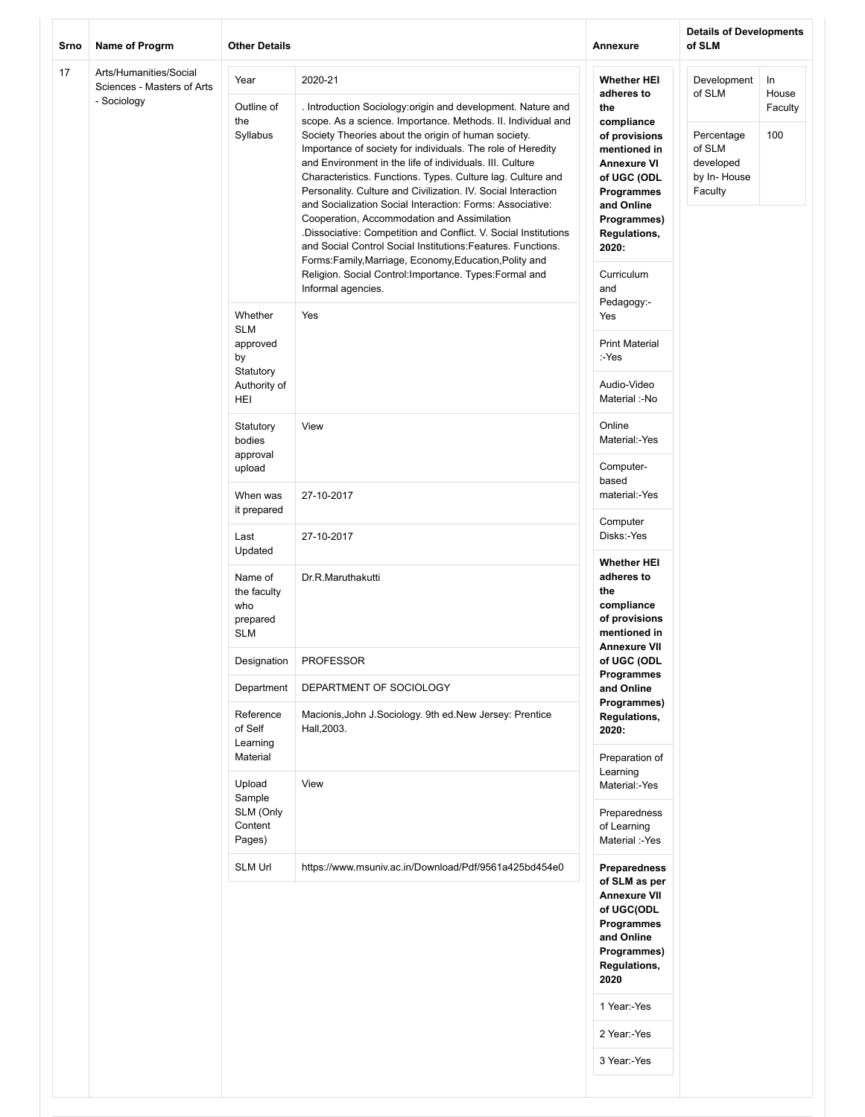| 17<br>Arts/Humanities/Social<br>Year<br>2020-21<br><b>Whether HEI</b><br>Development<br>In<br>Sciences - Masters of Arts<br>of SLM<br>House<br>adheres to<br>- Sociology<br>Outline of<br>. Introduction Sociology:origin and development. Nature and<br>the<br>Faculty<br>the<br>scope. As a science. Importance. Methods. II. Individual and<br>compliance<br>Syllabus<br>Society Theories about the origin of human society.<br>100<br>of provisions<br>Percentage<br>of SLM<br>Importance of society for individuals. The role of Heredity<br>mentioned in<br>and Environment in the life of individuals. III. Culture<br>developed<br><b>Annexure VI</b><br>Characteristics. Functions. Types. Culture lag. Culture and<br>by In-House<br>of UGC (ODL<br>Personality. Culture and Civilization. IV. Social Interaction<br>Faculty<br><b>Programmes</b><br>and Socialization Social Interaction: Forms: Associative:<br>and Online<br>Cooperation, Accommodation and Assimilation<br>Programmes)<br>.Dissociative: Competition and Conflict. V. Social Institutions<br>Regulations,<br>and Social Control Social Institutions: Features. Functions.<br>2020:<br>Forms:Family,Marriage, Economy,Education,Polity and<br>Religion. Social Control: Importance. Types: Formal and<br>Curriculum<br>Informal agencies.<br>and<br>Pedagogy:-<br>Whether<br>Yes<br>Yes<br><b>SLM</b><br><b>Print Material</b><br>approved<br>by<br>:-Yes<br>Statutory<br>Audio-Video<br>Authority of<br>Material :-No<br>HEI<br>Online<br>Statutory<br>View<br>Material:-Yes<br>bodies<br>approval<br>Computer-<br>upload<br>based<br>material:-Yes<br>27-10-2017<br>When was<br>it prepared<br>Computer<br>Disks:-Yes<br>Last<br>27-10-2017<br>Updated<br><b>Whether HEI</b><br>adheres to<br>Name of<br>Dr.R.Maruthakutti<br>the<br>the faculty<br>who<br>compliance<br>of provisions<br>prepared<br>mentioned in<br><b>SLM</b><br><b>Annexure VII</b><br>PROFESSOR<br>of UGC (ODL<br>Designation<br>Programmes<br>Department<br>DEPARTMENT OF SOCIOLOGY<br>and Online<br>Programmes)<br>Reference<br>Macionis, John J. Sociology. 9th ed. New Jersey: Prentice<br>Regulations,<br>of Self<br>Hall, 2003.<br>2020:<br>Learning<br>Material<br>Preparation of<br>Learning<br>View<br>Upload<br>Material:-Yes<br>Sample<br>SLM (Only<br>Preparedness<br>Content<br>of Learning<br>Pages)<br>Material :-Yes<br><b>SLM Url</b><br>https://www.msuniv.ac.in/Download/Pdf/9561a425bd454e0<br><b>Preparedness</b><br>of SLM as per<br><b>Annexure VII</b><br>of UGC(ODL<br>Programmes<br>and Online<br>Programmes)<br>Regulations,<br>2020<br>1 Year:-Yes<br>2 Year:-Yes<br>3 Year:-Yes | Srno | Name of Progrm | <b>Other Details</b> |  | <b>Annexure</b> | <b>Details of Developments</b><br>of SLM |  |
|------------------------------------------------------------------------------------------------------------------------------------------------------------------------------------------------------------------------------------------------------------------------------------------------------------------------------------------------------------------------------------------------------------------------------------------------------------------------------------------------------------------------------------------------------------------------------------------------------------------------------------------------------------------------------------------------------------------------------------------------------------------------------------------------------------------------------------------------------------------------------------------------------------------------------------------------------------------------------------------------------------------------------------------------------------------------------------------------------------------------------------------------------------------------------------------------------------------------------------------------------------------------------------------------------------------------------------------------------------------------------------------------------------------------------------------------------------------------------------------------------------------------------------------------------------------------------------------------------------------------------------------------------------------------------------------------------------------------------------------------------------------------------------------------------------------------------------------------------------------------------------------------------------------------------------------------------------------------------------------------------------------------------------------------------------------------------------------------------------------------------------------------------------------------------------------------------------------------------------------------------------------------------------------------------------------------------------------------------------------------------------------------------------------------------------------------------------------------------------------------------------------------------------------------------------------------------------------------------------------------------------------------------------------|------|----------------|----------------------|--|-----------------|------------------------------------------|--|
|                                                                                                                                                                                                                                                                                                                                                                                                                                                                                                                                                                                                                                                                                                                                                                                                                                                                                                                                                                                                                                                                                                                                                                                                                                                                                                                                                                                                                                                                                                                                                                                                                                                                                                                                                                                                                                                                                                                                                                                                                                                                                                                                                                                                                                                                                                                                                                                                                                                                                                                                                                                                                                                                  |      |                |                      |  |                 |                                          |  |
|                                                                                                                                                                                                                                                                                                                                                                                                                                                                                                                                                                                                                                                                                                                                                                                                                                                                                                                                                                                                                                                                                                                                                                                                                                                                                                                                                                                                                                                                                                                                                                                                                                                                                                                                                                                                                                                                                                                                                                                                                                                                                                                                                                                                                                                                                                                                                                                                                                                                                                                                                                                                                                                                  |      |                |                      |  |                 |                                          |  |
|                                                                                                                                                                                                                                                                                                                                                                                                                                                                                                                                                                                                                                                                                                                                                                                                                                                                                                                                                                                                                                                                                                                                                                                                                                                                                                                                                                                                                                                                                                                                                                                                                                                                                                                                                                                                                                                                                                                                                                                                                                                                                                                                                                                                                                                                                                                                                                                                                                                                                                                                                                                                                                                                  |      |                |                      |  |                 |                                          |  |
|                                                                                                                                                                                                                                                                                                                                                                                                                                                                                                                                                                                                                                                                                                                                                                                                                                                                                                                                                                                                                                                                                                                                                                                                                                                                                                                                                                                                                                                                                                                                                                                                                                                                                                                                                                                                                                                                                                                                                                                                                                                                                                                                                                                                                                                                                                                                                                                                                                                                                                                                                                                                                                                                  |      |                |                      |  |                 |                                          |  |
|                                                                                                                                                                                                                                                                                                                                                                                                                                                                                                                                                                                                                                                                                                                                                                                                                                                                                                                                                                                                                                                                                                                                                                                                                                                                                                                                                                                                                                                                                                                                                                                                                                                                                                                                                                                                                                                                                                                                                                                                                                                                                                                                                                                                                                                                                                                                                                                                                                                                                                                                                                                                                                                                  |      |                |                      |  |                 |                                          |  |
|                                                                                                                                                                                                                                                                                                                                                                                                                                                                                                                                                                                                                                                                                                                                                                                                                                                                                                                                                                                                                                                                                                                                                                                                                                                                                                                                                                                                                                                                                                                                                                                                                                                                                                                                                                                                                                                                                                                                                                                                                                                                                                                                                                                                                                                                                                                                                                                                                                                                                                                                                                                                                                                                  |      |                |                      |  |                 |                                          |  |
|                                                                                                                                                                                                                                                                                                                                                                                                                                                                                                                                                                                                                                                                                                                                                                                                                                                                                                                                                                                                                                                                                                                                                                                                                                                                                                                                                                                                                                                                                                                                                                                                                                                                                                                                                                                                                                                                                                                                                                                                                                                                                                                                                                                                                                                                                                                                                                                                                                                                                                                                                                                                                                                                  |      |                |                      |  |                 |                                          |  |
|                                                                                                                                                                                                                                                                                                                                                                                                                                                                                                                                                                                                                                                                                                                                                                                                                                                                                                                                                                                                                                                                                                                                                                                                                                                                                                                                                                                                                                                                                                                                                                                                                                                                                                                                                                                                                                                                                                                                                                                                                                                                                                                                                                                                                                                                                                                                                                                                                                                                                                                                                                                                                                                                  |      |                |                      |  |                 |                                          |  |
|                                                                                                                                                                                                                                                                                                                                                                                                                                                                                                                                                                                                                                                                                                                                                                                                                                                                                                                                                                                                                                                                                                                                                                                                                                                                                                                                                                                                                                                                                                                                                                                                                                                                                                                                                                                                                                                                                                                                                                                                                                                                                                                                                                                                                                                                                                                                                                                                                                                                                                                                                                                                                                                                  |      |                |                      |  |                 |                                          |  |
|                                                                                                                                                                                                                                                                                                                                                                                                                                                                                                                                                                                                                                                                                                                                                                                                                                                                                                                                                                                                                                                                                                                                                                                                                                                                                                                                                                                                                                                                                                                                                                                                                                                                                                                                                                                                                                                                                                                                                                                                                                                                                                                                                                                                                                                                                                                                                                                                                                                                                                                                                                                                                                                                  |      |                |                      |  |                 |                                          |  |
|                                                                                                                                                                                                                                                                                                                                                                                                                                                                                                                                                                                                                                                                                                                                                                                                                                                                                                                                                                                                                                                                                                                                                                                                                                                                                                                                                                                                                                                                                                                                                                                                                                                                                                                                                                                                                                                                                                                                                                                                                                                                                                                                                                                                                                                                                                                                                                                                                                                                                                                                                                                                                                                                  |      |                |                      |  |                 |                                          |  |
|                                                                                                                                                                                                                                                                                                                                                                                                                                                                                                                                                                                                                                                                                                                                                                                                                                                                                                                                                                                                                                                                                                                                                                                                                                                                                                                                                                                                                                                                                                                                                                                                                                                                                                                                                                                                                                                                                                                                                                                                                                                                                                                                                                                                                                                                                                                                                                                                                                                                                                                                                                                                                                                                  |      |                |                      |  |                 |                                          |  |
|                                                                                                                                                                                                                                                                                                                                                                                                                                                                                                                                                                                                                                                                                                                                                                                                                                                                                                                                                                                                                                                                                                                                                                                                                                                                                                                                                                                                                                                                                                                                                                                                                                                                                                                                                                                                                                                                                                                                                                                                                                                                                                                                                                                                                                                                                                                                                                                                                                                                                                                                                                                                                                                                  |      |                |                      |  |                 |                                          |  |
|                                                                                                                                                                                                                                                                                                                                                                                                                                                                                                                                                                                                                                                                                                                                                                                                                                                                                                                                                                                                                                                                                                                                                                                                                                                                                                                                                                                                                                                                                                                                                                                                                                                                                                                                                                                                                                                                                                                                                                                                                                                                                                                                                                                                                                                                                                                                                                                                                                                                                                                                                                                                                                                                  |      |                |                      |  |                 |                                          |  |
|                                                                                                                                                                                                                                                                                                                                                                                                                                                                                                                                                                                                                                                                                                                                                                                                                                                                                                                                                                                                                                                                                                                                                                                                                                                                                                                                                                                                                                                                                                                                                                                                                                                                                                                                                                                                                                                                                                                                                                                                                                                                                                                                                                                                                                                                                                                                                                                                                                                                                                                                                                                                                                                                  |      |                |                      |  |                 |                                          |  |
|                                                                                                                                                                                                                                                                                                                                                                                                                                                                                                                                                                                                                                                                                                                                                                                                                                                                                                                                                                                                                                                                                                                                                                                                                                                                                                                                                                                                                                                                                                                                                                                                                                                                                                                                                                                                                                                                                                                                                                                                                                                                                                                                                                                                                                                                                                                                                                                                                                                                                                                                                                                                                                                                  |      |                |                      |  |                 |                                          |  |
|                                                                                                                                                                                                                                                                                                                                                                                                                                                                                                                                                                                                                                                                                                                                                                                                                                                                                                                                                                                                                                                                                                                                                                                                                                                                                                                                                                                                                                                                                                                                                                                                                                                                                                                                                                                                                                                                                                                                                                                                                                                                                                                                                                                                                                                                                                                                                                                                                                                                                                                                                                                                                                                                  |      |                |                      |  |                 |                                          |  |
|                                                                                                                                                                                                                                                                                                                                                                                                                                                                                                                                                                                                                                                                                                                                                                                                                                                                                                                                                                                                                                                                                                                                                                                                                                                                                                                                                                                                                                                                                                                                                                                                                                                                                                                                                                                                                                                                                                                                                                                                                                                                                                                                                                                                                                                                                                                                                                                                                                                                                                                                                                                                                                                                  |      |                |                      |  |                 |                                          |  |
|                                                                                                                                                                                                                                                                                                                                                                                                                                                                                                                                                                                                                                                                                                                                                                                                                                                                                                                                                                                                                                                                                                                                                                                                                                                                                                                                                                                                                                                                                                                                                                                                                                                                                                                                                                                                                                                                                                                                                                                                                                                                                                                                                                                                                                                                                                                                                                                                                                                                                                                                                                                                                                                                  |      |                |                      |  |                 |                                          |  |
|                                                                                                                                                                                                                                                                                                                                                                                                                                                                                                                                                                                                                                                                                                                                                                                                                                                                                                                                                                                                                                                                                                                                                                                                                                                                                                                                                                                                                                                                                                                                                                                                                                                                                                                                                                                                                                                                                                                                                                                                                                                                                                                                                                                                                                                                                                                                                                                                                                                                                                                                                                                                                                                                  |      |                |                      |  |                 |                                          |  |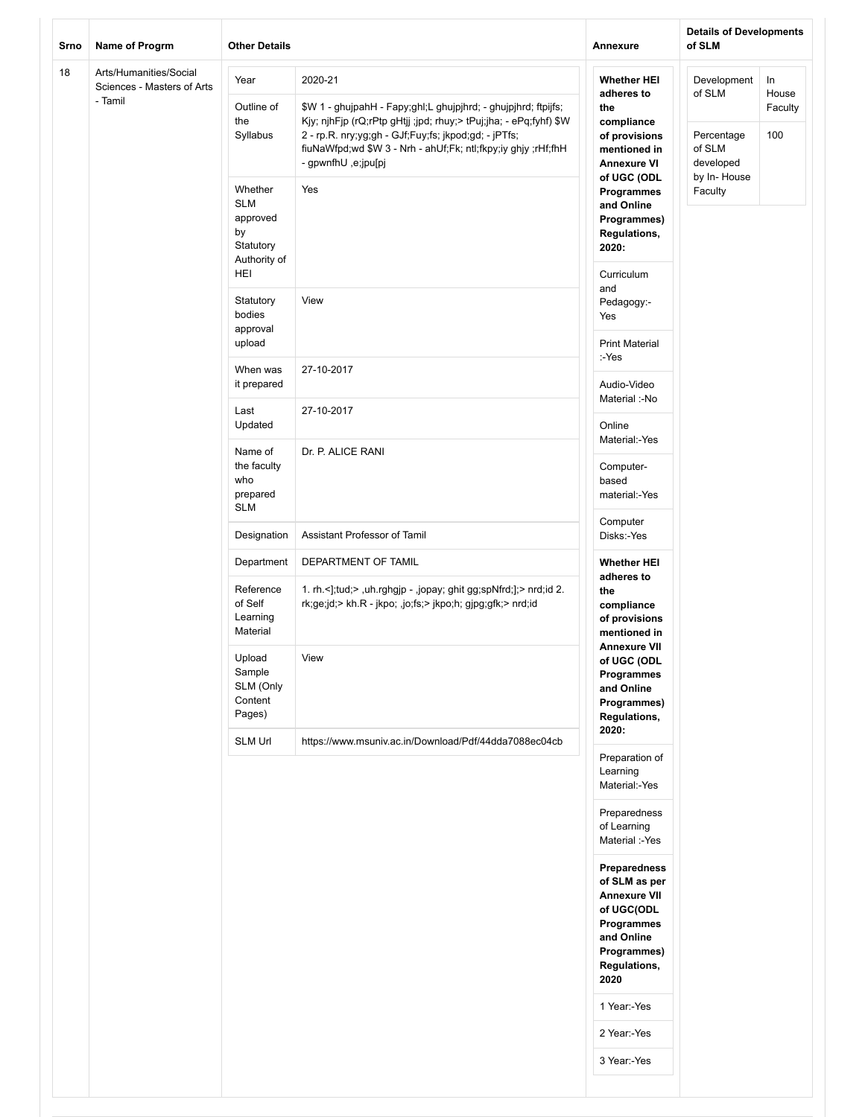| Srno | Name of Progrm                                                  | <b>Other Details</b>                                                        |                                                                                                                                                                                                                                                                                               | Annexure                                                                                                                              | <b>Details of Developments</b><br>of SLM                   |                               |
|------|-----------------------------------------------------------------|-----------------------------------------------------------------------------|-----------------------------------------------------------------------------------------------------------------------------------------------------------------------------------------------------------------------------------------------------------------------------------------------|---------------------------------------------------------------------------------------------------------------------------------------|------------------------------------------------------------|-------------------------------|
| 18   | Arts/Humanities/Social<br>Sciences - Masters of Arts<br>- Tamil | Year<br>Outline of<br>the<br>Syllabus                                       | 2020-21<br>\$W 1 - ghujpahH - Fapy;ghl;L ghujpjhrd; - ghujpjhrd; ftpijfs;<br>Kjy; njhFjp (rQ;rPtp gHtjj ;jpd; rhuy;> tPuj;jha; - ePq;fyhf) \$W<br>2 - rp.R. nry;yg;gh - GJf;Fuy;fs; jkpod;gd; - jPTfs;<br>fiuNaWfpd;wd \$W 3 - Nrh - ahUf;Fk; ntl;fkpy;iy ghjy ;rHf;fhH<br>- gpwnfhU,e;jpu[pj | <b>Whether HEI</b><br>adheres to<br>the<br>compliance<br>of provisions<br>mentioned in<br><b>Annexure VI</b>                          | Development<br>of SLM<br>Percentage<br>of SLM<br>developed | In<br>House<br>Faculty<br>100 |
|      |                                                                 | Whether<br><b>SLM</b><br>approved<br>by<br>Statutory<br>Authority of<br>HEI | Yes                                                                                                                                                                                                                                                                                           | of UGC (ODL<br>Programmes<br>and Online<br>Programmes)<br>Regulations,<br>2020:<br>Curriculum                                         | by In-House<br>Faculty                                     |                               |
|      |                                                                 | Statutory<br>bodies<br>approval<br>upload                                   | View                                                                                                                                                                                                                                                                                          | and<br>Pedagogy:-<br>Yes<br><b>Print Material</b>                                                                                     |                                                            |                               |
|      |                                                                 | When was<br>it prepared                                                     | 27-10-2017                                                                                                                                                                                                                                                                                    | :-Yes<br>Audio-Video                                                                                                                  |                                                            |                               |
|      |                                                                 | Last<br>Updated                                                             | 27-10-2017                                                                                                                                                                                                                                                                                    | Material :-No<br>Online                                                                                                               |                                                            |                               |
|      |                                                                 | Name of<br>the faculty<br>who<br>prepared<br><b>SLM</b>                     | Dr. P. ALICE RANI                                                                                                                                                                                                                                                                             | Material:-Yes<br>Computer-<br>based<br>material:-Yes                                                                                  |                                                            |                               |
|      |                                                                 | Designation                                                                 | Assistant Professor of Tamil                                                                                                                                                                                                                                                                  | Computer<br>Disks:-Yes                                                                                                                |                                                            |                               |
|      |                                                                 | Department<br>Reference<br>of Self<br>Learning<br>Material                  | DEPARTMENT OF TAMIL<br>1. rh.<];tud;>,uh.rghgjp -,jopay; ghit gg;spNfrd;];> nrd;id 2.<br>rk;ge;jd;> kh.R - jkpo; ,jo;fs;> jkpo;h; gjpg;gfk;> nrd;id                                                                                                                                           | <b>Whether HEI</b><br>adheres to<br>the<br>compliance<br>of provisions<br>mentioned in                                                |                                                            |                               |
|      |                                                                 | Upload<br>Sample<br>SLM (Only<br>Content<br>Pages)                          | View                                                                                                                                                                                                                                                                                          | <b>Annexure VII</b><br>of UGC (ODL<br>Programmes<br>and Online<br>Programmes)<br>Regulations,<br>2020:                                |                                                            |                               |
|      |                                                                 | SLM Url                                                                     | https://www.msuniv.ac.in/Download/Pdf/44dda7088ec04cb                                                                                                                                                                                                                                         | Preparation of<br>Learning<br>Material:-Yes                                                                                           |                                                            |                               |
|      |                                                                 |                                                                             |                                                                                                                                                                                                                                                                                               | Preparedness<br>of Learning<br>Material :-Yes                                                                                         |                                                            |                               |
|      |                                                                 |                                                                             |                                                                                                                                                                                                                                                                                               | Preparedness<br>of SLM as per<br><b>Annexure VII</b><br>of UGC(ODL<br>Programmes<br>and Online<br>Programmes)<br>Regulations,<br>2020 |                                                            |                               |
|      |                                                                 |                                                                             |                                                                                                                                                                                                                                                                                               | 1 Year:-Yes                                                                                                                           |                                                            |                               |
|      |                                                                 |                                                                             |                                                                                                                                                                                                                                                                                               | 2 Year:-Yes                                                                                                                           |                                                            |                               |
|      |                                                                 |                                                                             |                                                                                                                                                                                                                                                                                               | 3 Year:-Yes                                                                                                                           |                                                            |                               |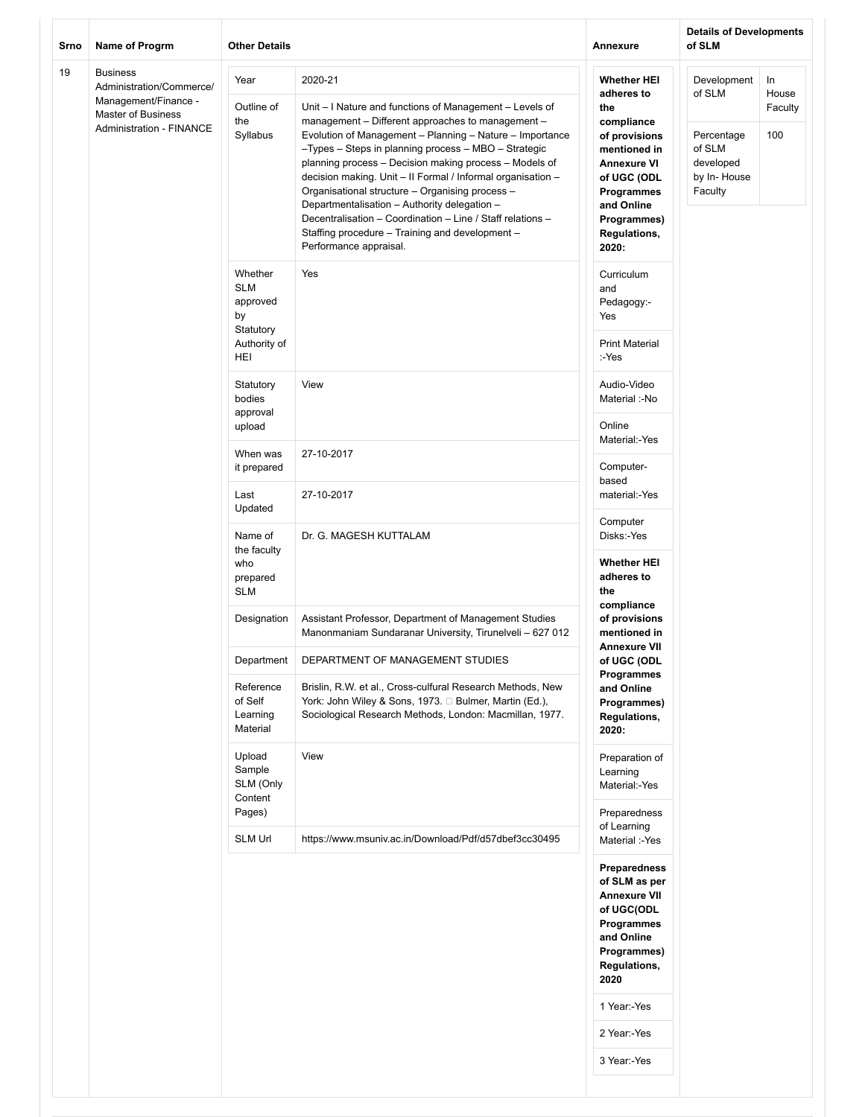| Srno | Name of Progrm                                                                                                                      | <b>Other Details</b>                                                        |                                                                                                                                                                                                                                                                                                                                                                                                                                                                                                                                                                                                                    | Annexure                                                                                                                                                                                               | <b>Details of Developments</b><br>of SLM                                             |                                |
|------|-------------------------------------------------------------------------------------------------------------------------------------|-----------------------------------------------------------------------------|--------------------------------------------------------------------------------------------------------------------------------------------------------------------------------------------------------------------------------------------------------------------------------------------------------------------------------------------------------------------------------------------------------------------------------------------------------------------------------------------------------------------------------------------------------------------------------------------------------------------|--------------------------------------------------------------------------------------------------------------------------------------------------------------------------------------------------------|--------------------------------------------------------------------------------------|--------------------------------|
| 19   | <b>Business</b><br>Administration/Commerce/<br>Management/Finance -<br><b>Master of Business</b><br><b>Administration - FINANCE</b> | Year<br>Outline of<br>the<br>Syllabus                                       | 2020-21<br>Unit - I Nature and functions of Management - Levels of<br>management - Different approaches to management -<br>Evolution of Management - Planning - Nature - Importance<br>-Types - Steps in planning process - MBO - Strategic<br>planning process - Decision making process - Models of<br>decision making. Unit - II Formal / Informal organisation -<br>Organisational structure - Organising process -<br>Departmentalisation - Authority delegation -<br>Decentralisation - Coordination - Line / Staff relations -<br>Staffing procedure - Training and development -<br>Performance appraisal. | <b>Whether HEI</b><br>adheres to<br>the<br>compliance<br>of provisions<br>mentioned in<br><b>Annexure VI</b><br>of UGC (ODL<br>Programmes<br>and Online<br>Programmes)<br><b>Regulations,</b><br>2020: | Development<br>of SLM<br>Percentage<br>of SLM<br>developed<br>by In-House<br>Faculty | In.<br>House<br>Faculty<br>100 |
|      |                                                                                                                                     | Whether<br><b>SLM</b><br>approved<br>by<br>Statutory<br>Authority of<br>HEI | Yes                                                                                                                                                                                                                                                                                                                                                                                                                                                                                                                                                                                                                | Curriculum<br>and<br>Pedagogy:-<br>Yes<br><b>Print Material</b><br>:-Yes                                                                                                                               |                                                                                      |                                |
|      |                                                                                                                                     | Statutory<br>bodies<br>approval<br>upload                                   | View                                                                                                                                                                                                                                                                                                                                                                                                                                                                                                                                                                                                               | Audio-Video<br>Material :-No<br>Online                                                                                                                                                                 |                                                                                      |                                |
|      |                                                                                                                                     | When was<br>it prepared                                                     | 27-10-2017                                                                                                                                                                                                                                                                                                                                                                                                                                                                                                                                                                                                         | Material:-Yes<br>Computer-<br>based                                                                                                                                                                    |                                                                                      |                                |
|      |                                                                                                                                     | Last<br>Updated                                                             | 27-10-2017                                                                                                                                                                                                                                                                                                                                                                                                                                                                                                                                                                                                         | material:-Yes<br>Computer                                                                                                                                                                              |                                                                                      |                                |
|      |                                                                                                                                     | Name of<br>the faculty<br>who<br>prepared<br><b>SLM</b>                     | Dr. G. MAGESH KUTTALAM                                                                                                                                                                                                                                                                                                                                                                                                                                                                                                                                                                                             | Disks:-Yes<br><b>Whether HEI</b><br>adheres to<br>the<br>compliance                                                                                                                                    |                                                                                      |                                |
|      |                                                                                                                                     | Designation                                                                 | Assistant Professor, Department of Management Studies<br>Manonmaniam Sundaranar University, Tirunelveli - 627 012                                                                                                                                                                                                                                                                                                                                                                                                                                                                                                  | of provisions<br>mentioned in<br><b>Annexure VII</b>                                                                                                                                                   |                                                                                      |                                |
|      |                                                                                                                                     | Department<br>Reference<br>of Self<br>Learning<br>Material                  | DEPARTMENT OF MANAGEMENT STUDIES<br>Brislin, R.W. et al., Cross-culfural Research Methods, New<br>York: John Wiley & Sons, 1973. □ Bulmer, Martin (Ed.),<br>Sociological Research Methods, London: Macmillan, 1977.                                                                                                                                                                                                                                                                                                                                                                                                | of UGC (ODL<br>Programmes<br>and Online<br>Programmes)<br><b>Regulations,</b><br>2020:                                                                                                                 |                                                                                      |                                |
|      |                                                                                                                                     | Upload<br>Sample<br>SLM (Only<br>Content<br>Pages)                          | View                                                                                                                                                                                                                                                                                                                                                                                                                                                                                                                                                                                                               | Preparation of<br>Learning<br>Material:-Yes<br>Preparedness<br>of Learning                                                                                                                             |                                                                                      |                                |
|      |                                                                                                                                     | <b>SLM Url</b>                                                              | https://www.msuniv.ac.in/Download/Pdf/d57dbef3cc30495                                                                                                                                                                                                                                                                                                                                                                                                                                                                                                                                                              | Material :-Yes<br>Preparedness<br>of SLM as per<br><b>Annexure VII</b><br>of UGC(ODL<br>Programmes<br>and Online<br>Programmes)<br>Regulations,<br>2020<br>1 Year:-Yes<br>2 Year:-Yes<br>3 Year:-Yes   |                                                                                      |                                |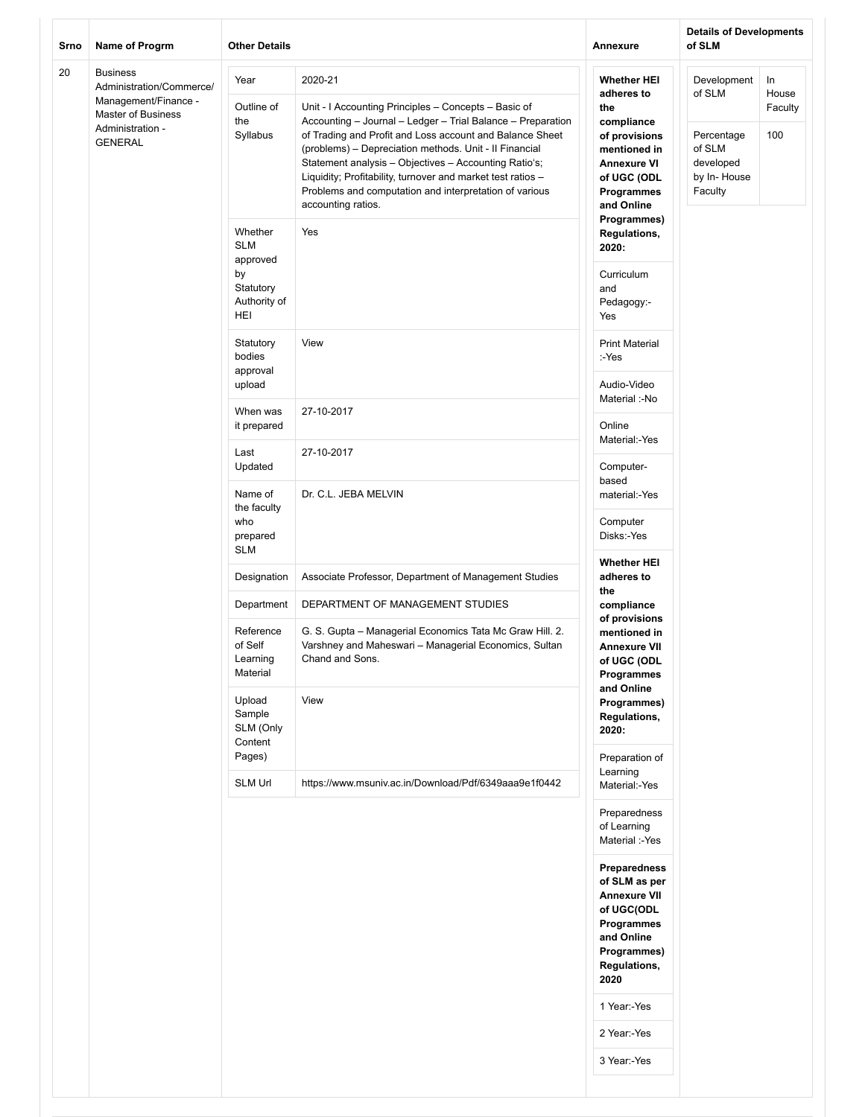| Srno | Name of Progrm                                                                          | <b>Other Details</b>                         |                                                                                                                                                                                                                                                                                                                                                                                                                                                   | Annexure                                                                                                                      | <b>Details of Developments</b><br>of SLM                    |                |
|------|-----------------------------------------------------------------------------------------|----------------------------------------------|---------------------------------------------------------------------------------------------------------------------------------------------------------------------------------------------------------------------------------------------------------------------------------------------------------------------------------------------------------------------------------------------------------------------------------------------------|-------------------------------------------------------------------------------------------------------------------------------|-------------------------------------------------------------|----------------|
| 20   | <b>Business</b><br>Administration/Commerce/                                             | Year                                         | 2020-21                                                                                                                                                                                                                                                                                                                                                                                                                                           | <b>Whether HEI</b><br>adheres to                                                                                              | Development<br>of SLM                                       | In<br>House    |
|      | Management/Finance -<br><b>Master of Business</b><br>Administration -<br><b>GENERAL</b> | Outline of<br>the<br>Syllabus                | Unit - I Accounting Principles - Concepts - Basic of<br>Accounting - Journal - Ledger - Trial Balance - Preparation<br>of Trading and Profit and Loss account and Balance Sheet<br>(problems) - Depreciation methods. Unit - Il Financial<br>Statement analysis - Objectives - Accounting Ratio's;<br>Liquidity; Profitability, turnover and market test ratios -<br>Problems and computation and interpretation of various<br>accounting ratios. | the<br>compliance<br>of provisions<br>mentioned in<br><b>Annexure VI</b><br>of UGC (ODL<br>Programmes<br>and Online           | Percentage<br>of SLM<br>developed<br>by In-House<br>Faculty | Faculty<br>100 |
|      |                                                                                         | Whether<br><b>SLM</b><br>approved            | Yes                                                                                                                                                                                                                                                                                                                                                                                                                                               | Programmes)<br>Regulations,<br>2020:                                                                                          |                                                             |                |
|      |                                                                                         | by<br>Statutory<br>Authority of<br>HEI       |                                                                                                                                                                                                                                                                                                                                                                                                                                                   | Curriculum<br>and<br>Pedagogy:-<br>Yes                                                                                        |                                                             |                |
|      |                                                                                         | Statutory<br>bodies<br>approval              | View                                                                                                                                                                                                                                                                                                                                                                                                                                              | <b>Print Material</b><br>:-Yes                                                                                                |                                                             |                |
|      |                                                                                         | upload                                       |                                                                                                                                                                                                                                                                                                                                                                                                                                                   | Audio-Video<br>Material :-No                                                                                                  |                                                             |                |
|      |                                                                                         | When was<br>it prepared                      | 27-10-2017                                                                                                                                                                                                                                                                                                                                                                                                                                        | Online<br>Material:-Yes                                                                                                       |                                                             |                |
|      |                                                                                         | Last<br>Updated                              | 27-10-2017                                                                                                                                                                                                                                                                                                                                                                                                                                        | Computer-<br>based                                                                                                            |                                                             |                |
|      |                                                                                         | Name of<br>the faculty<br>who<br>prepared    | Dr. C.L. JEBA MELVIN                                                                                                                                                                                                                                                                                                                                                                                                                              | material:-Yes<br>Computer<br>Disks:-Yes                                                                                       |                                                             |                |
|      |                                                                                         | <b>SLM</b>                                   |                                                                                                                                                                                                                                                                                                                                                                                                                                                   | <b>Whether HEI</b>                                                                                                            |                                                             |                |
|      |                                                                                         | Designation                                  | Associate Professor, Department of Management Studies                                                                                                                                                                                                                                                                                                                                                                                             | adheres to<br>the                                                                                                             |                                                             |                |
|      |                                                                                         | Department                                   | DEPARTMENT OF MANAGEMENT STUDIES                                                                                                                                                                                                                                                                                                                                                                                                                  | compliance<br>of provisions                                                                                                   |                                                             |                |
|      |                                                                                         | Reference<br>of Self<br>Learning<br>Material | G. S. Gupta - Managerial Economics Tata Mc Graw Hill. 2.<br>Varshney and Maheswari - Managerial Economics, Sultan<br>Chand and Sons.                                                                                                                                                                                                                                                                                                              | mentioned in<br><b>Annexure VII</b><br>of UGC (ODL<br>Programmes                                                              |                                                             |                |
|      |                                                                                         | Upload<br>Sample<br>SLM (Only<br>Content     | View                                                                                                                                                                                                                                                                                                                                                                                                                                              | and Online<br>Programmes)<br>Regulations,<br>2020:                                                                            |                                                             |                |
|      |                                                                                         | Pages)<br><b>SLM Url</b>                     | https://www.msuniv.ac.in/Download/Pdf/6349aaa9e1f0442                                                                                                                                                                                                                                                                                                                                                                                             | Preparation of<br>Learning<br>Material:-Yes                                                                                   |                                                             |                |
|      |                                                                                         |                                              |                                                                                                                                                                                                                                                                                                                                                                                                                                                   | Preparedness<br>of Learning<br>Material :-Yes                                                                                 |                                                             |                |
|      |                                                                                         |                                              |                                                                                                                                                                                                                                                                                                                                                                                                                                                   | Preparedness<br>of SLM as per<br><b>Annexure VII</b><br>of UGC(ODL<br>Programmes<br>and Online<br>Programmes)<br>Regulations, |                                                             |                |
|      |                                                                                         |                                              |                                                                                                                                                                                                                                                                                                                                                                                                                                                   | 2020<br>1 Year:-Yes                                                                                                           |                                                             |                |
|      |                                                                                         |                                              |                                                                                                                                                                                                                                                                                                                                                                                                                                                   | 2 Year:-Yes                                                                                                                   |                                                             |                |
|      |                                                                                         |                                              |                                                                                                                                                                                                                                                                                                                                                                                                                                                   | 3 Year:-Yes                                                                                                                   |                                                             |                |
|      |                                                                                         |                                              |                                                                                                                                                                                                                                                                                                                                                                                                                                                   |                                                                                                                               |                                                             |                |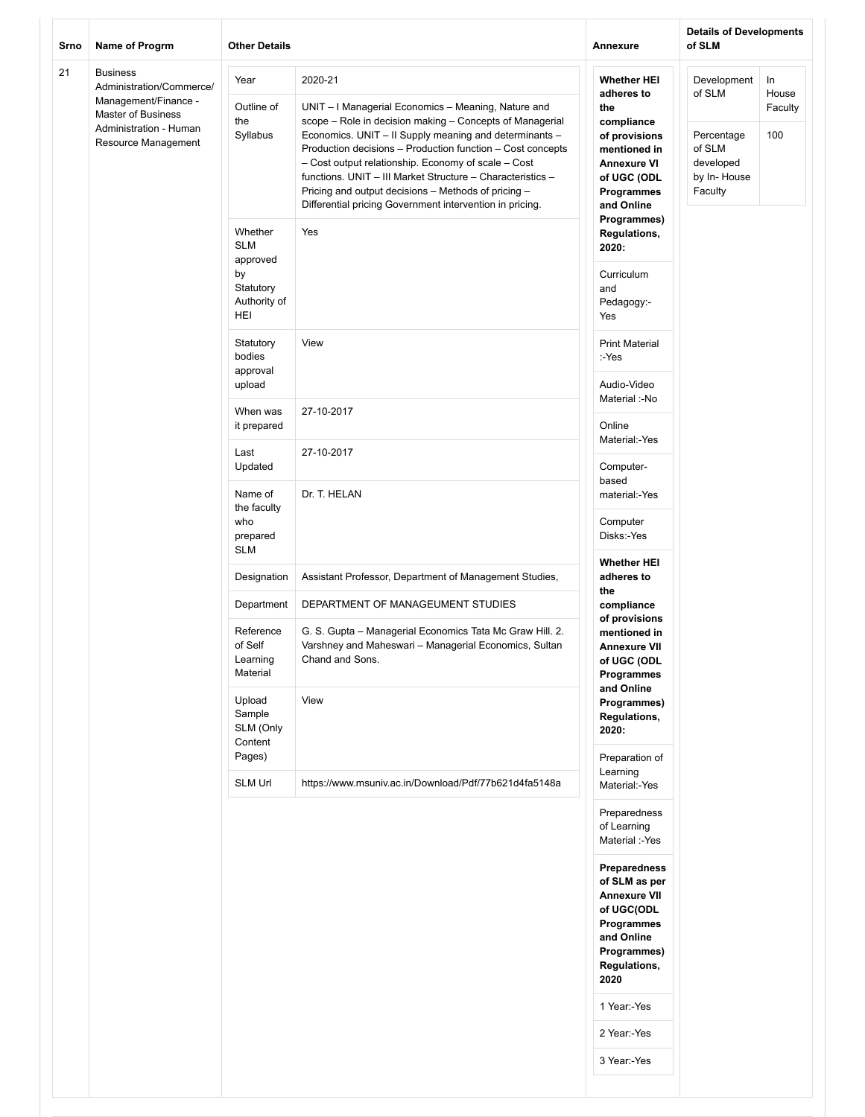| 21<br><b>Business</b><br>Year<br>2020-21<br><b>Whether HEI</b><br>Development<br>In<br>Administration/Commerce/<br>of SLM<br>House<br>adheres to<br>Management/Finance -<br>Outline of<br>UNIT - I Managerial Economics - Meaning, Nature and<br>the<br>Faculty<br>Master of Business<br>scope - Role in decision making - Concepts of Managerial<br>the<br>compliance<br>Administration - Human<br>Syllabus<br>Economics. UNIT - II Supply meaning and determinants -<br>100<br>Percentage<br>of provisions<br>Resource Management<br>Production decisions - Production function - Cost concepts<br>of SLM<br>mentioned in<br>- Cost output relationship. Economy of scale - Cost<br>developed<br><b>Annexure VI</b><br>functions. UNIT - III Market Structure - Characteristics -<br>by In-House<br>of UGC (ODL<br>Pricing and output decisions - Methods of pricing -<br>Faculty<br><b>Programmes</b><br>Differential pricing Government intervention in pricing.<br>and Online<br>Programmes)<br>Whether<br>Yes<br><b>Regulations,</b><br><b>SLM</b><br>2020:<br>approved<br>by<br>Curriculum<br>Statutory<br>and<br>Authority of<br>Pedagogy:-<br>HEI<br>Yes<br>View<br>Statutory<br><b>Print Material</b><br>bodies<br>:-Yes<br>approval<br>Audio-Video<br>upload<br>Material :-No<br>When was<br>27-10-2017<br>Online<br>it prepared<br>Material:-Yes<br>Last<br>27-10-2017<br>Updated<br>Computer-<br>based<br>Name of<br>Dr. T. HELAN<br>material:-Yes<br>the faculty<br>who<br>Computer<br>prepared<br>Disks:-Yes<br><b>SLM</b><br><b>Whether HEI</b><br>Designation<br>Assistant Professor, Department of Management Studies,<br>adheres to<br>the<br>DEPARTMENT OF MANAGEUMENT STUDIES<br>Department<br>compliance<br>of provisions<br>Reference<br>G. S. Gupta - Managerial Economics Tata Mc Graw Hill. 2.<br>mentioned in<br>of Self<br>Varshney and Maheswari - Managerial Economics, Sultan<br><b>Annexure VII</b><br>Learning<br>Chand and Sons.<br>of UGC (ODL<br>Material<br>Programmes<br>and Online<br>View<br>Upload<br>Programmes)<br>Sample<br>Regulations,<br>SLM (Only<br>2020:<br>Content<br>Pages)<br>Preparation of<br>Learning<br><b>SLM Url</b><br>https://www.msuniv.ac.in/Download/Pdf/77b621d4fa5148a<br>Material:-Yes<br>Preparedness<br>of Learning<br>Material :-Yes<br>Preparedness<br>of SLM as per<br><b>Annexure VII</b><br>of UGC(ODL<br>Programmes<br>and Online<br>Programmes)<br>Regulations,<br>2020<br>1 Year:-Yes<br>2 Year:-Yes<br>3 Year:-Yes | Srno | Name of Progrm | <b>Other Details</b> | Annexure | <b>Details of Developments</b><br>of SLM |  |
|--------------------------------------------------------------------------------------------------------------------------------------------------------------------------------------------------------------------------------------------------------------------------------------------------------------------------------------------------------------------------------------------------------------------------------------------------------------------------------------------------------------------------------------------------------------------------------------------------------------------------------------------------------------------------------------------------------------------------------------------------------------------------------------------------------------------------------------------------------------------------------------------------------------------------------------------------------------------------------------------------------------------------------------------------------------------------------------------------------------------------------------------------------------------------------------------------------------------------------------------------------------------------------------------------------------------------------------------------------------------------------------------------------------------------------------------------------------------------------------------------------------------------------------------------------------------------------------------------------------------------------------------------------------------------------------------------------------------------------------------------------------------------------------------------------------------------------------------------------------------------------------------------------------------------------------------------------------------------------------------------------------------------------------------------------------------------------------------------------------------------------------------------------------------------------------------------------------------------------------------------------------------------------------------------------------------------------------------------------------------------------------------------------------------------------------------------------------------------------------------------|------|----------------|----------------------|----------|------------------------------------------|--|
|                                                                                                                                                                                                                                                                                                                                                                                                                                                                                                                                                                                                                                                                                                                                                                                                                                                                                                                                                                                                                                                                                                                                                                                                                                                                                                                                                                                                                                                                                                                                                                                                                                                                                                                                                                                                                                                                                                                                                                                                                                                                                                                                                                                                                                                                                                                                                                                                                                                                                                  |      |                |                      |          |                                          |  |
|                                                                                                                                                                                                                                                                                                                                                                                                                                                                                                                                                                                                                                                                                                                                                                                                                                                                                                                                                                                                                                                                                                                                                                                                                                                                                                                                                                                                                                                                                                                                                                                                                                                                                                                                                                                                                                                                                                                                                                                                                                                                                                                                                                                                                                                                                                                                                                                                                                                                                                  |      |                |                      |          |                                          |  |
|                                                                                                                                                                                                                                                                                                                                                                                                                                                                                                                                                                                                                                                                                                                                                                                                                                                                                                                                                                                                                                                                                                                                                                                                                                                                                                                                                                                                                                                                                                                                                                                                                                                                                                                                                                                                                                                                                                                                                                                                                                                                                                                                                                                                                                                                                                                                                                                                                                                                                                  |      |                |                      |          |                                          |  |
|                                                                                                                                                                                                                                                                                                                                                                                                                                                                                                                                                                                                                                                                                                                                                                                                                                                                                                                                                                                                                                                                                                                                                                                                                                                                                                                                                                                                                                                                                                                                                                                                                                                                                                                                                                                                                                                                                                                                                                                                                                                                                                                                                                                                                                                                                                                                                                                                                                                                                                  |      |                |                      |          |                                          |  |
|                                                                                                                                                                                                                                                                                                                                                                                                                                                                                                                                                                                                                                                                                                                                                                                                                                                                                                                                                                                                                                                                                                                                                                                                                                                                                                                                                                                                                                                                                                                                                                                                                                                                                                                                                                                                                                                                                                                                                                                                                                                                                                                                                                                                                                                                                                                                                                                                                                                                                                  |      |                |                      |          |                                          |  |
|                                                                                                                                                                                                                                                                                                                                                                                                                                                                                                                                                                                                                                                                                                                                                                                                                                                                                                                                                                                                                                                                                                                                                                                                                                                                                                                                                                                                                                                                                                                                                                                                                                                                                                                                                                                                                                                                                                                                                                                                                                                                                                                                                                                                                                                                                                                                                                                                                                                                                                  |      |                |                      |          |                                          |  |
|                                                                                                                                                                                                                                                                                                                                                                                                                                                                                                                                                                                                                                                                                                                                                                                                                                                                                                                                                                                                                                                                                                                                                                                                                                                                                                                                                                                                                                                                                                                                                                                                                                                                                                                                                                                                                                                                                                                                                                                                                                                                                                                                                                                                                                                                                                                                                                                                                                                                                                  |      |                |                      |          |                                          |  |
|                                                                                                                                                                                                                                                                                                                                                                                                                                                                                                                                                                                                                                                                                                                                                                                                                                                                                                                                                                                                                                                                                                                                                                                                                                                                                                                                                                                                                                                                                                                                                                                                                                                                                                                                                                                                                                                                                                                                                                                                                                                                                                                                                                                                                                                                                                                                                                                                                                                                                                  |      |                |                      |          |                                          |  |
|                                                                                                                                                                                                                                                                                                                                                                                                                                                                                                                                                                                                                                                                                                                                                                                                                                                                                                                                                                                                                                                                                                                                                                                                                                                                                                                                                                                                                                                                                                                                                                                                                                                                                                                                                                                                                                                                                                                                                                                                                                                                                                                                                                                                                                                                                                                                                                                                                                                                                                  |      |                |                      |          |                                          |  |
|                                                                                                                                                                                                                                                                                                                                                                                                                                                                                                                                                                                                                                                                                                                                                                                                                                                                                                                                                                                                                                                                                                                                                                                                                                                                                                                                                                                                                                                                                                                                                                                                                                                                                                                                                                                                                                                                                                                                                                                                                                                                                                                                                                                                                                                                                                                                                                                                                                                                                                  |      |                |                      |          |                                          |  |
|                                                                                                                                                                                                                                                                                                                                                                                                                                                                                                                                                                                                                                                                                                                                                                                                                                                                                                                                                                                                                                                                                                                                                                                                                                                                                                                                                                                                                                                                                                                                                                                                                                                                                                                                                                                                                                                                                                                                                                                                                                                                                                                                                                                                                                                                                                                                                                                                                                                                                                  |      |                |                      |          |                                          |  |
|                                                                                                                                                                                                                                                                                                                                                                                                                                                                                                                                                                                                                                                                                                                                                                                                                                                                                                                                                                                                                                                                                                                                                                                                                                                                                                                                                                                                                                                                                                                                                                                                                                                                                                                                                                                                                                                                                                                                                                                                                                                                                                                                                                                                                                                                                                                                                                                                                                                                                                  |      |                |                      |          |                                          |  |
|                                                                                                                                                                                                                                                                                                                                                                                                                                                                                                                                                                                                                                                                                                                                                                                                                                                                                                                                                                                                                                                                                                                                                                                                                                                                                                                                                                                                                                                                                                                                                                                                                                                                                                                                                                                                                                                                                                                                                                                                                                                                                                                                                                                                                                                                                                                                                                                                                                                                                                  |      |                |                      |          |                                          |  |
|                                                                                                                                                                                                                                                                                                                                                                                                                                                                                                                                                                                                                                                                                                                                                                                                                                                                                                                                                                                                                                                                                                                                                                                                                                                                                                                                                                                                                                                                                                                                                                                                                                                                                                                                                                                                                                                                                                                                                                                                                                                                                                                                                                                                                                                                                                                                                                                                                                                                                                  |      |                |                      |          |                                          |  |
|                                                                                                                                                                                                                                                                                                                                                                                                                                                                                                                                                                                                                                                                                                                                                                                                                                                                                                                                                                                                                                                                                                                                                                                                                                                                                                                                                                                                                                                                                                                                                                                                                                                                                                                                                                                                                                                                                                                                                                                                                                                                                                                                                                                                                                                                                                                                                                                                                                                                                                  |      |                |                      |          |                                          |  |
|                                                                                                                                                                                                                                                                                                                                                                                                                                                                                                                                                                                                                                                                                                                                                                                                                                                                                                                                                                                                                                                                                                                                                                                                                                                                                                                                                                                                                                                                                                                                                                                                                                                                                                                                                                                                                                                                                                                                                                                                                                                                                                                                                                                                                                                                                                                                                                                                                                                                                                  |      |                |                      |          |                                          |  |
|                                                                                                                                                                                                                                                                                                                                                                                                                                                                                                                                                                                                                                                                                                                                                                                                                                                                                                                                                                                                                                                                                                                                                                                                                                                                                                                                                                                                                                                                                                                                                                                                                                                                                                                                                                                                                                                                                                                                                                                                                                                                                                                                                                                                                                                                                                                                                                                                                                                                                                  |      |                |                      |          |                                          |  |
|                                                                                                                                                                                                                                                                                                                                                                                                                                                                                                                                                                                                                                                                                                                                                                                                                                                                                                                                                                                                                                                                                                                                                                                                                                                                                                                                                                                                                                                                                                                                                                                                                                                                                                                                                                                                                                                                                                                                                                                                                                                                                                                                                                                                                                                                                                                                                                                                                                                                                                  |      |                |                      |          |                                          |  |
|                                                                                                                                                                                                                                                                                                                                                                                                                                                                                                                                                                                                                                                                                                                                                                                                                                                                                                                                                                                                                                                                                                                                                                                                                                                                                                                                                                                                                                                                                                                                                                                                                                                                                                                                                                                                                                                                                                                                                                                                                                                                                                                                                                                                                                                                                                                                                                                                                                                                                                  |      |                |                      |          |                                          |  |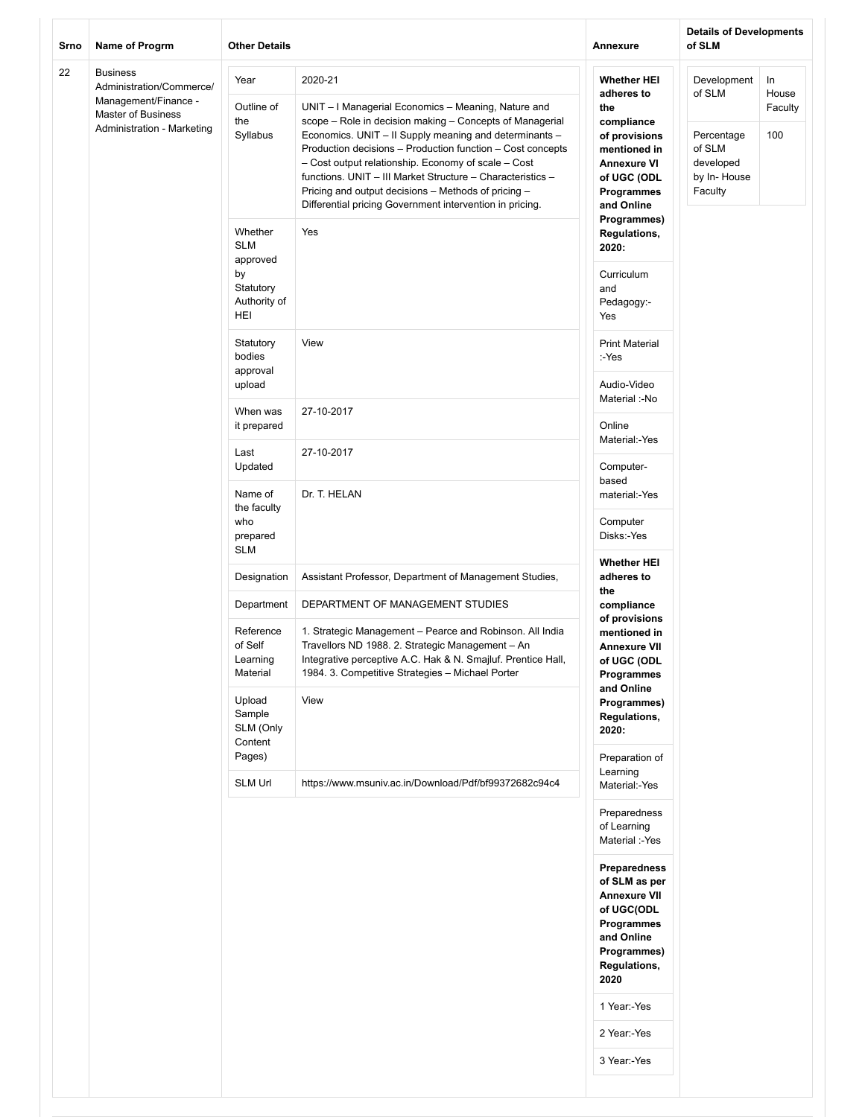| 22<br><b>Business</b><br>2020-21<br>Year<br><b>Whether HEI</b><br>Development<br>In<br>Administration/Commerce/<br>of SLM<br>adheres to<br>House<br>Management/Finance -<br>Outline of<br>UNIT - I Managerial Economics - Meaning, Nature and<br>the<br>Faculty<br>Master of Business<br>the<br>scope - Role in decision making - Concepts of Managerial<br>compliance<br>Administration - Marketing<br>Syllabus<br>Economics. UNIT - II Supply meaning and determinants -<br>100<br>of provisions<br>Percentage<br>Production decisions - Production function - Cost concepts<br>of SLM<br>mentioned in<br>- Cost output relationship. Economy of scale - Cost<br>developed<br><b>Annexure VI</b><br>functions. UNIT - III Market Structure - Characteristics -<br>by In-House<br>of UGC (ODL<br>Pricing and output decisions - Methods of pricing -<br>Faculty<br>Programmes<br>Differential pricing Government intervention in pricing.<br>and Online<br>Programmes)<br>Whether<br>Yes<br><b>Regulations,</b><br><b>SLM</b><br>2020:<br>approved<br>by<br>Curriculum<br>Statutory<br>and<br>Authority of<br>Pedagogy:-<br>HEI<br>Yes<br>Statutory<br>View<br><b>Print Material</b><br>bodies<br>:-Yes<br>approval<br>Audio-Video<br>upload<br>Material :-No<br>When was<br>27-10-2017<br>Online<br>it prepared<br>Material:-Yes<br>Last<br>27-10-2017<br>Updated<br>Computer-<br>based<br>Dr. T. HELAN<br>Name of<br>material:-Yes<br>the faculty<br>Computer<br>who<br>Disks:-Yes<br>prepared<br><b>SLM</b><br><b>Whether HEI</b><br>Designation<br>Assistant Professor, Department of Management Studies,<br>adheres to<br>the<br>DEPARTMENT OF MANAGEMENT STUDIES<br>Department<br>compliance<br>of provisions<br>Reference<br>1. Strategic Management - Pearce and Robinson. All India<br>mentioned in<br>of Self<br>Travellors ND 1988. 2. Strategic Management - An<br><b>Annexure VII</b><br>Integrative perceptive A.C. Hak & N. Smajluf. Prentice Hall,<br>Learning<br>of UGC (ODL<br>Material<br>1984. 3. Competitive Strategies - Michael Porter<br>Programmes<br>and Online<br>Upload<br>View<br>Programmes)<br>Sample<br>Regulations,<br>SLM (Only<br>2020:<br>Content<br>Pages)<br>Preparation of<br>Learning<br><b>SLM Url</b><br>https://www.msuniv.ac.in/Download/Pdf/bf99372682c94c4<br>Material:-Yes<br>Preparedness<br>of Learning<br>Material :-Yes<br>Preparedness<br>of SLM as per<br><b>Annexure VII</b><br>of UGC(ODL<br>Programmes<br>and Online<br>Programmes)<br>Regulations,<br>2020<br>1 Year:-Yes<br>2 Year:-Yes<br>3 Year:-Yes | Srno | Name of Progrm | <b>Other Details</b> | <b>Annexure</b> | <b>Details of Developments</b><br>of SLM |  |
|-------------------------------------------------------------------------------------------------------------------------------------------------------------------------------------------------------------------------------------------------------------------------------------------------------------------------------------------------------------------------------------------------------------------------------------------------------------------------------------------------------------------------------------------------------------------------------------------------------------------------------------------------------------------------------------------------------------------------------------------------------------------------------------------------------------------------------------------------------------------------------------------------------------------------------------------------------------------------------------------------------------------------------------------------------------------------------------------------------------------------------------------------------------------------------------------------------------------------------------------------------------------------------------------------------------------------------------------------------------------------------------------------------------------------------------------------------------------------------------------------------------------------------------------------------------------------------------------------------------------------------------------------------------------------------------------------------------------------------------------------------------------------------------------------------------------------------------------------------------------------------------------------------------------------------------------------------------------------------------------------------------------------------------------------------------------------------------------------------------------------------------------------------------------------------------------------------------------------------------------------------------------------------------------------------------------------------------------------------------------------------------------------------------------------------------------------------------------------------------------------------------------------------------------------------------------|------|----------------|----------------------|-----------------|------------------------------------------|--|
|                                                                                                                                                                                                                                                                                                                                                                                                                                                                                                                                                                                                                                                                                                                                                                                                                                                                                                                                                                                                                                                                                                                                                                                                                                                                                                                                                                                                                                                                                                                                                                                                                                                                                                                                                                                                                                                                                                                                                                                                                                                                                                                                                                                                                                                                                                                                                                                                                                                                                                                                                                   |      |                |                      |                 |                                          |  |
|                                                                                                                                                                                                                                                                                                                                                                                                                                                                                                                                                                                                                                                                                                                                                                                                                                                                                                                                                                                                                                                                                                                                                                                                                                                                                                                                                                                                                                                                                                                                                                                                                                                                                                                                                                                                                                                                                                                                                                                                                                                                                                                                                                                                                                                                                                                                                                                                                                                                                                                                                                   |      |                |                      |                 |                                          |  |
|                                                                                                                                                                                                                                                                                                                                                                                                                                                                                                                                                                                                                                                                                                                                                                                                                                                                                                                                                                                                                                                                                                                                                                                                                                                                                                                                                                                                                                                                                                                                                                                                                                                                                                                                                                                                                                                                                                                                                                                                                                                                                                                                                                                                                                                                                                                                                                                                                                                                                                                                                                   |      |                |                      |                 |                                          |  |
|                                                                                                                                                                                                                                                                                                                                                                                                                                                                                                                                                                                                                                                                                                                                                                                                                                                                                                                                                                                                                                                                                                                                                                                                                                                                                                                                                                                                                                                                                                                                                                                                                                                                                                                                                                                                                                                                                                                                                                                                                                                                                                                                                                                                                                                                                                                                                                                                                                                                                                                                                                   |      |                |                      |                 |                                          |  |
|                                                                                                                                                                                                                                                                                                                                                                                                                                                                                                                                                                                                                                                                                                                                                                                                                                                                                                                                                                                                                                                                                                                                                                                                                                                                                                                                                                                                                                                                                                                                                                                                                                                                                                                                                                                                                                                                                                                                                                                                                                                                                                                                                                                                                                                                                                                                                                                                                                                                                                                                                                   |      |                |                      |                 |                                          |  |
|                                                                                                                                                                                                                                                                                                                                                                                                                                                                                                                                                                                                                                                                                                                                                                                                                                                                                                                                                                                                                                                                                                                                                                                                                                                                                                                                                                                                                                                                                                                                                                                                                                                                                                                                                                                                                                                                                                                                                                                                                                                                                                                                                                                                                                                                                                                                                                                                                                                                                                                                                                   |      |                |                      |                 |                                          |  |
|                                                                                                                                                                                                                                                                                                                                                                                                                                                                                                                                                                                                                                                                                                                                                                                                                                                                                                                                                                                                                                                                                                                                                                                                                                                                                                                                                                                                                                                                                                                                                                                                                                                                                                                                                                                                                                                                                                                                                                                                                                                                                                                                                                                                                                                                                                                                                                                                                                                                                                                                                                   |      |                |                      |                 |                                          |  |
|                                                                                                                                                                                                                                                                                                                                                                                                                                                                                                                                                                                                                                                                                                                                                                                                                                                                                                                                                                                                                                                                                                                                                                                                                                                                                                                                                                                                                                                                                                                                                                                                                                                                                                                                                                                                                                                                                                                                                                                                                                                                                                                                                                                                                                                                                                                                                                                                                                                                                                                                                                   |      |                |                      |                 |                                          |  |
|                                                                                                                                                                                                                                                                                                                                                                                                                                                                                                                                                                                                                                                                                                                                                                                                                                                                                                                                                                                                                                                                                                                                                                                                                                                                                                                                                                                                                                                                                                                                                                                                                                                                                                                                                                                                                                                                                                                                                                                                                                                                                                                                                                                                                                                                                                                                                                                                                                                                                                                                                                   |      |                |                      |                 |                                          |  |
|                                                                                                                                                                                                                                                                                                                                                                                                                                                                                                                                                                                                                                                                                                                                                                                                                                                                                                                                                                                                                                                                                                                                                                                                                                                                                                                                                                                                                                                                                                                                                                                                                                                                                                                                                                                                                                                                                                                                                                                                                                                                                                                                                                                                                                                                                                                                                                                                                                                                                                                                                                   |      |                |                      |                 |                                          |  |
|                                                                                                                                                                                                                                                                                                                                                                                                                                                                                                                                                                                                                                                                                                                                                                                                                                                                                                                                                                                                                                                                                                                                                                                                                                                                                                                                                                                                                                                                                                                                                                                                                                                                                                                                                                                                                                                                                                                                                                                                                                                                                                                                                                                                                                                                                                                                                                                                                                                                                                                                                                   |      |                |                      |                 |                                          |  |
|                                                                                                                                                                                                                                                                                                                                                                                                                                                                                                                                                                                                                                                                                                                                                                                                                                                                                                                                                                                                                                                                                                                                                                                                                                                                                                                                                                                                                                                                                                                                                                                                                                                                                                                                                                                                                                                                                                                                                                                                                                                                                                                                                                                                                                                                                                                                                                                                                                                                                                                                                                   |      |                |                      |                 |                                          |  |
|                                                                                                                                                                                                                                                                                                                                                                                                                                                                                                                                                                                                                                                                                                                                                                                                                                                                                                                                                                                                                                                                                                                                                                                                                                                                                                                                                                                                                                                                                                                                                                                                                                                                                                                                                                                                                                                                                                                                                                                                                                                                                                                                                                                                                                                                                                                                                                                                                                                                                                                                                                   |      |                |                      |                 |                                          |  |
|                                                                                                                                                                                                                                                                                                                                                                                                                                                                                                                                                                                                                                                                                                                                                                                                                                                                                                                                                                                                                                                                                                                                                                                                                                                                                                                                                                                                                                                                                                                                                                                                                                                                                                                                                                                                                                                                                                                                                                                                                                                                                                                                                                                                                                                                                                                                                                                                                                                                                                                                                                   |      |                |                      |                 |                                          |  |
|                                                                                                                                                                                                                                                                                                                                                                                                                                                                                                                                                                                                                                                                                                                                                                                                                                                                                                                                                                                                                                                                                                                                                                                                                                                                                                                                                                                                                                                                                                                                                                                                                                                                                                                                                                                                                                                                                                                                                                                                                                                                                                                                                                                                                                                                                                                                                                                                                                                                                                                                                                   |      |                |                      |                 |                                          |  |
|                                                                                                                                                                                                                                                                                                                                                                                                                                                                                                                                                                                                                                                                                                                                                                                                                                                                                                                                                                                                                                                                                                                                                                                                                                                                                                                                                                                                                                                                                                                                                                                                                                                                                                                                                                                                                                                                                                                                                                                                                                                                                                                                                                                                                                                                                                                                                                                                                                                                                                                                                                   |      |                |                      |                 |                                          |  |
|                                                                                                                                                                                                                                                                                                                                                                                                                                                                                                                                                                                                                                                                                                                                                                                                                                                                                                                                                                                                                                                                                                                                                                                                                                                                                                                                                                                                                                                                                                                                                                                                                                                                                                                                                                                                                                                                                                                                                                                                                                                                                                                                                                                                                                                                                                                                                                                                                                                                                                                                                                   |      |                |                      |                 |                                          |  |
|                                                                                                                                                                                                                                                                                                                                                                                                                                                                                                                                                                                                                                                                                                                                                                                                                                                                                                                                                                                                                                                                                                                                                                                                                                                                                                                                                                                                                                                                                                                                                                                                                                                                                                                                                                                                                                                                                                                                                                                                                                                                                                                                                                                                                                                                                                                                                                                                                                                                                                                                                                   |      |                |                      |                 |                                          |  |
|                                                                                                                                                                                                                                                                                                                                                                                                                                                                                                                                                                                                                                                                                                                                                                                                                                                                                                                                                                                                                                                                                                                                                                                                                                                                                                                                                                                                                                                                                                                                                                                                                                                                                                                                                                                                                                                                                                                                                                                                                                                                                                                                                                                                                                                                                                                                                                                                                                                                                                                                                                   |      |                |                      |                 |                                          |  |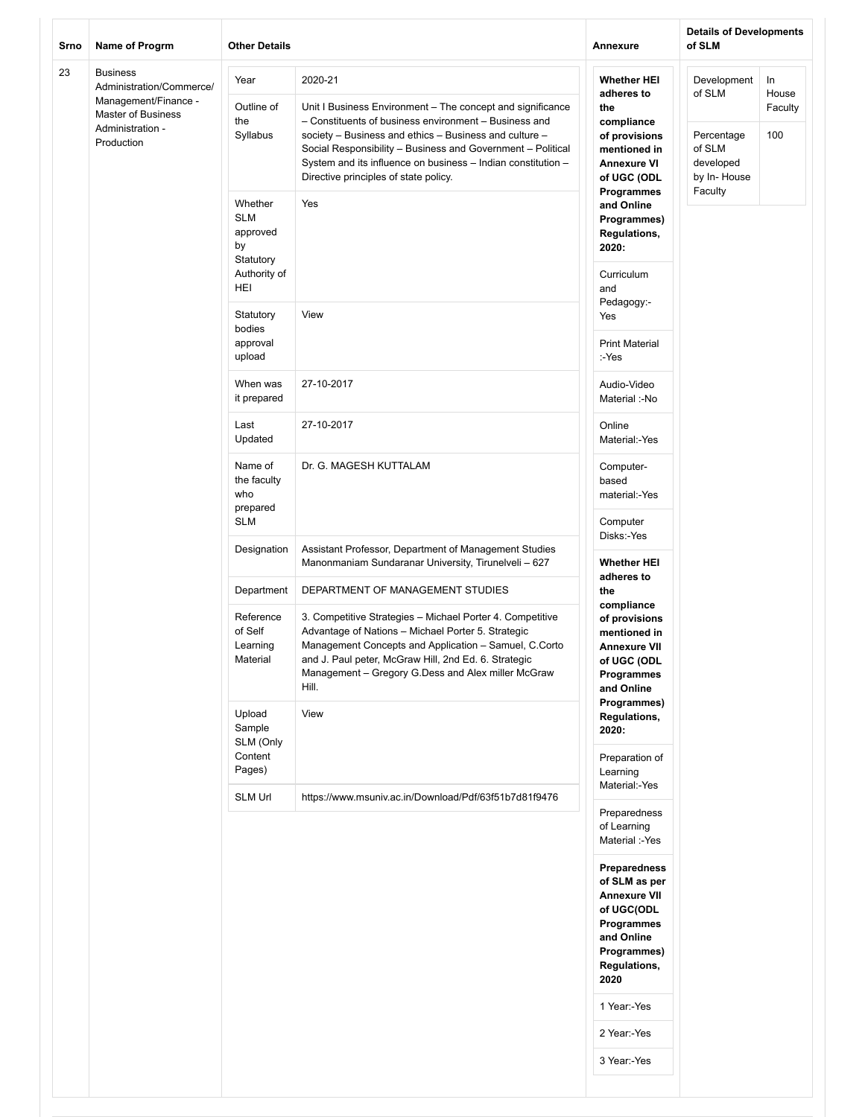| Srno | <b>Name of Progrm</b>                                                                                                              | <b>Other Details</b>                                                        |                                                                                                                                                                                                                                                                                                                                                                  | <b>Annexure</b>                                                                                                                              | <b>Details of Developments</b><br>of SLM                                  |                               |
|------|------------------------------------------------------------------------------------------------------------------------------------|-----------------------------------------------------------------------------|------------------------------------------------------------------------------------------------------------------------------------------------------------------------------------------------------------------------------------------------------------------------------------------------------------------------------------------------------------------|----------------------------------------------------------------------------------------------------------------------------------------------|---------------------------------------------------------------------------|-------------------------------|
| 23   | <b>Business</b><br>Administration/Commerce/<br>Management/Finance -<br><b>Master of Business</b><br>Administration -<br>Production | Year<br>Outline of<br>the<br>Syllabus                                       | 2020-21<br>Unit I Business Environment - The concept and significance<br>- Constituents of business environment - Business and<br>society - Business and ethics - Business and culture -<br>Social Responsibility - Business and Government - Political<br>System and its influence on business - Indian constitution -<br>Directive principles of state policy. | <b>Whether HEI</b><br>adheres to<br>the<br>compliance<br>of provisions<br>mentioned in<br><b>Annexure VI</b><br>of UGC (ODL                  | Development<br>of SLM<br>Percentage<br>of SLM<br>developed<br>by In-House | In<br>House<br>Faculty<br>100 |
|      |                                                                                                                                    | Whether<br><b>SLM</b><br>approved<br>by<br>Statutory<br>Authority of<br>HEI | Yes                                                                                                                                                                                                                                                                                                                                                              | Programmes<br>and Online<br>Programmes)<br><b>Regulations,</b><br>2020:<br>Curriculum<br>and                                                 | Faculty                                                                   |                               |
|      |                                                                                                                                    | Statutory<br>bodies<br>approval<br>upload                                   | View                                                                                                                                                                                                                                                                                                                                                             | Pedagogy:-<br>Yes<br><b>Print Material</b><br>:-Yes                                                                                          |                                                                           |                               |
|      |                                                                                                                                    | When was<br>it prepared                                                     | 27-10-2017                                                                                                                                                                                                                                                                                                                                                       | Audio-Video<br>Material :-No                                                                                                                 |                                                                           |                               |
|      |                                                                                                                                    | Last<br>Updated                                                             | 27-10-2017                                                                                                                                                                                                                                                                                                                                                       | Online<br>Material:-Yes                                                                                                                      |                                                                           |                               |
|      |                                                                                                                                    | Name of<br>the faculty<br>who<br>prepared<br><b>SLM</b>                     | Dr. G. MAGESH KUTTALAM                                                                                                                                                                                                                                                                                                                                           | Computer-<br>based<br>material:-Yes<br>Computer                                                                                              |                                                                           |                               |
|      |                                                                                                                                    | Designation                                                                 | Assistant Professor, Department of Management Studies<br>Manonmaniam Sundaranar University, Tirunelveli - 627                                                                                                                                                                                                                                                    | Disks:-Yes<br><b>Whether HEI</b>                                                                                                             |                                                                           |                               |
|      |                                                                                                                                    | Department<br>Reference<br>of Self<br>Learning<br>Material                  | DEPARTMENT OF MANAGEMENT STUDIES<br>3. Competitive Strategies - Michael Porter 4. Competitive<br>Advantage of Nations - Michael Porter 5. Strategic<br>Management Concepts and Application - Samuel, C.Corto<br>and J. Paul peter, McGraw Hill, 2nd Ed. 6. Strategic<br>Management - Gregory G.Dess and Alex miller McGraw<br>Hill.                              | adheres to<br>the<br>compliance<br>of provisions<br>mentioned in<br><b>Annexure VII</b><br>of UGC (ODL<br>Programmes                         |                                                                           |                               |
|      |                                                                                                                                    | Upload<br>Sample<br>SLM (Only                                               | View                                                                                                                                                                                                                                                                                                                                                             | and Online<br>Programmes)<br>Regulations,<br>2020:                                                                                           |                                                                           |                               |
|      |                                                                                                                                    | Content<br>Pages)                                                           |                                                                                                                                                                                                                                                                                                                                                                  | Preparation of<br>Learning<br>Material:-Yes                                                                                                  |                                                                           |                               |
|      |                                                                                                                                    | <b>SLM Url</b>                                                              | https://www.msuniv.ac.in/Download/Pdf/63f51b7d81f9476                                                                                                                                                                                                                                                                                                            | Preparedness<br>of Learning<br>Material :-Yes                                                                                                |                                                                           |                               |
|      |                                                                                                                                    |                                                                             |                                                                                                                                                                                                                                                                                                                                                                  | Preparedness<br>of SLM as per<br><b>Annexure VII</b><br>of UGC(ODL<br>Programmes<br>and Online<br>Programmes)<br><b>Regulations,</b><br>2020 |                                                                           |                               |
|      |                                                                                                                                    |                                                                             |                                                                                                                                                                                                                                                                                                                                                                  | 1 Year:-Yes<br>2 Year:-Yes                                                                                                                   |                                                                           |                               |
|      |                                                                                                                                    |                                                                             |                                                                                                                                                                                                                                                                                                                                                                  | 3 Year:-Yes                                                                                                                                  |                                                                           |                               |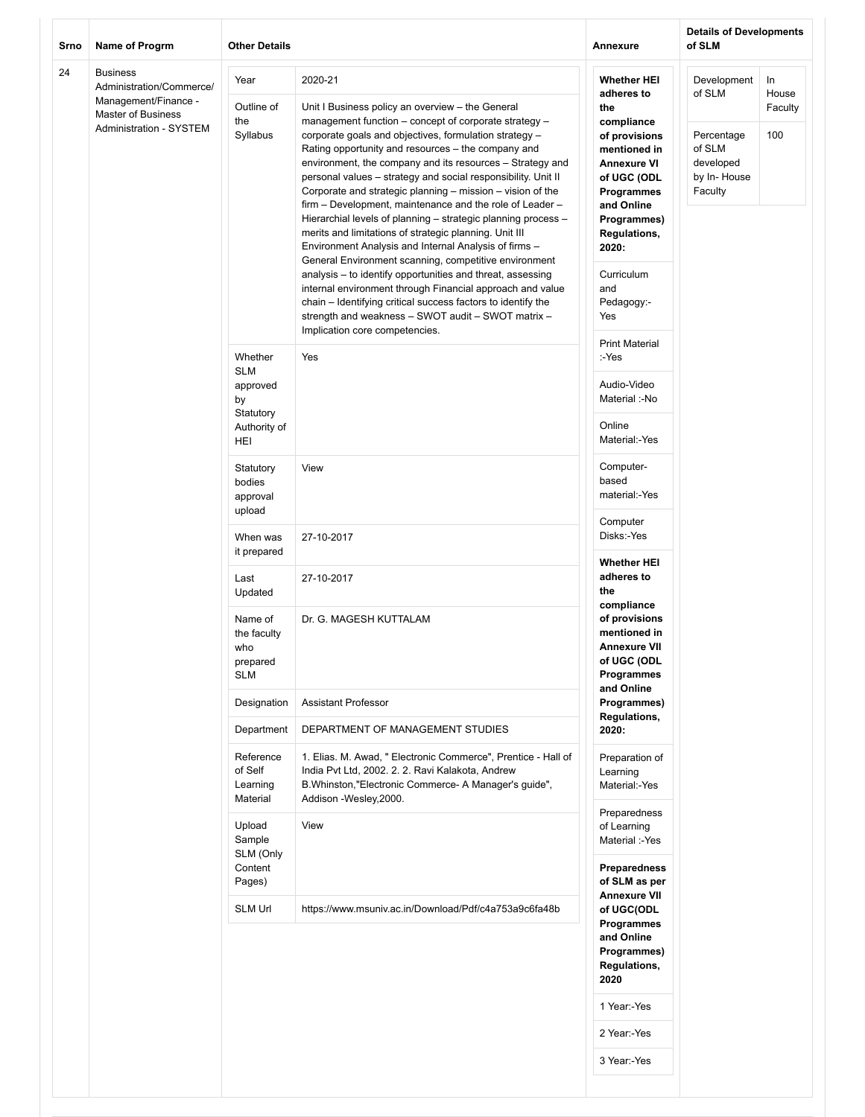| Srno | Name of Progrm                                                                                                              | <b>Other Details</b>                                    |                                                                                                                                                                                                                                                                                                                                                                                                                                                                                                                                                                                                                                                                                                                         | Annexure                                                                                                                                                          | <b>Details of Developments</b><br>of SLM                   |                               |
|------|-----------------------------------------------------------------------------------------------------------------------------|---------------------------------------------------------|-------------------------------------------------------------------------------------------------------------------------------------------------------------------------------------------------------------------------------------------------------------------------------------------------------------------------------------------------------------------------------------------------------------------------------------------------------------------------------------------------------------------------------------------------------------------------------------------------------------------------------------------------------------------------------------------------------------------------|-------------------------------------------------------------------------------------------------------------------------------------------------------------------|------------------------------------------------------------|-------------------------------|
| 24   | <b>Business</b><br>Administration/Commerce/<br>Management/Finance -<br>Master of Business<br><b>Administration - SYSTEM</b> | Year<br>Outline of<br>the<br>Syllabus                   | 2020-21<br>Unit I Business policy an overview - the General<br>management function - concept of corporate strategy -<br>corporate goals and objectives, formulation strategy -<br>Rating opportunity and resources - the company and<br>environment, the company and its resources - Strategy and                                                                                                                                                                                                                                                                                                                                                                                                                       | <b>Whether HEI</b><br>adheres to<br>the<br>compliance<br>of provisions<br>mentioned in<br><b>Annexure VI</b>                                                      | Development<br>of SLM<br>Percentage<br>of SLM<br>developed | In<br>House<br>Faculty<br>100 |
|      |                                                                                                                             |                                                         | personal values - strategy and social responsibility. Unit II<br>Corporate and strategic planning – mission – vision of the<br>firm – Development, maintenance and the role of Leader –<br>Hierarchial levels of planning - strategic planning process -<br>merits and limitations of strategic planning. Unit III<br>Environment Analysis and Internal Analysis of firms -<br>General Environment scanning, competitive environment<br>analysis - to identify opportunities and threat, assessing<br>internal environment through Financial approach and value<br>chain - Identifying critical success factors to identify the<br>strength and weakness - SWOT audit - SWOT matrix -<br>Implication core competencies. | of UGC (ODL<br>Programmes<br>and Online<br>Programmes)<br><b>Regulations,</b><br>2020:<br>Curriculum<br>and<br>Pedagogy:-<br>Yes                                  | by In-House<br>Faculty                                     |                               |
|      |                                                                                                                             | Whether<br><b>SLM</b>                                   | Yes                                                                                                                                                                                                                                                                                                                                                                                                                                                                                                                                                                                                                                                                                                                     | <b>Print Material</b><br>:-Yes                                                                                                                                    |                                                            |                               |
|      |                                                                                                                             | approved<br>by<br>Statutory                             |                                                                                                                                                                                                                                                                                                                                                                                                                                                                                                                                                                                                                                                                                                                         | Audio-Video<br>Material :-No                                                                                                                                      |                                                            |                               |
|      |                                                                                                                             | Authority of<br>HEI                                     |                                                                                                                                                                                                                                                                                                                                                                                                                                                                                                                                                                                                                                                                                                                         | Online<br>Material:-Yes                                                                                                                                           |                                                            |                               |
|      |                                                                                                                             | Statutory<br>bodies<br>approval<br>upload               | View                                                                                                                                                                                                                                                                                                                                                                                                                                                                                                                                                                                                                                                                                                                    | Computer-<br>based<br>material:-Yes                                                                                                                               |                                                            |                               |
|      |                                                                                                                             | When was<br>it prepared                                 | 27-10-2017                                                                                                                                                                                                                                                                                                                                                                                                                                                                                                                                                                                                                                                                                                              | Computer<br>Disks:-Yes<br><b>Whether HEI</b>                                                                                                                      |                                                            |                               |
|      |                                                                                                                             | Last<br>Updated                                         | 27-10-2017                                                                                                                                                                                                                                                                                                                                                                                                                                                                                                                                                                                                                                                                                                              | adheres to<br>the<br>compliance<br>of provisions<br>mentioned in<br><b>Annexure VII</b><br>of UGC (ODL<br>Programmes<br>and Online<br>Programmes)<br>Regulations, |                                                            |                               |
|      |                                                                                                                             | Name of<br>the faculty<br>who<br>prepared<br><b>SLM</b> | Dr. G. MAGESH KUTTALAM                                                                                                                                                                                                                                                                                                                                                                                                                                                                                                                                                                                                                                                                                                  |                                                                                                                                                                   |                                                            |                               |
|      |                                                                                                                             | Designation                                             | <b>Assistant Professor</b>                                                                                                                                                                                                                                                                                                                                                                                                                                                                                                                                                                                                                                                                                              |                                                                                                                                                                   |                                                            |                               |
|      |                                                                                                                             | Department                                              | DEPARTMENT OF MANAGEMENT STUDIES                                                                                                                                                                                                                                                                                                                                                                                                                                                                                                                                                                                                                                                                                        | 2020:                                                                                                                                                             |                                                            |                               |
|      |                                                                                                                             | Reference<br>of Self<br>Learning<br>Material            | 1. Elias. M. Awad, " Electronic Commerce", Prentice - Hall of<br>India Pvt Ltd, 2002. 2. 2. Ravi Kalakota, Andrew<br>B.Whinston, "Electronic Commerce- A Manager's guide",<br>Addison -Wesley, 2000.                                                                                                                                                                                                                                                                                                                                                                                                                                                                                                                    | Preparation of<br>Learning<br>Material:-Yes<br>Preparedness                                                                                                       |                                                            |                               |
|      |                                                                                                                             | Upload<br>Sample<br>SLM (Only<br>Content<br>Pages)      | View                                                                                                                                                                                                                                                                                                                                                                                                                                                                                                                                                                                                                                                                                                                    | of Learning<br>Material :-Yes<br>Preparedness<br>of SLM as per                                                                                                    |                                                            |                               |
|      |                                                                                                                             | SLM Url                                                 | https://www.msuniv.ac.in/Download/Pdf/c4a753a9c6fa48b                                                                                                                                                                                                                                                                                                                                                                                                                                                                                                                                                                                                                                                                   | <b>Annexure VII</b><br>of UGC(ODL<br>Programmes<br>and Online<br>Programmes)<br><b>Regulations,</b><br>2020                                                       |                                                            |                               |
|      |                                                                                                                             |                                                         |                                                                                                                                                                                                                                                                                                                                                                                                                                                                                                                                                                                                                                                                                                                         | 1 Year:-Yes                                                                                                                                                       |                                                            |                               |
|      |                                                                                                                             |                                                         |                                                                                                                                                                                                                                                                                                                                                                                                                                                                                                                                                                                                                                                                                                                         | 2 Year:-Yes                                                                                                                                                       |                                                            |                               |
|      |                                                                                                                             |                                                         |                                                                                                                                                                                                                                                                                                                                                                                                                                                                                                                                                                                                                                                                                                                         | 3 Year:-Yes                                                                                                                                                       |                                                            |                               |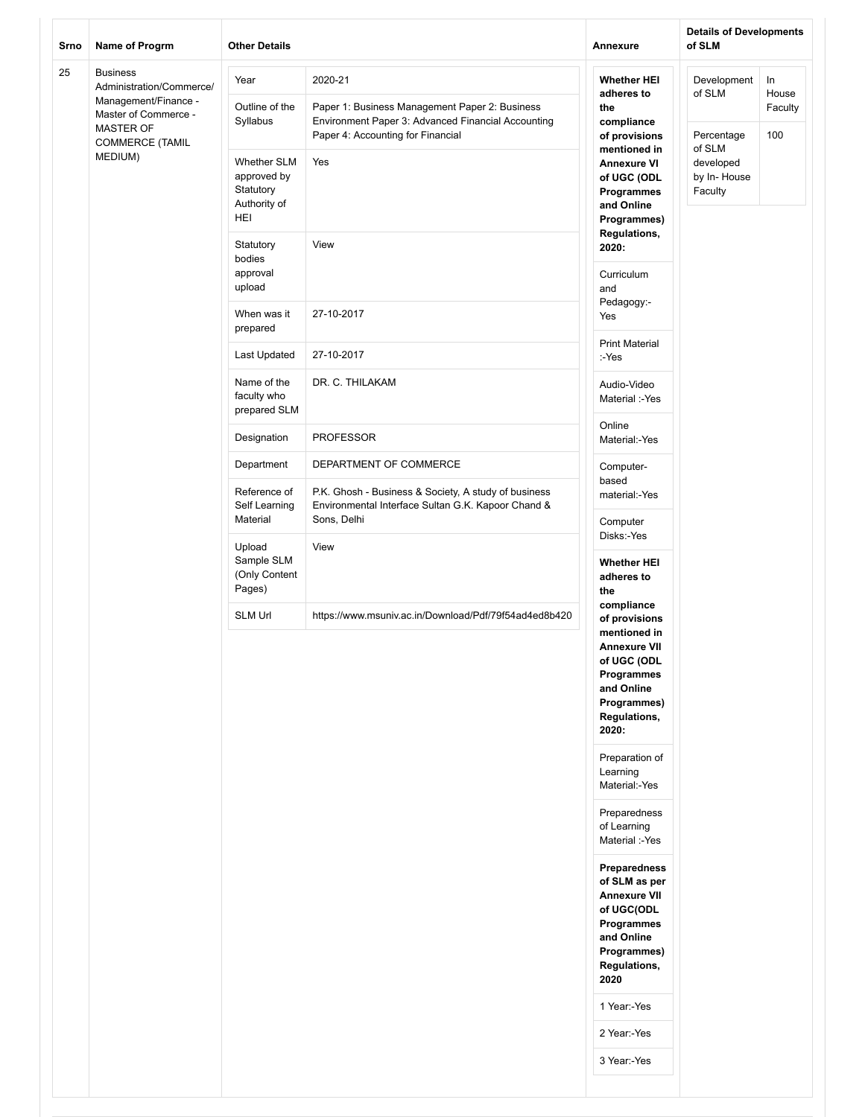| Srno | Name of Progrm                                                                                                  | <b>Other Details</b>                                           |                                                                                                                           | Annexure                                                                                                                                              | <b>Details of Developments</b><br>of SLM                    |                        |
|------|-----------------------------------------------------------------------------------------------------------------|----------------------------------------------------------------|---------------------------------------------------------------------------------------------------------------------------|-------------------------------------------------------------------------------------------------------------------------------------------------------|-------------------------------------------------------------|------------------------|
| 25   | <b>Business</b><br>Administration/Commerce/<br>Management/Finance -<br>Master of Commerce -<br><b>MASTER OF</b> | Year<br>Outline of the<br>Syllabus                             | 2020-21<br>Paper 1: Business Management Paper 2: Business<br>Environment Paper 3: Advanced Financial Accounting           | <b>Whether HEI</b><br>adheres to<br>the<br>compliance                                                                                                 | Development<br>of SLM                                       | In<br>House<br>Faculty |
|      | <b>COMMERCE (TAMIL</b><br>MEDIUM)                                                                               | Whether SLM<br>approved by<br>Statutory<br>Authority of<br>HEI | Paper 4: Accounting for Financial<br>Yes                                                                                  | of provisions<br>mentioned in<br><b>Annexure VI</b><br>of UGC (ODL<br>Programmes<br>and Online<br>Programmes)                                         | Percentage<br>of SLM<br>developed<br>by In-House<br>Faculty | 100                    |
|      |                                                                                                                 | Statutory<br>bodies<br>approval<br>upload                      | View                                                                                                                      | Regulations,<br>2020:<br>Curriculum<br>and                                                                                                            |                                                             |                        |
|      |                                                                                                                 | When was it<br>prepared                                        | 27-10-2017                                                                                                                | Pedagogy:-<br>Yes                                                                                                                                     |                                                             |                        |
|      |                                                                                                                 | Last Updated                                                   | 27-10-2017                                                                                                                | <b>Print Material</b><br>:-Yes                                                                                                                        |                                                             |                        |
|      |                                                                                                                 | Name of the<br>faculty who<br>prepared SLM                     | DR. C. THILAKAM                                                                                                           | Audio-Video<br>Material :-Yes                                                                                                                         |                                                             |                        |
|      |                                                                                                                 | Designation                                                    | <b>PROFESSOR</b>                                                                                                          | Online<br>Material:-Yes                                                                                                                               |                                                             |                        |
|      |                                                                                                                 | Department                                                     | DEPARTMENT OF COMMERCE                                                                                                    | Computer-                                                                                                                                             |                                                             |                        |
|      |                                                                                                                 | Reference of<br>Self Learning<br>Material                      | P.K. Ghosh - Business & Society, A study of business<br>Environmental Interface Sultan G.K. Kapoor Chand &<br>Sons, Delhi | based<br>material:-Yes<br>Computer                                                                                                                    |                                                             |                        |
|      |                                                                                                                 | Upload                                                         | View                                                                                                                      | Disks:-Yes                                                                                                                                            |                                                             |                        |
|      |                                                                                                                 | Sample SLM<br>(Only Content<br>Pages)                          |                                                                                                                           | <b>Whether HEI</b><br>adheres to<br>the                                                                                                               |                                                             |                        |
|      |                                                                                                                 | <b>SLM Url</b>                                                 | https://www.msuniv.ac.in/Download/Pdf/79f54ad4ed8b420                                                                     | compliance<br>of provisions<br>mentioned in<br><b>Annexure VII</b><br>of UGC (ODL<br>Programmes<br>and Online<br>Programmes)<br>Regulations,<br>2020: |                                                             |                        |
|      |                                                                                                                 |                                                                |                                                                                                                           | Preparation of<br>Learning<br>Material:-Yes                                                                                                           |                                                             |                        |
|      |                                                                                                                 |                                                                |                                                                                                                           | Preparedness<br>of Learning<br>Material :-Yes                                                                                                         |                                                             |                        |
|      |                                                                                                                 |                                                                |                                                                                                                           | Preparedness<br>of SLM as per<br><b>Annexure VII</b><br>of UGC(ODL<br>Programmes<br>and Online<br>Programmes)<br>Regulations,<br>2020<br>1 Year:-Yes  |                                                             |                        |
|      |                                                                                                                 |                                                                |                                                                                                                           | 2 Year:-Yes                                                                                                                                           |                                                             |                        |
|      |                                                                                                                 |                                                                |                                                                                                                           | 3 Year:-Yes                                                                                                                                           |                                                             |                        |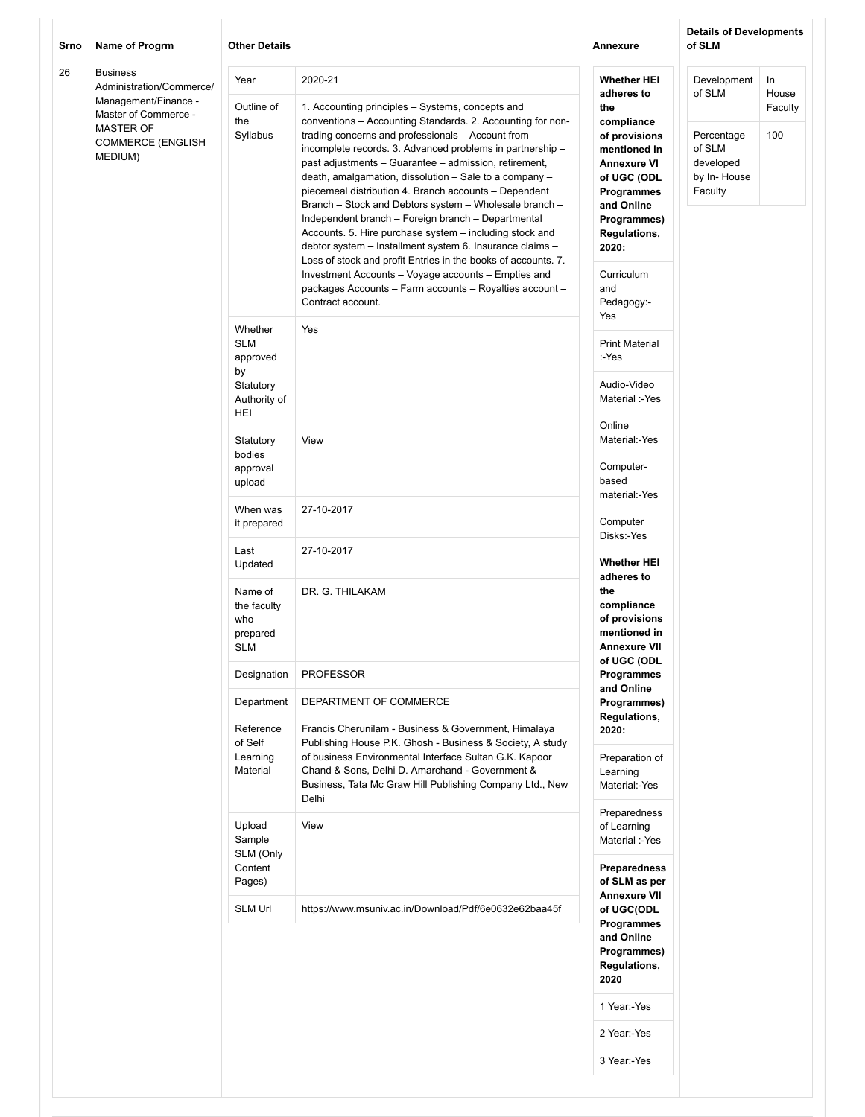| Srno | Name of Progrm                                                                                                                                         | <b>Other Details</b>                                                        |                                                                                                                                                                                                                                                                                                                                                                                                                                                                                                                                                                                                                                                                                                                                                                                                                                                                        | Annexure                                                                                                                                                                                                                                  | <b>Details of Developments</b><br>of SLM                                             |                               |
|------|--------------------------------------------------------------------------------------------------------------------------------------------------------|-----------------------------------------------------------------------------|------------------------------------------------------------------------------------------------------------------------------------------------------------------------------------------------------------------------------------------------------------------------------------------------------------------------------------------------------------------------------------------------------------------------------------------------------------------------------------------------------------------------------------------------------------------------------------------------------------------------------------------------------------------------------------------------------------------------------------------------------------------------------------------------------------------------------------------------------------------------|-------------------------------------------------------------------------------------------------------------------------------------------------------------------------------------------------------------------------------------------|--------------------------------------------------------------------------------------|-------------------------------|
| 26   | <b>Business</b><br>Administration/Commerce/<br>Management/Finance -<br>Master of Commerce -<br><b>MASTER OF</b><br><b>COMMERCE (ENGLISH</b><br>MEDIUM) | Year<br>Outline of<br>the<br>Syllabus                                       | 2020-21<br>1. Accounting principles - Systems, concepts and<br>conventions - Accounting Standards. 2. Accounting for non-<br>trading concerns and professionals - Account from<br>incomplete records. 3. Advanced problems in partnership -<br>past adjustments - Guarantee - admission, retirement,<br>death, amalgamation, dissolution - Sale to a company -<br>piecemeal distribution 4. Branch accounts - Dependent<br>Branch - Stock and Debtors system - Wholesale branch -<br>Independent branch - Foreign branch - Departmental<br>Accounts. 5. Hire purchase system - including stock and<br>debtor system - Installment system 6. Insurance claims -<br>Loss of stock and profit Entries in the books of accounts. 7.<br>Investment Accounts - Voyage accounts - Empties and<br>packages Accounts - Farm accounts - Royalties account -<br>Contract account. | <b>Whether HEI</b><br>adheres to<br>the<br>compliance<br>of provisions<br>mentioned in<br><b>Annexure VI</b><br>of UGC (ODL<br>Programmes<br>and Online<br>Programmes)<br><b>Regulations,</b><br>2020:<br>Curriculum<br>and<br>Pedagogy:- | Development<br>of SLM<br>Percentage<br>of SLM<br>developed<br>by In-House<br>Faculty | In<br>House<br>Faculty<br>100 |
|      |                                                                                                                                                        | Whether<br><b>SLM</b><br>approved<br>by<br>Statutory<br>Authority of<br>HEI | Yes                                                                                                                                                                                                                                                                                                                                                                                                                                                                                                                                                                                                                                                                                                                                                                                                                                                                    | Yes<br><b>Print Material</b><br>:-Yes<br>Audio-Video<br>Material :-Yes                                                                                                                                                                    |                                                                                      |                               |
|      |                                                                                                                                                        | Statutory<br>bodies<br>approval<br>upload                                   | View                                                                                                                                                                                                                                                                                                                                                                                                                                                                                                                                                                                                                                                                                                                                                                                                                                                                   | Online<br>Material:-Yes<br>Computer-<br>based<br>material:-Yes                                                                                                                                                                            |                                                                                      |                               |
|      |                                                                                                                                                        | When was<br>it prepared                                                     | 27-10-2017                                                                                                                                                                                                                                                                                                                                                                                                                                                                                                                                                                                                                                                                                                                                                                                                                                                             | Computer<br>Disks:-Yes                                                                                                                                                                                                                    |                                                                                      |                               |
|      |                                                                                                                                                        | Last<br>Updated<br>Name of<br>the faculty<br>who<br>prepared<br><b>SLM</b>  | 27-10-2017<br>DR. G. THILAKAM                                                                                                                                                                                                                                                                                                                                                                                                                                                                                                                                                                                                                                                                                                                                                                                                                                          | <b>Whether HEI</b><br>adheres to<br>the<br>compliance<br>of provisions<br>mentioned in<br><b>Annexure VII</b>                                                                                                                             |                                                                                      |                               |
|      |                                                                                                                                                        | Designation                                                                 | <b>PROFESSOR</b>                                                                                                                                                                                                                                                                                                                                                                                                                                                                                                                                                                                                                                                                                                                                                                                                                                                       | of UGC (ODL<br>Programmes                                                                                                                                                                                                                 |                                                                                      |                               |
|      |                                                                                                                                                        | Department<br>Reference                                                     | DEPARTMENT OF COMMERCE<br>Francis Cherunilam - Business & Government, Himalaya                                                                                                                                                                                                                                                                                                                                                                                                                                                                                                                                                                                                                                                                                                                                                                                         | and Online<br>Programmes)<br>Regulations,<br>2020:                                                                                                                                                                                        |                                                                                      |                               |
|      |                                                                                                                                                        | of Self<br>Learning<br>Material                                             | Publishing House P.K. Ghosh - Business & Society, A study<br>of business Environmental Interface Sultan G.K. Kapoor<br>Chand & Sons, Delhi D. Amarchand - Government &<br>Business, Tata Mc Graw Hill Publishing Company Ltd., New<br>Delhi                                                                                                                                                                                                                                                                                                                                                                                                                                                                                                                                                                                                                            | Preparation of<br>Learning<br>Material:-Yes<br>Preparedness                                                                                                                                                                               |                                                                                      |                               |
|      |                                                                                                                                                        | Upload<br>Sample<br>SLM (Only<br>Content<br>Pages)                          | View                                                                                                                                                                                                                                                                                                                                                                                                                                                                                                                                                                                                                                                                                                                                                                                                                                                                   | of Learning<br>Material :-Yes<br>Preparedness<br>of SLM as per                                                                                                                                                                            |                                                                                      |                               |
|      |                                                                                                                                                        | <b>SLM Url</b>                                                              | https://www.msuniv.ac.in/Download/Pdf/6e0632e62baa45f                                                                                                                                                                                                                                                                                                                                                                                                                                                                                                                                                                                                                                                                                                                                                                                                                  | <b>Annexure VII</b><br>of UGC(ODL<br>Programmes<br>and Online<br>Programmes)<br>Regulations,<br>2020                                                                                                                                      |                                                                                      |                               |
|      |                                                                                                                                                        |                                                                             |                                                                                                                                                                                                                                                                                                                                                                                                                                                                                                                                                                                                                                                                                                                                                                                                                                                                        | 1 Year:-Yes<br>2 Year:-Yes                                                                                                                                                                                                                |                                                                                      |                               |
|      |                                                                                                                                                        |                                                                             |                                                                                                                                                                                                                                                                                                                                                                                                                                                                                                                                                                                                                                                                                                                                                                                                                                                                        | 3 Year:-Yes                                                                                                                                                                                                                               |                                                                                      |                               |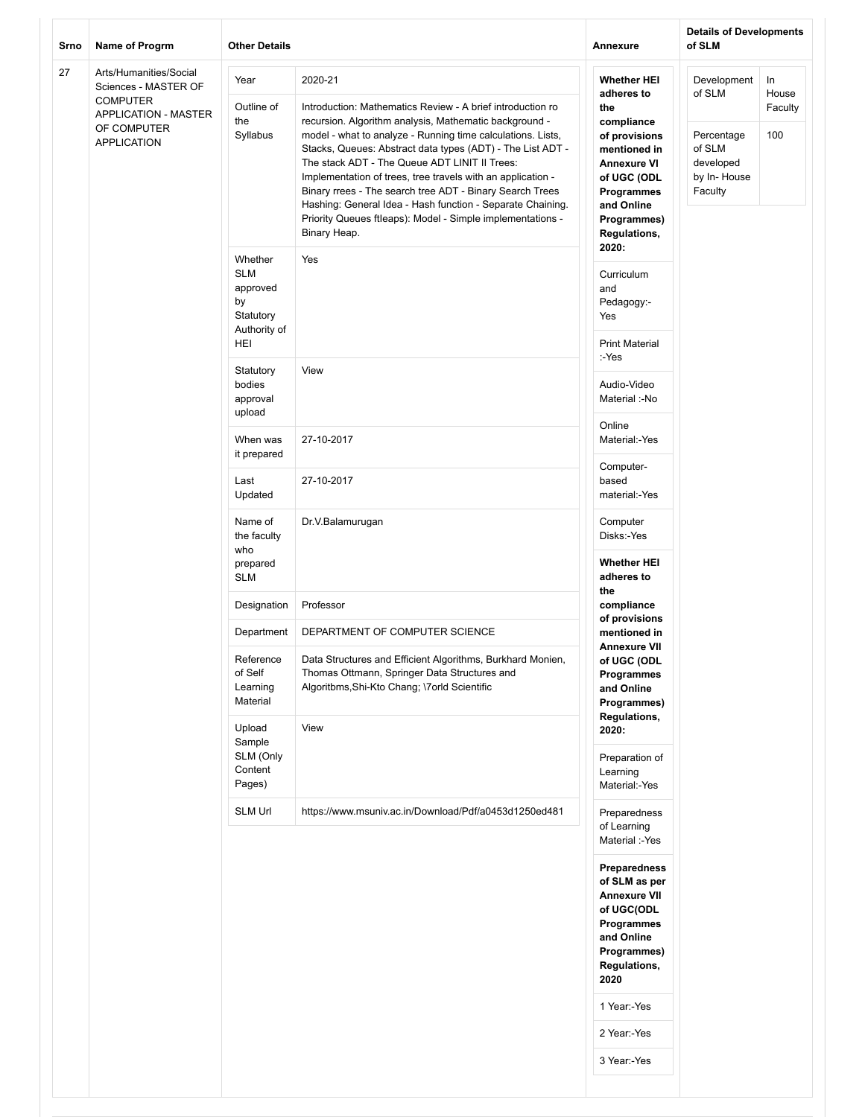| Srno | <b>Other Details</b><br>Name of Progrm                                                                                         |                                                                             |                                                                                                                                                                                                                                                                                                                                                                                                                                                                                                                                                                                      | Annexure                                                                                                                                                                               | <b>Details of Developments</b><br>of SLM                                             |                                |
|------|--------------------------------------------------------------------------------------------------------------------------------|-----------------------------------------------------------------------------|--------------------------------------------------------------------------------------------------------------------------------------------------------------------------------------------------------------------------------------------------------------------------------------------------------------------------------------------------------------------------------------------------------------------------------------------------------------------------------------------------------------------------------------------------------------------------------------|----------------------------------------------------------------------------------------------------------------------------------------------------------------------------------------|--------------------------------------------------------------------------------------|--------------------------------|
| 27   | Arts/Humanities/Social<br>Sciences - MASTER OF<br><b>COMPUTER</b><br>APPLICATION - MASTER<br>OF COMPUTER<br><b>APPLICATION</b> | Year<br>Outline of<br>the<br>Syllabus                                       | 2020-21<br>Introduction: Mathematics Review - A brief introduction ro<br>recursion. Algorithm analysis, Mathematic background -<br>model - what to analyze - Running time calculations. Lists,<br>Stacks, Queues: Abstract data types (ADT) - The List ADT -<br>The stack ADT - The Queue ADT LINIT II Trees:<br>Implementation of trees, tree travels with an application -<br>Binary rrees - The search tree ADT - Binary Search Trees<br>Hashing: General Idea - Hash function - Separate Chaining.<br>Priority Queues ftleaps): Model - Simple implementations -<br>Binary Heap. | <b>Whether HEI</b><br>adheres to<br>the<br>compliance<br>of provisions<br>mentioned in<br><b>Annexure VI</b><br>of UGC (ODL<br>Programmes<br>and Online<br>Programmes)<br>Regulations, | Development<br>of SLM<br>Percentage<br>of SLM<br>developed<br>by In-House<br>Faculty | In.<br>House<br>Faculty<br>100 |
|      |                                                                                                                                | Whether<br><b>SLM</b><br>approved<br>by<br>Statutory<br>Authority of<br>HEI | Yes                                                                                                                                                                                                                                                                                                                                                                                                                                                                                                                                                                                  | 2020:<br>Curriculum<br>and<br>Pedagogy:-<br>Yes<br><b>Print Material</b>                                                                                                               |                                                                                      |                                |
|      |                                                                                                                                | Statutory<br>bodies<br>approval<br>upload                                   | View                                                                                                                                                                                                                                                                                                                                                                                                                                                                                                                                                                                 | :-Yes<br>Audio-Video<br>Material :-No                                                                                                                                                  |                                                                                      |                                |
|      |                                                                                                                                | When was<br>it prepared                                                     | 27-10-2017                                                                                                                                                                                                                                                                                                                                                                                                                                                                                                                                                                           | Online<br>Material:-Yes                                                                                                                                                                |                                                                                      |                                |
|      |                                                                                                                                | Last<br>Updated                                                             | 27-10-2017                                                                                                                                                                                                                                                                                                                                                                                                                                                                                                                                                                           | Computer-<br>based<br>material:-Yes                                                                                                                                                    |                                                                                      |                                |
|      |                                                                                                                                | Name of<br>the faculty<br>who<br>prepared<br><b>SLM</b>                     | Dr.V.Balamurugan                                                                                                                                                                                                                                                                                                                                                                                                                                                                                                                                                                     | Computer<br>Disks:-Yes<br><b>Whether HEI</b><br>adheres to                                                                                                                             |                                                                                      |                                |
|      |                                                                                                                                | Designation                                                                 | Professor                                                                                                                                                                                                                                                                                                                                                                                                                                                                                                                                                                            | the<br>compliance                                                                                                                                                                      |                                                                                      |                                |
|      |                                                                                                                                | Department                                                                  | DEPARTMENT OF COMPUTER SCIENCE                                                                                                                                                                                                                                                                                                                                                                                                                                                                                                                                                       | of provisions<br>mentioned in                                                                                                                                                          |                                                                                      |                                |
|      |                                                                                                                                | Reference<br>of Self<br>Learning<br>Material<br>Upload                      | Data Structures and Efficient Algorithms, Burkhard Monien,<br>Thomas Ottmann, Springer Data Structures and<br>Algoritbms, Shi-Kto Chang; \7orld Scientific<br>View                                                                                                                                                                                                                                                                                                                                                                                                                   | <b>Annexure VII</b><br>of UGC (ODL<br>Programmes<br>and Online<br>Programmes)<br>Regulations,<br>2020:                                                                                 |                                                                                      |                                |
|      |                                                                                                                                | Sample<br>SLM (Only<br>Content<br>Pages)                                    |                                                                                                                                                                                                                                                                                                                                                                                                                                                                                                                                                                                      | Preparation of<br>Learning<br>Material:-Yes                                                                                                                                            |                                                                                      |                                |
|      |                                                                                                                                | <b>SLM Url</b>                                                              | https://www.msuniv.ac.in/Download/Pdf/a0453d1250ed481                                                                                                                                                                                                                                                                                                                                                                                                                                                                                                                                | Preparedness<br>of Learning<br>Material :-Yes                                                                                                                                          |                                                                                      |                                |
|      |                                                                                                                                |                                                                             |                                                                                                                                                                                                                                                                                                                                                                                                                                                                                                                                                                                      | Preparedness<br>of SLM as per<br><b>Annexure VII</b><br>of UGC(ODL<br>Programmes<br>and Online<br>Programmes)<br>Regulations,<br>2020<br>1 Year:-Yes<br>2 Year:-Yes                    |                                                                                      |                                |
|      |                                                                                                                                |                                                                             |                                                                                                                                                                                                                                                                                                                                                                                                                                                                                                                                                                                      | 3 Year:-Yes                                                                                                                                                                            |                                                                                      |                                |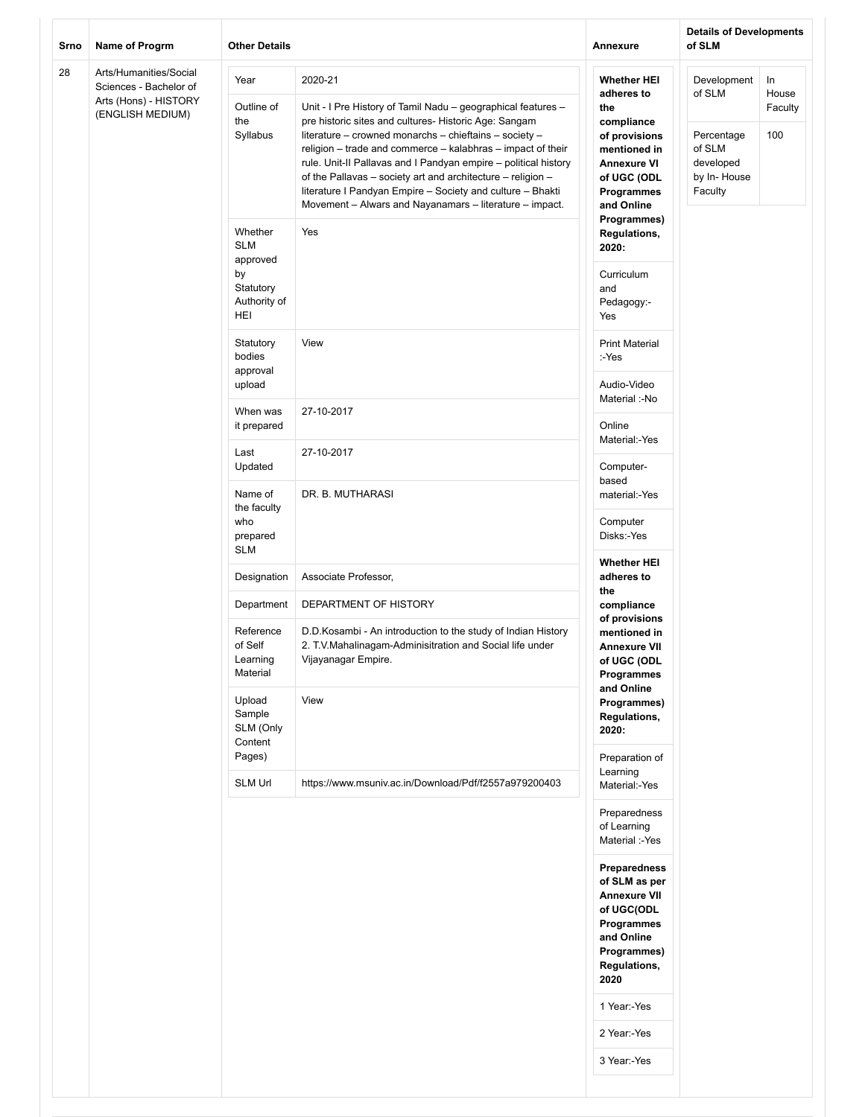| Srno | <b>Other Details</b><br>Name of Progrm                                                        |                                                                             |                                                                                                                                                                                                                                                                                                                                                                                                                                                                                                                      | Annexure                                                                                                                                                    | <b>Details of Developments</b><br>of SLM                                             |                               |  |  |
|------|-----------------------------------------------------------------------------------------------|-----------------------------------------------------------------------------|----------------------------------------------------------------------------------------------------------------------------------------------------------------------------------------------------------------------------------------------------------------------------------------------------------------------------------------------------------------------------------------------------------------------------------------------------------------------------------------------------------------------|-------------------------------------------------------------------------------------------------------------------------------------------------------------|--------------------------------------------------------------------------------------|-------------------------------|--|--|
| 28   | Arts/Humanities/Social<br>Sciences - Bachelor of<br>Arts (Hons) - HISTORY<br>(ENGLISH MEDIUM) | Year<br>Outline of<br>the<br>Syllabus                                       | 2020-21<br>Unit - I Pre History of Tamil Nadu - geographical features -<br>pre historic sites and cultures- Historic Age: Sangam<br>literature - crowned monarchs - chieftains - society -<br>religion - trade and commerce - kalabhras - impact of their<br>rule. Unit-II Pallavas and I Pandyan empire - political history<br>of the Pallavas - society art and architecture - religion -<br>literature I Pandyan Empire - Society and culture - Bhakti<br>Movement - Alwars and Nayanamars - literature - impact. | <b>Whether HEI</b><br>adheres to<br>the<br>compliance<br>of provisions<br>mentioned in<br>Annexure VI<br>of UGC (ODL<br>Programmes<br>and Online            | Development<br>of SLM<br>Percentage<br>of SLM<br>developed<br>by In-House<br>Faculty | In<br>House<br>Faculty<br>100 |  |  |
|      |                                                                                               | Whether<br><b>SLM</b><br>approved<br>by<br>Statutory<br>Authority of<br>HEI | Yes                                                                                                                                                                                                                                                                                                                                                                                                                                                                                                                  | Programmes)<br><b>Regulations,</b><br>2020:<br>Curriculum<br>and<br>Pedagogy:-<br>Yes                                                                       |                                                                                      |                               |  |  |
|      |                                                                                               | Statutory<br>bodies<br>approval<br>upload                                   | View                                                                                                                                                                                                                                                                                                                                                                                                                                                                                                                 | <b>Print Material</b><br>:-Yes<br>Audio-Video                                                                                                               |                                                                                      |                               |  |  |
|      |                                                                                               | When was<br>it prepared                                                     | 27-10-2017                                                                                                                                                                                                                                                                                                                                                                                                                                                                                                           | Material :-No<br>Online<br>Material:-Yes                                                                                                                    |                                                                                      |                               |  |  |
|      |                                                                                               | Last<br>Updated                                                             | 27-10-2017                                                                                                                                                                                                                                                                                                                                                                                                                                                                                                           | Computer-<br>based                                                                                                                                          |                                                                                      |                               |  |  |
|      |                                                                                               | Name of<br>the faculty<br>who<br>prepared<br><b>SLM</b>                     | DR. B. MUTHARASI                                                                                                                                                                                                                                                                                                                                                                                                                                                                                                     | material:-Yes<br>Computer<br>Disks:-Yes                                                                                                                     |                                                                                      |                               |  |  |
|      |                                                                                               | Designation                                                                 | Associate Professor,                                                                                                                                                                                                                                                                                                                                                                                                                                                                                                 | <b>Whether HEI</b><br>adheres to                                                                                                                            |                                                                                      |                               |  |  |
|      |                                                                                               | Department                                                                  | DEPARTMENT OF HISTORY                                                                                                                                                                                                                                                                                                                                                                                                                                                                                                | the<br>compliance                                                                                                                                           |                                                                                      |                               |  |  |
|      |                                                                                               | Reference<br>of Self<br>Learning<br>Material                                | D.D.Kosambi - An introduction to the study of Indian History<br>2. T.V.Mahalinagam-Adminisitration and Social life under<br>Vijayanagar Empire.                                                                                                                                                                                                                                                                                                                                                                      | of provisions<br>mentioned in<br><b>Annexure VII</b><br>of UGC (ODL<br><b>Programmes</b><br>and Online                                                      |                                                                                      |                               |  |  |
|      |                                                                                               | Upload<br>Sample<br>SLM (Only<br>Content                                    | View                                                                                                                                                                                                                                                                                                                                                                                                                                                                                                                 | Programmes)<br>Regulations,<br>2020:                                                                                                                        |                                                                                      |                               |  |  |
|      |                                                                                               | Pages)<br><b>SLM Url</b>                                                    | https://www.msuniv.ac.in/Download/Pdf/f2557a979200403                                                                                                                                                                                                                                                                                                                                                                                                                                                                | Preparation of<br>Learning<br>Material:-Yes                                                                                                                 |                                                                                      |                               |  |  |
|      |                                                                                               |                                                                             |                                                                                                                                                                                                                                                                                                                                                                                                                                                                                                                      | Preparedness<br>of Learning<br>Material :-Yes                                                                                                               |                                                                                      |                               |  |  |
|      |                                                                                               |                                                                             |                                                                                                                                                                                                                                                                                                                                                                                                                                                                                                                      | <b>Preparedness</b><br>of SLM as per<br><b>Annexure VII</b><br>of UGC(ODL<br>Programmes<br>and Online<br>Programmes)<br>Regulations,<br>2020<br>1 Year:-Yes |                                                                                      |                               |  |  |
|      |                                                                                               |                                                                             |                                                                                                                                                                                                                                                                                                                                                                                                                                                                                                                      | 2 Year:-Yes<br>3 Year:-Yes                                                                                                                                  |                                                                                      |                               |  |  |
|      |                                                                                               |                                                                             |                                                                                                                                                                                                                                                                                                                                                                                                                                                                                                                      |                                                                                                                                                             |                                                                                      |                               |  |  |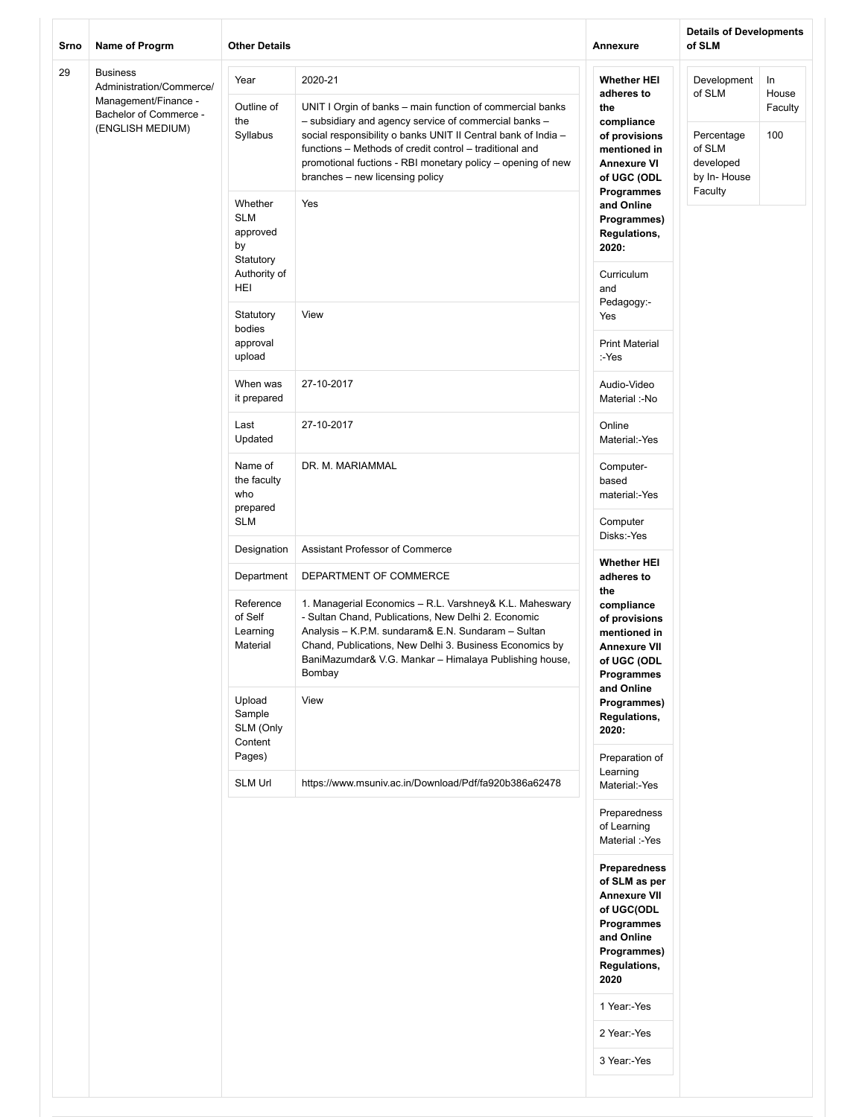| Srno | Name of Progrm<br><b>Other Details</b>                                                                            |                                                                             |                                                                                                                                                                                                                                                                                                                                                             | Annexure                                                                                                                                                                                                                                   | <b>Details of Developments</b><br>of SLM                                  |                               |
|------|-------------------------------------------------------------------------------------------------------------------|-----------------------------------------------------------------------------|-------------------------------------------------------------------------------------------------------------------------------------------------------------------------------------------------------------------------------------------------------------------------------------------------------------------------------------------------------------|--------------------------------------------------------------------------------------------------------------------------------------------------------------------------------------------------------------------------------------------|---------------------------------------------------------------------------|-------------------------------|
| 29   | <b>Business</b><br>Administration/Commerce/<br>Management/Finance -<br>Bachelor of Commerce -<br>(ENGLISH MEDIUM) | Year<br>Outline of<br>the<br>Syllabus                                       | 2020-21<br>UNIT I Orgin of banks - main function of commercial banks<br>- subsidiary and agency service of commercial banks -<br>social responsibility o banks UNIT II Central bank of India -<br>functions - Methods of credit control - traditional and<br>promotional fuctions - RBI monetary policy - opening of new<br>branches - new licensing policy | <b>Whether HEI</b><br>adheres to<br>the<br>compliance<br>of provisions<br>mentioned in<br><b>Annexure VI</b><br>of UGC (ODL                                                                                                                | Development<br>of SLM<br>Percentage<br>of SLM<br>developed<br>by In-House | In<br>House<br>Faculty<br>100 |
|      |                                                                                                                   | Whether<br><b>SLM</b><br>approved<br>by<br>Statutory<br>Authority of<br>HEI | Yes                                                                                                                                                                                                                                                                                                                                                         | Programmes<br>and Online<br>Programmes)<br><b>Regulations,</b><br>2020:<br>Curriculum<br>and                                                                                                                                               | Faculty                                                                   |                               |
|      |                                                                                                                   | Statutory<br>bodies<br>approval<br>upload                                   | View                                                                                                                                                                                                                                                                                                                                                        | Pedagogy:-<br>Yes<br><b>Print Material</b><br>:-Yes                                                                                                                                                                                        |                                                                           |                               |
|      |                                                                                                                   | When was<br>it prepared                                                     | 27-10-2017                                                                                                                                                                                                                                                                                                                                                  | Audio-Video<br>Material :-No                                                                                                                                                                                                               |                                                                           |                               |
|      |                                                                                                                   | Last<br>Updated                                                             | 27-10-2017                                                                                                                                                                                                                                                                                                                                                  | Online<br>Material:-Yes                                                                                                                                                                                                                    |                                                                           |                               |
|      |                                                                                                                   | Name of<br>the faculty<br>who<br>prepared<br><b>SLM</b>                     | DR. M. MARIAMMAL                                                                                                                                                                                                                                                                                                                                            | Computer-<br>based<br>material:-Yes<br>Computer                                                                                                                                                                                            |                                                                           |                               |
|      |                                                                                                                   | Designation                                                                 | Assistant Professor of Commerce                                                                                                                                                                                                                                                                                                                             | Disks:-Yes                                                                                                                                                                                                                                 |                                                                           |                               |
|      |                                                                                                                   | Department<br>Reference<br>of Self<br>Learning<br>Material                  | DEPARTMENT OF COMMERCE<br>1. Managerial Economics - R.L. Varshney& K.L. Maheswary<br>- Sultan Chand, Publications, New Delhi 2. Economic<br>Analysis - K.P.M. sundaram& E.N. Sundaram - Sultan<br>Chand, Publications, New Delhi 3. Business Economics by<br>BaniMazumdar& V.G. Mankar - Himalaya Publishing house,<br>Bombay                               | <b>Whether HEI</b><br>adheres to<br>the<br>compliance<br>of provisions<br>mentioned in<br><b>Annexure VII</b><br>of UGC (ODL<br>Programmes                                                                                                 |                                                                           |                               |
|      |                                                                                                                   | Upload<br>Sample<br>SLM (Only<br>Content                                    | View                                                                                                                                                                                                                                                                                                                                                        | and Online<br>Programmes)<br>Regulations,<br>2020:                                                                                                                                                                                         |                                                                           |                               |
|      |                                                                                                                   | Pages)<br>SLM Url                                                           | https://www.msuniv.ac.in/Download/Pdf/fa920b386a62478                                                                                                                                                                                                                                                                                                       | Preparation of<br>Learning<br>Material:-Yes                                                                                                                                                                                                |                                                                           |                               |
|      |                                                                                                                   |                                                                             |                                                                                                                                                                                                                                                                                                                                                             | Preparedness<br>of Learning<br>Material :-Yes<br><b>Preparedness</b><br>of SLM as per<br><b>Annexure VII</b><br>of UGC(ODL<br>Programmes<br>and Online<br>Programmes)<br>Regulations,<br>2020<br>1 Year:-Yes<br>2 Year:-Yes<br>3 Year:-Yes |                                                                           |                               |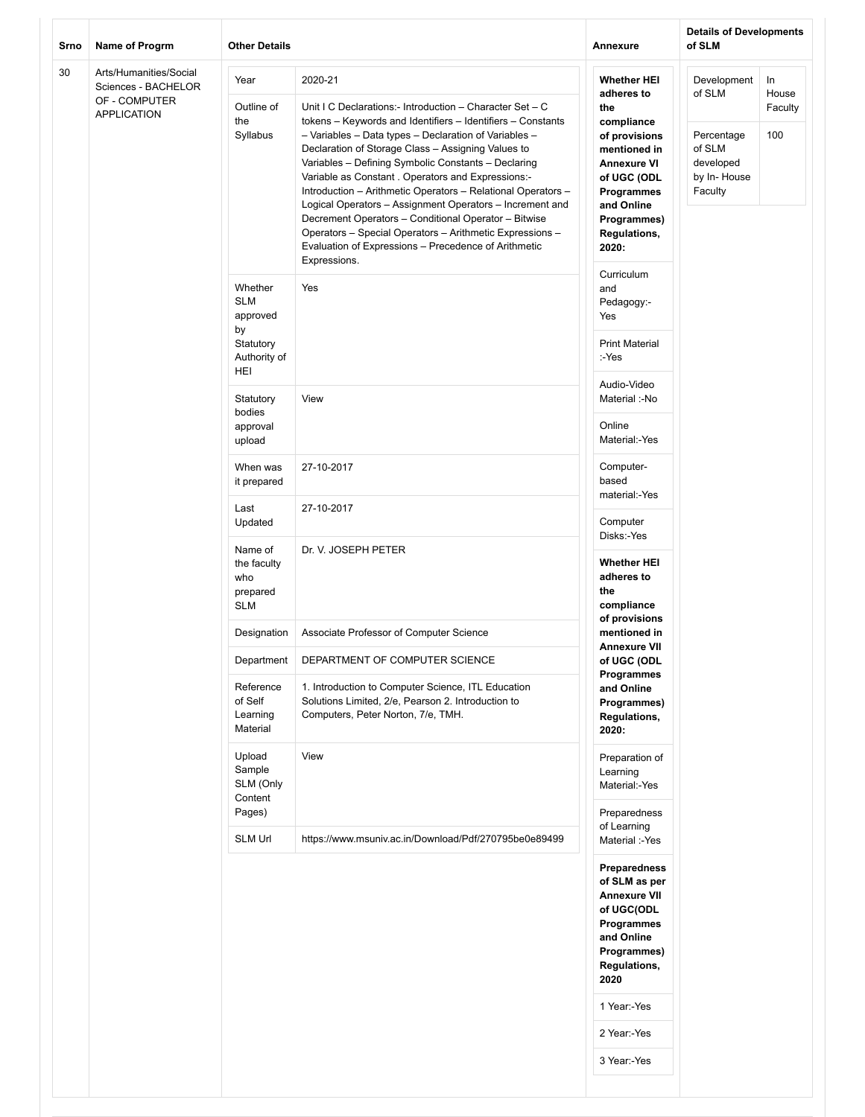| Srno<br>Name of Progrm |                                                                                      | <b>Other Details</b>                                                               |                                                                                                                                                                                                                                                                                                                                                                                                                                                                                                                                                                                                                                                                                        | Annexure                                                                                                                                                                                                             | <b>Details of Developments</b><br>of SLM                                             |                               |  |
|------------------------|--------------------------------------------------------------------------------------|------------------------------------------------------------------------------------|----------------------------------------------------------------------------------------------------------------------------------------------------------------------------------------------------------------------------------------------------------------------------------------------------------------------------------------------------------------------------------------------------------------------------------------------------------------------------------------------------------------------------------------------------------------------------------------------------------------------------------------------------------------------------------------|----------------------------------------------------------------------------------------------------------------------------------------------------------------------------------------------------------------------|--------------------------------------------------------------------------------------|-------------------------------|--|
| 30                     | Arts/Humanities/Social<br>Sciences - BACHELOR<br>OF - COMPUTER<br><b>APPLICATION</b> | Year<br>Outline of<br>the<br>Syllabus                                              | 2020-21<br>Unit I C Declarations:- Introduction - Character Set - C<br>tokens - Keywords and Identifiers - Identifiers - Constants<br>- Variables - Data types - Declaration of Variables -<br>Declaration of Storage Class - Assigning Values to<br>Variables - Defining Symbolic Constants - Declaring<br>Variable as Constant . Operators and Expressions:-<br>Introduction - Arithmetic Operators - Relational Operators -<br>Logical Operators - Assignment Operators - Increment and<br>Decrement Operators - Conditional Operator - Bitwise<br>Operators - Special Operators - Arithmetic Expressions -<br>Evaluation of Expressions - Precedence of Arithmetic<br>Expressions. | <b>Whether HEI</b><br>adheres to<br>the<br>compliance<br>of provisions<br>mentioned in<br><b>Annexure VI</b><br>of UGC (ODL<br><b>Programmes</b><br>and Online<br>Programmes)<br>Regulations,<br>2020:<br>Curriculum | Development<br>of SLM<br>Percentage<br>of SLM<br>developed<br>by In-House<br>Faculty | In<br>House<br>Faculty<br>100 |  |
|                        |                                                                                      | Whether<br><b>SLM</b><br>approved<br>by<br>Statutory<br>Authority of<br><b>HEI</b> | Yes                                                                                                                                                                                                                                                                                                                                                                                                                                                                                                                                                                                                                                                                                    | and<br>Pedagogy:-<br>Yes<br><b>Print Material</b><br>:-Yes                                                                                                                                                           |                                                                                      |                               |  |
|                        |                                                                                      | Statutory<br>bodies<br>approval<br>upload                                          | View                                                                                                                                                                                                                                                                                                                                                                                                                                                                                                                                                                                                                                                                                   | Audio-Video<br>Material :-No<br>Online<br>Material:-Yes                                                                                                                                                              |                                                                                      |                               |  |
|                        |                                                                                      |                                                                                    | When was<br>it prepared                                                                                                                                                                                                                                                                                                                                                                                                                                                                                                                                                                                                                                                                | 27-10-2017                                                                                                                                                                                                           | Computer-<br>based<br>material:-Yes                                                  |                               |  |
|                        |                                                                                      | Last<br>Updated                                                                    | 27-10-2017                                                                                                                                                                                                                                                                                                                                                                                                                                                                                                                                                                                                                                                                             | Computer<br>Disks:-Yes                                                                                                                                                                                               |                                                                                      |                               |  |
|                        |                                                                                      | Name of<br>the faculty<br>who<br>prepared<br><b>SLM</b>                            | Dr. V. JOSEPH PETER                                                                                                                                                                                                                                                                                                                                                                                                                                                                                                                                                                                                                                                                    | <b>Whether HEI</b><br>adheres to<br>the<br>compliance<br>of provisions                                                                                                                                               |                                                                                      |                               |  |
|                        |                                                                                      | Designation                                                                        | Associate Professor of Computer Science                                                                                                                                                                                                                                                                                                                                                                                                                                                                                                                                                                                                                                                | mentioned in<br><b>Annexure VII</b>                                                                                                                                                                                  |                                                                                      |                               |  |
|                        |                                                                                      | Department<br>Reference<br>of Self<br>Learning<br>Material                         | DEPARTMENT OF COMPUTER SCIENCE<br>1. Introduction to Computer Science, ITL Education<br>Solutions Limited, 2/e, Pearson 2. Introduction to<br>Computers, Peter Norton, 7/e, TMH.                                                                                                                                                                                                                                                                                                                                                                                                                                                                                                       | of UGC (ODL<br>Programmes<br>and Online<br>Programmes)<br>Regulations,<br>2020:                                                                                                                                      |                                                                                      |                               |  |
|                        |                                                                                      | Upload<br>Sample<br>SLM (Only<br>Content<br>Pages)                                 | View                                                                                                                                                                                                                                                                                                                                                                                                                                                                                                                                                                                                                                                                                   | Preparation of<br>Learning<br>Material:-Yes<br>Preparedness<br>of Learning                                                                                                                                           |                                                                                      |                               |  |
|                        |                                                                                      | SLM Url                                                                            | https://www.msuniv.ac.in/Download/Pdf/270795be0e89499                                                                                                                                                                                                                                                                                                                                                                                                                                                                                                                                                                                                                                  | Material :-Yes<br>Preparedness<br>of SLM as per<br><b>Annexure VII</b><br>of UGC(ODL<br>Programmes<br>and Online<br>Programmes)<br><b>Regulations,</b><br>2020<br>1 Year:-Yes<br>2 Year:-Yes<br>3 Year:-Yes          |                                                                                      |                               |  |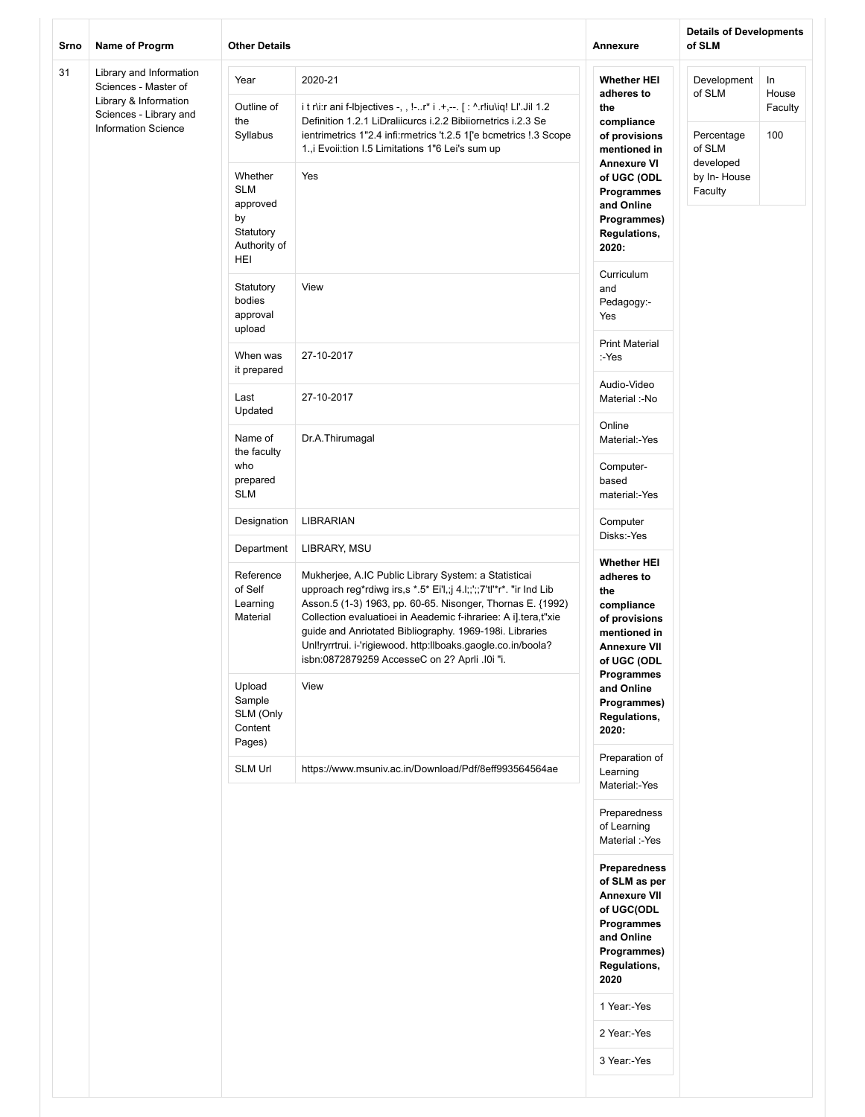| Srno | Name of Progrm                                                                | <b>Other Details</b>                                                        |                                                                                                                                                                                                                                                                                                                                                                                                                                         | Annexure                                                                                                                                     | <b>Details of Developments</b><br>of SLM |                |
|------|-------------------------------------------------------------------------------|-----------------------------------------------------------------------------|-----------------------------------------------------------------------------------------------------------------------------------------------------------------------------------------------------------------------------------------------------------------------------------------------------------------------------------------------------------------------------------------------------------------------------------------|----------------------------------------------------------------------------------------------------------------------------------------------|------------------------------------------|----------------|
| 31   | Library and Information<br>Sciences - Master of                               | Year                                                                        | 2020-21                                                                                                                                                                                                                                                                                                                                                                                                                                 | <b>Whether HEI</b><br>adheres to                                                                                                             | Development<br>of SLM                    | In<br>House    |
|      | Library & Information<br>Sciences - Library and<br><b>Information Science</b> | Outline of<br>the<br>Syllabus                                               | it r\i:r ani f-Ibjectives -, , !-r* i .+,--. [ : ^.r!iu\iq! LI'.Jil 1.2<br>Definition 1.2.1 LiDraliicurcs i.2.2 Bibiiornetrics i.2.3 Se<br>ientrimetrics 1"2.4 infi:rmetrics 't.2.5 1['e bcmetrics !.3 Scope<br>1., i Evoii: tion I.5 Limitations 1"6 Lei's sum up                                                                                                                                                                      | the<br>compliance<br>of provisions<br>mentioned in<br><b>Annexure VI</b>                                                                     | Percentage<br>of SLM<br>developed        | Faculty<br>100 |
|      |                                                                               | Whether<br><b>SLM</b><br>approved<br>by<br>Statutory<br>Authority of<br>HEI | Yes                                                                                                                                                                                                                                                                                                                                                                                                                                     | of UGC (ODL<br>Programmes<br>and Online<br>Programmes)<br><b>Regulations,</b><br>2020:<br>Curriculum                                         | by In-House<br>Faculty                   |                |
|      |                                                                               | Statutory<br>bodies<br>approval<br>upload                                   | View                                                                                                                                                                                                                                                                                                                                                                                                                                    | and<br>Pedagogy:-<br>Yes                                                                                                                     |                                          |                |
|      |                                                                               | When was<br>it prepared                                                     | 27-10-2017                                                                                                                                                                                                                                                                                                                                                                                                                              | <b>Print Material</b><br>:-Yes                                                                                                               |                                          |                |
|      |                                                                               | Last<br>Updated                                                             | 27-10-2017                                                                                                                                                                                                                                                                                                                                                                                                                              | Audio-Video<br>Material :-No                                                                                                                 |                                          |                |
|      |                                                                               | Name of<br>the faculty                                                      | Dr.A.Thirumagal                                                                                                                                                                                                                                                                                                                                                                                                                         | Online<br>Material:-Yes                                                                                                                      |                                          |                |
|      |                                                                               | who<br>prepared<br><b>SLM</b>                                               |                                                                                                                                                                                                                                                                                                                                                                                                                                         | Computer-<br>based<br>material:-Yes                                                                                                          |                                          |                |
|      |                                                                               | Designation                                                                 | LIBRARIAN                                                                                                                                                                                                                                                                                                                                                                                                                               | Computer<br>Disks:-Yes                                                                                                                       |                                          |                |
|      |                                                                               | Department                                                                  | LIBRARY, MSU                                                                                                                                                                                                                                                                                                                                                                                                                            | <b>Whether HEI</b>                                                                                                                           |                                          |                |
|      |                                                                               | Reference<br>of Self<br>Learning<br>Material                                | Mukherjee, A.IC Public Library System: a Statisticai<br>upproach reg*rdiwg irs,s *.5* Ei'l,;j 4.l;;';;7'tl'*r*. "ir Ind Lib<br>Asson.5 (1-3) 1963, pp. 60-65. Nisonger, Thornas E. {1992)<br>Collection evaluatioei in Aeademic f-ihrariee: A i].tera,t"xie<br>guide and Anriotated Bibliography. 1969-198i. Libraries<br>Unl!ryrrtrui. i-'rigiewood. http:llboaks.gaogle.co.in/boola?<br>isbn:0872879259 AccesseC on 2? Aprli .10i "i. | adheres to<br>the<br>compliance<br>of provisions<br>mentioned in<br><b>Annexure VII</b><br>of UGC (ODL<br>Programmes                         |                                          |                |
|      |                                                                               | Upload<br>Sample<br>SLM (Only<br>Content<br>Pages)                          | View                                                                                                                                                                                                                                                                                                                                                                                                                                    | and Online<br>Programmes)<br>Regulations,<br>2020:                                                                                           |                                          |                |
|      |                                                                               | SLM Url                                                                     | https://www.msuniv.ac.in/Download/Pdf/8eff993564564ae                                                                                                                                                                                                                                                                                                                                                                                   | Preparation of<br>Learning<br>Material:-Yes                                                                                                  |                                          |                |
|      |                                                                               |                                                                             |                                                                                                                                                                                                                                                                                                                                                                                                                                         | Preparedness<br>of Learning<br>Material :-Yes                                                                                                |                                          |                |
|      |                                                                               |                                                                             |                                                                                                                                                                                                                                                                                                                                                                                                                                         | <b>Preparedness</b><br>of SLM as per<br><b>Annexure VII</b><br>of UGC(ODL<br>Programmes<br>and Online<br>Programmes)<br>Regulations,<br>2020 |                                          |                |
|      |                                                                               |                                                                             |                                                                                                                                                                                                                                                                                                                                                                                                                                         | 1 Year:-Yes<br>2 Year:-Yes                                                                                                                   |                                          |                |
|      |                                                                               |                                                                             |                                                                                                                                                                                                                                                                                                                                                                                                                                         | 3 Year:-Yes                                                                                                                                  |                                          |                |
|      |                                                                               |                                                                             |                                                                                                                                                                                                                                                                                                                                                                                                                                         |                                                                                                                                              |                                          |                |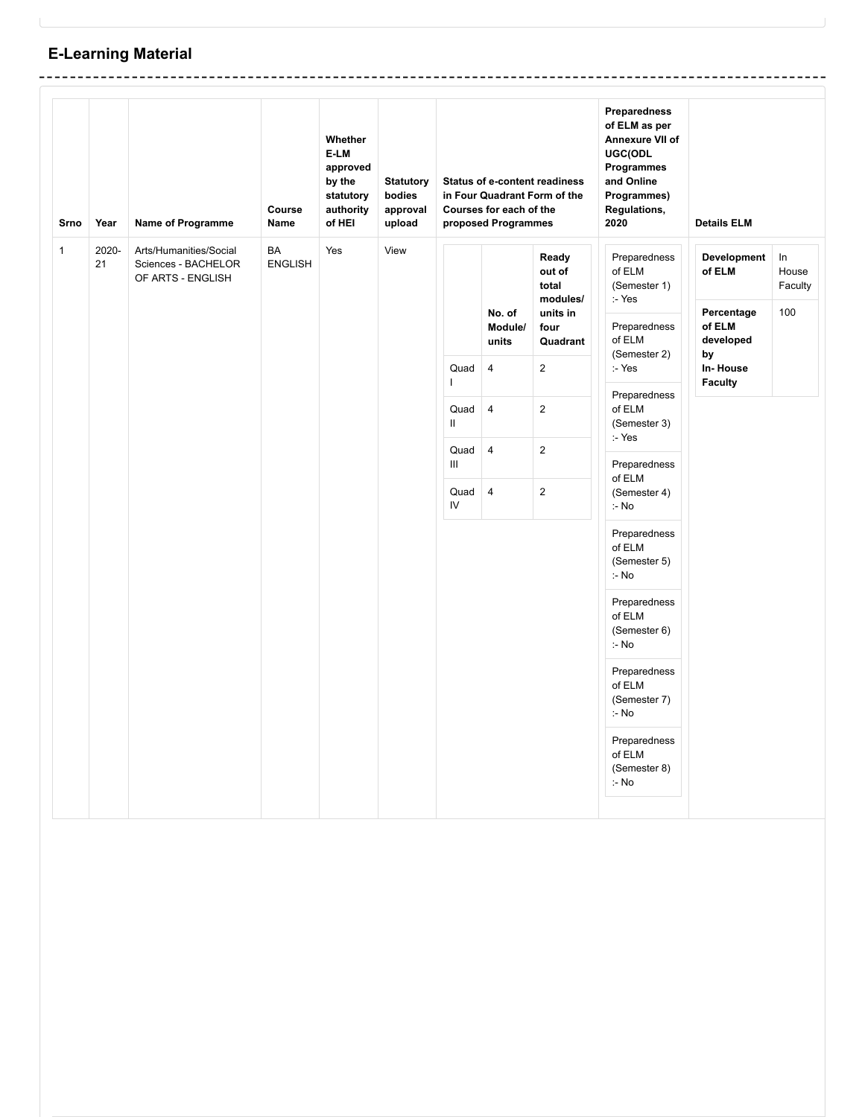# **E-Learning Material**

| <b>Srno</b>  | Year        | Name of Programme                                                  | Course<br>Name       | Whether<br>E-LM<br>approved<br>by the<br>statutory<br>authority<br>of HEI | <b>Statutory</b><br>bodies<br>approval<br>upload | <b>Status of e-content readiness</b><br>in Four Quadrant Form of the<br>Courses for each of the<br>proposed Programmes |                                                                                               |                                                                                                                                           | <b>Preparedness</b><br>of ELM as per<br>Annexure VII of<br>UGC(ODL<br>Programmes<br>and Online<br>Programmes)<br>Regulations,<br>2020                                                                                                                                                                                                                       | <b>Details ELM</b>                                                                             |                                  |
|--------------|-------------|--------------------------------------------------------------------|----------------------|---------------------------------------------------------------------------|--------------------------------------------------|------------------------------------------------------------------------------------------------------------------------|-----------------------------------------------------------------------------------------------|-------------------------------------------------------------------------------------------------------------------------------------------|-------------------------------------------------------------------------------------------------------------------------------------------------------------------------------------------------------------------------------------------------------------------------------------------------------------------------------------------------------------|------------------------------------------------------------------------------------------------|----------------------------------|
| $\mathbf{1}$ | 2020-<br>21 | Arts/Humanities/Social<br>Sciences - BACHELOR<br>OF ARTS - ENGLISH | BA<br><b>ENGLISH</b> | Yes                                                                       | View                                             | Quad<br>$\mathsf{L}$<br>Quad<br>Ш.<br>Quad<br>$\mathop{\rm III}$<br>Quad<br>IV                                         | No. of<br>Module/<br>units<br>$\overline{4}$<br>$\overline{4}$<br>$\pmb{4}$<br>$\overline{4}$ | Ready<br>out of<br>total<br>modules/<br>units in<br>four<br>Quadrant<br>$\overline{2}$<br>$\overline{2}$<br>$\mathbf 2$<br>$\overline{2}$ | Preparedness<br>of ELM<br>(Semester 1)<br>:- Yes<br>Preparedness<br>of ELM<br>(Semester 2)<br>:- Yes<br>Preparedness<br>of ELM<br>(Semester 3)<br>:- Yes<br>Preparedness<br>of ELM<br>(Semester 4)<br>:- No<br>Preparedness<br>of ELM<br>(Semester 5)<br>:- No<br>Preparedness<br>of ELM<br>(Semester 6)<br>:- No<br>Preparedness<br>of ELM<br>(Semester 7) | <b>Development</b><br>of ELM<br>Percentage<br>of ELM<br>developed<br>by<br>In-House<br>Faculty | $\ln$<br>House<br>Faculty<br>100 |
|              |             |                                                                    |                      |                                                                           |                                                  |                                                                                                                        |                                                                                               |                                                                                                                                           | :- No<br>Preparedness<br>of ELM<br>(Semester 8)<br>:- No                                                                                                                                                                                                                                                                                                    |                                                                                                |                                  |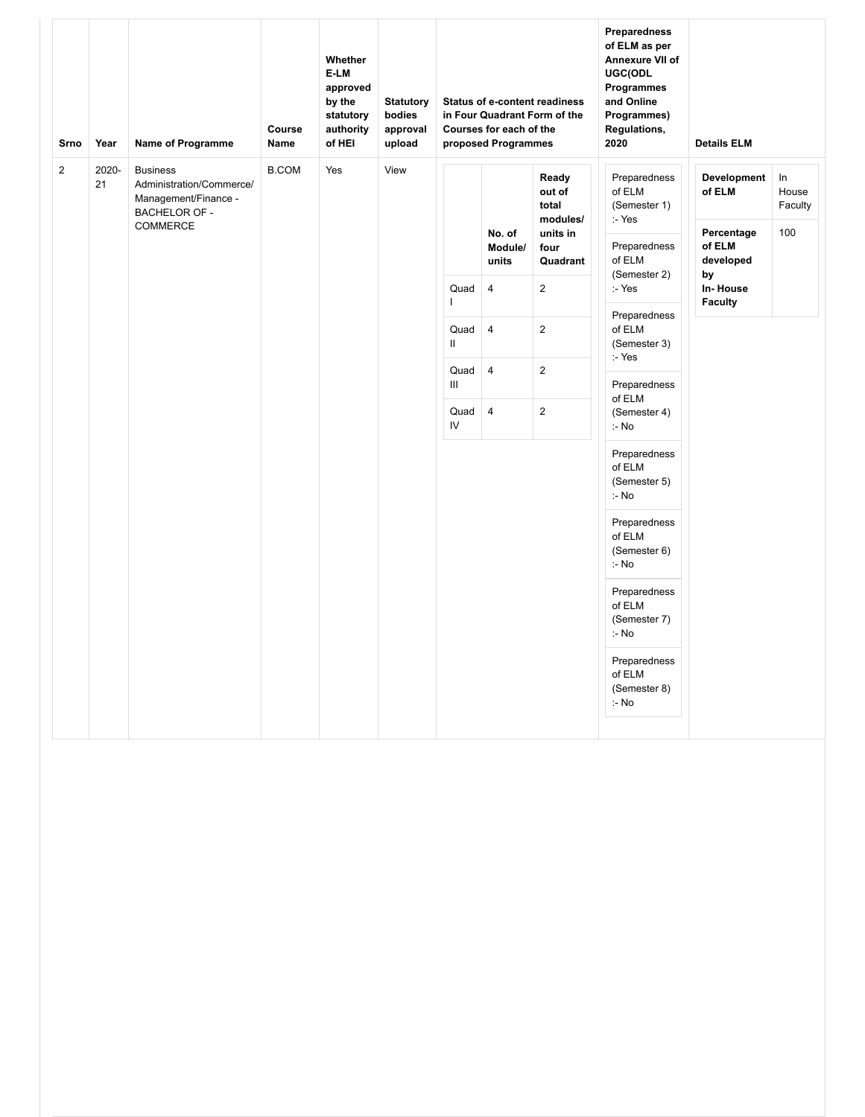| Srno        | Year        | <b>Name of Programme</b>                                                                                       | Course<br><b>Name</b> | Whether<br>E-LM<br>approved<br>by the<br>statutory<br>authority<br>of HEI | <b>Statutory</b><br>bodies<br>approval<br>upload | <b>Status of e-content readiness</b><br>in Four Quadrant Form of the<br>Courses for each of the<br>proposed Programmes |                  |                                                  | <b>Preparedness</b><br>of ELM as per<br>Annexure VII of<br>UGC(ODL<br>Programmes<br>and Online<br>Programmes)<br>Regulations,<br>2020 | <b>Details ELM</b>                  |                                  |  |
|-------------|-------------|----------------------------------------------------------------------------------------------------------------|-----------------------|---------------------------------------------------------------------------|--------------------------------------------------|------------------------------------------------------------------------------------------------------------------------|------------------|--------------------------------------------------|---------------------------------------------------------------------------------------------------------------------------------------|-------------------------------------|----------------------------------|--|
| $\mathbf 2$ | 2020-<br>21 | <b>Business</b><br>Administration/Commerce/<br>Management/Finance -<br><b>BACHELOR OF -</b><br><b>COMMERCE</b> | <b>B.COM</b>          | Yes                                                                       | View                                             |                                                                                                                        | No. of           | Ready<br>out of<br>total<br>modules/<br>units in | Preparedness<br>of ELM<br>(Semester 1)<br>:- Yes                                                                                      | Development<br>of ELM<br>Percentage | $\ln$<br>House<br>Faculty<br>100 |  |
|             |             |                                                                                                                |                       |                                                                           |                                                  |                                                                                                                        | Module/<br>units | four<br>Quadrant                                 | Preparedness<br>of ELM<br>(Semester 2)                                                                                                | of ELM<br>developed<br>by           |                                  |  |
|             |             |                                                                                                                |                       |                                                                           |                                                  | Quad<br>T                                                                                                              | $\overline{4}$   | $\overline{2}$                                   | :- Yes                                                                                                                                | In-House<br><b>Faculty</b>          |                                  |  |
|             |             |                                                                                                                |                       |                                                                           |                                                  | Quad<br>$\mathbf{II}$                                                                                                  | $\overline{4}$   | $\sqrt{2}$                                       | Preparedness<br>of ELM<br>(Semester 3)<br>:- Yes                                                                                      |                                     |                                  |  |
|             |             |                                                                                                                |                       |                                                                           |                                                  |                                                                                                                        | Quad<br>Ш        | $\overline{4}$                                   | $\overline{c}$                                                                                                                        | Preparedness<br>of ELM              |                                  |  |
|             |             |                                                                                                                |                       |                                                                           |                                                  | Quad<br>IV                                                                                                             | $\overline{4}$   | $\mathbf 2$                                      | (Semester 4)<br>:- No                                                                                                                 |                                     |                                  |  |
|             |             |                                                                                                                |                       |                                                                           |                                                  |                                                                                                                        |                  |                                                  | Preparedness<br>of ELM<br>(Semester 5)<br>:- No                                                                                       |                                     |                                  |  |
|             |             |                                                                                                                |                       |                                                                           |                                                  |                                                                                                                        |                  |                                                  | Preparedness<br>of ELM<br>(Semester 6)<br>:- No                                                                                       |                                     |                                  |  |
|             |             |                                                                                                                |                       |                                                                           |                                                  |                                                                                                                        |                  |                                                  | Preparedness<br>of ELM<br>(Semester 7)<br>:- No                                                                                       |                                     |                                  |  |
|             |             |                                                                                                                |                       |                                                                           |                                                  |                                                                                                                        |                  |                                                  | Preparedness<br>of ELM<br>(Semester 8)<br>:- No                                                                                       |                                     |                                  |  |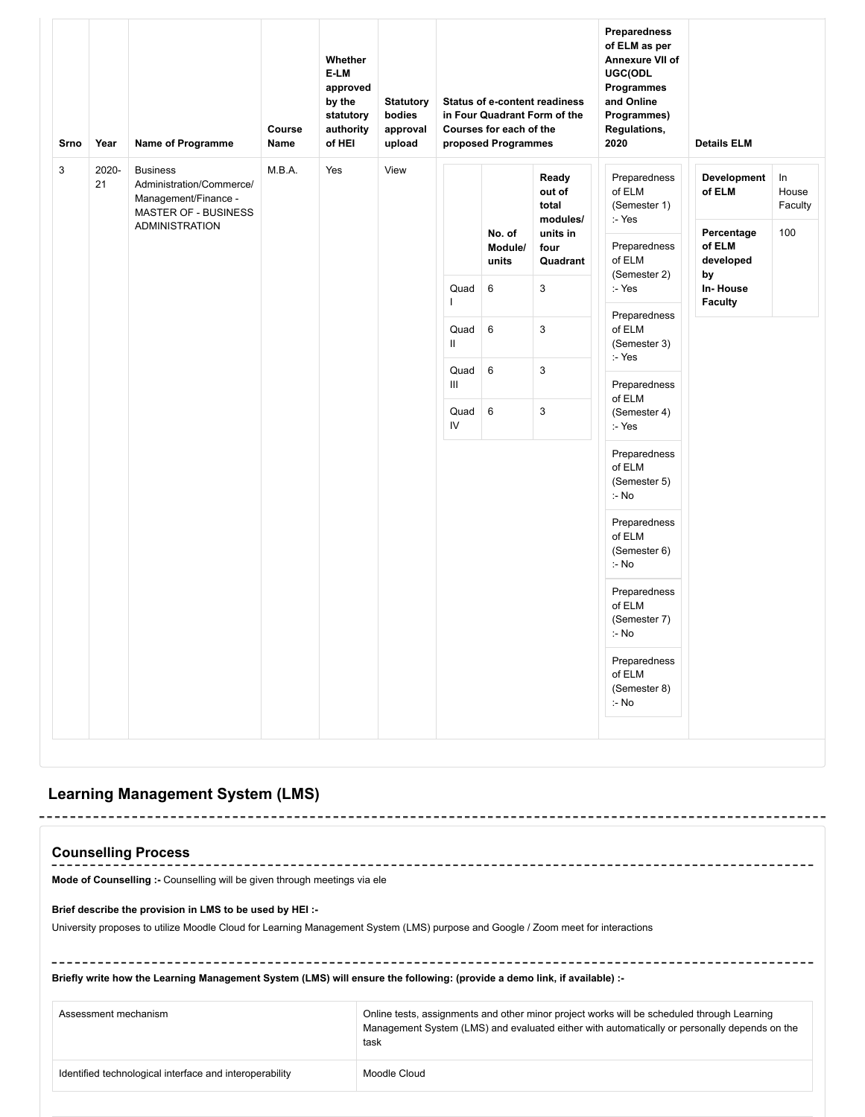| Srno         | Year        | Name of Programme                                                                           | Course<br>Name | Whether<br>E-LM<br>approved<br>by the<br>statutory<br>authority<br>of HEI | <b>Statutory</b><br>bodies<br>approval<br>upload | Preparedness<br>of ELM as per<br>Annexure VII of<br>UGC(ODL<br>Programmes<br><b>Status of e-content readiness</b><br>and Online<br>in Four Quadrant Form of the<br>Programmes)<br>Courses for each of the<br>Regulations,<br>2020<br>proposed Programmes |                            |                                      |                                                  | <b>Details ELM</b>                |                                  |  |  |
|--------------|-------------|---------------------------------------------------------------------------------------------|----------------|---------------------------------------------------------------------------|--------------------------------------------------|----------------------------------------------------------------------------------------------------------------------------------------------------------------------------------------------------------------------------------------------------------|----------------------------|--------------------------------------|--------------------------------------------------|-----------------------------------|----------------------------------|--|--|
| $\mathbf{3}$ | 2020-<br>21 | <b>Business</b><br>Administration/Commerce/<br>Management/Finance -<br>MASTER OF - BUSINESS | M.B.A.         | Yes                                                                       | View                                             |                                                                                                                                                                                                                                                          |                            | Ready<br>out of<br>total<br>modules/ | Preparedness<br>of ELM<br>(Semester 1)           | <b>Development</b><br>of ELM      | ln<br>House<br>Faculty           |  |  |
|              |             | <b>ADMINISTRATION</b>                                                                       |                |                                                                           |                                                  |                                                                                                                                                                                                                                                          | No. of<br>Module/<br>units | units in<br>four<br>Quadrant         | :- Yes<br>Preparedness<br>of ELM                 | Percentage<br>of ELM<br>developed | 100                              |  |  |
|              |             |                                                                                             |                |                                                                           |                                                  | Quad<br>$\overline{\phantom{a}}$                                                                                                                                                                                                                         | 6                          | 3                                    | (Semester 2)<br>:- Yes                           | by<br>In-House<br><b>Faculty</b>  |                                  |  |  |
|              |             |                                                                                             |                |                                                                           |                                                  | Quad<br>$\mathsf{II}$                                                                                                                                                                                                                                    | $\,6\,$                    | 3                                    | Preparedness<br>of ELM<br>(Semester 3)<br>:- Yes |                                   |                                  |  |  |
|              |             |                                                                                             |                |                                                                           |                                                  | Quad<br>Ш                                                                                                                                                                                                                                                | $6\phantom{1}$             | 3                                    | Preparedness                                     |                                   |                                  |  |  |
|              |             |                                                                                             |                |                                                                           |                                                  |                                                                                                                                                                                                                                                          |                            | Quad<br>IV                           | $\,6\,$                                          | $\ensuremath{\mathsf{3}}$         | of ELM<br>(Semester 4)<br>:- Yes |  |  |
|              |             |                                                                                             |                |                                                                           |                                                  |                                                                                                                                                                                                                                                          |                            |                                      | Preparedness<br>of ELM<br>(Semester 5)<br>:- No  |                                   |                                  |  |  |
|              |             |                                                                                             |                |                                                                           |                                                  |                                                                                                                                                                                                                                                          |                            |                                      | Preparedness<br>of ELM<br>(Semester 6)<br>:- No  |                                   |                                  |  |  |
|              |             |                                                                                             |                |                                                                           |                                                  |                                                                                                                                                                                                                                                          |                            |                                      | Preparedness<br>of ELM<br>(Semester 7)<br>:- No  |                                   |                                  |  |  |
|              |             |                                                                                             |                |                                                                           |                                                  |                                                                                                                                                                                                                                                          |                            |                                      | Preparedness<br>of ELM<br>(Semester 8)<br>:- No  |                                   |                                  |  |  |

## **Learning Management System (LMS)**

| <b>Counselling Process</b>                                                                                                                                                                  |                                                                                                                                                                                                    |  |  |  |  |  |  |  |  |
|---------------------------------------------------------------------------------------------------------------------------------------------------------------------------------------------|----------------------------------------------------------------------------------------------------------------------------------------------------------------------------------------------------|--|--|--|--|--|--|--|--|
| Mode of Counselling :- Counselling will be given through meetings via ele                                                                                                                   |                                                                                                                                                                                                    |  |  |  |  |  |  |  |  |
| Brief describe the provision in LMS to be used by HEI:-<br>University proposes to utilize Moodle Cloud for Learning Management System (LMS) purpose and Google / Zoom meet for interactions |                                                                                                                                                                                                    |  |  |  |  |  |  |  |  |
| Briefly write how the Learning Management System (LMS) will ensure the following: (provide a demo link, if available) :-                                                                    |                                                                                                                                                                                                    |  |  |  |  |  |  |  |  |
| Assessment mechanism                                                                                                                                                                        | Online tests, assignments and other minor project works will be scheduled through Learning<br>Management System (LMS) and evaluated either with automatically or personally depends on the<br>task |  |  |  |  |  |  |  |  |
| Identified technological interface and interoperability                                                                                                                                     | Moodle Cloud                                                                                                                                                                                       |  |  |  |  |  |  |  |  |

 $- - -$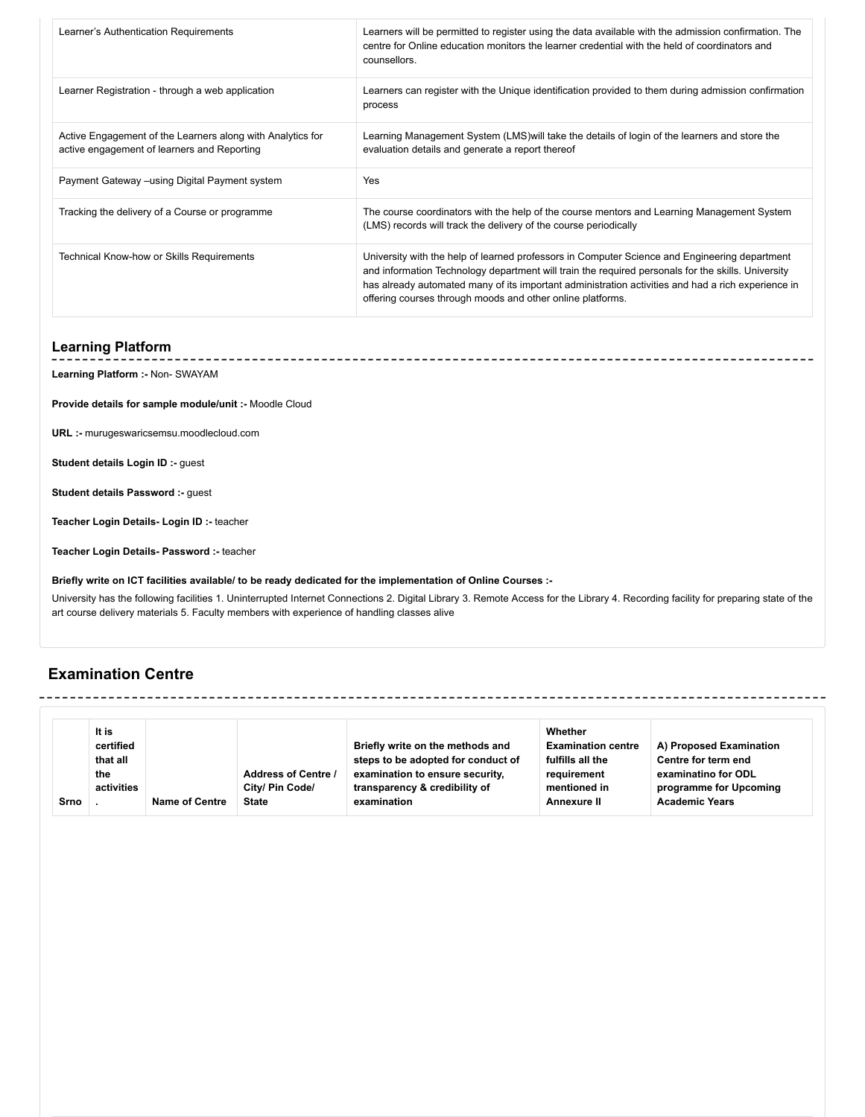| Learner's Authentication Requirements                                                                     | Learners will be permitted to register using the data available with the admission confirmation. The<br>centre for Online education monitors the learner credential with the held of coordinators and<br>counsellors.                                                                                                                                                   |
|-----------------------------------------------------------------------------------------------------------|-------------------------------------------------------------------------------------------------------------------------------------------------------------------------------------------------------------------------------------------------------------------------------------------------------------------------------------------------------------------------|
| Learner Registration - through a web application                                                          | Learners can register with the Unique identification provided to them during admission confirmation<br>process                                                                                                                                                                                                                                                          |
| Active Engagement of the Learners along with Analytics for<br>active engagement of learners and Reporting | Learning Management System (LMS) will take the details of login of the learners and store the<br>evaluation details and generate a report thereof                                                                                                                                                                                                                       |
| Payment Gateway –using Digital Payment system                                                             | Yes                                                                                                                                                                                                                                                                                                                                                                     |
| Tracking the delivery of a Course or programme                                                            | The course coordinators with the help of the course mentors and Learning Management System<br>(LMS) records will track the delivery of the course periodically                                                                                                                                                                                                          |
| Technical Know-how or Skills Requirements                                                                 | University with the help of learned professors in Computer Science and Engineering department<br>and information Technology department will train the required personals for the skills. University<br>has already automated many of its important administration activities and had a rich experience in<br>offering courses through moods and other online platforms. |

#### **Learning Platform**

**Learning Platform :-** Non- SWAYAM

**Provide details for sample module/unit :-** Moodle Cloud

**URL :-** murugeswaricsemsu.moodlecloud.com

**Student details Login ID :-** guest

**Student details Password :-** guest

**Teacher Login Details- Login ID :-** teacher

**Teacher Login Details- Password :-** teacher

#### **Briefly write on ICT facilities available/ to be ready dedicated for the implementation of Online Courses :-**

University has the following facilities 1. Uninterrupted Internet Connections 2. Digital Library 3. Remote Access for the Library 4. Recording facility for preparing state of the art course delivery materials 5. Faculty members with experience of handling classes alive

### **Examination Centre**

|      | It is      |                |                            |                                    | Whether                   |                         |
|------|------------|----------------|----------------------------|------------------------------------|---------------------------|-------------------------|
|      |            |                |                            |                                    |                           |                         |
|      | certified  |                |                            | Briefly write on the methods and   | <b>Examination centre</b> | A) Proposed Examination |
|      | that all   |                |                            | steps to be adopted for conduct of | fulfills all the          | Centre for term end     |
|      | the        |                | <b>Address of Centre /</b> | examination to ensure security,    | requirement               | examinatino for ODL     |
|      | activities |                | City/ Pin Code/            | transparency & credibility of      | mentioned in              | programme for Upcoming  |
| Srno |            | Name of Centre | <b>State</b>               | examination                        | Annexure II               | <b>Academic Years</b>   |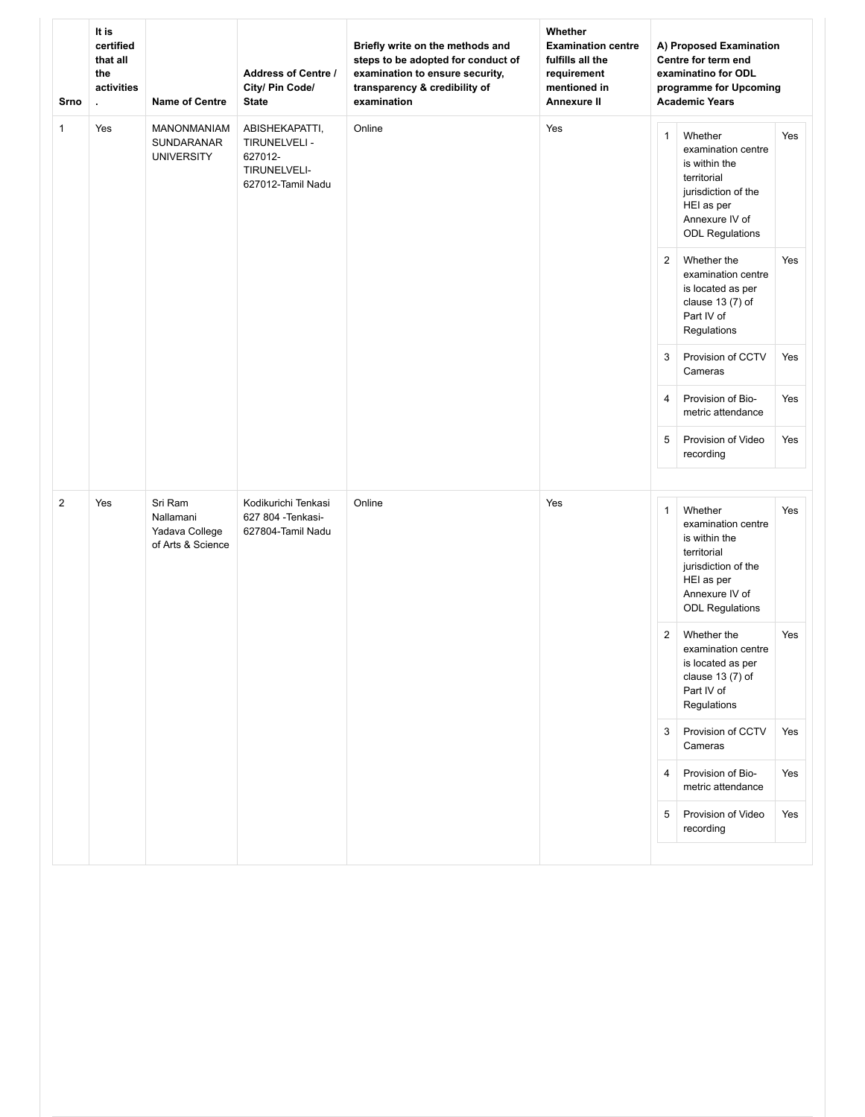| Srno           | It is<br>certified<br>that all<br>the<br>activities | <b>Name of Centre</b>                                       | <b>Address of Centre /</b><br>City/ Pin Code/<br><b>State</b>  | Briefly write on the methods and<br>steps to be adopted for conduct of<br>examination to ensure security,<br>transparency & credibility of<br>examination | Whether<br><b>Examination centre</b><br>fulfills all the<br>requirement<br>mentioned in<br><b>Annexure II</b> |                | A) Proposed Examination<br>Centre for term end<br>examinatino for ODL<br>programme for Upcoming<br><b>Academic Years</b>                       |                                                                                 |        |     |              |                                                                                                                                                |     |
|----------------|-----------------------------------------------------|-------------------------------------------------------------|----------------------------------------------------------------|-----------------------------------------------------------------------------------------------------------------------------------------------------------|---------------------------------------------------------------------------------------------------------------|----------------|------------------------------------------------------------------------------------------------------------------------------------------------|---------------------------------------------------------------------------------|--------|-----|--------------|------------------------------------------------------------------------------------------------------------------------------------------------|-----|
| $\mathbf{1}$   | Yes                                                 | <b>MANONMANIAM</b><br>SUNDARANAR<br><b>UNIVERSITY</b>       |                                                                |                                                                                                                                                           |                                                                                                               |                |                                                                                                                                                | ABISHEKAPATTI,<br>TIRUNELVELI -<br>627012-<br>TIRUNELVELI-<br>627012-Tamil Nadu | Online | Yes | $\mathbf{1}$ | Whether<br>examination centre<br>is within the<br>territorial<br>jurisdiction of the<br>HEI as per<br>Annexure IV of<br><b>ODL Regulations</b> | Yes |
|                |                                                     |                                                             |                                                                |                                                                                                                                                           |                                                                                                               | $\overline{2}$ | Whether the<br>examination centre<br>is located as per<br>clause 13 (7) of<br>Part IV of<br>Regulations                                        | Yes                                                                             |        |     |              |                                                                                                                                                |     |
|                |                                                     |                                                             |                                                                |                                                                                                                                                           |                                                                                                               | 3              | Provision of CCTV<br>Cameras                                                                                                                   | Yes                                                                             |        |     |              |                                                                                                                                                |     |
|                |                                                     |                                                             |                                                                |                                                                                                                                                           |                                                                                                               | $\overline{4}$ | Provision of Bio-<br>metric attendance                                                                                                         | Yes                                                                             |        |     |              |                                                                                                                                                |     |
|                |                                                     |                                                             |                                                                |                                                                                                                                                           |                                                                                                               | $\overline{5}$ | Provision of Video<br>recording                                                                                                                | Yes                                                                             |        |     |              |                                                                                                                                                |     |
|                |                                                     |                                                             |                                                                |                                                                                                                                                           |                                                                                                               |                |                                                                                                                                                |                                                                                 |        |     |              |                                                                                                                                                |     |
| $\overline{2}$ | Yes                                                 | Sri Ram<br>Nallamani<br>Yadava College<br>of Arts & Science | Kodikurichi Tenkasi<br>627 804 - Tenkasi-<br>627804-Tamil Nadu | Online                                                                                                                                                    | Yes                                                                                                           | $\mathbf{1}$   | Whether<br>examination centre<br>is within the<br>territorial<br>jurisdiction of the<br>HEI as per<br>Annexure IV of<br><b>ODL Regulations</b> | Yes                                                                             |        |     |              |                                                                                                                                                |     |
|                |                                                     |                                                             |                                                                |                                                                                                                                                           |                                                                                                               | $\overline{c}$ | Whether the<br>examination centre<br>is located as per<br>clause 13 (7) of<br>Part IV of<br>Regulations                                        | Yes                                                                             |        |     |              |                                                                                                                                                |     |
|                |                                                     |                                                             |                                                                |                                                                                                                                                           |                                                                                                               | 3              | Provision of CCTV<br>Cameras                                                                                                                   | Yes                                                                             |        |     |              |                                                                                                                                                |     |
|                |                                                     |                                                             |                                                                |                                                                                                                                                           |                                                                                                               | 4              | Provision of Bio-<br>metric attendance                                                                                                         | Yes                                                                             |        |     |              |                                                                                                                                                |     |
|                |                                                     |                                                             |                                                                |                                                                                                                                                           |                                                                                                               | $\sqrt{5}$     | Provision of Video<br>recording                                                                                                                | Yes                                                                             |        |     |              |                                                                                                                                                |     |
|                |                                                     |                                                             |                                                                |                                                                                                                                                           |                                                                                                               |                |                                                                                                                                                |                                                                                 |        |     |              |                                                                                                                                                |     |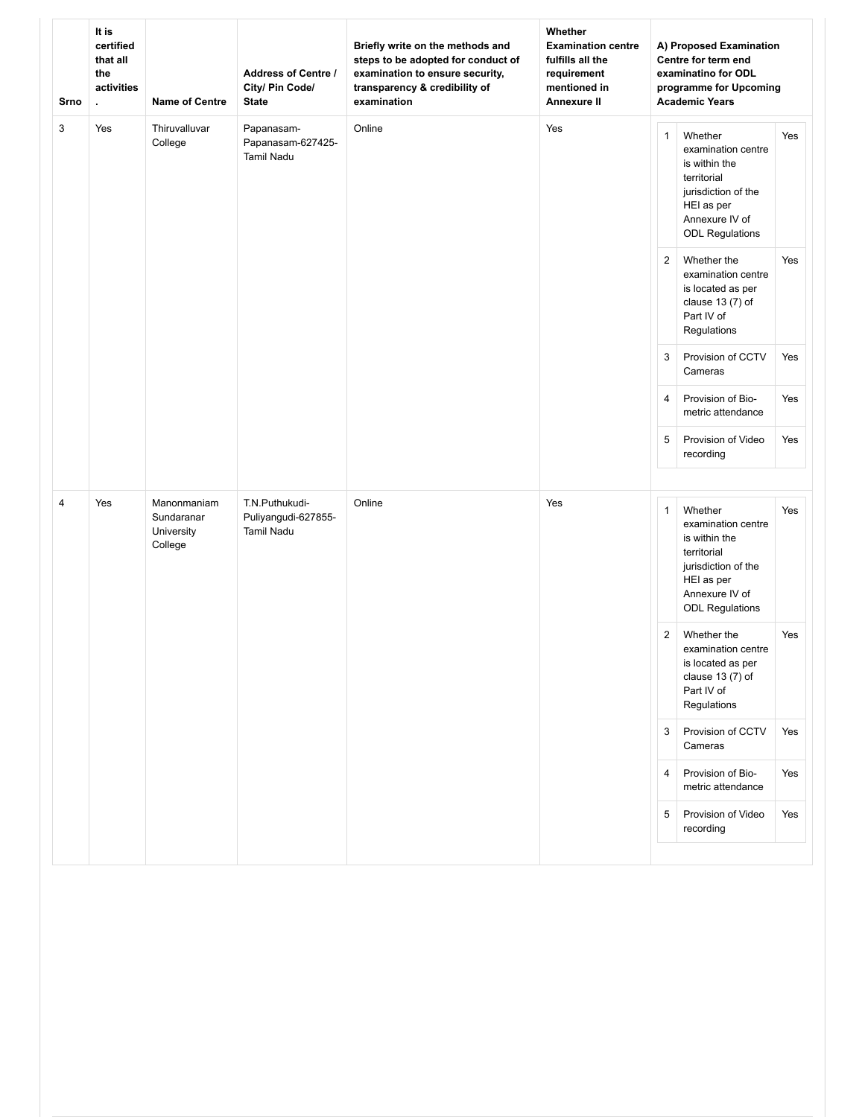| Srno | It is<br>certified<br>that all<br>the<br>activities | <b>Name of Centre</b>                              | <b>Address of Centre /</b><br>City/ Pin Code/<br><b>State</b> | Briefly write on the methods and<br>steps to be adopted for conduct of<br>examination to ensure security,<br>transparency & credibility of<br>examination | Whether<br><b>Examination centre</b><br>fulfills all the<br>requirement<br>mentioned in<br><b>Annexure II</b> | A) Proposed Examination<br>Centre for term end<br>examinatino for ODL<br>programme for Upcoming<br><b>Academic Years</b> |                                                                                                                                                |     |
|------|-----------------------------------------------------|----------------------------------------------------|---------------------------------------------------------------|-----------------------------------------------------------------------------------------------------------------------------------------------------------|---------------------------------------------------------------------------------------------------------------|--------------------------------------------------------------------------------------------------------------------------|------------------------------------------------------------------------------------------------------------------------------------------------|-----|
| 3    | Yes                                                 | Thiruvalluvar<br>College                           | Papanasam-<br>Papanasam-627425-<br><b>Tamil Nadu</b>          | Online                                                                                                                                                    | Yes                                                                                                           | $\mathbf{1}$                                                                                                             | Whether<br>examination centre<br>is within the<br>territorial<br>jurisdiction of the<br>HEI as per<br>Annexure IV of<br><b>ODL Regulations</b> | Yes |
|      |                                                     |                                                    |                                                               |                                                                                                                                                           |                                                                                                               | $\overline{2}$                                                                                                           | Whether the<br>examination centre<br>is located as per<br>clause 13 (7) of<br>Part IV of<br>Regulations                                        | Yes |
|      |                                                     |                                                    |                                                               |                                                                                                                                                           |                                                                                                               | 3                                                                                                                        | Provision of CCTV<br>Cameras                                                                                                                   | Yes |
|      |                                                     |                                                    |                                                               |                                                                                                                                                           |                                                                                                               | 4                                                                                                                        | Provision of Bio-<br>metric attendance                                                                                                         | Yes |
|      |                                                     |                                                    |                                                               |                                                                                                                                                           |                                                                                                               | 5                                                                                                                        | Provision of Video<br>recording                                                                                                                | Yes |
|      |                                                     |                                                    |                                                               |                                                                                                                                                           |                                                                                                               |                                                                                                                          |                                                                                                                                                |     |
| 4    | Yes                                                 | Manonmaniam<br>Sundaranar<br>University<br>College | T.N.Puthukudi-<br>Puliyangudi-627855-<br><b>Tamil Nadu</b>    | Online                                                                                                                                                    | Yes                                                                                                           | $\mathbf{1}$                                                                                                             | Whether<br>examination centre<br>is within the<br>territorial<br>jurisdiction of the<br>HEI as per<br>Annexure IV of<br><b>ODL Regulations</b> | Yes |
|      |                                                     |                                                    |                                                               |                                                                                                                                                           |                                                                                                               | $\overline{c}$                                                                                                           | Whether the<br>examination centre<br>is located as per<br>clause 13 (7) of<br>Part IV of<br>Regulations                                        | Yes |
|      |                                                     |                                                    |                                                               |                                                                                                                                                           |                                                                                                               | 3                                                                                                                        | Provision of CCTV<br>Cameras                                                                                                                   | Yes |
|      |                                                     |                                                    |                                                               |                                                                                                                                                           |                                                                                                               | 4                                                                                                                        | Provision of Bio-<br>metric attendance                                                                                                         | Yes |
|      |                                                     |                                                    |                                                               |                                                                                                                                                           |                                                                                                               | $\sqrt{5}$                                                                                                               | Provision of Video<br>recording                                                                                                                | Yes |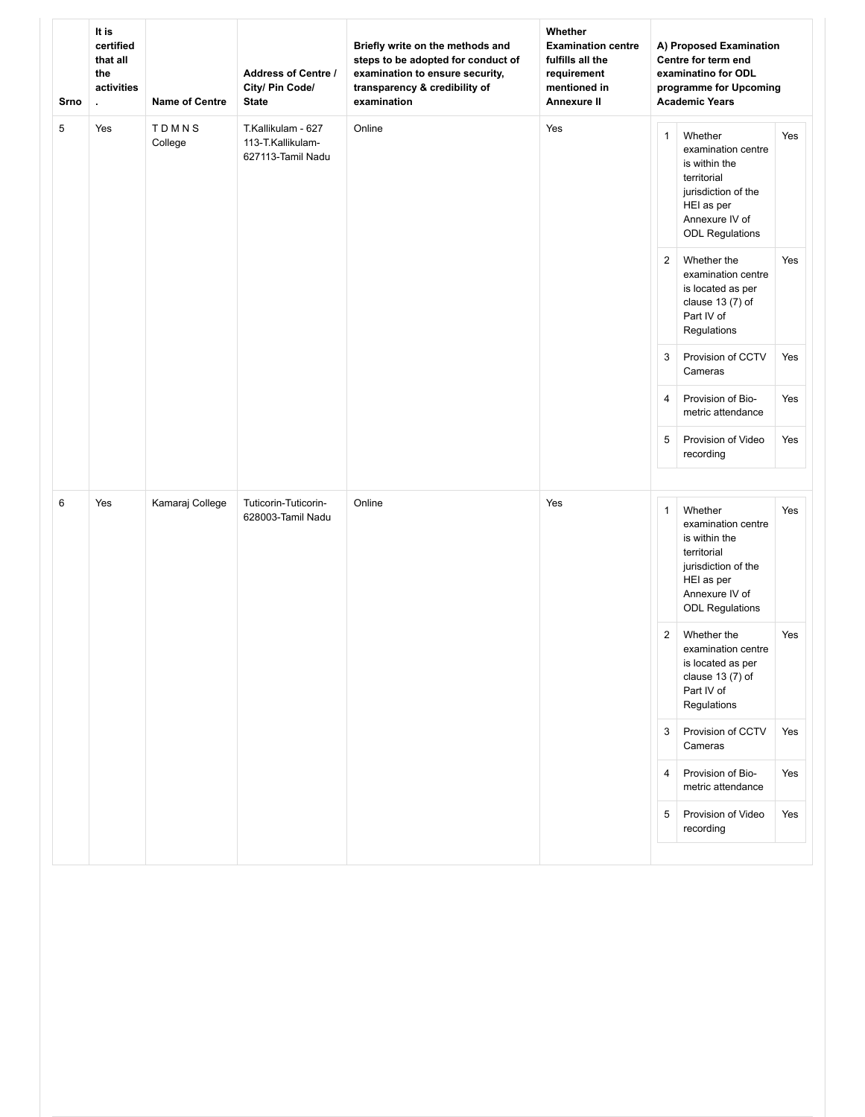| Srno | It is<br>certified<br>that all<br>the<br>activities | <b>Name of Centre</b> | <b>Address of Centre /</b><br>City/ Pin Code/<br><b>State</b> | Briefly write on the methods and<br>steps to be adopted for conduct of<br>examination to ensure security,<br>transparency & credibility of<br>examination | Whether<br><b>Examination centre</b><br>fulfills all the<br>requirement<br>mentioned in<br><b>Annexure II</b> | A) Proposed Examination<br>Centre for term end<br>examinatino for ODL<br>programme for Upcoming<br><b>Academic Years</b> |                                                                                                                                                |     |
|------|-----------------------------------------------------|-----------------------|---------------------------------------------------------------|-----------------------------------------------------------------------------------------------------------------------------------------------------------|---------------------------------------------------------------------------------------------------------------|--------------------------------------------------------------------------------------------------------------------------|------------------------------------------------------------------------------------------------------------------------------------------------|-----|
| 5    | Yes                                                 | TDMNS<br>College      | T.Kallikulam - 627<br>113-T.Kallikulam-<br>627113-Tamil Nadu  | Online                                                                                                                                                    | Yes                                                                                                           | $\mathbf{1}$                                                                                                             | Whether<br>examination centre<br>is within the<br>territorial<br>jurisdiction of the<br>HEI as per<br>Annexure IV of<br><b>ODL Regulations</b> | Yes |
|      |                                                     |                       |                                                               |                                                                                                                                                           |                                                                                                               | $\overline{2}$                                                                                                           | Whether the<br>examination centre<br>is located as per<br>clause 13 (7) of<br>Part IV of<br>Regulations                                        | Yes |
|      |                                                     |                       |                                                               |                                                                                                                                                           |                                                                                                               | 3                                                                                                                        | Provision of CCTV<br>Cameras                                                                                                                   | Yes |
|      |                                                     |                       |                                                               |                                                                                                                                                           |                                                                                                               | $\overline{4}$                                                                                                           | Provision of Bio-<br>metric attendance                                                                                                         | Yes |
|      |                                                     |                       |                                                               |                                                                                                                                                           |                                                                                                               | 5                                                                                                                        | Provision of Video<br>recording                                                                                                                | Yes |
|      |                                                     |                       |                                                               |                                                                                                                                                           |                                                                                                               |                                                                                                                          |                                                                                                                                                |     |
| 6    | Yes                                                 | Kamaraj College       | Tuticorin-Tuticorin-<br>628003-Tamil Nadu                     | Online                                                                                                                                                    | Yes                                                                                                           | $\mathbf{1}$                                                                                                             | Whether<br>examination centre<br>is within the<br>territorial<br>jurisdiction of the<br>HEI as per<br>Annexure IV of<br><b>ODL Regulations</b> | Yes |
|      |                                                     |                       |                                                               |                                                                                                                                                           |                                                                                                               | $\overline{2}$                                                                                                           | Whether the<br>examination centre<br>is located as per<br>clause 13 (7) of<br>Part IV of<br>Regulations                                        | Yes |
|      |                                                     |                       |                                                               |                                                                                                                                                           |                                                                                                               | 3                                                                                                                        | Provision of CCTV<br>Cameras                                                                                                                   | Yes |
|      |                                                     |                       |                                                               |                                                                                                                                                           |                                                                                                               | $\overline{4}$                                                                                                           | Provision of Bio-<br>metric attendance                                                                                                         | Yes |
|      |                                                     |                       |                                                               |                                                                                                                                                           |                                                                                                               | 5                                                                                                                        | Provision of Video<br>recording                                                                                                                | Yes |
|      |                                                     |                       |                                                               |                                                                                                                                                           |                                                                                                               |                                                                                                                          |                                                                                                                                                |     |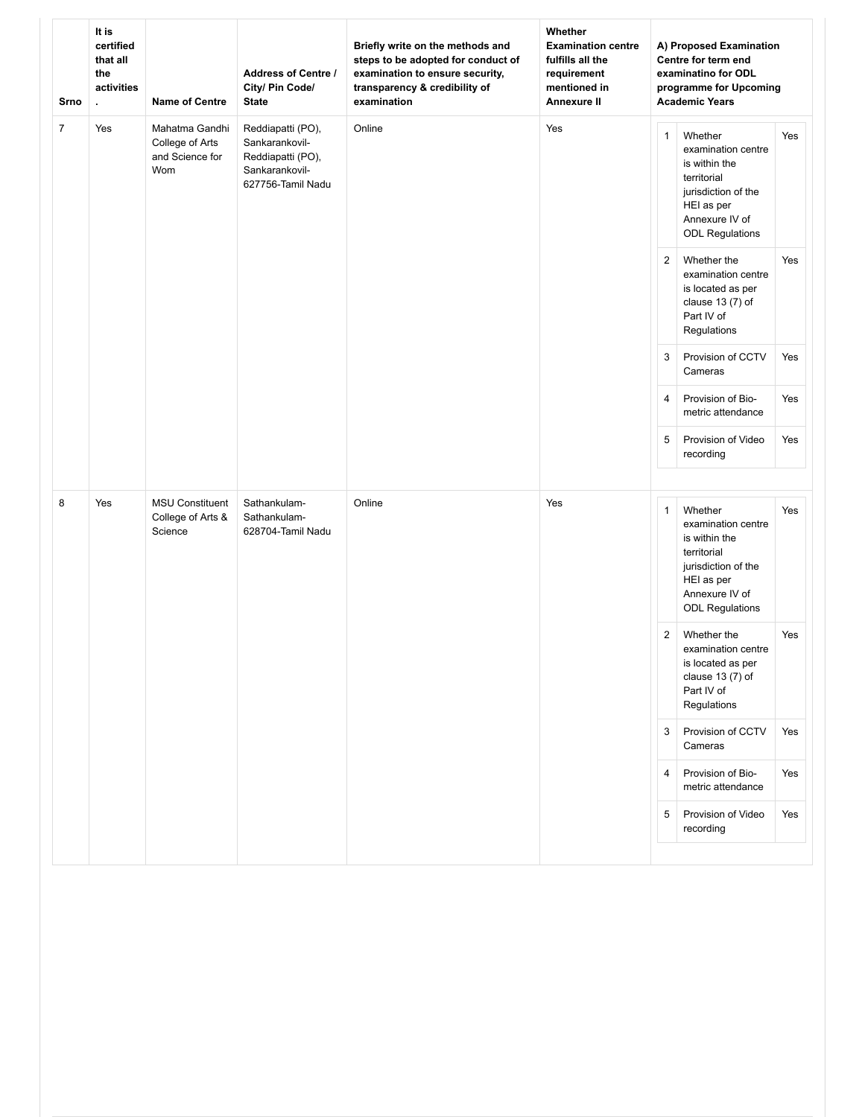| Srno           | It is<br>certified<br>that all<br>the<br>activities | <b>Name of Centre</b>                                       | <b>Address of Centre /</b><br>City/ Pin Code/<br><b>State</b>                                   | Briefly write on the methods and<br>steps to be adopted for conduct of<br>examination to ensure security,<br>transparency & credibility of<br>examination | Whether<br><b>Examination centre</b><br>fulfills all the<br>requirement<br>mentioned in<br><b>Annexure II</b> |                | A) Proposed Examination<br>Centre for term end<br>examinatino for ODL<br>programme for Upcoming<br><b>Academic Years</b>                       |     |
|----------------|-----------------------------------------------------|-------------------------------------------------------------|-------------------------------------------------------------------------------------------------|-----------------------------------------------------------------------------------------------------------------------------------------------------------|---------------------------------------------------------------------------------------------------------------|----------------|------------------------------------------------------------------------------------------------------------------------------------------------|-----|
| $\overline{7}$ | Yes                                                 | Mahatma Gandhi<br>College of Arts<br>and Science for<br>Wom | Reddiapatti (PO),<br>Sankarankovil-<br>Reddiapatti (PO),<br>Sankarankovil-<br>627756-Tamil Nadu | Online                                                                                                                                                    | Yes                                                                                                           | $\mathbf{1}$   | Whether<br>examination centre<br>is within the<br>territorial<br>jurisdiction of the<br>HEI as per<br>Annexure IV of<br><b>ODL Regulations</b> | Yes |
|                |                                                     |                                                             |                                                                                                 |                                                                                                                                                           |                                                                                                               | $\overline{2}$ | Whether the<br>examination centre<br>is located as per<br>clause 13 (7) of<br>Part IV of<br>Regulations                                        | Yes |
|                |                                                     |                                                             |                                                                                                 |                                                                                                                                                           |                                                                                                               | 3              | Provision of CCTV<br>Cameras                                                                                                                   | Yes |
|                |                                                     |                                                             |                                                                                                 |                                                                                                                                                           |                                                                                                               | 4              | Provision of Bio-<br>metric attendance                                                                                                         | Yes |
|                |                                                     |                                                             |                                                                                                 |                                                                                                                                                           |                                                                                                               | 5              | Provision of Video<br>recording                                                                                                                | Yes |
|                |                                                     |                                                             |                                                                                                 |                                                                                                                                                           |                                                                                                               |                |                                                                                                                                                |     |
| 8              | Yes                                                 | <b>MSU Constituent</b><br>College of Arts &<br>Science      | Sathankulam-<br>Sathankulam-<br>628704-Tamil Nadu                                               | Online                                                                                                                                                    | Yes                                                                                                           | $\mathbf{1}$   | Whether<br>examination centre<br>is within the<br>territorial<br>jurisdiction of the<br>HEI as per<br>Annexure IV of<br><b>ODL Regulations</b> | Yes |
|                |                                                     |                                                             |                                                                                                 |                                                                                                                                                           |                                                                                                               | 2              | Whether the<br>examination centre<br>is located as per<br>clause 13 (7) of<br>Part IV of<br>Regulations                                        | Yes |
|                |                                                     |                                                             |                                                                                                 |                                                                                                                                                           |                                                                                                               | 3              | Provision of CCTV<br>Cameras                                                                                                                   | Yes |
|                |                                                     |                                                             |                                                                                                 |                                                                                                                                                           |                                                                                                               | $\overline{4}$ | Provision of Bio-<br>metric attendance                                                                                                         | Yes |
|                |                                                     |                                                             |                                                                                                 |                                                                                                                                                           |                                                                                                               | 5              | Provision of Video<br>recording                                                                                                                | Yes |
|                |                                                     |                                                             |                                                                                                 |                                                                                                                                                           |                                                                                                               |                |                                                                                                                                                |     |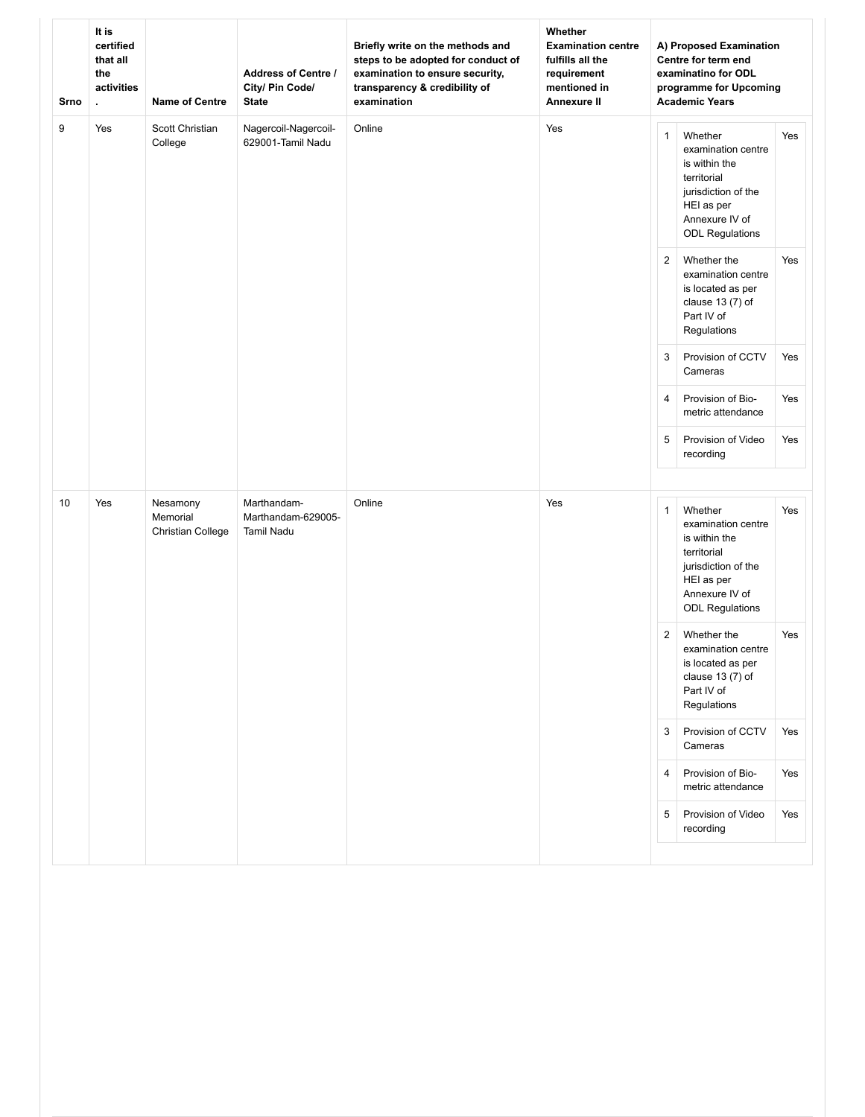| Srno | It is<br>certified<br>that all<br>the<br>activities<br>ä, | <b>Name of Centre</b>                     | <b>Address of Centre /</b><br>City/ Pin Code/<br><b>State</b> | Briefly write on the methods and<br>steps to be adopted for conduct of<br>examination to ensure security,<br>transparency & credibility of<br>examination | Whether<br><b>Examination centre</b><br>fulfills all the<br>requirement<br>mentioned in<br><b>Annexure II</b> |                | A) Proposed Examination<br>Centre for term end<br>examinatino for ODL<br>programme for Upcoming<br><b>Academic Years</b>                       |     |
|------|-----------------------------------------------------------|-------------------------------------------|---------------------------------------------------------------|-----------------------------------------------------------------------------------------------------------------------------------------------------------|---------------------------------------------------------------------------------------------------------------|----------------|------------------------------------------------------------------------------------------------------------------------------------------------|-----|
| 9    | Yes                                                       | Scott Christian<br>College                | Nagercoil-Nagercoil-<br>629001-Tamil Nadu                     | Online                                                                                                                                                    | Yes                                                                                                           | $\mathbf{1}$   | Whether<br>examination centre<br>is within the<br>territorial<br>jurisdiction of the<br>HEI as per<br>Annexure IV of<br><b>ODL Regulations</b> | Yes |
|      |                                                           |                                           |                                                               |                                                                                                                                                           |                                                                                                               | $\overline{2}$ | Whether the<br>examination centre<br>is located as per<br>clause 13 (7) of<br>Part IV of<br>Regulations                                        | Yes |
|      |                                                           |                                           |                                                               |                                                                                                                                                           |                                                                                                               | 3              | Provision of CCTV<br>Cameras                                                                                                                   | Yes |
|      |                                                           |                                           |                                                               |                                                                                                                                                           |                                                                                                               | $\overline{4}$ | Provision of Bio-<br>metric attendance                                                                                                         | Yes |
|      |                                                           |                                           |                                                               |                                                                                                                                                           |                                                                                                               | 5              | Provision of Video<br>recording                                                                                                                | Yes |
|      |                                                           |                                           |                                                               |                                                                                                                                                           |                                                                                                               |                |                                                                                                                                                |     |
| 10   | Yes                                                       | Nesamony<br>Memorial<br>Christian College | Marthandam-<br>Marthandam-629005-<br><b>Tamil Nadu</b>        | Online                                                                                                                                                    | Yes                                                                                                           | $\mathbf{1}$   | Whether<br>examination centre<br>is within the<br>territorial<br>jurisdiction of the<br>HEI as per<br>Annexure IV of<br><b>ODL Regulations</b> | Yes |
|      |                                                           |                                           |                                                               |                                                                                                                                                           |                                                                                                               | $\overline{c}$ | Whether the<br>examination centre<br>is located as per<br>clause 13 (7) of<br>Part IV of<br>Regulations                                        | Yes |
|      |                                                           |                                           |                                                               |                                                                                                                                                           |                                                                                                               | 3              | Provision of CCTV<br>Cameras                                                                                                                   | Yes |
|      |                                                           |                                           |                                                               |                                                                                                                                                           |                                                                                                               | $\overline{4}$ | Provision of Bio-<br>metric attendance                                                                                                         | Yes |
|      |                                                           |                                           |                                                               |                                                                                                                                                           |                                                                                                               | 5              | Provision of Video<br>recording                                                                                                                | Yes |
|      |                                                           |                                           |                                                               |                                                                                                                                                           |                                                                                                               |                |                                                                                                                                                |     |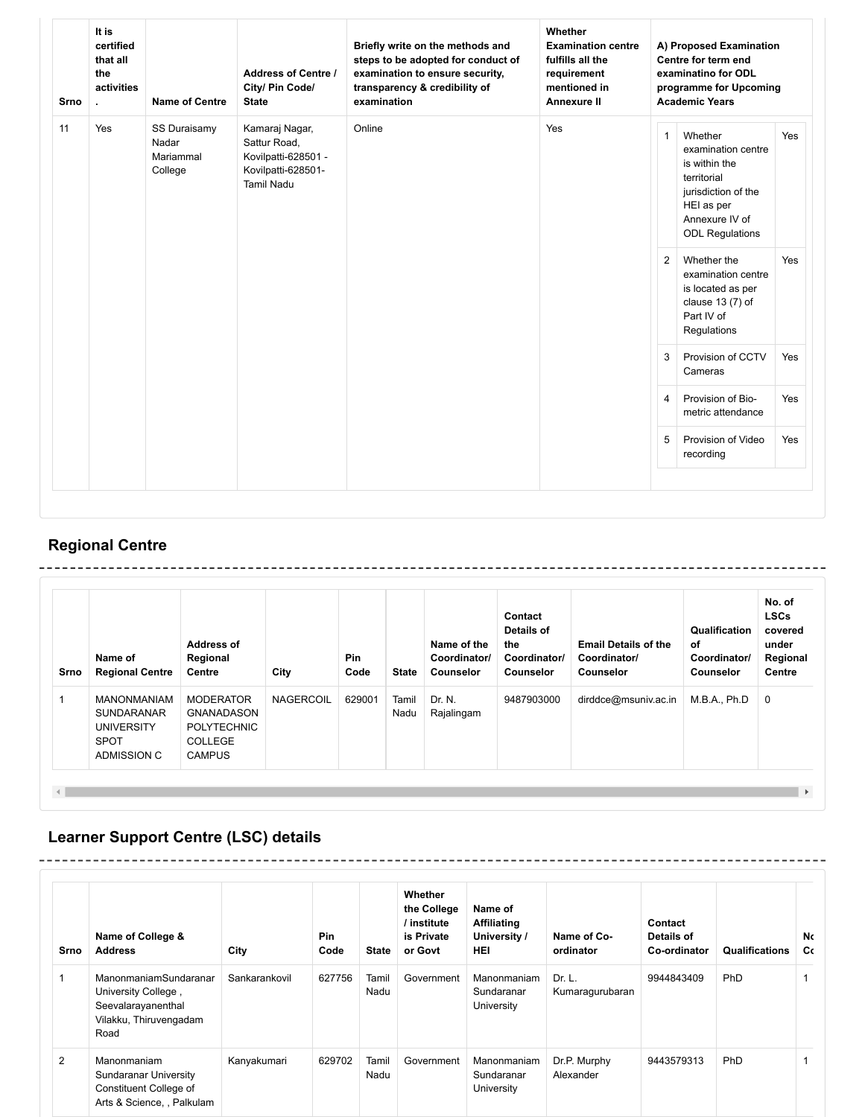| Srno | It is<br>certified<br>that all<br>the<br>activities<br>×. | <b>Name of Centre</b>                         | <b>Address of Centre /</b><br>City/ Pin Code/<br><b>State</b>                                    | Briefly write on the methods and<br>steps to be adopted for conduct of<br>examination to ensure security,<br>transparency & credibility of<br>examination | Whether<br><b>Examination centre</b><br>fulfills all the<br>requirement<br>mentioned in<br><b>Annexure II</b> | A) Proposed Examination<br>Centre for term end<br>examinatino for ODL<br>programme for Upcoming<br><b>Academic Years</b> |                                                                                                                                                |     |  |
|------|-----------------------------------------------------------|-----------------------------------------------|--------------------------------------------------------------------------------------------------|-----------------------------------------------------------------------------------------------------------------------------------------------------------|---------------------------------------------------------------------------------------------------------------|--------------------------------------------------------------------------------------------------------------------------|------------------------------------------------------------------------------------------------------------------------------------------------|-----|--|
| 11   | Yes                                                       | SS Duraisamy<br>Nadar<br>Mariammal<br>College | Kamaraj Nagar,<br>Sattur Road,<br>Kovilpatti-628501 -<br>Kovilpatti-628501-<br><b>Tamil Nadu</b> | Online                                                                                                                                                    | Yes                                                                                                           | $\mathbf{1}$                                                                                                             | Whether<br>examination centre<br>is within the<br>territorial<br>jurisdiction of the<br>HEI as per<br>Annexure IV of<br><b>ODL Regulations</b> | Yes |  |
|      |                                                           |                                               |                                                                                                  |                                                                                                                                                           |                                                                                                               | 2                                                                                                                        | Whether the<br>examination centre<br>is located as per<br>clause $13(7)$ of<br>Part IV of<br>Regulations                                       | Yes |  |
|      |                                                           |                                               |                                                                                                  |                                                                                                                                                           |                                                                                                               | 3                                                                                                                        | Provision of CCTV<br>Cameras                                                                                                                   | Yes |  |
|      |                                                           |                                               |                                                                                                  |                                                                                                                                                           |                                                                                                               | $\overline{4}$                                                                                                           | Provision of Bio-<br>metric attendance                                                                                                         | Yes |  |
|      |                                                           |                                               |                                                                                                  |                                                                                                                                                           |                                                                                                               | 5                                                                                                                        | Provision of Video<br>recording                                                                                                                | Yes |  |

## **Regional Centre**

| Srno | Name of<br><b>Regional Centre</b>                                                          | <b>Address of</b><br>Regional<br>Centre                                                 | City             | Pin<br>Code | <b>State</b>  | Name of the<br>Coordinator/<br><b>Counselor</b> | Contact<br>Details of<br>the<br>Coordinator/<br><b>Counselor</b> | <b>Email Details of the</b><br>Coordinator/<br>Counselor | Qualification<br>оf<br>Coordinator/<br>Counselor | No. of<br><b>LSCs</b><br>covered<br>under<br>Regional<br>Centre |
|------|--------------------------------------------------------------------------------------------|-----------------------------------------------------------------------------------------|------------------|-------------|---------------|-------------------------------------------------|------------------------------------------------------------------|----------------------------------------------------------|--------------------------------------------------|-----------------------------------------------------------------|
|      | <b>MANONMANIAM</b><br><b>SUNDARANAR</b><br><b>UNIVERSITY</b><br><b>SPOT</b><br>ADMISSION C | <b>MODERATOR</b><br><b>GNANADASON</b><br><b>POLYTECHNIC</b><br>COLLEGE<br><b>CAMPUS</b> | <b>NAGERCOIL</b> | 629001      | Tamil<br>Nadu | Dr. N.<br>Rajalingam                            | 9487903000                                                       | dirddce@msuniv.ac.in                                     | M.B.A., Ph.D                                     | 0                                                               |

## **Learner Support Centre (LSC) details**

\_\_\_\_\_\_\_\_\_\_\_\_\_\_\_\_\_\_\_\_\_

| Srno | Name of College &<br><b>Address</b>                                                                  | City          | <b>Pin</b><br>Code | <b>State</b>  | Whether<br>the College<br>/ institute<br>is Private<br>or Govt | Name of<br><b>Affiliating</b><br>University /<br><b>HEI</b> | Name of Co-<br>ordinator  | Contact<br>Details of<br>Co-ordinator | <b>Qualifications</b> | No<br>Cc |
|------|------------------------------------------------------------------------------------------------------|---------------|--------------------|---------------|----------------------------------------------------------------|-------------------------------------------------------------|---------------------------|---------------------------------------|-----------------------|----------|
|      | ManonmaniamSundaranar<br>University College,<br>Seevalarayanenthal<br>Vilakku, Thiruvengadam<br>Road | Sankarankovil | 627756             | Tamil<br>Nadu | Government                                                     | Manonmaniam<br>Sundaranar<br>University                     | Dr. L.<br>Kumaragurubaran | 9944843409                            | <b>PhD</b>            |          |
| 2    | Manonmaniam<br><b>Sundaranar University</b><br>Constituent College of<br>Arts & Science, , Palkulam  | Kanyakumari   | 629702             | Tamil<br>Nadu | Government                                                     | Manonmaniam<br>Sundaranar<br>University                     | Dr.P. Murphy<br>Alexander | 9443579313                            | <b>PhD</b>            |          |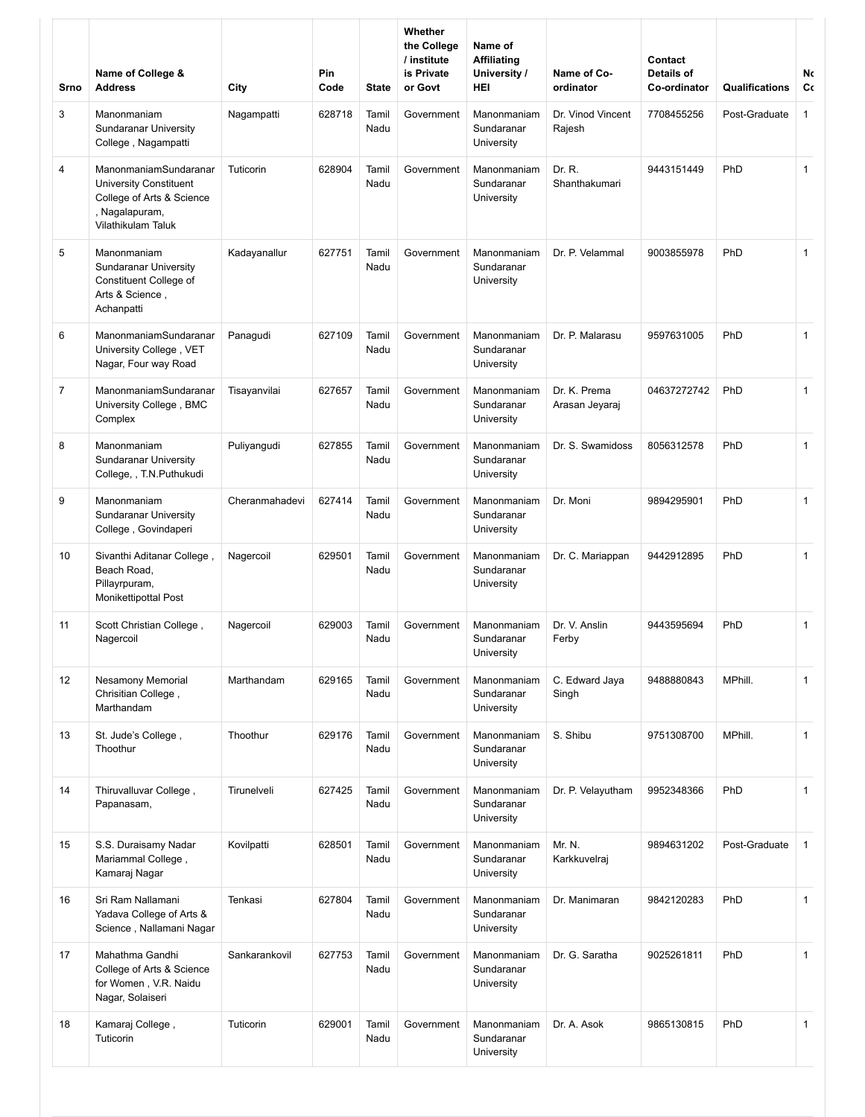| Srno           | Name of College &<br><b>Address</b>                                                                                         | City           | Pin<br>Code | <b>State</b>  | Whether<br>the College<br>/ institute<br>is Private<br>or Govt | Name of<br><b>Affiliating</b><br>University /<br>HEI | Name of Co-<br>ordinator       | Contact<br>Details of<br>Co-ordinator | Qualifications | No<br>Сc     |
|----------------|-----------------------------------------------------------------------------------------------------------------------------|----------------|-------------|---------------|----------------------------------------------------------------|------------------------------------------------------|--------------------------------|---------------------------------------|----------------|--------------|
| 3              | Manonmaniam<br><b>Sundaranar University</b><br>College, Nagampatti                                                          | Nagampatti     | 628718      | Tamil<br>Nadu | Government                                                     | Manonmaniam<br>Sundaranar<br>University              | Dr. Vinod Vincent<br>Rajesh    | 7708455256                            | Post-Graduate  | $\mathbf{1}$ |
| 4              | ManonmaniamSundaranar<br><b>University Constituent</b><br>College of Arts & Science<br>, Nagalapuram,<br>Vilathikulam Taluk | Tuticorin      | 628904      | Tamil<br>Nadu | Government                                                     | Manonmaniam<br>Sundaranar<br>University              | Dr. R.<br>Shanthakumari        | 9443151449                            | PhD            | $\mathbf{1}$ |
| 5              | Manonmaniam<br><b>Sundaranar University</b><br>Constituent College of<br>Arts & Science,<br>Achanpatti                      | Kadayanallur   | 627751      | Tamil<br>Nadu | Government                                                     | Manonmaniam<br>Sundaranar<br>University              | Dr. P. Velammal                | 9003855978                            | PhD            | $\mathbf{1}$ |
| 6              | ManonmaniamSundaranar<br>University College, VET<br>Nagar, Four way Road                                                    | Panagudi       | 627109      | Tamil<br>Nadu | Government                                                     | Manonmaniam<br>Sundaranar<br>University              | Dr. P. Malarasu                | 9597631005                            | PhD            | $\mathbf{1}$ |
| $\overline{7}$ | ManonmaniamSundaranar<br>University College, BMC<br>Complex                                                                 | Tisayanvilai   | 627657      | Tamil<br>Nadu | Government                                                     | Manonmaniam<br>Sundaranar<br>University              | Dr. K. Prema<br>Arasan Jeyaraj | 04637272742                           | PhD            | $\mathbf{1}$ |
| 8              | Manonmaniam<br><b>Sundaranar University</b><br>College, , T.N.Puthukudi                                                     | Puliyangudi    | 627855      | Tamil<br>Nadu | Government                                                     | Manonmaniam<br>Sundaranar<br>University              | Dr. S. Swamidoss               | 8056312578                            | PhD            | $\mathbf{1}$ |
| 9              | Manonmaniam<br>Sundaranar University<br>College, Govindaperi                                                                | Cheranmahadevi | 627414      | Tamil<br>Nadu | Government                                                     | Manonmaniam<br>Sundaranar<br>University              | Dr. Moni                       | 9894295901                            | PhD            | $\mathbf{1}$ |
| 10             | , Sivanthi Aditanar College<br>Beach Road.<br>Pillayrpuram,<br>Monikettipottal Post                                         | Nagercoil      | 629501      | Tamil<br>Nadu | Government                                                     | Manonmaniam<br>Sundaranar<br>University              | Dr. C. Mariappan               | 9442912895                            | PhD            | $\mathbf{1}$ |
| 11             | Scott Christian College,<br>Nagercoil                                                                                       | Nagercoil      | 629003      | Tamil<br>Nadu | Government                                                     | Manonmaniam<br>Sundaranar<br>University              | Dr. V. Anslin<br>Ferby         | 9443595694                            | PhD            | $\mathbf{1}$ |
| 12             | <b>Nesamony Memorial</b><br>Chrisitian College,<br>Marthandam                                                               | Marthandam     | 629165      | Tamil<br>Nadu | Government                                                     | Manonmaniam<br>Sundaranar<br>University              | C. Edward Jaya<br>Singh        | 9488880843                            | MPhill.        | $\mathbf{1}$ |
| 13             | St. Jude's College,<br>Thoothur                                                                                             | Thoothur       | 629176      | Tamil<br>Nadu | Government                                                     | Manonmaniam<br>Sundaranar<br>University              | S. Shibu                       | 9751308700                            | MPhill.        | $\mathbf{1}$ |
| 14             | Thiruvalluvar College,<br>Papanasam,                                                                                        | Tirunelveli    | 627425      | Tamil<br>Nadu | Government                                                     | Manonmaniam<br>Sundaranar<br>University              | Dr. P. Velayutham              | 9952348366                            | PhD            | $\mathbf{1}$ |
| 15             | S.S. Duraisamy Nadar<br>Mariammal College,<br>Kamaraj Nagar                                                                 | Kovilpatti     | 628501      | Tamil<br>Nadu | Government                                                     | Manonmaniam<br>Sundaranar<br>University              | Mr. N.<br>Karkkuvelraj         | 9894631202                            | Post-Graduate  | $\mathbf{1}$ |
| 16             | Sri Ram Nallamani<br>Yadava College of Arts &<br>Science, Nallamani Nagar                                                   | Tenkasi        | 627804      | Tamil<br>Nadu | Government                                                     | Manonmaniam<br>Sundaranar<br>University              | Dr. Manimaran                  | 9842120283                            | PhD            | $\mathbf{1}$ |
| 17             | Mahathma Gandhi<br>College of Arts & Science<br>for Women, V.R. Naidu<br>Nagar, Solaiseri                                   | Sankarankovil  | 627753      | Tamil<br>Nadu | Government                                                     | Manonmaniam<br>Sundaranar<br>University              | Dr. G. Saratha                 | 9025261811                            | PhD            | $\mathbf{1}$ |
| 18             | Kamaraj College,<br>Tuticorin                                                                                               | Tuticorin      | 629001      | Tamil<br>Nadu | Government                                                     | Manonmaniam<br>Sundaranar<br>University              | Dr. A. Asok                    | 9865130815                            | PhD            | $\mathbf{1}$ |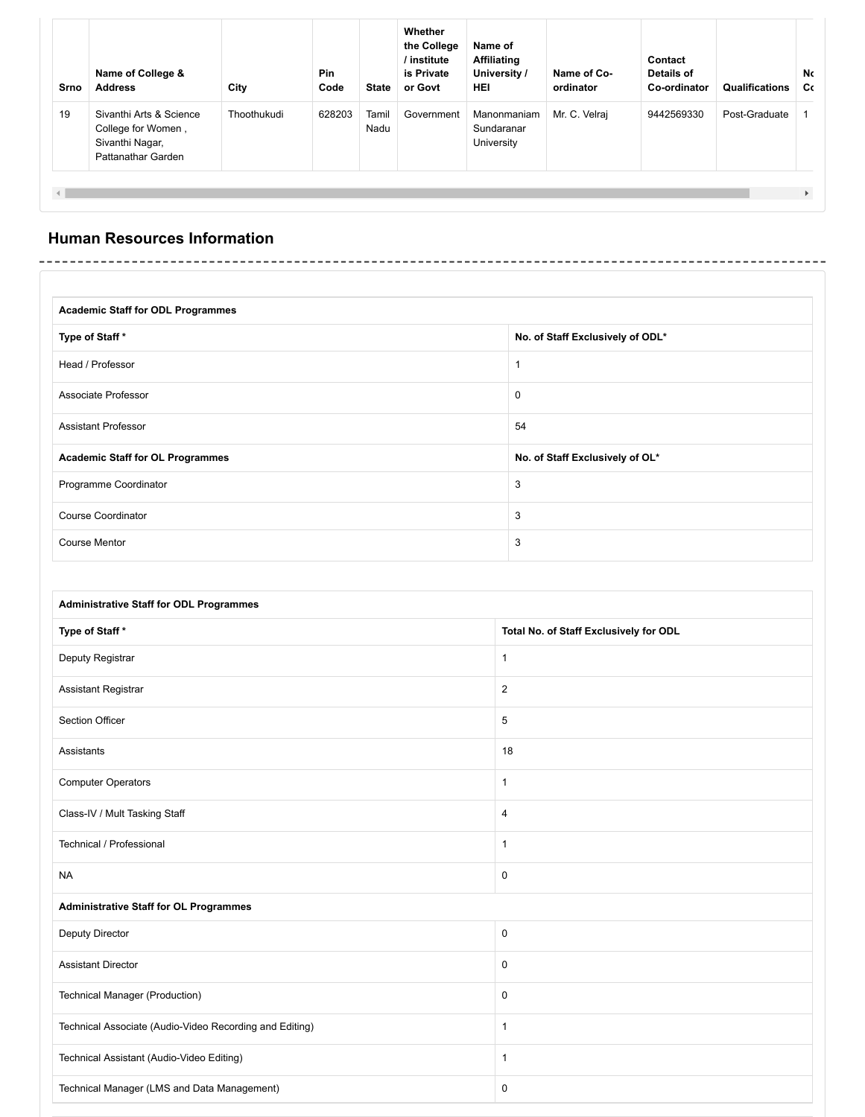| Srno | Name of College &<br><b>Address</b>                                                    | City        | <b>Pin</b><br>Code | <b>State</b>  | Whether<br>the College<br>/ institute<br>is Private<br>or Govt | Name of<br><b>Affiliating</b><br>University /<br><b>HEI</b> | Name of Co-<br>ordinator | Contact<br>Details of<br>Co-ordinator | Qualifications | No<br>Cc                |
|------|----------------------------------------------------------------------------------------|-------------|--------------------|---------------|----------------------------------------------------------------|-------------------------------------------------------------|--------------------------|---------------------------------------|----------------|-------------------------|
| 19   | Sivanthi Arts & Science<br>College for Women,<br>Sivanthi Nagar,<br>Pattanathar Garden | Thoothukudi | 628203             | Tamil<br>Nadu | Government                                                     | Manonmaniam<br>Sundaranar<br>University                     | Mr. C. Velraj            | 9442569330                            | Post-Graduate  |                         |
|      |                                                                                        |             |                    |               |                                                                |                                                             |                          |                                       |                | $\blacktriangleright$ . |

### **Human Resources Information**

| <b>Academic Staff for ODL Programmes</b> |                                  |  |  |  |  |  |  |  |
|------------------------------------------|----------------------------------|--|--|--|--|--|--|--|
| Type of Staff*                           | No. of Staff Exclusively of ODL* |  |  |  |  |  |  |  |
| Head / Professor                         |                                  |  |  |  |  |  |  |  |
| Associate Professor                      | $\mathbf 0$                      |  |  |  |  |  |  |  |
| <b>Assistant Professor</b>               | 54                               |  |  |  |  |  |  |  |
| <b>Academic Staff for OL Programmes</b>  | No. of Staff Exclusively of OL*  |  |  |  |  |  |  |  |
| Programme Coordinator                    | 3                                |  |  |  |  |  |  |  |
| <b>Course Coordinator</b>                | 3                                |  |  |  |  |  |  |  |
| Course Mentor                            | 3                                |  |  |  |  |  |  |  |

| <b>Administrative Staff for ODL Programmes</b>          |                                        |  |  |  |  |  |  |  |  |  |
|---------------------------------------------------------|----------------------------------------|--|--|--|--|--|--|--|--|--|
| Type of Staff*                                          | Total No. of Staff Exclusively for ODL |  |  |  |  |  |  |  |  |  |
| Deputy Registrar                                        | $\mathbf{1}$                           |  |  |  |  |  |  |  |  |  |
| Assistant Registrar                                     | $\overline{2}$                         |  |  |  |  |  |  |  |  |  |
| Section Officer                                         | 5                                      |  |  |  |  |  |  |  |  |  |
| Assistants                                              | 18                                     |  |  |  |  |  |  |  |  |  |
| <b>Computer Operators</b>                               | $\mathbf{1}$                           |  |  |  |  |  |  |  |  |  |
| Class-IV / Mult Tasking Staff                           | 4                                      |  |  |  |  |  |  |  |  |  |
| Technical / Professional                                | $\mathbf{1}$                           |  |  |  |  |  |  |  |  |  |
| <b>NA</b>                                               | $\mathbf 0$                            |  |  |  |  |  |  |  |  |  |
| <b>Administrative Staff for OL Programmes</b>           |                                        |  |  |  |  |  |  |  |  |  |
| <b>Deputy Director</b>                                  | $\mathbf 0$                            |  |  |  |  |  |  |  |  |  |
| <b>Assistant Director</b>                               | $\mathbf 0$                            |  |  |  |  |  |  |  |  |  |
| Technical Manager (Production)                          | $\mathbf 0$                            |  |  |  |  |  |  |  |  |  |
| Technical Associate (Audio-Video Recording and Editing) | $\mathbf{1}$                           |  |  |  |  |  |  |  |  |  |
| Technical Assistant (Audio-Video Editing)               | $\mathbf{1}$                           |  |  |  |  |  |  |  |  |  |
| Technical Manager (LMS and Data Management)             | 0                                      |  |  |  |  |  |  |  |  |  |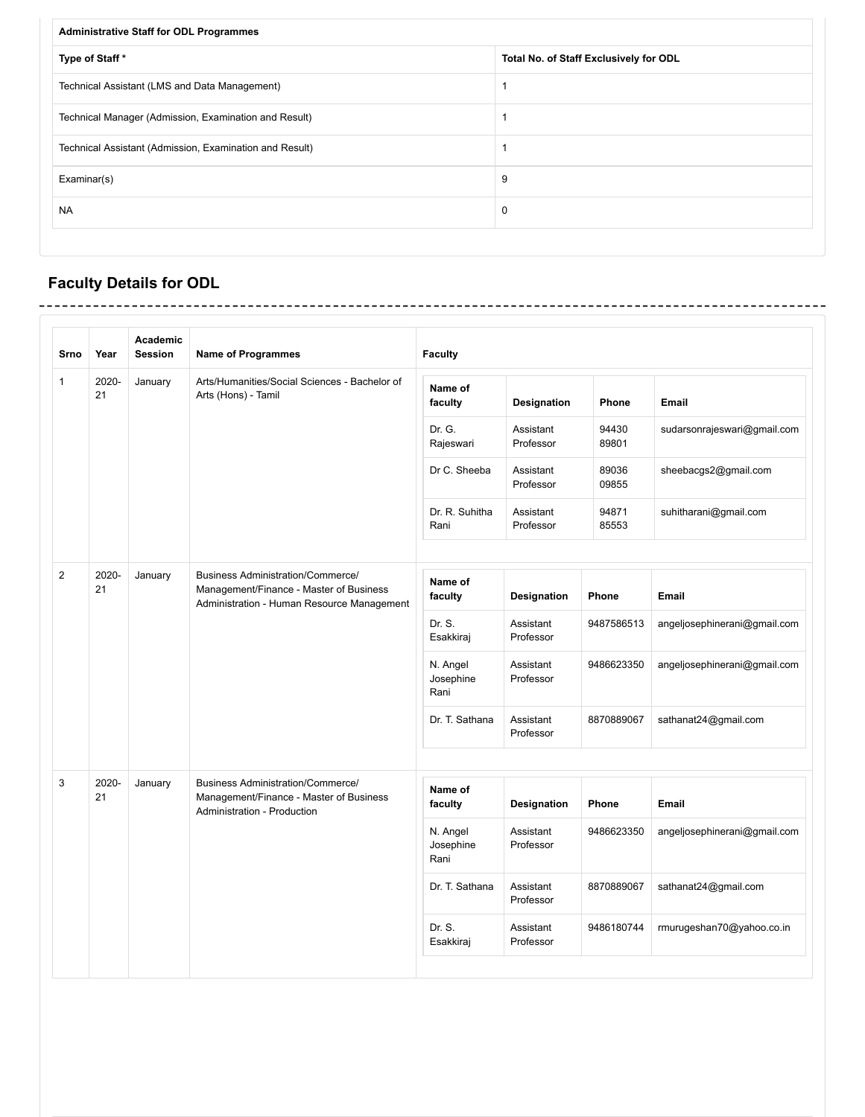| <b>Administrative Staff for ODL Programmes</b>          |                                        |  |  |  |  |  |  |  |
|---------------------------------------------------------|----------------------------------------|--|--|--|--|--|--|--|
| Type of Staff*                                          | Total No. of Staff Exclusively for ODL |  |  |  |  |  |  |  |
| Technical Assistant (LMS and Data Management)           |                                        |  |  |  |  |  |  |  |
| Technical Manager (Admission, Examination and Result)   |                                        |  |  |  |  |  |  |  |
| Technical Assistant (Admission, Examination and Result) |                                        |  |  |  |  |  |  |  |
| Examinar(s)                                             | 9                                      |  |  |  |  |  |  |  |
| <b>NA</b>                                               | $\mathbf 0$                            |  |  |  |  |  |  |  |
|                                                         |                                        |  |  |  |  |  |  |  |

 $- - -$ 

 $- - - - - - -$ 

---------------------

# **Faculty Details for ODL**

| <b>Srno</b> | Year        | Academic<br><b>Session</b>                                                                                                                   | <b>Name of Programmes</b>                                                                                                 | <b>Faculty</b>                |                        |                              |                              |
|-------------|-------------|----------------------------------------------------------------------------------------------------------------------------------------------|---------------------------------------------------------------------------------------------------------------------------|-------------------------------|------------------------|------------------------------|------------------------------|
| 1           | 2020-<br>21 | January                                                                                                                                      | Arts/Humanities/Social Sciences - Bachelor of<br>Arts (Hons) - Tamil                                                      | Name of<br>faculty            | Designation            | Phone                        | <b>Email</b>                 |
|             |             |                                                                                                                                              |                                                                                                                           | Dr. G.<br>Rajeswari           | Assistant<br>Professor | 94430<br>89801               | sudarsonrajeswari@gmail.com  |
|             |             |                                                                                                                                              |                                                                                                                           | Dr C. Sheeba                  | Assistant<br>Professor | 89036<br>09855               | sheebacgs2@gmail.com         |
|             |             |                                                                                                                                              |                                                                                                                           | Dr. R. Suhitha<br>Rani        | Assistant<br>Professor | 94871<br>85553               | suhitharani@gmail.com        |
|             |             |                                                                                                                                              |                                                                                                                           |                               |                        |                              |                              |
| 2           | 2020-<br>21 | <b>Business Administration/Commerce/</b><br>January<br>Management/Finance - Master of Business<br>Administration - Human Resource Management |                                                                                                                           | Name of<br>faculty            | Designation            | Phone                        | Email                        |
|             |             |                                                                                                                                              | Dr. S.<br>Esakkiraj                                                                                                       | Assistant<br>Professor        | 9487586513             | angeljosephinerani@gmail.com |                              |
|             |             |                                                                                                                                              |                                                                                                                           | N. Angel<br>Josephine<br>Rani | Assistant<br>Professor | 9486623350                   | angeljosephinerani@gmail.com |
|             |             |                                                                                                                                              |                                                                                                                           | Dr. T. Sathana                | Assistant<br>Professor | 8870889067                   | sathanat24@gmail.com         |
|             |             |                                                                                                                                              |                                                                                                                           |                               |                        |                              |                              |
| 3           | 2020-<br>21 | January                                                                                                                                      | <b>Business Administration/Commerce/</b><br>Management/Finance - Master of Business<br><b>Administration - Production</b> | Name of<br>faculty            | <b>Designation</b>     | Phone                        | Email                        |
|             |             |                                                                                                                                              |                                                                                                                           | N. Angel<br>Josephine<br>Rani | Assistant<br>Professor | 9486623350                   | angeljosephinerani@gmail.com |
|             |             |                                                                                                                                              |                                                                                                                           | Dr. T. Sathana                | Assistant<br>Professor | 8870889067                   | sathanat24@gmail.com         |
|             |             |                                                                                                                                              |                                                                                                                           | Dr. S.<br>Esakkiraj           | Assistant<br>Professor | 9486180744                   | rmurugeshan70@yahoo.co.in    |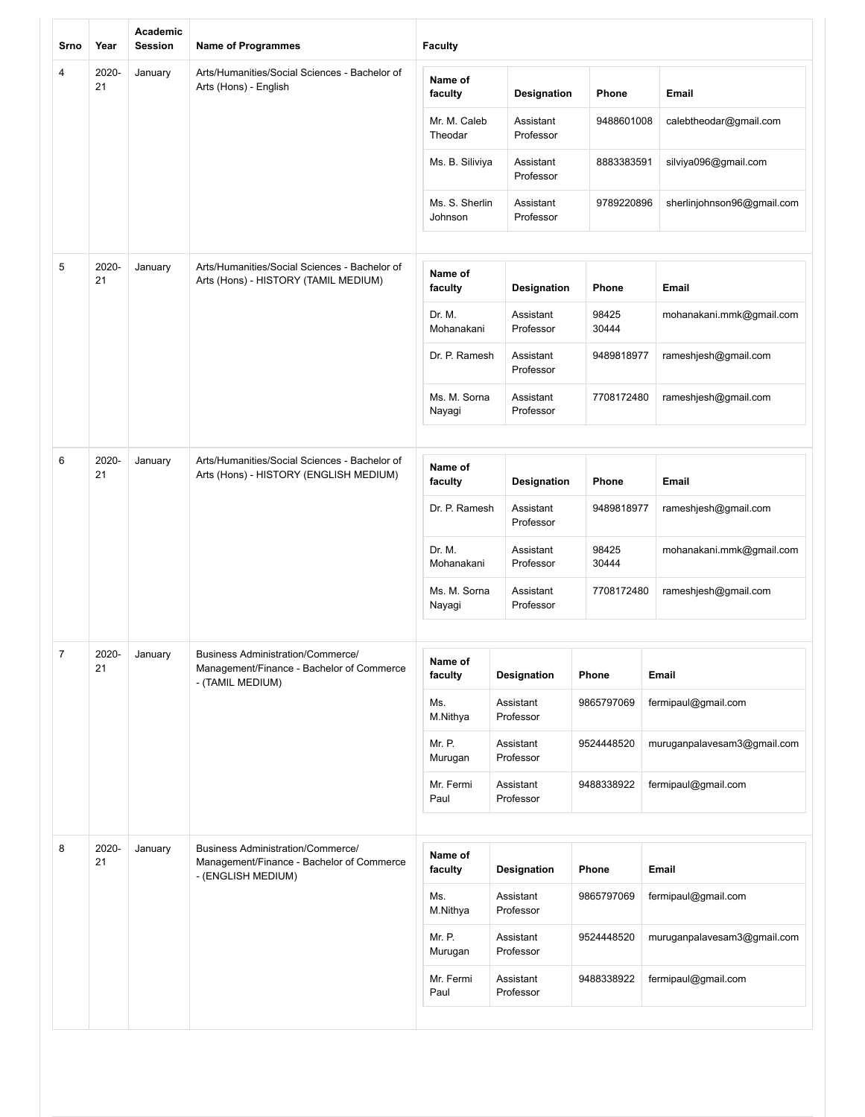| Srno | Year        | Academic<br><b>Session</b> | <b>Name of Programmes</b>                                                                                   | <b>Faculty</b>            |                        |                |                             |
|------|-------------|----------------------------|-------------------------------------------------------------------------------------------------------------|---------------------------|------------------------|----------------|-----------------------------|
| 4    | 2020-<br>21 | January                    | Arts/Humanities/Social Sciences - Bachelor of<br>Arts (Hons) - English                                      | Name of<br>faculty        | Designation            | Phone          | Email                       |
|      |             |                            |                                                                                                             | Mr. M. Caleb<br>Theodar   | Assistant<br>Professor | 9488601008     | calebtheodar@gmail.com      |
|      |             |                            |                                                                                                             | Ms. B. Siliviya           | Assistant<br>Professor | 8883383591     | silviya096@gmail.com        |
|      |             |                            |                                                                                                             | Ms. S. Sherlin<br>Johnson | Assistant<br>Professor | 9789220896     | sherlinjohnson96@gmail.com  |
| 5    | 2020-<br>21 | January                    | Arts/Humanities/Social Sciences - Bachelor of<br>Arts (Hons) - HISTORY (TAMIL MEDIUM)                       | Name of<br>faculty        | Designation            | Phone          | <b>Email</b>                |
|      |             |                            |                                                                                                             | Dr. M.<br>Mohanakani      | Assistant<br>Professor | 98425<br>30444 | mohanakani.mmk@gmail.com    |
|      |             |                            |                                                                                                             | Dr. P. Ramesh             | Assistant<br>Professor | 9489818977     | rameshjesh@gmail.com        |
|      |             |                            |                                                                                                             | Ms. M. Sorna<br>Nayagi    | Assistant<br>Professor | 7708172480     | rameshjesh@gmail.com        |
|      |             |                            |                                                                                                             |                           |                        |                |                             |
| 6    | 2020-<br>21 | January                    | Arts/Humanities/Social Sciences - Bachelor of<br>Arts (Hons) - HISTORY (ENGLISH MEDIUM)                     | Name of<br>faculty        | Designation            | Phone          | <b>Email</b>                |
|      |             |                            |                                                                                                             | Dr. P. Ramesh             | Assistant<br>Professor | 9489818977     | rameshjesh@gmail.com        |
|      |             |                            |                                                                                                             | Dr. M.<br>Mohanakani      | Assistant<br>Professor | 98425<br>30444 | mohanakani.mmk@gmail.com    |
|      |             |                            |                                                                                                             | Ms. M. Sorna<br>Nayagi    | Assistant<br>Professor | 7708172480     | rameshjesh@gmail.com        |
|      |             |                            |                                                                                                             |                           |                        |                |                             |
|      | 2020-<br>21 | January                    | <b>Business Administration/Commerce/</b><br>Management/Finance - Bachelor of Commerce<br>- (TAMIL MEDIUM)   | Name of<br>faculty        | Designation            | Phone          | Email                       |
|      |             |                            |                                                                                                             | Ms.<br>M.Nithya           | Assistant<br>Professor | 9865797069     | fermipaul@gmail.com         |
|      |             |                            |                                                                                                             | Mr. P.<br>Murugan         | Assistant<br>Professor | 9524448520     | muruganpalavesam3@gmail.com |
|      |             |                            |                                                                                                             | Mr. Fermi<br>Paul         | Assistant<br>Professor | 9488338922     | fermipaul@gmail.com         |
|      |             |                            |                                                                                                             |                           |                        |                |                             |
| 8    | 2020-<br>21 | January                    | <b>Business Administration/Commerce/</b><br>Management/Finance - Bachelor of Commerce<br>- (ENGLISH MEDIUM) | Name of<br>faculty        | Designation            | Phone          | Email                       |
|      |             |                            |                                                                                                             | Ms.<br>M.Nithya           | Assistant<br>Professor | 9865797069     | fermipaul@gmail.com         |
|      |             |                            |                                                                                                             | Mr. P.<br>Murugan         | Assistant<br>Professor | 9524448520     | muruganpalavesam3@gmail.com |
|      |             |                            |                                                                                                             | Mr. Fermi<br>Paul         | Assistant<br>Professor | 9488338922     | fermipaul@gmail.com         |
|      |             |                            |                                                                                                             |                           |                        |                |                             |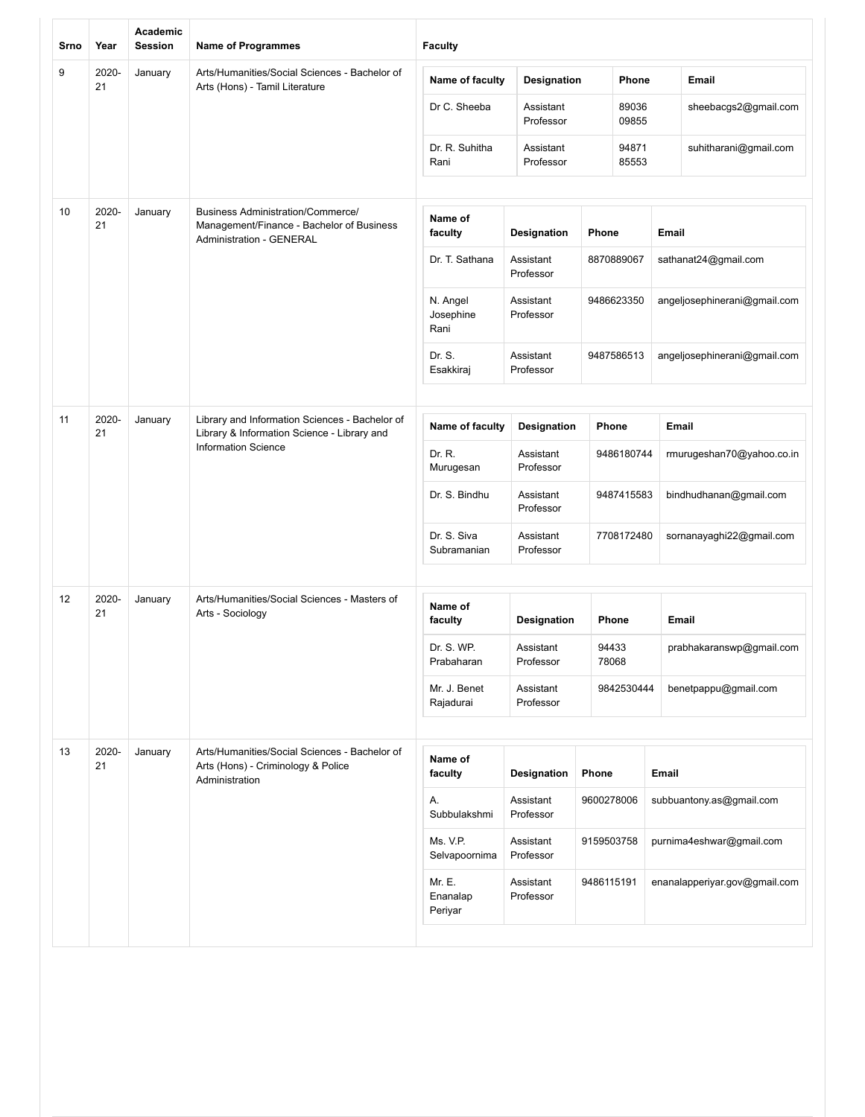| Srno | Year        | Academic<br><b>Session</b> | <b>Name of Programmes</b>                                                                                                | <b>Faculty</b>                |                        |            |                |                              |                               |  |
|------|-------------|----------------------------|--------------------------------------------------------------------------------------------------------------------------|-------------------------------|------------------------|------------|----------------|------------------------------|-------------------------------|--|
| 9    | 2020-<br>21 | January                    | Arts/Humanities/Social Sciences - Bachelor of<br>Arts (Hons) - Tamil Literature                                          | Name of faculty               | <b>Designation</b>     |            | Phone          |                              | Email                         |  |
|      |             |                            |                                                                                                                          | Dr C. Sheeba                  | Assistant<br>Professor |            | 89036<br>09855 |                              | sheebacgs2@gmail.com          |  |
|      |             |                            |                                                                                                                          | Dr. R. Suhitha<br>Rani        | Assistant<br>Professor |            | 94871<br>85553 |                              | suhitharani@gmail.com         |  |
|      |             |                            |                                                                                                                          |                               |                        |            |                |                              |                               |  |
| 10   | 2020-<br>21 | January                    | <b>Business Administration/Commerce/</b><br>Management/Finance - Bachelor of Business<br><b>Administration - GENERAL</b> | Name of<br>faculty            | Designation            | Phone      |                | <b>Email</b>                 |                               |  |
|      |             |                            |                                                                                                                          | Dr. T. Sathana                | Assistant<br>Professor |            | 8870889067     |                              | sathanat24@gmail.com          |  |
|      |             |                            |                                                                                                                          | N. Angel<br>Josephine<br>Rani | Assistant<br>Professor |            | 9486623350     |                              | angeljosephinerani@gmail.com  |  |
|      |             |                            |                                                                                                                          | Dr. S.<br>Esakkiraj           | Assistant<br>Professor |            | 9487586513     | angeljosephinerani@gmail.com |                               |  |
|      |             |                            |                                                                                                                          |                               |                        |            |                |                              |                               |  |
| 11   | 2020-<br>21 | January                    | Library and Information Sciences - Bachelor of<br>Library & Information Science - Library and                            | Name of faculty               | <b>Designation</b>     |            | Phone          | Email                        |                               |  |
|      |             |                            | <b>Information Science</b>                                                                                               | Dr. R.<br>Murugesan           | Assistant<br>Professor |            | 9486180744     |                              | rmurugeshan70@yahoo.co.in     |  |
|      |             |                            |                                                                                                                          | Dr. S. Bindhu                 | Assistant<br>Professor |            | 9487415583     |                              | bindhudhanan@gmail.com        |  |
|      |             |                            |                                                                                                                          | Dr. S. Siva<br>Subramanian    | Assistant<br>Professor |            | 7708172480     |                              | sornanayaghi22@gmail.com      |  |
|      |             |                            |                                                                                                                          |                               |                        |            |                |                              |                               |  |
| 12   | 2020-<br>21 | January                    | Arts/Humanities/Social Sciences - Masters of<br>Arts - Sociology                                                         | Name of<br>faculty            | Designation            |            | Phone          |                              | Email                         |  |
|      |             |                            |                                                                                                                          | Dr. S. WP.<br>Prabaharan      | Assistant<br>Professor | 94433      | 78068          |                              | prabhakaranswp@gmail.com      |  |
|      |             |                            |                                                                                                                          | Mr. J. Benet<br>Rajadurai     | Assistant<br>Professor |            | 9842530444     |                              | benetpappu@gmail.com          |  |
|      |             |                            |                                                                                                                          |                               |                        |            |                |                              |                               |  |
| 13   | 2020-<br>21 | January                    | Arts/Humanities/Social Sciences - Bachelor of<br>Arts (Hons) - Criminology & Police<br>Administration                    | Name of<br>faculty            | <b>Designation</b>     | Phone      |                | Email                        |                               |  |
|      |             |                            |                                                                                                                          | А.<br>Subbulakshmi            | Assistant<br>Professor | 9600278006 |                |                              | subbuantony.as@gmail.com      |  |
|      |             |                            |                                                                                                                          | Ms. V.P.<br>Selvapoornima     | Assistant<br>Professor | 9159503758 |                |                              | purnima4eshwar@gmail.com      |  |
|      |             |                            |                                                                                                                          | Mr. E.<br>Enanalap<br>Periyar | Assistant<br>Professor | 9486115191 |                |                              | enanalapperiyar.gov@gmail.com |  |
|      |             |                            |                                                                                                                          |                               |                        |            |                |                              |                               |  |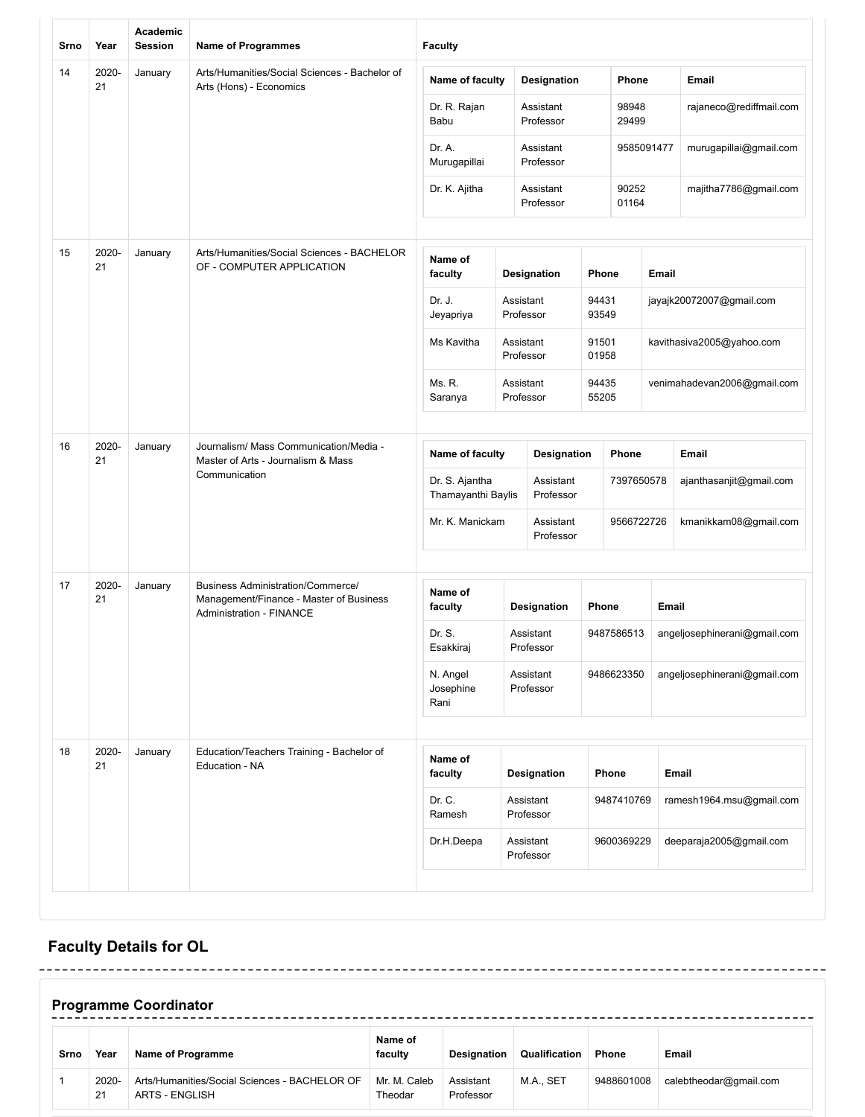| Srno | Year                                                                                                                    | Academic<br><b>Session</b> | <b>Name of Programmes</b>                                                           | <b>Faculty</b>                       |                                 |                |                       |       |                              |
|------|-------------------------------------------------------------------------------------------------------------------------|----------------------------|-------------------------------------------------------------------------------------|--------------------------------------|---------------------------------|----------------|-----------------------|-------|------------------------------|
| 14   | 2020-<br>21                                                                                                             | January                    | Arts/Humanities/Social Sciences - Bachelor of<br>Arts (Hons) - Economics            | Name of faculty                      | <b>Designation</b>              |                | Phone                 |       | Email                        |
|      |                                                                                                                         |                            |                                                                                     | Dr. R. Rajan<br>Babu                 | Assistant<br>Professor          |                | 98948<br>29499        |       | rajaneco@rediffmail.com      |
|      |                                                                                                                         |                            |                                                                                     | Dr. A.<br>Murugapillai               | Assistant<br>Professor          |                | 9585091477            |       | murugapillai@gmail.com       |
|      |                                                                                                                         |                            |                                                                                     | Dr. K. Ajitha                        | Assistant<br>Professor          |                | 90252<br>01164        |       | majitha7786@gmail.com        |
| 15   | 2020-<br>21                                                                                                             | January                    | Arts/Humanities/Social Sciences - BACHELOR<br>OF - COMPUTER APPLICATION             | Name of                              |                                 | Phone          |                       | Email |                              |
|      |                                                                                                                         |                            |                                                                                     | faculty<br>Dr. J.                    | <b>Designation</b><br>Assistant | 94431          |                       |       | jayajk20072007@gmail.com     |
|      |                                                                                                                         |                            |                                                                                     | Jeyapriya                            | Professor                       | 93549          |                       |       |                              |
|      |                                                                                                                         |                            |                                                                                     | Ms Kavitha                           | Assistant<br>Professor          | 91501<br>01958 |                       |       | kavithasiva2005@yahoo.com    |
|      |                                                                                                                         |                            |                                                                                     | Ms. R.<br>Saranya                    | Assistant<br>Professor          | 94435<br>55205 |                       |       | venimahadevan2006@gmail.com  |
| 16   | 2020-<br>Journalism/ Mass Communication/Media -<br>January<br>21<br>Master of Arts - Journalism & Mass<br>Communication |                            | Name of faculty                                                                     | <b>Designation</b>                   |                                 | <b>Phone</b>   |                       | Email |                              |
|      |                                                                                                                         |                            |                                                                                     | Dr. S. Ajantha<br>Thamayanthi Baylis | Assistant<br>Professor          |                | 7397650578            |       | ajanthasanjit@gmail.com      |
|      |                                                                                                                         | Mr. K. Manickam            | Assistant<br>Professor                                                              |                                      | 9566722726                      |                | kmanikkam08@gmail.com |       |                              |
| 17   | 2020-<br>21                                                                                                             | January                    | <b>Business Administration/Commerce/</b><br>Management/Finance - Master of Business | Name of                              |                                 |                |                       |       |                              |
|      |                                                                                                                         |                            | <b>Administration - FINANCE</b>                                                     | faculty                              | <b>Designation</b>              | Phone          |                       | Email |                              |
|      |                                                                                                                         |                            |                                                                                     | Dr. S.<br>Esakkiraj                  | Assistant<br>Professor          |                | 9487586513            |       | angeljosephinerani@gmail.com |
|      |                                                                                                                         |                            |                                                                                     | N. Angel<br>Josephine<br>Rani        | Assistant<br>Professor          |                | 9486623350            |       | angeljosephinerani@gmail.com |
| 18   | 2020-<br>21                                                                                                             | January                    | Education/Teachers Training - Bachelor of<br>Education - NA                         | Name of<br>faculty                   | Designation                     |                | Phone                 |       | Email                        |
|      |                                                                                                                         |                            |                                                                                     | Dr. C.<br>Ramesh                     | Assistant<br>Professor          |                | 9487410769            |       | ramesh1964.msu@gmail.com     |
|      |                                                                                                                         |                            |                                                                                     | Dr.H.Deepa                           | Assistant<br>Professor          |                | 9600369229            |       | deeparaja2005@gmail.com      |

### **Faculty Details for OL**

| <b>Programme Coordinator</b> |             |                                                                        |                         |                        |               |              |                        |  |
|------------------------------|-------------|------------------------------------------------------------------------|-------------------------|------------------------|---------------|--------------|------------------------|--|
| Srno                         | Year        | Name of Programme                                                      | Name of<br>faculty      | Designation            | Qualification | <b>Phone</b> | <b>Email</b>           |  |
|                              | 2020-<br>21 | Arts/Humanities/Social Sciences - BACHELOR OF<br><b>ARTS - ENGLISH</b> | Mr. M. Caleb<br>Theodar | Assistant<br>Professor | M.A., SET     | 9488601008   | calebtheodar@gmail.com |  |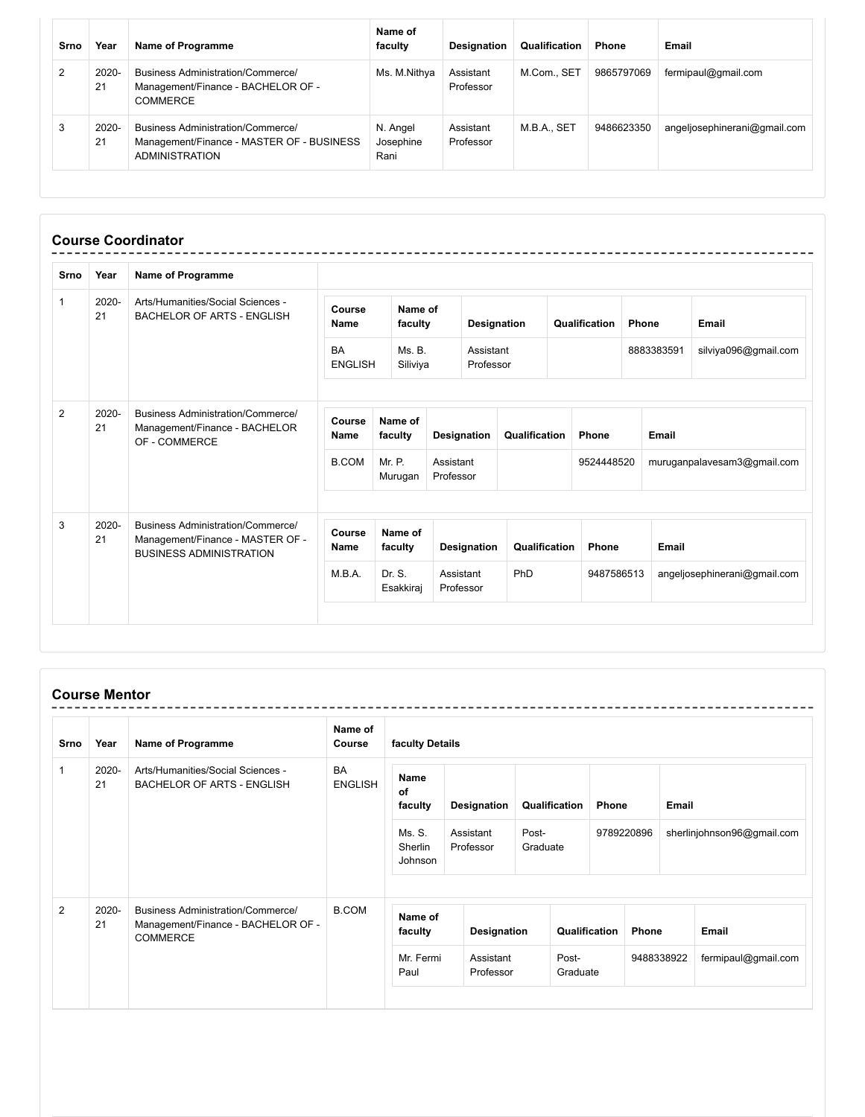| Srno | Year        | Name of Programme                                                                                              | Name of<br>faculty            | Designation            | Qualification | <b>Phone</b> | Email                        |
|------|-------------|----------------------------------------------------------------------------------------------------------------|-------------------------------|------------------------|---------------|--------------|------------------------------|
| 2    | 2020-<br>21 | <b>Business Administration/Commerce/</b><br>Management/Finance - BACHELOR OF -<br>COMMERCE                     | Ms. M.Nithya                  | Assistant<br>Professor | M.Com., SET   | 9865797069   | fermipaul@gmail.com          |
| 3    | 2020-<br>21 | <b>Business Administration/Commerce/</b><br>Management/Finance - MASTER OF - BUSINESS<br><b>ADMINISTRATION</b> | N. Angel<br>Josephine<br>Rani | Assistant<br>Professor | M.B.A., SET   | 9486623350   | angeljosephinerani@gmail.com |

| Srno         | Year           | Name of Programme                                                                                       |                             |                     |                        |               |               |               |              |                             |                              |
|--------------|----------------|---------------------------------------------------------------------------------------------------------|-----------------------------|---------------------|------------------------|---------------|---------------|---------------|--------------|-----------------------------|------------------------------|
| $\mathbf{1}$ | 2020-<br>21    | Arts/Humanities/Social Sciences -<br><b>BACHELOR OF ARTS - ENGLISH</b>                                  | Course<br>Name              | Name of<br>faculty  |                        | Designation   |               | Qualification | <b>Phone</b> |                             | Email                        |
|              |                |                                                                                                         | <b>BA</b><br><b>ENGLISH</b> | Ms. B.<br>Siliviya  | Assistant<br>Professor |               |               |               |              | 8883383591                  | silviya096@gmail.com         |
| 2            | $2020 -$<br>21 | Business Administration/Commerce/<br>Management/Finance - BACHELOR<br>OF - COMMERCE                     | Course<br><b>Name</b>       | Name of<br>faculty  | Designation            | Qualification |               | Phone         |              | <b>Email</b>                |                              |
|              |                |                                                                                                         | <b>B.COM</b>                | Mr. P.<br>Murugan   | Assistant<br>Professor |               |               | 9524448520    |              | muruganpalavesam3@gmail.com |                              |
| 3            | 2020-<br>21    | Business Administration/Commerce/<br>Management/Finance - MASTER OF -<br><b>BUSINESS ADMINISTRATION</b> | Course<br><b>Name</b>       | Name of<br>faculty  | Designation            |               | Qualification | Phone         |              | Email                       |                              |
|              |                |                                                                                                         | M.B.A.                      | Dr. S.<br>Esakkiraj | Assistant<br>Professor | PhD           |               | 9487586513    |              |                             | angeljosephinerani@gmail.com |

#### **Course Mentor**

| Srno             | Year                                                                                                      | <b>Name of Programme</b>                                               | Name of<br>Course            | faculty Details        |                        |                   |       |            |                            |                     |
|------------------|-----------------------------------------------------------------------------------------------------------|------------------------------------------------------------------------|------------------------------|------------------------|------------------------|-------------------|-------|------------|----------------------------|---------------------|
| 2020-<br>1<br>21 |                                                                                                           | Arts/Humanities/Social Sciences -<br><b>BACHELOR OF ARTS - ENGLISH</b> | <b>BA</b><br><b>ENGLISH</b>  | Name<br>of<br>faculty  | Designation            | Qualification     | Phone |            | <b>Email</b>               |                     |
|                  |                                                                                                           |                                                                        | Ms. S.<br>Sherlin<br>Johnson | Assistant<br>Professor | Post-<br>Graduate      | 9789220896        |       |            | sherlinjohnson96@gmail.com |                     |
| 2                | 2020-<br>Business Administration/Commerce/<br>21<br>Management/Finance - BACHELOR OF -<br><b>COMMERCE</b> | <b>B.COM</b>                                                           | Name of<br>faculty           | Designation            | Qualification          |                   | Phone |            | <b>Email</b>               |                     |
|                  |                                                                                                           |                                                                        |                              | Mr. Fermi<br>Paul      | Assistant<br>Professor | Post-<br>Graduate |       | 9488338922 |                            | fermipaul@gmail.com |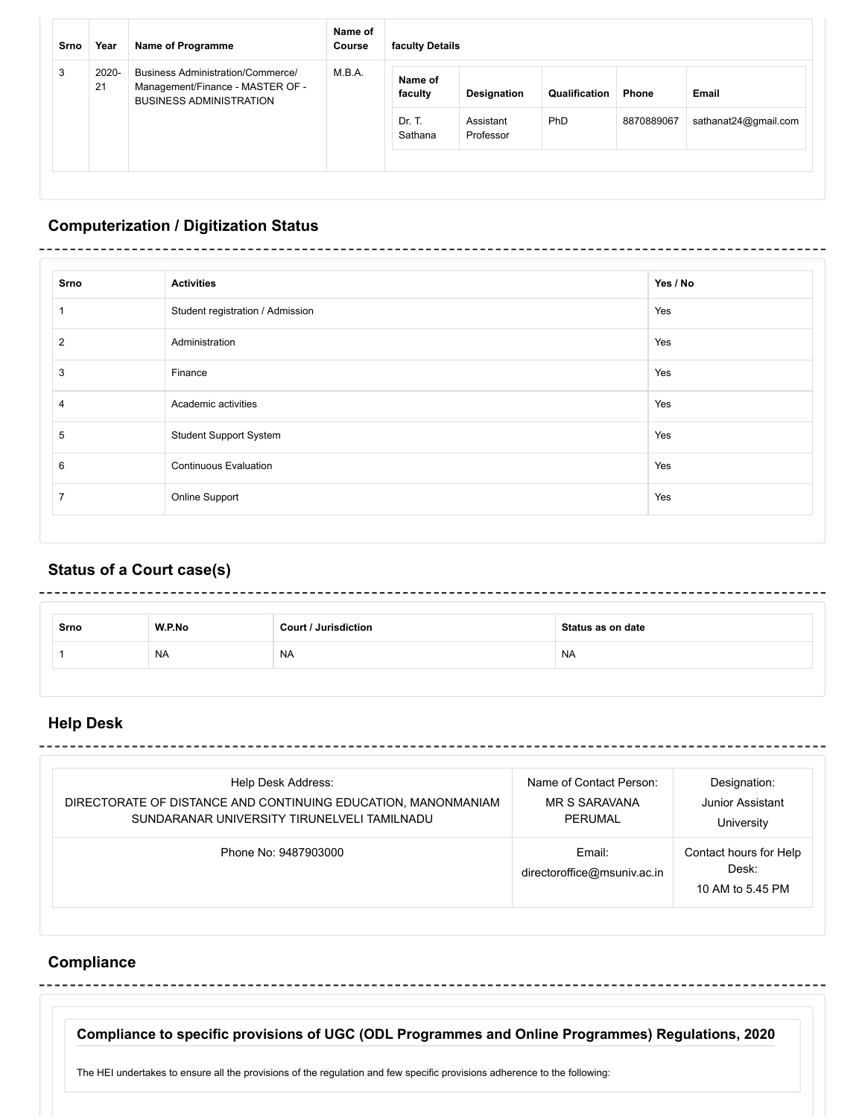| Srno | Year        | <b>Name of Programme</b>                                                                                       | Name of<br>Course | faculty Details    |                        |               |            |                      |  |  |
|------|-------------|----------------------------------------------------------------------------------------------------------------|-------------------|--------------------|------------------------|---------------|------------|----------------------|--|--|
| 3    | 2020-<br>21 | <b>Business Administration/Commerce/</b><br>Management/Finance - MASTER OF -<br><b>BUSINESS ADMINISTRATION</b> | M.B.A.            | Name of<br>faculty | Designation            | Qualification | Phone      | Email                |  |  |
|      |             |                                                                                                                |                   | Dr. T.<br>Sathana  | Assistant<br>Professor | PhD           | 8870889067 | sathanat24@gmail.com |  |  |
|      |             |                                                                                                                |                   |                    |                        |               |            |                      |  |  |

# **Computerization / Digitization Status**

| Srno           | <b>Activities</b>                | Yes / No |
|----------------|----------------------------------|----------|
| 1              | Student registration / Admission | Yes      |
| 2              | Administration                   | Yes      |
| 3              | Finance                          | Yes      |
| $\overline{4}$ | Academic activities              | Yes      |
| 5              | <b>Student Support System</b>    | Yes      |
| 6              | <b>Continuous Evaluation</b>     | Yes      |
| 7              | Online Support                   | Yes      |

## **Status of a Court case(s)**

| Srno | W.P.No    | <b>Court / Jurisdiction</b> | Status as on date |
|------|-----------|-----------------------------|-------------------|
|      | <b>NA</b> | <b>NA</b>                   | <b>NA</b>         |

### **Help Desk**

| Help Desk Address:                                                                                           | Name of Contact Person:               | Designation:                                        |
|--------------------------------------------------------------------------------------------------------------|---------------------------------------|-----------------------------------------------------|
| DIRECTORATE OF DISTANCE AND CONTINUING EDUCATION, MANONMANIAM<br>SUNDARANAR UNIVERSITY TIRUNELVELI TAMILNADU | <b>MR S SARAVANA</b><br>PERUMAL       | Junior Assistant<br>University                      |
| Phone No: 9487903000                                                                                         | Email:<br>directoroffice@msuniv.ac.in | Contact hours for Help<br>Desk:<br>10 AM to 5.45 PM |

### **Compliance**

**Compliance to specific provisions of UGC (ODL Programmes and Online Programmes) Regulations, 2020**

The HEI undertakes to ensure all the provisions of the regulation and few specific provisions adherence to the following: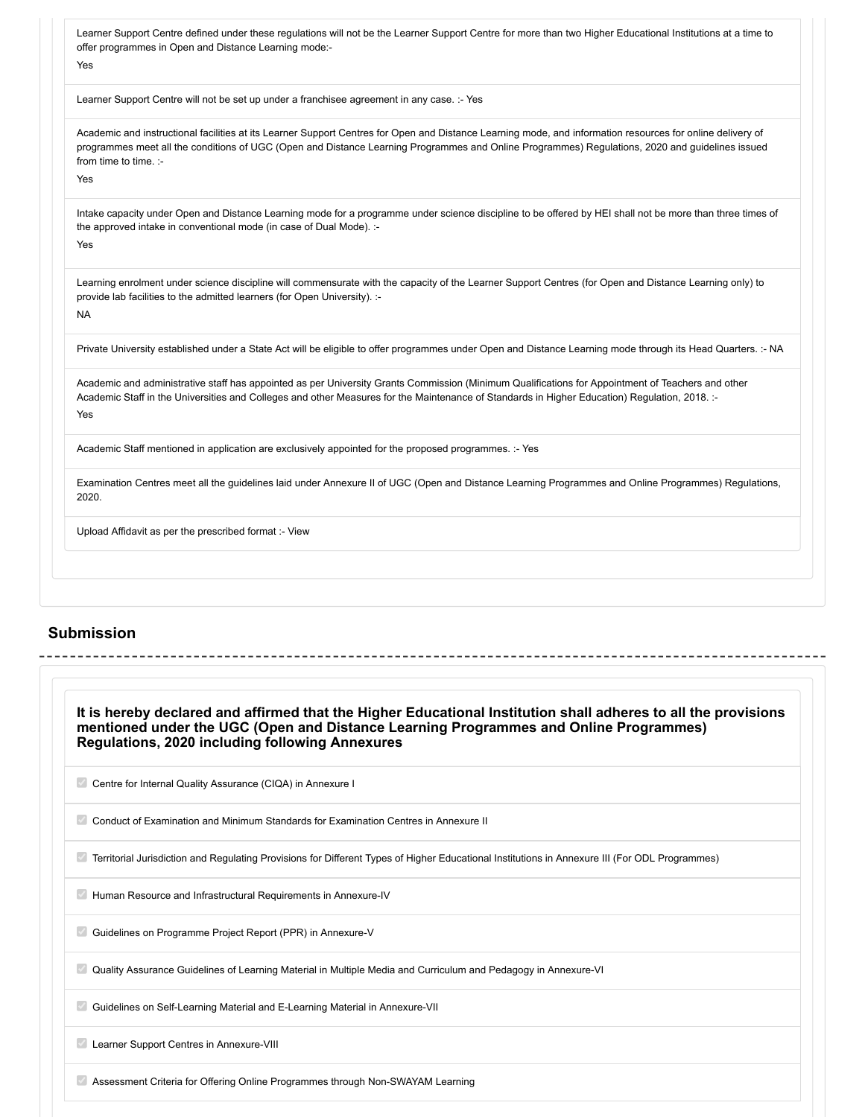| Learner Support Centre defined under these regulations will not be the Learner Support Centre for more than two Higher Educational Institutions at a time to<br>offer programmes in Open and Distance Learning mode:-                                                                                            |  |
|------------------------------------------------------------------------------------------------------------------------------------------------------------------------------------------------------------------------------------------------------------------------------------------------------------------|--|
| Yes                                                                                                                                                                                                                                                                                                              |  |
|                                                                                                                                                                                                                                                                                                                  |  |
| Learner Support Centre will not be set up under a franchisee agreement in any case. :- Yes                                                                                                                                                                                                                       |  |
| Academic and instructional facilities at its Learner Support Centres for Open and Distance Learning mode, and information resources for online delivery of<br>programmes meet all the conditions of UGC (Open and Distance Learning Programmes and Online Programmes) Regulations, 2020 and guidelines issued    |  |
| from time to time. :-                                                                                                                                                                                                                                                                                            |  |
| Yes                                                                                                                                                                                                                                                                                                              |  |
| Intake capacity under Open and Distance Learning mode for a programme under science discipline to be offered by HEI shall not be more than three times of<br>the approved intake in conventional mode (in case of Dual Mode). :-<br>Yes                                                                          |  |
| Learning enrolment under science discipline will commensurate with the capacity of the Learner Support Centres (for Open and Distance Learning only) to<br>provide lab facilities to the admitted learners (for Open University). :-<br><b>NA</b>                                                                |  |
| Private University established under a State Act will be eligible to offer programmes under Open and Distance Learning mode through its Head Quarters. :- NA                                                                                                                                                     |  |
| Academic and administrative staff has appointed as per University Grants Commission (Minimum Qualifications for Appointment of Teachers and other<br>Academic Staff in the Universities and Colleges and other Measures for the Maintenance of Standards in Higher Education) Regulation, 2018. :-<br><b>Yes</b> |  |
| Academic Staff mentioned in application are exclusively appointed for the proposed programmes. :- Yes                                                                                                                                                                                                            |  |
| Examination Centres meet all the guidelines laid under Annexure II of UGC (Open and Distance Learning Programmes and Online Programmes) Regulations,<br>2020.                                                                                                                                                    |  |
| Upload Affidavit as per the prescribed format :- View                                                                                                                                                                                                                                                            |  |

#### **Submission**

| It is hereby declared and affirmed that the Higher Educational Institution shall adheres to all the provisions                                 |  |
|------------------------------------------------------------------------------------------------------------------------------------------------|--|
| mentioned under the UGC (Open and Distance Learning Programmes and Online Programmes)<br>Regulations, 2020 including following Annexures       |  |
| Centre for Internal Quality Assurance (CIQA) in Annexure I                                                                                     |  |
| Conduct of Examination and Minimum Standards for Examination Centres in Annexure II                                                            |  |
| Territorial Jurisdiction and Regulating Provisions for Different Types of Higher Educational Institutions in Annexure III (For ODL Programmes) |  |
| Human Resource and Infrastructural Requirements in Annexure-IV                                                                                 |  |
| Guidelines on Programme Project Report (PPR) in Annexure-V                                                                                     |  |
| Quality Assurance Guidelines of Learning Material in Multiple Media and Curriculum and Pedagogy in Annexure-VI                                 |  |
| Guidelines on Self-Learning Material and E-Learning Material in Annexure-VII                                                                   |  |
| Learner Support Centres in Annexure-VIII                                                                                                       |  |
| Assessment Criteria for Offering Online Programmes through Non-SWAYAM Learning                                                                 |  |